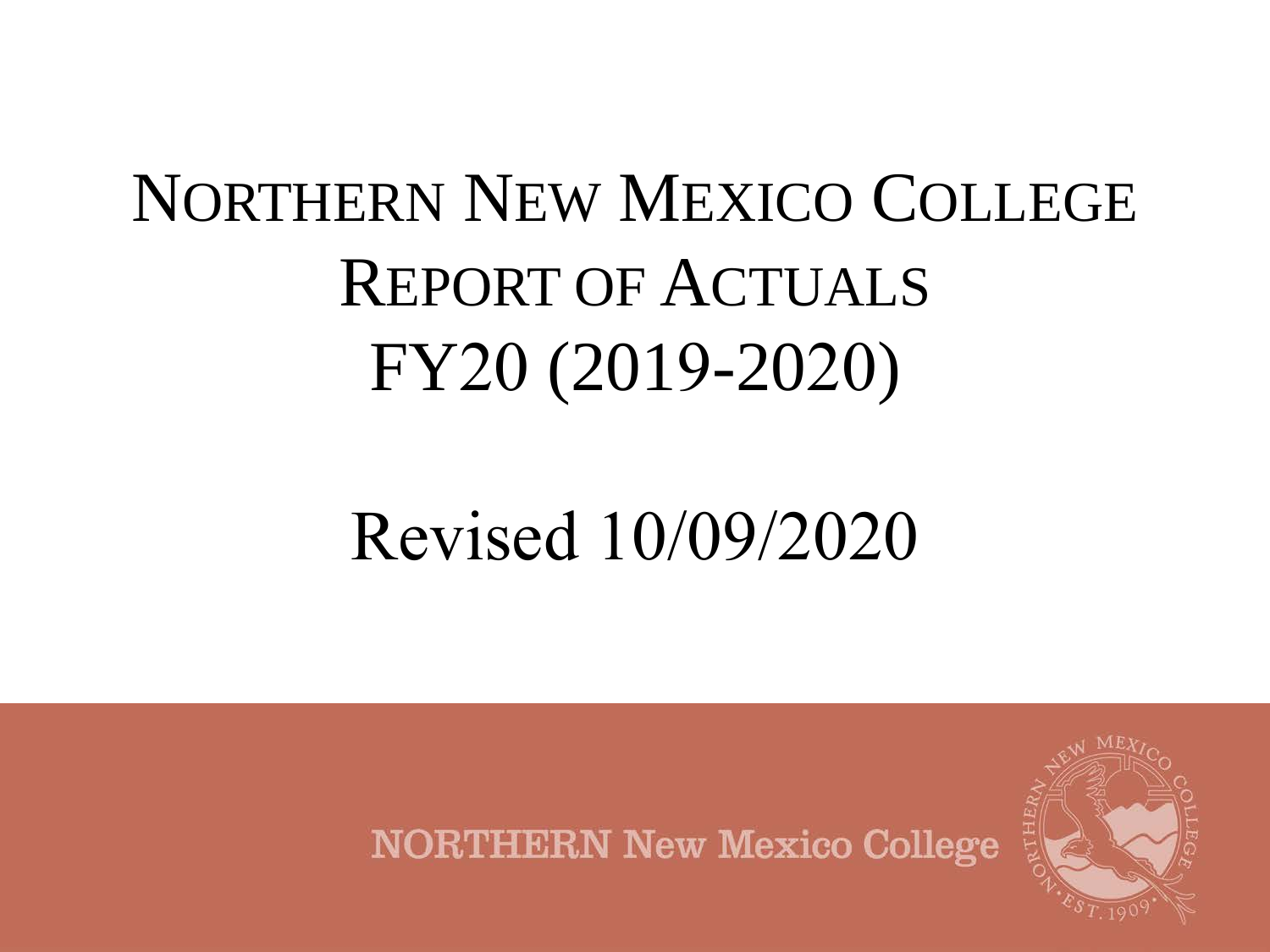# NORTHERN NEW MEXICO COLLEGE REPORT OF ACTUALS FY20 (2019-2020)

# Revised 10/09/2020



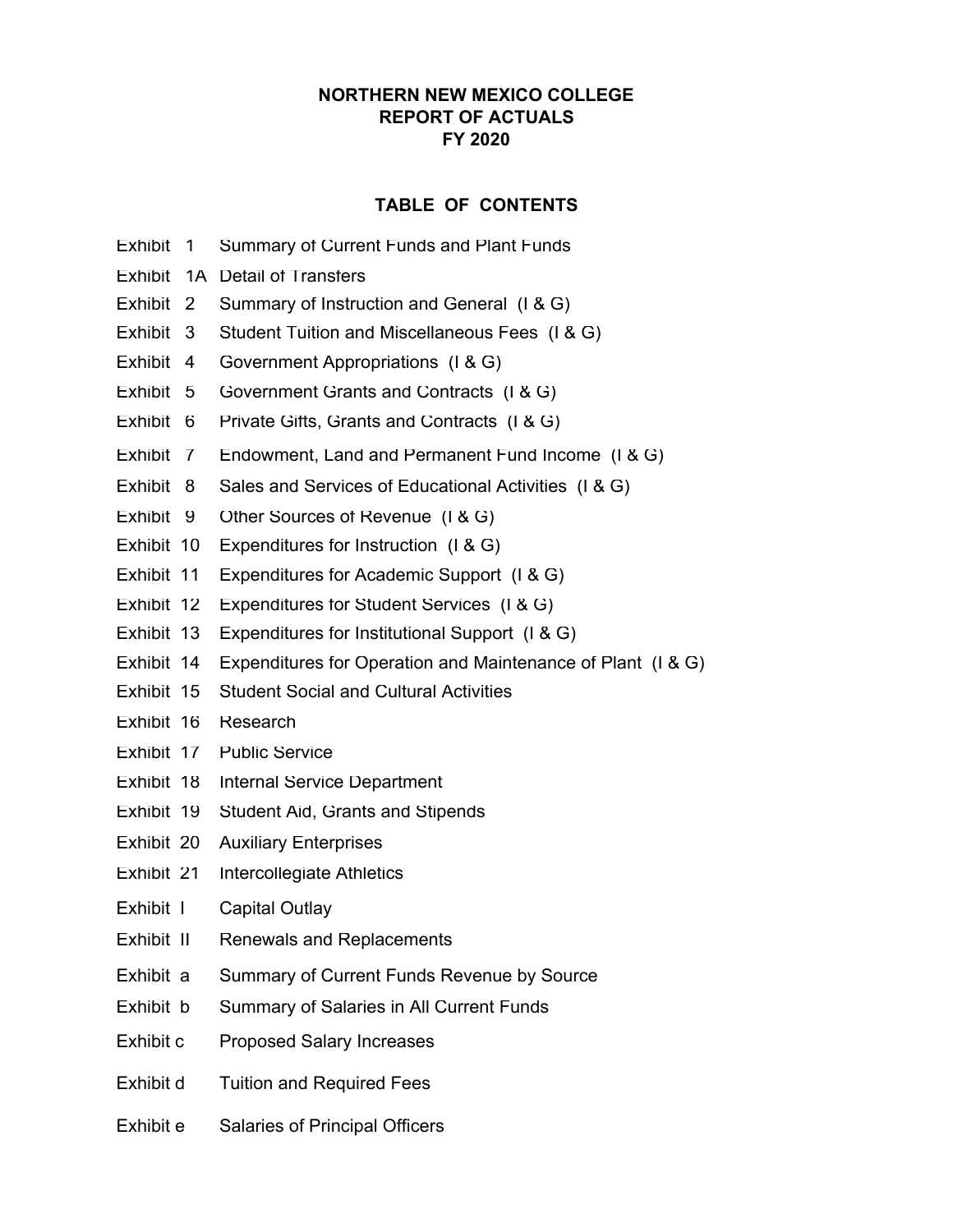### **NORTHERN NEW MEXICO COLLEGE REPORT OF ACTUALS FY 2020**

### **TABLE OF CONTENTS**

- Exhibit 1 Summary of Current Funds and Plant Funds
- Exhibit 1A Detail of Transfers
- Exhibit 2 Summary of Instruction and General (I & G)
- Exhibit 3 Student Tuition and Miscellaneous Fees (I & G)
- Exhibit 4 Government Appropriations (I & G)
- Exhibit 5 Government Grants and Contracts (I & G)
- Exhibit 6 Private Gifts, Grants and Contracts (I & G)
- Exhibit 7 Endowment, Land and Permanent Fund Income (I & G)
- Exhibit 8 Sales and Services of Educational Activities (I & G)
- Exhibit 9 Other Sources of Revenue (I & G)
- Exhibit 10 Expenditures for Instruction (I & G)
- Exhibit 11 Expenditures for Academic Support (I & G)
- Exhibit 12 Expenditures for Student Services (I & G)
- Exhibit 13 Expenditures for Institutional Support (I & G)
- Exhibit 14 Expenditures for Operation and Maintenance of Plant (I & G)
- Exhibit 15 Student Social and Cultural Activities
- Exhibit 16 Research
- Exhibit 17 Public Service
- Exhibit 18 Internal Service Department
- Exhibit 19 Student Aid, Grants and Stipends
- Exhibit 20 Auxiliary Enterprises
- Exhibit 21 Intercollegiate Athletics
- Exhibit I Capital Outlay
- Exhibit II Renewals and Replacements
- Exhibit a Summary of Current Funds Revenue by Source
- Exhibit b Summary of Salaries in All Current Funds
- Exhibit c Proposed Salary Increases
- Exhibit d Tuition and Required Fees
- Exhibit e Salaries of Principal Officers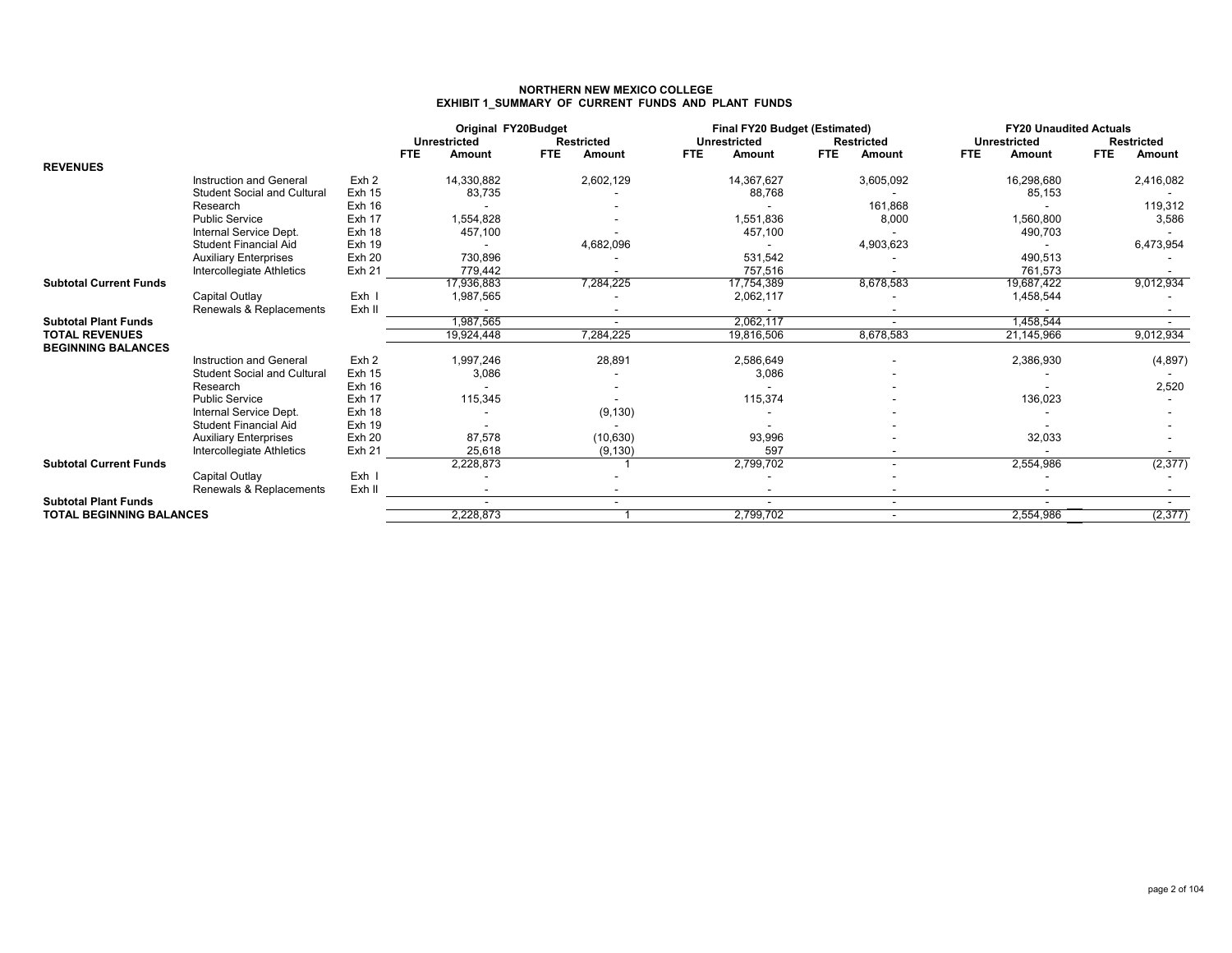# **NORTHERN NEW MEXICO COLLEGE EXHIBIT 1\_SUMMARY OF CURRENT FUNDS AND PLANT FUNDS**

|                                 |                                    |                  | Original FY20Budget<br><b>Unrestricted</b><br><b>Restricted</b> |                             | Final FY20 Budget (Estimated)<br><b>Unrestricted</b> | <b>Restricted</b>           | <b>FY20 Unaudited Actuals</b><br><b>Unrestricted</b> | <b>Restricted</b>    |
|---------------------------------|------------------------------------|------------------|-----------------------------------------------------------------|-----------------------------|------------------------------------------------------|-----------------------------|------------------------------------------------------|----------------------|
|                                 |                                    |                  | <b>FTE</b><br><b>Amount</b>                                     | <b>FTE</b><br><b>Amount</b> | <b>FTE</b><br><b>Amount</b>                          | <b>FTE</b><br><b>Amount</b> | <b>FTE</b><br><b>Amount</b>                          | <b>FTE</b><br>Amount |
| <b>REVENUES</b>                 |                                    |                  |                                                                 |                             |                                                      |                             |                                                      |                      |
|                                 | Instruction and General            | Exh 2            | 14,330,882                                                      | 2,602,129                   | 14,367,627                                           | 3,605,092                   | 16,298,680                                           | 2,416,082            |
|                                 | <b>Student Social and Cultural</b> | <b>Exh 15</b>    | 83,735                                                          |                             | 88,768                                               |                             | 85,153                                               |                      |
|                                 | Research                           | Exh 16           |                                                                 |                             |                                                      | 161,868                     |                                                      | 119,312              |
|                                 | <b>Public Service</b>              | Exh 17           | 1,554,828                                                       |                             | 1,551,836                                            | 8,000                       | 1,560,800                                            | 3,586                |
|                                 | Internal Service Dept.             | <b>Exh 18</b>    | 457,100                                                         |                             | 457,100                                              |                             | 490,703                                              |                      |
|                                 | <b>Student Financial Aid</b>       | <b>Exh 19</b>    |                                                                 | 4,682,096                   |                                                      | 4,903,623                   |                                                      | 6,473,954            |
|                                 | <b>Auxiliary Enterprises</b>       | <b>Exh 20</b>    | 730,896                                                         |                             | 531,542                                              |                             | 490,513                                              |                      |
|                                 | Intercollegiate Athletics          | <b>Exh 21</b>    | 779.442                                                         |                             | 757,516                                              |                             | 761.573                                              |                      |
| <b>Subtotal Current Funds</b>   |                                    |                  | 17,936,883                                                      | 7,284,225                   | 17,754,389                                           | 8,678,583                   | 19,687,422                                           | 9,012,934            |
|                                 | Capital Outlay                     | Exh I            | 1,987,565                                                       |                             | 2,062,117                                            |                             | 1,458,544                                            |                      |
|                                 | Renewals & Replacements            | Exh II           |                                                                 |                             |                                                      |                             |                                                      |                      |
| <b>Subtotal Plant Funds</b>     |                                    |                  | 1,987,565                                                       |                             | 2,062,117                                            |                             | 1,458,544                                            |                      |
| <b>TOTAL REVENUES</b>           |                                    |                  | 19,924,448                                                      | 7,284,225                   | 19,816,506                                           | 8,678,583                   | 21,145,966                                           | 9,012,934            |
| <b>BEGINNING BALANCES</b>       |                                    |                  |                                                                 |                             |                                                      |                             |                                                      |                      |
|                                 | Instruction and General            | Exh <sub>2</sub> | 1,997,246                                                       | 28,891                      | 2,586,649                                            |                             | 2,386,930                                            | (4, 897)             |
|                                 | <b>Student Social and Cultural</b> | <b>Exh 15</b>    | 3,086                                                           |                             | 3,086                                                |                             |                                                      |                      |
|                                 | Research                           | Exh 16           |                                                                 |                             |                                                      |                             |                                                      | 2,520                |
|                                 | <b>Public Service</b>              | Exh 17           | 115,345                                                         |                             | 115,374                                              |                             | 136,023                                              |                      |
|                                 | Internal Service Dept.             | Exh 18           |                                                                 | (9, 130)                    |                                                      |                             |                                                      |                      |
|                                 | <b>Student Financial Aid</b>       | <b>Exh 19</b>    |                                                                 |                             |                                                      |                             |                                                      |                      |
|                                 | <b>Auxiliary Enterprises</b>       | <b>Exh 20</b>    | 87,578                                                          | (10, 630)                   | 93,996                                               |                             | 32,033                                               |                      |
|                                 | Intercollegiate Athletics          | <b>Exh 21</b>    | 25,618                                                          | (9, 130)                    | 597                                                  |                             |                                                      |                      |
| <b>Subtotal Current Funds</b>   |                                    |                  | 2,228,873                                                       |                             | 2,799,702                                            |                             | 2,554,986                                            | (2, 377)             |
|                                 | Capital Outlay                     | Exh I            |                                                                 |                             |                                                      |                             |                                                      |                      |
|                                 | Renewals & Replacements            | Exh II           |                                                                 |                             |                                                      |                             |                                                      |                      |
| <b>Subtotal Plant Funds</b>     |                                    |                  |                                                                 |                             |                                                      | $\overline{\phantom{a}}$    |                                                      |                      |
| <b>TOTAL BEGINNING BALANCES</b> |                                    |                  | 2,228,873                                                       |                             | 2,799,702                                            |                             | 2,554,986                                            | (2, 377)             |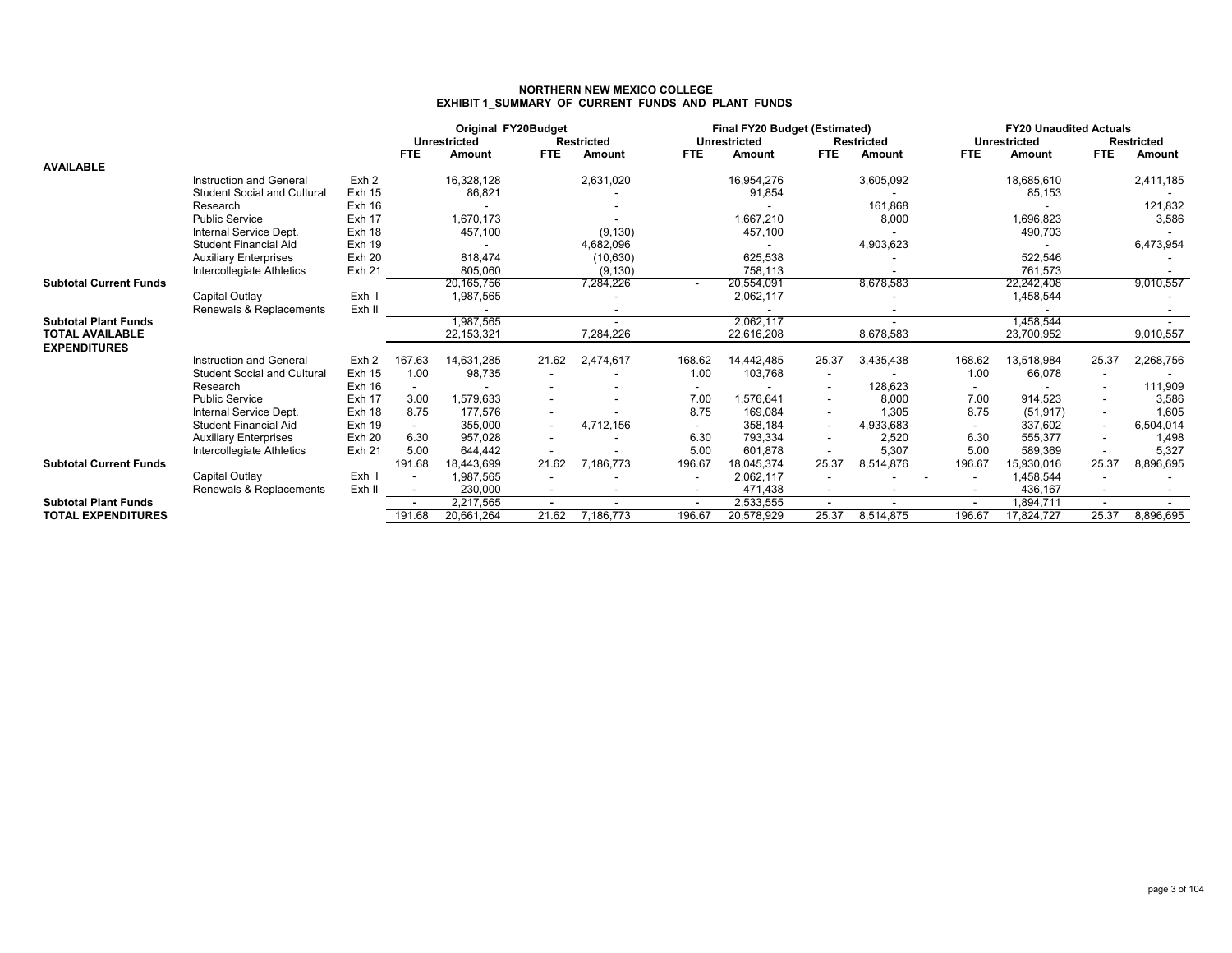### **NORTHERN NEW MEXICO COLLEGEEXHIBIT 1\_SUMMARY OF CURRENT FUNDS AND PLANT FUNDS**

|                               |                                    |                  | Original FY20Budget<br><b>Unrestricted</b><br><b>Restricted</b><br><b>FTE</b><br><b>FTE</b><br>Amount<br>Amount |                         | Final FY20 Budget (Estimated)<br>Unrestricted<br><b>Restricted</b><br><b>FTE</b><br><b>FTE</b><br>Amount<br>Amount |           |        |                         | <b>Unrestricted</b>      | <b>FY20 Unaudited Actuals</b><br><b>Restricted</b><br><b>FTE</b> |                          |                         |                          |           |
|-------------------------------|------------------------------------|------------------|-----------------------------------------------------------------------------------------------------------------|-------------------------|--------------------------------------------------------------------------------------------------------------------|-----------|--------|-------------------------|--------------------------|------------------------------------------------------------------|--------------------------|-------------------------|--------------------------|-----------|
| <b>AVAILABLE</b>              |                                    |                  |                                                                                                                 |                         |                                                                                                                    |           |        |                         |                          |                                                                  | <b>FTE</b>               | Amount                  |                          | Amount    |
|                               | Instruction and General            | Exh <sub>2</sub> |                                                                                                                 | 16,328,128              |                                                                                                                    | 2,631,020 |        | 16,954,276              |                          | 3,605,092                                                        |                          | 18,685,610              |                          | 2,411,185 |
|                               | <b>Student Social and Cultural</b> | <b>Exh 15</b>    |                                                                                                                 | 86,821                  |                                                                                                                    |           |        | 91,854                  |                          |                                                                  |                          | 85,153                  |                          |           |
|                               | Research                           | Exh 16           |                                                                                                                 |                         |                                                                                                                    |           |        |                         |                          | 161,868                                                          |                          |                         |                          | 121,832   |
|                               | <b>Public Service</b>              | Exh 17           |                                                                                                                 | 1.670.173               |                                                                                                                    |           |        | 1,667,210               |                          | 8,000                                                            |                          | 1,696,823               |                          | 3,586     |
|                               | Internal Service Dept.             | Exh 18           |                                                                                                                 | 457,100                 |                                                                                                                    | (9, 130)  |        | 457,100                 |                          |                                                                  |                          | 490,703                 |                          |           |
|                               | <b>Student Financial Aid</b>       | <b>Exh 19</b>    |                                                                                                                 |                         |                                                                                                                    | 4,682,096 |        |                         |                          | 4,903,623                                                        |                          |                         |                          | 6,473,954 |
|                               | <b>Auxiliary Enterprises</b>       | <b>Exh 20</b>    |                                                                                                                 | 818.474                 |                                                                                                                    | (10, 630) |        | 625,538                 |                          |                                                                  |                          | 522,546                 |                          |           |
|                               | Intercollegiate Athletics          | <b>Exh 21</b>    |                                                                                                                 | 805,060                 |                                                                                                                    | (9, 130)  |        | 758,113                 |                          |                                                                  |                          | 761,573                 |                          |           |
| <b>Subtotal Current Funds</b> |                                    |                  |                                                                                                                 | 20, 165, 756            |                                                                                                                    | 7,284,226 |        | 20,554,091              |                          | 8,678,583                                                        |                          | 22,242,408              |                          | 9,010,557 |
|                               | Capital Outlay                     | Exh I            |                                                                                                                 | 1,987,565               |                                                                                                                    |           |        | 2,062,117               |                          |                                                                  |                          | 1,458,544               |                          |           |
|                               | Renewals & Replacements            | Exh II           |                                                                                                                 |                         |                                                                                                                    |           |        |                         |                          |                                                                  |                          |                         |                          |           |
| <b>Subtotal Plant Funds</b>   |                                    |                  |                                                                                                                 | 1,987,565               |                                                                                                                    |           |        | 2,062,117               |                          |                                                                  |                          | 1,458,544               |                          | $\sim$    |
| <b>TOTAL AVAILABLE</b>        |                                    |                  |                                                                                                                 | 22, 153, 321            |                                                                                                                    | 7,284,226 |        | 22,616,208              |                          | 8,678,583                                                        |                          | 23,700,952              |                          | 9,010,557 |
| <b>EXPENDITURES</b>           |                                    |                  |                                                                                                                 |                         |                                                                                                                    |           |        |                         |                          |                                                                  |                          |                         |                          |           |
|                               | Instruction and General            | Exh <sub>2</sub> | 167.63                                                                                                          | 14.631.285              | 21.62                                                                                                              | 2,474,617 | 168.62 | 14.442.485              | 25.37                    | 3,435,438                                                        | 168.62                   | 13,518,984              | 25.37                    | 2,268,756 |
|                               | <b>Student Social and Cultural</b> | <b>Exh 15</b>    | 1.00                                                                                                            | 98,735                  |                                                                                                                    |           | 1.00   | 103,768                 | $\overline{\phantom{a}}$ |                                                                  | 1.00                     | 66,078                  |                          |           |
|                               | Research                           | <b>Exh 16</b>    |                                                                                                                 |                         |                                                                                                                    |           |        |                         |                          | 128,623                                                          |                          |                         |                          | 111,909   |
|                               | <b>Public Service</b>              | Exh 17           | 3.00                                                                                                            | 1,579,633               |                                                                                                                    |           | 7.00   | 1,576,641               | $\overline{\phantom{a}}$ | 8,000                                                            | 7.00                     | 914,523                 |                          | 3,586     |
|                               | Internal Service Dept.             | Exh 18           | 8.75                                                                                                            | 177,576                 |                                                                                                                    |           | 8.75   | 169,084                 | $\overline{\phantom{a}}$ | 1,305                                                            | 8.75                     | (51, 917)               | $\overline{\phantom{a}}$ | 1,605     |
|                               | <b>Student Financial Aid</b>       | <b>Exh 19</b>    |                                                                                                                 | 355.000                 | $\overline{\phantom{a}}$                                                                                           | 4,712,156 |        | 358.184                 | $\overline{\phantom{a}}$ | 4,933,683                                                        |                          | 337,602                 |                          | 6,504,014 |
|                               | <b>Auxiliary Enterprises</b>       | <b>Exh 20</b>    | 6.30                                                                                                            | 957.028                 |                                                                                                                    |           | 6.30   | 793,334                 | $\overline{\phantom{a}}$ | 2,520                                                            | 6.30                     | 555,377                 |                          | 1,498     |
|                               | Intercollegiate Athletics          | <b>Exh 21</b>    | 5.00                                                                                                            | 644.442                 |                                                                                                                    |           | 5.00   | 601,878                 |                          | 5,307                                                            | 5.00                     | 589,369                 |                          | 5,327     |
| <b>Subtotal Current Funds</b> |                                    |                  | 191.68                                                                                                          | 18,443,699              | 21.62                                                                                                              | 7.186.773 | 196.67 | 18,045,374              | 25.37                    | 8,514,876                                                        | 196.67                   | 15,930,016              | 25.37                    | 8,896,695 |
|                               | Capital Outlay                     | Exh I            | $\overline{\phantom{a}}$                                                                                        | 1,987,565               |                                                                                                                    |           |        | 2,062,117               |                          |                                                                  |                          | 1,458,544               |                          |           |
| <b>Subtotal Plant Funds</b>   | Renewals & Replacements            | Exh II           | $\overline{\phantom{a}}$                                                                                        | 230,000                 | $\overline{\phantom{a}}$                                                                                           |           |        | 471,438                 |                          |                                                                  |                          | 436,167                 |                          |           |
| <b>TOTAL EXPENDITURES</b>     |                                    |                  | $\blacksquare$<br>191.68                                                                                        | 2,217,565<br>20,661,264 | $\blacksquare$<br>21.62                                                                                            | 7,186,773 | 196.67 | 2,533,555<br>20,578,929 | $\blacksquare$<br>25.37  | 8,514,875                                                        | $\blacksquare$<br>196.67 | 1,894,711<br>17,824,727 | 25.37                    | 8,896,695 |
|                               |                                    |                  |                                                                                                                 |                         |                                                                                                                    |           |        |                         |                          |                                                                  |                          |                         |                          |           |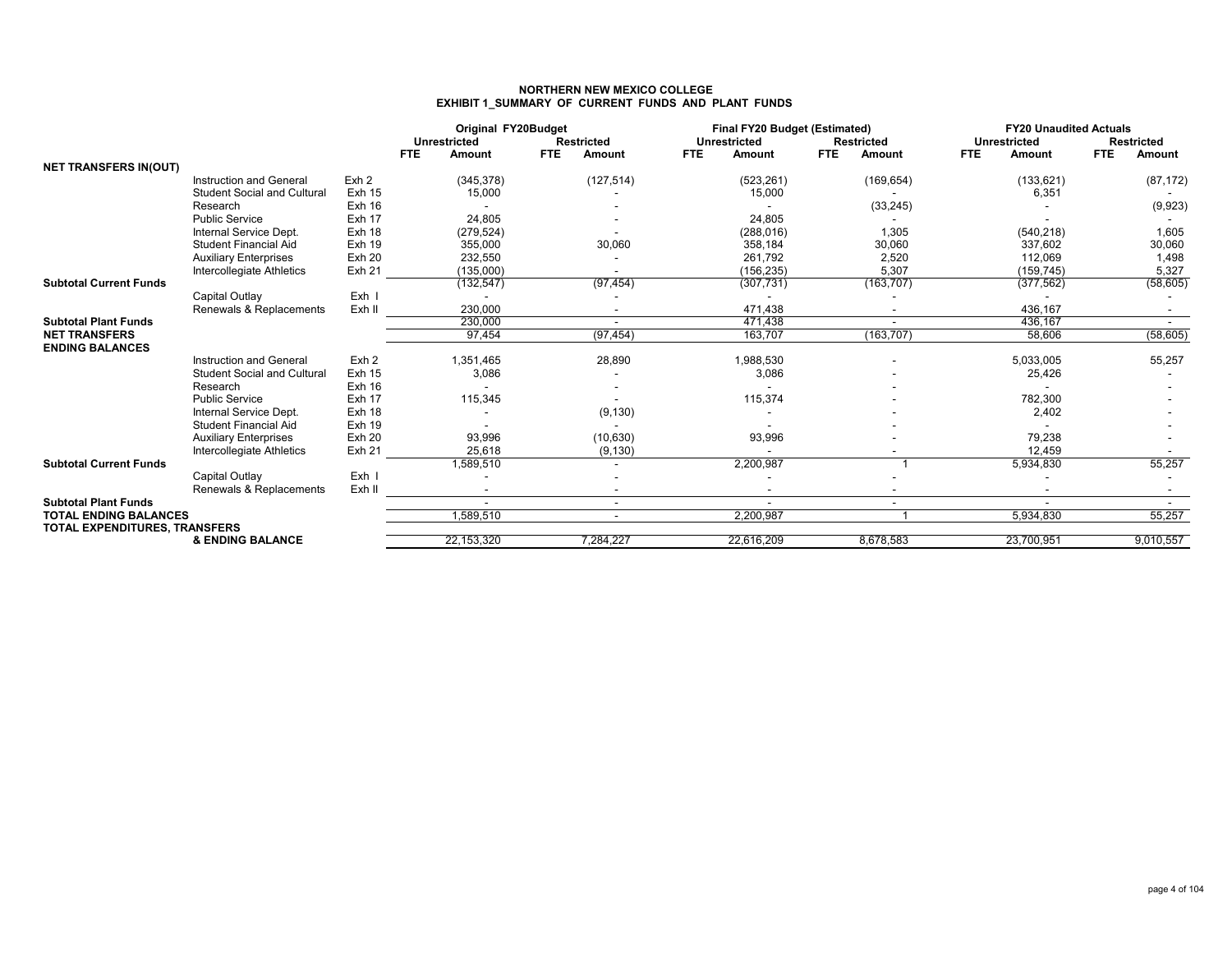### **NORTHERN NEW MEXICO COLLEGEEXHIBIT 1\_SUMMARY OF CURRENT FUNDS AND PLANT FUNDS**

|                                                               |                                    |                   | Original FY20Budget<br><b>Unrestricted</b><br><b>Restricted</b><br><b>FTE</b><br>FTE.<br><b>Amount</b><br>Amount |                          | <b>Final FY20 Budget (Estimated)</b><br><b>Unrestricted</b><br><b>FTE</b><br>Amount | <b>Restricted</b><br><b>FTE</b><br>Amount | <b>FY20 Unaudited Actuals</b><br><b>Unrestricted</b><br><b>FTE</b><br><b>Amount</b> | <b>Restricted</b><br><b>FTE</b><br>Amount |  |
|---------------------------------------------------------------|------------------------------------|-------------------|------------------------------------------------------------------------------------------------------------------|--------------------------|-------------------------------------------------------------------------------------|-------------------------------------------|-------------------------------------------------------------------------------------|-------------------------------------------|--|
| <b>NET TRANSFERS IN(OUT)</b>                                  |                                    |                   |                                                                                                                  |                          |                                                                                     |                                           |                                                                                     |                                           |  |
|                                                               | Instruction and General            | Exh 2             | (345, 378)                                                                                                       | (127, 514)               | (523, 261)                                                                          | (169, 654)                                | (133, 621)                                                                          | (87, 172)                                 |  |
|                                                               | <b>Student Social and Cultural</b> | <b>Exh 15</b>     | 15,000                                                                                                           |                          | 15,000                                                                              |                                           | 6,351                                                                               |                                           |  |
|                                                               | Research                           | Exh 16            |                                                                                                                  |                          |                                                                                     | (33, 245)                                 |                                                                                     | (9,923)                                   |  |
|                                                               | <b>Public Service</b>              | Exh 17            | 24,805                                                                                                           |                          | 24,805                                                                              |                                           |                                                                                     |                                           |  |
|                                                               | Internal Service Dept.             | Exh 18            | (279, 524)                                                                                                       |                          | (288, 016)                                                                          | 1,305                                     | (540, 218)                                                                          | 1,605                                     |  |
|                                                               | Student Financial Aid              | <b>Exh 19</b>     | 355,000                                                                                                          | 30,060                   | 358,184                                                                             | 30,060                                    | 337,602                                                                             | 30,060                                    |  |
|                                                               | <b>Auxiliary Enterprises</b>       | <b>Exh 20</b>     | 232,550                                                                                                          |                          | 261,792                                                                             | 2,520                                     | 112,069                                                                             | 1,498                                     |  |
|                                                               | Intercollegiate Athletics          | Exh 21            | (135,000)                                                                                                        |                          | (156, 235)                                                                          | 5,307                                     | (159, 745)                                                                          | 5,327                                     |  |
| <b>Subtotal Current Funds</b>                                 |                                    |                   | (132, 547)                                                                                                       | (97, 454)                | (307, 731)                                                                          | (163, 707)                                | (377, 562)                                                                          | (58, 605)                                 |  |
|                                                               | Capital Outlay                     | Exh I             |                                                                                                                  |                          |                                                                                     |                                           |                                                                                     |                                           |  |
|                                                               | Renewals & Replacements            | Exh II            | 230,000                                                                                                          |                          | 471,438                                                                             |                                           | 436,167                                                                             |                                           |  |
| <b>Subtotal Plant Funds</b>                                   |                                    |                   | 230,000                                                                                                          |                          | 471.438                                                                             |                                           | 436.167                                                                             | $\sim$                                    |  |
| <b>NET TRANSFERS</b><br><b>ENDING BALANCES</b>                |                                    |                   | 97,454                                                                                                           | (97, 454)                | 163,707                                                                             | (163, 707)                                | 58,606                                                                              | (58, 605)                                 |  |
|                                                               | Instruction and General            | Exh <sub>2</sub>  | 1,351,465                                                                                                        | 28,890                   | 1,988,530                                                                           |                                           | 5,033,005                                                                           | 55,257                                    |  |
|                                                               | <b>Student Social and Cultural</b> | <b>Exh 15</b>     | 3,086                                                                                                            |                          | 3,086                                                                               |                                           | 25,426                                                                              |                                           |  |
|                                                               | Research                           | Exh 16            |                                                                                                                  |                          |                                                                                     |                                           |                                                                                     |                                           |  |
|                                                               | <b>Public Service</b>              | Exh 17            | 115,345                                                                                                          |                          | 115,374                                                                             |                                           | 782,300                                                                             |                                           |  |
|                                                               | Internal Service Dept.             | Exh 18            |                                                                                                                  | (9, 130)                 |                                                                                     |                                           | 2,402                                                                               |                                           |  |
|                                                               | Student Financial Aid              | <b>Exh 19</b>     |                                                                                                                  |                          |                                                                                     |                                           |                                                                                     |                                           |  |
|                                                               | <b>Auxiliary Enterprises</b>       | <b>Exh 20</b>     | 93,996                                                                                                           | (10, 630)                | 93,996                                                                              |                                           | 79,238                                                                              |                                           |  |
|                                                               | Intercollegiate Athletics          | Exh <sub>21</sub> | 25,618                                                                                                           | (9, 130)                 |                                                                                     |                                           | 12,459                                                                              |                                           |  |
| <b>Subtotal Current Funds</b>                                 |                                    |                   | 1,589,510                                                                                                        |                          | 2,200,987                                                                           |                                           | 5,934,830                                                                           | 55,257                                    |  |
|                                                               | Capital Outlay                     | Exh I             |                                                                                                                  |                          |                                                                                     |                                           |                                                                                     |                                           |  |
|                                                               | Renewals & Replacements            | Exh II            |                                                                                                                  |                          |                                                                                     |                                           |                                                                                     |                                           |  |
| <b>Subtotal Plant Funds</b>                                   |                                    |                   |                                                                                                                  | $\overline{\phantom{a}}$ |                                                                                     |                                           |                                                                                     |                                           |  |
| <b>TOTAL ENDING BALANCES</b><br>TOTAL EXPENDITURES, TRANSFERS |                                    |                   | 1,589,510                                                                                                        | $\overline{\phantom{a}}$ | 2,200,987                                                                           |                                           | 5,934,830                                                                           | 55,257                                    |  |
|                                                               | <b>&amp; ENDING BALANCE</b>        |                   | 22,153,320                                                                                                       | 7,284,227                | 22,616,209                                                                          | 8,678,583                                 | 23,700,951                                                                          | 9,010,557                                 |  |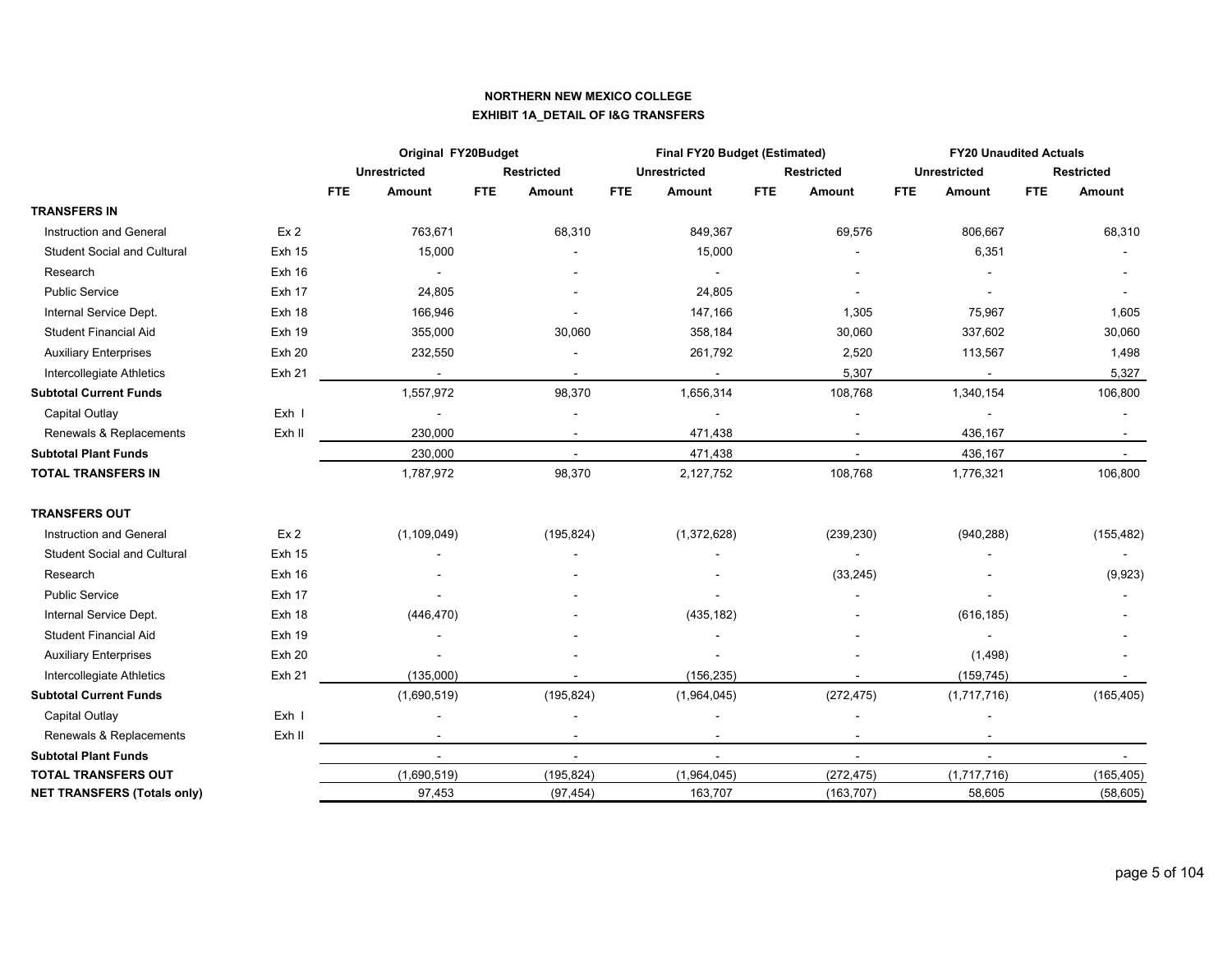### **NORTHERN NEW MEXICO COLLEGE EXHIBIT 1A\_DETAIL OF I&G TRANSFERS**

|                                    |                 |                      | Original FY20Budget |                   |            | Final FY20 Budget (Estimated) |            |                          |            | <b>FY20 Unaudited Actuals</b> |            |                   |
|------------------------------------|-----------------|----------------------|---------------------|-------------------|------------|-------------------------------|------------|--------------------------|------------|-------------------------------|------------|-------------------|
|                                    |                 | <b>Unrestricted</b>  |                     | <b>Restricted</b> |            | <b>Unrestricted</b>           |            | <b>Restricted</b>        |            | <b>Unrestricted</b>           |            | <b>Restricted</b> |
|                                    |                 | <b>FTE</b><br>Amount | <b>FTE</b>          | Amount            | <b>FTE</b> | Amount                        | <b>FTE</b> | Amount                   | <b>FTE</b> | Amount                        | <b>FTE</b> | Amount            |
| <b>TRANSFERS IN</b>                |                 |                      |                     |                   |            |                               |            |                          |            |                               |            |                   |
| Instruction and General            | Ex <sub>2</sub> |                      | 763,671             | 68,310            |            | 849,367                       |            | 69,576                   |            | 806,667                       |            | 68,310            |
| <b>Student Social and Cultural</b> | <b>Exh 15</b>   |                      | 15,000              |                   |            | 15,000                        |            |                          |            | 6,351                         |            |                   |
| Research                           | <b>Exh 16</b>   |                      | $\blacksquare$      |                   |            |                               |            |                          |            |                               |            |                   |
| <b>Public Service</b>              | Exh 17          |                      | 24,805              |                   |            | 24,805                        |            |                          |            |                               |            |                   |
| Internal Service Dept.             | Exh 18          |                      | 166,946             |                   |            | 147,166                       |            | 1,305                    |            | 75,967                        |            | 1,605             |
| <b>Student Financial Aid</b>       | <b>Exh 19</b>   |                      | 355,000             | 30,060            |            | 358,184                       |            | 30,060                   |            | 337,602                       |            | 30,060            |
| <b>Auxiliary Enterprises</b>       | <b>Exh 20</b>   |                      | 232,550             |                   |            | 261,792                       |            | 2,520                    |            | 113,567                       |            | 1,498             |
| Intercollegiate Athletics          | Exh 21          |                      |                     |                   |            |                               |            | 5,307                    |            |                               |            | 5,327             |
| <b>Subtotal Current Funds</b>      |                 |                      | 1,557,972           | 98,370            |            | 1,656,314                     |            | 108,768                  |            | 1,340,154                     |            | 106,800           |
| Capital Outlay                     | Exh I           |                      | $\overline{a}$      |                   |            |                               |            | $\overline{\phantom{a}}$ |            |                               |            |                   |
| Renewals & Replacements            | Exh II          |                      | 230,000             | $\sim$            |            | 471,438                       |            | $\sim$                   |            | 436,167                       |            |                   |
| <b>Subtotal Plant Funds</b>        |                 |                      | 230,000             | $\sim$            |            | 471,438                       |            | $\sim$                   |            | 436,167                       |            | $\sim$            |
| <b>TOTAL TRANSFERS IN</b>          |                 |                      | 1,787,972           | 98,370            |            | 2,127,752                     |            | 108,768                  |            | 1,776,321                     |            | 106,800           |
| <b>TRANSFERS OUT</b>               |                 |                      |                     |                   |            |                               |            |                          |            |                               |            |                   |
| Instruction and General            | Ex <sub>2</sub> |                      | (1, 109, 049)       | (195, 824)        |            | (1,372,628)                   |            | (239, 230)               |            | (940, 288)                    |            | (155, 482)        |
| <b>Student Social and Cultural</b> | <b>Exh 15</b>   |                      |                     |                   |            |                               |            |                          |            |                               |            |                   |
| Research                           | <b>Exh 16</b>   |                      |                     |                   |            |                               |            | (33, 245)                |            |                               |            | (9,923)           |
| <b>Public Service</b>              | Exh 17          |                      |                     |                   |            |                               |            |                          |            |                               |            |                   |
| Internal Service Dept.             | Exh 18          |                      | (446, 470)          |                   |            | (435, 182)                    |            |                          |            | (616, 185)                    |            |                   |
| Student Financial Aid              | <b>Exh 19</b>   |                      |                     |                   |            |                               |            |                          |            |                               |            |                   |
| <b>Auxiliary Enterprises</b>       | <b>Exh 20</b>   |                      |                     |                   |            |                               |            |                          |            | (1,498)                       |            |                   |
| Intercollegiate Athletics          | Exh 21          |                      | (135,000)           |                   |            | (156, 235)                    |            | $\blacksquare$           |            | (159, 745)                    |            |                   |
| <b>Subtotal Current Funds</b>      |                 |                      | (1,690,519)         | (195, 824)        |            | (1,964,045)                   |            | (272, 475)               |            | (1,717,716)                   |            | (165, 405)        |
| Capital Outlay                     | Exh I           |                      |                     |                   |            |                               |            |                          |            |                               |            |                   |
| Renewals & Replacements            | Exh II          |                      |                     |                   |            |                               |            | $\blacksquare$           |            | $\blacksquare$                |            |                   |
| <b>Subtotal Plant Funds</b>        |                 |                      | $\sim$              | $\sim$            |            | $\sim$                        |            | $\sim$                   |            | $\blacksquare$                |            | $\sim$            |
| <b>TOTAL TRANSFERS OUT</b>         |                 |                      | (1,690,519)         | (195, 824)        |            | (1,964,045)                   |            | (272, 475)               |            | (1,717,716)                   |            | (165, 405)        |
| <b>NET TRANSFERS (Totals only)</b> |                 |                      | 97,453              | (97, 454)         |            | 163,707                       |            | (163, 707)               |            | 58,605                        |            | (58, 605)         |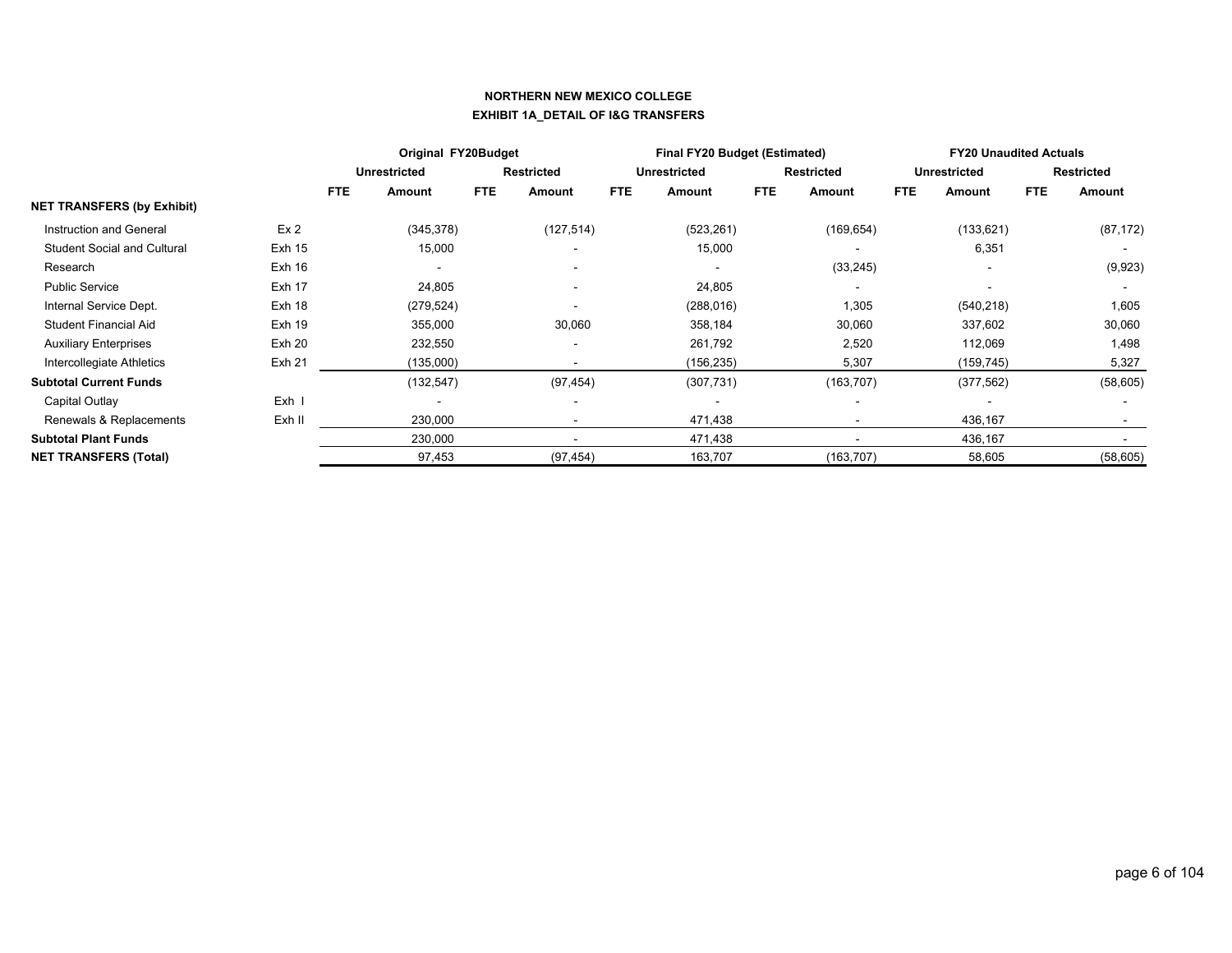### **NORTHERN NEW MEXICO COLLEGE EXHIBIT 1A\_DETAIL OF I&G TRANSFERS**

|                                    |                 | Original FY20Budget |                     |            |                          | <b>Final FY20 Budget (Estimated)</b> |                     |            | <b>FY20 Unaudited Actuals</b> |            |                          |            |                   |
|------------------------------------|-----------------|---------------------|---------------------|------------|--------------------------|--------------------------------------|---------------------|------------|-------------------------------|------------|--------------------------|------------|-------------------|
|                                    |                 |                     | <b>Unrestricted</b> |            | <b>Restricted</b>        |                                      | <b>Unrestricted</b> |            | <b>Restricted</b>             |            | <b>Unrestricted</b>      |            | <b>Restricted</b> |
|                                    |                 | <b>FTE</b>          | Amount              | <b>FTE</b> | Amount                   | FTE                                  | <b>Amount</b>       | <b>FTE</b> | Amount                        | <b>FTE</b> | Amount                   | <b>FTE</b> | Amount            |
| <b>NET TRANSFERS (by Exhibit)</b>  |                 |                     |                     |            |                          |                                      |                     |            |                               |            |                          |            |                   |
| Instruction and General            | Ex <sub>2</sub> |                     | (345, 378)          |            | (127, 514)               |                                      | (523, 261)          |            | (169, 654)                    |            | (133, 621)               |            | (87, 172)         |
| <b>Student Social and Cultural</b> | <b>Exh 15</b>   |                     | 15,000              |            | $\overline{\phantom{a}}$ |                                      | 15,000              |            |                               |            | 6,351                    |            |                   |
| Research                           | Exh 16          |                     |                     |            | $\overline{\phantom{a}}$ |                                      |                     |            | (33, 245)                     |            | $\overline{\phantom{a}}$ |            | (9,923)           |
| <b>Public Service</b>              | Exh 17          |                     | 24,805              |            |                          |                                      | 24,805              |            |                               |            |                          |            |                   |
| Internal Service Dept.             | Exh 18          |                     | (279, 524)          |            |                          |                                      | (288, 016)          |            | 1,305                         |            | (540, 218)               |            | 1,605             |
| <b>Student Financial Aid</b>       | <b>Exh 19</b>   |                     | 355,000             |            | 30,060                   |                                      | 358,184             |            | 30,060                        |            | 337,602                  |            | 30,060            |
| <b>Auxiliary Enterprises</b>       | Exh 20          |                     | 232,550             |            | $\overline{\phantom{a}}$ |                                      | 261,792             |            | 2,520                         |            | 112,069                  |            | 1,498             |
| Intercollegiate Athletics          | Exh 21          |                     | (135,000)           |            |                          |                                      | (156, 235)          |            | 5,307                         |            | (159, 745)               |            | 5,327             |
| <b>Subtotal Current Funds</b>      |                 |                     | (132, 547)          |            | (97, 454)                |                                      | (307, 731)          |            | (163, 707)                    |            | (377, 562)               |            | (58, 605)         |
| Capital Outlay                     | Exh I           |                     | $\overline{a}$      |            | $\overline{\phantom{a}}$ |                                      |                     |            | $\overline{\phantom{a}}$      |            | $\overline{\phantom{a}}$ |            |                   |
| Renewals & Replacements            | Exh II          |                     | 230,000             |            |                          |                                      | 471,438             |            |                               |            | 436,167                  |            |                   |
| <b>Subtotal Plant Funds</b>        |                 |                     | 230,000             |            | $\blacksquare$           |                                      | 471,438             |            | $\blacksquare$                |            | 436,167                  |            |                   |
| <b>NET TRANSFERS (Total)</b>       |                 |                     | 97,453              |            | (97, 454)                |                                      | 163,707             |            | (163, 707)                    |            | 58,605                   |            | (58, 605)         |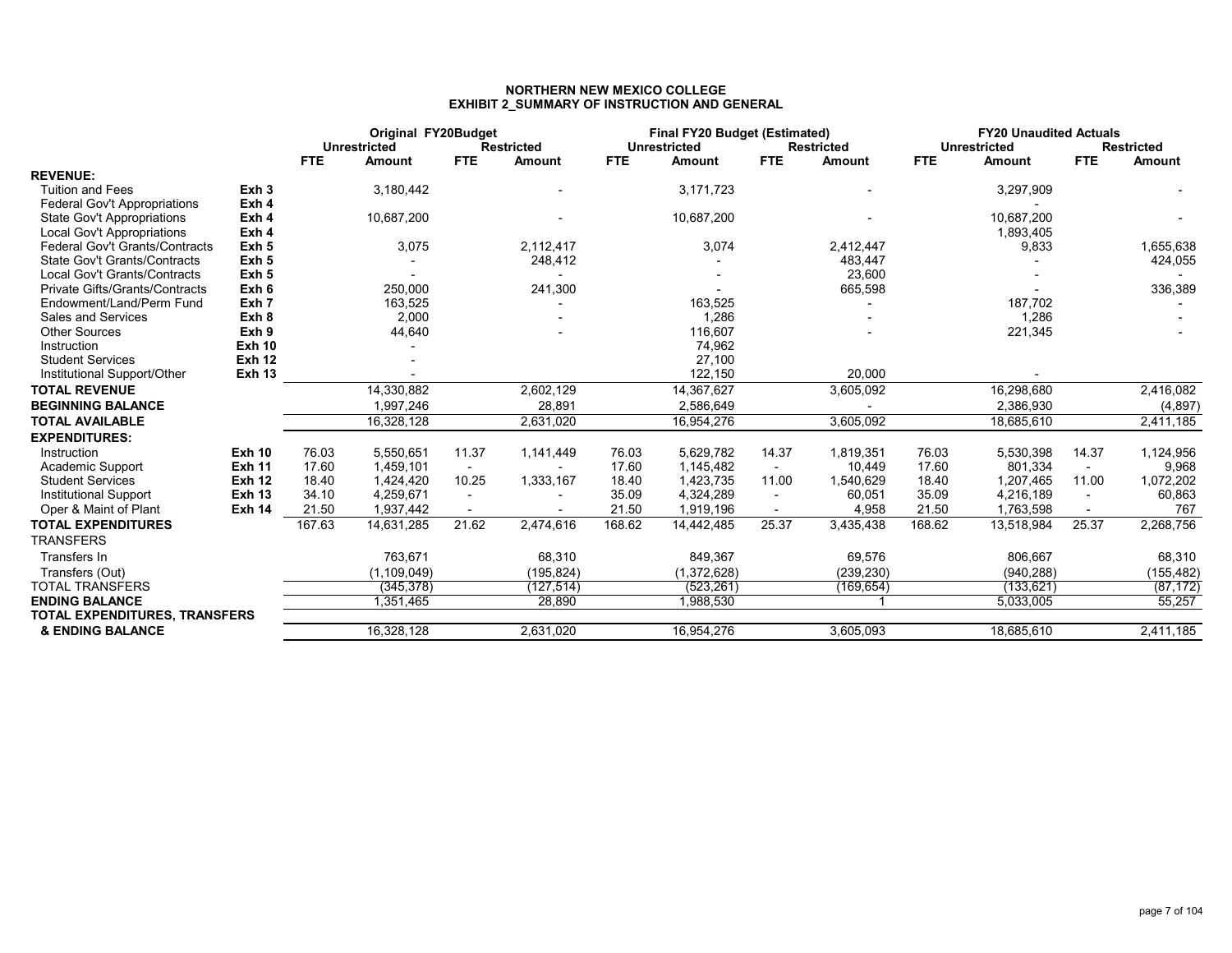### **NORTHERN NEW MEXICO COLLEGEEXHIBIT 2\_SUMMARY OF INSTRUCTION AND GENERAL**

|                                       |                  | Original FY20Budget<br><b>Unrestricted</b><br><b>Restricted</b> |               | <b>Final FY20 Budget (Estimated)</b><br><b>Unrestricted</b><br><b>Restricted</b> |            |            |               | <b>FY20 Unaudited Actuals</b><br><b>Unrestricted</b><br><b>Restricted</b> |               |            |            |                |            |
|---------------------------------------|------------------|-----------------------------------------------------------------|---------------|----------------------------------------------------------------------------------|------------|------------|---------------|---------------------------------------------------------------------------|---------------|------------|------------|----------------|------------|
|                                       |                  | <b>FTE</b>                                                      | <b>Amount</b> | <b>FTE</b>                                                                       | Amount     | <b>FTE</b> | <b>Amount</b> | <b>FTE</b>                                                                | <b>Amount</b> | <b>FTE</b> | Amount     | FTE.           | Amount     |
| <b>REVENUE:</b>                       |                  |                                                                 |               |                                                                                  |            |            |               |                                                                           |               |            |            |                |            |
| <b>Tuition and Fees</b>               | Exh <sub>3</sub> |                                                                 | 3,180,442     |                                                                                  |            |            | 3,171,723     |                                                                           |               |            | 3,297,909  |                |            |
| <b>Federal Gov't Appropriations</b>   | Exh 4            |                                                                 |               |                                                                                  |            |            |               |                                                                           |               |            |            |                |            |
| State Gov't Appropriations            | Exh 4            |                                                                 | 10,687,200    |                                                                                  |            |            | 10,687,200    |                                                                           |               |            | 10,687,200 |                |            |
| Local Gov't Appropriations            | Exh 4            |                                                                 |               |                                                                                  |            |            |               |                                                                           |               |            | 1,893,405  |                |            |
| <b>Federal Gov't Grants/Contracts</b> | Exh 5            |                                                                 | 3,075         |                                                                                  | 2,112,417  |            | 3,074         |                                                                           | 2,412,447     |            | 9,833      |                | 1,655,638  |
| <b>State Gov't Grants/Contracts</b>   | Exh <sub>5</sub> |                                                                 |               |                                                                                  | 248,412    |            |               |                                                                           | 483,447       |            |            |                | 424,055    |
| Local Gov't Grants/Contracts          | Exh <sub>5</sub> |                                                                 |               |                                                                                  |            |            |               |                                                                           | 23,600        |            |            |                |            |
| Private Gifts/Grants/Contracts        | Exh 6            |                                                                 | 250,000       |                                                                                  | 241,300    |            |               |                                                                           | 665,598       |            |            |                | 336,389    |
| Endowment/Land/Perm Fund              | Exh 7            |                                                                 | 163,525       |                                                                                  |            |            | 163,525       |                                                                           |               |            | 187,702    |                |            |
| Sales and Services                    | Exh 8            |                                                                 | 2,000         |                                                                                  |            |            | 1,286         |                                                                           |               |            | 1,286      |                |            |
| <b>Other Sources</b>                  | Exh 9            |                                                                 | 44,640        |                                                                                  |            |            | 116,607       |                                                                           |               |            | 221,345    |                |            |
| Instruction                           | <b>Exh 10</b>    |                                                                 |               |                                                                                  |            |            | 74,962        |                                                                           |               |            |            |                |            |
| <b>Student Services</b>               | <b>Exh 12</b>    |                                                                 |               |                                                                                  |            |            | 27,100        |                                                                           |               |            |            |                |            |
| Institutional Support/Other           | <b>Exh 13</b>    |                                                                 |               |                                                                                  |            |            | 122,150       |                                                                           | 20,000        |            |            |                |            |
| <b>TOTAL REVENUE</b>                  |                  |                                                                 | 14,330,882    |                                                                                  | 2,602,129  |            | 14,367,627    |                                                                           | 3,605,092     |            | 16,298,680 |                | 2,416,082  |
| <b>BEGINNING BALANCE</b>              |                  |                                                                 | 1,997,246     |                                                                                  | 28,891     |            | 2,586,649     |                                                                           |               |            | 2,386,930  |                | (4, 897)   |
| <b>TOTAL AVAILABLE</b>                |                  |                                                                 | 16,328,128    |                                                                                  | 2,631,020  |            | 16,954,276    |                                                                           | 3,605,092     |            | 18,685,610 |                | 2,411,185  |
| <b>EXPENDITURES:</b>                  |                  |                                                                 |               |                                                                                  |            |            |               |                                                                           |               |            |            |                |            |
| Instruction                           | <b>Exh 10</b>    | 76.03                                                           | 5,550,651     | 11.37                                                                            | 1,141,449  | 76.03      | 5,629,782     | 14.37                                                                     | 1,819,351     | 76.03      | 5,530,398  | 14.37          | 1,124,956  |
| Academic Support                      | <b>Exh 11</b>    | 17.60                                                           | 1,459,101     | $\sim$                                                                           |            | 17.60      | 1,145,482     | $\overline{\phantom{a}}$                                                  | 10,449        | 17.60      | 801,334    | $\sim$         | 9,968      |
| <b>Student Services</b>               | <b>Exh 12</b>    | 18.40                                                           | 1,424,420     | 10.25                                                                            | 1,333,167  | 18.40      | 1,423,735     | 11.00                                                                     | 1,540,629     | 18.40      | 1,207,465  | 11.00          | 1,072,202  |
| <b>Institutional Support</b>          | <b>Exh 13</b>    | 34.10                                                           | 4,259,671     | $\sim$                                                                           |            | 35.09      | 4,324,289     | $\overline{\phantom{a}}$                                                  | 60,051        | 35.09      | 4,216,189  | $\sim$         | 60,863     |
| Oper & Maint of Plant                 | <b>Exh 14</b>    | 21.50                                                           | 1,937,442     | $\overline{\phantom{a}}$                                                         |            | 21.50      | 1,919,196     | $\overline{\phantom{a}}$                                                  | 4,958         | 21.50      | 1,763,598  | $\blacksquare$ | 767        |
| <b>TOTAL EXPENDITURES</b>             |                  | 167.63                                                          | 14,631,285    | 21.62                                                                            | 2,474,616  | 168.62     | 14,442,485    | 25.37                                                                     | 3,435,438     | 168.62     | 13,518,984 | 25.37          | 2,268,756  |
| <b>TRANSFERS</b>                      |                  |                                                                 |               |                                                                                  |            |            |               |                                                                           |               |            |            |                |            |
| Transfers In                          |                  |                                                                 | 763,671       |                                                                                  | 68,310     |            | 849,367       |                                                                           | 69,576        |            | 806,667    |                | 68,310     |
| Transfers (Out)                       |                  |                                                                 | (1, 109, 049) |                                                                                  | (195, 824) |            | (1,372,628)   |                                                                           | (239, 230)    |            | (940, 288) |                | (155, 482) |
| <b>TOTAL TRANSFERS</b>                |                  |                                                                 | (345, 378)    |                                                                                  | (127,514)  |            | (523, 261)    |                                                                           | (169,654)     |            | (133, 621) |                | (87, 172)  |
| <b>ENDING BALANCE</b>                 |                  |                                                                 | 1,351,465     |                                                                                  | 28,890     |            | 1,988,530     |                                                                           |               |            | 5,033,005  |                | 55,257     |
| TOTAL EXPENDITURES, TRANSFERS         |                  |                                                                 |               |                                                                                  |            |            |               |                                                                           |               |            |            |                |            |
| <b>&amp; ENDING BALANCE</b>           |                  |                                                                 | 16,328,128    |                                                                                  | 2,631,020  |            | 16,954,276    |                                                                           | 3,605,093     |            | 18,685,610 |                | 2,411,185  |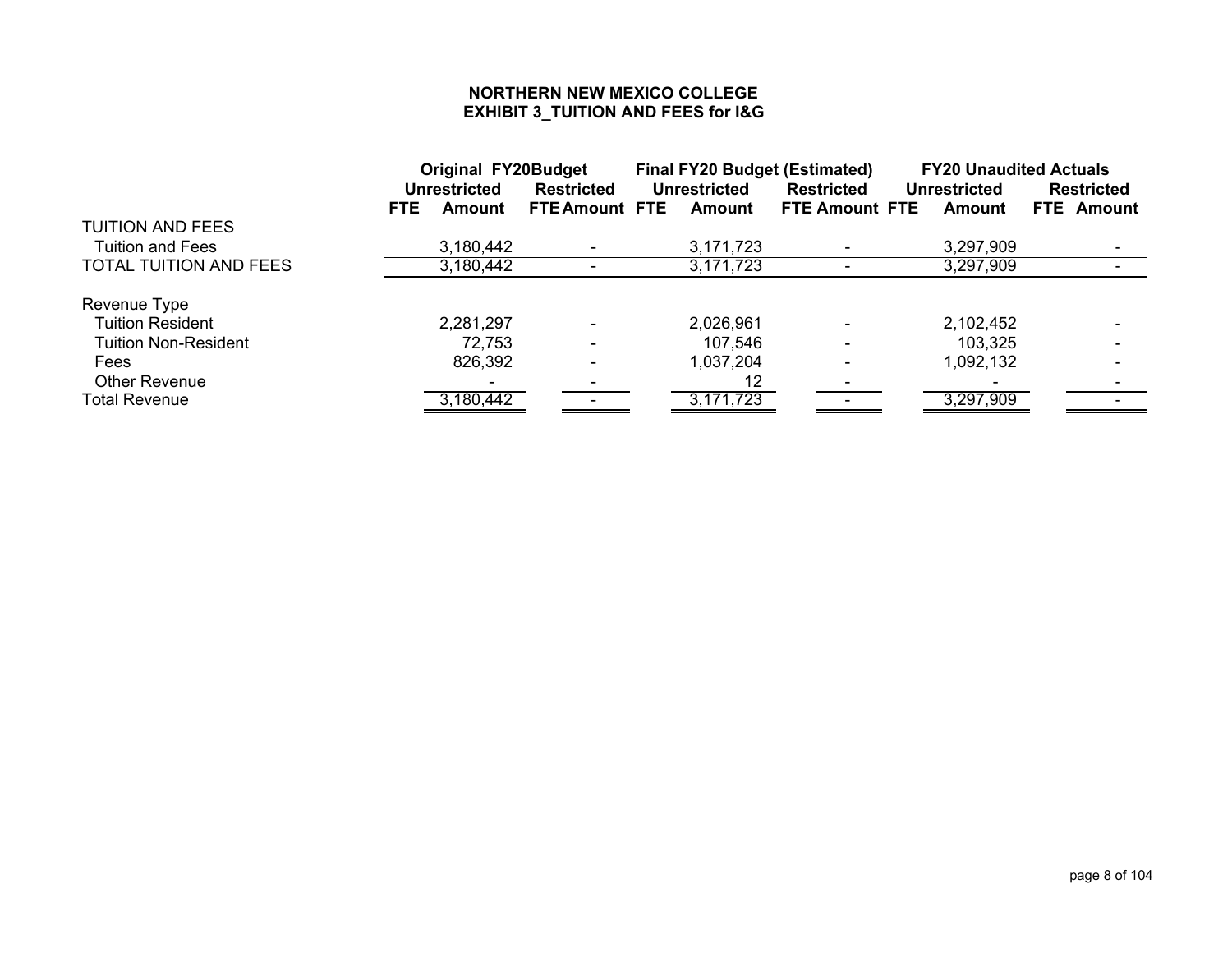### **NORTHERN NEW MEXICO COLLEGE EXHIBIT 3\_TUITION AND FEES for I&G**

|                               | <b>Original FY20Budget</b> |                       | <b>Final FY20 Budget (Estimated)</b> |                       | <b>FY20 Unaudited Actuals</b> |                   |  |
|-------------------------------|----------------------------|-----------------------|--------------------------------------|-----------------------|-------------------------------|-------------------|--|
|                               | <b>Unrestricted</b>        | <b>Restricted</b>     | <b>Unrestricted</b>                  | <b>Restricted</b>     | <b>Unrestricted</b>           | <b>Restricted</b> |  |
|                               | FTE<br>Amount              | <b>FTE Amount FTE</b> | Amount                               | <b>FTE Amount FTE</b> | Amount                        | FTE Amount        |  |
| <b>TUITION AND FEES</b>       |                            |                       |                                      |                       |                               |                   |  |
| <b>Tuition and Fees</b>       | 3,180,442                  |                       | 3,171,723                            |                       | 3,297,909                     |                   |  |
| <b>TOTAL TUITION AND FEES</b> | 3,180,442                  |                       | 3,171,723                            |                       | 3,297,909                     |                   |  |
|                               |                            |                       |                                      |                       |                               |                   |  |
| Revenue Type                  |                            |                       |                                      |                       |                               |                   |  |
| <b>Tuition Resident</b>       | 2,281,297                  |                       | 2,026,961                            |                       | 2,102,452                     |                   |  |
| <b>Tuition Non-Resident</b>   | 72,753                     |                       | 107,546                              |                       | 103,325                       |                   |  |
| <b>Fees</b>                   | 826,392                    |                       | 1,037,204                            |                       | 1,092,132                     |                   |  |
| <b>Other Revenue</b>          |                            |                       | 12                                   |                       |                               |                   |  |
| Total Revenue                 | 3,180,442                  |                       | 3,171,723                            |                       | 3,297,909                     |                   |  |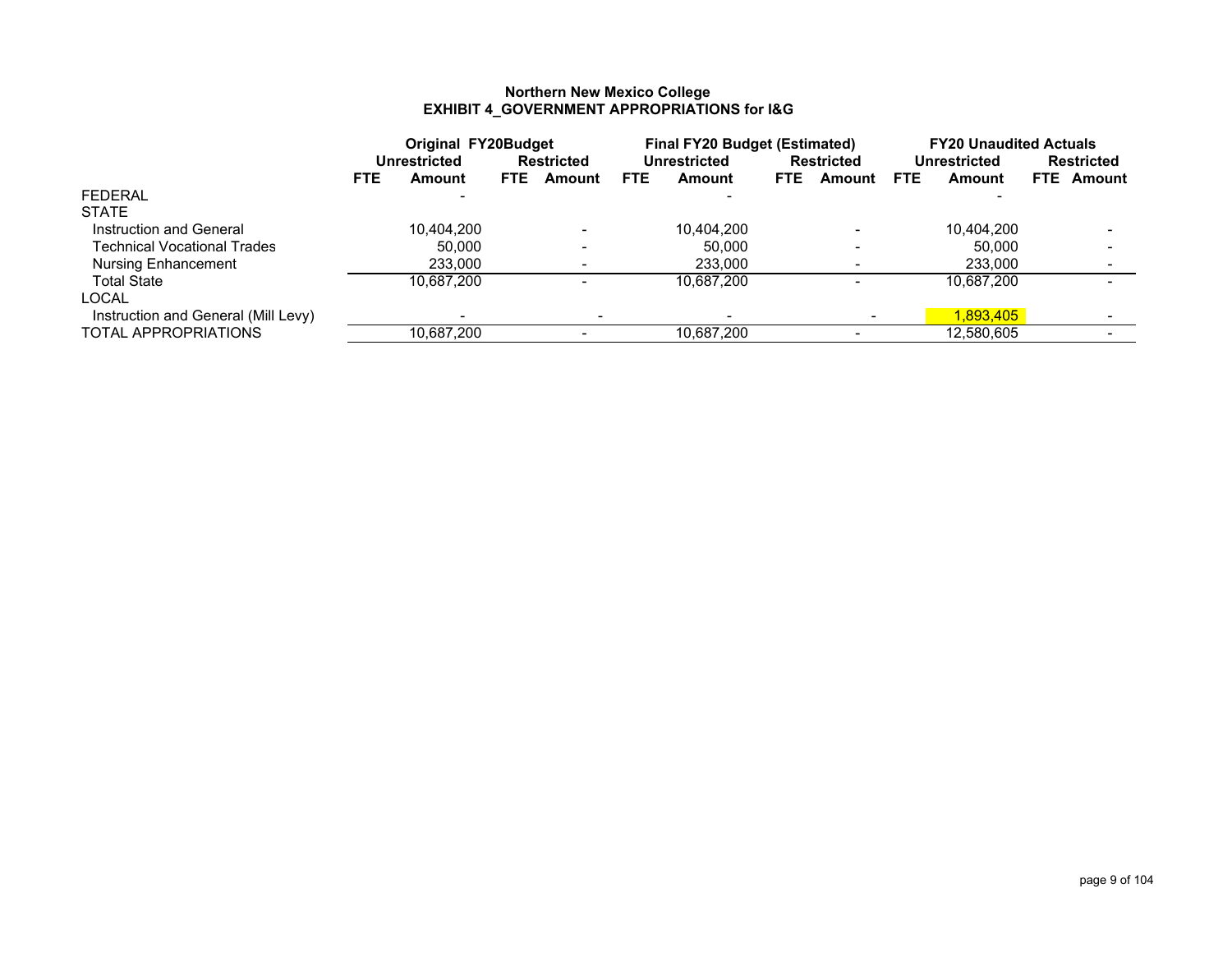### **Northern New Mexico College EXHIBIT 4\_GOVERNMENT APPROPRIATIONS for I&G**

|                                     |      | <b>Original FY20Budget</b> |                   |        | <b>Final FY20 Budget (Estimated)</b> |              |            |                   | <b>FY20 Unaudited Actuals</b> |              |  |                   |
|-------------------------------------|------|----------------------------|-------------------|--------|--------------------------------------|--------------|------------|-------------------|-------------------------------|--------------|--|-------------------|
|                                     |      | Unrestricted               | <b>Restricted</b> |        |                                      | Unrestricted |            | <b>Restricted</b> |                               | Unrestricted |  | <b>Restricted</b> |
|                                     | FTE. | Amount                     | FTE.              | Amount | <b>FTE</b>                           | Amount       | <b>FTE</b> | Amount            | <b>FTE</b>                    | Amount       |  | <b>FTE</b> Amount |
| <b>FEDERAL</b>                      |      |                            |                   |        |                                      |              |            |                   |                               |              |  |                   |
| <b>STATE</b>                        |      |                            |                   |        |                                      |              |            |                   |                               |              |  |                   |
| Instruction and General             |      | 10.404.200                 |                   | -      |                                      | 10,404,200   |            |                   |                               | 10,404,200   |  |                   |
| <b>Technical Vocational Trades</b>  |      | 50.000                     |                   | -      |                                      | 50.000       |            |                   |                               | 50.000       |  |                   |
| <b>Nursing Enhancement</b>          |      | 233.000                    |                   |        |                                      | 233,000      |            |                   |                               | 233,000      |  |                   |
| <b>Total State</b>                  |      | 10.687.200                 |                   |        |                                      | 10,687,200   |            |                   |                               | 10,687,200   |  |                   |
| LOCAL                               |      |                            |                   |        |                                      |              |            |                   |                               |              |  |                   |
| Instruction and General (Mill Levy) |      |                            |                   |        |                                      |              |            |                   |                               | 1.893.405    |  |                   |
| TOTAL APPROPRIATIONS                |      | 10.687.200                 |                   |        |                                      | 10,687,200   |            |                   |                               | 12,580,605   |  |                   |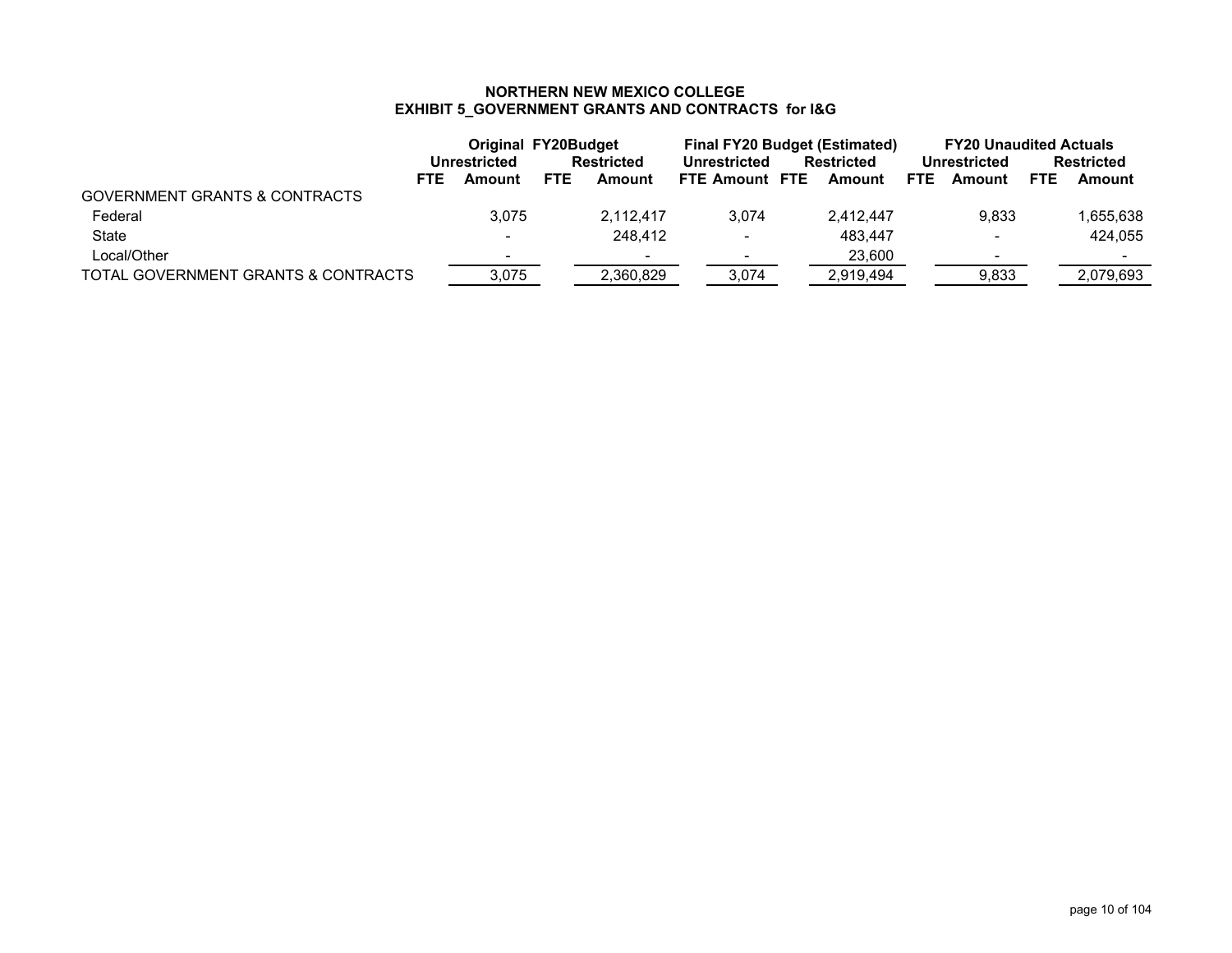# **NORTHERN NEW MEXICO COLLEGE EXHIBIT 5\_GOVERNMENT GRANTS AND CONTRACTS for I&G**

|                                          |                          | <b>Original FY20Budget</b> |           | <b>Final FY20 Budget (Estimated)</b> |  |                   | <b>FY20 Unaudited Actuals</b> |                          |            |                   |
|------------------------------------------|--------------------------|----------------------------|-----------|--------------------------------------|--|-------------------|-------------------------------|--------------------------|------------|-------------------|
|                                          | Unrestricted             | Restricted                 |           | <b>Unrestricted</b>                  |  | <b>Restricted</b> |                               | Unrestricted             |            | <b>Restricted</b> |
| <b>FTE</b>                               | Amount                   | <b>FTE</b>                 | Amount    | FTE Amount FTE                       |  | Amount            | FTE.                          | Amount                   | <b>FTE</b> | Amount            |
| <b>GOVERNMENT GRANTS &amp; CONTRACTS</b> |                          |                            |           |                                      |  |                   |                               |                          |            |                   |
| Federal                                  | 3.075                    |                            | 2.112.417 | 3,074                                |  | 2.412.447         |                               | 9.833                    |            | 1,655,638         |
| State                                    | $\overline{\phantom{a}}$ |                            | 248.412   | $\overline{\phantom{a}}$             |  | 483.447           |                               | $\overline{\phantom{a}}$ |            | 424.055           |
| Local/Other                              | ٠                        |                            |           |                                      |  | 23.600            |                               | $\overline{\phantom{a}}$ |            |                   |
| TOTAL GOVERNMENT GRANTS & CONTRACTS      | 3,075                    |                            | 2.360.829 | 3,074                                |  | 2,919,494         |                               | 9,833                    |            | 2.079.693         |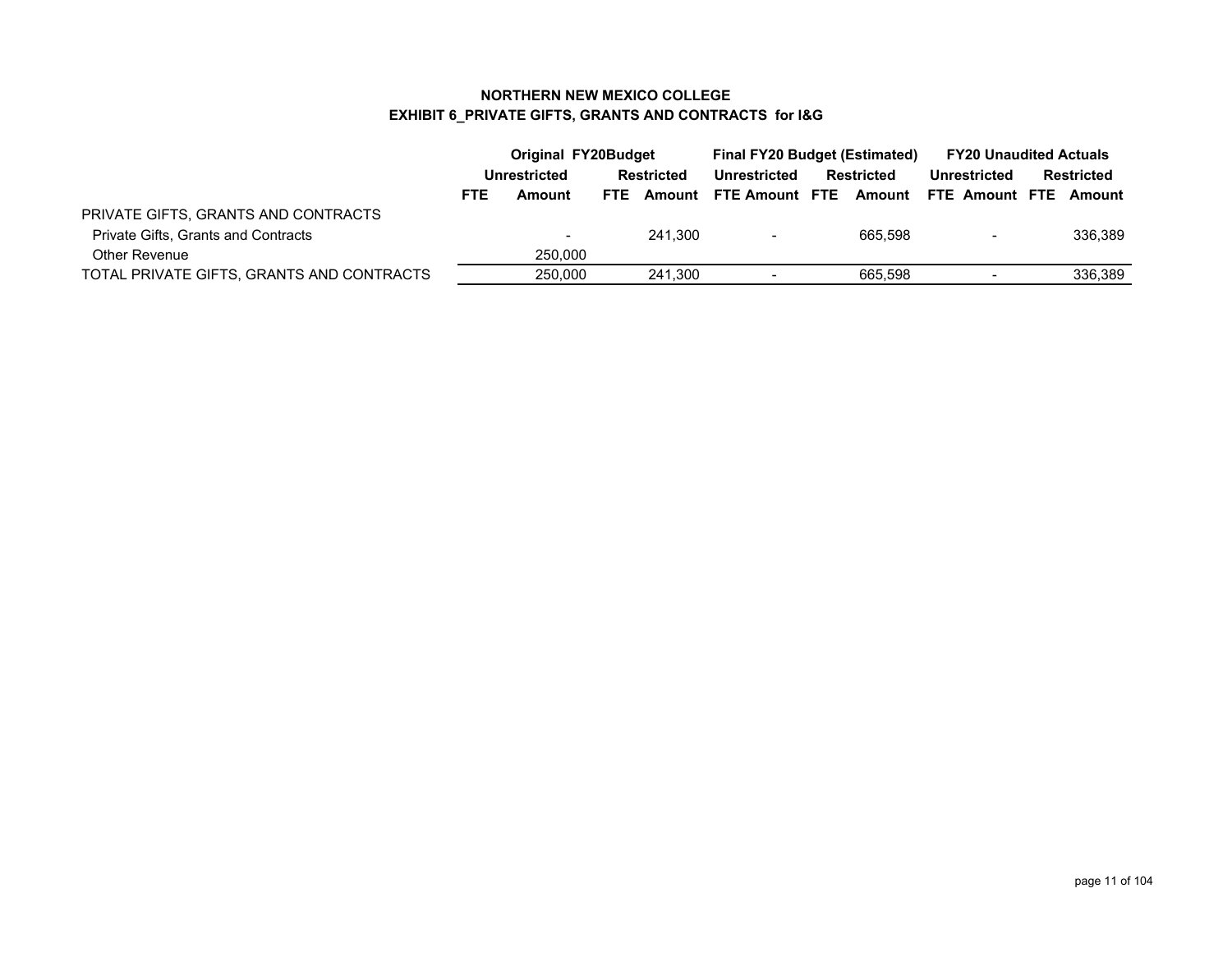### **NORTHERN NEW MEXICO COLLEGE EXHIBIT 6\_PRIVATE GIFTS, GRANTS AND CONTRACTS for I&G**

|                                           | Original FY20Budget |          |                   |         | <b>Final FY20 Budget (Estimated)</b> |  |                   | <b>FY20 Unaudited Actuals</b> |                              |  |
|-------------------------------------------|---------------------|----------|-------------------|---------|--------------------------------------|--|-------------------|-------------------------------|------------------------------|--|
|                                           | Unrestricted        |          | <b>Restricted</b> |         | Unrestricted                         |  | <b>Restricted</b> | Unrestricted                  | <b>Restricted</b>            |  |
|                                           | FTE.                | Amount   | FTE.              |         | Amount FTE Amount FTE                |  |                   |                               | Amount FTE Amount FTE Amount |  |
| PRIVATE GIFTS, GRANTS AND CONTRACTS       |                     |          |                   |         |                                      |  |                   |                               |                              |  |
| Private Gifts, Grants and Contracts       |                     | $\qquad$ |                   | 241.300 | $\blacksquare$                       |  | 665.598           | $\blacksquare$                | 336,389                      |  |
| Other Revenue                             |                     | 250,000  |                   |         |                                      |  |                   |                               |                              |  |
| TOTAL PRIVATE GIFTS, GRANTS AND CONTRACTS |                     | 250,000  |                   | 241.300 | $\overline{\phantom{0}}$             |  | 665.598           |                               | 336.389                      |  |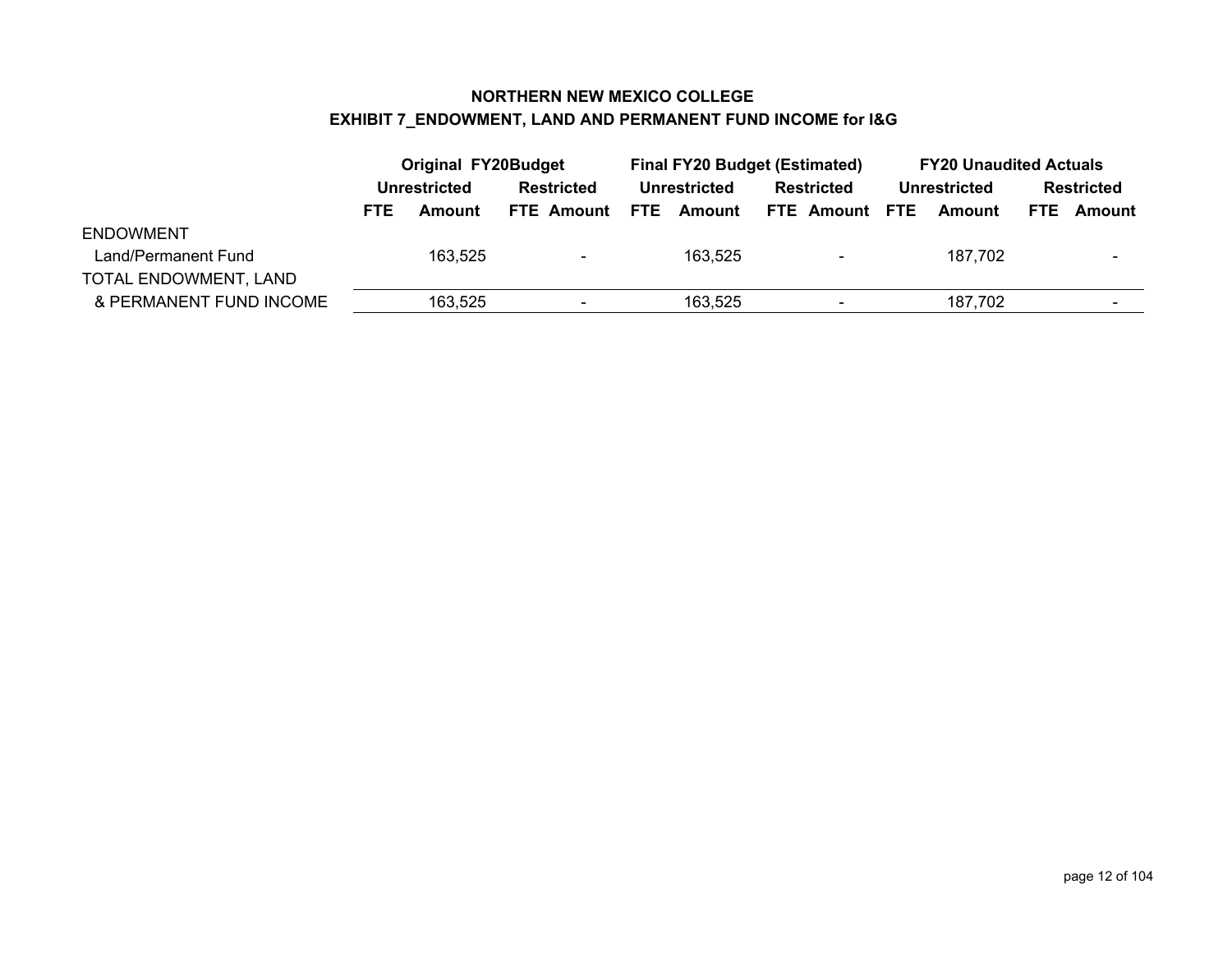### **NORTHERN NEW MEXICO COLLEGE EXHIBIT 7\_ENDOWMENT, LAND AND PERMANENT FUND INCOME for I&G**

|                         |            | <b>Original FY20Budget</b> |                   |                | <b>Final FY20 Budget (Estimated)</b> |                   |                   |                          |  | <b>FY20 Unaudited Actuals</b> |  |                   |  |
|-------------------------|------------|----------------------------|-------------------|----------------|--------------------------------------|-------------------|-------------------|--------------------------|--|-------------------------------|--|-------------------|--|
|                         |            | Unrestricted               | Restricted        |                | <b>Unrestricted</b>                  |                   | <b>Restricted</b> |                          |  | Unrestricted                  |  | <b>Restricted</b> |  |
|                         | <b>FTE</b> | Amount                     | <b>FTE Amount</b> |                |                                      | <b>FTE</b> Amount |                   | FTE Amount FTE           |  | Amount                        |  | <b>FTE</b> Amount |  |
| <b>ENDOWMENT</b>        |            |                            |                   |                |                                      |                   |                   |                          |  |                               |  |                   |  |
| Land/Permanent Fund     |            | 163,525                    |                   | $\blacksquare$ |                                      | 163,525           |                   | $\overline{\phantom{0}}$ |  | 187,702                       |  |                   |  |
| TOTAL ENDOWMENT, LAND   |            |                            |                   |                |                                      |                   |                   |                          |  |                               |  |                   |  |
| & PERMANENT FUND INCOME | 163,525    |                            | $\,$              |                |                                      | 163,525           |                   | $\blacksquare$           |  | 187,702                       |  |                   |  |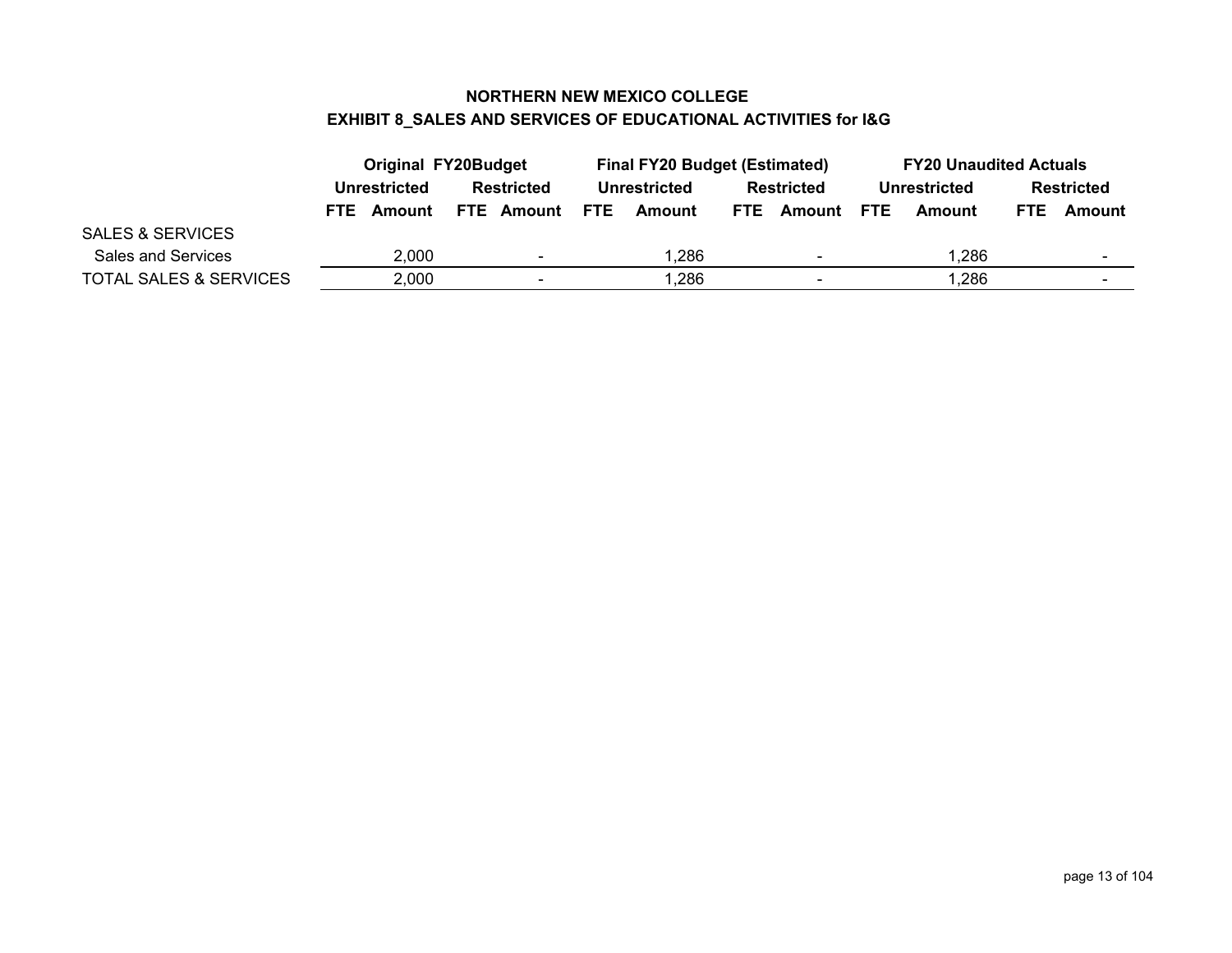### **NORTHERN NEW MEXICO COLLEGE EXHIBIT 8\_SALES AND SERVICES OF EDUCATIONAL ACTIVITIES for I&G**

|                                   |            | <b>Original FY20Budget</b>  |                   |                          |                          | <b>Final FY20 Budget (Estimated)</b> |                                 |                   | <b>FY20 Unaudited Actuals</b> |              |                   |        |
|-----------------------------------|------------|-----------------------------|-------------------|--------------------------|--------------------------|--------------------------------------|---------------------------------|-------------------|-------------------------------|--------------|-------------------|--------|
|                                   |            | Unrestricted                | <b>Restricted</b> |                          | Unrestricted             |                                      |                                 | <b>Restricted</b> |                               | Unrestricted | <b>Restricted</b> |        |
|                                   | <b>FTE</b> | <b>FTE Amount</b><br>Amount |                   |                          | <b>FTE</b>               | Amount                               | <b>Amount FTE</b><br><b>FTE</b> |                   |                               | Amount       | FTE.              | Amount |
| <b>SALES &amp; SERVICES</b>       |            |                             |                   |                          |                          |                                      |                                 |                   |                               |              |                   |        |
| Sales and Services                | 2.000      |                             | 1,286             |                          | $\overline{\phantom{0}}$ |                                      | 1.286                           |                   |                               |              |                   |        |
| <b>TOTAL SALES &amp; SERVICES</b> |            | 2,000                       |                   | $\overline{\phantom{a}}$ |                          | 1,286                                |                                 | $\blacksquare$    |                               | 1.286        |                   | -      |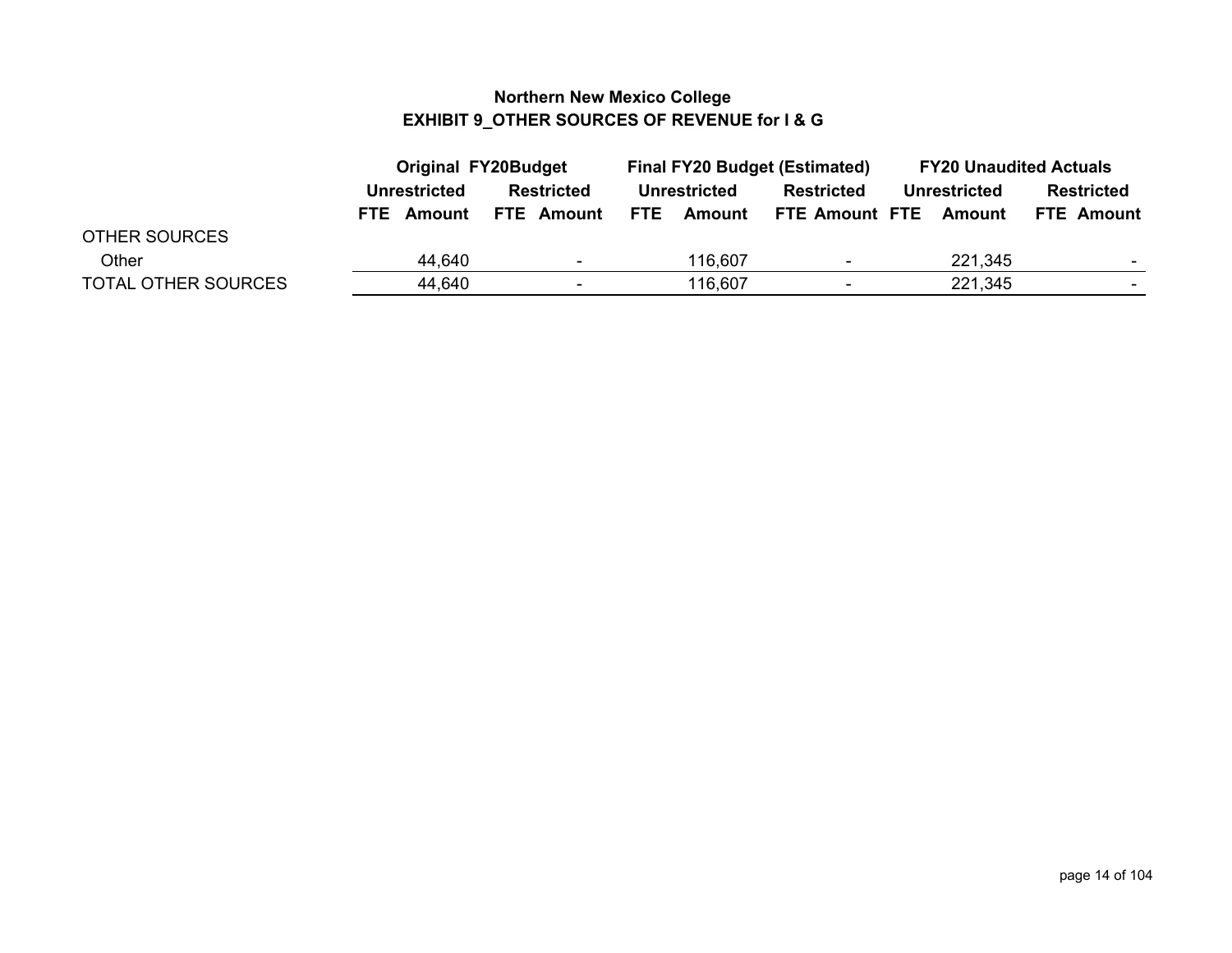### **Northern New Mexico College EXHIBIT 9\_OTHER SOURCES OF REVENUE for I & G**

|                            |                      | <b>Original FY20Budget</b> |              |         | <b>Final FY20 Budget (Estimated)</b> |              | <b>FY20 Unaudited Actuals</b> |
|----------------------------|----------------------|----------------------------|--------------|---------|--------------------------------------|--------------|-------------------------------|
|                            | <b>Unrestricted</b>  | <b>Restricted</b>          | Unrestricted |         | Restricted                           | Unrestricted | <b>Restricted</b>             |
|                            | Amount<br><b>FTE</b> | <b>FTE Amount</b>          | FTE.         | Amount  | FTE Amount FTE Amount                |              | <b>FTE Amount</b>             |
| <b>OTHER SOURCES</b>       |                      |                            |              |         |                                      |              |                               |
| Other                      | 44,640               | $\overline{\phantom{0}}$   |              | 116,607 | $\overline{\phantom{0}}$             | 221,345      |                               |
| <b>TOTAL OTHER SOURCES</b> | 44,640               | $\overline{\phantom{0}}$   |              | 116,607 | -                                    | 221,345      |                               |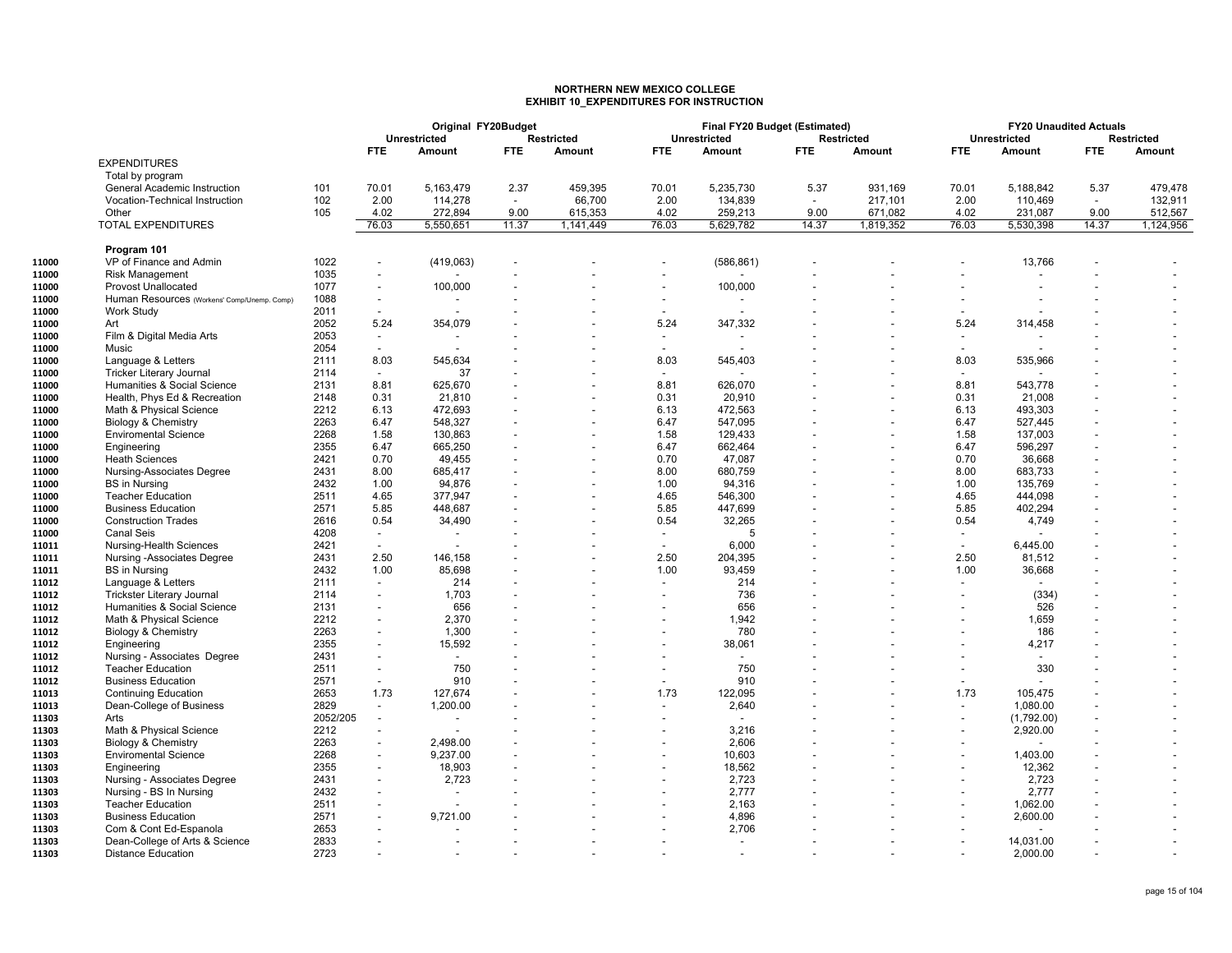## **NORTHERN NEW MEXICO COLLEGE EXHIBIT 10\_EXPENDITURES FOR INSTRUCTION**

|       |                                             |          |                          | Original FY20Budget      |            |                   |                          | Final FY20 Budget (Estimated) |                          |                          |                          | <b>FY20 Unaudited Actuals</b> |        |                   |
|-------|---------------------------------------------|----------|--------------------------|--------------------------|------------|-------------------|--------------------------|-------------------------------|--------------------------|--------------------------|--------------------------|-------------------------------|--------|-------------------|
|       |                                             |          |                          | <b>Unrestricted</b>      |            | <b>Restricted</b> |                          | <b>Unrestricted</b>           |                          | <b>Restricted</b>        |                          | <b>Unrestricted</b>           |        | <b>Restricted</b> |
|       |                                             |          | <b>FTE</b>               | Amount                   | <b>FTE</b> | Amount            | FTE.                     | Amount                        | <b>FTE</b>               | Amount                   | <b>FTE</b>               | Amount                        | FTE.   | Amount            |
|       | <b>EXPENDITURES</b>                         |          |                          |                          |            |                   |                          |                               |                          |                          |                          |                               |        |                   |
|       | Total by program                            |          |                          |                          |            |                   |                          |                               |                          |                          |                          |                               |        |                   |
|       | General Academic Instruction                | 101      | 70.01                    | 5,163,479                | 2.37       | 459.395           | 70.01                    | 5,235,730                     | 5.37                     | 931.169                  | 70.01                    | 5,188,842                     | 5.37   | 479,478           |
|       | <b>Vocation-Technical Instruction</b>       | 102      | 2.00                     | 114,278                  | $\sim$     | 66.700            | 2.00                     | 134,839                       | $\overline{\phantom{a}}$ | 217,101                  | 2.00                     | 110,469                       | $\sim$ | 132,911           |
|       | Other                                       | 105      | 4.02                     | 272,894                  | 9.00       | 615,353           | 4.02                     | 259,213                       | 9.00                     | 671,082                  | 4.02                     | 231,087                       | 9.00   | 512,567           |
|       | <b>TOTAL EXPENDITURES</b>                   |          | 76.03                    | 5,550,651                | 11.37      | 1,141,449         | 76.03                    | 5,629,782                     | 14.37                    | 1,819,352                | 76.03                    | 5,530,398                     | 14.37  | 1,124,956         |
|       | Program 101                                 |          |                          |                          |            |                   |                          |                               |                          |                          |                          |                               |        |                   |
| 11000 | VP of Finance and Admin                     | 1022     | $\overline{\phantom{a}}$ | (419,063)                |            |                   |                          | (586, 861)                    |                          |                          |                          | 13,766                        |        |                   |
| 11000 | <b>Risk Management</b>                      | 1035     | $\overline{\phantom{a}}$ |                          |            |                   |                          |                               |                          |                          |                          |                               |        |                   |
| 11000 | <b>Provost Unallocated</b>                  | 1077     | $\overline{\phantom{a}}$ | 100,000                  |            |                   |                          | 100,000                       |                          |                          |                          |                               |        |                   |
| 11000 | Human Resources (Workens' Comp/Unemp. Comp) | 1088     | $\overline{\phantom{a}}$ |                          |            |                   |                          |                               |                          |                          |                          |                               |        |                   |
| 11000 | <b>Work Study</b>                           | 2011     | $\overline{\phantom{a}}$ |                          |            |                   |                          |                               |                          |                          | $\sim$                   |                               |        |                   |
| 11000 | Art                                         | 2052     | 5.24                     | 354,079                  |            |                   | 5.24                     | 347,332                       |                          |                          | 5.24                     | 314,458                       |        |                   |
| 11000 | Film & Digital Media Arts                   | 2053     | $\overline{\phantom{a}}$ |                          |            |                   |                          |                               |                          |                          | $\sim$                   |                               |        |                   |
| 11000 | Music                                       | 2054     | $\overline{\phantom{a}}$ |                          |            |                   |                          |                               |                          |                          | $\overline{a}$           |                               |        |                   |
| 11000 | Language & Letters                          | 2111     | 8.03                     | 545,634                  |            |                   | 8.03                     | 545,403                       |                          |                          | 8.03                     | 535,966                       |        |                   |
| 11000 | <b>Tricker Literary Journal</b>             | 2114     |                          | 37                       |            |                   |                          |                               |                          |                          |                          |                               |        |                   |
| 11000 | Humanities & Social Science                 | 2131     | 8.81                     | 625,670                  |            |                   | 8.81                     | 626,070                       |                          |                          | 8.81                     | 543,778                       |        |                   |
| 11000 | Health, Phys Ed & Recreation                | 2148     | 0.31                     | 21,810                   |            |                   | 0.31                     | 20,910                        |                          |                          | 0.31                     | 21,008                        |        |                   |
| 11000 | Math & Physical Science                     | 2212     | 6.13                     | 472,693                  |            |                   | 6.13                     | 472,563                       |                          |                          | 6.13                     | 493,303                       |        |                   |
| 11000 | <b>Biology &amp; Chemistry</b>              | 2263     | 6.47                     | 548,327                  |            |                   | 6.47                     | 547,095                       |                          | $\overline{\phantom{a}}$ | 6.47                     | 527,445                       |        |                   |
| 11000 | <b>Enviromental Science</b>                 | 2268     | 1.58                     | 130,863                  |            |                   | 1.58                     | 129,433                       |                          |                          | 1.58                     | 137,003                       |        |                   |
| 11000 | Engineering                                 | 2355     | 6.47                     | 665,250                  |            |                   | 6.47                     | 662,464                       |                          |                          | 6.47                     | 596,297                       |        |                   |
| 11000 | <b>Heath Sciences</b>                       | 2421     | 0.70                     | 49,455                   |            |                   | 0.70                     | 47,087                        |                          |                          | 0.70                     | 36,668                        |        |                   |
| 11000 | Nursing-Associates Degree                   | 2431     | 8.00                     | 685,417                  |            |                   | 8.00                     | 680,759                       |                          | $\overline{\phantom{a}}$ | 8.00                     | 683,733                       |        |                   |
| 11000 | <b>BS</b> in Nursing                        | 2432     | 1.00                     | 94,876                   |            |                   | 1.00                     | 94,316                        |                          |                          | 1.00                     | 135,769                       |        |                   |
| 11000 | <b>Teacher Education</b>                    | 2511     | 4.65                     | 377,947                  |            |                   | 4.65                     | 546,300                       |                          |                          | 4.65                     | 444.098                       |        |                   |
| 11000 | <b>Business Education</b>                   | 2571     | 5.85                     | 448,687                  |            |                   | 5.85                     | 447,699                       |                          |                          | 5.85                     | 402,294                       |        |                   |
| 11000 | <b>Construction Trades</b>                  | 2616     | 0.54                     | 34,490                   |            |                   | 0.54                     | 32,265                        |                          |                          | 0.54                     | 4,749                         |        |                   |
| 11000 | <b>Canal Seis</b>                           | 4208     | $\overline{\phantom{0}}$ |                          |            |                   | $\overline{\phantom{0}}$ | 5                             |                          |                          | $\sim$                   |                               |        |                   |
| 11011 | Nursing-Health Sciences                     | 2421     | $\overline{\phantom{0}}$ |                          |            |                   |                          | 6,000                         |                          |                          | $\overline{\phantom{a}}$ | 6.445.00                      |        |                   |
| 11011 | Nursing -Associates Degree                  | 2431     | 2.50                     | 146,158                  |            |                   | 2.50                     | 204,395                       |                          |                          | 2.50                     | 81,512                        |        |                   |
| 11011 | <b>BS</b> in Nursing                        | 2432     | 1.00                     | 85,698                   |            |                   | 1.00                     | 93,459                        |                          |                          | 1.00                     | 36,668                        |        |                   |
| 11012 | Language & Letters                          | 2111     | $\overline{\phantom{a}}$ | 214                      |            |                   | $\overline{\phantom{a}}$ | 214                           |                          |                          | $\overline{\phantom{a}}$ |                               |        |                   |
| 11012 | <b>Trickster Literary Journal</b>           | 2114     |                          | 1.703                    |            |                   |                          | 736                           |                          |                          |                          | (334)                         |        |                   |
| 11012 | Humanities & Social Science                 | 2131     | $\overline{\phantom{a}}$ | 656                      |            |                   |                          | 656                           |                          |                          |                          | 526                           |        |                   |
| 11012 | Math & Physical Science                     | 2212     | $\overline{\phantom{a}}$ | 2,370                    |            |                   |                          | 1,942                         |                          |                          |                          | 1,659                         |        |                   |
| 11012 | <b>Biology &amp; Chemistry</b>              | 2263     | $\overline{\phantom{a}}$ | 1,300                    |            |                   |                          | 780                           |                          |                          |                          | 186                           |        |                   |
| 11012 | Engineering                                 | 2355     | $\overline{\phantom{a}}$ | 15,592                   |            |                   |                          | 38,061                        |                          |                          |                          | 4,217                         |        |                   |
| 11012 | Nursing - Associates Degree                 | 2431     | $\overline{\phantom{a}}$ | $\overline{\phantom{a}}$ |            |                   |                          |                               |                          |                          |                          | $\overline{\phantom{a}}$      |        |                   |
| 11012 | <b>Teacher Education</b>                    | 2511     | $\overline{\phantom{a}}$ | 750                      |            |                   |                          | 750                           |                          |                          |                          | 330                           |        |                   |
| 11012 | <b>Business Education</b>                   | 2571     |                          | 910                      |            |                   |                          | 910                           |                          |                          |                          |                               |        |                   |
| 11013 | <b>Continuing Education</b>                 | 2653     | 1.73                     | 127,674                  |            |                   | 1.73                     | 122,095                       |                          |                          | 1.73                     | 105,475                       |        |                   |
| 11013 | Dean-College of Business                    | 2829     | $\overline{\phantom{a}}$ | 1,200.00                 |            |                   |                          | 2,640                         |                          | $\overline{\phantom{a}}$ | $\sim$                   | 1,080.00                      |        |                   |
| 11303 | Arts                                        | 2052/205 | $\overline{\phantom{a}}$ |                          |            |                   |                          | $\overline{\phantom{a}}$      |                          |                          | $\overline{\phantom{a}}$ | (1,792.00)                    |        |                   |
| 11303 | Math & Physical Science                     | 2212     |                          |                          |            |                   |                          | 3,216                         |                          |                          |                          | 2,920.00                      |        |                   |
| 11303 | Biology & Chemistry                         | 2263     |                          | 2,498.00                 |            |                   |                          | 2,606                         |                          |                          |                          |                               |        |                   |
| 11303 | <b>Enviromental Science</b>                 | 2268     | $\overline{\phantom{a}}$ | 9,237.00                 |            |                   |                          | 10,603                        |                          |                          | $\overline{\phantom{a}}$ | 1,403.00                      |        |                   |
| 11303 | Engineering                                 | 2355     | $\overline{\phantom{a}}$ | 18,903                   |            |                   |                          | 18,562                        |                          |                          |                          | 12,362                        |        |                   |
| 11303 | Nursing - Associates Degree                 | 2431     | $\overline{\phantom{a}}$ | 2,723                    |            |                   |                          | 2,723                         |                          |                          | $\overline{\phantom{a}}$ | 2,723                         |        |                   |
| 11303 | Nursing - BS In Nursing                     | 2432     |                          |                          |            |                   |                          | 2,777                         |                          |                          |                          | 2,777                         |        |                   |
| 11303 | <b>Teacher Education</b>                    | 2511     |                          |                          |            |                   |                          | 2,163                         |                          |                          | $\overline{\phantom{a}}$ | 1,062.00                      |        |                   |
| 11303 | <b>Business Education</b>                   | 2571     | $\overline{\phantom{a}}$ | 9,721.00                 |            |                   |                          | 4,896                         |                          |                          |                          | 2,600.00                      |        |                   |
| 11303 | Com & Cont Ed-Espanola                      | 2653     | $\overline{\phantom{a}}$ |                          |            |                   |                          | 2,706                         |                          |                          |                          |                               |        |                   |
| 11303 | Dean-College of Arts & Science              | 2833     |                          |                          |            |                   |                          |                               |                          |                          |                          | 14,031.00                     |        |                   |
| 11303 | <b>Distance Education</b>                   | 2723     |                          |                          |            |                   |                          |                               |                          |                          |                          | 2,000.00                      |        |                   |
|       |                                             |          |                          |                          |            |                   |                          |                               |                          |                          |                          |                               |        |                   |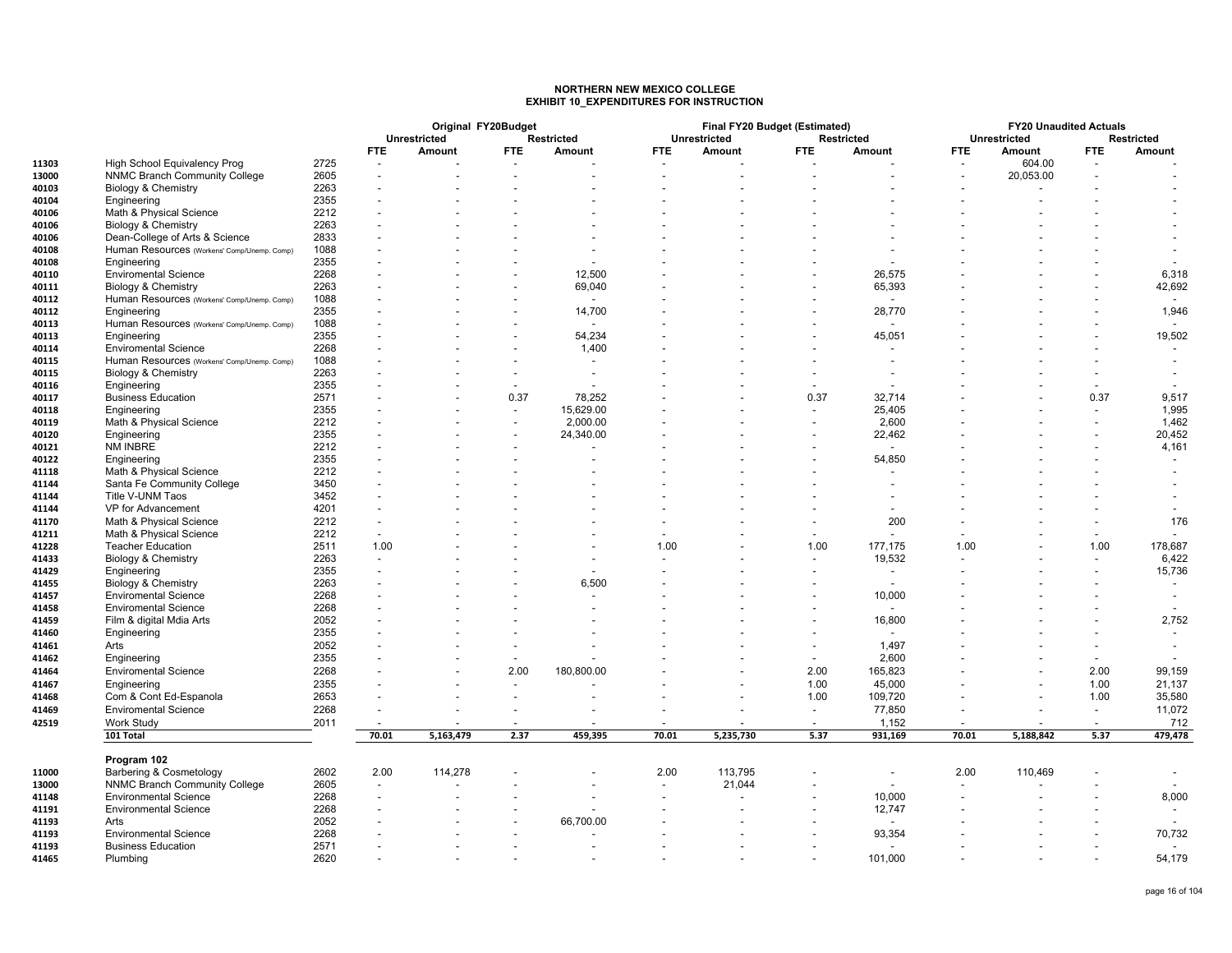### **NORTHERN NEW MEXICO COLLEGEEXHIBIT 10\_EXPENDITURES FOR INSTRUCTION**

|       |                                             |      |            | Original FY20Budget<br><b>Unrestricted</b> |                          |                             |                          | Final FY20 Budget (Estimated)<br><b>Unrestricted</b> |                          | <b>Restricted</b> |                          | <b>FY20 Unaudited Actuals</b> |                          |                             |
|-------|---------------------------------------------|------|------------|--------------------------------------------|--------------------------|-----------------------------|--------------------------|------------------------------------------------------|--------------------------|-------------------|--------------------------|-------------------------------|--------------------------|-----------------------------|
|       |                                             |      | <b>FTE</b> | Amount                                     | <b>FTE</b>               | <b>Restricted</b><br>Amount | <b>FTE</b>               | Amount                                               | <b>FTE</b>               | Amount            | <b>FTE</b>               | <b>Unrestricted</b><br>Amount | <b>FTE</b>               | <b>Restricted</b><br>Amount |
| 11303 | High School Equivalency Prog                | 2725 |            |                                            |                          |                             |                          |                                                      |                          |                   |                          | 604.00                        |                          |                             |
| 13000 | <b>NNMC Branch Community College</b>        | 2605 |            |                                            |                          |                             |                          |                                                      |                          |                   |                          | 20,053.00                     |                          |                             |
| 40103 | Biology & Chemistry                         | 2263 |            |                                            |                          |                             |                          |                                                      |                          |                   |                          |                               |                          |                             |
| 40104 | Engineering                                 | 2355 |            |                                            |                          |                             |                          |                                                      |                          |                   |                          |                               |                          |                             |
| 40106 | Math & Physical Science                     | 2212 |            |                                            |                          |                             |                          |                                                      |                          |                   |                          |                               |                          |                             |
|       | Biology & Chemistry                         | 2263 |            |                                            |                          |                             |                          |                                                      |                          |                   |                          |                               |                          |                             |
| 40106 |                                             | 2833 |            |                                            |                          |                             |                          |                                                      |                          |                   |                          |                               |                          |                             |
| 40106 | Dean-College of Arts & Science              |      |            |                                            |                          |                             |                          |                                                      |                          |                   |                          |                               |                          |                             |
| 40108 | Human Resources (Workens' Comp/Unemp. Comp) | 1088 |            |                                            |                          |                             |                          |                                                      |                          |                   |                          |                               |                          |                             |
| 40108 | Engineering                                 | 2355 |            |                                            |                          |                             |                          |                                                      |                          |                   |                          |                               |                          |                             |
| 40110 | <b>Enviromental Science</b>                 | 2268 |            |                                            |                          | 12,500                      |                          |                                                      |                          | 26,575            |                          |                               |                          | 6,318                       |
| 40111 | Biology & Chemistry                         | 2263 |            |                                            |                          | 69,040                      |                          |                                                      |                          | 65,393            |                          |                               |                          | 42,692                      |
| 40112 | Human Resources (Workens' Comp/Unemp. Comp) | 1088 |            |                                            |                          |                             |                          |                                                      |                          |                   |                          |                               |                          |                             |
| 40112 | Engineering                                 | 2355 |            |                                            |                          | 14,700                      |                          |                                                      |                          | 28,770            |                          |                               |                          | 1,946                       |
| 40113 | Human Resources (Workens' Comp/Unemp. Comp) | 1088 |            |                                            |                          |                             |                          |                                                      |                          |                   |                          |                               |                          |                             |
| 40113 | Engineering                                 | 2355 |            |                                            |                          | 54,234                      |                          |                                                      |                          | 45,051            |                          |                               |                          | 19,502                      |
| 40114 | <b>Enviromental Science</b>                 | 2268 |            |                                            |                          | 1,400                       |                          |                                                      |                          |                   |                          |                               |                          |                             |
| 40115 | Human Resources (Workens' Comp/Unemp. Comp) | 1088 |            |                                            |                          |                             |                          |                                                      |                          |                   |                          |                               |                          |                             |
| 40115 | Biology & Chemistry                         | 2263 |            |                                            | $\overline{\phantom{a}}$ |                             |                          |                                                      |                          |                   |                          |                               |                          |                             |
| 40116 | Engineering                                 | 2355 |            |                                            | $\overline{\phantom{a}}$ |                             |                          |                                                      |                          |                   |                          |                               | $\overline{\phantom{a}}$ |                             |
| 40117 | <b>Business Education</b>                   | 2571 |            |                                            | 0.37                     | 78,252                      |                          |                                                      | 0.37                     | 32,714            |                          |                               | 0.37                     | 9,517                       |
| 40118 | Engineering                                 | 2355 |            |                                            | $\overline{\phantom{a}}$ | 15,629.00                   |                          |                                                      |                          | 25,405            |                          |                               | $\overline{\phantom{a}}$ | 1,995                       |
| 40119 | Math & Physical Science                     | 2212 |            |                                            | $\blacksquare$           | 2,000.00                    |                          |                                                      |                          | 2,600             |                          |                               |                          | 1,462                       |
| 40120 | Engineering                                 | 2355 |            |                                            |                          | 24,340.00                   |                          |                                                      | $\overline{\phantom{a}}$ | 22,462            |                          |                               |                          | 20,452                      |
| 40121 | NM INBRE                                    | 2212 |            |                                            |                          |                             |                          |                                                      |                          |                   |                          |                               |                          | 4,161                       |
| 40122 | Engineering                                 | 2355 |            |                                            |                          |                             |                          |                                                      |                          | 54,850            |                          |                               |                          |                             |
| 41118 | Math & Physical Science                     | 2212 |            |                                            |                          |                             |                          |                                                      |                          |                   |                          |                               |                          |                             |
|       |                                             | 3450 |            |                                            |                          |                             |                          |                                                      |                          |                   |                          |                               |                          |                             |
| 41144 | Santa Fe Community College                  |      |            |                                            |                          |                             |                          |                                                      |                          |                   |                          |                               |                          |                             |
| 41144 | Title V-UNM Taos                            | 3452 |            |                                            |                          |                             |                          |                                                      |                          |                   |                          |                               |                          |                             |
| 41144 | VP for Advancement                          | 4201 |            |                                            |                          |                             |                          |                                                      |                          |                   |                          |                               |                          |                             |
| 41170 | Math & Physical Science                     | 2212 |            |                                            |                          |                             |                          |                                                      |                          | 200               |                          |                               |                          | 176                         |
| 41211 | Math & Physical Science                     | 2212 |            |                                            |                          |                             |                          |                                                      |                          |                   |                          |                               |                          |                             |
| 41228 | <b>Teacher Education</b>                    | 2511 | 1.00       |                                            |                          |                             | 1.00                     |                                                      | 1.00                     | 177,175           | 1.00                     |                               | 1.00                     | 178,687                     |
| 41433 | Biology & Chemistry                         | 2263 |            |                                            |                          |                             |                          |                                                      |                          | 19,532            |                          |                               |                          | 6,422                       |
| 41429 | Engineering                                 | 2355 |            |                                            |                          |                             |                          |                                                      |                          |                   |                          |                               |                          | 15,736                      |
| 41455 | Biology & Chemistry                         | 2263 |            |                                            |                          | 6,500                       |                          |                                                      |                          |                   |                          |                               |                          |                             |
| 41457 | <b>Enviromental Science</b>                 | 2268 |            |                                            |                          |                             |                          |                                                      |                          | 10,000            |                          |                               |                          |                             |
| 41458 | <b>Enviromental Science</b>                 | 2268 |            |                                            |                          |                             |                          |                                                      |                          |                   |                          |                               |                          |                             |
| 41459 | Film & digital Mdia Arts                    | 2052 |            |                                            |                          |                             |                          |                                                      |                          | 16,800            |                          |                               |                          | 2,752                       |
| 41460 | Engineering                                 | 2355 |            |                                            |                          |                             |                          |                                                      |                          |                   |                          |                               |                          |                             |
| 41461 | Arts                                        | 2052 |            |                                            | $\blacksquare$           |                             |                          |                                                      |                          | 1,497             |                          |                               |                          |                             |
| 41462 | Engineering                                 | 2355 |            |                                            | $\overline{\phantom{a}}$ |                             |                          |                                                      |                          | 2,600             |                          |                               |                          |                             |
|       |                                             |      |            |                                            |                          |                             |                          |                                                      | 2.00                     |                   |                          |                               | 2.00                     |                             |
| 41464 | <b>Enviromental Science</b>                 | 2268 |            |                                            | 2.00                     | 180,800.00                  |                          |                                                      |                          | 165,823           |                          |                               |                          | 99,159                      |
| 41467 | Engineering                                 | 2355 |            |                                            |                          |                             |                          |                                                      | 1.00                     | 45,000            |                          |                               | 1.00                     | 21,137                      |
| 41468 | Com & Cont Ed-Espanola                      | 2653 |            |                                            |                          |                             |                          |                                                      | 1.00                     | 109,720           |                          |                               | 1.00                     | 35,580                      |
| 41469 | <b>Enviromental Science</b>                 | 2268 |            |                                            | $\overline{a}$           |                             |                          |                                                      | $\blacksquare$           | 77,850            |                          |                               | $\sim$                   | 11,072                      |
| 42519 | Work Study                                  | 2011 |            |                                            |                          |                             |                          |                                                      |                          | 1,152             | $\overline{\phantom{a}}$ |                               |                          | 712                         |
|       | 101 Total                                   |      | 70.01      | 5,163,479                                  | 2.37                     | 459,395                     | 70.01                    | 5,235,730                                            | 5.37                     | 931,169           | 70.01                    | 5,188,842                     | 5.37                     | 479,478                     |
|       | Program 102                                 |      |            |                                            |                          |                             |                          |                                                      |                          |                   |                          |                               |                          |                             |
| 11000 | Barbering & Cosmetology                     | 2602 | 2.00       | 114,278                                    |                          |                             | 2.00                     | 113,795                                              |                          |                   | 2.00                     | 110,469                       |                          |                             |
| 13000 | <b>NNMC Branch Community College</b>        | 2605 |            |                                            |                          |                             | $\overline{\phantom{a}}$ | 21,044                                               |                          |                   |                          |                               |                          |                             |
| 41148 | <b>Environmental Science</b>                | 2268 |            |                                            |                          |                             |                          |                                                      |                          | 10,000            |                          |                               |                          | 8,000                       |
| 41191 | <b>Environmental Science</b>                | 2268 |            |                                            |                          |                             |                          |                                                      |                          | 12,747            |                          |                               |                          |                             |
| 41193 | Arts                                        | 2052 |            |                                            |                          | 66,700.00                   |                          |                                                      |                          |                   |                          |                               |                          |                             |
| 41193 | <b>Environmental Science</b>                | 2268 |            |                                            |                          |                             |                          |                                                      |                          | 93,354            |                          |                               |                          | 70,732                      |
| 41193 | <b>Business Education</b>                   | 2571 |            |                                            |                          |                             |                          |                                                      |                          |                   |                          |                               |                          |                             |
| 41465 | Plumbing                                    | 2620 |            |                                            |                          |                             |                          |                                                      |                          | 101,000           |                          |                               |                          | 54,179                      |
|       |                                             |      |            |                                            |                          |                             |                          |                                                      |                          |                   |                          |                               |                          |                             |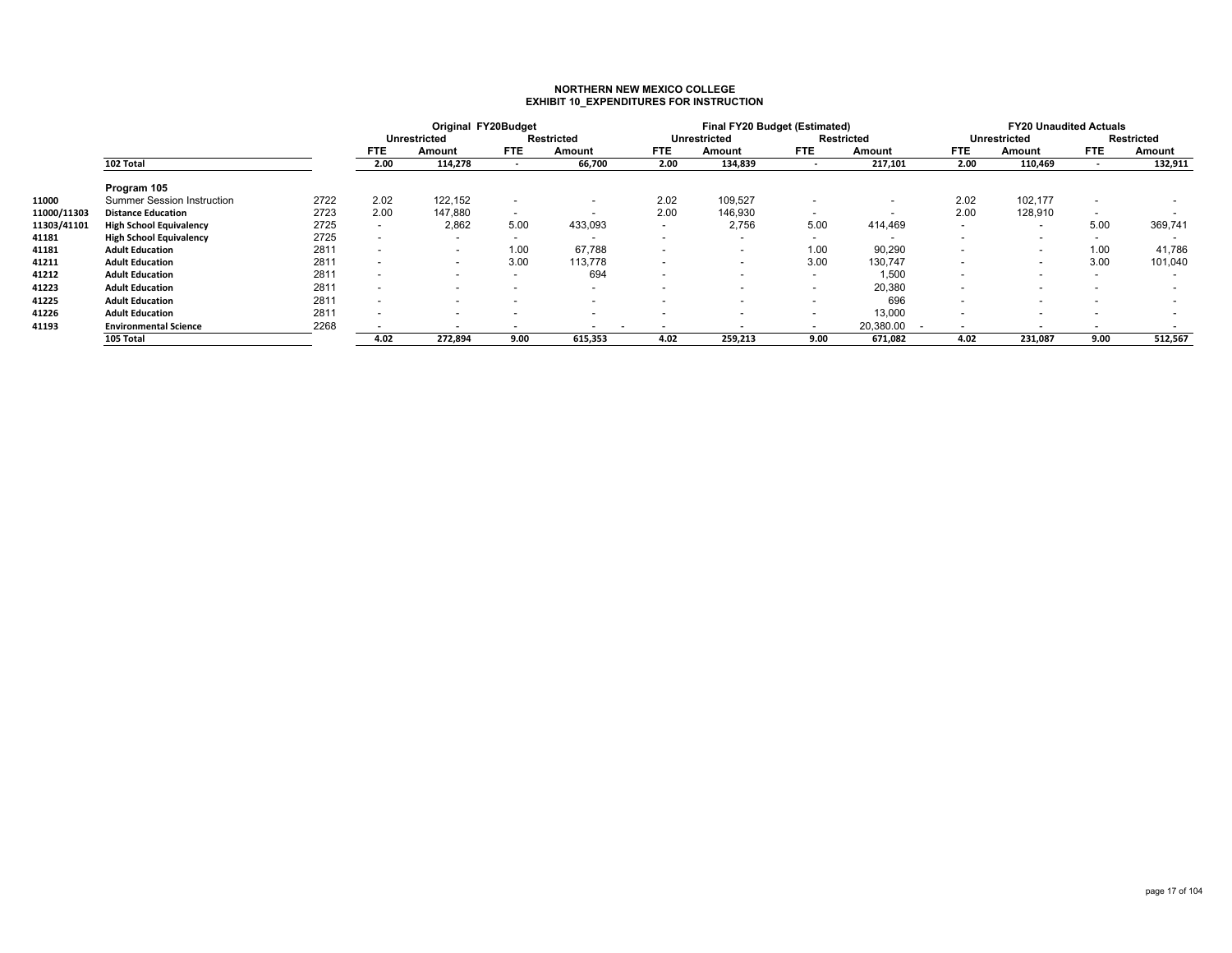## **NORTHERN NEW MEXICO COLLEGE EXHIBIT 10\_EXPENDITURES FOR INSTRUCTION**

|             |                                   |      |                          | Original FY20Budget      |                          |                          |                          | Final FY20 Budget (Estimated) |                          |                                       |                          | <b>FY20 Unaudited Actuals</b> |                          |                   |
|-------------|-----------------------------------|------|--------------------------|--------------------------|--------------------------|--------------------------|--------------------------|-------------------------------|--------------------------|---------------------------------------|--------------------------|-------------------------------|--------------------------|-------------------|
|             |                                   |      |                          | <b>Unrestricted</b>      |                          | <b>Restricted</b>        |                          | <b>Unrestricted</b>           |                          | <b>Restricted</b>                     |                          | <b>Unrestricted</b>           |                          | <b>Restricted</b> |
|             |                                   |      | <b>FTE</b>               | Amount                   | <b>FTE</b>               | Amount                   | <b>FTE</b>               | Amount                        | <b>FTE</b>               | Amount                                | <b>FTE</b>               | Amount                        | FTE.                     | Amount            |
|             | 102 Total                         |      | 2.00                     | 114,278                  | $\overline{\phantom{a}}$ | 66,700                   | 2.00                     | 134,839                       | $\overline{\phantom{a}}$ | 217,101                               | 2.00                     | 110,469                       |                          | 132,911           |
|             | Program 105                       |      |                          |                          |                          |                          |                          |                               |                          |                                       |                          |                               |                          |                   |
| 11000       | <b>Summer Session Instruction</b> | 2722 | 2.02                     | 122,152                  | $\overline{\phantom{a}}$ | $\,$                     | 2.02                     | 109,527                       | $\overline{\phantom{a}}$ | $\overline{\phantom{a}}$              | 2.02                     | 102,177                       | $\overline{\phantom{a}}$ |                   |
| 11000/11303 | <b>Distance Education</b>         | 2723 | 2.00                     | 147,880                  | $\overline{\phantom{a}}$ | $\overline{\phantom{0}}$ | 2.00                     | 146,930                       | $\overline{\phantom{0}}$ |                                       | 2.00                     | 128,910                       | $\overline{\phantom{a}}$ |                   |
| 11303/41101 | <b>High School Equivalency</b>    | 2725 | $\overline{\phantom{a}}$ | 2,862                    | 5.00                     | 433,093                  | $\overline{\phantom{a}}$ | 2,756                         | 5.00                     | 414,469                               | $\sim$                   |                               | 5.00                     | 369,741           |
| 41181       | <b>High School Equivalency</b>    | 2725 | $\overline{\phantom{a}}$ | $\overline{\phantom{0}}$ | $\sim$                   | <b>.</b>                 | $\overline{\phantom{0}}$ |                               | $\overline{\phantom{0}}$ |                                       | $\blacksquare$           |                               | $\sim$                   |                   |
| 41181       | <b>Adult Education</b>            | 2811 | $\overline{\phantom{a}}$ | $\sim$                   | 1.00                     | 67,788                   | $\overline{\phantom{0}}$ |                               | 1.00                     | 90,290                                | $\overline{\phantom{a}}$ |                               | 1.00                     | 41,786            |
| 41211       | <b>Adult Education</b>            | 2811 | $\overline{\phantom{0}}$ | $\blacksquare$           | 3.00                     | 113,778                  | $\overline{\phantom{0}}$ |                               | 3.00                     | 130,747                               | $\overline{\phantom{a}}$ |                               | 3.00                     | 101,040           |
| 41212       | <b>Adult Education</b>            | 2811 | $\overline{\phantom{0}}$ | $\sim$                   |                          | 694                      | $\overline{\phantom{0}}$ |                               | $\overline{\phantom{a}}$ | 1,500                                 | $\overline{\phantom{a}}$ |                               | $\sim$                   |                   |
| 41223       | <b>Adult Education</b>            | 2811 | $\overline{\phantom{0}}$ | $\overline{\phantom{a}}$ |                          | $\overline{\phantom{a}}$ |                          |                               | $\overline{\phantom{a}}$ | 20,380                                | $\overline{\phantom{a}}$ |                               |                          |                   |
| 41225       | <b>Adult Education</b>            | 2811 | $\overline{\phantom{a}}$ | $\overline{\phantom{0}}$ |                          | $\overline{\phantom{a}}$ |                          | $\,$                          | $\overline{\phantom{a}}$ | 696                                   |                          |                               |                          |                   |
| 41226       | <b>Adult Education</b>            | 2811 | $\overline{\phantom{0}}$ |                          |                          |                          |                          |                               | $\overline{\phantom{0}}$ | 13,000                                |                          |                               |                          |                   |
| 41193       | <b>Environmental Science</b>      | 2268 |                          |                          |                          | $\overline{\phantom{a}}$ |                          |                               | $\overline{\phantom{0}}$ | 20,380.00<br>$\overline{\phantom{a}}$ |                          |                               |                          |                   |
|             | 105 Total                         |      | 4.02                     | 272,894                  | 9.00                     | 615,353                  | 4.02                     | 259,213                       | 9.00                     | 671,082                               | 4.02                     | 231,087                       | 9.00                     | 512,567           |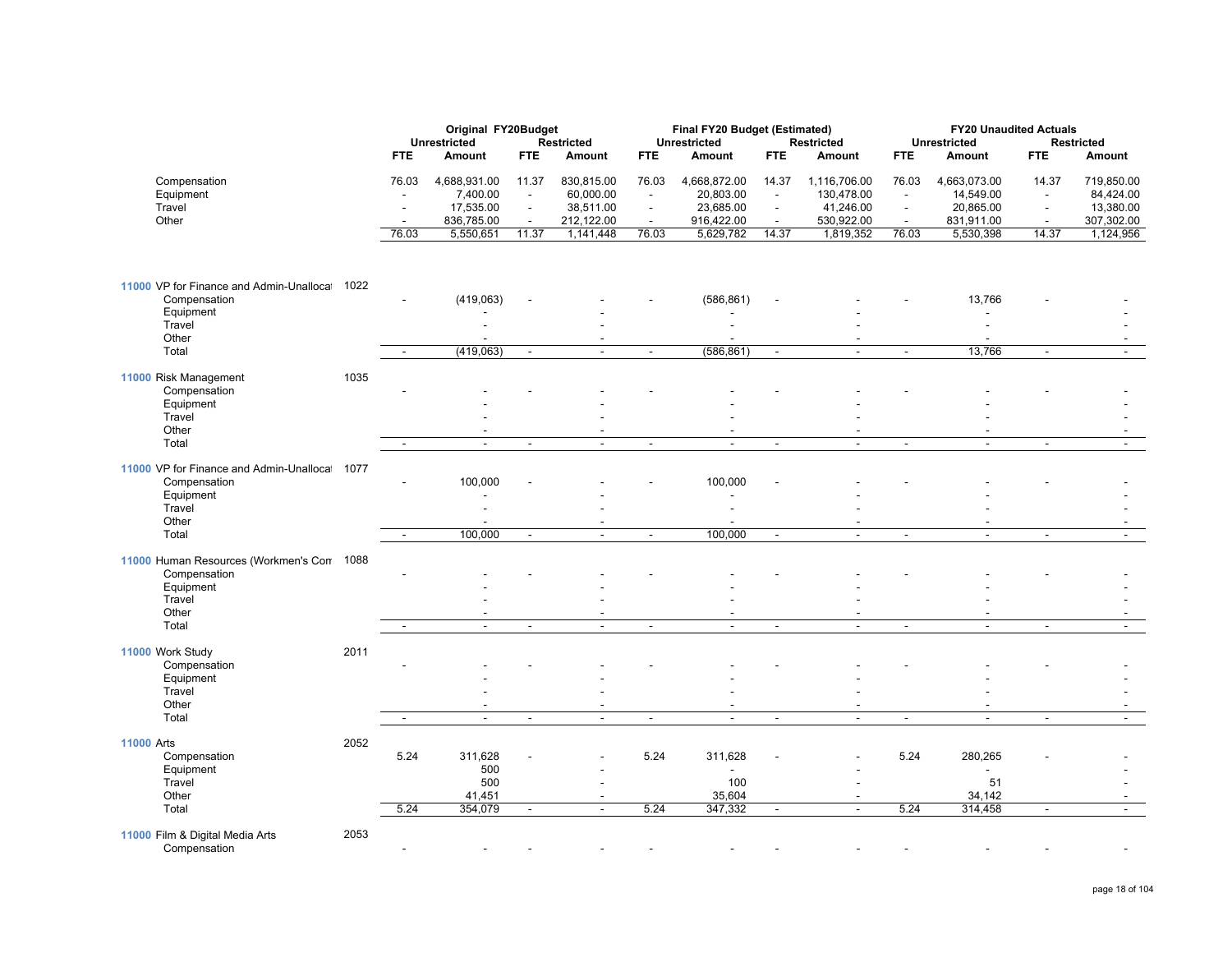|                                                         |      |                          | Original FY20Budget<br><b>Unrestricted</b> |                                   | <b>Restricted</b>                          |                                   | Final FY20 Budget (Estimated)<br><b>Unrestricted</b> |                                   | <b>Restricted</b>          |                                   | <b>FY20 Unaudited Actuals</b><br><b>Unrestricted</b> |                          | <b>Restricted</b>       |
|---------------------------------------------------------|------|--------------------------|--------------------------------------------|-----------------------------------|--------------------------------------------|-----------------------------------|------------------------------------------------------|-----------------------------------|----------------------------|-----------------------------------|------------------------------------------------------|--------------------------|-------------------------|
|                                                         |      | <b>FTE</b>               | <b>Amount</b>                              | <b>FTE</b>                        | Amount                                     | <b>FTE</b>                        | <b>Amount</b>                                        | <b>FTE</b>                        | <b>Amount</b>              | FTE                               | <b>Amount</b>                                        | <b>FTE</b>               | Amount                  |
| Compensation<br>Equipment                               |      | 76.03                    | 4,688,931.00<br>7,400.00                   | 11.37<br>$\overline{\phantom{a}}$ | 830,815.00<br>60,000.00                    | 76.03<br>$\overline{\phantom{a}}$ | 4,668,872.00<br>20,803.00                            | 14.37<br>$\overline{\phantom{a}}$ | 1,116,706.00<br>130,478.00 | 76.03<br>$\overline{\phantom{a}}$ | 4,663,073.00<br>14,549.00                            | 14.37                    | 719,850.00<br>84,424.00 |
| Travel                                                  |      |                          | 17,535.00                                  | $\mathbf{r}$                      | 38,511.00                                  | $\blacksquare$                    | 23,685.00                                            | $\blacksquare$                    | 41,246.00                  | $\blacksquare$                    | 20,865.00                                            | $\blacksquare$           | 13,380.00               |
| Other                                                   |      | $\overline{\phantom{a}}$ | 836,785.00                                 | $\sim$                            | 212,122.00                                 | $\sim$                            | 916,422.00                                           | $\sim$                            | 530,922.00                 | $\sim$                            | 831,911.00                                           | $\overline{\phantom{a}}$ | 307,302.00              |
|                                                         |      | 76.03                    | 5,550,651                                  | 11.37                             | 1,141,448                                  | 76.03                             | 5,629,782                                            | 14.37                             | 1,819,352                  | 76.03                             | 5,530,398                                            | 14.37                    | 1,124,956               |
| 11000 VP for Finance and Admin-Unalloca<br>Compensation | 1022 |                          | (419,063)                                  |                                   |                                            |                                   | (586, 861)                                           |                                   |                            |                                   | 13,766                                               |                          |                         |
| Equipment                                               |      |                          |                                            |                                   |                                            |                                   |                                                      |                                   |                            |                                   |                                                      |                          |                         |
| Travel                                                  |      |                          |                                            |                                   |                                            |                                   |                                                      |                                   |                            |                                   |                                                      |                          |                         |
| Other                                                   |      |                          |                                            |                                   | $\blacksquare$<br>$\sim$                   |                                   |                                                      |                                   | $\sim$                     |                                   |                                                      |                          |                         |
| Total                                                   |      |                          | (419,063)                                  | $\blacksquare$                    |                                            | $\overline{\phantom{a}}$          | (586, 861)                                           | $\overline{\phantom{a}}$          |                            | $\blacksquare$                    | 13,766                                               | $\blacksquare$           |                         |
| 11000 Risk Management<br>Compensation                   | 1035 |                          |                                            |                                   |                                            |                                   |                                                      |                                   |                            |                                   |                                                      |                          |                         |
| Equipment                                               |      |                          |                                            |                                   |                                            |                                   |                                                      |                                   |                            |                                   |                                                      |                          |                         |
| Travel                                                  |      |                          |                                            |                                   |                                            |                                   |                                                      |                                   |                            |                                   |                                                      |                          |                         |
| Other                                                   |      |                          |                                            |                                   |                                            |                                   |                                                      |                                   |                            |                                   |                                                      |                          |                         |
| Total                                                   |      |                          | $\overline{\phantom{a}}$                   | $\blacksquare$                    | $\sim$                                     | $\blacksquare$                    | $\blacksquare$                                       | $\blacksquare$                    | $\sim$                     | $\overline{\phantom{a}}$          | $\overline{\phantom{a}}$                             | $\overline{\phantom{a}}$ |                         |
| 11000 VP for Finance and Admin-Unalloca<br>Compensation | 1077 |                          | 100,000                                    |                                   |                                            |                                   | 100,000                                              |                                   |                            |                                   |                                                      |                          |                         |
| Equipment                                               |      |                          |                                            |                                   |                                            |                                   |                                                      |                                   |                            |                                   |                                                      |                          |                         |
| Travel<br>Other                                         |      |                          |                                            |                                   | $\overline{a}$                             |                                   |                                                      |                                   |                            |                                   | $\overline{a}$                                       |                          |                         |
| Total                                                   |      | $\sim$                   | 100,000                                    | $\blacksquare$                    | $\blacksquare$                             | $\blacksquare$                    | 100,000                                              | $\overline{\phantom{a}}$          | $\blacksquare$             | $\blacksquare$                    | $\blacksquare$                                       | $\blacksquare$           | $\sim$                  |
| 11000 Human Resources (Workmen's Con                    | 1088 |                          |                                            |                                   |                                            |                                   |                                                      |                                   |                            |                                   |                                                      |                          |                         |
| Compensation<br>Equipment                               |      |                          |                                            |                                   |                                            |                                   |                                                      |                                   |                            |                                   |                                                      |                          |                         |
| Travel                                                  |      |                          |                                            |                                   |                                            |                                   |                                                      |                                   |                            |                                   |                                                      |                          |                         |
| Other                                                   |      |                          |                                            |                                   |                                            |                                   |                                                      |                                   |                            |                                   |                                                      |                          |                         |
| Total                                                   |      |                          | $\mathbf{r}$                               | $\Delta$                          | $\Delta$                                   | $\mathbf{r}$                      | $\sim$                                               | $\mathbf{r}$                      | $\mathbf{r}$               | $\mathbb{Z}^2$                    | $\mathbb{Z}^2$                                       | $\overline{\phantom{a}}$ |                         |
| 11000 Work Study                                        | 2011 |                          |                                            |                                   |                                            |                                   |                                                      |                                   |                            |                                   |                                                      |                          |                         |
| Compensation                                            |      |                          |                                            |                                   |                                            |                                   |                                                      |                                   |                            |                                   |                                                      |                          |                         |
| Equipment<br>Travel                                     |      |                          |                                            |                                   |                                            |                                   |                                                      |                                   |                            |                                   |                                                      |                          |                         |
| Other                                                   |      |                          |                                            |                                   |                                            |                                   |                                                      |                                   |                            |                                   |                                                      |                          |                         |
| Total                                                   |      |                          | $\overline{\phantom{a}}$                   | L,                                | $\overline{\phantom{a}}$                   | $\blacksquare$                    | $\overline{\phantom{a}}$                             | $\blacksquare$                    |                            | $\sim$                            | ÷,                                                   | $\blacksquare$           |                         |
|                                                         |      |                          |                                            |                                   |                                            |                                   |                                                      |                                   |                            |                                   |                                                      |                          |                         |
| <b>11000 Arts</b><br>Compensation                       | 2052 | 5.24                     | 311,628                                    |                                   |                                            | 5.24                              | 311,628                                              |                                   |                            | 5.24                              | 280,265                                              |                          |                         |
| Equipment                                               |      |                          | 500                                        |                                   |                                            |                                   | $\overline{a}$                                       |                                   |                            |                                   |                                                      |                          |                         |
| Travel                                                  |      |                          | 500                                        |                                   |                                            |                                   | 100                                                  |                                   |                            |                                   | 51                                                   |                          |                         |
| Other<br>Total                                          |      | 5.24                     | 41,451<br>354,079                          | $\blacksquare$                    | $\overline{\phantom{a}}$<br>$\overline{a}$ | 5.24                              | 35,604<br>347,332                                    | $\overline{\phantom{a}}$          | $\blacksquare$             | 5.24                              | 34,142<br>314,458                                    | $\blacksquare$           | $\blacksquare$          |
|                                                         |      |                          |                                            |                                   |                                            |                                   |                                                      |                                   |                            |                                   |                                                      |                          |                         |
| 11000 Film & Digital Media Arts<br>Compensation         | 2053 |                          |                                            |                                   |                                            |                                   |                                                      |                                   |                            |                                   |                                                      |                          |                         |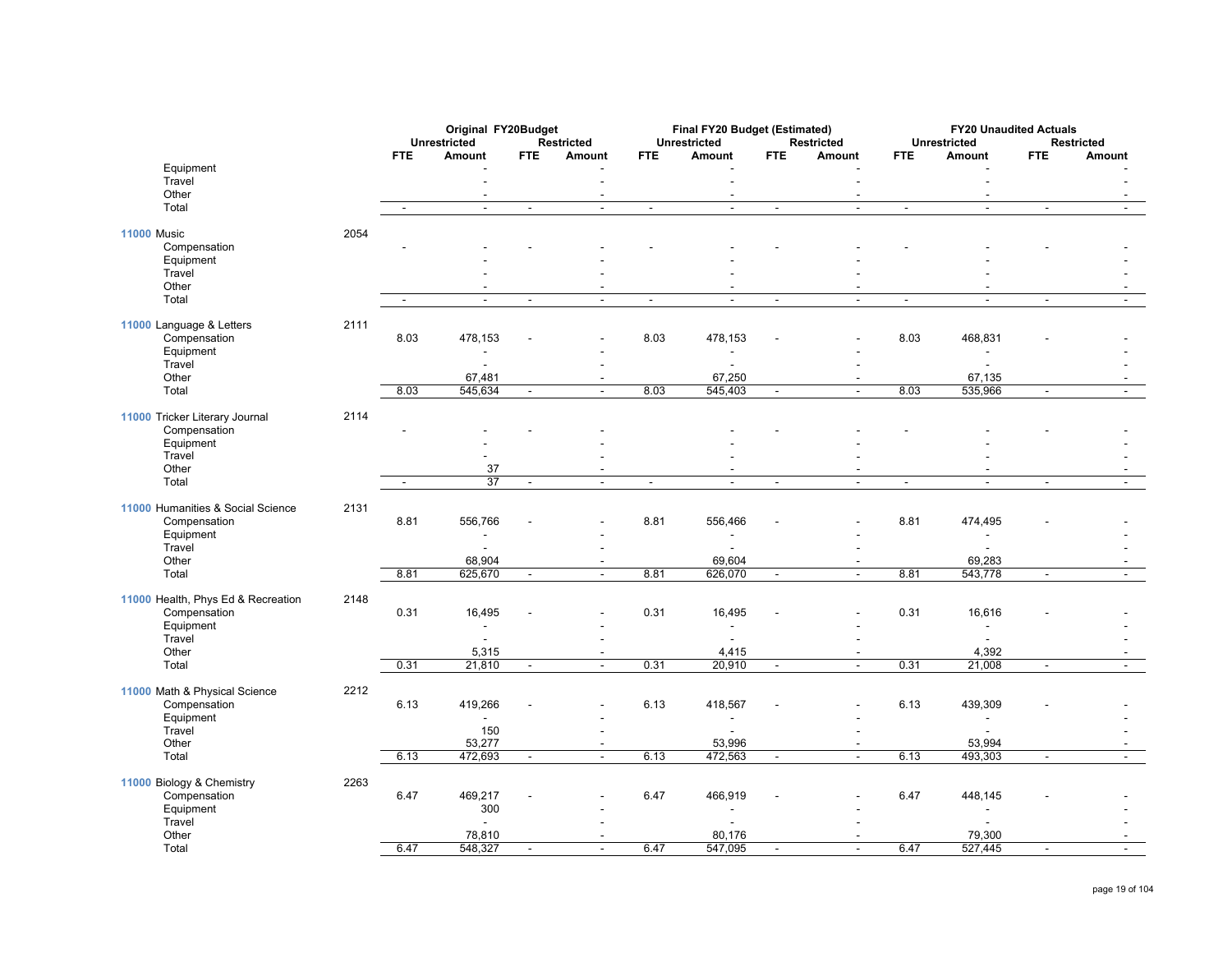|                                    |      |                          | Original FY20Budget |                |                          |                          | Final FY20 Budget (Estimated)       |                          |                          |                          | <b>FY20 Unaudited Actuals</b> |                          |                          |
|------------------------------------|------|--------------------------|---------------------|----------------|--------------------------|--------------------------|-------------------------------------|--------------------------|--------------------------|--------------------------|-------------------------------|--------------------------|--------------------------|
|                                    |      |                          | <b>Unrestricted</b> |                | <b>Restricted</b>        |                          | <b>Unrestricted</b>                 |                          | <b>Restricted</b>        |                          | <b>Unrestricted</b>           |                          | <b>Restricted</b>        |
|                                    |      | <b>FTE</b>               | Amount              | <b>FTE</b>     | Amount                   | <b>FTE</b>               | Amount                              | <b>FTE</b>               | Amount                   | <b>FTE</b>               | Amount                        | <b>FTE</b>               | Amount                   |
| Equipment<br>Travel                |      |                          |                     |                |                          |                          |                                     |                          |                          |                          |                               |                          |                          |
| Other                              |      |                          |                     |                | $\overline{\phantom{a}}$ |                          | $\overline{\phantom{a}}$            |                          |                          |                          | $\overline{\phantom{a}}$      |                          |                          |
| Total                              |      | ÷                        | $\mathbf{r}$        | $\blacksquare$ | $\Delta$                 | $\blacksquare$           | $\mathbf{r}$                        | $\overline{\phantom{a}}$ | $\mathbf{r}$             | $\blacksquare$           | $\mathbb{Z}^2$                | $\blacksquare$           | $\blacksquare$           |
| <b>11000 Music</b>                 | 2054 |                          |                     |                |                          |                          |                                     |                          |                          |                          |                               |                          |                          |
| Compensation                       |      |                          |                     |                |                          |                          |                                     |                          |                          |                          |                               |                          |                          |
| Equipment                          |      |                          |                     |                |                          |                          |                                     |                          |                          |                          |                               |                          |                          |
| Travel                             |      |                          |                     |                |                          |                          |                                     |                          |                          |                          |                               |                          |                          |
| Other                              |      |                          |                     |                |                          |                          |                                     |                          |                          |                          |                               |                          |                          |
| Total                              |      | $\overline{\phantom{a}}$ | $\blacksquare$      | $\sim$         | $\sim$                   | $\overline{\phantom{a}}$ | $\blacksquare$                      | $\sim$                   | $\sim$                   | $\blacksquare$           | $\sim$                        | $\overline{\phantom{a}}$ |                          |
| 11000 Language & Letters           | 2111 |                          |                     |                |                          |                          |                                     |                          |                          |                          |                               |                          |                          |
| Compensation                       |      | 8.03                     | 478,153             |                |                          | 8.03                     | 478,153                             |                          |                          | 8.03                     | 468,831                       |                          |                          |
| Equipment                          |      |                          |                     |                |                          |                          |                                     |                          |                          |                          | $\overline{a}$                |                          |                          |
| Travel                             |      |                          |                     |                |                          |                          | $\overline{a}$                      |                          | $\overline{\phantom{a}}$ |                          | $\blacksquare$                |                          |                          |
| Other                              |      |                          | 67,481              |                |                          |                          | 67,250                              |                          | $\overline{a}$           |                          | 67,135                        |                          |                          |
| Total                              |      | 8.03                     | 545,634             | $\blacksquare$ | $\sim$                   | 8.03                     | 545,403                             | $\blacksquare$           | $\sim$                   | 8.03                     | 535,966                       | $\blacksquare$           |                          |
| 11000 Tricker Literary Journal     | 2114 |                          |                     |                |                          |                          |                                     |                          |                          |                          |                               |                          |                          |
| Compensation                       |      |                          |                     |                |                          |                          |                                     |                          |                          |                          |                               |                          |                          |
| Equipment                          |      |                          |                     |                |                          |                          |                                     |                          |                          |                          |                               |                          |                          |
| Travel                             |      |                          |                     |                |                          |                          |                                     |                          |                          |                          |                               |                          |                          |
| Other                              |      |                          | 37                  |                | $\overline{\phantom{a}}$ |                          | $\overline{\phantom{a}}$            |                          |                          |                          | $\blacksquare$                |                          |                          |
| Total                              |      | $\blacksquare$           | $\overline{37}$     | $\blacksquare$ | $\overline{a}$           | $\blacksquare$           | $\overline{a}$                      | $\blacksquare$           | $\sim$                   | $\overline{\phantom{a}}$ | $\overline{a}$                | $\blacksquare$           | $\mathbf{r}$             |
| 11000 Humanities & Social Science  | 2131 |                          |                     |                |                          |                          |                                     |                          |                          |                          |                               |                          |                          |
| Compensation                       |      | 8.81                     | 556,766             |                |                          | 8.81                     | 556,466                             |                          |                          | 8.81                     | 474,495                       |                          |                          |
| Equipment                          |      |                          |                     |                |                          |                          |                                     |                          |                          |                          |                               |                          |                          |
| Travel                             |      |                          |                     |                |                          |                          |                                     |                          |                          |                          |                               |                          |                          |
| Other                              |      |                          | 68,904              |                |                          |                          | 69,604                              |                          |                          |                          | 69,283                        |                          |                          |
| Total                              |      | 8.81                     | 625,670             | $\blacksquare$ | $\blacksquare$           | 8.81                     | 626,070                             | $\blacksquare$           | $\sim$                   | 8.81                     | 543,778                       | $\blacksquare$           | $\sim$                   |
| 11000 Health, Phys Ed & Recreation | 2148 |                          |                     |                |                          |                          |                                     |                          |                          |                          |                               |                          |                          |
| Compensation                       |      | 0.31                     | 16,495              |                |                          | 0.31                     | 16,495                              |                          |                          | 0.31                     | 16,616                        |                          |                          |
| Equipment                          |      |                          | $\sim$              |                |                          |                          | $\sim$                              |                          |                          |                          | $\sim$                        |                          |                          |
| Travel                             |      |                          | $\blacksquare$      |                |                          |                          | $\blacksquare$                      |                          | $\overline{a}$           |                          | $\overline{a}$                |                          |                          |
| Other                              |      |                          | 5,315               |                |                          |                          | 4,415                               |                          | $\sim$                   |                          | 4,392                         |                          |                          |
| Total                              |      | 0.31                     | 21,810              | $\blacksquare$ | $\overline{a}$           | 0.31                     | 20,910                              | $\blacksquare$           | $\blacksquare$           | 0.31                     | 21,008                        | $\overline{\phantom{a}}$ | $\overline{\phantom{a}}$ |
|                                    |      |                          |                     |                |                          |                          |                                     |                          |                          |                          |                               |                          |                          |
| 11000 Math & Physical Science      | 2212 |                          |                     |                |                          |                          |                                     |                          |                          |                          |                               |                          |                          |
| Compensation<br>Equipment          |      | 6.13                     | 419,266             |                |                          | 6.13                     | 418,567<br>$\overline{\phantom{a}}$ |                          |                          | 6.13                     | 439,309<br>$\blacksquare$     |                          |                          |
| Travel                             |      |                          | 150                 |                |                          |                          |                                     |                          |                          |                          |                               |                          |                          |
| Other                              |      |                          | 53,277              |                | $\blacksquare$           |                          | 53,996                              |                          | $\overline{\phantom{a}}$ |                          | 53,994                        |                          | $\overline{\phantom{a}}$ |
| Total                              |      | 6.13                     | 472,693             | $\blacksquare$ |                          | 6.13                     | 472,563                             | $\overline{\phantom{a}}$ | $\sim$                   | 6.13                     | 493,303                       | $\blacksquare$           |                          |
|                                    |      |                          |                     |                |                          |                          |                                     |                          |                          |                          |                               |                          |                          |
| 11000 Biology & Chemistry          | 2263 | 6.47                     | 469,217             |                |                          | 6.47                     |                                     |                          |                          | 6.47                     |                               |                          |                          |
| Compensation<br>Equipment          |      |                          | 300                 |                |                          |                          | 466,919                             |                          |                          |                          | 448,145                       |                          |                          |
| Travel                             |      |                          | $\sim$              |                |                          |                          |                                     |                          |                          |                          |                               |                          |                          |
| Other                              |      |                          | 78,810              |                |                          |                          | 80,176                              |                          |                          |                          | 79,300                        |                          |                          |
| Total                              |      | 6.47                     | 548,327             | $\blacksquare$ | $\blacksquare$           | 6.47                     | 547,095                             | $\sim$                   | $\sim$                   | 6.47                     | 527,445                       | $\blacksquare$           |                          |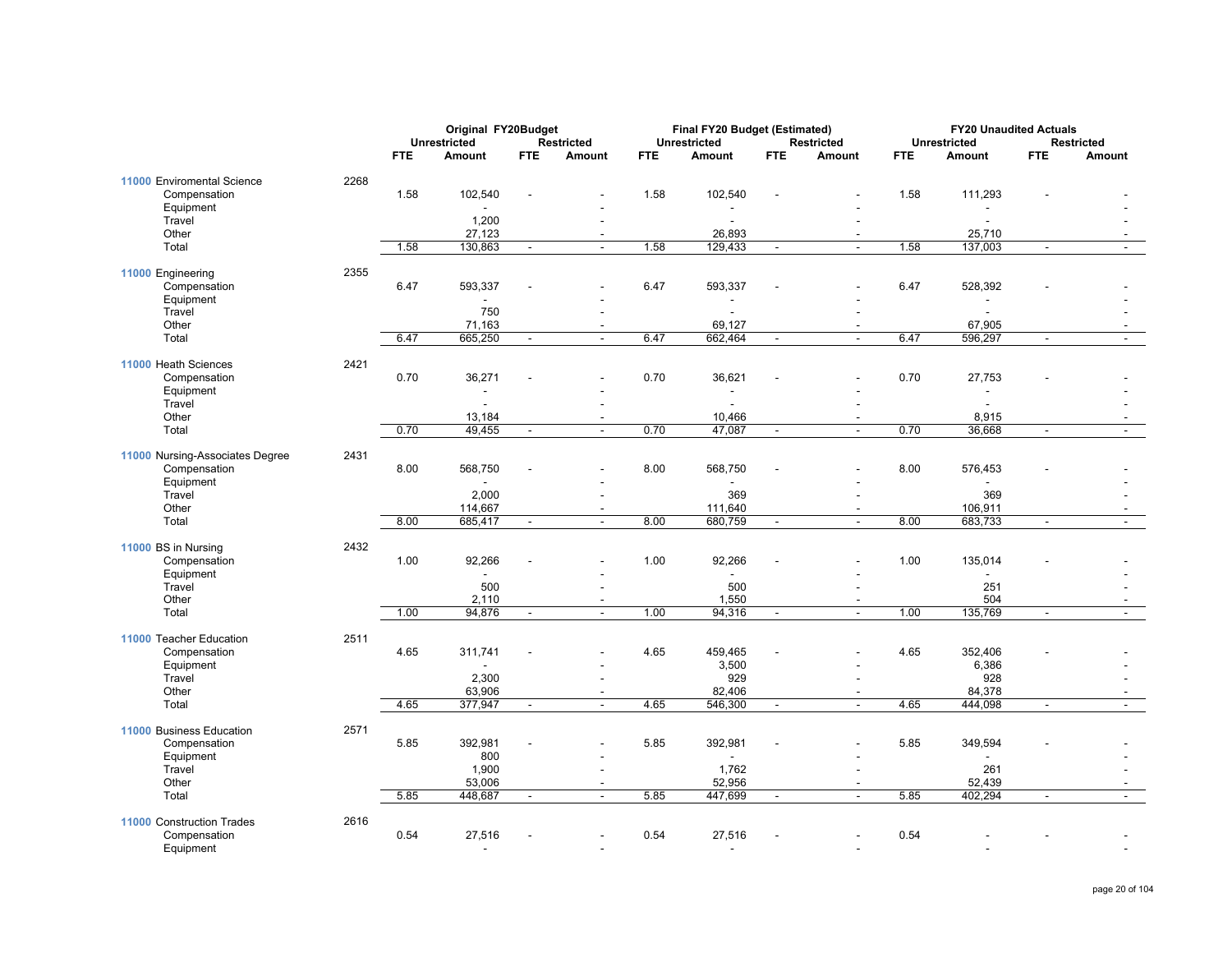|                                                 |      |            | Original FY20Budget |                          |                                    |            | Final FY20 Budget (Estimated)    |                          |                                          |            | <b>FY20 Unaudited Actuals</b>       |                          |                          |
|-------------------------------------------------|------|------------|---------------------|--------------------------|------------------------------------|------------|----------------------------------|--------------------------|------------------------------------------|------------|-------------------------------------|--------------------------|--------------------------|
|                                                 |      |            | <b>Unrestricted</b> |                          | <b>Restricted</b>                  |            | <b>Unrestricted</b>              |                          | <b>Restricted</b>                        |            | <b>Unrestricted</b>                 |                          | <b>Restricted</b>        |
|                                                 |      | <b>FTE</b> | Amount              | <b>FTE</b>               | Amount                             | <b>FTE</b> | Amount                           | <b>FTE</b>               | Amount                                   | <b>FTE</b> | Amount                              | <b>FTE</b>               | Amount                   |
| 11000 Enviromental Science<br>Compensation      | 2268 | 1.58       | 102,540             |                          |                                    | 1.58       | 102,540                          |                          |                                          | 1.58       | 111,293                             |                          |                          |
| Equipment                                       |      |            |                     |                          |                                    |            |                                  |                          |                                          |            |                                     |                          |                          |
| Travel                                          |      |            | 1,200               |                          |                                    |            |                                  |                          |                                          |            |                                     |                          |                          |
| Other<br>Total                                  |      | 1.58       | 27,123<br>130,863   | $\blacksquare$           | $\overline{\phantom{a}}$<br>$\sim$ | 1.58       | 26,893<br>129,433                | $\blacksquare$           | $\overline{\phantom{a}}$<br>$\mathbf{r}$ | 1.58       | 25,710<br>137,003                   |                          | $\sim$                   |
|                                                 |      |            |                     |                          |                                    |            |                                  |                          |                                          |            |                                     |                          |                          |
| 11000 Engineering<br>Compensation               | 2355 | 6.47       | 593,337             |                          |                                    | 6.47       | 593,337                          |                          |                                          | 6.47       | 528,392                             |                          |                          |
| Equipment                                       |      |            |                     |                          |                                    |            |                                  |                          |                                          |            |                                     |                          |                          |
| Travel<br>Other                                 |      |            | 750<br>71,163       |                          |                                    |            | 69,127                           |                          |                                          |            | $\overline{\phantom{a}}$<br>67,905  |                          |                          |
| Total                                           |      | 6.47       | 665,250             | $\blacksquare$           | $\overline{a}$                     | 6.47       | 662,464                          | $\blacksquare$           | $\sim$                                   | 6.47       | 596,297                             | $\blacksquare$           | $\mathbf{r}$             |
|                                                 |      |            |                     |                          |                                    |            |                                  |                          |                                          |            |                                     |                          |                          |
| 11000 Heath Sciences<br>Compensation            | 2421 | 0.70       | 36,271              |                          |                                    | 0.70       | 36,621                           |                          |                                          | 0.70       | 27,753                              |                          |                          |
| Equipment<br>Travel                             |      |            | $\sim$              |                          | $\sim$                             |            | $\blacksquare$<br>$\blacksquare$ |                          | $\sim$                                   |            | $\blacksquare$<br>$\sim$            |                          |                          |
| Other                                           |      |            | 13,184              |                          | $\overline{a}$                     |            | 10,466                           |                          | $\mathbf{r}$                             |            | 8,915                               |                          |                          |
| Total                                           |      | 0.70       | 49,455              | $\overline{\phantom{a}}$ | $\mathbf{r}$                       | 0.70       | 47,087                           | $\overline{\phantom{a}}$ | $\blacksquare$                           | 0.70       | 36,668                              | $\overline{\phantom{a}}$ | $\overline{\phantom{a}}$ |
|                                                 |      |            |                     |                          |                                    |            |                                  |                          |                                          |            |                                     |                          |                          |
| 11000 Nursing-Associates Degree<br>Compensation | 2431 | 8.00       | 568,750             |                          |                                    | 8.00       | 568,750                          |                          |                                          | 8.00       | 576,453                             |                          |                          |
| Equipment<br>Travel                             |      |            | 2,000               |                          |                                    |            | 369                              |                          |                                          |            | 369                                 |                          |                          |
| Other                                           |      |            | 114,667             |                          | $\overline{\phantom{a}}$           |            | 111,640                          |                          | $\overline{\phantom{a}}$                 |            | 106,911                             |                          | $\overline{\phantom{a}}$ |
| Total                                           |      | 8.00       | 685,417             | $\blacksquare$           | $\overline{a}$                     | 8.00       | 680,759                          | $\mathbf{r}$             | Ξ                                        | 8.00       | 683,733                             | $\overline{a}$           | $\mathbf{r}$             |
| 11000 BS in Nursing                             | 2432 |            |                     |                          |                                    |            |                                  |                          |                                          |            |                                     |                          |                          |
| Compensation<br>Equipment                       |      | 1.00       | 92,266<br>÷         |                          |                                    | 1.00       | 92,266<br>$\blacksquare$         |                          |                                          | 1.00       | 135,014<br>$\overline{\phantom{a}}$ |                          |                          |
| Travel                                          |      |            | 500                 |                          |                                    |            | 500                              |                          |                                          |            | 251                                 |                          |                          |
| Other                                           |      |            | 2,110               |                          |                                    |            | 1,550                            |                          |                                          |            | 504                                 |                          |                          |
| Total                                           |      | 1.00       | 94,876              | $\blacksquare$           | $\overline{a}$                     | 1.00       | 94,316                           | $\blacksquare$           | $\sim$                                   | 1.00       | 135,769                             | $\blacksquare$           | $\blacksquare$           |
| 11000 Teacher Education                         | 2511 |            |                     |                          |                                    |            |                                  |                          |                                          |            |                                     |                          |                          |
| Compensation                                    |      | 4.65       | 311,741             |                          |                                    | 4.65       | 459,465                          |                          |                                          | 4.65       | 352,406                             |                          |                          |
| Equipment                                       |      |            |                     |                          |                                    |            | 3,500                            |                          |                                          |            | 6,386                               |                          |                          |
| Travel<br>Other                                 |      |            | 2,300<br>63,906     |                          |                                    |            | 929<br>82,406                    |                          | $\overline{\phantom{a}}$<br>$\sim$       |            | 928<br>84,378                       |                          |                          |
| Total                                           |      | 4.65       | 377,947             | $\blacksquare$           | $\mathbf{r}$                       | 4.65       | 546,300                          | $\blacksquare$           | $\blacksquare$                           | 4.65       | 444,098                             | $\overline{\phantom{a}}$ | $\blacksquare$           |
|                                                 |      |            |                     |                          |                                    |            |                                  |                          |                                          |            |                                     |                          |                          |
| 11000 Business Education                        | 2571 |            |                     |                          |                                    |            |                                  |                          |                                          |            |                                     |                          |                          |
| Compensation                                    |      | 5.85       | 392,981<br>800      |                          |                                    | 5.85       | 392,981                          |                          |                                          | 5.85       | 349,594                             |                          |                          |
| Equipment<br>Travel                             |      |            | 1,900               |                          |                                    |            | 1,762                            |                          |                                          |            | 261                                 |                          |                          |
| Other                                           |      |            | 53,006              |                          | $\overline{\phantom{a}}$           |            | 52,956                           |                          | $\blacksquare$                           |            | 52,439                              |                          | $\overline{\phantom{a}}$ |
| Total                                           |      | 5.85       | 448,687             | $\blacksquare$           | $\overline{\phantom{a}}$           | 5.85       | 447,699                          | $\blacksquare$           | $\omega$                                 | 5.85       | 402,294                             | $\blacksquare$           | $\mathbf{r}$             |
| 11000 Construction Trades                       | 2616 |            |                     |                          |                                    |            |                                  |                          |                                          |            |                                     |                          |                          |
| Compensation<br>Equipment                       |      | 0.54       | 27,516              |                          |                                    | 0.54       | 27,516                           |                          |                                          | 0.54       |                                     |                          |                          |
|                                                 |      |            |                     |                          |                                    |            |                                  |                          |                                          |            |                                     |                          |                          |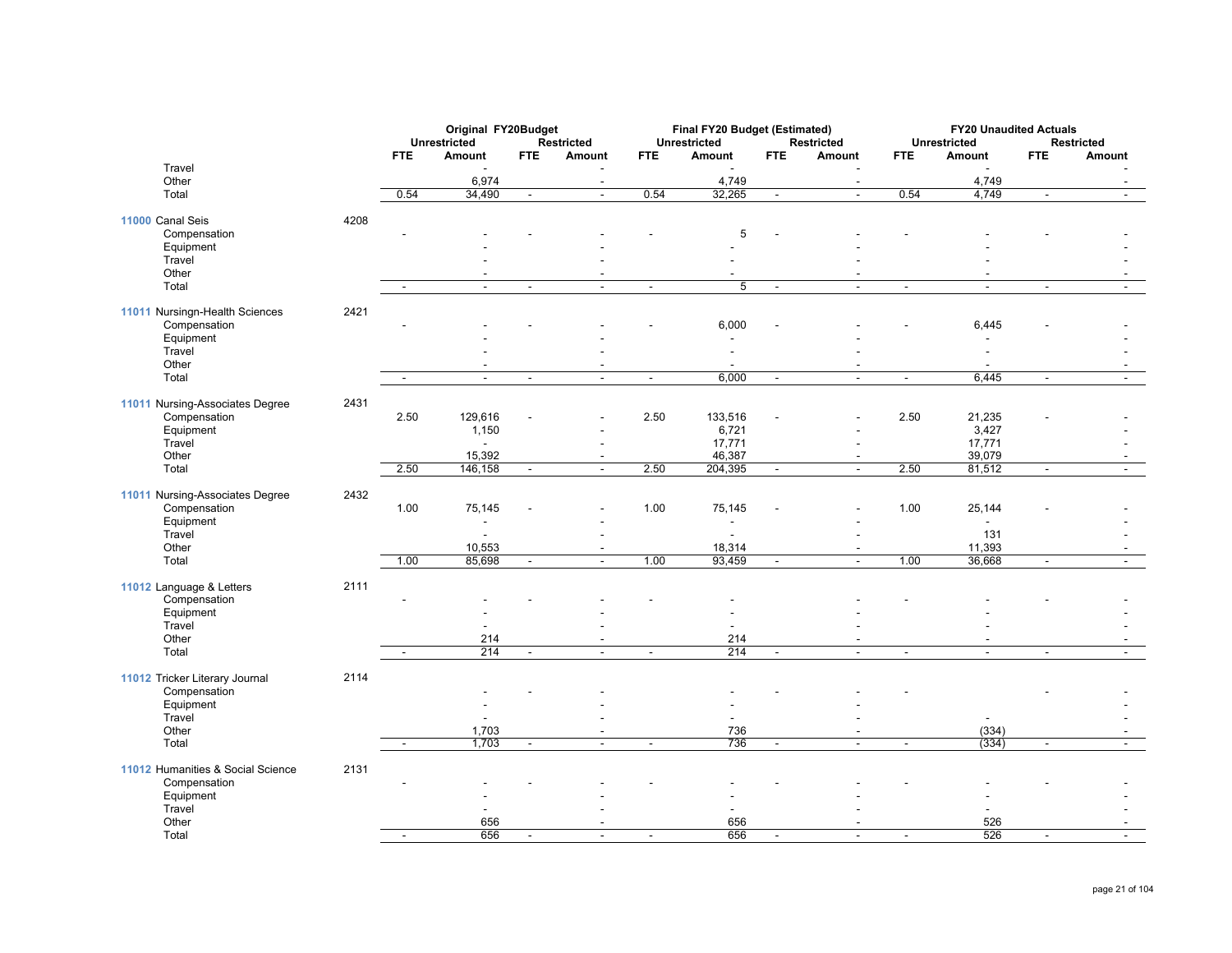|                                                |      |                          | Original FY20Budget           |                          |                                  |                          | Final FY20 Budget (Estimated)      |                          |                                            |                          | <b>FY20 Unaudited Actuals</b>              |                          |                             |
|------------------------------------------------|------|--------------------------|-------------------------------|--------------------------|----------------------------------|--------------------------|------------------------------------|--------------------------|--------------------------------------------|--------------------------|--------------------------------------------|--------------------------|-----------------------------|
|                                                |      | <b>FTE</b>               | <b>Unrestricted</b><br>Amount | <b>FTE</b>               | <b>Restricted</b><br>Amount      | <b>FTE</b>               | <b>Unrestricted</b><br>Amount      | <b>FTE</b>               | Restricted<br>Amount                       | <b>FTE</b>               | <b>Unrestricted</b><br>Amount              | <b>FTE</b>               | <b>Restricted</b><br>Amount |
| Travel<br>Other                                |      |                          | 6,974                         |                          | L,<br>$\overline{\phantom{a}}$   |                          | 4,749                              |                          | $\blacksquare$<br>$\mathbf{r}$             |                          | 4,749                                      |                          |                             |
| Total                                          |      | 0.54                     | 34,490                        | Ξ                        | Ξ                                | 0.54                     | 32,265                             | $\sim$                   | Ξ                                          | 0.54                     | 4,749                                      | Ξ                        | $\sim$                      |
| 11000 Canal Seis                               | 4208 |                          |                               |                          |                                  |                          |                                    |                          |                                            |                          |                                            |                          |                             |
| Compensation                                   |      |                          |                               |                          |                                  |                          | 5                                  |                          |                                            |                          |                                            |                          |                             |
| Equipment                                      |      |                          |                               |                          |                                  |                          |                                    |                          |                                            |                          |                                            |                          |                             |
| Travel<br>Other                                |      |                          |                               |                          |                                  |                          |                                    |                          |                                            |                          |                                            |                          |                             |
| Total                                          |      | $\overline{\phantom{a}}$ | $\blacksquare$                | $\blacksquare$           | $\blacksquare$                   | $\blacksquare$           | $\overline{5}$                     | $\sim$                   | $\blacksquare$                             | $\blacksquare$           | $\blacksquare$                             | $\blacksquare$           | $\blacksquare$              |
|                                                |      |                          |                               |                          |                                  |                          |                                    |                          |                                            |                          |                                            |                          |                             |
| 11011 Nursingn-Health Sciences<br>Compensation | 2421 |                          |                               |                          |                                  |                          | 6,000                              |                          |                                            |                          | 6,445                                      |                          |                             |
| Equipment                                      |      |                          |                               |                          |                                  |                          | $\overline{\phantom{a}}$           |                          |                                            |                          | $\overline{\phantom{a}}$                   |                          |                             |
| Travel                                         |      |                          |                               |                          |                                  |                          | $\overline{a}$                     |                          |                                            |                          | ÷,                                         |                          |                             |
| Other                                          |      |                          |                               |                          |                                  |                          |                                    |                          |                                            |                          |                                            |                          |                             |
| Total                                          |      | $\overline{a}$           | $\blacksquare$                | $\blacksquare$           | $\blacksquare$                   | $\blacksquare$           | 6,000                              | $\sim$                   | $\blacksquare$                             | $\blacksquare$           | 6,445                                      | $\blacksquare$           | $\mathbf{r}$                |
| 11011 Nursing-Associates Degree                | 2431 |                          |                               |                          |                                  |                          |                                    |                          |                                            |                          |                                            |                          |                             |
| Compensation                                   |      | 2.50                     | 129,616                       |                          |                                  | 2.50                     | 133,516                            |                          |                                            | 2.50                     | 21,235                                     |                          |                             |
| Equipment                                      |      |                          | 1,150                         |                          |                                  |                          | 6,721                              |                          |                                            |                          | 3,427                                      |                          |                             |
| Travel                                         |      |                          |                               |                          |                                  |                          | 17,771                             |                          |                                            |                          | 17,771                                     |                          |                             |
| Other<br>Total                                 |      | 2.50                     | 15,392<br>146,158             | $\blacksquare$           | $\blacksquare$<br>$\Delta$       | 2.50                     | 46,387<br>204,395                  | $\sim$                   | $\sim$                                     | 2.50                     | 39,079<br>81,512                           | $\blacksquare$           | $\sim$                      |
|                                                |      |                          |                               |                          |                                  |                          |                                    |                          |                                            |                          |                                            |                          |                             |
| 11011 Nursing-Associates Degree                | 2432 |                          |                               |                          |                                  |                          |                                    |                          |                                            |                          |                                            |                          |                             |
| Compensation<br>Equipment                      |      | 1.00                     | 75,145                        |                          |                                  | 1.00                     | 75,145<br>$\overline{\phantom{a}}$ |                          |                                            | 1.00                     | 25,144<br>$\blacksquare$                   |                          |                             |
| Travel                                         |      |                          |                               |                          |                                  |                          | ٠                                  |                          |                                            |                          | 131                                        |                          |                             |
| Other                                          |      |                          | 10,553                        |                          | $\blacksquare$                   |                          | 18,314                             |                          |                                            |                          | 11,393                                     |                          |                             |
| Total                                          |      | 1.00                     | 85,698                        | $\blacksquare$           | $\sim$                           | 1.00                     | 93,459                             | $\blacksquare$           | $\blacksquare$                             | 1.00                     | 36,668                                     | $\overline{\phantom{a}}$ | $\blacksquare$              |
| 11012 Language & Letters                       | 2111 |                          |                               |                          |                                  |                          |                                    |                          |                                            |                          |                                            |                          |                             |
| Compensation                                   |      |                          |                               |                          |                                  |                          |                                    |                          |                                            |                          |                                            |                          |                             |
| Equipment                                      |      |                          |                               |                          |                                  |                          |                                    |                          |                                            |                          |                                            |                          |                             |
| Travel                                         |      |                          | ÷,                            |                          |                                  |                          | $\overline{\phantom{a}}$           |                          |                                            |                          |                                            |                          |                             |
| Other<br>Total                                 |      | $\overline{\phantom{a}}$ | 214<br>214                    | $\overline{\phantom{a}}$ | $\blacksquare$<br>$\blacksquare$ | $\overline{\phantom{a}}$ | 214<br>214                         | $\overline{\phantom{a}}$ | $\overline{\phantom{a}}$<br>$\blacksquare$ | $\overline{\phantom{a}}$ | $\overline{\phantom{a}}$<br>$\blacksquare$ | $\overline{\phantom{a}}$ |                             |
|                                                |      |                          |                               |                          |                                  |                          |                                    |                          |                                            |                          |                                            |                          |                             |
| 11012 Tricker Literary Journal                 | 2114 |                          |                               |                          |                                  |                          |                                    |                          |                                            |                          |                                            |                          |                             |
| Compensation                                   |      |                          |                               |                          |                                  |                          |                                    |                          |                                            |                          |                                            |                          |                             |
| Equipment<br>Travel                            |      |                          |                               |                          |                                  |                          |                                    |                          |                                            |                          |                                            |                          |                             |
| Other                                          |      |                          | 1,703                         |                          | $\overline{\phantom{a}}$         |                          | 736                                |                          |                                            |                          | (334)                                      |                          |                             |
| Total                                          |      |                          | 1,703                         | $\overline{a}$           |                                  | $\overline{a}$           | 736                                | $\blacksquare$           | $\overline{a}$                             | $\overline{a}$           | (334)                                      | $\blacksquare$           |                             |
| 11012 Humanities & Social Science              | 2131 |                          |                               |                          |                                  |                          |                                    |                          |                                            |                          |                                            |                          |                             |
| Compensation                                   |      |                          |                               |                          |                                  |                          |                                    |                          |                                            |                          |                                            |                          |                             |
| Equipment                                      |      |                          |                               |                          |                                  |                          |                                    |                          |                                            |                          |                                            |                          |                             |
| Travel                                         |      |                          |                               |                          |                                  |                          |                                    |                          |                                            |                          |                                            |                          |                             |
| Other                                          |      |                          | 656                           |                          |                                  |                          | 656                                |                          |                                            |                          | 526                                        |                          |                             |
| Total                                          |      |                          | 656                           |                          |                                  |                          | 656                                |                          |                                            |                          | 526                                        |                          |                             |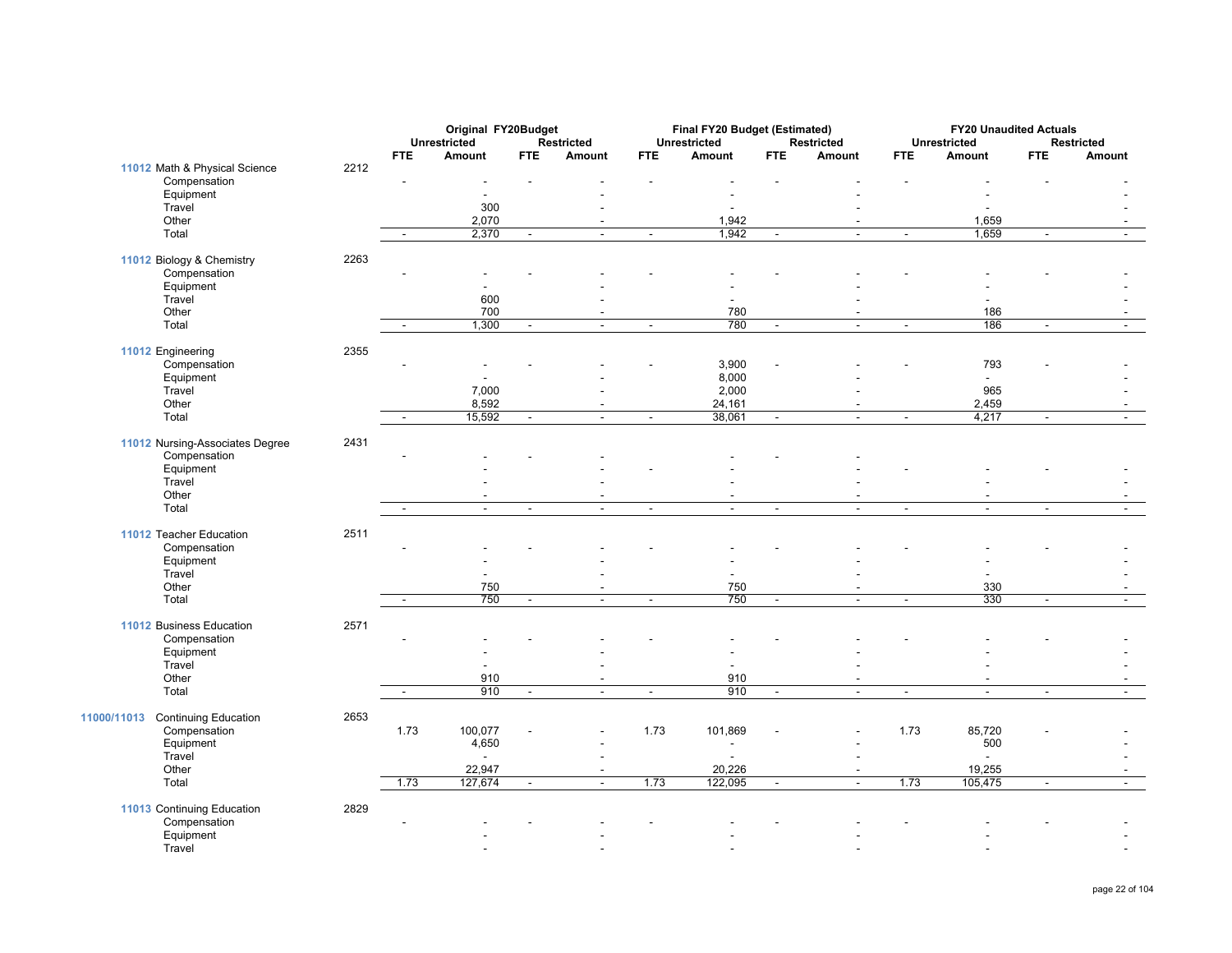|                                            |      |                          | <b>Original FY20Budget</b> |                          |                          |                          | Final FY20 Budget (Estimated) |                          |                          |                          | <b>FY20 Unaudited Actuals</b> |                          |                          |
|--------------------------------------------|------|--------------------------|----------------------------|--------------------------|--------------------------|--------------------------|-------------------------------|--------------------------|--------------------------|--------------------------|-------------------------------|--------------------------|--------------------------|
|                                            |      |                          | <b>Unrestricted</b>        |                          | <b>Restricted</b>        |                          | <b>Unrestricted</b>           |                          | <b>Restricted</b>        |                          | <b>Unrestricted</b>           |                          | <b>Restricted</b>        |
|                                            |      | FTE                      | Amount                     | <b>FTE</b>               | Amount                   | <b>FTE</b>               | <b>Amount</b>                 | <b>FTE</b>               | Amount                   | <b>FTE</b>               | Amount                        | <b>FTE</b>               | Amount                   |
| 11012 Math & Physical Science              | 2212 |                          |                            |                          |                          |                          |                               |                          |                          |                          |                               |                          |                          |
| Compensation<br>Equipment                  |      |                          |                            |                          |                          |                          |                               |                          |                          |                          |                               |                          |                          |
|                                            |      |                          |                            |                          |                          |                          |                               |                          |                          |                          |                               |                          |                          |
| Travel                                     |      |                          | 300                        |                          |                          |                          |                               |                          |                          |                          |                               |                          |                          |
| Other                                      |      |                          | 2,070                      |                          | $\overline{a}$           |                          | 1,942                         |                          |                          |                          | 1,659                         |                          |                          |
| Total                                      |      | $\sim$                   | 2,370                      | $\blacksquare$           | $\sim$                   | $\blacksquare$           | 1,942                         | $\sim$                   | $\blacksquare$           | $\sim$                   | 1,659                         | $\blacksquare$           | $\sim$                   |
| 11012 Biology & Chemistry                  | 2263 |                          |                            |                          |                          |                          |                               |                          |                          |                          |                               |                          |                          |
| Compensation                               |      |                          |                            |                          |                          |                          |                               |                          |                          |                          |                               |                          |                          |
| Equipment                                  |      |                          |                            |                          |                          |                          |                               |                          |                          |                          |                               |                          |                          |
| Travel                                     |      |                          | 600                        |                          |                          |                          |                               |                          |                          |                          |                               |                          |                          |
| Other                                      |      |                          | 700                        |                          | $\overline{\phantom{a}}$ |                          | 780                           |                          |                          |                          | 186                           |                          |                          |
| Total                                      |      | $\overline{\phantom{a}}$ | 1,300                      | $\overline{\phantom{a}}$ | $\blacksquare$           | $\blacksquare$           | 780                           | $\blacksquare$           | $\overline{a}$           | $\overline{\phantom{a}}$ | 186                           | $\blacksquare$           | $\sim$                   |
|                                            |      |                          |                            |                          |                          |                          |                               |                          |                          |                          |                               |                          |                          |
| 11012 Engineering                          | 2355 |                          |                            |                          |                          |                          |                               |                          |                          |                          |                               |                          |                          |
| Compensation                               |      |                          | $\overline{\phantom{a}}$   |                          |                          |                          | 3,900                         |                          |                          |                          | 793                           |                          |                          |
| Equipment                                  |      |                          |                            |                          |                          |                          | 8,000                         |                          |                          |                          | $\overline{\phantom{a}}$      |                          |                          |
| Travel                                     |      |                          | 7,000                      |                          |                          |                          | 2,000                         |                          |                          |                          | 965                           |                          |                          |
| Other                                      |      |                          | 8,592                      |                          |                          |                          | 24,161                        |                          |                          |                          | 2,459                         |                          |                          |
| Total                                      |      | $\sim$                   | 15,592                     | $\overline{\phantom{a}}$ | $\sim$                   | $\blacksquare$           | 38,061                        | $\blacksquare$           | $\blacksquare$           | $\blacksquare$           | 4,217                         | $\blacksquare$           | $\blacksquare$           |
|                                            |      |                          |                            |                          |                          |                          |                               |                          |                          |                          |                               |                          |                          |
| 11012 Nursing-Associates Degree            | 2431 |                          |                            |                          |                          |                          |                               |                          |                          |                          |                               |                          |                          |
| Compensation                               |      |                          |                            |                          |                          |                          |                               |                          |                          |                          |                               |                          |                          |
| Equipment                                  |      |                          |                            |                          |                          |                          |                               |                          |                          |                          |                               |                          |                          |
| Travel                                     |      |                          |                            |                          |                          |                          |                               |                          |                          |                          |                               |                          |                          |
| Other                                      |      |                          | $\overline{\phantom{a}}$   |                          |                          |                          |                               |                          |                          |                          |                               |                          |                          |
| Total                                      |      | $\sim$                   | $\sim$                     | $\sim$                   | $\mathbf{r}$             | $\blacksquare$           | $\blacksquare$                | $\blacksquare$           | $\blacksquare$           | $\sim$                   | $\blacksquare$                | $\sim$                   | $\blacksquare$           |
| 11012 Teacher Education                    | 2511 |                          |                            |                          |                          |                          |                               |                          |                          |                          |                               |                          |                          |
| Compensation                               |      |                          |                            |                          |                          |                          |                               |                          |                          |                          |                               |                          |                          |
| Equipment                                  |      |                          |                            |                          |                          |                          |                               |                          |                          |                          |                               |                          |                          |
| Travel                                     |      |                          |                            |                          |                          |                          |                               |                          |                          |                          |                               |                          |                          |
| Other                                      |      |                          | 750                        |                          | $\overline{\phantom{a}}$ |                          | 750                           |                          |                          |                          | 330                           |                          |                          |
| Total                                      |      | $\overline{\phantom{a}}$ | 750                        | $\overline{\phantom{a}}$ | $\overline{\phantom{a}}$ | $\overline{\phantom{a}}$ | 750                           | $\overline{\phantom{a}}$ | $\blacksquare$           | $\overline{\phantom{a}}$ | 330                           | $\overline{\phantom{a}}$ | $\sim$                   |
|                                            |      |                          |                            |                          |                          |                          |                               |                          |                          |                          |                               |                          |                          |
| 11012 Business Education                   | 2571 |                          |                            |                          |                          |                          |                               |                          |                          |                          |                               |                          |                          |
| Compensation                               |      |                          |                            |                          |                          |                          |                               |                          |                          |                          |                               |                          |                          |
| Equipment                                  |      |                          |                            |                          |                          |                          |                               |                          |                          |                          |                               |                          |                          |
| Travel                                     |      |                          |                            |                          |                          |                          |                               |                          |                          |                          |                               |                          |                          |
| Other                                      |      |                          | 910                        |                          | $\overline{\phantom{a}}$ |                          | 910                           |                          | $\blacksquare$           |                          | $\overline{\phantom{a}}$      |                          | $\overline{\phantom{a}}$ |
| Total                                      |      | $\sim$                   | 910                        | $\blacksquare$           | $\sim$                   | $\blacksquare$           | 910                           | $\blacksquare$           | $\blacksquare$           | $\blacksquare$           | $\omega$                      | $\blacksquare$           | $\blacksquare$           |
|                                            | 2653 |                          |                            |                          |                          |                          |                               |                          |                          |                          |                               |                          |                          |
| 11000/11013<br><b>Continuing Education</b> |      |                          |                            |                          |                          |                          |                               |                          |                          |                          |                               |                          |                          |
| Compensation                               |      | 1.73                     | 100,077                    |                          | $\blacksquare$           | 1.73                     | 101,869                       |                          |                          | 1.73                     | 85,720                        |                          |                          |
| Equipment                                  |      |                          | 4,650                      |                          |                          |                          | $\overline{a}$                |                          |                          |                          | 500                           |                          |                          |
| Travel                                     |      |                          |                            |                          | $\blacksquare$           |                          | $\overline{\phantom{a}}$      |                          |                          |                          | $\overline{a}$                |                          |                          |
| Other                                      |      |                          | 22,947                     |                          | $\blacksquare$           |                          | 20,226                        |                          | $\overline{\phantom{a}}$ |                          | 19,255                        |                          |                          |
| Total                                      |      | 1.73                     | 127,674                    | $\blacksquare$           | $\mathbf{r}$             | 1.73                     | 122,095                       | $\sim$                   | $\blacksquare$           | 1.73                     | 105,475                       | $\blacksquare$           | $\sim$                   |
| 11013 Continuing Education                 | 2829 |                          |                            |                          |                          |                          |                               |                          |                          |                          |                               |                          |                          |
| Compensation                               |      |                          |                            |                          |                          |                          |                               |                          |                          |                          |                               |                          |                          |
| Equipment                                  |      |                          |                            |                          |                          |                          |                               |                          |                          |                          |                               |                          |                          |
| Travel                                     |      |                          |                            |                          |                          |                          |                               |                          |                          |                          |                               |                          |                          |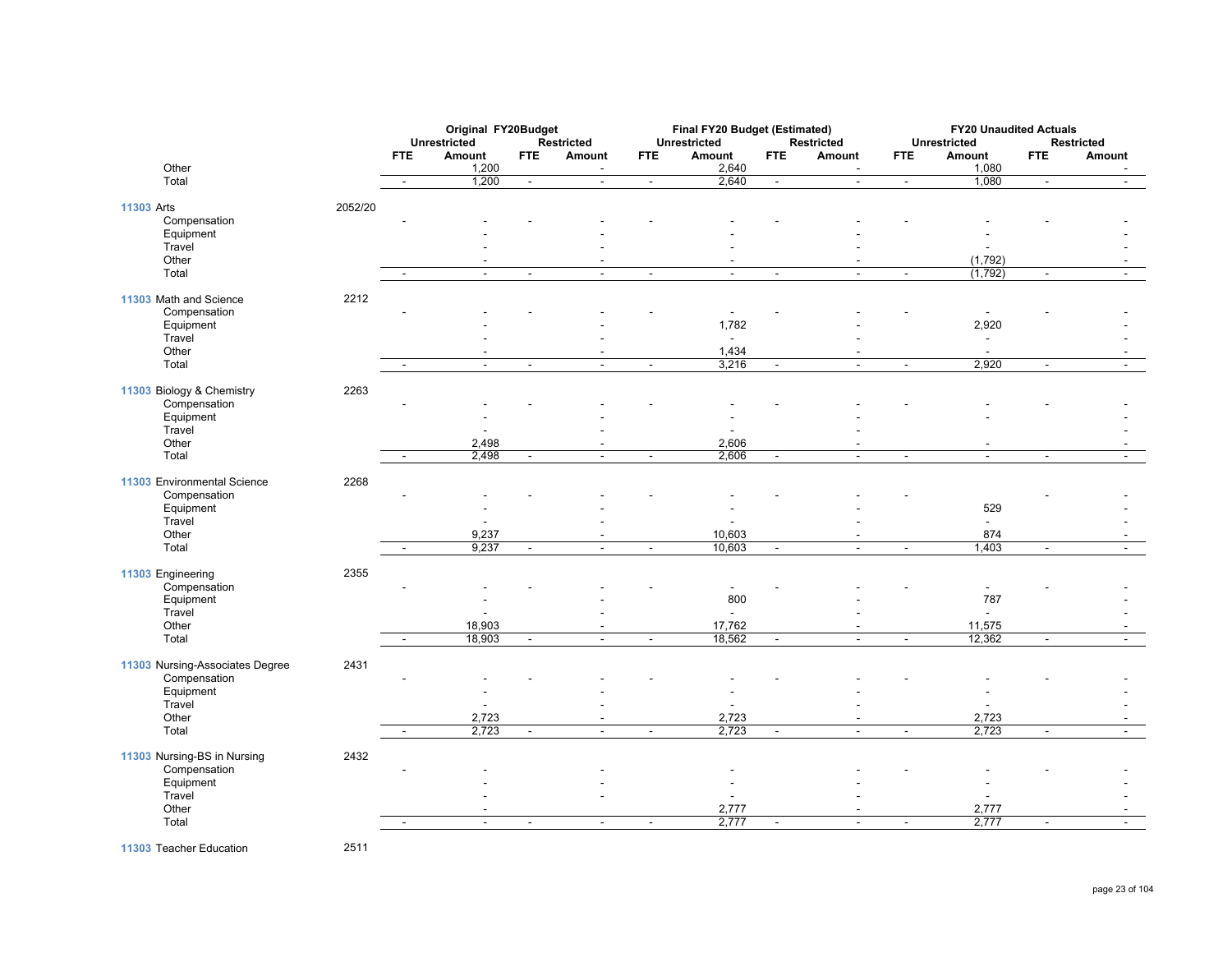|                                 |         |                | Original FY20Budget      |                |                          |                          | Final FY20 Budget (Estimated) |                |                   |                | <b>FY20 Unaudited Actuals</b> |                |                          |
|---------------------------------|---------|----------------|--------------------------|----------------|--------------------------|--------------------------|-------------------------------|----------------|-------------------|----------------|-------------------------------|----------------|--------------------------|
|                                 |         |                | <b>Unrestricted</b>      |                | <b>Restricted</b>        |                          | <b>Unrestricted</b>           |                | <b>Restricted</b> |                | <b>Unrestricted</b>           |                | <b>Restricted</b>        |
|                                 |         | <b>FTE</b>     | Amount                   | <b>FTE</b>     | Amount                   | <b>FTE</b>               | Amount                        | <b>FTE</b>     | Amount            | <b>FTE</b>     | Amount                        | <b>FTE</b>     | Amount                   |
| Other                           |         |                | 1,200                    |                | $\blacksquare$           |                          | 2,640                         |                |                   |                | 1,080                         |                | $\overline{\phantom{a}}$ |
| Total                           |         | $\sim$         | 1,200                    | $\blacksquare$ | $\blacksquare$           | $\blacksquare$           | 2,640                         | $\sim$         | $\blacksquare$    | $\blacksquare$ | 1,080                         | $\blacksquare$ | $\blacksquare$           |
| 11303 Arts                      | 2052/20 |                |                          |                |                          |                          |                               |                |                   |                |                               |                |                          |
| Compensation                    |         |                |                          |                |                          |                          |                               |                |                   |                |                               |                |                          |
| Equipment                       |         |                |                          |                |                          |                          |                               |                |                   |                |                               |                |                          |
| Travel                          |         |                |                          |                |                          |                          |                               |                |                   |                | $\overline{\phantom{a}}$      |                |                          |
| Other                           |         |                |                          |                |                          |                          |                               |                |                   |                | (1,792)                       |                |                          |
| Total                           |         |                | $\sim$                   | $\blacksquare$ | $\sim$                   | $\sim$                   | $\mathbf{r}$                  | ÷.             | $\sim$            | $\sim$         | (1,792)                       | $\mathbf{r}$   | ÷                        |
|                                 |         |                |                          |                |                          |                          |                               |                |                   |                |                               |                |                          |
| 11303 Math and Science          | 2212    |                |                          |                |                          |                          |                               |                |                   |                |                               |                |                          |
| Compensation                    |         |                |                          |                |                          |                          |                               |                |                   |                | $\blacksquare$                |                |                          |
| Equipment                       |         |                |                          |                |                          |                          | 1,782                         |                |                   |                | 2,920                         |                |                          |
| Travel                          |         |                |                          |                |                          |                          | $\blacksquare$                |                |                   |                | $\overline{\phantom{a}}$      |                |                          |
| Other                           |         |                | $\overline{\phantom{a}}$ |                | $\blacksquare$           |                          | 1,434                         |                |                   |                | $\sim$                        |                |                          |
| Total                           |         |                | $\blacksquare$           | $\blacksquare$ | $\overline{a}$           | $\blacksquare$           | 3,216                         | $\sim$         | $\sim$            | $\blacksquare$ | 2,920                         | $\blacksquare$ |                          |
|                                 |         |                |                          |                |                          |                          |                               |                |                   |                |                               |                |                          |
| 11303 Biology & Chemistry       | 2263    |                |                          |                |                          |                          |                               |                |                   |                |                               |                |                          |
| Compensation<br>Equipment       |         |                |                          |                |                          |                          |                               |                |                   |                |                               |                |                          |
| Travel                          |         |                |                          |                |                          |                          |                               |                |                   |                |                               |                |                          |
| Other                           |         |                | 2,498                    |                | $\overline{\phantom{a}}$ |                          | 2,606                         |                |                   |                | $\overline{\phantom{a}}$      |                |                          |
| Total                           |         |                | 2,498                    |                |                          | $\overline{\phantom{a}}$ | 2,606                         | ÷,             |                   | $\sim$         | ÷.                            | $\overline{a}$ |                          |
|                                 |         |                |                          |                |                          |                          |                               |                |                   |                |                               |                |                          |
| 11303 Environmental Science     | 2268    |                |                          |                |                          |                          |                               |                |                   |                |                               |                |                          |
| Compensation                    |         |                |                          |                |                          |                          |                               |                |                   |                |                               |                |                          |
| Equipment                       |         |                |                          |                |                          |                          |                               |                |                   |                | 529                           |                |                          |
| Travel                          |         |                |                          |                |                          |                          |                               |                |                   |                | $\omega$                      |                |                          |
| Other                           |         |                | 9,237                    |                | $\blacksquare$           |                          | 10,603                        |                |                   |                | 874                           |                |                          |
| Total                           |         | $\sim$         | 9,237                    | $\blacksquare$ | $\blacksquare$           | $\blacksquare$           | 10,603                        | $\sim$         | $\blacksquare$    | $\blacksquare$ | 1,403                         | $\blacksquare$ | $\blacksquare$           |
|                                 |         |                |                          |                |                          |                          |                               |                |                   |                |                               |                |                          |
| 11303 Engineering               | 2355    |                |                          |                |                          |                          |                               |                |                   |                |                               |                |                          |
| Compensation                    |         |                |                          |                |                          |                          | $\overline{a}$                |                |                   |                | $\blacksquare$                |                |                          |
| Equipment<br>Travel             |         |                |                          |                |                          |                          | 800<br>÷.                     |                |                   |                | 787<br>$\mathbf{r}$           |                |                          |
| Other                           |         |                | 18,903                   |                |                          |                          | 17,762                        |                |                   |                | 11,575                        |                |                          |
| Total                           |         | $\sim$         | 18,903                   | $\blacksquare$ | $\sim$                   | $\blacksquare$           | 18,562                        | $\sim$         | $\sim$            | $\blacksquare$ | 12,362                        | $\blacksquare$ | $\blacksquare$           |
|                                 |         |                |                          |                |                          |                          |                               |                |                   |                |                               |                |                          |
| 11303 Nursing-Associates Degree | 2431    |                |                          |                |                          |                          |                               |                |                   |                |                               |                |                          |
| Compensation                    |         |                |                          |                |                          |                          |                               |                |                   |                |                               |                |                          |
| Equipment                       |         |                |                          |                |                          |                          |                               |                |                   |                |                               |                |                          |
| Travel                          |         |                |                          |                |                          |                          |                               |                |                   |                |                               |                |                          |
| Other                           |         |                | 2,723                    |                |                          |                          | 2,723                         |                |                   |                | 2,723                         |                |                          |
| Total                           |         | $\blacksquare$ | 2,723                    | $\blacksquare$ | $\sim$                   | $\overline{\phantom{a}}$ | 2,723                         | $\blacksquare$ | $\sim$            | $\blacksquare$ | 2,723                         | $\blacksquare$ | $\blacksquare$           |
|                                 |         |                |                          |                |                          |                          |                               |                |                   |                |                               |                |                          |
| 11303 Nursing-BS in Nursing     | 2432    |                |                          |                |                          |                          |                               |                |                   |                |                               |                |                          |
| Compensation                    |         |                |                          |                |                          |                          | $\overline{\phantom{a}}$      |                |                   |                |                               |                |                          |
| Equipment<br>Travel             |         |                |                          |                |                          |                          | $\blacksquare$                |                |                   |                | ÷.                            |                |                          |
| Other                           |         |                |                          |                |                          |                          | 2,777                         |                |                   |                | 2,777                         |                |                          |
| Total                           |         | $\sim$         | $\blacksquare$           | $\sim$         | $\sim$                   | $\sim$                   | 2,777                         | $\sim$         | $\sim$            | $\sim$         | 2,777                         | $\blacksquare$ | $\sim$                   |
|                                 |         |                |                          |                |                          |                          |                               |                |                   |                |                               |                |                          |

**11303** Teacher Education 2511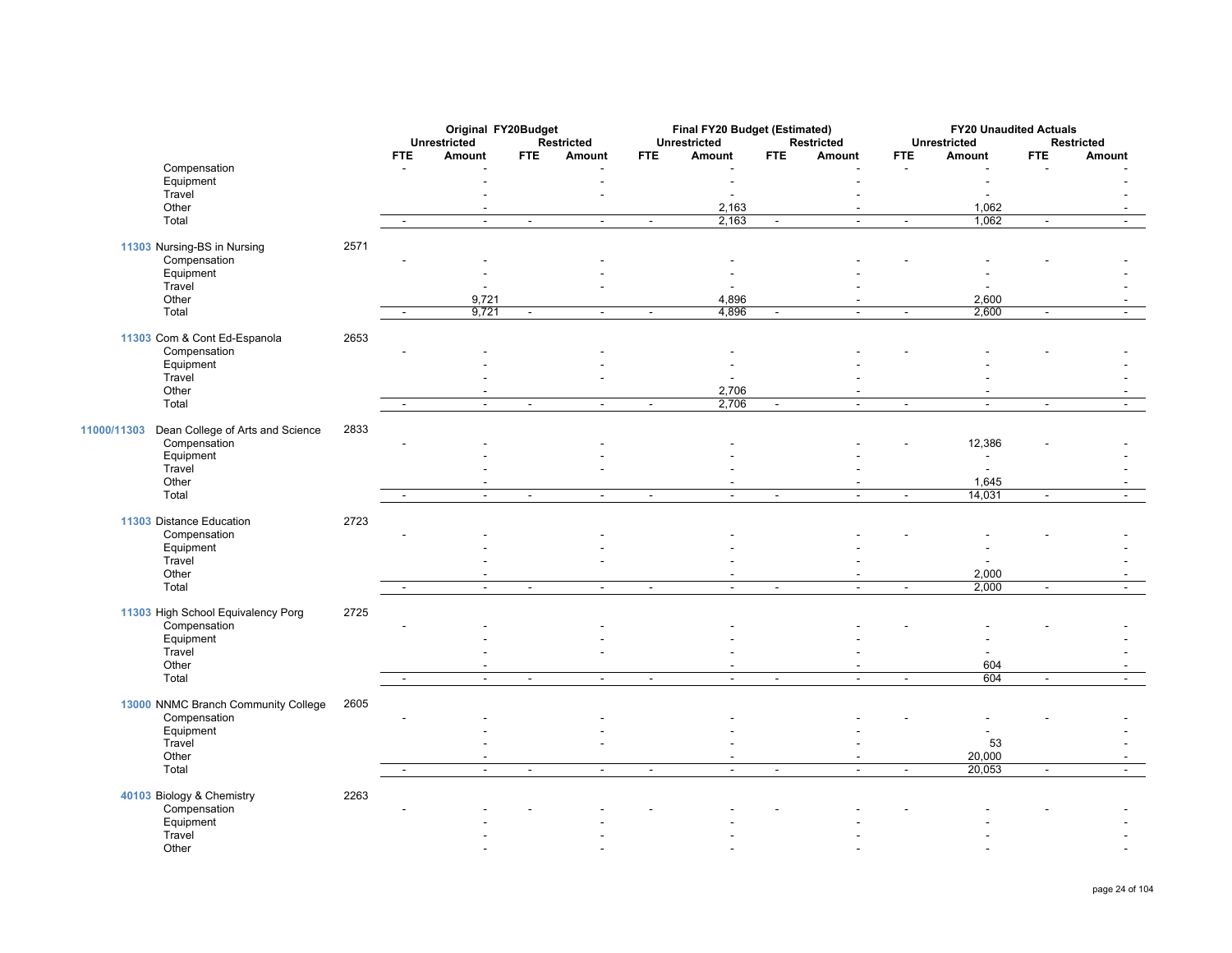|                                                 |      |                | Original FY20Budget           |                |                      |                | Final FY20 Budget (Estimated) |                |                             |                          | <b>FY20 Unaudited Actuals</b> |                          |                             |
|-------------------------------------------------|------|----------------|-------------------------------|----------------|----------------------|----------------|-------------------------------|----------------|-----------------------------|--------------------------|-------------------------------|--------------------------|-----------------------------|
|                                                 |      | <b>FTE</b>     | <b>Unrestricted</b><br>Amount | <b>FTE</b>     | Restricted<br>Amount | <b>FTE</b>     | <b>Unrestricted</b><br>Amount | <b>FTE</b>     | <b>Restricted</b><br>Amount | <b>FTE</b>               | <b>Unrestricted</b><br>Amount | <b>FTE</b>               | <b>Restricted</b><br>Amount |
| Compensation                                    |      |                |                               |                |                      |                |                               |                |                             |                          |                               |                          |                             |
| Equipment                                       |      |                |                               |                |                      |                |                               |                |                             |                          |                               |                          |                             |
| Travel                                          |      |                |                               |                |                      |                |                               |                |                             |                          |                               |                          |                             |
| Other                                           |      |                |                               |                |                      |                | 2,163                         |                |                             |                          | 1,062                         |                          |                             |
| Total                                           |      | $\sim$         | $\blacksquare$                | $\blacksquare$ | $\sim$               | $\blacksquare$ | 2,163                         | $\sim$         | $\sim$                      | $\blacksquare$           | 1,062                         | $\mathbf{r}$             | $\sim$                      |
|                                                 |      |                |                               |                |                      |                |                               |                |                             |                          |                               |                          |                             |
| 11303 Nursing-BS in Nursing                     | 2571 |                |                               |                |                      |                |                               |                |                             |                          |                               |                          |                             |
| Compensation                                    |      |                |                               |                |                      |                |                               |                |                             |                          |                               |                          |                             |
| Equipment                                       |      |                |                               |                |                      |                |                               |                |                             |                          |                               |                          |                             |
| Travel                                          |      |                |                               |                |                      |                |                               |                |                             |                          |                               |                          |                             |
| Other                                           |      |                | 9,721                         |                |                      |                | 4,896                         |                |                             |                          | 2,600                         |                          |                             |
| Total                                           |      |                | 9,721                         | $\blacksquare$ | $\sim$               | $\sim$         | 4,896                         | $\sim$         | $\sim$                      | $\sim$                   | 2,600                         | $\overline{\phantom{a}}$ | $\blacksquare$              |
|                                                 |      |                |                               |                |                      |                |                               |                |                             |                          |                               |                          |                             |
| 11303 Com & Cont Ed-Espanola                    | 2653 |                |                               |                |                      |                |                               |                |                             |                          |                               |                          |                             |
| Compensation                                    |      |                |                               |                |                      |                |                               |                |                             |                          |                               |                          |                             |
| Equipment                                       |      |                |                               |                |                      |                |                               |                |                             |                          |                               |                          |                             |
| Travel                                          |      |                |                               |                |                      |                |                               |                |                             |                          |                               |                          |                             |
| Other                                           |      |                |                               |                |                      |                | 2,706                         |                | $\overline{a}$              |                          | $\overline{\phantom{a}}$      |                          |                             |
| Total                                           |      |                | $\ddot{\phantom{a}}$          | $\blacksquare$ | $\sim$               | $\blacksquare$ | 2,706                         | $\sim$         | $\sim$                      | $\overline{\phantom{a}}$ | $\overline{a}$                | $\mathbf{r}$             |                             |
|                                                 |      |                |                               |                |                      |                |                               |                |                             |                          |                               |                          |                             |
| Dean College of Arts and Science<br>11000/11303 | 2833 |                |                               |                |                      |                |                               |                |                             |                          |                               |                          |                             |
| Compensation                                    |      |                |                               |                |                      |                |                               |                |                             |                          | 12,386                        |                          |                             |
| Equipment                                       |      |                |                               |                |                      |                |                               |                |                             |                          |                               |                          |                             |
| Travel                                          |      |                |                               |                |                      |                |                               |                |                             |                          |                               |                          |                             |
| Other                                           |      |                |                               |                |                      |                |                               |                |                             |                          | 1,645                         |                          |                             |
| Total                                           |      | $\sim$         | $\mathbb{Z}^2$                | $\mathbb{Z}^2$ | $\mathbf{r}$         | $\sim$         | $\sim$                        | $\mathbf{r}$   | $\overline{a}$              | $\blacksquare$           | 14,031                        | $\sim$                   | $\sim$                      |
|                                                 |      |                |                               |                |                      |                |                               |                |                             |                          |                               |                          |                             |
| 11303 Distance Education                        | 2723 |                |                               |                |                      |                |                               |                |                             |                          |                               |                          |                             |
| Compensation                                    |      |                |                               |                |                      |                |                               |                |                             |                          |                               |                          |                             |
| Equipment                                       |      |                |                               |                |                      |                |                               |                |                             |                          |                               |                          |                             |
| Travel                                          |      |                |                               |                |                      |                |                               |                |                             |                          | $\overline{\phantom{a}}$      |                          |                             |
| Other                                           |      |                | $\blacksquare$                |                |                      |                |                               |                |                             |                          | 2,000                         |                          |                             |
| Total                                           |      | $\blacksquare$ | $\sim$                        | $\sim$         | $\sim$               | $\sim$         | $\overline{\phantom{a}}$      | $\sim$         | $\sim$                      | $\sim$                   | 2,000                         | $\sim$                   | $\sim$                      |
|                                                 |      |                |                               |                |                      |                |                               |                |                             |                          |                               |                          |                             |
| 11303 High School Equivalency Porg              | 2725 |                |                               |                |                      |                |                               |                |                             |                          |                               |                          |                             |
| Compensation                                    |      |                |                               |                |                      |                |                               |                |                             |                          |                               |                          |                             |
| Equipment                                       |      |                |                               |                |                      |                |                               |                |                             |                          |                               |                          |                             |
| Travel                                          |      |                |                               |                |                      |                |                               |                |                             |                          |                               |                          |                             |
| Other                                           |      |                |                               |                |                      |                |                               |                |                             |                          | 604                           |                          |                             |
| Total                                           |      |                | $\blacksquare$                | $\blacksquare$ | $\blacksquare$       | $\blacksquare$ | $\sim$                        | $\blacksquare$ | $\sim$                      | $\overline{\phantom{a}}$ | 604                           | $\overline{\phantom{a}}$ | ÷.                          |
|                                                 |      |                |                               |                |                      |                |                               |                |                             |                          |                               |                          |                             |
| 13000 NNMC Branch Community College             | 2605 |                |                               |                |                      |                |                               |                |                             |                          |                               |                          |                             |
| Compensation                                    |      |                |                               |                |                      |                |                               |                |                             |                          |                               |                          |                             |
| Equipment                                       |      |                |                               |                |                      |                |                               |                |                             |                          | $\overline{\phantom{a}}$      |                          |                             |
| Travel                                          |      |                |                               |                |                      |                |                               |                |                             |                          | 53                            |                          |                             |
| Other                                           |      |                |                               |                |                      |                |                               |                |                             |                          | 20,000                        |                          |                             |
| Total                                           |      | $\blacksquare$ | $\omega$                      | $\blacksquare$ | $\blacksquare$       | $\blacksquare$ | $\mathbb{Z}^2$                | $\blacksquare$ | $\sim$                      | $\blacksquare$           | 20,053                        | $\blacksquare$           | $\blacksquare$              |
|                                                 |      |                |                               |                |                      |                |                               |                |                             |                          |                               |                          |                             |
| 40103 Biology & Chemistry                       | 2263 |                |                               |                |                      |                |                               |                |                             |                          |                               |                          |                             |
| Compensation                                    |      |                |                               |                |                      |                |                               |                |                             |                          |                               |                          |                             |
| Equipment                                       |      |                |                               |                |                      |                |                               |                |                             |                          |                               |                          |                             |
| Travel                                          |      |                |                               |                |                      |                |                               |                |                             |                          |                               |                          |                             |
| Other                                           |      |                |                               |                |                      |                |                               |                |                             |                          |                               |                          |                             |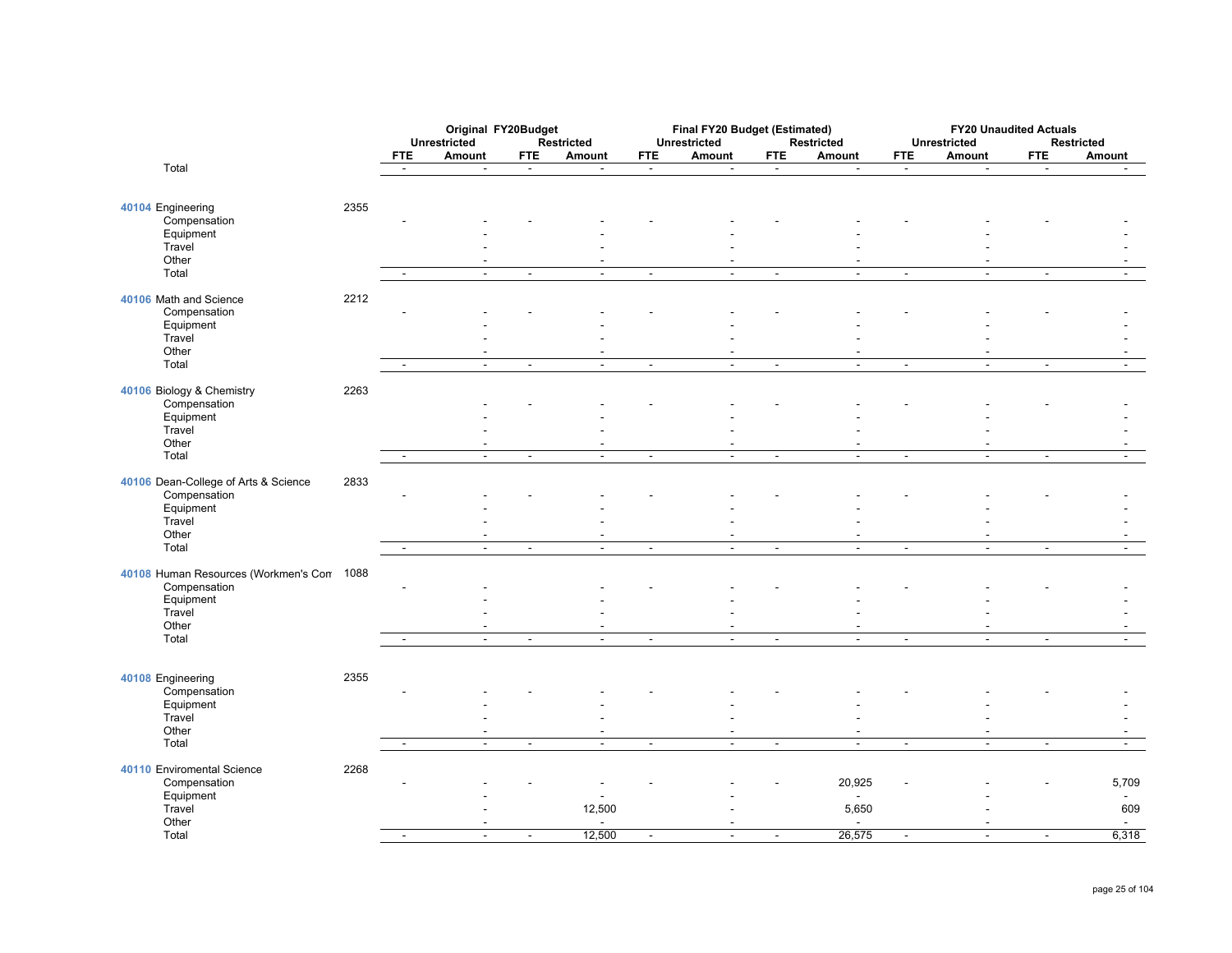|                                                           |      |                          | Original FY20Budget      |                |                                  |                          | Final FY20 Budget (Estimated) |                |                          |                | <b>FY20 Unaudited Actuals</b> |                |                          |
|-----------------------------------------------------------|------|--------------------------|--------------------------|----------------|----------------------------------|--------------------------|-------------------------------|----------------|--------------------------|----------------|-------------------------------|----------------|--------------------------|
|                                                           |      |                          | Unrestricted             |                | Restricted                       |                          | <b>Unrestricted</b>           |                | Restricted               |                | <b>Unrestricted</b>           |                | Restricted               |
|                                                           |      | <b>FTE</b>               | Amount                   | <b>FTE</b>     | Amount                           | <b>FTE</b>               | Amount                        | <b>FTE</b>     | Amount                   | <b>FTE</b>     | Amount                        | <b>FTE</b>     | Amount                   |
| Total                                                     |      | $\sim$                   | $\blacksquare$           | $\blacksquare$ | $\blacksquare$                   | $\sim$                   | $\blacksquare$                | $\sim$         | $\overline{\phantom{a}}$ | $\blacksquare$ | $\blacksquare$                | $\blacksquare$ | $\sim$                   |
| 40104 Engineering                                         | 2355 |                          |                          |                |                                  |                          |                               |                |                          |                |                               |                |                          |
| Compensation<br>Equipment                                 |      |                          |                          |                |                                  |                          |                               |                |                          |                |                               |                |                          |
| Travel                                                    |      |                          |                          |                |                                  |                          |                               |                |                          |                |                               |                |                          |
| Other<br>Total                                            |      |                          | $\mathbf{r}$             | $\Delta$       | $\sim$                           | $\mathbf{r}$             | $\mathbf{r}$                  | $\mathbf{r}$   | $\mathbf{r}$             | $\mathbf{r}$   | $\overline{a}$                | $\mathbb{Z}^2$ |                          |
| 40106 Math and Science                                    | 2212 |                          |                          |                |                                  |                          |                               |                |                          |                |                               |                |                          |
| Compensation                                              |      |                          |                          |                |                                  |                          |                               |                |                          |                |                               |                |                          |
| Equipment<br>Travel                                       |      |                          |                          |                |                                  |                          |                               |                |                          |                |                               |                |                          |
| Other                                                     |      |                          |                          |                |                                  |                          |                               |                | $\blacksquare$           |                |                               |                |                          |
| Total                                                     |      | $\sim$                   | $\overline{\phantom{a}}$ | $\blacksquare$ | $\overline{\phantom{a}}$         | $\overline{\phantom{a}}$ | $\overline{\phantom{a}}$      | $\blacksquare$ | $\overline{\phantom{a}}$ | $\overline{a}$ | $\blacksquare$                | $\blacksquare$ |                          |
| 40106 Biology & Chemistry<br>Compensation                 | 2263 |                          |                          |                |                                  |                          |                               |                |                          |                |                               |                |                          |
| Equipment                                                 |      |                          |                          |                |                                  |                          |                               |                |                          |                |                               |                |                          |
| Travel<br>Other                                           |      |                          |                          |                | $\blacksquare$                   |                          |                               |                |                          |                |                               |                |                          |
| Total                                                     |      |                          | $\sim$                   | $\blacksquare$ | $\sim$                           | $\blacksquare$           | $\mathbf{r}$                  | $\sim$         | $\mathbf{r}$             | $\blacksquare$ | $\overline{a}$                | $\blacksquare$ | $\sim$                   |
| 40106 Dean-College of Arts & Science                      | 2833 |                          |                          |                |                                  |                          |                               |                |                          |                |                               |                |                          |
| Compensation<br>Equipment                                 |      |                          |                          |                |                                  |                          |                               |                |                          |                |                               |                |                          |
| Travel                                                    |      |                          |                          |                |                                  |                          |                               |                |                          |                |                               |                |                          |
| Other<br>Total                                            |      | $\blacksquare$           | $\omega$                 | $\blacksquare$ | $\sim$                           | $\blacksquare$           | $\blacksquare$                | $\blacksquare$ | $\blacksquare$           | $\blacksquare$ | $\blacksquare$                | $\blacksquare$ | $\blacksquare$           |
|                                                           |      |                          |                          |                |                                  |                          |                               |                |                          |                |                               |                |                          |
| 40108 Human Resources (Workmen's Con 1088<br>Compensation |      |                          |                          |                |                                  |                          |                               |                |                          |                |                               |                |                          |
| Equipment                                                 |      |                          |                          |                |                                  |                          |                               |                |                          |                |                               |                |                          |
| Travel<br>Other                                           |      |                          |                          |                |                                  |                          |                               |                |                          |                |                               |                |                          |
| Total                                                     |      |                          | $\overline{\phantom{a}}$ | $\overline{a}$ | $\overline{a}$                   | $\sim$                   | $\overline{a}$                | $\blacksquare$ | $\overline{a}$           | $\blacksquare$ | $\overline{a}$                | $\mathbf{r}$   |                          |
|                                                           |      |                          |                          |                |                                  |                          |                               |                |                          |                |                               |                |                          |
| 40108 Engineering                                         | 2355 |                          |                          |                |                                  |                          |                               |                |                          |                |                               |                |                          |
| Compensation<br>Equipment                                 |      |                          |                          |                |                                  |                          |                               |                |                          |                |                               |                |                          |
| Travel<br>Other                                           |      |                          |                          |                |                                  |                          |                               |                |                          |                |                               |                |                          |
| Total                                                     |      | $\sim$                   | $\mathbb{Z}$             | $\blacksquare$ | $\blacksquare$<br>$\blacksquare$ | $\blacksquare$           | $\omega$                      | $\blacksquare$ | $\omega$                 | $\sim$         | $\blacksquare$                | $\blacksquare$ | $\blacksquare$           |
| 40110 Enviromental Science                                | 2268 |                          |                          |                |                                  |                          |                               |                |                          |                |                               |                |                          |
| Compensation                                              |      |                          |                          |                |                                  |                          |                               |                | 20,925                   |                |                               |                | 5,709                    |
| Equipment<br>Travel                                       |      |                          |                          |                | $\overline{a}$<br>12,500         |                          |                               |                | $\sim$<br>5,650          |                |                               |                | $\sim$<br>609            |
| Other                                                     |      |                          |                          |                | $\overline{\phantom{a}}$         |                          |                               |                |                          |                |                               |                | $\overline{\phantom{a}}$ |
| Total                                                     |      | $\overline{\phantom{a}}$ | $\sim$                   | $\sim$         | 12,500                           | $\mathbf{r}$             | $\overline{a}$                | $\blacksquare$ | 26,575                   | $\sim$         | $\overline{\phantom{a}}$      | $\sim$         | 6,318                    |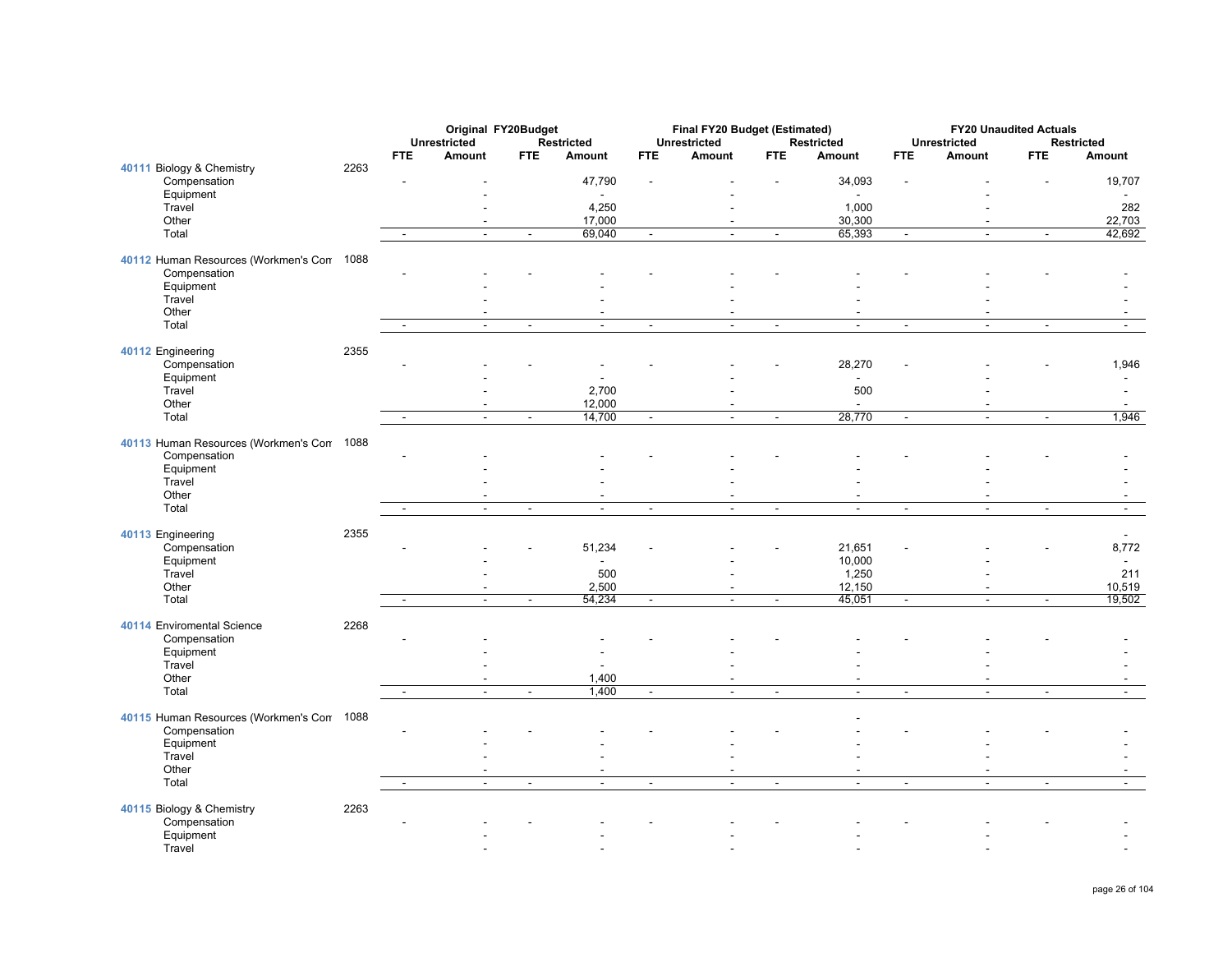|                                           |      |                          |                                      | Original FY20Budget |                             |                | Final FY20 Budget (Estimated) |                |                |                          |                          | <b>FY20 Unaudited Actuals</b><br><b>Restricted</b> |                          |  |
|-------------------------------------------|------|--------------------------|--------------------------------------|---------------------|-----------------------------|----------------|-------------------------------|----------------|----------------|--------------------------|--------------------------|----------------------------------------------------|--------------------------|--|
|                                           |      | <b>FTE</b>               | <b>Unrestricted</b><br><b>Amount</b> |                     | <b>Restricted</b><br>Amount |                | <b>Unrestricted</b><br>Amount |                | Restricted     | <b>FTE</b>               | Unrestricted<br>Amount   |                                                    |                          |  |
|                                           | 2263 |                          |                                      | <b>FTE</b>          |                             | <b>FTE</b>     |                               | <b>FTE</b>     | Amount         |                          |                          | <b>FTE</b>                                         | <b>Amount</b>            |  |
| 40111 Biology & Chemistry<br>Compensation |      |                          |                                      |                     | 47,790                      | $\overline{a}$ |                               |                | 34,093         |                          |                          |                                                    | 19,707                   |  |
| Equipment                                 |      |                          |                                      |                     |                             |                |                               |                | $\sim$         |                          |                          |                                                    |                          |  |
| Travel                                    |      |                          |                                      |                     | 4,250                       |                |                               |                | 1,000          |                          |                          |                                                    | 282                      |  |
| Other                                     |      |                          | ÷.                                   |                     | 17,000                      |                | $\overline{a}$                |                | 30,300         |                          | $\sim$                   |                                                    | 22,703                   |  |
| Total                                     |      | $\blacksquare$           | $\blacksquare$                       | $\blacksquare$      | 69,040                      | $\blacksquare$ | $\blacksquare$                | $\blacksquare$ | 65,393         | $\overline{\phantom{a}}$ | $\blacksquare$           | $\blacksquare$                                     | 42,692                   |  |
|                                           |      |                          |                                      |                     |                             |                |                               |                |                |                          |                          |                                                    |                          |  |
| 40112 Human Resources (Workmen's Con      | 1088 |                          |                                      |                     |                             |                |                               |                |                |                          |                          |                                                    |                          |  |
| Compensation                              |      |                          |                                      |                     |                             |                |                               |                |                |                          |                          |                                                    |                          |  |
| Equipment                                 |      |                          |                                      |                     |                             |                |                               |                |                |                          |                          |                                                    |                          |  |
| Travel                                    |      |                          |                                      |                     |                             |                |                               |                |                |                          |                          |                                                    |                          |  |
| Other                                     |      |                          |                                      |                     | $\blacksquare$              |                |                               |                |                |                          |                          |                                                    |                          |  |
| Total                                     |      | $\overline{a}$           | $\mathbf{r}$                         | $\blacksquare$      | $\mathcal{L}_{\mathcal{A}}$ | $\blacksquare$ | $\mathbf{r}$                  | $\blacksquare$ | $\mathbb{Z}^2$ | $\blacksquare$           | $\mathbf{r}$             | $\blacksquare$                                     | $\mathbf{r}$             |  |
|                                           |      |                          |                                      |                     |                             |                |                               |                |                |                          |                          |                                                    |                          |  |
| 40112 Engineering                         | 2355 |                          |                                      |                     |                             |                |                               |                |                |                          |                          |                                                    |                          |  |
| Compensation                              |      |                          |                                      |                     |                             |                |                               |                | 28,270         |                          |                          |                                                    | 1,946                    |  |
| Equipment                                 |      |                          |                                      |                     |                             |                |                               |                |                |                          |                          |                                                    |                          |  |
| Travel                                    |      |                          |                                      |                     | 2,700                       |                |                               |                | 500            |                          |                          |                                                    |                          |  |
| Other                                     |      |                          |                                      |                     | 12,000                      |                |                               |                |                |                          |                          |                                                    |                          |  |
| Total                                     |      | $\sim$                   | $\blacksquare$                       | $\blacksquare$      | 14,700                      | $\blacksquare$ | $\blacksquare$                | $\blacksquare$ | 28,770         | $\blacksquare$           | $\blacksquare$           | $\blacksquare$                                     | 1,946                    |  |
|                                           |      |                          |                                      |                     |                             |                |                               |                |                |                          |                          |                                                    |                          |  |
| 40113 Human Resources (Workmen's Con      | 1088 |                          |                                      |                     |                             |                |                               |                |                |                          |                          |                                                    |                          |  |
| Compensation                              |      |                          |                                      |                     |                             |                |                               |                |                |                          |                          |                                                    |                          |  |
| Equipment                                 |      |                          |                                      |                     |                             |                |                               |                |                |                          |                          |                                                    |                          |  |
| Travel                                    |      |                          |                                      |                     |                             |                |                               |                |                |                          |                          |                                                    |                          |  |
| Other                                     |      |                          |                                      |                     | $\overline{\phantom{a}}$    |                |                               |                |                |                          |                          |                                                    |                          |  |
| Total                                     |      | $\sim$                   | $\blacksquare$                       | $\blacksquare$      | $\mathbf{r}$                | $\blacksquare$ | $\blacksquare$                | $\blacksquare$ | $\blacksquare$ | $\blacksquare$           | $\blacksquare$           | $\blacksquare$                                     | $\blacksquare$           |  |
|                                           |      |                          |                                      |                     |                             |                |                               |                |                |                          |                          |                                                    |                          |  |
| 40113 Engineering                         | 2355 |                          |                                      |                     |                             |                |                               |                |                |                          |                          |                                                    |                          |  |
| Compensation                              |      |                          |                                      |                     | 51,234                      |                |                               |                | 21,651         |                          |                          |                                                    | 8,772                    |  |
| Equipment                                 |      |                          |                                      |                     | $\overline{a}$              |                |                               |                | 10,000         |                          |                          |                                                    |                          |  |
| Travel                                    |      |                          |                                      |                     | 500                         |                |                               |                | 1,250          |                          |                          |                                                    | 211                      |  |
| Other                                     |      |                          | ٠                                    |                     | 2,500                       |                | $\overline{\phantom{a}}$      |                | 12,150         |                          | $\overline{\phantom{a}}$ |                                                    | 10,519                   |  |
| Total                                     |      |                          | $\overline{\phantom{a}}$             | $\blacksquare$      | 54,234                      | $\blacksquare$ | $\overline{a}$                | $\blacksquare$ | 45,051         | $\blacksquare$           |                          | ÷,                                                 | 19,502                   |  |
|                                           |      |                          |                                      |                     |                             |                |                               |                |                |                          |                          |                                                    |                          |  |
| 40114 Enviromental Science                | 2268 |                          |                                      |                     |                             |                |                               |                |                |                          |                          |                                                    |                          |  |
| Compensation                              |      |                          |                                      |                     |                             |                |                               |                |                |                          |                          |                                                    |                          |  |
| Equipment                                 |      |                          |                                      |                     |                             |                |                               |                |                |                          |                          |                                                    |                          |  |
| Travel<br>Other                           |      |                          |                                      |                     | 1,400                       |                |                               |                |                |                          |                          |                                                    |                          |  |
| Total                                     |      | $\sim$                   | $\blacksquare$                       | $\omega$            | 1,400                       | $\sim$         | $\mathbf{r}$                  | $\sim$         | $\sim$         | $\sim$                   | $\mathbf{r}$             | $\overline{a}$                                     | $\blacksquare$           |  |
|                                           |      |                          |                                      |                     |                             |                |                               |                |                |                          |                          |                                                    |                          |  |
| 40115 Human Resources (Workmen's Con      | 1088 |                          |                                      |                     |                             |                |                               |                |                |                          |                          |                                                    |                          |  |
| Compensation                              |      |                          |                                      |                     |                             |                |                               |                |                |                          |                          |                                                    |                          |  |
| Equipment                                 |      |                          |                                      |                     |                             |                |                               |                |                |                          |                          |                                                    |                          |  |
| Travel                                    |      |                          |                                      |                     |                             |                |                               |                |                |                          |                          |                                                    |                          |  |
| Other                                     |      |                          |                                      |                     |                             |                |                               |                |                |                          |                          |                                                    |                          |  |
| Total                                     |      | $\overline{\phantom{a}}$ | $\overline{\phantom{a}}$             | $\blacksquare$      | $\sim$                      | $\sim$         | $\blacksquare$                | $\sim$         | $\blacksquare$ | $\blacksquare$           | $\sim$                   | $\blacksquare$                                     | $\overline{\phantom{a}}$ |  |
|                                           |      |                          |                                      |                     |                             |                |                               |                |                |                          |                          |                                                    |                          |  |
| 40115 Biology & Chemistry                 | 2263 |                          |                                      |                     |                             |                |                               |                |                |                          |                          |                                                    |                          |  |
| Compensation                              |      |                          |                                      |                     |                             |                |                               |                |                |                          |                          |                                                    |                          |  |
| Equipment                                 |      |                          |                                      |                     |                             |                |                               |                |                |                          |                          |                                                    |                          |  |
| Travel                                    |      |                          |                                      |                     |                             |                |                               |                |                |                          |                          |                                                    |                          |  |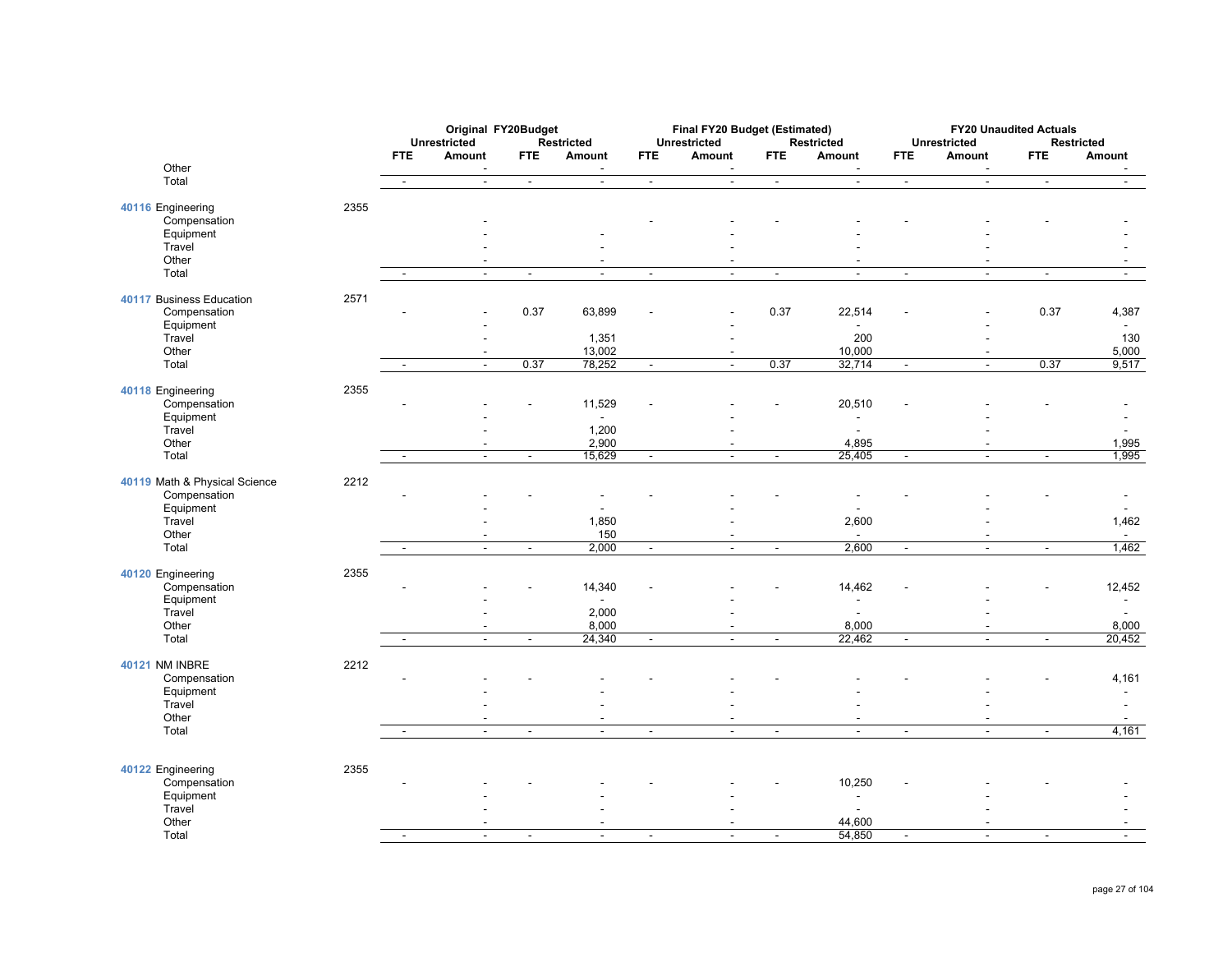|                               |      |                | <b>Unrestricted</b>                        | Original FY20Budget      | Restricted                         | Final FY20 Budget (Estimated)<br><b>Unrestricted</b><br>Restricted |                                  |                          |                                   |                          | <b>FY20 Unaudited Actuals</b><br><b>Unrestricted</b><br><b>Restricted</b> |                          |                                            |  |
|-------------------------------|------|----------------|--------------------------------------------|--------------------------|------------------------------------|--------------------------------------------------------------------|----------------------------------|--------------------------|-----------------------------------|--------------------------|---------------------------------------------------------------------------|--------------------------|--------------------------------------------|--|
|                               |      | <b>FTE</b>     | Amount                                     | <b>FTE</b>               | Amount                             | <b>FTE</b>                                                         | <b>Amount</b>                    | <b>FTE</b>               | Amount                            | <b>FTE</b>               | Amount                                                                    | <b>FTE</b>               | Amount                                     |  |
| Other                         |      |                |                                            |                          |                                    |                                                                    |                                  |                          |                                   |                          |                                                                           |                          |                                            |  |
| Total                         |      | $\sim$         | $\blacksquare$                             | $\sim$                   | $\sim$                             | $\blacksquare$                                                     | $\blacksquare$                   | $\blacksquare$           | $\sim$                            | $\blacksquare$           | $\mathbb{Z}^2$                                                            | $\blacksquare$           | $\blacksquare$                             |  |
| 40116 Engineering             | 2355 |                |                                            |                          |                                    |                                                                    |                                  |                          |                                   |                          |                                                                           |                          |                                            |  |
| Compensation                  |      |                |                                            |                          |                                    |                                                                    |                                  |                          |                                   |                          |                                                                           |                          |                                            |  |
| Equipment<br>Travel           |      |                |                                            |                          |                                    |                                                                    |                                  |                          |                                   |                          |                                                                           |                          |                                            |  |
| Other                         |      |                |                                            |                          | $\blacksquare$                     |                                                                    | ٠                                |                          |                                   |                          | $\blacksquare$                                                            |                          |                                            |  |
| Total                         |      | $\sim$         | $\blacksquare$                             | $\blacksquare$           | $\mathbf{r}$                       | $\blacksquare$                                                     | $\sim$                           | $\blacksquare$           | $\sim$                            | $\blacksquare$           | $\sim$                                                                    | $\blacksquare$           | $\sim$                                     |  |
| 40117 Business Education      | 2571 |                |                                            |                          |                                    |                                                                    |                                  |                          |                                   |                          |                                                                           |                          |                                            |  |
| Compensation                  |      |                |                                            | 0.37                     | 63,899                             |                                                                    |                                  | 0.37                     | 22,514                            |                          |                                                                           | 0.37                     | 4,387                                      |  |
| Equipment                     |      |                |                                            |                          |                                    |                                                                    |                                  |                          |                                   |                          |                                                                           |                          | $\tilde{\phantom{a}}$                      |  |
| Travel                        |      |                |                                            |                          | 1,351                              |                                                                    |                                  |                          | 200                               |                          | ٠                                                                         |                          | 130                                        |  |
| Other<br>Total                |      | $\sim$         | $\overline{\phantom{a}}$                   | 0.37                     | 13,002<br>78,252                   | $\sim$                                                             | $\sim$                           | 0.37                     | 10,000<br>32,714                  | $\sim$                   | $\overline{\phantom{a}}$<br>$\overline{a}$                                | 0.37                     | 5,000<br>9,517                             |  |
|                               |      |                |                                            |                          |                                    |                                                                    |                                  |                          |                                   |                          |                                                                           |                          |                                            |  |
| 40118 Engineering             | 2355 |                |                                            |                          |                                    |                                                                    |                                  |                          |                                   |                          |                                                                           |                          |                                            |  |
| Compensation                  |      |                |                                            |                          | 11,529<br>$\blacksquare$           |                                                                    |                                  |                          | 20,510<br>$\sim$                  |                          |                                                                           |                          |                                            |  |
| Equipment<br>Travel           |      |                |                                            |                          | 1,200                              |                                                                    |                                  |                          |                                   |                          |                                                                           |                          |                                            |  |
| Other                         |      |                | $\overline{\phantom{a}}$                   |                          | 2,900                              |                                                                    | $\overline{\phantom{a}}$         |                          | 4,895                             |                          | $\overline{\phantom{a}}$                                                  |                          | 1,995                                      |  |
| Total                         |      |                | $\blacksquare$                             | $\overline{\phantom{a}}$ | 15,629                             | $\overline{\phantom{a}}$                                           | $\blacksquare$                   | $\blacksquare$           | 25,405                            | $\blacksquare$           | $\overline{a}$                                                            | $\overline{\phantom{a}}$ | 1,995                                      |  |
| 40119 Math & Physical Science | 2212 |                |                                            |                          |                                    |                                                                    |                                  |                          |                                   |                          |                                                                           |                          |                                            |  |
| Compensation                  |      |                |                                            |                          |                                    |                                                                    |                                  |                          |                                   |                          |                                                                           |                          |                                            |  |
| Equipment                     |      |                |                                            |                          |                                    |                                                                    |                                  |                          |                                   |                          |                                                                           |                          |                                            |  |
| Travel<br>Other               |      |                |                                            |                          | 1,850<br>150                       |                                                                    |                                  |                          | 2,600<br>$\overline{\phantom{a}}$ |                          |                                                                           |                          | 1,462                                      |  |
| Total                         |      | $\blacksquare$ | $\overline{\phantom{a}}$<br>$\blacksquare$ | $\overline{\phantom{a}}$ | 2,000                              | $\overline{\phantom{a}}$                                           | $\blacksquare$<br>$\blacksquare$ | $\blacksquare$           | 2,600                             | $\overline{\phantom{a}}$ | $\overline{\phantom{a}}$<br>$\blacksquare$                                | $\overline{\phantom{a}}$ | $\sim$<br>1,462                            |  |
|                               |      |                |                                            |                          |                                    |                                                                    |                                  |                          |                                   |                          |                                                                           |                          |                                            |  |
| 40120 Engineering             | 2355 |                |                                            |                          |                                    |                                                                    |                                  |                          |                                   |                          |                                                                           |                          |                                            |  |
| Compensation<br>Equipment     |      |                |                                            |                          | 14,340<br>$\overline{\phantom{a}}$ |                                                                    |                                  |                          | 14,462<br>$\blacksquare$          |                          |                                                                           |                          | 12,452<br>$\overline{\phantom{a}}$         |  |
| Travel                        |      |                |                                            |                          | 2,000                              |                                                                    |                                  |                          |                                   |                          |                                                                           |                          | $\overline{a}$                             |  |
| Other                         |      |                | $\overline{\phantom{a}}$                   |                          | 8,000                              |                                                                    | $\blacksquare$                   |                          | 8,000                             |                          | $\blacksquare$                                                            |                          | 8,000                                      |  |
| Total                         |      |                | $\blacksquare$                             | $\overline{\phantom{a}}$ | 24,340                             | $\blacksquare$                                                     | $\sim$                           | $\blacksquare$           | 22,462                            | $\blacksquare$           | $\blacksquare$                                                            | $\overline{\phantom{a}}$ | 20,452                                     |  |
| <b>40121 NM INBRE</b>         | 2212 |                |                                            |                          |                                    |                                                                    |                                  |                          |                                   |                          |                                                                           |                          |                                            |  |
| Compensation                  |      |                |                                            |                          |                                    |                                                                    |                                  |                          |                                   |                          |                                                                           |                          | 4,161                                      |  |
| Equipment                     |      |                |                                            |                          |                                    |                                                                    |                                  |                          |                                   |                          |                                                                           |                          |                                            |  |
| Travel<br>Other               |      |                | ÷.                                         |                          | $\overline{\phantom{a}}$           |                                                                    | $\overline{\phantom{a}}$         |                          | $\sim$                            |                          | $\blacksquare$                                                            |                          | $\overline{a}$<br>$\overline{\phantom{a}}$ |  |
| Total                         |      | $\blacksquare$ | $\blacksquare$                             | $\blacksquare$           | $\blacksquare$                     | $\blacksquare$                                                     | $\blacksquare$                   | $\blacksquare$           | $\blacksquare$                    | $\blacksquare$           | $\blacksquare$                                                            | $\blacksquare$           | 4,161                                      |  |
|                               |      |                |                                            |                          |                                    |                                                                    |                                  |                          |                                   |                          |                                                                           |                          |                                            |  |
| 40122 Engineering             | 2355 |                |                                            |                          |                                    |                                                                    |                                  |                          |                                   |                          |                                                                           |                          |                                            |  |
| Compensation                  |      |                |                                            |                          |                                    |                                                                    |                                  |                          | 10,250                            |                          |                                                                           |                          |                                            |  |
| Equipment                     |      |                |                                            |                          |                                    |                                                                    |                                  |                          | $\sim$                            |                          |                                                                           |                          |                                            |  |
| Travel                        |      |                |                                            |                          |                                    |                                                                    |                                  |                          |                                   |                          |                                                                           |                          |                                            |  |
| Other<br>Total                |      |                | $\blacksquare$                             | $\blacksquare$           | $\overline{a}$                     |                                                                    | ÷,                               | $\overline{\phantom{a}}$ | 44,600<br>54,850                  | $\blacksquare$           | ÷,                                                                        | $\blacksquare$           |                                            |  |
|                               |      |                |                                            |                          |                                    |                                                                    |                                  |                          |                                   |                          |                                                                           |                          |                                            |  |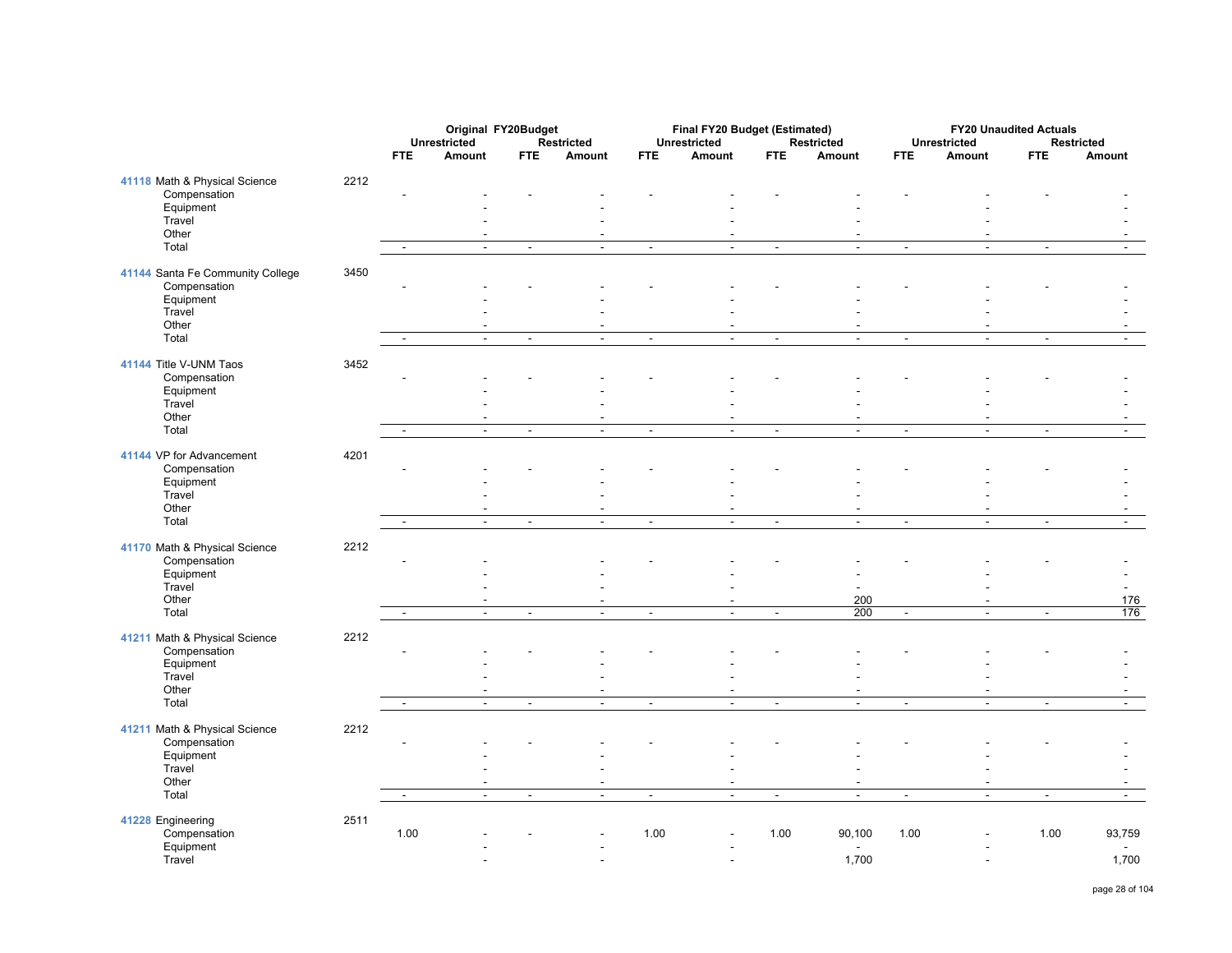|                                               |      |                          | Original FY20Budget      |                          |                                            |                          | Final FY20 Budget (Estimated) |                          |                          |                          |                                    | <b>FY20 Unaudited Actuals</b> |                |
|-----------------------------------------------|------|--------------------------|--------------------------|--------------------------|--------------------------------------------|--------------------------|-------------------------------|--------------------------|--------------------------|--------------------------|------------------------------------|-------------------------------|----------------|
|                                               |      |                          | <b>Unrestricted</b>      |                          | <b>Restricted</b>                          |                          | Unrestricted                  |                          | Restricted               |                          | <b>Unrestricted</b>                |                               | Restricted     |
|                                               |      | <b>FTE</b>               | Amount                   | <b>FTE</b>               | Amount                                     | <b>FTE</b>               | Amount                        | <b>FTE</b>               | Amount                   | <b>FTE</b>               | Amount                             | <b>FTE</b>                    | Amount         |
| 41118 Math & Physical Science                 | 2212 |                          |                          |                          |                                            |                          |                               |                          |                          |                          |                                    |                               |                |
| Compensation                                  |      | $\overline{a}$           |                          |                          |                                            |                          |                               |                          |                          |                          |                                    |                               |                |
| Equipment                                     |      |                          |                          |                          |                                            |                          |                               |                          |                          |                          |                                    |                               |                |
| Travel<br>Other                               |      |                          |                          |                          |                                            |                          |                               |                          |                          |                          |                                    |                               |                |
| Total                                         |      | $\sim$                   | $\blacksquare$           | $\blacksquare$           | $\blacksquare$                             | $\sim$                   | $\omega$                      | $\blacksquare$           | $\blacksquare$           | $\blacksquare$           | $\sim$                             | $\blacksquare$                | $\sim$         |
|                                               |      |                          |                          |                          |                                            |                          |                               |                          |                          |                          |                                    |                               |                |
| 41144 Santa Fe Community College              | 3450 |                          |                          |                          |                                            |                          |                               |                          |                          |                          |                                    |                               |                |
| Compensation<br>Equipment                     |      |                          |                          |                          |                                            |                          |                               |                          |                          |                          |                                    |                               |                |
| Travel                                        |      |                          |                          |                          |                                            |                          |                               |                          |                          |                          |                                    |                               |                |
| Other                                         |      |                          |                          |                          | $\blacksquare$                             |                          | $\overline{\phantom{a}}$      |                          |                          |                          | $\overline{\phantom{a}}$           |                               |                |
| Total                                         |      | $\overline{a}$           | $\mathbb{Z}^2$           | $\blacksquare$           | $\mathbf{r}$                               | $\blacksquare$           | $\mathbf{r}$                  | $\blacksquare$           | $\mathbf{r}$             | $\blacksquare$           | $\mathbf{r}$                       | $\blacksquare$                | $\overline{a}$ |
| 41144 Title V-UNM Taos                        | 3452 |                          |                          |                          |                                            |                          |                               |                          |                          |                          |                                    |                               |                |
| Compensation                                  |      |                          |                          |                          |                                            |                          |                               |                          |                          |                          |                                    |                               |                |
| Equipment                                     |      |                          |                          |                          |                                            |                          |                               |                          |                          |                          |                                    |                               |                |
| Travel                                        |      |                          |                          |                          |                                            |                          |                               |                          |                          |                          |                                    |                               |                |
| Other                                         |      |                          | $\overline{\phantom{a}}$ |                          | $\sim$                                     |                          | ÷,                            |                          |                          |                          | $\overline{a}$                     |                               |                |
| Total                                         |      | $\blacksquare$           | $\blacksquare$           | $\blacksquare$           | $\sim$                                     | $\blacksquare$           | $\overline{\phantom{a}}$      | $\blacksquare$           | $\mathbb{Z}^2$           | $\blacksquare$           | $\overline{a}$                     | $\blacksquare$                | $\sim$         |
| 41144 VP for Advancement                      | 4201 |                          |                          |                          |                                            |                          |                               |                          |                          |                          |                                    |                               |                |
| Compensation                                  |      |                          |                          |                          |                                            |                          |                               |                          |                          |                          |                                    |                               |                |
| Equipment                                     |      |                          |                          |                          |                                            |                          |                               |                          |                          |                          |                                    |                               |                |
| Travel                                        |      |                          |                          |                          |                                            |                          |                               |                          |                          |                          |                                    |                               |                |
| Other<br>Total                                |      | $\overline{\phantom{a}}$ | $\sim$                   | $\sim$                   | $\overline{a}$<br>$\overline{\phantom{a}}$ | $\overline{\phantom{a}}$ | $\sim$                        | $\sim$                   | $\sim$                   | $\overline{\phantom{a}}$ | $\overline{\phantom{a}}$<br>$\sim$ | $\overline{\phantom{a}}$      | $\sim$         |
|                                               |      |                          |                          |                          |                                            |                          |                               |                          |                          |                          |                                    |                               |                |
| 41170 Math & Physical Science                 | 2212 |                          |                          |                          |                                            |                          |                               |                          |                          |                          |                                    |                               |                |
| Compensation                                  |      | ÷.                       |                          |                          |                                            |                          |                               |                          |                          |                          |                                    |                               |                |
| Equipment                                     |      |                          |                          |                          |                                            |                          |                               |                          |                          |                          |                                    |                               |                |
| Travel<br>Other                               |      |                          | $\overline{\phantom{a}}$ |                          | $\overline{\phantom{a}}$                   |                          | $\blacksquare$                |                          | 200                      |                          | $\blacksquare$                     |                               | 176            |
| Total                                         |      | $\sim$                   | $\mathbb{Z}^2$           | $\blacksquare$           | $\mathbf{r}$                               | $\sim$                   | $\mathbf{r}$                  | $\overline{\phantom{a}}$ | 200                      | $\mathbf{r}$             | $\overline{\phantom{a}}$           | $\mathbf{r}$                  | 176            |
|                                               |      |                          |                          |                          |                                            |                          |                               |                          |                          |                          |                                    |                               |                |
| 41211 Math & Physical Science<br>Compensation | 2212 |                          |                          |                          |                                            |                          |                               |                          |                          |                          |                                    |                               |                |
| Equipment                                     |      |                          |                          |                          |                                            |                          |                               |                          |                          |                          |                                    |                               |                |
| Travel                                        |      |                          |                          |                          |                                            |                          |                               |                          |                          |                          |                                    |                               |                |
| Other                                         |      |                          | $\overline{\phantom{a}}$ |                          | $\overline{\phantom{a}}$                   |                          | $\overline{\phantom{a}}$      |                          | $\overline{\phantom{a}}$ |                          | $\blacksquare$                     |                               |                |
| Total                                         |      | $\overline{\phantom{a}}$ | $\omega$                 | $\overline{\phantom{a}}$ | $\blacksquare$                             | $\blacksquare$           | $\omega$                      | $\blacksquare$           | $\omega$                 | $\overline{\phantom{a}}$ | $\blacksquare$                     | $\overline{\phantom{a}}$      | $\blacksquare$ |
| 41211 Math & Physical Science                 | 2212 |                          |                          |                          |                                            |                          |                               |                          |                          |                          |                                    |                               |                |
| Compensation                                  |      |                          |                          |                          |                                            |                          |                               |                          |                          |                          |                                    |                               |                |
| Equipment                                     |      |                          |                          |                          |                                            |                          |                               |                          |                          |                          |                                    |                               |                |
| Travel                                        |      |                          |                          |                          |                                            |                          | $\overline{a}$                |                          |                          |                          |                                    |                               |                |
| Other                                         |      |                          |                          |                          | $\overline{a}$                             |                          | ÷,                            |                          |                          |                          | $\overline{a}$                     |                               |                |
| Total                                         |      | $\blacksquare$           | $\blacksquare$           | $\blacksquare$           | $\blacksquare$                             | $\overline{\phantom{a}}$ | $\blacksquare$                | $\overline{\phantom{a}}$ | $\blacksquare$           | $\overline{\phantom{a}}$ | $\blacksquare$                     | $\overline{\phantom{a}}$      | $\blacksquare$ |
| 41228 Engineering                             | 2511 |                          |                          |                          |                                            |                          |                               |                          |                          |                          |                                    |                               |                |
| Compensation                                  |      | 1.00                     |                          |                          |                                            | 1.00                     |                               | 1.00                     | 90,100                   | 1.00                     |                                    | 1.00                          | 93,759         |
| Equipment                                     |      |                          |                          |                          |                                            |                          |                               |                          |                          |                          |                                    |                               |                |
| Travel                                        |      |                          |                          |                          | $\overline{a}$                             |                          |                               |                          | 1,700                    |                          | $\overline{a}$                     |                               | 1,700          |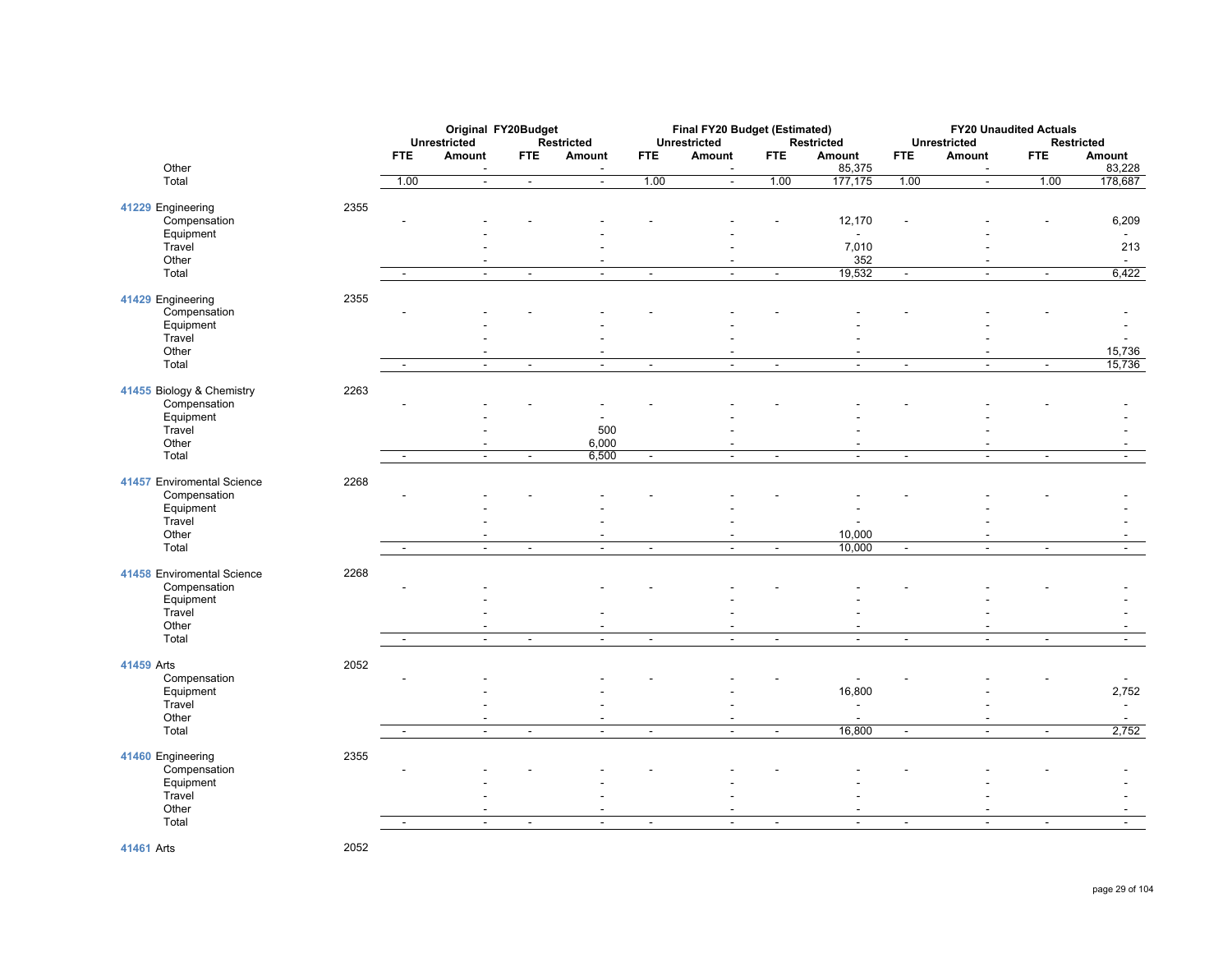|                                   |      | Original FY20Budget<br><b>Unrestricted</b><br><b>Restricted</b> |                |                          |                                    | Final FY20 Budget (Estimated)<br><b>Unrestricted</b> |                          | <b>Restricted</b>        | <b>FY20 Unaudited Actuals</b><br><b>Unrestricted</b><br><b>Restricted</b> |                          |                |                          |                                   |
|-----------------------------------|------|-----------------------------------------------------------------|----------------|--------------------------|------------------------------------|------------------------------------------------------|--------------------------|--------------------------|---------------------------------------------------------------------------|--------------------------|----------------|--------------------------|-----------------------------------|
| Other                             |      | <b>FTE</b>                                                      | Amount         | <b>FTE</b>               | Amount<br>$\overline{\phantom{a}}$ | <b>FTE</b>                                           | Amount                   | <b>FTE</b>               | Amount<br>85,375                                                          | <b>FTE</b>               | Amount         | <b>FTE</b>               | Amount<br>83,228                  |
| Total                             |      | 1.00                                                            | $\sim$         | $\blacksquare$           | $\Delta$                           | 1.00                                                 | $\omega$                 | 1.00                     | 177,175                                                                   | 1.00                     | $\omega$       | 1.00                     | 178,687                           |
| 41229 Engineering                 | 2355 |                                                                 |                |                          |                                    |                                                      |                          |                          |                                                                           |                          |                |                          |                                   |
| Compensation                      |      |                                                                 |                |                          |                                    |                                                      |                          |                          | 12,170                                                                    |                          |                |                          | 6,209                             |
| Equipment<br>Travel               |      |                                                                 |                |                          |                                    |                                                      |                          |                          | 7,010                                                                     |                          |                |                          | $\blacksquare$<br>213             |
| Other<br>Total                    |      |                                                                 | $\sim$         | $\blacksquare$           | $\sim$                             | $\blacksquare$                                       | $\sim$                   | $\sim$                   | 352<br>19,532                                                             | $\omega$                 | $\sim$         | $\blacksquare$           | $\overline{\phantom{a}}$<br>6,422 |
|                                   |      |                                                                 |                |                          |                                    |                                                      |                          |                          |                                                                           |                          |                |                          |                                   |
| 41429 Engineering<br>Compensation | 2355 |                                                                 |                |                          |                                    |                                                      |                          |                          |                                                                           |                          |                |                          |                                   |
| Equipment                         |      |                                                                 |                |                          |                                    |                                                      |                          |                          |                                                                           |                          |                |                          |                                   |
| Travel<br>Other                   |      |                                                                 |                |                          | $\blacksquare$                     |                                                      |                          |                          | $\overline{\phantom{a}}$                                                  |                          |                |                          | 15,736                            |
| Total                             |      | $\sim$                                                          | $\blacksquare$ | $\blacksquare$           | $\blacksquare$                     | $\blacksquare$                                       | $\blacksquare$           | $\blacksquare$           | $\blacksquare$                                                            | $\overline{\phantom{a}}$ | $\blacksquare$ | $\overline{\phantom{a}}$ | 15,736                            |
| 41455 Biology & Chemistry         | 2263 |                                                                 |                |                          |                                    |                                                      |                          |                          |                                                                           |                          |                |                          |                                   |
| Compensation                      |      |                                                                 |                |                          |                                    |                                                      |                          |                          |                                                                           |                          |                |                          |                                   |
| Equipment<br>Travel               |      |                                                                 |                |                          | 500                                |                                                      |                          |                          |                                                                           |                          |                |                          |                                   |
| Other                             |      |                                                                 | $\blacksquare$ |                          | 6,000                              |                                                      |                          |                          |                                                                           |                          |                |                          |                                   |
| Total                             |      |                                                                 | $\blacksquare$ | $\overline{\phantom{a}}$ | 6,500                              | $\overline{\phantom{a}}$                             | $\sim$                   | $\overline{\phantom{a}}$ | $\blacksquare$                                                            | $\blacksquare$           |                | $\blacksquare$           |                                   |
| 41457 Enviromental Science        | 2268 |                                                                 |                |                          |                                    |                                                      |                          |                          |                                                                           |                          |                |                          |                                   |
| Compensation<br>Equipment         |      |                                                                 |                |                          |                                    |                                                      |                          |                          |                                                                           |                          |                |                          |                                   |
| Travel<br>Other                   |      |                                                                 |                |                          | $\overline{a}$                     |                                                      |                          |                          | 10,000                                                                    |                          |                |                          |                                   |
| Total                             |      | $\sim$                                                          | $\sim$         | $\overline{\phantom{a}}$ | $\overline{\phantom{a}}$           | $\overline{\phantom{a}}$                             | $\overline{\phantom{a}}$ | $\overline{\phantom{a}}$ | 10,000                                                                    | $\blacksquare$           | $\blacksquare$ | $\overline{\phantom{a}}$ | $\sim$                            |
| 41458 Enviromental Science        | 2268 |                                                                 |                |                          |                                    |                                                      |                          |                          |                                                                           |                          |                |                          |                                   |
| Compensation                      |      |                                                                 |                |                          |                                    |                                                      |                          |                          |                                                                           |                          |                |                          |                                   |
| Equipment<br>Travel               |      |                                                                 |                |                          |                                    |                                                      |                          |                          |                                                                           |                          |                |                          |                                   |
| Other                             |      |                                                                 |                |                          | $\sim$                             |                                                      |                          |                          |                                                                           |                          |                |                          |                                   |
| Total                             |      | $\blacksquare$                                                  | $\blacksquare$ | $\sim$                   | $\blacksquare$                     | $\sim$                                               | $\blacksquare$           | $\blacksquare$           | $\blacksquare$                                                            | $\blacksquare$           | $\mathbf{r}$   | $\blacksquare$           | $\sim$                            |
| 41459 Arts                        | 2052 |                                                                 |                |                          |                                    |                                                      |                          |                          |                                                                           |                          |                |                          |                                   |
| Compensation<br>Equipment         |      |                                                                 |                |                          |                                    |                                                      |                          |                          | 16,800                                                                    |                          |                |                          | 2,752                             |
| Travel<br>Other                   |      |                                                                 |                |                          |                                    |                                                      |                          |                          | $\overline{\phantom{a}}$                                                  |                          |                |                          | $\sim$                            |
| Total                             |      |                                                                 | $\mathbf{r}$   | $\blacksquare$           | $\mathbf{r}$                       | $\mathbb{Z}^2$                                       | $\mathbf{r}$             | $\sim$                   | 16,800                                                                    | $\blacksquare$           | $\mathbf{r}$   | $\blacksquare$           | 2,752                             |
| 41460 Engineering                 | 2355 |                                                                 |                |                          |                                    |                                                      |                          |                          |                                                                           |                          |                |                          |                                   |
| Compensation                      |      |                                                                 |                |                          |                                    |                                                      |                          |                          |                                                                           |                          |                |                          |                                   |
| Equipment<br>Travel               |      |                                                                 |                |                          |                                    |                                                      |                          |                          |                                                                           |                          |                |                          |                                   |
| Other                             |      |                                                                 |                |                          | $\blacksquare$                     |                                                      |                          |                          |                                                                           |                          |                |                          |                                   |
| Total                             |      | $\sim$                                                          | $\sim$         | $\blacksquare$           | $\sim$                             | $\blacksquare$                                       | $\blacksquare$           | $\blacksquare$           | $\blacksquare$                                                            | $\blacksquare$           | $\blacksquare$ | $\blacksquare$           | $\sim$                            |

**41461** Arts 2052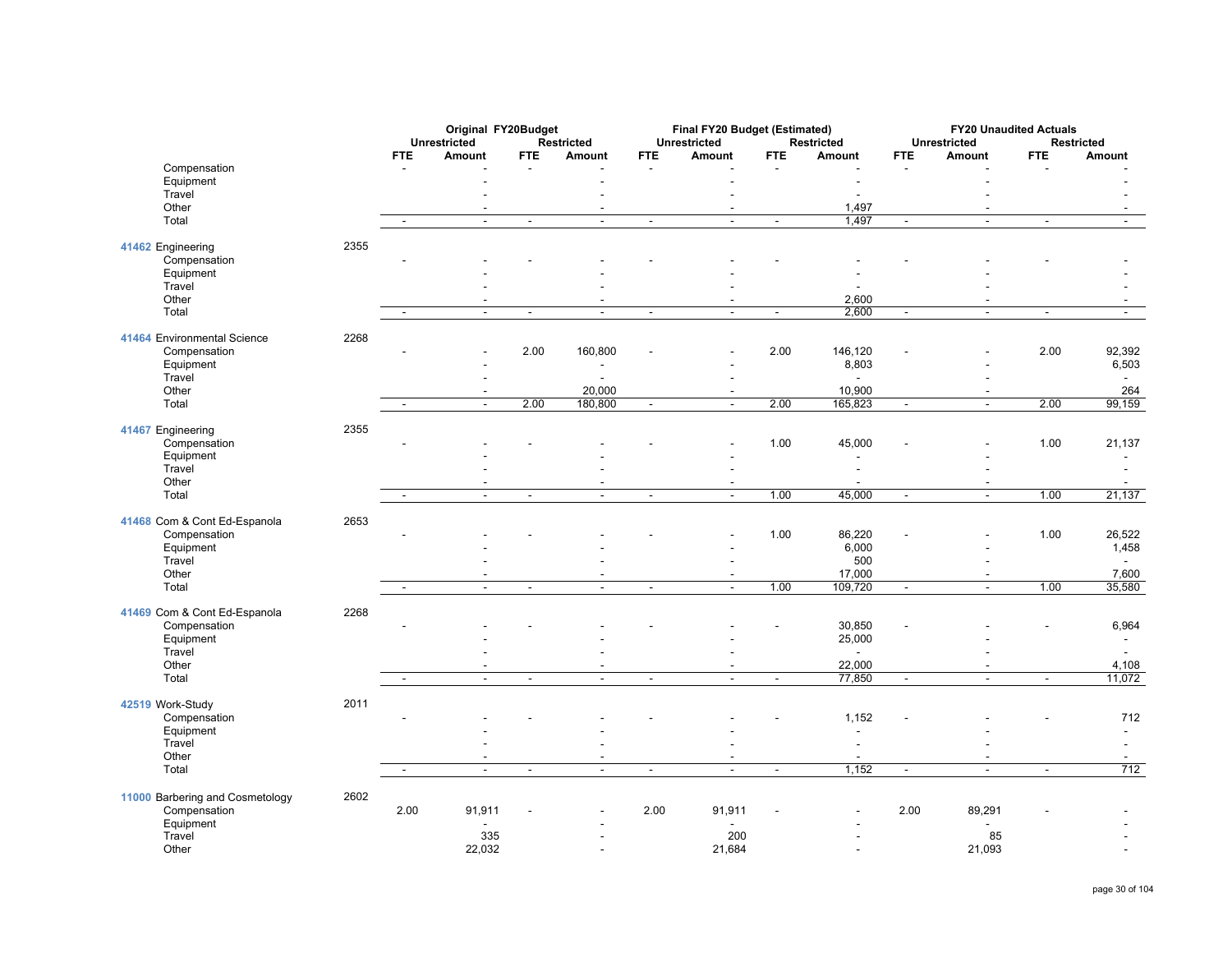|                                 |      |                          | Original FY20Budget<br><b>Unrestricted</b><br><b>Restricted</b> |                |                          | Final FY20 Budget (Estimated)<br><b>Unrestricted</b> |                          | <b>Restricted</b> | <b>FY20 Unaudited Actuals</b><br><b>Unrestricted</b><br><b>Restricted</b> |                |                          |                          |                          |
|---------------------------------|------|--------------------------|-----------------------------------------------------------------|----------------|--------------------------|------------------------------------------------------|--------------------------|-------------------|---------------------------------------------------------------------------|----------------|--------------------------|--------------------------|--------------------------|
|                                 |      | <b>FTE</b>               | Amount                                                          | <b>FTE</b>     | Amount                   | <b>FTE</b>                                           | Amount                   | <b>FTE</b>        | Amount                                                                    | <b>FTE</b>     | Amount                   | <b>FTE</b>               | Amount                   |
| Compensation                    |      |                          |                                                                 |                |                          |                                                      |                          |                   |                                                                           |                |                          |                          |                          |
| Equipment                       |      |                          |                                                                 |                |                          |                                                      |                          |                   |                                                                           |                |                          |                          |                          |
| Travel                          |      |                          |                                                                 |                |                          |                                                      |                          |                   |                                                                           |                |                          |                          |                          |
| Other                           |      |                          |                                                                 |                | $\overline{a}$           |                                                      |                          |                   | 1,497                                                                     |                | $\overline{\phantom{a}}$ |                          |                          |
| Total                           |      | $\overline{\phantom{a}}$ | $\blacksquare$                                                  | $\blacksquare$ | $\overline{\phantom{a}}$ | $\overline{\phantom{a}}$                             | $\sim$                   | $\blacksquare$    | 1,497                                                                     | $\blacksquare$ | $\ddot{\phantom{a}}$     | $\overline{\phantom{a}}$ | $\blacksquare$           |
| 41462 Engineering               | 2355 |                          |                                                                 |                |                          |                                                      |                          |                   |                                                                           |                |                          |                          |                          |
| Compensation                    |      |                          |                                                                 |                |                          |                                                      |                          |                   |                                                                           |                |                          |                          |                          |
| Equipment                       |      |                          |                                                                 |                |                          |                                                      |                          |                   |                                                                           |                |                          |                          |                          |
| Travel                          |      |                          |                                                                 |                |                          |                                                      |                          |                   |                                                                           |                |                          |                          |                          |
| Other                           |      |                          | ÷.                                                              |                | $\overline{\phantom{a}}$ |                                                      | $\overline{a}$           |                   | 2,600                                                                     |                | $\overline{\phantom{a}}$ |                          | $\sim$                   |
| Total                           |      | $\blacksquare$           | $\blacksquare$                                                  | $\blacksquare$ | $\blacksquare$           | $\blacksquare$                                       | $\blacksquare$           | $\blacksquare$    | 2,600                                                                     | $\blacksquare$ | $\blacksquare$           | $\blacksquare$           | $\sim$                   |
| 41464 Environmental Science     | 2268 |                          |                                                                 |                |                          |                                                      |                          |                   |                                                                           |                |                          |                          |                          |
| Compensation                    |      |                          |                                                                 | 2.00           | 160,800                  |                                                      |                          | 2.00              | 146,120                                                                   |                |                          | 2.00                     | 92,392                   |
| Equipment                       |      |                          |                                                                 |                | $\blacksquare$           |                                                      |                          |                   | 8,803                                                                     |                |                          |                          | 6,503                    |
| Travel                          |      |                          |                                                                 |                | L.                       |                                                      | $\blacksquare$           |                   | $\sim$                                                                    |                |                          |                          | $\sim$                   |
| Other                           |      |                          |                                                                 |                | 20,000                   |                                                      |                          |                   | 10,900                                                                    |                | $\overline{a}$           |                          | 264                      |
| Total                           |      | $\sim$                   | $\sim$                                                          | 2.00           | 180,800                  | $\omega$                                             | $\mathbf{r}$             | 2.00              | 165,823                                                                   | $\omega$       | $\sim$                   | 2.00                     | 99,159                   |
|                                 |      |                          |                                                                 |                |                          |                                                      |                          |                   |                                                                           |                |                          |                          |                          |
| 41467 Engineering               | 2355 |                          |                                                                 |                |                          |                                                      |                          |                   |                                                                           |                |                          |                          |                          |
| Compensation                    |      |                          |                                                                 |                |                          |                                                      |                          | 1.00              | 45,000                                                                    |                |                          | 1.00                     | 21,137                   |
| Equipment<br>Travel             |      |                          |                                                                 |                |                          |                                                      |                          |                   |                                                                           |                |                          |                          |                          |
| Other                           |      |                          |                                                                 |                |                          |                                                      | $\overline{a}$           |                   |                                                                           |                | ÷.                       |                          |                          |
| Total                           |      | $\sim$                   | $\blacksquare$                                                  | $\blacksquare$ | $\blacksquare$           | $\blacksquare$                                       | $\sim$                   | 1.00              | 45,000                                                                    | $\blacksquare$ | $\blacksquare$           | 1.00                     | 21,137                   |
|                                 |      |                          |                                                                 |                |                          |                                                      |                          |                   |                                                                           |                |                          |                          |                          |
| 41468 Com & Cont Ed-Espanola    | 2653 |                          |                                                                 |                |                          |                                                      |                          |                   |                                                                           |                |                          |                          |                          |
| Compensation                    |      |                          |                                                                 |                |                          |                                                      |                          | 1.00              | 86,220                                                                    |                |                          | 1.00                     | 26,522                   |
| Equipment                       |      |                          |                                                                 |                |                          |                                                      |                          |                   | 6,000                                                                     |                |                          |                          | 1,458                    |
| Travel                          |      |                          |                                                                 |                |                          |                                                      | $\overline{\phantom{a}}$ |                   | 500                                                                       |                | $\blacksquare$           |                          |                          |
| Other                           |      |                          | ÷,                                                              |                | $\overline{\phantom{a}}$ |                                                      | $\overline{a}$           |                   | 17,000                                                                    |                | $\blacksquare$           |                          | 7,600                    |
| Total                           |      | $\overline{\phantom{a}}$ | $\overline{\phantom{a}}$                                        | $\blacksquare$ | $\overline{\phantom{a}}$ | $\blacksquare$                                       | $\blacksquare$           | 1.00              | 109,720                                                                   | $\blacksquare$ | $\blacksquare$           | 1.00                     | 35,580                   |
|                                 |      |                          |                                                                 |                |                          |                                                      |                          |                   |                                                                           |                |                          |                          |                          |
| 41469 Com & Cont Ed-Espanola    | 2268 |                          |                                                                 |                |                          |                                                      |                          |                   |                                                                           |                |                          |                          |                          |
| Compensation                    |      |                          |                                                                 |                |                          |                                                      |                          |                   | 30,850                                                                    |                |                          |                          | 6,964                    |
| Equipment                       |      |                          |                                                                 |                |                          |                                                      |                          |                   | 25,000                                                                    |                |                          |                          |                          |
| Travel                          |      |                          |                                                                 |                |                          |                                                      |                          |                   | $\sim$                                                                    |                |                          |                          | $\overline{\phantom{a}}$ |
| Other<br>Total                  |      | $\sim$                   | $\blacksquare$                                                  | $\sim$         | $\blacksquare$<br>$\sim$ | $\sim$                                               | $\mathbf{r}$             | $\mathbf{r}$      | 22,000<br>77,850                                                          | $\sim$         | $\blacksquare$<br>$\sim$ | $\blacksquare$           | 4,108<br>11,072          |
|                                 |      |                          |                                                                 |                |                          |                                                      |                          |                   |                                                                           |                |                          |                          |                          |
| 42519 Work-Study                | 2011 |                          |                                                                 |                |                          |                                                      |                          |                   |                                                                           |                |                          |                          |                          |
| Compensation                    |      |                          |                                                                 |                |                          |                                                      |                          |                   | 1,152                                                                     |                |                          |                          | 712                      |
| Equipment                       |      |                          |                                                                 |                |                          |                                                      |                          |                   | ÷                                                                         |                |                          |                          | $\sim$                   |
| Travel                          |      |                          |                                                                 |                |                          |                                                      |                          |                   |                                                                           |                |                          |                          |                          |
| Other                           |      |                          | ÷,                                                              |                | $\overline{\phantom{a}}$ |                                                      | $\overline{\phantom{a}}$ |                   |                                                                           |                | $\overline{\phantom{a}}$ |                          |                          |
| Total                           |      | $\blacksquare$           | $\blacksquare$                                                  | $\blacksquare$ | $\blacksquare$           | $\blacksquare$                                       | $\blacksquare$           | $\blacksquare$    | 1,152                                                                     | $\blacksquare$ | $\blacksquare$           | $\overline{\phantom{a}}$ | 712                      |
|                                 |      |                          |                                                                 |                |                          |                                                      |                          |                   |                                                                           |                |                          |                          |                          |
| 11000 Barbering and Cosmetology | 2602 |                          |                                                                 |                |                          |                                                      |                          |                   |                                                                           |                |                          |                          |                          |
| Compensation                    |      | 2.00                     | 91,911                                                          |                |                          | 2.00                                                 | 91,911                   |                   |                                                                           | 2.00           | 89,291                   |                          |                          |
| Equipment<br>Travel             |      |                          |                                                                 | 335            |                          |                                                      | 200                      |                   |                                                                           |                | 85                       |                          |                          |
| Other                           |      |                          | 22,032                                                          |                |                          |                                                      | 21,684                   |                   |                                                                           |                | 21,093                   |                          |                          |
|                                 |      |                          |                                                                 |                |                          |                                                      |                          |                   |                                                                           |                |                          |                          |                          |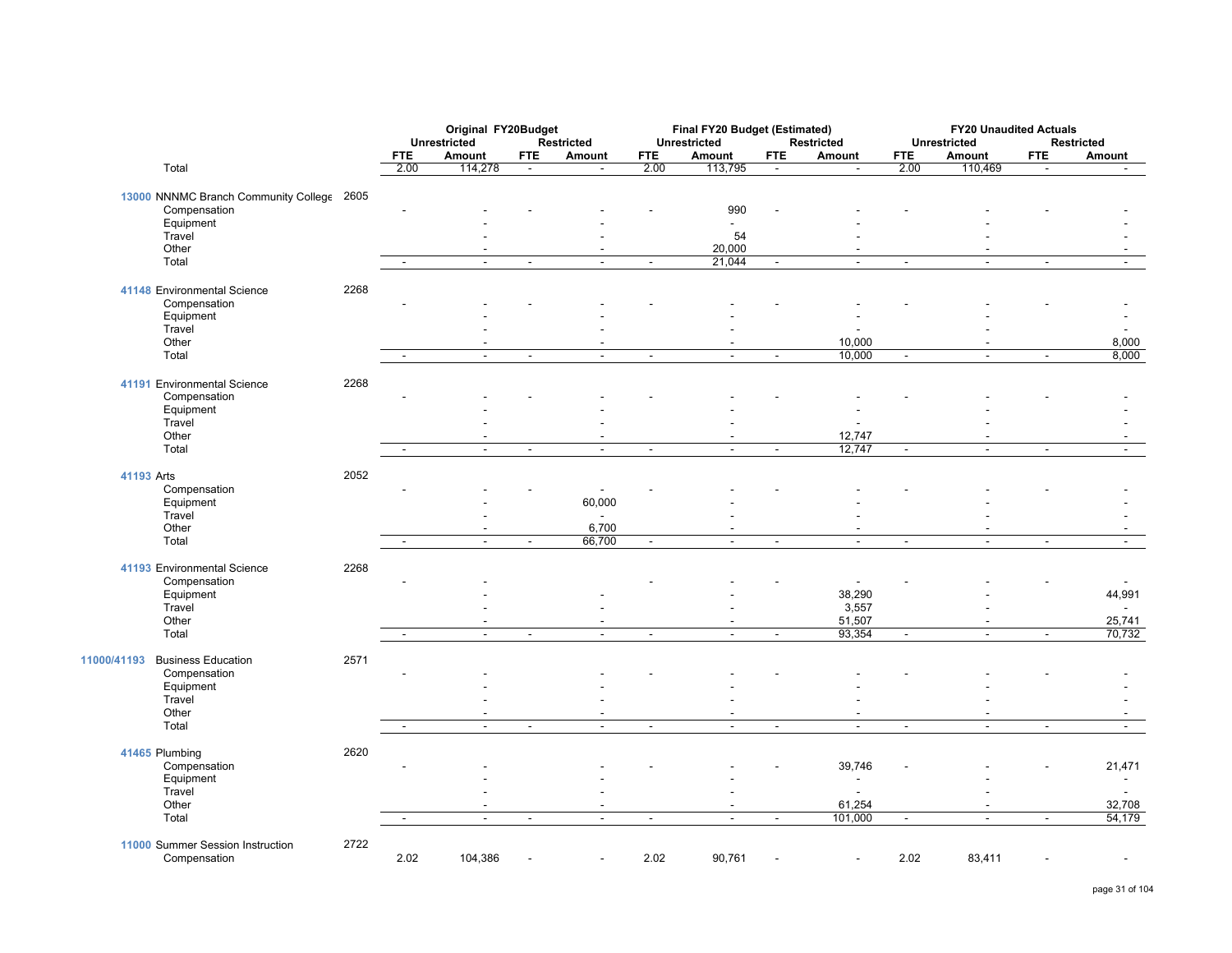|                                                  |      | Original FY20Budget<br><b>Unrestricted</b><br><b>Restricted</b> |                          |                |                          | Final FY20 Budget (Estimated)<br><b>Unrestricted</b> |                          | Restricted               | <b>FY20 Unaudited Actuals</b><br><b>Unrestricted</b><br><b>Restricted</b> |                |                |                          |                          |
|--------------------------------------------------|------|-----------------------------------------------------------------|--------------------------|----------------|--------------------------|------------------------------------------------------|--------------------------|--------------------------|---------------------------------------------------------------------------|----------------|----------------|--------------------------|--------------------------|
|                                                  |      | <b>FTE</b>                                                      | Amount                   | <b>FTE</b>     | Amount                   | <b>FTE</b>                                           | Amount                   | <b>FTE</b>               | Amount                                                                    | <b>FTE</b>     | Amount         | <b>FTE</b>               | Amount                   |
| Total                                            |      | 2.00                                                            | 114,278                  | $\blacksquare$ | $\blacksquare$           | 2.00                                                 | 113,795                  | $\blacksquare$           | $\blacksquare$                                                            | 2.00           | 110,469        | $\sim$                   | $\sim$                   |
| 13000 NNNMC Branch Community College 2605        |      |                                                                 |                          |                |                          |                                                      |                          |                          |                                                                           |                |                |                          |                          |
| Compensation                                     |      |                                                                 |                          |                |                          |                                                      | 990                      |                          |                                                                           |                |                |                          |                          |
| Equipment                                        |      |                                                                 |                          |                |                          |                                                      | $\blacksquare$           |                          |                                                                           |                |                |                          |                          |
| Travel                                           |      |                                                                 |                          |                |                          |                                                      | 54                       |                          |                                                                           |                |                |                          |                          |
| Other                                            |      |                                                                 |                          |                |                          |                                                      | 20,000                   |                          |                                                                           |                |                |                          |                          |
| Total                                            |      | $\blacksquare$                                                  | $\blacksquare$           | $\blacksquare$ | $\blacksquare$           | $\overline{\phantom{a}}$                             | 21,044                   | $\blacksquare$           | $\blacksquare$                                                            | $\sim$         | $\blacksquare$ | $\overline{\phantom{a}}$ | $\blacksquare$           |
| 41148 Environmental Science                      | 2268 |                                                                 |                          |                |                          |                                                      |                          |                          |                                                                           |                |                |                          |                          |
| Compensation                                     |      |                                                                 |                          |                |                          |                                                      |                          |                          |                                                                           |                |                |                          |                          |
| Equipment                                        |      |                                                                 |                          |                |                          |                                                      |                          |                          |                                                                           |                |                |                          |                          |
| Travel                                           |      |                                                                 |                          |                |                          |                                                      |                          |                          |                                                                           |                |                |                          |                          |
| Other                                            |      |                                                                 |                          |                |                          |                                                      |                          |                          | 10,000                                                                    |                |                |                          | 8,000                    |
|                                                  |      |                                                                 |                          |                |                          |                                                      |                          |                          | 10,000                                                                    |                |                |                          | 8,000                    |
| Total                                            |      | $\blacksquare$                                                  | $\ddot{\phantom{a}}$     | $\blacksquare$ | $\sim$                   | $\blacksquare$                                       | $\sim$                   | $\blacksquare$           |                                                                           | $\blacksquare$ | $\overline{a}$ | $\blacksquare$           |                          |
| 41191 Environmental Science                      | 2268 |                                                                 |                          |                |                          |                                                      |                          |                          |                                                                           |                |                |                          |                          |
| Compensation                                     |      |                                                                 |                          |                |                          |                                                      |                          |                          |                                                                           |                |                |                          |                          |
| Equipment                                        |      |                                                                 |                          |                |                          |                                                      |                          |                          |                                                                           |                |                |                          |                          |
| Travel                                           |      |                                                                 |                          |                |                          |                                                      |                          |                          |                                                                           |                |                |                          |                          |
| Other                                            |      |                                                                 |                          |                |                          |                                                      | $\blacksquare$           |                          | 12,747                                                                    |                |                |                          |                          |
| Total                                            |      |                                                                 | $\blacksquare$           | $\blacksquare$ | $\overline{\phantom{a}}$ | $\blacksquare$                                       | $\overline{a}$           |                          | 12,747                                                                    | $\overline{a}$ | $\overline{a}$ | $\overline{\phantom{a}}$ |                          |
| 41193 Arts                                       | 2052 |                                                                 |                          |                |                          |                                                      |                          |                          |                                                                           |                |                |                          |                          |
| Compensation                                     |      |                                                                 |                          |                |                          |                                                      |                          |                          |                                                                           |                |                |                          |                          |
| Equipment                                        |      |                                                                 |                          |                | 60,000                   |                                                      |                          |                          |                                                                           |                |                |                          |                          |
| Travel                                           |      |                                                                 |                          |                |                          |                                                      |                          |                          |                                                                           |                |                |                          |                          |
| Other                                            |      |                                                                 |                          |                | 6,700                    |                                                      |                          |                          |                                                                           |                |                |                          |                          |
| Total                                            |      | $\mathbf{r}$                                                    | $\mathbf{r}$             | $\mathbb{Z}^2$ | 66,700                   | $\blacksquare$                                       | $\overline{\phantom{a}}$ | $\mathbb{Z}^2$           | $\mathbf{r}$                                                              | $\blacksquare$ | $\mathbb{Z}^2$ | $\blacksquare$           | $\sim$                   |
|                                                  |      |                                                                 |                          |                |                          |                                                      |                          |                          |                                                                           |                |                |                          |                          |
| 41193 Environmental Science                      | 2268 |                                                                 |                          |                |                          |                                                      |                          |                          |                                                                           |                |                |                          |                          |
| Compensation                                     |      |                                                                 |                          |                |                          |                                                      |                          |                          |                                                                           |                |                |                          |                          |
| Equipment                                        |      |                                                                 |                          |                |                          |                                                      |                          |                          | 38,290                                                                    |                |                |                          | 44,991                   |
| Travel                                           |      |                                                                 |                          |                |                          |                                                      |                          |                          | 3,557                                                                     |                |                |                          |                          |
| Other                                            |      |                                                                 |                          |                |                          |                                                      |                          |                          | 51,507                                                                    |                |                |                          | 25,741                   |
| Total                                            |      | $\overline{\phantom{a}}$                                        | $\overline{\phantom{a}}$ | $\blacksquare$ | $\overline{\phantom{a}}$ | $\overline{\phantom{a}}$                             | $\overline{\phantom{a}}$ | $\overline{\phantom{a}}$ | 93,354                                                                    | $\blacksquare$ | $\blacksquare$ | $\blacksquare$           | 70,732                   |
| <b>Business Education</b><br>11000/41193         | 2571 |                                                                 |                          |                |                          |                                                      |                          |                          |                                                                           |                |                |                          |                          |
| Compensation                                     |      |                                                                 |                          |                |                          |                                                      |                          |                          |                                                                           |                |                |                          |                          |
| Equipment                                        |      |                                                                 |                          |                |                          |                                                      |                          |                          |                                                                           |                |                |                          |                          |
| Travel                                           |      |                                                                 |                          |                |                          |                                                      |                          |                          |                                                                           |                |                |                          |                          |
| Other                                            |      |                                                                 | $\blacksquare$           |                |                          |                                                      | $\blacksquare$           |                          | $\overline{\phantom{a}}$                                                  |                | $\blacksquare$ |                          | $\overline{\phantom{a}}$ |
| Total                                            |      |                                                                 | $\blacksquare$           | $\blacksquare$ | $\sim$                   | $\blacksquare$                                       | $\blacksquare$           |                          | $\blacksquare$                                                            | $\blacksquare$ | $\blacksquare$ | $\overline{\phantom{a}}$ | $\blacksquare$           |
| 41465 Plumbing                                   | 2620 |                                                                 |                          |                |                          |                                                      |                          |                          |                                                                           |                |                |                          |                          |
| Compensation                                     |      |                                                                 |                          |                |                          |                                                      |                          |                          | 39,746                                                                    |                |                |                          | 21,471                   |
| Equipment                                        |      |                                                                 |                          |                |                          |                                                      |                          |                          |                                                                           |                |                |                          | $\overline{a}$           |
| Travel                                           |      |                                                                 |                          |                |                          |                                                      |                          |                          |                                                                           |                |                |                          |                          |
|                                                  |      |                                                                 |                          |                |                          |                                                      |                          |                          |                                                                           |                |                |                          |                          |
| Other                                            |      |                                                                 |                          |                |                          |                                                      |                          |                          | 61,254                                                                    |                |                |                          | 32,708                   |
| Total                                            |      | $\blacksquare$                                                  | $\sim$                   | $\blacksquare$ | $\sim$                   | $\blacksquare$                                       | $\blacksquare$           | $\sim$                   | 101,000                                                                   | $\sim$         | $\blacksquare$ | $\blacksquare$           | 54,179                   |
| 11000 Summer Session Instruction<br>Compensation | 2722 | 2.02                                                            | 104,386                  |                |                          | 2.02                                                 | 90,761                   |                          |                                                                           | 2.02           | 83,411         |                          |                          |
|                                                  |      |                                                                 |                          |                |                          |                                                      |                          |                          |                                                                           |                |                |                          |                          |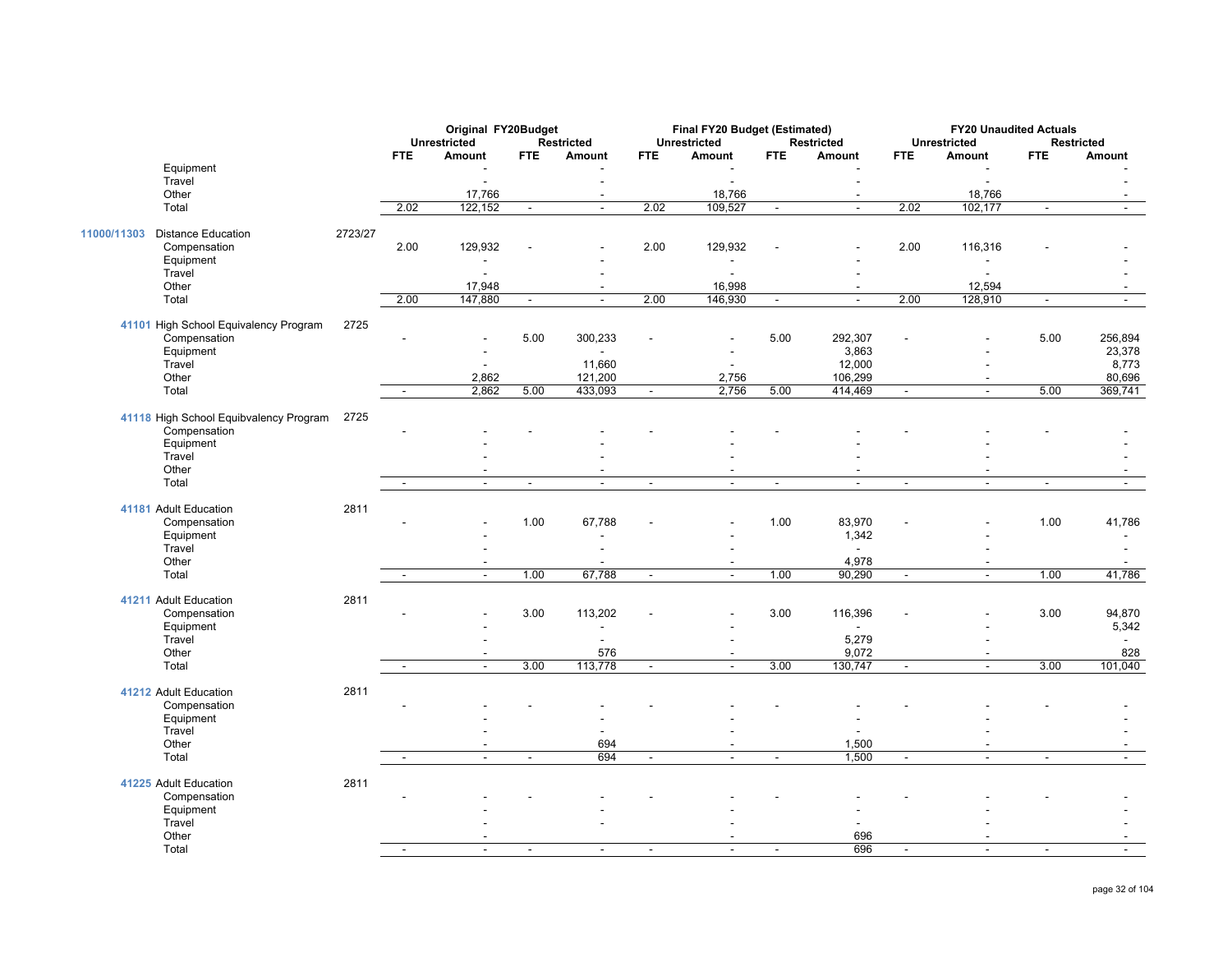|                                          |         | Original FY20Budget<br><b>Unrestricted</b><br><b>Restricted</b> |                          |                |                          | Final FY20 Budget (Estimated) |                          | <b>Restricted</b>        | <b>FY20 Unaudited Actuals</b><br><b>Restricted</b><br><b>Unrestricted</b> |                |                          |                |                |
|------------------------------------------|---------|-----------------------------------------------------------------|--------------------------|----------------|--------------------------|-------------------------------|--------------------------|--------------------------|---------------------------------------------------------------------------|----------------|--------------------------|----------------|----------------|
|                                          |         | <b>FTE</b>                                                      | Amount                   | <b>FTE</b>     | Amount                   | <b>FTE</b>                    | Unrestricted<br>Amount   | <b>FTE</b>               | Amount                                                                    | <b>FTE</b>     | Amount                   | <b>FTE</b>     | Amount         |
| Equipment                                |         |                                                                 |                          |                |                          |                               |                          |                          |                                                                           |                |                          |                |                |
| Travel                                   |         |                                                                 | $\overline{a}$           |                | $\overline{\phantom{a}}$ |                               | $\overline{a}$           |                          | $\overline{\phantom{a}}$                                                  |                | $\overline{a}$           |                |                |
| Other                                    |         |                                                                 | 17,766                   |                |                          |                               | 18,766                   |                          | $\overline{\phantom{a}}$                                                  |                | 18,766                   |                |                |
| Total                                    |         | 2.02                                                            | 122,152                  | $\Delta$       | $\blacksquare$           | 2.02                          | 109,527                  | $\blacksquare$           | $\omega$                                                                  | 2.02           | 102,177                  | $\sim$         | $\sim$         |
| <b>Distance Education</b><br>11000/11303 | 2723/27 |                                                                 |                          |                |                          |                               |                          |                          |                                                                           |                |                          |                |                |
| Compensation                             |         | 2.00                                                            | 129,932                  |                |                          | 2.00                          | 129,932                  |                          |                                                                           | 2.00           | 116,316                  |                |                |
| Equipment                                |         |                                                                 | $\overline{\phantom{a}}$ |                |                          |                               | $\overline{\phantom{a}}$ |                          |                                                                           |                | $\overline{\phantom{a}}$ |                |                |
| Travel                                   |         |                                                                 |                          |                |                          |                               | $\overline{\phantom{a}}$ |                          |                                                                           |                |                          |                |                |
| Other                                    |         |                                                                 | 17,948                   |                | $\sim$                   |                               | 16,998                   |                          | $\sim$                                                                    |                | 12,594                   |                |                |
| Total                                    |         | 2.00                                                            | 147,880                  | $\sim$         | $\blacksquare$           | 2.00                          | 146,930                  | $\overline{\phantom{a}}$ | $\sim$                                                                    | 2.00           | 128,910                  | $\blacksquare$ | $\blacksquare$ |
| 41101 High School Equivalency Program    | 2725    |                                                                 |                          |                |                          |                               |                          |                          |                                                                           |                |                          |                |                |
| Compensation                             |         |                                                                 | ٠                        | 5.00           | 300,233                  |                               |                          | 5.00                     | 292,307                                                                   |                |                          | 5.00           | 256,894        |
| Equipment                                |         |                                                                 |                          |                |                          |                               |                          |                          | 3,863                                                                     |                |                          |                | 23,378         |
| Travel                                   |         |                                                                 | $\overline{\phantom{a}}$ |                | 11,660                   |                               | $\sim$                   |                          | 12,000                                                                    |                | ÷,                       |                | 8,773          |
| Other                                    |         |                                                                 | 2,862                    |                | 121,200                  |                               | 2,756                    |                          | 106,299                                                                   |                | $\overline{\phantom{a}}$ |                | 80,696         |
| Total                                    |         | $\sim$                                                          | 2,862                    | 5.00           | 433,093                  | $\sim$                        | 2,756                    | 5.00                     | 414,469                                                                   | $\mathbb{Z}^2$ | $\mathbf{r}$             | 5.00           | 369,741        |
| 41118 High School Equibvalency Program   | 2725    |                                                                 |                          |                |                          |                               |                          |                          |                                                                           |                |                          |                |                |
| Compensation                             |         |                                                                 |                          |                |                          |                               |                          |                          |                                                                           |                |                          |                |                |
| Equipment                                |         |                                                                 |                          |                |                          |                               |                          |                          |                                                                           |                |                          |                |                |
| Travel                                   |         |                                                                 |                          |                |                          |                               |                          |                          |                                                                           |                |                          |                |                |
| Other                                    |         |                                                                 |                          |                |                          |                               | $\blacksquare$           |                          |                                                                           |                |                          |                |                |
| Total                                    |         | $\sim$                                                          | $\sim$                   | $\sim$         | $\sim$                   | $\sim$                        | $\sim$                   | $\blacksquare$           | $\sim$                                                                    | $\blacksquare$ | $\sim$                   | $\sim$         | $\sim$         |
| 41181 Adult Education                    | 2811    |                                                                 |                          |                |                          |                               |                          |                          |                                                                           |                |                          |                |                |
| Compensation                             |         |                                                                 |                          | 1.00           | 67,788                   |                               |                          | 1.00                     | 83,970                                                                    |                |                          | 1.00           | 41,786         |
| Equipment                                |         |                                                                 |                          |                |                          |                               |                          |                          | 1,342                                                                     |                |                          |                | $\sim$         |
| Travel                                   |         |                                                                 |                          |                |                          |                               |                          |                          |                                                                           |                |                          |                | $\frac{1}{2}$  |
| Other                                    |         |                                                                 | $\blacksquare$           |                |                          |                               |                          |                          | 4,978                                                                     |                | $\blacksquare$           |                | $\sim$         |
| Total                                    |         | $\overline{\phantom{a}}$                                        | $\blacksquare$           | 1.00           | 67,788                   | $\blacksquare$                | $\blacksquare$           | 1.00                     | 90,290                                                                    | $\blacksquare$ | $\blacksquare$           | 1.00           | 41,786         |
| 41211 Adult Education                    | 2811    |                                                                 |                          |                |                          |                               |                          |                          |                                                                           |                |                          |                |                |
| Compensation                             |         |                                                                 |                          | 3.00           | 113,202                  |                               |                          | 3.00                     | 116,396                                                                   |                |                          | 3.00           | 94,870         |
| Equipment                                |         |                                                                 |                          |                |                          |                               |                          |                          |                                                                           |                |                          |                | 5,342          |
| Travel                                   |         |                                                                 |                          |                |                          |                               |                          |                          | 5,279                                                                     |                |                          |                |                |
| Other                                    |         |                                                                 | $\sim$                   |                | 576                      |                               | $\blacksquare$           |                          | 9,072                                                                     |                | $\overline{\phantom{a}}$ |                | 828            |
| Total                                    |         | $\blacksquare$                                                  | $\sim$                   | 3.00           | 113,778                  | $\blacksquare$                | $\overline{a}$           | 3.00                     | 130,747                                                                   | $\blacksquare$ | $\sim$                   | 3.00           | 101,040        |
| 41212 Adult Education                    | 2811    |                                                                 |                          |                |                          |                               |                          |                          |                                                                           |                |                          |                |                |
| Compensation                             |         |                                                                 |                          |                |                          |                               |                          |                          |                                                                           |                |                          |                |                |
| Equipment                                |         |                                                                 |                          |                |                          |                               |                          |                          |                                                                           |                |                          |                |                |
| Travel                                   |         |                                                                 |                          |                |                          |                               |                          |                          |                                                                           |                |                          |                |                |
| Other                                    |         |                                                                 |                          |                | 694                      |                               |                          |                          | 1,500                                                                     |                |                          |                |                |
| Total                                    |         | $\sim$                                                          | $\sim$                   | $\sim$         | 694                      | $\sim$                        | $\overline{\phantom{a}}$ | $\overline{\phantom{a}}$ | 1,500                                                                     | $\blacksquare$ | $\overline{\phantom{a}}$ | $\sim$         | $\sim$         |
| 41225 Adult Education                    | 2811    |                                                                 |                          |                |                          |                               |                          |                          |                                                                           |                |                          |                |                |
| Compensation                             |         |                                                                 |                          |                |                          |                               |                          |                          |                                                                           |                |                          |                |                |
| Equipment                                |         |                                                                 |                          |                |                          |                               |                          |                          |                                                                           |                |                          |                |                |
| Travel                                   |         |                                                                 |                          |                |                          |                               |                          |                          |                                                                           |                |                          |                |                |
| Other                                    |         |                                                                 | $\blacksquare$           |                |                          |                               | $\blacksquare$           |                          | 696                                                                       |                | $\sim$                   |                |                |
| Total                                    |         | $\blacksquare$                                                  | $\blacksquare$           | $\blacksquare$ | $\blacksquare$           | $\blacksquare$                | $\blacksquare$           | $\overline{\phantom{a}}$ | 696                                                                       | $\blacksquare$ | $\blacksquare$           | $\blacksquare$ | $\blacksquare$ |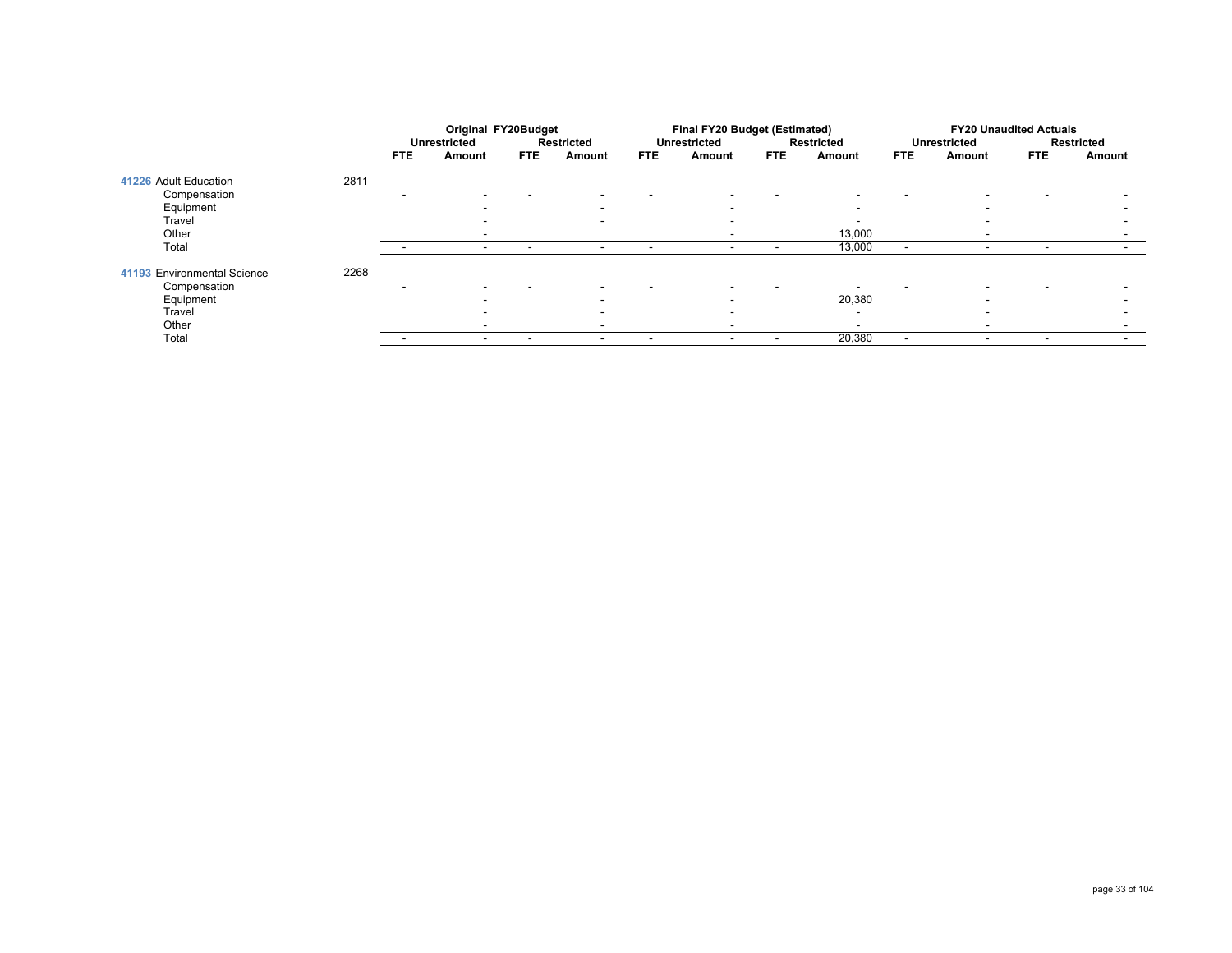|                             |      |      | Original FY20Budget      |                          |                          | Final FY20 Budget (Estimated) |                          |            |                   |                          | <b>FY20 Unaudited Actuals</b> |                          |                          |  |
|-----------------------------|------|------|--------------------------|--------------------------|--------------------------|-------------------------------|--------------------------|------------|-------------------|--------------------------|-------------------------------|--------------------------|--------------------------|--|
|                             |      |      | <b>Unrestricted</b>      |                          | <b>Restricted</b>        |                               | <b>Unrestricted</b>      |            | <b>Restricted</b> | <b>Unrestricted</b>      |                               |                          | Restricted               |  |
|                             |      | FTE. | Amount                   | <b>FTE</b>               | Amount                   | <b>FTE</b>                    | Amount                   | <b>FTE</b> | Amount            | <b>FTE</b>               | Amount                        | <b>FTE</b>               | Amount                   |  |
| 41226 Adult Education       | 2811 |      |                          |                          |                          |                               |                          |            |                   |                          |                               |                          |                          |  |
| Compensation                |      |      | -                        |                          | $\overline{\phantom{a}}$ |                               | $\overline{\phantom{a}}$ |            |                   |                          |                               | $\overline{\phantom{a}}$ |                          |  |
| Equipment                   |      |      | $\overline{\phantom{a}}$ |                          | $\overline{\phantom{0}}$ |                               | $\overline{\phantom{a}}$ |            |                   |                          | -                             |                          |                          |  |
| Travel                      |      |      |                          |                          | $\overline{\phantom{0}}$ |                               | -                        |            |                   |                          |                               |                          |                          |  |
| Other                       |      |      | $\overline{\phantom{a}}$ |                          |                          |                               |                          |            | 13,000            |                          |                               |                          | $\overline{\phantom{a}}$ |  |
| Total                       |      |      | $\overline{\phantom{a}}$ | $\overline{\phantom{a}}$ | $\overline{\phantom{a}}$ |                               |                          |            | 13,000            | -                        |                               | $\overline{\phantom{0}}$ |                          |  |
| 41193 Environmental Science | 2268 |      |                          |                          |                          |                               |                          |            |                   |                          |                               |                          |                          |  |
| Compensation                |      |      |                          |                          | $\overline{\phantom{a}}$ |                               | -                        |            |                   |                          |                               | -                        |                          |  |
| Equipment                   |      |      |                          |                          | $\overline{\phantom{0}}$ |                               | -                        |            | 20,380            |                          |                               |                          |                          |  |
| Travel                      |      |      |                          |                          | $\overline{\phantom{0}}$ |                               |                          |            | $\sim$            |                          |                               |                          |                          |  |
| Other                       |      |      | -                        |                          | $\overline{\phantom{a}}$ |                               |                          |            |                   |                          |                               |                          |                          |  |
| Total                       |      |      | $\overline{\phantom{a}}$ | $\overline{\phantom{a}}$ | $\overline{\phantom{0}}$ | $\overline{\phantom{a}}$      | $\overline{\phantom{a}}$ |            | 20,380            | $\overline{\phantom{a}}$ | $\overline{\phantom{a}}$      | $\overline{\phantom{a}}$ | $\overline{\phantom{a}}$ |  |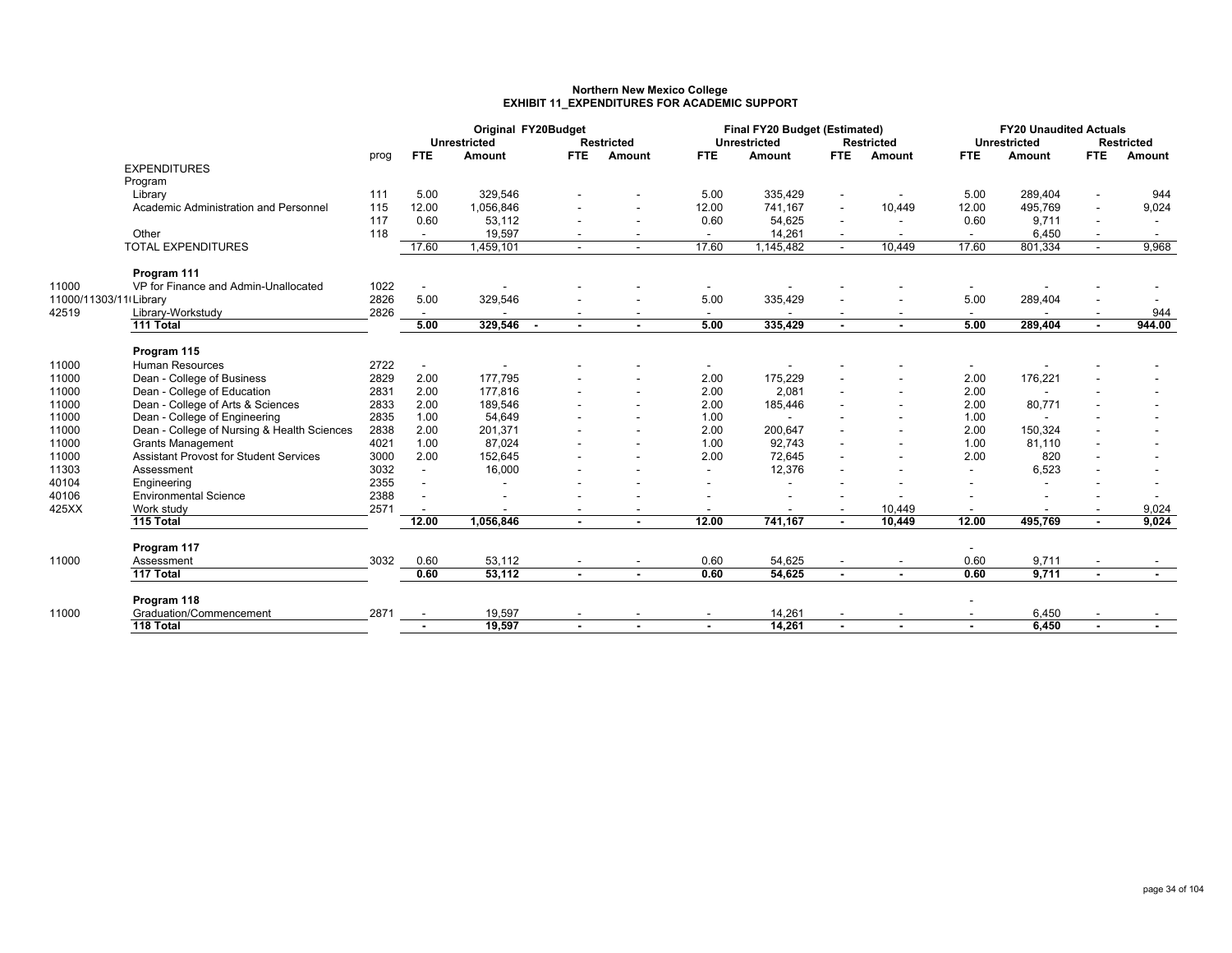#### **Northern New Mexico College EXHIBIT 11\_EXPENDITURES FOR ACADEMIC SUPPORT**

|                        |                                               |      | Original FY20Budget      |                           |            |                   | Final FY20 Budget (Estimated) |                     |                          |                          |                          | <b>FY20 Unaudited Actuals</b> |                          |                   |  |
|------------------------|-----------------------------------------------|------|--------------------------|---------------------------|------------|-------------------|-------------------------------|---------------------|--------------------------|--------------------------|--------------------------|-------------------------------|--------------------------|-------------------|--|
|                        |                                               |      | <b>FTE</b>               | <b>Unrestricted</b>       | <b>FTE</b> | <b>Restricted</b> | <b>FTE</b>                    | <b>Unrestricted</b> | <b>FTE</b>               | <b>Restricted</b>        | <b>FTE</b>               | <b>Unrestricted</b><br>Amount | FTE.                     | <b>Restricted</b> |  |
|                        | <b>EXPENDITURES</b>                           | prog |                          | Amount                    |            | Amount            |                               | Amount              |                          | Amount                   |                          |                               |                          | Amount            |  |
|                        | Program                                       |      |                          |                           |            |                   |                               |                     |                          |                          |                          |                               |                          |                   |  |
|                        | Library                                       | 111  | 5.00                     | 329.546                   |            |                   | 5.00                          | 335.429             | $\overline{\phantom{a}}$ |                          | 5.00                     | 289.404                       |                          | 944               |  |
|                        | Academic Administration and Personnel         | 115  | 12.00                    | 1.056.846                 |            |                   | 12.00                         | 741.167             | $\blacksquare$           | 10,449                   | 12.00                    | 495,769                       | $\overline{\phantom{a}}$ | 9,024             |  |
|                        |                                               | 117  | 0.60                     | 53,112                    |            | ۰                 | 0.60                          | 54,625              |                          | $\blacksquare$           | 0.60                     | 9,711                         |                          |                   |  |
|                        | Other                                         | 118  |                          | 19,597                    |            |                   |                               | 14,261              |                          |                          | $\overline{\phantom{a}}$ | 6,450                         |                          |                   |  |
|                        | <b>TOTAL EXPENDITURES</b>                     |      | 17.60                    | 1,459,101                 |            |                   | 17.60                         | 1,145,482           | $\mathbf{r}$             | 10,449                   | 17.60                    | 801,334                       | $\sim$                   | 9,968             |  |
|                        | Program 111                                   |      |                          |                           |            |                   |                               |                     |                          |                          |                          |                               |                          |                   |  |
| 11000                  | VP for Finance and Admin-Unallocated          | 1022 | $\overline{\phantom{a}}$ |                           |            |                   |                               |                     |                          |                          |                          |                               |                          |                   |  |
| 11000/11303/11(Library |                                               | 2826 | 5.00                     | 329,546                   |            |                   | 5.00                          | 335,429             |                          |                          | 5.00                     | 289,404                       |                          |                   |  |
| 42519                  | Library-Workstudy                             | 2826 |                          |                           |            |                   |                               |                     |                          |                          |                          |                               |                          | 944               |  |
|                        | 111 Total                                     |      | 5.00                     | 329,546<br>$\blacksquare$ |            | $\sim$            | 5.00                          | 335,429             | $\overline{\phantom{a}}$ | $\blacksquare$           | 5.00                     | 289,404                       |                          | 944.00            |  |
|                        | Program 115                                   |      |                          |                           |            |                   |                               |                     |                          |                          |                          |                               |                          |                   |  |
| 11000                  | Human Resources                               | 2722 |                          |                           |            |                   |                               |                     |                          |                          |                          |                               |                          |                   |  |
| 11000                  | Dean - College of Business                    | 2829 | 2.00                     | 177.795                   |            |                   | 2.00                          | 175,229             |                          |                          | 2.00                     | 176,221                       |                          |                   |  |
| 11000                  | Dean - College of Education                   | 2831 | 2.00                     | 177.816                   |            |                   | 2.00                          | 2.081               |                          | $\blacksquare$           | 2.00                     | $\overline{\phantom{a}}$      |                          |                   |  |
| 11000                  | Dean - College of Arts & Sciences             | 2833 | 2.00                     | 189,546                   |            | ۰                 | 2.00                          | 185,446             |                          | $\blacksquare$           | 2.00                     | 80,771                        |                          |                   |  |
| 11000                  | Dean - College of Engineering                 | 2835 | 1.00                     | 54,649                    |            |                   | 1.00                          |                     |                          |                          | 1.00                     | $\sim$                        |                          |                   |  |
| 11000                  | Dean - College of Nursing & Health Sciences   | 2838 | 2.00                     | 201,371                   |            |                   | 2.00                          | 200,647             |                          |                          | 2.00                     | 150,324                       |                          |                   |  |
| 11000                  | <b>Grants Management</b>                      | 4021 | 1.00                     | 87,024                    |            |                   | 1.00                          | 92,743              |                          | $\overline{\phantom{a}}$ | 1.00                     | 81,110                        |                          |                   |  |
| 11000                  | <b>Assistant Provost for Student Services</b> | 3000 | 2.00                     | 152,645                   |            |                   | 2.00                          | 72,645              |                          |                          | 2.00                     | 820                           |                          |                   |  |
| 11303                  | Assessment                                    | 3032 |                          | 16,000                    |            |                   | $\overline{\phantom{a}}$      | 12,376              |                          |                          | $\overline{\phantom{a}}$ | 6,523                         |                          |                   |  |
| 40104                  | Engineering                                   | 2355 |                          |                           |            |                   |                               |                     |                          |                          |                          |                               |                          |                   |  |
| 40106                  | <b>Environmental Science</b>                  | 2388 |                          |                           |            |                   |                               |                     |                          |                          |                          |                               |                          |                   |  |
| 425XX                  | Work study                                    | 2571 |                          |                           |            |                   | $\overline{a}$                |                     | $\overline{a}$           | 10,449                   | $\overline{\phantom{a}}$ | $\sim$                        |                          | 9,024             |  |
|                        | 115 Total                                     |      | 12.00                    | 1,056,846                 |            |                   | 12.00                         | 741,167             |                          | 10,449                   | 12.00                    | 495,769                       |                          | 9,024             |  |
|                        | Program 117                                   |      |                          |                           |            |                   |                               |                     |                          |                          |                          |                               |                          |                   |  |
| 11000                  | Assessment                                    | 3032 | 0.60                     | 53,112                    |            |                   | 0.60                          | 54,625              |                          | $\overline{\phantom{a}}$ | 0.60                     | 9,711                         |                          |                   |  |
|                        | 117 Total                                     |      | 0.60                     | 53,112                    |            |                   | 0.60                          | 54.625              | $\blacksquare$           | $\blacksquare$           | 0.60                     | 9,711                         | $\blacksquare$           |                   |  |
|                        | Program 118                                   |      |                          |                           |            |                   |                               |                     |                          |                          |                          |                               |                          |                   |  |
| 11000                  | Graduation/Commencement                       | 2871 |                          | 19,597                    |            |                   |                               | 14,261              |                          |                          |                          | 6,450                         |                          |                   |  |
|                        | 118 Total                                     |      |                          | 19.597                    |            | $\sim$            | $\blacksquare$                | 14.261              | $\sim$                   | $\blacksquare$           | $\sim$                   | 6.450                         | $\sim$                   |                   |  |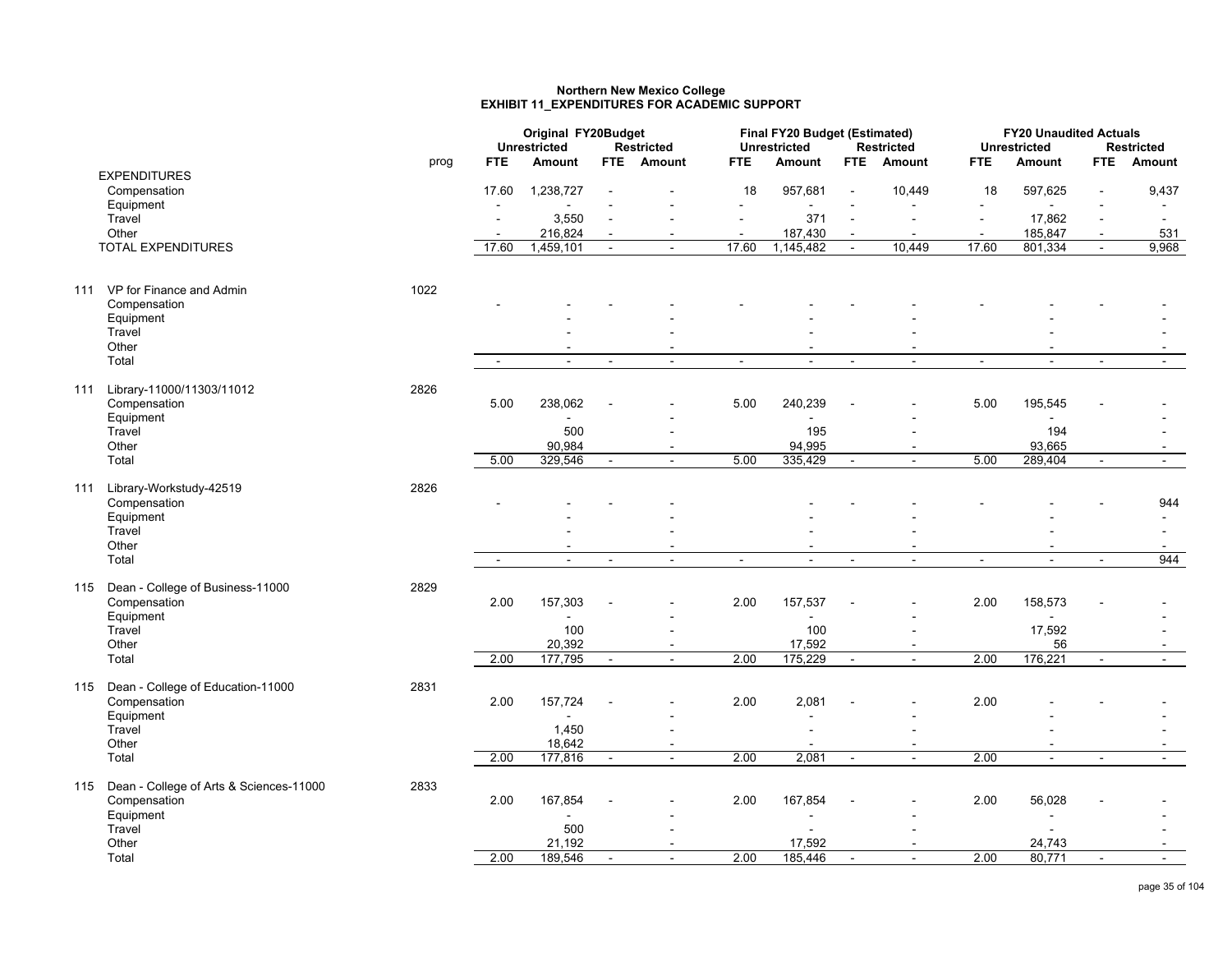### **Northern New Mexico College EXHIBIT 11\_EXPENDITURES FOR ACADEMIC SUPPORT**

|     |                                                      |      |                | Original FY20Budget<br><b>Unrestricted</b> |                | <b>Restricted</b>        |                          | Final FY20 Budget (Estimated)<br><b>Unrestricted</b> |                | <b>Restricted</b>                          |                          | <b>FY20 Unaudited Actuals</b><br><b>Unrestricted</b> |                          | <b>Restricted</b>        |
|-----|------------------------------------------------------|------|----------------|--------------------------------------------|----------------|--------------------------|--------------------------|------------------------------------------------------|----------------|--------------------------------------------|--------------------------|------------------------------------------------------|--------------------------|--------------------------|
|     |                                                      | prog | <b>FTE</b>     | Amount                                     |                | FTE Amount               | <b>FTE</b>               | Amount                                               | <b>FTE</b>     | <b>Amount</b>                              | <b>FTE</b>               | <b>Amount</b>                                        | FTE.                     | Amount                   |
|     | <b>EXPENDITURES</b>                                  |      |                |                                            |                |                          |                          |                                                      |                |                                            |                          |                                                      |                          |                          |
|     | Compensation                                         |      | 17.60          | 1,238,727                                  |                |                          | 18                       | 957,681                                              | $\blacksquare$ | 10,449                                     | 18                       | 597,625                                              |                          | 9,437                    |
|     | Equipment                                            |      | $\blacksquare$ | $\blacksquare$                             |                |                          |                          | $\blacksquare$                                       |                |                                            |                          | ÷                                                    |                          |                          |
|     | Travel                                               |      | $\sim$         | 3,550                                      | $\blacksquare$ | ÷                        |                          | 371                                                  | $\sim$         | $\blacksquare$                             | $\sim$                   | 17,862                                               | $\overline{\phantom{a}}$ | $\sim$                   |
|     | Other                                                |      | $\blacksquare$ | 216,824                                    | $\blacksquare$ | $\overline{\phantom{a}}$ | $\overline{\phantom{a}}$ | 187,430                                              | $\sim$         | $\overline{\phantom{a}}$                   | $\overline{\phantom{a}}$ | 185,847                                              | $\blacksquare$           | 531                      |
|     | <b>TOTAL EXPENDITURES</b>                            |      | 17.60          | 1,459,101                                  | $\blacksquare$ | $\blacksquare$           | 17.60                    | 1,145,482                                            | $\blacksquare$ | 10,449                                     | 17.60                    | 801,334                                              |                          | 9,968                    |
| 111 | VP for Finance and Admin                             | 1022 |                |                                            |                |                          |                          |                                                      |                |                                            |                          |                                                      |                          |                          |
|     | Compensation                                         |      |                |                                            |                |                          |                          |                                                      |                |                                            |                          |                                                      |                          |                          |
|     | Equipment                                            |      |                |                                            |                |                          |                          |                                                      |                |                                            |                          |                                                      |                          |                          |
|     | Travel                                               |      |                |                                            |                |                          |                          |                                                      |                |                                            |                          |                                                      |                          |                          |
|     | Other                                                |      |                | $\blacksquare$                             |                |                          |                          | $\blacksquare$                                       |                |                                            |                          |                                                      |                          |                          |
|     | Total                                                |      | $\blacksquare$ |                                            | $\blacksquare$ | $\sim$                   | $\sim$                   |                                                      | $\sim$         | $\blacksquare$                             | $\blacksquare$           |                                                      |                          |                          |
| 111 | Library-11000/11303/11012                            | 2826 |                |                                            |                |                          |                          |                                                      |                |                                            |                          |                                                      |                          |                          |
|     | Compensation                                         |      | 5.00           | 238,062                                    |                |                          | 5.00                     | 240,239                                              |                |                                            | 5.00                     | 195,545                                              |                          |                          |
|     | Equipment<br>Travel                                  |      |                | 500                                        |                |                          |                          | 195                                                  |                |                                            |                          | 194                                                  |                          |                          |
|     | Other                                                |      |                | 90,984                                     |                | $\overline{\phantom{a}}$ |                          | 94,995                                               |                | $\blacksquare$                             |                          | 93,665                                               |                          | $\overline{\phantom{0}}$ |
|     | Total                                                |      | 5.00           | 329,546                                    | $\blacksquare$ | $\blacksquare$           | 5.00                     | 335,429                                              | $\blacksquare$ | $\overline{a}$                             | 5.00                     | 289,404                                              | $\sim$                   | $\sim$                   |
|     |                                                      |      |                |                                            |                |                          |                          |                                                      |                |                                            |                          |                                                      |                          |                          |
|     | 111 Library-Workstudy-42519                          | 2826 |                |                                            |                |                          |                          |                                                      |                |                                            |                          |                                                      |                          |                          |
|     | Compensation                                         |      |                |                                            |                |                          |                          |                                                      |                |                                            |                          |                                                      |                          | 944                      |
|     | Equipment                                            |      |                |                                            |                |                          |                          |                                                      |                |                                            |                          |                                                      |                          | $\sim$                   |
|     | Travel                                               |      |                |                                            |                |                          |                          |                                                      |                |                                            |                          |                                                      |                          |                          |
|     | Other                                                |      |                | $\overline{\phantom{0}}$                   |                | $\overline{\phantom{0}}$ |                          | $\overline{\phantom{a}}$                             |                | $\overline{\phantom{0}}$                   |                          |                                                      |                          | $\overline{\phantom{a}}$ |
|     | Total                                                |      | $\blacksquare$ | $\overline{a}$                             | $\blacksquare$ | $\overline{a}$           | $\sim$                   | $\overline{a}$                                       | $\sim$         | $\overline{a}$                             | $\blacksquare$           | $\overline{a}$                                       | $\sim$                   | 944                      |
|     |                                                      |      |                |                                            |                |                          |                          |                                                      |                |                                            |                          |                                                      |                          |                          |
|     | 115 Dean - College of Business-11000<br>Compensation | 2829 | 2.00           | 157,303                                    |                |                          | 2.00                     | 157,537                                              |                |                                            | 2.00                     | 158,573                                              |                          |                          |
|     | Equipment                                            |      |                | $\blacksquare$                             |                |                          |                          |                                                      |                |                                            |                          |                                                      |                          |                          |
|     | Travel                                               |      |                | 100                                        |                |                          |                          | 100                                                  |                |                                            |                          | 17,592                                               |                          |                          |
|     | Other                                                |      |                | 20,392                                     |                | $\sim$                   |                          | 17,592                                               |                | $\overline{\phantom{a}}$                   |                          | 56                                                   |                          |                          |
|     | Total                                                |      | 2.00           | 177,795                                    | $\sim$         | $\sim$                   | 2.00                     | 175,229                                              | $\blacksquare$ | $\sim$                                     | 2.00                     | 176,221                                              | $\sim$                   | $\sim$                   |
|     |                                                      |      |                |                                            |                |                          |                          |                                                      |                |                                            |                          |                                                      |                          |                          |
|     | 115 Dean - College of Education-11000                | 2831 |                |                                            |                |                          |                          |                                                      |                |                                            |                          |                                                      |                          |                          |
|     | Compensation                                         |      | 2.00           | 157,724                                    |                |                          | 2.00                     | 2,081                                                |                |                                            | 2.00                     |                                                      |                          |                          |
|     | Equipment                                            |      |                |                                            |                |                          |                          |                                                      |                |                                            |                          |                                                      |                          |                          |
|     | Travel<br>Other                                      |      |                | 1,450<br>18,642                            |                |                          |                          | $\blacksquare$                                       |                |                                            |                          |                                                      |                          |                          |
|     | Total                                                |      | 2.00           | 177,816                                    | $\sim$         | $\sim$<br>$\sim$         | 2.00                     | 2,081                                                | $\sim$         | $\overline{\phantom{a}}$<br>$\overline{a}$ | 2.00                     | $\sim$                                               | $\overline{\phantom{a}}$ | $\sim$                   |
|     |                                                      |      |                |                                            |                |                          |                          |                                                      |                |                                            |                          |                                                      |                          |                          |
|     | 115 Dean - College of Arts & Sciences-11000          | 2833 |                |                                            |                |                          |                          |                                                      |                |                                            |                          |                                                      |                          |                          |
|     | Compensation                                         |      | 2.00           | 167,854                                    |                |                          | 2.00                     | 167,854                                              |                |                                            | 2.00                     | 56,028                                               |                          |                          |
|     | Equipment                                            |      |                |                                            |                |                          |                          |                                                      |                |                                            |                          |                                                      |                          |                          |
|     | Travel                                               |      |                | 500                                        |                |                          |                          |                                                      |                |                                            |                          |                                                      |                          |                          |
|     | Other                                                |      |                | 21,192                                     |                |                          |                          | 17,592                                               |                |                                            |                          | 24,743                                               |                          |                          |
|     | Total                                                |      | 2.00           | 189,546                                    | $\blacksquare$ | $\sim$                   | 2.00                     | 185,446                                              | $\sim$         | $\blacksquare$                             | 2.00                     | 80,771                                               | $\blacksquare$           | $\sim$                   |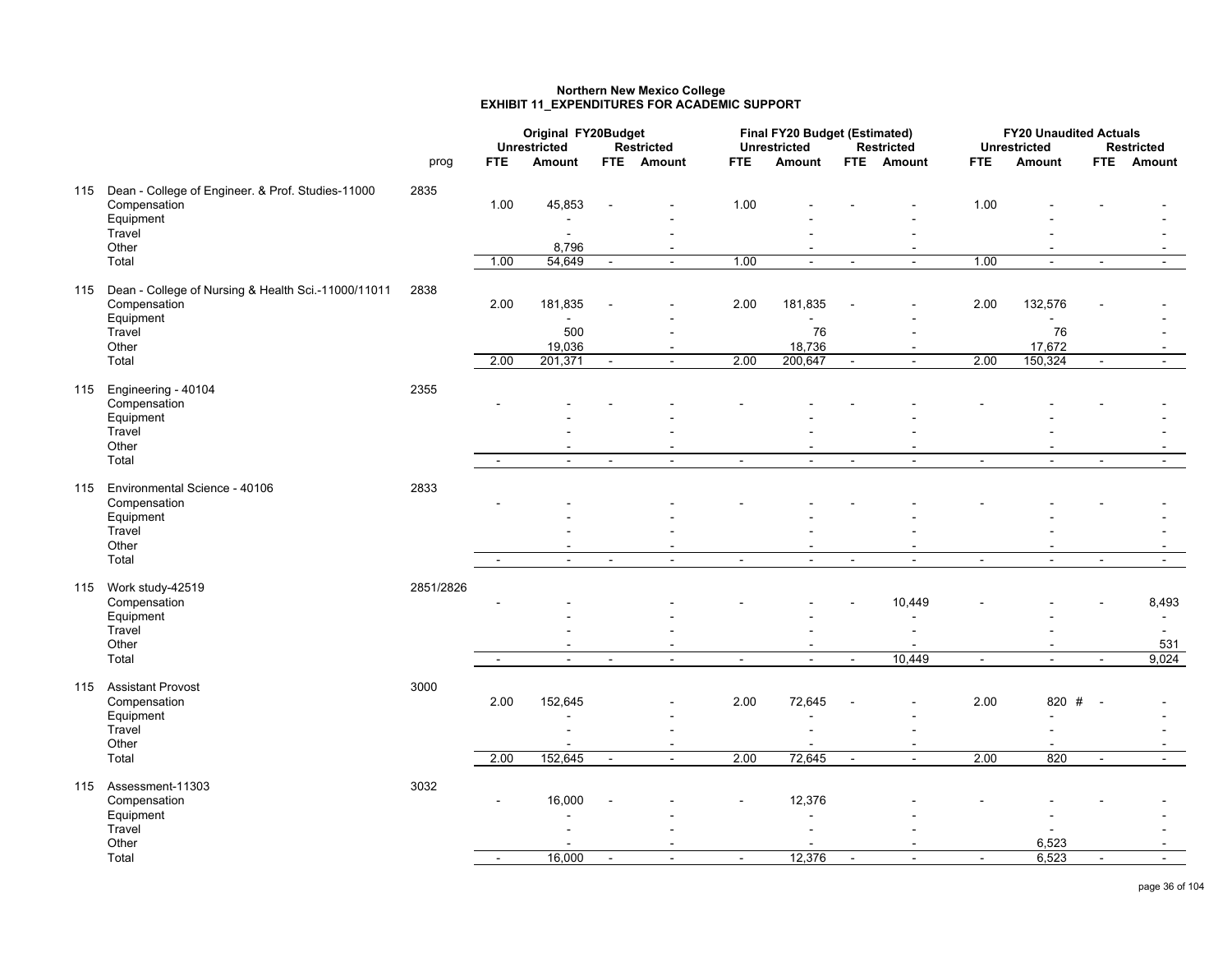#### **Northern New Mexico College EXHIBIT 11\_EXPENDITURES FOR ACADEMIC SUPPORT**

|                                                         |           |            | Original FY20Budget      |                |                   |                | Final FY20 Budget (Estimated) |                |                          |                | <b>FY20 Unaudited Actuals</b> |                |                   |
|---------------------------------------------------------|-----------|------------|--------------------------|----------------|-------------------|----------------|-------------------------------|----------------|--------------------------|----------------|-------------------------------|----------------|-------------------|
|                                                         |           |            | <b>Unrestricted</b>      |                | <b>Restricted</b> |                | <b>Unrestricted</b>           |                | <b>Restricted</b>        |                | <b>Unrestricted</b>           |                | <b>Restricted</b> |
|                                                         | prog      | <b>FTE</b> | Amount                   |                | FTE Amount        | FTE.           | Amount                        |                | FTE Amount               | FTE.           | Amount                        |                | FTE Amount        |
| 115 Dean - College of Engineer. & Prof. Studies-11000   | 2835      |            |                          |                |                   |                |                               |                |                          |                |                               |                |                   |
| Compensation                                            |           | 1.00       | 45,853                   |                |                   | 1.00           |                               |                |                          | 1.00           |                               |                |                   |
| Equipment                                               |           |            |                          |                |                   |                |                               |                |                          |                |                               |                |                   |
| Travel                                                  |           |            | $\blacksquare$           |                |                   |                |                               |                |                          |                |                               |                |                   |
| Other                                                   |           |            | 8,796                    |                | $\blacksquare$    |                |                               |                | $\blacksquare$           |                |                               |                |                   |
| Total                                                   |           | 1.00       | 54,649                   | $\blacksquare$ | $\sim$            | 1.00           | $\sim$                        | $\sim$         | $\mathbf{r}$             | 1.00           | $\blacksquare$                | $\sim$         | $\mathbf{r}$      |
| 115 Dean - College of Nursing & Health Sci.-11000/11011 | 2838      |            |                          |                |                   |                |                               |                |                          |                |                               |                |                   |
| Compensation                                            |           | 2.00       | 181,835                  |                |                   | 2.00           | 181,835                       |                |                          | 2.00           | 132,576                       |                |                   |
| Equipment                                               |           |            |                          |                |                   |                |                               |                |                          |                |                               |                |                   |
| Travel                                                  |           |            | 500                      |                |                   |                | 76                            |                |                          |                | 76                            |                |                   |
| Other                                                   |           |            | 19,036                   |                |                   |                | 18,736                        |                |                          |                | 17,672                        |                |                   |
| Total                                                   |           | 2.00       | 201,371                  | $\sim$         | $\sim$            | 2.00           | 200,647                       | $\blacksquare$ | $\sim$                   | 2.00           | 150,324                       | $\blacksquare$ | $\sim$            |
| 115 Engineering - 40104                                 | 2355      |            |                          |                |                   |                |                               |                |                          |                |                               |                |                   |
| Compensation                                            |           |            |                          |                |                   |                |                               |                |                          |                |                               |                |                   |
| Equipment                                               |           |            |                          |                |                   |                |                               |                |                          |                |                               |                |                   |
| Travel                                                  |           |            |                          |                |                   |                |                               |                |                          |                |                               |                |                   |
| Other                                                   |           |            |                          |                |                   |                |                               |                |                          |                |                               |                |                   |
| Total                                                   |           |            | $\overline{a}$           | $\blacksquare$ | $\mathbf{r}$      | $\sim$         | $\sim$                        |                | $\overline{a}$           | $\blacksquare$ | $\mathbf{r}$                  | $\sim$         |                   |
| 115 Environmental Science - 40106                       | 2833      |            |                          |                |                   |                |                               |                |                          |                |                               |                |                   |
| Compensation                                            |           |            |                          |                |                   |                |                               |                |                          |                |                               |                |                   |
| Equipment                                               |           |            |                          |                |                   |                |                               |                |                          |                |                               |                |                   |
| Travel                                                  |           |            |                          |                |                   |                |                               |                |                          |                |                               |                |                   |
| Other                                                   |           |            |                          |                |                   |                |                               |                |                          |                |                               |                |                   |
| Total                                                   |           |            |                          | $\sim$         |                   |                |                               |                |                          | $\blacksquare$ | $\blacksquare$                | $\blacksquare$ |                   |
| 115 Work study-42519                                    | 2851/2826 |            |                          |                |                   |                |                               |                |                          |                |                               |                |                   |
| Compensation                                            |           |            |                          |                |                   |                |                               |                | 10,449                   |                |                               |                | 8,493             |
| Equipment                                               |           |            |                          |                |                   |                |                               |                |                          |                |                               |                |                   |
| Travel                                                  |           |            |                          |                |                   |                |                               |                |                          |                |                               |                |                   |
| Other                                                   |           |            | $\overline{\phantom{a}}$ |                |                   |                |                               |                |                          |                |                               |                | 531               |
| Total                                                   |           |            | $\overline{a}$           | $\blacksquare$ | $\sim$            | $\blacksquare$ | $\sim$                        | $\blacksquare$ | 10,449                   | $\blacksquare$ | $\blacksquare$                |                | 9,024             |
| 115 Assistant Provost                                   | 3000      |            |                          |                |                   |                |                               |                |                          |                |                               |                |                   |
| Compensation                                            |           | 2.00       | 152,645                  |                |                   | 2.00           | 72,645                        |                |                          | 2.00           | 820 #                         | $\sim$         |                   |
| Equipment                                               |           |            |                          |                |                   |                |                               |                |                          |                |                               |                |                   |
| Travel                                                  |           |            |                          |                |                   |                |                               |                |                          |                |                               |                |                   |
| Other                                                   |           |            |                          |                |                   |                |                               |                | $\blacksquare$           |                |                               |                |                   |
| Total                                                   |           | 2.00       | 152,645                  | $\blacksquare$ | $\sim$            | 2.00           | 72,645                        | $\sim$         | $\sim$                   | 2.00           | 820                           | $\blacksquare$ | $\sim$            |
| 115 Assessment-11303                                    | 3032      |            |                          |                |                   |                |                               |                |                          |                |                               |                |                   |
| Compensation                                            |           |            | 16,000                   |                |                   |                | 12,376                        |                |                          |                |                               |                |                   |
| Equipment                                               |           |            |                          |                |                   |                |                               |                |                          |                |                               |                |                   |
| Travel                                                  |           |            |                          |                |                   |                |                               |                |                          |                |                               |                |                   |
| Other                                                   |           |            |                          |                |                   |                |                               |                |                          |                | 6,523                         |                |                   |
| Total                                                   |           | $\sim$     | 16,000                   | $\sim$         | $\sim$            | $\blacksquare$ | 12,376                        | $\sim$         | $\overline{\phantom{a}}$ | $\blacksquare$ | 6,523                         | $\blacksquare$ | $\sim$            |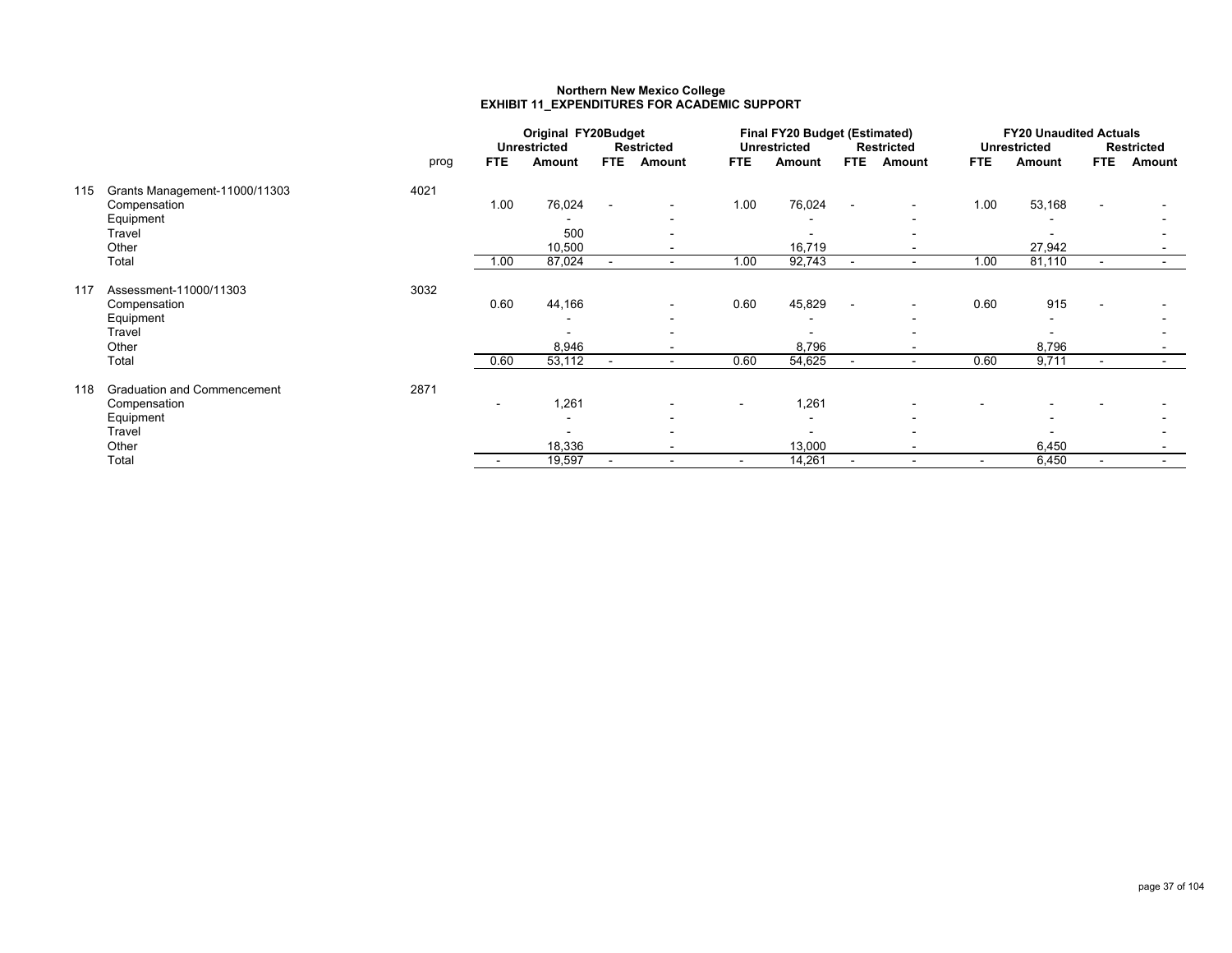#### **Northern New Mexico College EXHIBIT 11\_EXPENDITURES FOR ACADEMIC SUPPORT**

|     |                                    |      |                | Original FY20Budget |            |                          |            | Final FY20 Budget (Estimated) |                          |                          |                          | <b>FY20 Unaudited Actuals</b> |            |            |
|-----|------------------------------------|------|----------------|---------------------|------------|--------------------------|------------|-------------------------------|--------------------------|--------------------------|--------------------------|-------------------------------|------------|------------|
|     |                                    |      |                | <b>Unrestricted</b> |            | <b>Restricted</b>        |            | <b>Unrestricted</b>           |                          | Restricted               |                          | <b>Unrestricted</b>           |            | Restricted |
|     |                                    | prog | <b>FTE</b>     | Amount              | <b>FTE</b> | Amount                   | <b>FTE</b> | Amount                        | <b>FTE</b>               | Amount                   | <b>FTE</b>               | Amount                        | <b>FTE</b> | Amount     |
| 115 | Grants Management-11000/11303      | 4021 |                |                     |            |                          |            |                               |                          |                          |                          |                               |            |            |
|     | Compensation                       |      | 1.00           | 76,024              |            | $\overline{\phantom{0}}$ | 1.00       | 76,024                        | $\sim$                   | $\sim$                   | 1.00                     | 53,168                        |            |            |
|     | Equipment                          |      |                |                     |            |                          |            |                               |                          | $\overline{\phantom{a}}$ |                          |                               |            |            |
|     | Travel                             |      |                | 500                 |            |                          |            |                               |                          |                          |                          |                               |            |            |
|     | Other                              |      |                | 10,500              |            | $\overline{\phantom{0}}$ |            | 16,719                        |                          | $\overline{\phantom{a}}$ |                          | 27,942                        |            |            |
|     | Total                              |      | 1.00           | 87,024              | $\sim$     | $\overline{\phantom{a}}$ | 1.00       | 92,743                        | $\blacksquare$           | $\blacksquare$           | 1.00                     | 81,110                        |            |            |
| 117 | Assessment-11000/11303             | 3032 |                |                     |            |                          |            |                               |                          |                          |                          |                               |            |            |
|     | Compensation                       |      | 0.60           | 44,166              |            |                          | 0.60       | 45,829                        | $\overline{\phantom{a}}$ | $\blacksquare$           | 0.60                     | 915                           |            |            |
|     | Equipment                          |      |                |                     |            |                          |            |                               |                          | $\blacksquare$           |                          |                               |            |            |
|     | Travel                             |      |                |                     |            |                          |            |                               |                          |                          |                          |                               |            |            |
|     | Other                              |      |                | 8,946               |            | $\overline{\phantom{a}}$ |            | 8,796                         |                          | $\blacksquare$           |                          | 8,796                         |            |            |
|     | Total                              |      | 0.60           | 53,112              |            | $\sim$                   | 0.60       | 54,625                        | $\blacksquare$           | $\sim$                   | 0.60                     | 9,711                         |            | $\sim$     |
| 118 | <b>Graduation and Commencement</b> | 2871 |                |                     |            |                          |            |                               |                          |                          |                          |                               |            |            |
|     | Compensation                       |      | $\blacksquare$ | 1,261               |            |                          |            | 1,261                         |                          |                          |                          |                               |            |            |
|     | Equipment                          |      |                |                     |            |                          |            |                               |                          |                          |                          |                               |            |            |
|     | Travel                             |      |                |                     |            |                          |            |                               |                          |                          |                          |                               |            |            |
|     | Other                              |      |                | 18,336              |            |                          |            | 13,000                        |                          | $\overline{\phantom{a}}$ |                          | 6,450                         |            |            |
|     | Total                              |      |                | 19,597              |            | $\overline{\phantom{a}}$ | $\sim$     | 14,261                        |                          | $\blacksquare$           | $\overline{\phantom{a}}$ | 6,450                         |            |            |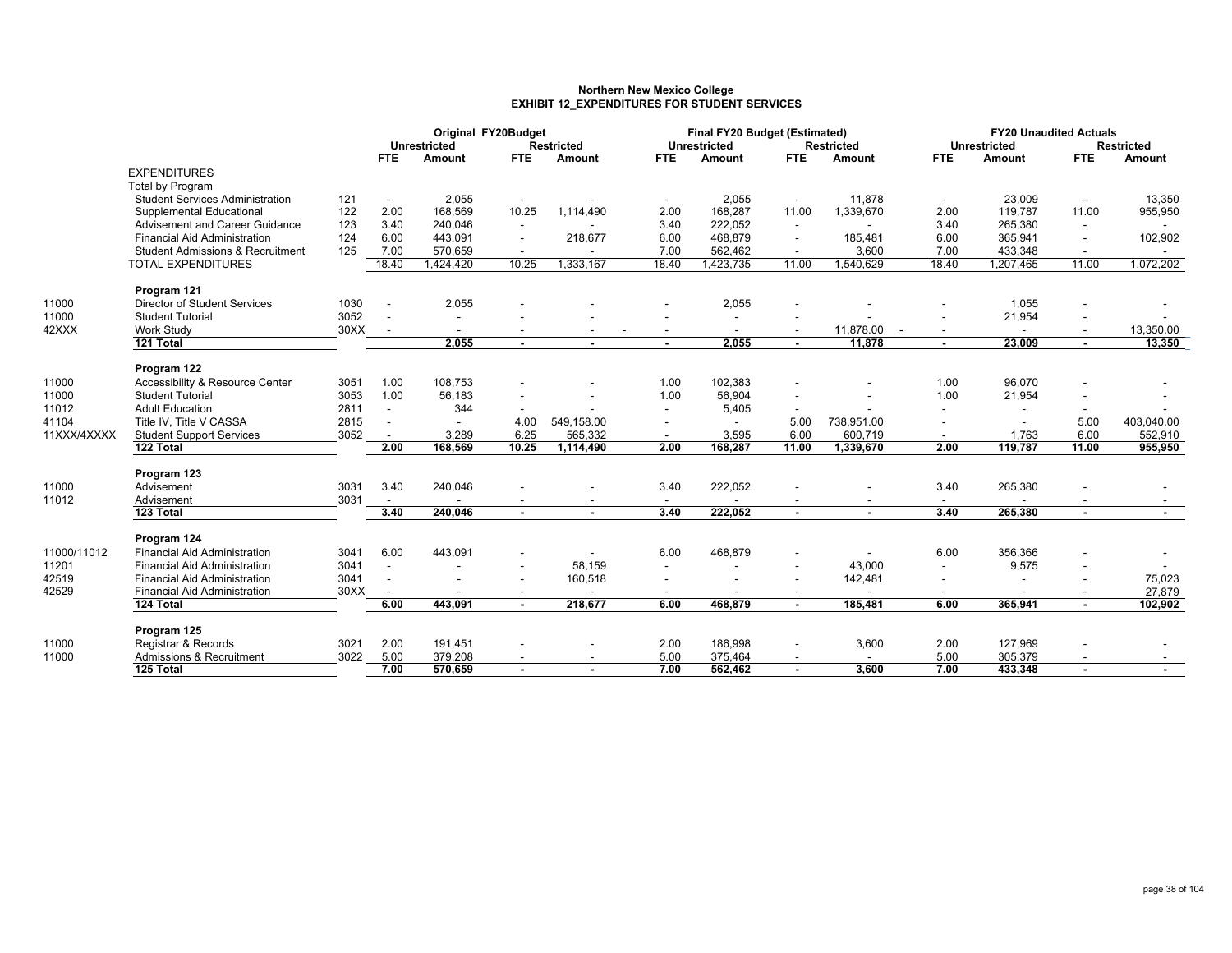#### **Northern New Mexico College EXHIBIT 12\_EXPENDITURES FOR STUDENT SERVICES**

|             |                                             |      |                          | Original FY20Budget<br><b>Unrestricted</b> |                          | <b>Restricted</b>                                    |                          | Final FY20 Budget (Estimated)<br><b>Unrestricted</b> |                          | <b>Restricted</b> |                          | <b>FY20 Unaudited Actuals</b><br><b>Unrestricted</b> |                          | <b>Restricted</b> |
|-------------|---------------------------------------------|------|--------------------------|--------------------------------------------|--------------------------|------------------------------------------------------|--------------------------|------------------------------------------------------|--------------------------|-------------------|--------------------------|------------------------------------------------------|--------------------------|-------------------|
|             |                                             |      | <b>FTE</b>               | Amount                                     | <b>FTE</b>               | Amount                                               | <b>FTE</b>               | <b>Amount</b>                                        | <b>FTE</b>               | Amount            | <b>FTE</b>               | Amount                                               | <b>FTE</b>               | Amount            |
|             | <b>EXPENDITURES</b>                         |      |                          |                                            |                          |                                                      |                          |                                                      |                          |                   |                          |                                                      |                          |                   |
|             | Total by Program                            |      |                          |                                            |                          |                                                      |                          |                                                      |                          |                   |                          |                                                      |                          |                   |
|             | <b>Student Services Administration</b>      | 121  | $\sim$                   | 2,055                                      |                          |                                                      |                          | 2,055                                                |                          | 11,878            |                          | 23,009                                               |                          | 13,350            |
|             | Supplemental Educational                    | 122  | 2.00                     | 168,569                                    | 10.25                    | 1,114,490                                            | 2.00                     | 168,287                                              | 11.00                    | 1,339,670         | 2.00                     | 119,787                                              | 11.00                    | 955,950           |
|             | Advisement and Career Guidance              | 123  | 3.40                     | 240,046                                    |                          |                                                      | 3.40                     | 222,052                                              | $\overline{\phantom{a}}$ |                   | 3.40                     | 265,380                                              | $\overline{\phantom{a}}$ |                   |
|             | <b>Financial Aid Administration</b>         | 124  | 6.00                     | 443,091                                    | $\overline{\phantom{a}}$ | 218,677                                              | 6.00                     | 468,879                                              |                          | 185,481           | 6.00                     | 365,941                                              | $\overline{\phantom{a}}$ | 102,902           |
|             | <b>Student Admissions &amp; Recruitment</b> | 125  | 7.00                     | 570,659                                    |                          |                                                      | 7.00                     | 562,462                                              |                          | 3,600             | 7.00                     | 433,348                                              |                          |                   |
|             | <b>TOTAL EXPENDITURES</b>                   |      | 18.40                    | 1,424,420                                  | 10.25                    | 1,333,167                                            | 18.40                    | 1,423,735                                            | 11.00                    | 1,540,629         | 18.40                    | 1,207,465                                            | 11.00                    | 1,072,202         |
|             | Program 121                                 |      |                          |                                            |                          |                                                      |                          |                                                      |                          |                   |                          |                                                      |                          |                   |
| 11000       | <b>Director of Student Services</b>         | 1030 | $\overline{\phantom{a}}$ | 2,055                                      |                          |                                                      |                          | 2,055                                                |                          |                   |                          | 1,055                                                | $\overline{\phantom{a}}$ |                   |
| 11000       | <b>Student Tutorial</b>                     | 3052 |                          | $\overline{\phantom{a}}$                   |                          |                                                      |                          | $\overline{\phantom{a}}$                             |                          |                   |                          | 21,954                                               |                          |                   |
| 42XXX       | <b>Work Study</b>                           | 30XX | $\sim$                   | $\overline{\phantom{0}}$                   | $\overline{\phantom{a}}$ | $\overline{\phantom{a}}$<br>$\overline{\phantom{a}}$ |                          | $\overline{\phantom{a}}$                             |                          | 11,878.00 -       | $\sim$                   | $\sim$                                               | $\overline{\phantom{a}}$ | 13,350.00         |
|             | 121 Total                                   |      |                          | 2.055                                      | $\sim$                   | $\sim$                                               | $\sim$                   | 2.055                                                | $\sim$                   | 11,878            | $\sim$                   | 23,009                                               | $\sim$                   | 13,350            |
|             |                                             |      |                          |                                            |                          |                                                      |                          |                                                      |                          |                   |                          |                                                      |                          |                   |
|             | Program 122                                 |      |                          |                                            |                          |                                                      |                          |                                                      |                          |                   |                          |                                                      |                          |                   |
| 11000       | Accessibility & Resource Center             | 3051 | 1.00                     | 108,753                                    |                          |                                                      | 1.00                     | 102,383                                              |                          |                   | 1.00                     | 96,070                                               |                          |                   |
| 11000       | <b>Student Tutorial</b>                     | 3053 | 1.00                     | 56,183                                     |                          |                                                      | 1.00                     | 56,904                                               |                          |                   | 1.00                     | 21,954                                               |                          |                   |
| 11012       | <b>Adult Education</b>                      | 2811 | $\sim$                   | 344                                        |                          | $\blacksquare$                                       | $\overline{\phantom{a}}$ | 5,405                                                |                          | $\blacksquare$    |                          |                                                      |                          |                   |
| 41104       | Title IV, Title V CASSA                     | 2815 | $\sim$                   | $\overline{\phantom{a}}$                   | 4.00                     | 549,158.00                                           | $\overline{\phantom{a}}$ | $\ddot{\phantom{1}}$                                 | 5.00                     | 738,951.00        | $\overline{\phantom{a}}$ |                                                      | 5.00                     | 403,040.00        |
| 11XXX/4XXXX | <b>Student Support Services</b>             | 3052 | $\sim$                   | 3,289                                      | 6.25                     | 565,332                                              |                          | 3,595                                                | 6.00                     | 600,719           |                          | 1,763                                                | 6.00                     | 552,910           |
|             | 122 Total                                   |      | 2.00                     | 168,569                                    | 10.25                    | 1,114,490                                            | 2.00                     | 168,287                                              | 11.00                    | 1,339,670         | 2.00                     | 119,787                                              | 11.00                    | 955,950           |
|             | Program 123                                 |      |                          |                                            |                          |                                                      |                          |                                                      |                          |                   |                          |                                                      |                          |                   |
| 11000       | Advisement                                  | 3031 | 3.40                     | 240,046                                    |                          |                                                      | 3.40                     | 222,052                                              |                          |                   | 3.40                     | 265,380                                              |                          |                   |
| 11012       | Advisement                                  | 3031 | $\sim$                   |                                            |                          |                                                      | $\overline{\phantom{a}}$ |                                                      |                          |                   | $\overline{\phantom{a}}$ |                                                      |                          |                   |
|             | 123 Total                                   |      | 3.40                     | 240.046                                    |                          | $\blacksquare$                                       | 3,40                     | 222.052                                              | $\sim$                   | $\blacksquare$    | 3,40                     | 265,380                                              | $\sim$                   | $\sim$            |
|             |                                             |      |                          |                                            |                          |                                                      |                          |                                                      |                          |                   |                          |                                                      |                          |                   |
|             | Program 124                                 |      |                          |                                            |                          |                                                      |                          |                                                      |                          |                   |                          |                                                      |                          |                   |
| 11000/11012 | <b>Financial Aid Administration</b>         | 3041 | 6.00                     | 443,091                                    |                          |                                                      | 6.00                     | 468,879                                              |                          |                   | 6.00                     | 356,366                                              |                          |                   |
| 11201       | <b>Financial Aid Administration</b>         | 3041 | $\sim$                   | $\overline{a}$                             |                          | 58,159                                               |                          |                                                      |                          | 43,000            |                          | 9,575                                                | $\sim$                   |                   |
| 42519       | <b>Financial Aid Administration</b>         | 3041 |                          | $\overline{\phantom{a}}$                   |                          | 160,518                                              | $\blacksquare$           |                                                      |                          | 142,481           | $\overline{\phantom{a}}$ |                                                      |                          | 75,023            |
| 42529       | <b>Financial Aid Administration</b>         | 30XX | $\overline{\phantom{a}}$ | $\overline{\phantom{a}}$                   | $\overline{\phantom{a}}$ | $\overline{\phantom{a}}$                             | $\overline{\phantom{a}}$ |                                                      | $\overline{\phantom{0}}$ |                   | $\overline{\phantom{a}}$ |                                                      | $\overline{\phantom{a}}$ | 27.879            |
|             | 124 Total                                   |      | 6.00                     | 443,091                                    |                          | 218.677                                              | 6.00                     | 468.879                                              |                          | 185.481           | 6.00                     | 365.941                                              | $\sim$                   | 102,902           |
|             | Program 125                                 |      |                          |                                            |                          |                                                      |                          |                                                      |                          |                   |                          |                                                      |                          |                   |
| 11000       | Registrar & Records                         | 3021 | 2.00                     | 191.451                                    |                          |                                                      | 2.00                     | 186.998                                              |                          | 3,600             | 2.00                     | 127,969                                              |                          |                   |
| 11000       | Admissions & Recruitment                    | 3022 | 5.00                     | 379,208                                    |                          | $\overline{\phantom{a}}$                             | 5.00                     | 375.464                                              |                          |                   | 5.00                     | 305,379                                              | $\overline{\phantom{a}}$ |                   |
|             | 125 Total                                   |      | 7.00                     | 570,659                                    | $\sim$                   | $\blacksquare$                                       | 7.00                     | 562,462                                              | $\sim$                   | 3.600             | 7.00                     | 433,348                                              |                          | $\blacksquare$    |
|             |                                             |      |                          |                                            |                          |                                                      |                          |                                                      |                          |                   |                          |                                                      |                          |                   |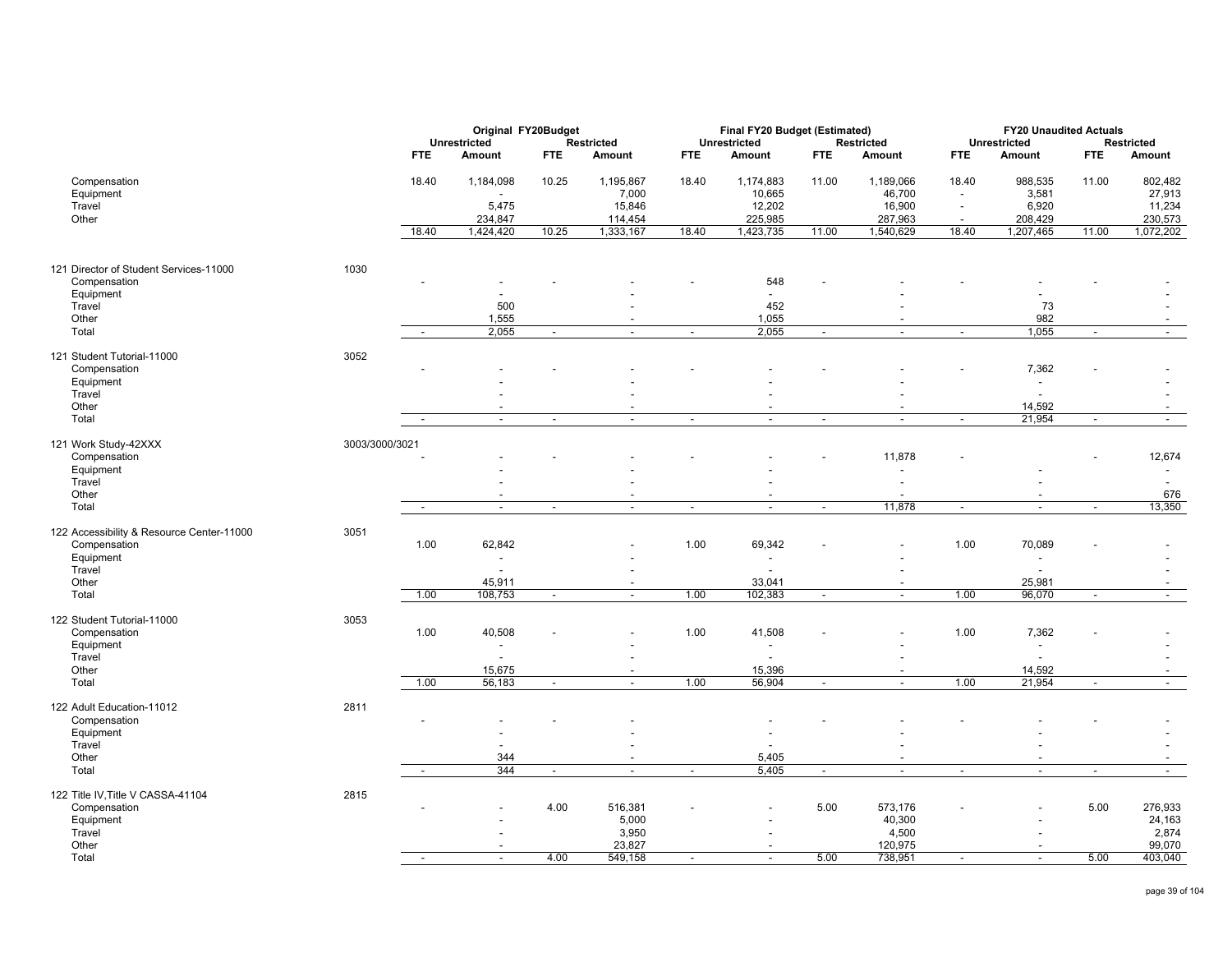|                                                   |                |                          | Original FY20Budget      |                          |                          |                          | Final FY20 Budget (Estimated) |                          |                          |                          | <b>FY20 Unaudited Actuals</b> |                          |                   |
|---------------------------------------------------|----------------|--------------------------|--------------------------|--------------------------|--------------------------|--------------------------|-------------------------------|--------------------------|--------------------------|--------------------------|-------------------------------|--------------------------|-------------------|
|                                                   |                |                          | <b>Unrestricted</b>      |                          | <b>Restricted</b>        |                          | <b>Unrestricted</b>           |                          | <b>Restricted</b>        |                          | <b>Unrestricted</b>           |                          | <b>Restricted</b> |
|                                                   |                | FTE                      | Amount                   | <b>FTE</b>               | Amount                   | <b>FTE</b>               | Amount                        | <b>FTE</b>               | Amount                   | <b>FTE</b>               | Amount                        | <b>FTE</b>               | Amount            |
| Compensation                                      |                | 18.40                    | 1,184,098                | 10.25                    | 1,195,867                | 18.40                    | 1,174,883                     | 11.00                    | 1,189,066                | 18.40                    | 988,535                       | 11.00                    | 802,482           |
| Equipment                                         |                |                          | $\overline{a}$           |                          | 7,000                    |                          | 10,665                        |                          | 46,700                   | $\overline{\phantom{a}}$ | 3,581                         |                          | 27,913            |
| Travel                                            |                |                          | 5,475                    |                          | 15,846                   |                          | 12,202                        |                          | 16,900                   | $\overline{a}$           | 6,920                         |                          | 11,234            |
| Other                                             |                |                          | 234,847                  |                          | 114,454                  |                          | 225,985                       |                          | 287,963                  | $\overline{\phantom{a}}$ | 208,429                       |                          | 230,573           |
|                                                   |                | 18.40                    | 1,424,420                | 10.25                    | 1,333,167                | 18.40                    | 1,423,735                     | 11.00                    | 1,540,629                | 18.40                    | 1,207,465                     | 11.00                    | 1,072,202         |
|                                                   |                |                          |                          |                          |                          |                          |                               |                          |                          |                          |                               |                          |                   |
| 121 Director of Student Services-11000            | 1030           |                          |                          |                          |                          |                          |                               |                          |                          |                          |                               |                          |                   |
| Compensation                                      |                |                          |                          |                          |                          |                          | 548                           |                          |                          |                          |                               |                          |                   |
| Equipment                                         |                |                          |                          |                          |                          |                          | $\overline{\phantom{a}}$      |                          |                          |                          |                               |                          |                   |
| Travel                                            |                |                          | 500                      |                          |                          |                          | 452                           |                          |                          |                          | 73                            |                          |                   |
| Other                                             |                |                          | 1,555                    |                          | $\overline{\phantom{a}}$ |                          | 1,055                         |                          |                          |                          | 982                           |                          |                   |
| Total                                             |                | $\overline{\phantom{a}}$ | 2,055                    | $\overline{\phantom{a}}$ | $\overline{\phantom{a}}$ | $\overline{\phantom{a}}$ | 2,055                         | $\overline{\phantom{a}}$ | $\sim$                   | $\sim$                   | 1,055                         | $\overline{\phantom{a}}$ | $\sim$            |
| 121 Student Tutorial-11000                        | 3052           |                          |                          |                          |                          |                          |                               |                          |                          |                          |                               |                          |                   |
| Compensation                                      |                |                          |                          |                          |                          |                          |                               |                          |                          |                          | 7,362                         |                          |                   |
| Equipment                                         |                |                          |                          |                          |                          |                          |                               |                          |                          |                          | $\blacksquare$                |                          |                   |
| Travel                                            |                |                          |                          |                          |                          |                          |                               |                          |                          |                          | $\overline{a}$                |                          |                   |
| Other                                             |                |                          |                          |                          | $\overline{\phantom{a}}$ |                          | $\overline{\phantom{a}}$      |                          |                          |                          | 14,592                        |                          |                   |
| Total                                             |                | $\overline{\phantom{a}}$ | $\overline{\phantom{a}}$ | $\sim$                   | $\overline{\phantom{a}}$ | $\overline{\phantom{a}}$ | $\overline{\phantom{a}}$      | $\blacksquare$           | $\sim$                   | $\overline{\phantom{a}}$ | 21,954                        | $\blacksquare$           | $\sim$            |
|                                                   |                |                          |                          |                          |                          |                          |                               |                          |                          |                          |                               |                          |                   |
| 121 Work Study-42XXX                              | 3003/3000/3021 |                          |                          |                          |                          |                          |                               |                          |                          |                          |                               |                          |                   |
| Compensation                                      |                |                          |                          |                          |                          |                          |                               |                          | 11,878                   |                          |                               |                          | 12,674            |
| Equipment                                         |                |                          |                          |                          |                          |                          |                               |                          |                          |                          |                               |                          | $\overline{a}$    |
| Travel                                            |                |                          |                          |                          |                          |                          |                               |                          |                          |                          |                               |                          |                   |
| Other                                             |                |                          |                          |                          |                          |                          |                               |                          |                          |                          |                               |                          | 676               |
| Total                                             |                | $\sim$                   | $\overline{\phantom{a}}$ | $\overline{\phantom{a}}$ | $\blacksquare$           | $\sim$                   | $\overline{\phantom{a}}$      | $\sim$                   | 11,878                   | $\overline{\phantom{a}}$ | $\overline{\phantom{a}}$      | $\overline{\phantom{a}}$ | 13,350            |
| 122 Accessibility & Resource Center-11000         | 3051           |                          |                          |                          |                          |                          |                               |                          |                          |                          |                               |                          |                   |
| Compensation                                      |                | 1.00                     | 62,842                   |                          |                          | 1.00                     | 69,342                        |                          |                          | 1.00                     | 70,089                        |                          |                   |
| Equipment                                         |                |                          | $\overline{\phantom{a}}$ |                          |                          |                          | $\blacksquare$                |                          |                          |                          | $\blacksquare$                |                          |                   |
| Travel                                            |                |                          | $\overline{\phantom{a}}$ |                          |                          |                          | $\blacksquare$                |                          |                          |                          | $\blacksquare$                |                          |                   |
| Other                                             |                |                          | 45,911                   |                          | $\overline{\phantom{a}}$ |                          | 33,041                        |                          |                          |                          | 25,981                        |                          |                   |
| Total                                             |                | 1.00                     | 108,753                  | $\blacksquare$           | $\overline{\phantom{a}}$ | 1.00                     | 102,383                       | $\overline{\phantom{a}}$ | $\sim$                   | 1.00                     | 96,070                        | $\overline{\phantom{a}}$ |                   |
|                                                   |                |                          |                          |                          |                          |                          |                               |                          |                          |                          |                               |                          | $\sim$            |
| 122 Student Tutorial-11000                        | 3053           |                          |                          |                          |                          |                          |                               |                          |                          |                          |                               |                          |                   |
| Compensation                                      |                | 1.00                     | 40,508                   |                          |                          | 1.00                     | 41,508                        |                          |                          | 1.00                     | 7,362                         |                          |                   |
| Equipment                                         |                |                          |                          |                          |                          |                          | $\overline{\phantom{a}}$      |                          |                          |                          | $\overline{\phantom{a}}$      |                          |                   |
| Travel                                            |                |                          |                          |                          |                          |                          |                               |                          |                          |                          |                               |                          |                   |
| Other                                             |                |                          | 15,675                   |                          | $\overline{\phantom{a}}$ |                          | 15,396                        |                          |                          |                          | 14,592                        |                          |                   |
| Total                                             |                | 1.00                     | 56,183                   | $\overline{a}$           | $\overline{a}$           | 1.00                     | 56,904                        | $\overline{a}$           | $\sim$                   | 1.00                     | 21,954                        | $\sim$                   | $\sim$            |
| 122 Adult Education-11012                         | 2811           |                          |                          |                          |                          |                          |                               |                          |                          |                          |                               |                          |                   |
| Compensation                                      |                |                          |                          |                          |                          |                          |                               |                          |                          |                          |                               |                          |                   |
| Equipment                                         |                |                          |                          |                          |                          |                          |                               |                          |                          |                          |                               |                          |                   |
| Travel                                            |                |                          |                          |                          |                          |                          |                               |                          |                          |                          |                               |                          |                   |
| Other                                             |                |                          | 344                      |                          | $\blacksquare$           |                          | 5,405                         |                          |                          |                          |                               |                          |                   |
| Total                                             |                | $\sim$                   | 344                      | $\overline{\phantom{a}}$ | $\overline{\phantom{a}}$ | $\overline{\phantom{a}}$ | 5,405                         | $\sim$                   | $\overline{\phantom{a}}$ | $\overline{\phantom{a}}$ | $\overline{\phantom{a}}$      | $\overline{\phantom{a}}$ | $\sim$            |
|                                                   |                |                          |                          |                          |                          |                          |                               |                          |                          |                          |                               |                          |                   |
| 122 Title IV, Title V CASSA-41104<br>Compensation | 2815           |                          |                          | 4.00                     | 516,381                  |                          |                               | 5.00                     | 573,176                  | $\overline{\phantom{a}}$ |                               | 5.00                     | 276,933           |
| Equipment                                         |                |                          |                          |                          | 5,000                    |                          |                               |                          | 40,300                   |                          |                               |                          | 24,163            |
| Travel                                            |                |                          |                          |                          | 3,950                    |                          |                               |                          | 4,500                    |                          |                               |                          | 2,874             |
| Other                                             |                |                          |                          |                          | 23,827                   |                          |                               |                          | 120,975                  |                          |                               |                          | 99,070            |
| Total                                             |                | $\overline{\phantom{a}}$ | $\blacksquare$           | 4.00                     | 549,158                  | $\overline{\phantom{a}}$ | $\blacksquare$                | 5.00                     | 738,951                  | $\overline{\phantom{a}}$ | $\blacksquare$                | 5.00                     | 403,040           |
|                                                   |                |                          |                          |                          |                          |                          |                               |                          |                          |                          |                               |                          |                   |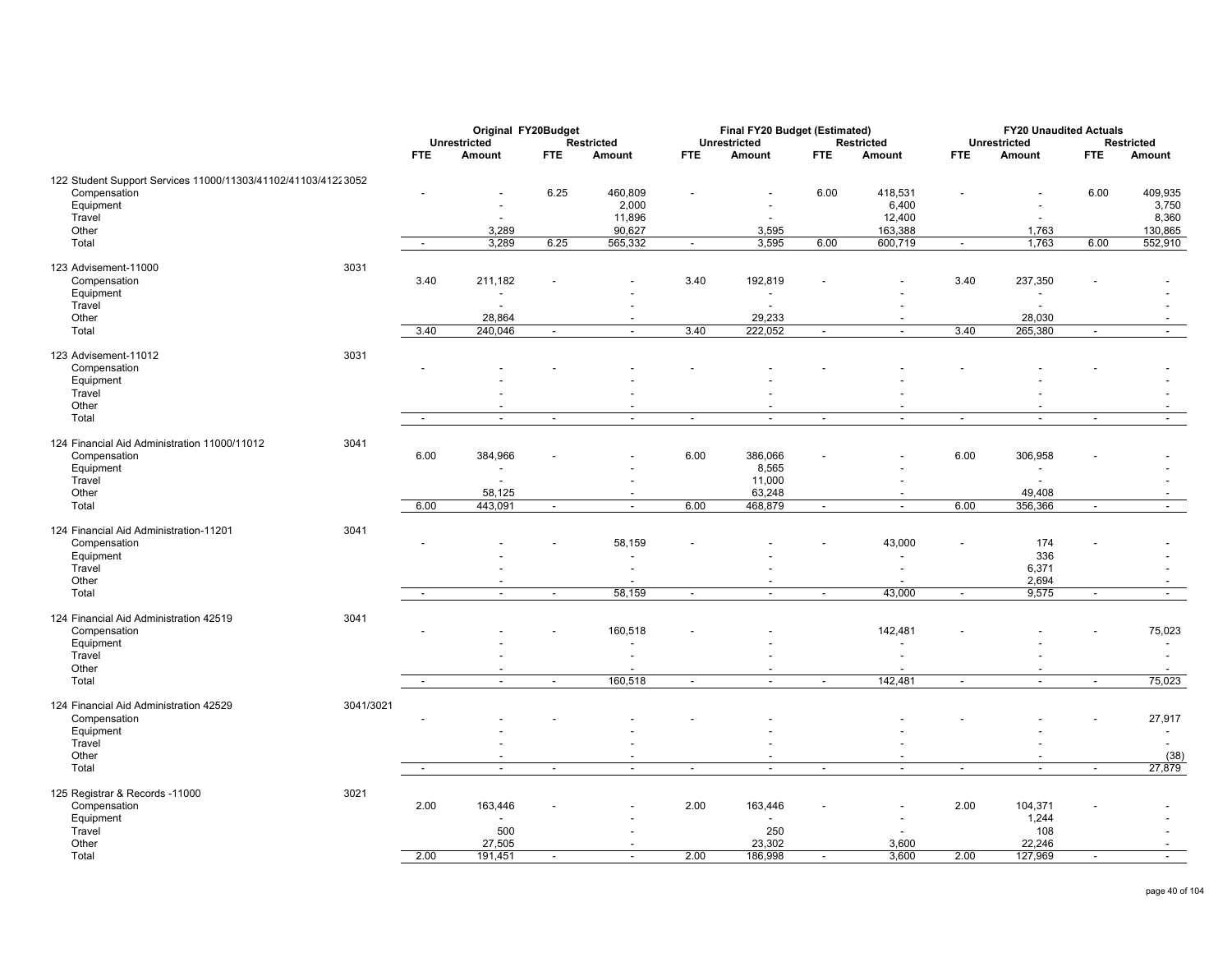|                                                               |           |                          | Original FY20Budget      |                          |                          |                          | Final FY20 Budget (Estimated) |                          |                          |                          | <b>FY20 Unaudited Actuals</b> |                          |                          |
|---------------------------------------------------------------|-----------|--------------------------|--------------------------|--------------------------|--------------------------|--------------------------|-------------------------------|--------------------------|--------------------------|--------------------------|-------------------------------|--------------------------|--------------------------|
|                                                               |           |                          | <b>Unrestricted</b>      |                          | <b>Restricted</b>        |                          | <b>Unrestricted</b>           |                          | <b>Restricted</b>        |                          | <b>Unrestricted</b>           |                          | Restricted               |
|                                                               |           | FTE.                     | Amount                   | <b>FTE</b>               | Amount                   | <b>FTE</b>               | Amount                        | <b>FTE</b>               | Amount                   | <b>FTE</b>               | Amount                        | <b>FTE</b>               | Amount                   |
|                                                               |           |                          |                          |                          |                          |                          |                               |                          |                          |                          |                               |                          |                          |
| 122 Student Support Services 11000/11303/41102/41103/41223052 |           |                          |                          |                          |                          |                          |                               |                          |                          |                          |                               |                          |                          |
| Compensation                                                  |           |                          |                          | 6.25                     | 460,809                  |                          |                               | 6.00                     | 418,531                  |                          |                               | 6.00                     | 409,935                  |
| Equipment                                                     |           |                          |                          |                          | 2,000                    |                          | $\overline{a}$                |                          | 6,400                    |                          |                               |                          | 3,750                    |
| Travel                                                        |           |                          |                          |                          | 11,896                   |                          | $\overline{\phantom{a}}$      |                          | 12,400                   |                          |                               |                          | 8,360                    |
| Other                                                         |           |                          | 3,289                    |                          | 90,627                   |                          | 3,595                         |                          | 163,388                  |                          | 1,763                         |                          | 130,865                  |
| Total                                                         |           | $\sim$                   | 3,289                    | 6.25                     | 565,332                  | $\sim$                   | 3,595                         | 6.00                     | 600,719                  | $\sim$                   | 1,763                         | 6.00                     | 552,910                  |
|                                                               |           |                          |                          |                          |                          |                          |                               |                          |                          |                          |                               |                          |                          |
| 123 Advisement-11000                                          | 3031      |                          |                          |                          |                          |                          |                               |                          |                          |                          |                               |                          |                          |
| Compensation                                                  |           | 3.40                     | 211,182                  |                          |                          | 3.40                     | 192,819                       |                          |                          | 3.40                     | 237,350                       |                          |                          |
| Equipment                                                     |           |                          |                          |                          |                          |                          | $\overline{\phantom{a}}$      |                          |                          |                          | $\overline{\phantom{a}}$      |                          |                          |
| Travel                                                        |           |                          | ÷,                       |                          |                          |                          | $\overline{\phantom{a}}$      |                          |                          |                          | $\overline{\phantom{a}}$      |                          |                          |
| Other                                                         |           |                          | 28,864                   |                          |                          |                          | 29,233                        |                          |                          |                          | 28,030                        |                          |                          |
| Total                                                         |           | 3.40                     | 240,046                  | $\blacksquare$           | $\overline{\phantom{a}}$ | 3.40                     | 222,052                       | $\overline{\phantom{a}}$ | $\overline{\phantom{a}}$ | 3.40                     | 265,380                       |                          |                          |
|                                                               |           |                          |                          |                          |                          |                          |                               |                          |                          |                          |                               |                          | $\sim$                   |
| 123 Advisement-11012                                          | 3031      |                          |                          |                          |                          |                          |                               |                          |                          |                          |                               |                          |                          |
| Compensation                                                  |           |                          |                          |                          |                          |                          |                               |                          |                          |                          |                               |                          |                          |
| Equipment                                                     |           |                          |                          |                          |                          |                          |                               |                          |                          |                          |                               |                          |                          |
| Travel                                                        |           |                          |                          |                          |                          |                          |                               |                          |                          |                          |                               |                          |                          |
|                                                               |           |                          |                          |                          |                          |                          |                               |                          |                          |                          |                               |                          |                          |
| Other                                                         |           |                          |                          |                          |                          |                          | $\overline{\phantom{a}}$      |                          |                          |                          |                               |                          |                          |
| Total                                                         |           | $\overline{\phantom{a}}$ | $\overline{\phantom{a}}$ | $\overline{\phantom{a}}$ | $\overline{\phantom{a}}$ | $\overline{\phantom{a}}$ | $\sim$                        | $\overline{\phantom{a}}$ | $\sim$                   | $\sim$                   | $\sim$                        | $\overline{\phantom{a}}$ | $\sim$                   |
| 124 Financial Aid Administration 11000/11012                  | 3041      |                          |                          |                          |                          |                          |                               |                          |                          |                          |                               |                          |                          |
| Compensation                                                  |           | 6.00                     | 384,966                  |                          |                          | 6.00                     | 386,066                       |                          |                          | 6.00                     | 306,958                       |                          |                          |
|                                                               |           |                          |                          |                          |                          |                          |                               |                          |                          |                          |                               |                          |                          |
| Equipment                                                     |           |                          | $\overline{a}$           |                          |                          |                          | 8,565                         |                          |                          |                          |                               |                          |                          |
| Travel                                                        |           |                          |                          |                          |                          |                          | 11,000                        |                          |                          |                          |                               |                          |                          |
| Other                                                         |           |                          | 58,125                   |                          |                          |                          | 63,248                        |                          |                          |                          | 49,408                        |                          |                          |
| Total                                                         |           | 6.00                     | 443,091                  | $\sim$                   | $\overline{\phantom{a}}$ | 6.00                     | 468,879                       | $\sim$                   | $\overline{\phantom{a}}$ | 6.00                     | 356,366                       | $\sim$                   | $\sim$                   |
| 124 Financial Aid Administration-11201                        | 3041      |                          |                          |                          |                          |                          |                               |                          |                          |                          |                               |                          |                          |
|                                                               |           |                          |                          |                          |                          |                          |                               |                          |                          |                          |                               |                          |                          |
| Compensation                                                  |           |                          |                          |                          | 58,159                   |                          |                               |                          | 43,000                   |                          | 174                           |                          |                          |
| Equipment                                                     |           |                          |                          |                          |                          |                          |                               |                          |                          |                          | 336                           |                          |                          |
| Travel                                                        |           |                          |                          |                          |                          |                          |                               |                          |                          |                          | 6,371                         |                          |                          |
| Other                                                         |           |                          |                          |                          |                          |                          |                               |                          |                          |                          | 2,694                         |                          |                          |
| Total                                                         |           | $\sim$                   | $\overline{\phantom{a}}$ | $\blacksquare$           | 58,159                   | $\overline{\phantom{a}}$ | $\overline{\phantom{a}}$      | $\overline{\phantom{a}}$ | 43,000                   | $\sim$                   | 9,575                         | $\blacksquare$           | $\overline{\phantom{a}}$ |
|                                                               |           |                          |                          |                          |                          |                          |                               |                          |                          |                          |                               |                          |                          |
| 124 Financial Aid Administration 42519                        | 3041      |                          |                          |                          |                          |                          |                               |                          |                          |                          |                               |                          |                          |
| Compensation                                                  |           |                          |                          |                          | 160,518                  |                          |                               |                          | 142,481                  |                          |                               |                          | 75,023                   |
| Equipment                                                     |           |                          |                          |                          |                          |                          |                               |                          |                          |                          |                               |                          | $\blacksquare$           |
| Travel                                                        |           |                          |                          |                          |                          |                          |                               |                          |                          |                          |                               |                          | $\overline{a}$           |
| Other                                                         |           |                          |                          |                          |                          |                          | $\overline{\phantom{a}}$      |                          |                          |                          |                               |                          | $\overline{\phantom{a}}$ |
| Total                                                         |           | $\overline{\phantom{a}}$ | $\overline{\phantom{a}}$ | $\blacksquare$           | 160,518                  | $\blacksquare$           | $\sim$                        | $\overline{\phantom{a}}$ | 142,481                  | $\overline{\phantom{a}}$ | $\sim$                        | $\blacksquare$           | 75,023                   |
|                                                               |           |                          |                          |                          |                          |                          |                               |                          |                          |                          |                               |                          |                          |
| 124 Financial Aid Administration 42529                        | 3041/3021 |                          |                          |                          |                          |                          |                               |                          |                          |                          |                               |                          |                          |
| Compensation                                                  |           |                          |                          |                          |                          |                          |                               |                          |                          |                          |                               |                          | 27,917                   |
| Equipment                                                     |           |                          |                          |                          |                          |                          |                               |                          |                          |                          |                               |                          |                          |
| Travel                                                        |           |                          |                          |                          |                          |                          |                               |                          |                          |                          |                               |                          | $\blacksquare$           |
|                                                               |           |                          |                          |                          |                          |                          |                               |                          |                          |                          |                               |                          |                          |
| Other                                                         |           |                          |                          |                          |                          |                          | $\overline{a}$                |                          |                          |                          |                               |                          | (38)                     |
| Total                                                         |           | $\overline{\phantom{a}}$ | $\overline{\phantom{a}}$ | $\blacksquare$           | $\overline{\phantom{a}}$ | $\overline{\phantom{a}}$ | $\overline{\phantom{a}}$      | $\overline{\phantom{a}}$ | $\overline{\phantom{a}}$ | $\blacksquare$           | $\overline{\phantom{a}}$      | $\overline{\phantom{a}}$ | 27,879                   |
| 125 Registrar & Records -11000                                | 3021      |                          |                          |                          |                          |                          |                               |                          |                          |                          |                               |                          |                          |
| Compensation                                                  |           | 2.00                     | 163,446                  |                          |                          | 2.00                     | 163,446                       |                          | $\overline{\phantom{a}}$ | 2.00                     | 104,371                       |                          |                          |
| Equipment                                                     |           |                          |                          |                          |                          |                          |                               |                          |                          |                          | 1,244                         |                          |                          |
|                                                               |           |                          |                          |                          |                          |                          | $\overline{\phantom{a}}$      |                          |                          |                          |                               |                          |                          |
| Travel                                                        |           |                          | 500                      |                          |                          |                          | 250                           |                          |                          |                          | 108                           |                          |                          |
| Other                                                         |           |                          | 27,505                   |                          |                          |                          | 23,302                        |                          | 3,600                    |                          | 22,246                        |                          |                          |
| Total                                                         |           | 2.00                     | 191,451                  | $\overline{\phantom{a}}$ | $\overline{\phantom{a}}$ | 2.00                     | 186,998                       | $\overline{\phantom{a}}$ | 3,600                    | 2.00                     | 127,969                       | $\sim$                   | $\sim$                   |
|                                                               |           |                          |                          |                          |                          |                          |                               |                          |                          |                          |                               |                          |                          |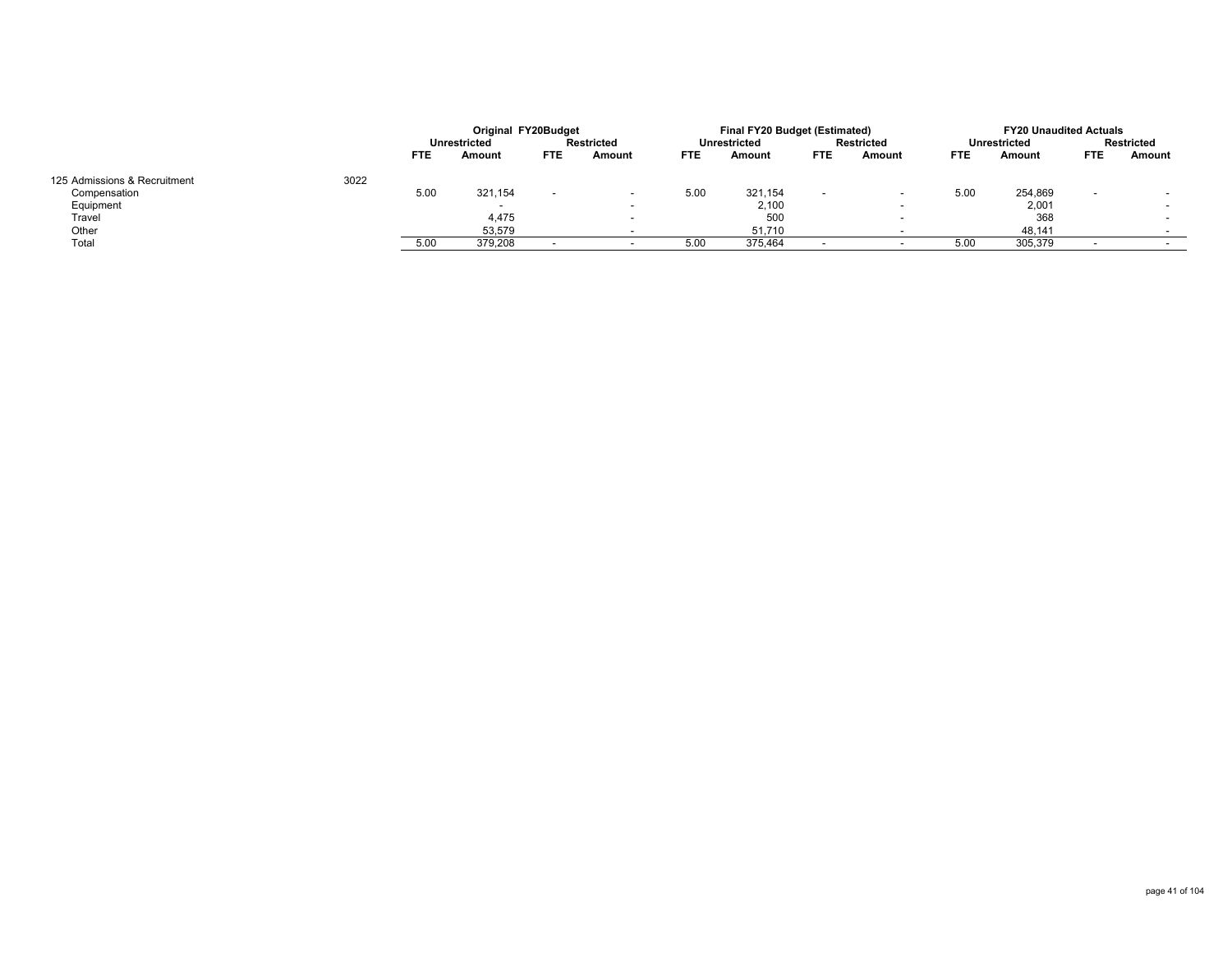|                              |      |            | Original FY20Budget |            |            |            | Final FY20 Budget (Estimated) |            |                          |            | <b>FY20 Unaudited Actuals</b> |            |            |
|------------------------------|------|------------|---------------------|------------|------------|------------|-------------------------------|------------|--------------------------|------------|-------------------------------|------------|------------|
|                              |      |            | <b>Unrestricted</b> |            | Restricted |            | <b>Unrestricted</b>           |            | <b>Restricted</b>        |            | Unrestricted                  |            | Restricted |
|                              |      | <b>FTE</b> | Amount              | <b>FTE</b> | Amount     | <b>FTE</b> | Amount                        | <b>FTE</b> | Amount                   | <b>FTE</b> | Amount                        | <b>FTE</b> | Amount     |
| 125 Admissions & Recruitment | 3022 |            |                     |            |            |            |                               |            |                          |            |                               |            |            |
| Compensation                 |      | 5.00       | 321,154             |            |            | 5.00       | 321.154                       |            | $\overline{\phantom{0}}$ | 5.00       | 254,869                       |            |            |
| Equipment                    |      |            |                     |            |            |            | 2,100                         |            | $\overline{\phantom{a}}$ |            | 2,001                         |            |            |
| Travel                       |      |            | 4,475               |            |            |            | 500                           |            | $\overline{\phantom{a}}$ |            | 368                           |            |            |
| Other                        |      |            | 53,579              |            |            |            | 51,710                        |            |                          |            | 48,141                        |            |            |
| Total                        |      | 5.0        | 379,208             |            |            | 5.00       | 375,464                       |            |                          | 5.00       | 305,379                       |            |            |
|                              |      |            |                     |            |            |            |                               |            |                          |            |                               |            |            |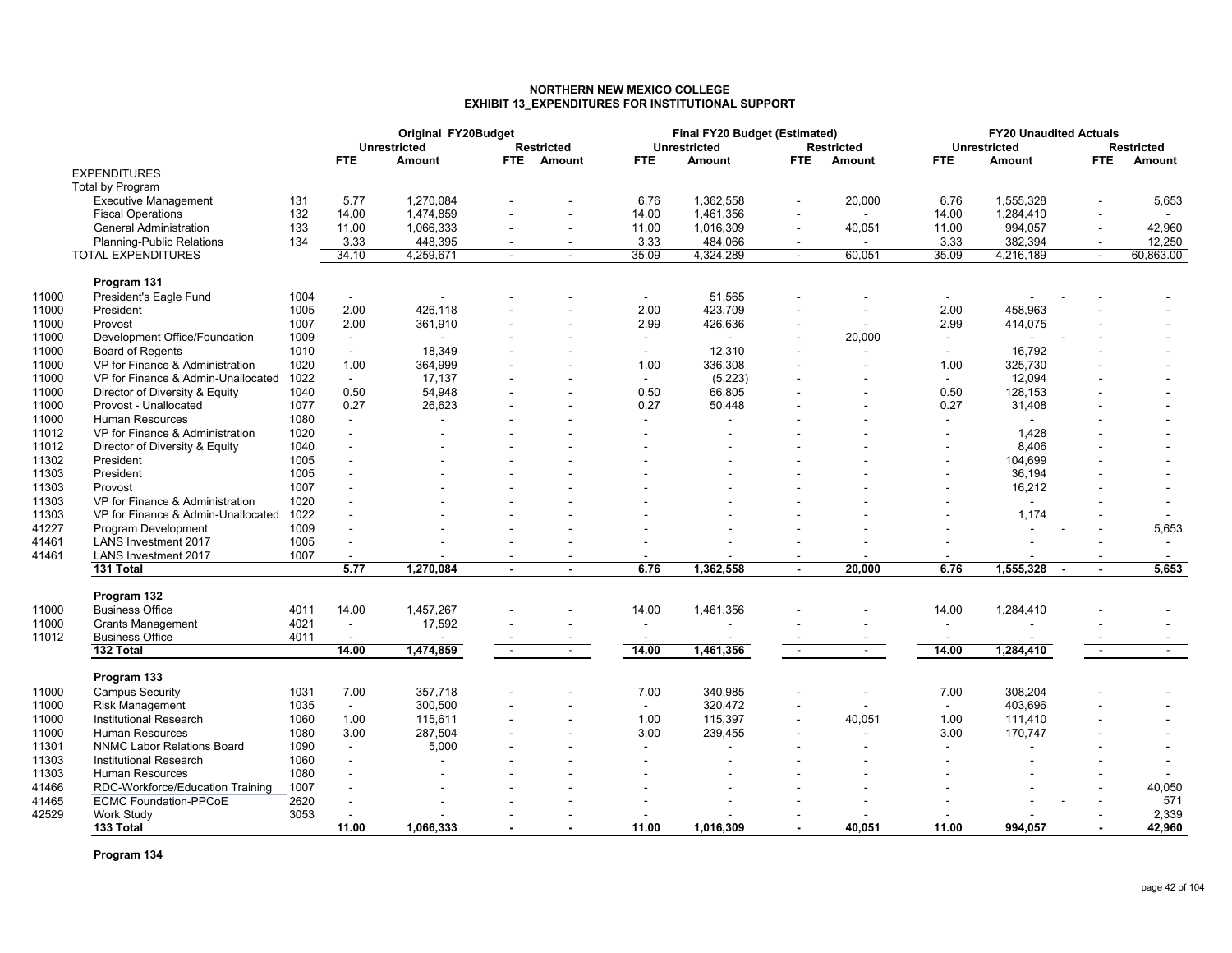### **NORTHERN NEW MEXICO COLLEGEEXHIBIT 13\_EXPENDITURES FOR INSTITUTIONAL SUPPORT**

|       |                                                         |      |                          | Original FY20Budget |                |                   |                          | Final FY20 Budget (Estimated) |                |                   |                | <b>FY20 Unaudited Actuals</b> |            |            |
|-------|---------------------------------------------------------|------|--------------------------|---------------------|----------------|-------------------|--------------------------|-------------------------------|----------------|-------------------|----------------|-------------------------------|------------|------------|
|       |                                                         |      |                          | <b>Unrestricted</b> |                | <b>Restricted</b> |                          | <b>Unrestricted</b>           |                | <b>Restricted</b> |                | <b>Unrestricted</b>           |            | Restricted |
|       | <b>EXPENDITURES</b>                                     |      | FTE.                     | Amount              | <b>FTE</b>     | Amount            | <b>FTE</b>               | Amount                        | <b>FTE</b>     | Amount            | <b>FTE</b>     | Amount                        | <b>FTE</b> | Amount     |
|       |                                                         |      |                          |                     |                |                   |                          |                               |                |                   |                |                               |            |            |
|       | Total by Program                                        |      |                          |                     |                |                   |                          |                               |                |                   |                |                               |            |            |
|       | <b>Executive Management</b>                             | 131  | 5.77                     | 1,270,084           |                |                   | 6.76                     | 1.362.558                     |                | 20,000            | 6.76           | 1,555,328                     |            | 5,653      |
|       | <b>Fiscal Operations</b>                                | 132  | 14.00                    | 1,474,859           |                |                   | 14.00                    | 1,461,356                     |                |                   | 14.00          | 1,284,410                     |            |            |
|       | <b>General Administration</b>                           | 133  | 11.00                    | 1,066,333           |                |                   | 11.00                    | 1,016,309                     |                | 40,051            | 11.00          | 994,057                       |            | 42,960     |
|       | Planning-Public Relations                               | 134  | 3.33                     | 448,395             |                |                   | 3.33                     | 484,066                       |                |                   | 3.33           | 382,394                       |            | 12,250     |
|       | <b>TOTAL EXPENDITURES</b>                               |      | 34.10                    | 4,259,671           | $\sim$         |                   | 35.09                    | 4,324,289                     |                | 60,051            | 35.09          | 4,216,189                     |            | 60,863.00  |
|       | Program 131                                             |      |                          |                     |                |                   |                          |                               |                |                   |                |                               |            |            |
| 11000 | President's Eagle Fund                                  | 1004 | $\overline{\phantom{a}}$ |                     |                |                   | $\overline{\phantom{a}}$ | 51,565                        |                |                   | $\sim$         |                               |            |            |
| 11000 | President                                               | 1005 | 2.00                     | 426,118             |                |                   | 2.00                     | 423,709                       |                |                   | 2.00           | 458,963                       |            |            |
| 11000 | Provost                                                 | 1007 | 2.00                     | 361,910             |                |                   | 2.99                     | 426,636                       |                | $\sim$            | 2.99           | 414,075                       |            |            |
| 11000 | Development Office/Foundation                           | 1009 | $\sim$                   |                     |                |                   | $\sim$                   | $\blacksquare$                |                | 20,000            | $\sim$         |                               |            |            |
| 11000 | <b>Board of Regents</b>                                 | 1010 | $\blacksquare$           | 18,349              |                |                   | $\overline{\phantom{a}}$ | 12,310                        |                | $\blacksquare$    |                | 16,792                        |            |            |
| 11000 | VP for Finance & Administration                         | 1020 | 1.00                     | 364,999             |                |                   | 1.00                     | 336,308                       |                |                   | 1.00           | 325,730                       |            |            |
| 11000 | VP for Finance & Admin-Unallocated                      | 1022 | $\blacksquare$           | 17,137              |                |                   | $\sim$                   | (5, 223)                      |                |                   | $\sim$         | 12,094                        |            |            |
| 11000 |                                                         | 1040 | 0.50                     | 54,948              |                |                   | 0.50                     | 66,805                        |                |                   | 0.50           | 128,153                       |            |            |
| 11000 | Director of Diversity & Equity<br>Provost - Unallocated | 1077 | 0.27                     | 26,623              |                |                   | 0.27                     | 50,448                        |                |                   | 0.27           | 31,408                        |            |            |
|       | <b>Human Resources</b>                                  |      |                          |                     |                |                   |                          |                               |                |                   |                |                               |            |            |
| 11000 |                                                         | 1080 | $\mathbf{r}$             |                     |                |                   | $\mathbf{r}$             |                               |                |                   |                |                               |            |            |
| 11012 | VP for Finance & Administration                         | 1020 |                          |                     |                |                   | $\overline{\phantom{a}}$ |                               |                |                   |                | 1,428                         |            |            |
| 11012 | Director of Diversity & Equity                          | 1040 |                          |                     |                |                   |                          |                               |                |                   |                | 8,406                         |            |            |
| 11302 | President                                               | 1005 |                          |                     |                |                   |                          |                               |                |                   |                | 104,699                       |            |            |
| 11303 | President                                               | 1005 |                          |                     |                |                   |                          |                               |                |                   |                | 36,194                        |            |            |
| 11303 | Provost                                                 | 1007 |                          |                     |                |                   |                          |                               |                |                   |                | 16,212                        |            |            |
| 11303 | VP for Finance & Administration                         | 1020 |                          |                     |                |                   |                          |                               |                |                   |                |                               |            |            |
| 11303 | VP for Finance & Admin-Unallocated                      | 1022 |                          |                     |                |                   |                          |                               |                |                   |                | 1,174                         |            |            |
| 41227 | Program Development                                     | 1009 |                          |                     |                |                   |                          |                               |                |                   |                |                               |            | 5,653      |
| 41461 | <b>LANS Investment 2017</b>                             | 1005 | $\blacksquare$           |                     |                |                   |                          |                               |                |                   |                |                               |            | $\sim$     |
| 41461 | <b>LANS Investment 2017</b>                             | 1007 | $\blacksquare$           |                     |                |                   |                          |                               |                |                   |                |                               |            |            |
|       | 131 Total                                               |      | 5.77                     | 1,270,084           |                |                   | 6.76                     | 1,362,558                     |                | 20.000            | 6.76           | 1,555,328                     |            | 5,653      |
|       | Program 132                                             |      |                          |                     |                |                   |                          |                               |                |                   |                |                               |            |            |
| 11000 | <b>Business Office</b>                                  | 4011 | 14.00                    | 1,457,267           |                |                   | 14.00                    | 1,461,356                     |                |                   | 14.00          | 1,284,410                     |            |            |
| 11000 | <b>Grants Management</b>                                | 4021 | $\blacksquare$           | 17,592              |                |                   | $\sim$                   |                               |                |                   | $\blacksquare$ |                               |            |            |
| 11012 | <b>Business Office</b>                                  | 4011 | $\overline{\phantom{a}}$ |                     |                |                   |                          |                               |                |                   |                |                               |            |            |
|       | 132 Total                                               |      | 14.00                    | 1,474,859           | $\blacksquare$ | $\sim$            | 14.00                    | 1,461,356                     | $\blacksquare$ | $\sim$            | 14.00          | 1,284,410                     | $\sim$     | $\sim$     |
|       |                                                         |      |                          |                     |                |                   |                          |                               |                |                   |                |                               |            |            |
|       | Program 133                                             |      |                          |                     |                |                   |                          |                               |                |                   |                |                               |            |            |
| 11000 | <b>Campus Security</b>                                  | 1031 | 7.00                     | 357,718             |                |                   | 7.00                     | 340,985                       |                |                   | 7.00           | 308,204                       |            |            |
| 11000 | <b>Risk Management</b>                                  | 1035 | $\blacksquare$           | 300,500             |                |                   | $\sim$                   | 320,472                       |                |                   | $\blacksquare$ | 403,696                       |            |            |
| 11000 | <b>Institutional Research</b>                           | 1060 | 1.00                     | 115,611             |                |                   | 1.00                     | 115,397                       |                | 40,051            | 1.00           | 111,410                       |            |            |
| 11000 | <b>Human Resources</b>                                  | 1080 | 3.00                     | 287,504             |                |                   | 3.00                     | 239,455                       |                | $\sim$            | 3.00           | 170,747                       |            |            |
| 11301 | <b>NNMC Labor Relations Board</b>                       | 1090 | $\mathbf{r}$             | 5,000               |                |                   | $\overline{a}$           | ÷.                            |                |                   |                |                               |            |            |
| 11303 | Institutional Research                                  | 1060 | $\blacksquare$           |                     |                |                   |                          |                               |                |                   |                |                               |            |            |
| 11303 | <b>Human Resources</b>                                  | 1080 |                          |                     |                |                   |                          |                               |                |                   |                |                               |            |            |
| 41466 | RDC-Workforce/Education Training                        | 1007 |                          |                     |                |                   |                          |                               |                |                   |                |                               |            | 40,050     |
| 41465 | <b>ECMC Foundation-PPCoE</b>                            | 2620 | $\sim$                   |                     |                |                   |                          |                               |                |                   |                |                               |            | 571        |
| 42529 | Work Study                                              | 3053 |                          |                     |                |                   |                          |                               |                |                   |                |                               |            | 2,339      |
|       | 133 Total                                               |      | 11.00                    | 1.066.333           |                |                   | 11.00                    | 1.016.309                     |                | 40.051            | 11.00          | 994.057                       |            | 42.960     |
|       |                                                         |      |                          |                     |                |                   |                          |                               |                |                   |                |                               |            |            |

**Program 134**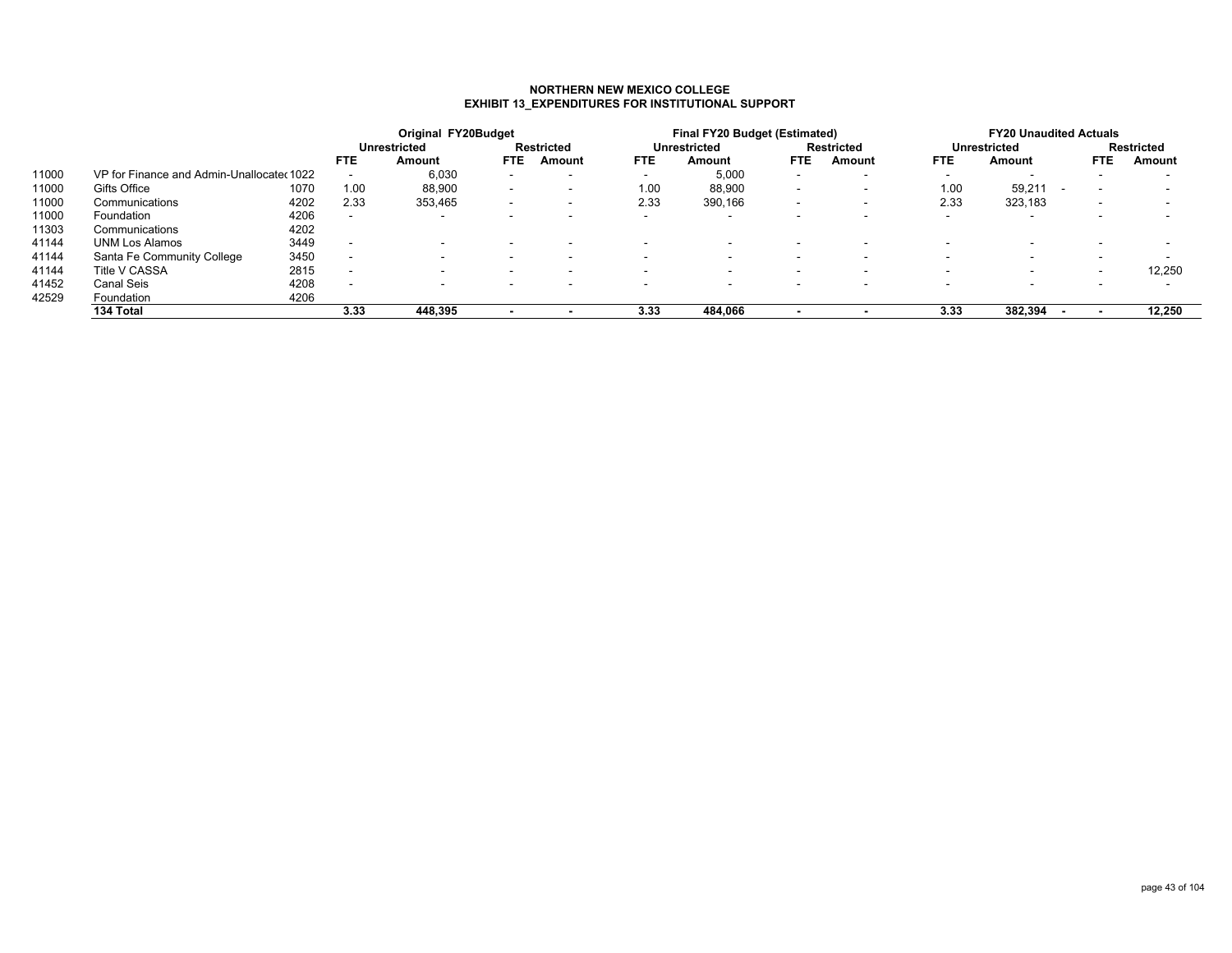#### **NORTHERN NEW MEXICO COLLEGEEXHIBIT 13\_EXPENDITURES FOR INSTITUTIONAL SUPPORT**

|       |                                           |      |                          | Original FY20Budget |        |                          |                          | Final FY20 Budget (Estimated) |            |                          |            | <b>FY20 Unaudited Actuals</b> |                          |                          |
|-------|-------------------------------------------|------|--------------------------|---------------------|--------|--------------------------|--------------------------|-------------------------------|------------|--------------------------|------------|-------------------------------|--------------------------|--------------------------|
|       |                                           |      |                          | <b>Unrestricted</b> |        | <b>Restricted</b>        |                          | <b>Unrestricted</b>           |            | Restricted               |            | <b>Unrestricted</b>           |                          | <b>Restricted</b>        |
|       |                                           |      | <b>FTE</b>               | Amount              | FTE.   | Amount                   | <b>FTE</b>               | Amount                        | <b>FTE</b> | Amount                   | <b>FTE</b> | Amount                        | <b>FTE</b>               | Amount                   |
| 11000 | VP for Finance and Admin-Unallocated 1022 |      |                          | 6,030               |        | -                        | -                        | 5,000                         |            |                          | -          |                               | $\overline{\phantom{0}}$ |                          |
| 11000 | Gifts Office                              | 1070 | 1.00                     | 88,900              | $\sim$ | $\overline{\phantom{a}}$ | 1.00                     | 88,900                        |            | $\overline{\phantom{a}}$ | 1.00       | 59,211                        | $\overline{\phantom{0}}$ | -                        |
| 11000 | Communications                            | 4202 | 2.33                     | 353.465             | $\sim$ | $\overline{\phantom{a}}$ | 2.33                     | 390,166                       |            | $\overline{\phantom{a}}$ | 2.33       | 323,183                       | $\overline{\phantom{0}}$ | $\overline{\phantom{a}}$ |
| 11000 | Foundation                                | 4206 | . .                      | -                   | . .    | $\sim$                   | $\overline{\phantom{0}}$ | $\,$ –                        |            |                          |            | $\sim$                        | $\overline{\phantom{a}}$ |                          |
| 11303 | Communications                            | 4202 |                          |                     |        |                          |                          |                               |            |                          |            |                               |                          |                          |
| 41144 | <b>UNM Los Alamos</b>                     | 3449 | $\overline{\phantom{a}}$ |                     |        | -                        |                          | $\overline{\phantom{a}}$      |            |                          | -          |                               |                          | $\overline{\phantom{a}}$ |
| 41144 | Santa Fe Community College                | 3450 | $\overline{\phantom{a}}$ |                     | . .    | $\sim$                   | $\overline{\phantom{a}}$ | $\overline{\phantom{a}}$      |            |                          |            |                               | $\overline{\phantom{a}}$ | $\overline{\phantom{a}}$ |
| 41144 | <b>Title V CASSA</b>                      | 2815 | $\overline{\phantom{a}}$ |                     |        |                          |                          | . .                           |            |                          | -          |                               |                          | 12,250                   |
| 41452 | Canal Seis                                | 4208 | $\overline{\phantom{a}}$ |                     | . .    | $\sim$                   |                          | $\overline{\phantom{a}}$      |            |                          |            |                               | $\overline{\phantom{a}}$ | $\overline{\phantom{a}}$ |
| 42529 | Foundation                                | 4206 |                          |                     |        |                          |                          |                               |            |                          |            |                               |                          |                          |
|       | 134 Total                                 |      | 3.33                     | 448.395             |        |                          | 3.33                     | 484.066                       |            |                          | 3.33       | 382.394                       |                          | 12,250                   |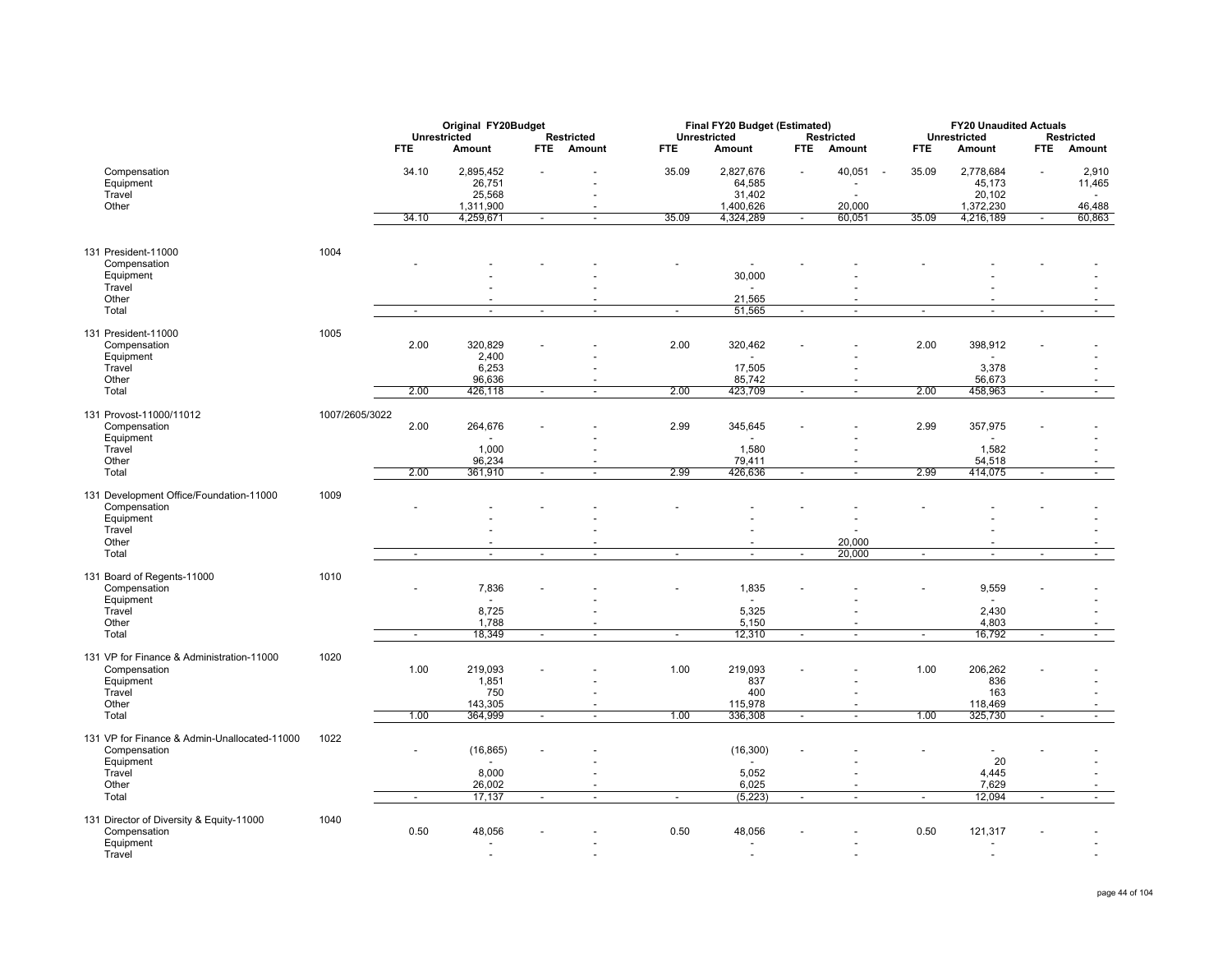|                                                              |                |            | Original FY20Budget |            |                          |                          | Final FY20 Budget (Estimated) |                          |                          |                          | <b>FY20 Unaudited Actuals</b> |                          |                          |
|--------------------------------------------------------------|----------------|------------|---------------------|------------|--------------------------|--------------------------|-------------------------------|--------------------------|--------------------------|--------------------------|-------------------------------|--------------------------|--------------------------|
|                                                              |                |            | Unrestricted        |            | <b>Restricted</b>        |                          | <b>Unrestricted</b>           |                          | <b>Restricted</b>        |                          | <b>Unrestricted</b>           |                          | <b>Restricted</b>        |
|                                                              |                | <b>FTE</b> | Amount              | <b>FTE</b> | <b>Amount</b>            | <b>FTE</b>               | Amount                        | <b>FTE</b>               | Amount                   | <b>FTE</b>               | Amount                        | <b>FTE</b>               | Amount                   |
| Compensation                                                 |                | 34.10      | 2,895,452           |            |                          | 35.09                    | 2,827,676                     |                          | 40,051<br>$\sim$         | 35.09                    | 2,778,684                     |                          | 2,910                    |
| Equipment                                                    |                |            | 26,751              |            |                          |                          | 64,585                        |                          |                          |                          | 45,173                        |                          | 11,465                   |
| Travel                                                       |                |            | 25,568              |            |                          |                          | 31,402                        |                          |                          |                          | 20,102                        |                          |                          |
| Other                                                        |                |            | 1,311,900           |            |                          |                          | 1,400,626                     |                          | 20,000                   |                          | 1,372,230                     |                          | 46,488                   |
|                                                              |                | 34.10      | 4,259,671           |            | $\overline{a}$           | 35.09                    | 4,324,289                     |                          | 60,051                   | 35.09                    | 4,216,189                     |                          | 60,863                   |
| 131 President-11000                                          | 1004           |            |                     |            |                          |                          |                               |                          |                          |                          |                               |                          |                          |
| Compensation                                                 |                |            |                     |            |                          |                          |                               |                          |                          |                          |                               |                          |                          |
| Equipment                                                    |                |            |                     |            |                          |                          | 30,000                        |                          |                          |                          |                               |                          |                          |
| Travel                                                       |                |            |                     |            |                          |                          |                               |                          |                          |                          |                               |                          |                          |
| Other                                                        |                |            |                     |            |                          |                          | 21,565                        |                          | $\overline{\phantom{a}}$ |                          |                               |                          |                          |
| Total                                                        |                | $\sim$     | $\sim$              |            | $\tilde{\phantom{a}}$    | $\sim$                   | 51,565                        | $\sim$                   | $\sim$                   | $\tilde{\phantom{a}}$    | $\sim$                        | $\sim$                   | $\overline{\phantom{a}}$ |
| 131 President-11000                                          | 1005           |            |                     |            |                          |                          |                               |                          |                          |                          |                               |                          |                          |
| Compensation                                                 |                | 2.00       | 320,829             |            |                          | 2.00                     | 320,462                       |                          |                          | 2.00                     | 398,912                       |                          |                          |
| Equipment<br>Travel                                          |                |            | 2,400<br>6,253      |            |                          |                          | 17,505                        |                          | ÷                        |                          | 3,378                         |                          |                          |
| Other                                                        |                |            | 96,636              |            |                          |                          | 85,742                        |                          | $\overline{a}$           |                          | 56,673                        |                          |                          |
| Total                                                        |                | 2.00       | 426,118             | $\sim$     | $\blacksquare$           | 2.00                     | 423,709                       | $\overline{\phantom{a}}$ | $\blacksquare$           | 2.00                     | 458,963                       | $\blacksquare$           | $\overline{\phantom{a}}$ |
|                                                              |                |            |                     |            |                          |                          |                               |                          |                          |                          |                               |                          |                          |
| 131 Provost-11000/11012                                      | 1007/2605/3022 |            |                     |            |                          |                          |                               |                          |                          |                          |                               |                          |                          |
| Compensation<br>Equipment                                    |                | 2.00       | 264,676             |            |                          | 2.99                     | 345,645                       |                          |                          | 2.99                     | 357,975                       |                          |                          |
| Travel                                                       |                |            | 1,000               |            |                          |                          | 1,580                         |                          | $\sim$                   |                          | 1,582                         |                          |                          |
| Other                                                        |                |            | 96,234              |            |                          |                          | 79,411                        |                          | $\overline{\phantom{a}}$ |                          | 54,518                        |                          |                          |
| Total                                                        |                | 2.00       | 361,910             | $\sim$     | $\overline{\phantom{a}}$ | 2.99                     | 426,636                       | $\sim$                   | $\sim$                   | 2.99                     | 414,075                       | $\sim$                   | $\sim$                   |
|                                                              |                |            |                     |            |                          |                          |                               |                          |                          |                          |                               |                          |                          |
| 131 Development Office/Foundation-11000                      | 1009           |            |                     |            |                          |                          |                               |                          |                          |                          |                               |                          |                          |
| Compensation                                                 |                |            |                     |            |                          |                          |                               |                          |                          |                          |                               |                          |                          |
| Equipment                                                    |                |            |                     |            |                          |                          |                               |                          | ÷                        |                          |                               |                          |                          |
| Travel<br>Other                                              |                |            |                     |            |                          |                          |                               |                          | 20.000                   |                          |                               |                          |                          |
| Total                                                        |                | $\sim$     | $\blacksquare$      | $\sim$     | $\overline{a}$           | $\sim$                   | $\blacksquare$                | $\overline{\phantom{a}}$ | 20,000                   | $\overline{\phantom{a}}$ | $\overline{\phantom{a}}$      | $\overline{\phantom{a}}$ | $\overline{\phantom{a}}$ |
|                                                              |                |            |                     |            |                          |                          |                               |                          |                          |                          |                               |                          |                          |
| 131 Board of Regents-11000                                   | 1010           |            |                     |            |                          |                          |                               |                          |                          |                          |                               |                          |                          |
| Compensation                                                 |                |            | 7,836               |            |                          |                          | 1,835                         |                          |                          |                          | 9,559                         |                          |                          |
| Equipment                                                    |                |            | $\sim$              |            |                          |                          | $\sim$                        |                          |                          |                          |                               |                          |                          |
| Travel                                                       |                |            | 8,725               |            |                          |                          | 5,325                         |                          |                          |                          | 2,430                         |                          |                          |
| Other                                                        |                |            | 1,788               |            |                          |                          | 5,150                         |                          |                          |                          | 4,803                         |                          |                          |
| Total                                                        |                | $\sim$     | 18,349              | $\sim$     | $\overline{\phantom{a}}$ | $\overline{\phantom{a}}$ | 12,310                        | $\overline{\phantom{a}}$ | $\sim$                   | $\overline{\phantom{a}}$ | 16,792                        | $\sim$                   | $\sim$                   |
| 131 VP for Finance & Administration-11000                    | 1020           |            |                     |            |                          |                          |                               |                          |                          |                          |                               |                          |                          |
| Compensation                                                 |                | 1.00       | 219,093             |            |                          | 1.00                     | 219,093                       |                          |                          | 1.00                     | 206,262                       |                          |                          |
| Equipment                                                    |                |            | 1,851               |            |                          |                          | 837                           |                          |                          |                          | 836                           |                          |                          |
| Travel                                                       |                |            | 750                 |            |                          |                          | 400                           |                          | ÷                        |                          | 163                           |                          |                          |
| Other                                                        |                |            | 143,305             |            |                          |                          | 115,978                       |                          | $\overline{\phantom{a}}$ |                          | 118,469                       |                          |                          |
| Total                                                        |                | 1.00       | 364,999             | $\sim$     | $\sim$                   | 1.00                     | 336,308                       | $\sim$                   | $\sim$                   | 1.00                     | 325,730                       | $\sim$                   | $\sim$                   |
|                                                              |                |            |                     |            |                          |                          |                               |                          |                          |                          |                               |                          |                          |
| 131 VP for Finance & Admin-Unallocated-11000<br>Compensation | 1022           |            |                     |            |                          |                          |                               |                          |                          |                          |                               |                          |                          |
| Equipment                                                    |                |            | (16, 865)           |            |                          |                          | (16, 300)                     |                          |                          |                          | 20                            |                          |                          |
| Travel                                                       |                |            | 8,000               |            |                          |                          | 5,052                         |                          |                          |                          | 4,445                         |                          |                          |
| Other                                                        |                |            | 26,002              |            |                          |                          | 6,025                         |                          |                          |                          | 7,629                         |                          |                          |
| Total                                                        |                | $\sim$     | 17,137              | $\sim$     | $\mathbf{r}$             | $\blacksquare$           | (5, 223)                      | $\overline{\phantom{a}}$ | $\blacksquare$           | $\blacksquare$           | 12,094                        | $\sim$                   | $\blacksquare$           |
|                                                              |                |            |                     |            |                          |                          |                               |                          |                          |                          |                               |                          |                          |
| 131 Director of Diversity & Equity-11000<br>Compensation     | 1040           | 0.50       | 48,056              |            |                          | 0.50                     | 48,056                        |                          |                          | 0.50                     | 121,317                       |                          |                          |
| Equipment                                                    |                |            | $\overline{a}$      |            |                          |                          | ٠                             |                          |                          |                          |                               |                          |                          |
| Travel                                                       |                |            | ÷,                  |            |                          |                          |                               |                          |                          |                          | $\overline{a}$                |                          |                          |
|                                                              |                |            |                     |            |                          |                          |                               |                          |                          |                          |                               |                          |                          |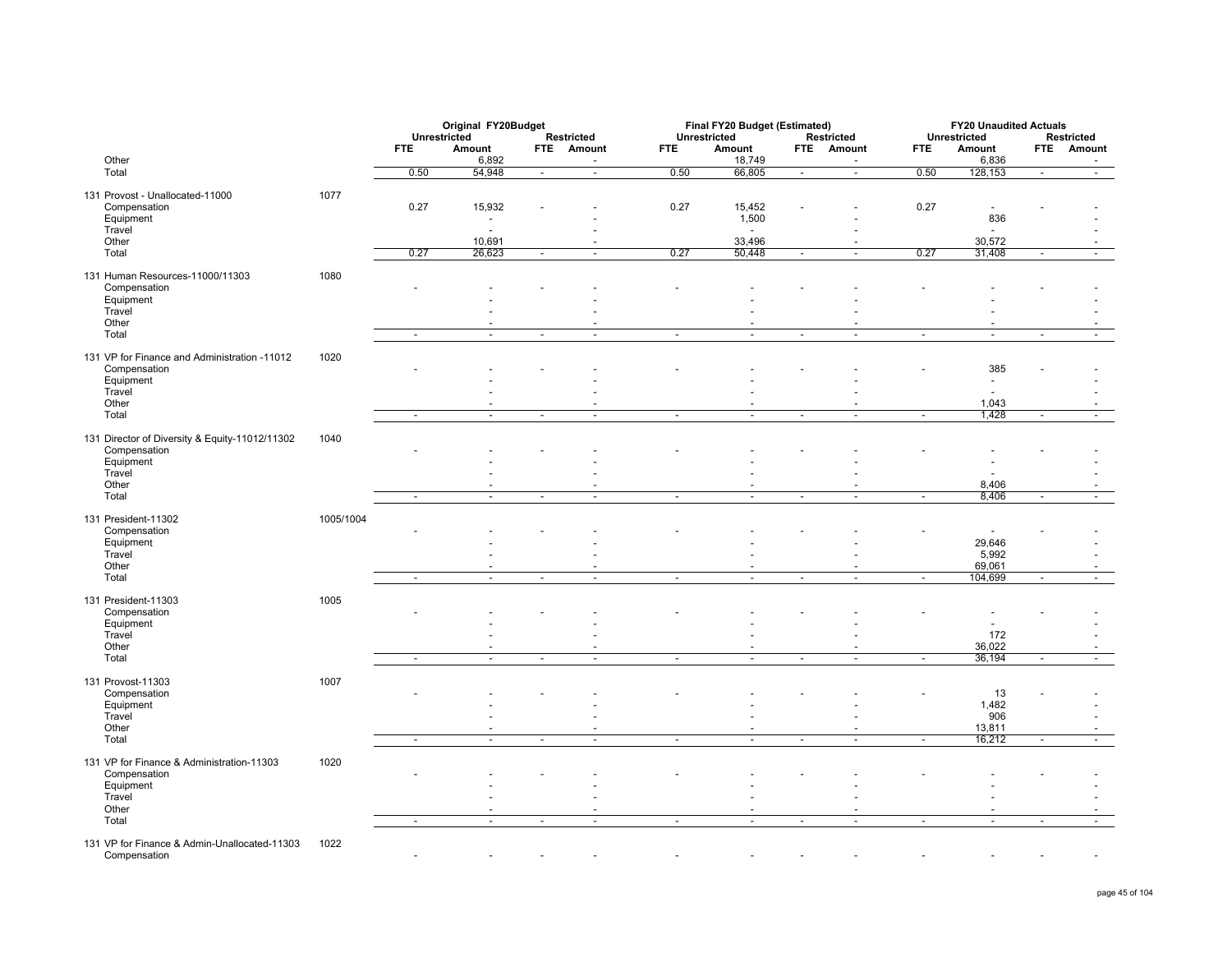|                                                                |           | Unrestricted             | Original FY20Budget      |                          | Restricted                                 |                          | Final FY20 Budget (Estimated)<br>Unrestricted |                          | Restricted               |                          | <b>FY20 Unaudited Actuals</b><br>Unrestricted |                          | Restricted               |
|----------------------------------------------------------------|-----------|--------------------------|--------------------------|--------------------------|--------------------------------------------|--------------------------|-----------------------------------------------|--------------------------|--------------------------|--------------------------|-----------------------------------------------|--------------------------|--------------------------|
|                                                                |           | <b>FTE</b>               | Amount                   |                          | FTE Amount                                 | <b>FTE</b>               | Amount                                        |                          | FTE Amount               | <b>FTE</b>               | Amount                                        | <b>FTE</b>               | Amount                   |
| Other<br>Total                                                 |           | 0.50                     | 6,892<br>54,948          | $\sim$                   | $\blacksquare$<br>$\overline{\phantom{a}}$ | 0.50                     | 18,749<br>66,805                              | $\sim$                   | $\sim$<br>Ξ              | 0.50                     | 6,836<br>128,153                              | $\overline{\phantom{a}}$ | $\overline{a}$<br>$\sim$ |
| 131 Provost - Unallocated-11000                                | 1077      |                          |                          |                          |                                            |                          |                                               |                          |                          |                          |                                               |                          |                          |
| Compensation                                                   |           | 0.27                     | 15,932                   |                          |                                            | 0.27                     | 15,452                                        |                          |                          | 0.27                     | $\overline{\phantom{a}}$                      |                          |                          |
| Equipment                                                      |           |                          | $\sim$                   |                          |                                            |                          | 1,500                                         |                          |                          |                          | 836                                           |                          |                          |
| Travel<br>Other                                                |           |                          | $\overline{a}$<br>10,691 |                          |                                            |                          | $\sim$<br>33,496                              |                          | $\sim$                   |                          | $\overline{\phantom{a}}$<br>30,572            |                          |                          |
| Total                                                          |           | 0.27                     | 26,623                   | $\sim$                   | $\sim$                                     | 0.27                     | 50,448                                        | $\sim$                   | $\sim$                   | 0.27                     | 31,408                                        | $\sim$                   |                          |
| 131 Human Resources-11000/11303                                | 1080      |                          |                          |                          |                                            |                          |                                               |                          |                          |                          |                                               |                          |                          |
| Compensation                                                   |           |                          |                          |                          |                                            |                          |                                               |                          |                          |                          |                                               |                          |                          |
| Equipment<br>Travel                                            |           |                          |                          |                          |                                            |                          |                                               |                          |                          |                          |                                               |                          |                          |
| Other                                                          |           |                          |                          |                          |                                            |                          |                                               |                          | $\sim$                   |                          |                                               |                          |                          |
| Total                                                          |           | $\overline{\phantom{a}}$ | $\sim$                   | $\overline{\phantom{a}}$ | $\overline{\phantom{a}}$                   | $\overline{\phantom{a}}$ | $\overline{\phantom{a}}$                      | $\overline{\phantom{a}}$ | $\overline{\phantom{a}}$ | $\overline{\phantom{a}}$ | ÷,                                            | $\overline{\phantom{a}}$ | -                        |
| 131 VP for Finance and Administration -11012                   | 1020      |                          |                          |                          |                                            |                          |                                               |                          |                          |                          |                                               |                          |                          |
| Compensation                                                   |           |                          |                          |                          |                                            |                          |                                               |                          |                          |                          | 385                                           |                          |                          |
| Equipment                                                      |           |                          |                          |                          |                                            |                          |                                               |                          |                          |                          | $\overline{\phantom{a}}$                      |                          |                          |
| Travel<br>Other                                                |           |                          |                          |                          |                                            |                          |                                               |                          |                          |                          | 1,043                                         |                          |                          |
| Total                                                          |           | $\sim$                   | $\blacksquare$           | $\sim$                   | $\blacksquare$                             | $\overline{\phantom{a}}$ | $\omega$                                      | $\overline{\phantom{a}}$ | $\blacksquare$           | $\overline{\phantom{a}}$ | 1,428                                         | $\overline{\phantom{a}}$ | $\blacksquare$           |
|                                                                |           |                          |                          |                          |                                            |                          |                                               |                          |                          |                          |                                               |                          |                          |
| 131 Director of Diversity & Equity-11012/11302<br>Compensation | 1040      |                          |                          |                          |                                            |                          |                                               |                          |                          |                          |                                               |                          |                          |
| Equipment                                                      |           |                          |                          |                          |                                            |                          |                                               |                          |                          |                          |                                               |                          |                          |
| Travel<br>Other                                                |           |                          |                          |                          |                                            |                          |                                               |                          |                          |                          | 8,406                                         |                          |                          |
| Total                                                          |           | $\sim$                   | $\omega$                 | $\sim$                   | $\sim$                                     | $\sim$                   | $\sim$                                        | $\sim$                   | $\sim$                   | $\sim$                   | 8,406                                         | $\blacksquare$           |                          |
|                                                                |           |                          |                          |                          |                                            |                          |                                               |                          |                          |                          |                                               |                          |                          |
| 131 President-11302<br>Compensation                            | 1005/1004 |                          |                          |                          |                                            |                          |                                               |                          |                          |                          |                                               |                          |                          |
| Equipment                                                      |           |                          |                          |                          |                                            |                          |                                               |                          |                          |                          | 29,646                                        |                          |                          |
| Travel                                                         |           |                          |                          |                          |                                            |                          |                                               |                          |                          |                          | 5,992                                         |                          |                          |
| Other<br>Total                                                 |           | $\sim$                   | $\sim$                   | $\sim$                   | $\overline{\phantom{a}}$                   | $\sim$                   | $\sim$                                        | $\overline{\phantom{a}}$ | $\sim$                   | $\overline{\phantom{a}}$ | 69,061<br>104,699                             | $\blacksquare$           | $\overline{\phantom{a}}$ |
|                                                                |           |                          |                          |                          |                                            |                          |                                               |                          |                          |                          |                                               |                          |                          |
| 131 President-11303<br>Compensation                            | 1005      |                          |                          |                          |                                            |                          |                                               |                          |                          |                          |                                               |                          |                          |
| Equipment                                                      |           |                          |                          |                          |                                            |                          |                                               |                          |                          |                          |                                               |                          |                          |
| Travel                                                         |           |                          |                          |                          |                                            |                          |                                               |                          |                          |                          | 172                                           |                          |                          |
| Other<br>Total                                                 |           | $\sim$                   | $\blacksquare$           | $\overline{\phantom{a}}$ |                                            | $\sim$                   | $\sim$                                        | $\overline{\phantom{a}}$ | $\overline{\phantom{a}}$ | $\tilde{\phantom{a}}$    | 36,022<br>36,194                              | $\overline{\phantom{a}}$ |                          |
|                                                                |           |                          |                          |                          |                                            |                          |                                               |                          |                          |                          |                                               |                          |                          |
| 131 Provost-11303                                              | 1007      |                          |                          |                          |                                            |                          |                                               |                          |                          |                          |                                               |                          |                          |
| Compensation<br>Equipment                                      |           |                          |                          |                          |                                            |                          |                                               |                          |                          |                          | 13<br>1,482                                   |                          |                          |
| Travel                                                         |           |                          |                          |                          |                                            |                          |                                               |                          |                          |                          | 906                                           |                          |                          |
| Other                                                          |           |                          | ÷                        |                          | $\overline{\phantom{a}}$                   |                          | ÷                                             |                          | $\overline{a}$           |                          | 13,811                                        |                          |                          |
| Total                                                          |           | $\sim$                   | $\blacksquare$           | $\blacksquare$           | $\sim$                                     | $\blacksquare$           | $\blacksquare$                                | $\blacksquare$           | $\overline{\phantom{a}}$ | $\mathbf{r}$             | 16,212                                        | $\blacksquare$           | $\blacksquare$           |
| 131 VP for Finance & Administration-11303                      | 1020      |                          |                          |                          |                                            |                          |                                               |                          |                          |                          |                                               |                          |                          |
| Compensation<br>Equipment                                      |           |                          |                          |                          |                                            |                          |                                               |                          |                          |                          |                                               |                          |                          |
| Travel                                                         |           |                          |                          |                          |                                            |                          |                                               |                          |                          |                          |                                               |                          |                          |
| Other                                                          |           |                          |                          |                          |                                            |                          |                                               |                          |                          |                          |                                               |                          |                          |
| Total                                                          |           | $\overline{\phantom{a}}$ | $\overline{\phantom{a}}$ | $\overline{\phantom{a}}$ | $\overline{\phantom{a}}$                   | $\overline{\phantom{a}}$ | $\sim$                                        | $\overline{\phantom{a}}$ | $\overline{\phantom{a}}$ | $\overline{\phantom{a}}$ | $\overline{\phantom{a}}$                      | $\overline{\phantom{a}}$ | $\overline{\phantom{a}}$ |
| 131 VP for Finance & Admin-Unallocated-11303                   | 1022      |                          |                          |                          |                                            |                          |                                               |                          |                          |                          |                                               |                          |                          |

Compensation and the state of the state of the state of the state of the state of the state of the state of the state of the state of the state of the state of the state of the state of the state of the state of the state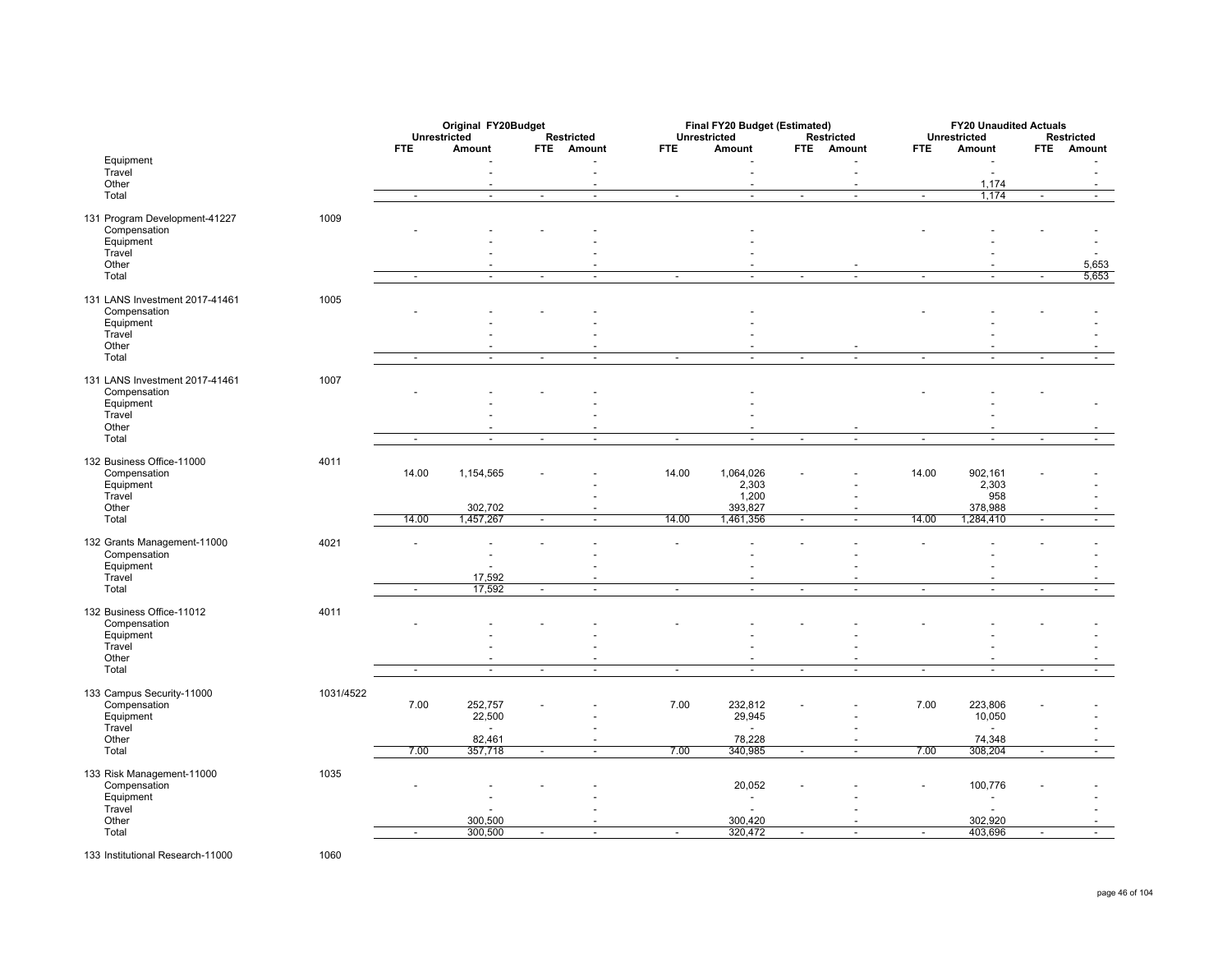|                                |           | Unrestricted | Original FY20Budget |                |                                            |                          | Final FY20 Budget (Estimated)<br>Unrestricted |                          |                          |                          | <b>FY20 Unaudited Actuals</b>    |                          |                                 |
|--------------------------------|-----------|--------------|---------------------|----------------|--------------------------------------------|--------------------------|-----------------------------------------------|--------------------------|--------------------------|--------------------------|----------------------------------|--------------------------|---------------------------------|
|                                |           | <b>FTE</b>   | Amount              |                | <b>Restricted</b><br>FTE Amount            | <b>FTE</b>               | Amount                                        |                          | Restricted<br>FTE Amount | <b>FTE</b>               | Unrestricted<br>Amount           |                          | <b>Restricted</b><br>FTE Amount |
| Equipment                      |           |              |                     |                |                                            |                          |                                               |                          |                          |                          |                                  |                          |                                 |
| Travel                         |           |              |                     |                | $\overline{a}$                             |                          |                                               |                          | $\sim$                   |                          | $\sim$                           |                          |                                 |
| Other                          |           |              | $\blacksquare$      |                | $\overline{\phantom{a}}$                   |                          | $\overline{\phantom{a}}$                      |                          | $\overline{\phantom{a}}$ |                          | 1,174                            |                          |                                 |
| Total                          |           | $\sim$       | $\sim$              | $\sim$         | $\sim$                                     | $\sim$                   | $\blacksquare$                                | $\sim$                   | $\sim$                   | $\sim$                   | 1,174                            | $\sim$                   | $\overline{a}$                  |
| 131 Program Development-41227  | 1009      |              |                     |                |                                            |                          |                                               |                          |                          |                          |                                  |                          |                                 |
| Compensation                   |           |              |                     |                |                                            |                          |                                               |                          |                          |                          |                                  |                          |                                 |
| Equipment                      |           |              |                     |                |                                            |                          |                                               |                          |                          |                          |                                  |                          |                                 |
| Travel<br>Other                |           |              |                     |                |                                            |                          |                                               |                          |                          |                          |                                  |                          | 5,653                           |
| Total                          |           | $\sim$       | $\blacksquare$      | $\sim$         | $\overline{\phantom{a}}$                   | $\sim$                   | $\blacksquare$                                | $\overline{\phantom{a}}$ | $\blacksquare$           | $\tilde{\phantom{a}}$    | $\overline{\phantom{a}}$         | $\overline{\phantom{a}}$ | 5,653                           |
|                                |           |              |                     |                |                                            |                          |                                               |                          |                          |                          |                                  |                          |                                 |
| 131 LANS Investment 2017-41461 | 1005      |              |                     |                |                                            |                          |                                               |                          |                          |                          |                                  |                          |                                 |
| Compensation                   |           |              |                     |                |                                            |                          |                                               |                          |                          |                          |                                  |                          |                                 |
| Equipment                      |           |              |                     |                |                                            |                          |                                               |                          |                          |                          |                                  |                          |                                 |
| Travel<br>Other                |           |              |                     |                |                                            |                          |                                               |                          |                          |                          |                                  |                          |                                 |
| Total                          |           | $\sim$       | $\blacksquare$      | $\blacksquare$ | $\overline{\phantom{a}}$                   | $\blacksquare$           | $\blacksquare$                                | $\overline{\phantom{a}}$ | $\sim$                   | $\blacksquare$           | $\blacksquare$                   | $\sim$                   |                                 |
|                                |           |              |                     |                |                                            |                          |                                               |                          |                          |                          |                                  |                          |                                 |
| 131 LANS Investment 2017-41461 | 1007      |              |                     |                |                                            |                          |                                               |                          |                          |                          |                                  |                          |                                 |
| Compensation                   |           |              |                     |                |                                            |                          |                                               |                          |                          |                          |                                  |                          |                                 |
| Equipment<br>Travel            |           |              |                     |                |                                            |                          |                                               |                          |                          |                          |                                  |                          |                                 |
| Other                          |           |              |                     |                |                                            |                          |                                               |                          |                          |                          |                                  |                          |                                 |
| Total                          |           | $\sim$       | $\sim$              | $\sim$         | $\overline{\phantom{a}}$                   | $\overline{\phantom{a}}$ | $\blacksquare$                                | $\sim$                   | $\sim$                   | $\blacksquare$           | $\omega$                         | $\sim$                   |                                 |
|                                |           |              |                     |                |                                            |                          |                                               |                          |                          |                          |                                  |                          |                                 |
| 132 Business Office-11000      | 4011      |              |                     |                |                                            |                          |                                               |                          |                          | 14.00                    |                                  |                          |                                 |
| Compensation<br>Equipment      |           | 14.00        | 1,154,565           |                |                                            | 14.00                    | 1,064,026<br>2,303                            |                          |                          |                          | 902,161<br>2,303                 |                          |                                 |
| Travel                         |           |              |                     |                |                                            |                          | 1,200                                         |                          |                          |                          | 958                              |                          |                                 |
| Other                          |           |              | 302,702             |                |                                            |                          | 393,827                                       |                          |                          |                          | 378,988                          |                          |                                 |
| Total                          |           | 14.00        | 1,457,267           | $\sim$         | $\overline{\phantom{a}}$                   | 14.00                    | 1,461,356                                     | $\overline{\phantom{a}}$ | $\sim$                   | 14.00                    | 1,284,410                        | $\sim$                   | $\overline{\phantom{a}}$        |
| 132 Grants Management-11000    | 4021      |              |                     |                |                                            |                          |                                               |                          |                          |                          |                                  |                          |                                 |
| Compensation                   |           |              |                     |                |                                            |                          |                                               |                          |                          |                          |                                  |                          |                                 |
| Equipment                      |           |              |                     |                |                                            |                          |                                               |                          |                          |                          |                                  |                          |                                 |
| Travel                         |           |              | 17,592              |                |                                            |                          |                                               |                          |                          |                          |                                  |                          |                                 |
| Total                          |           | $\sim$       | 17,592              | $\sim$         | $\sim$                                     | $\sim$                   | $\blacksquare$                                | $\blacksquare$           | $\sim$                   | $\overline{\phantom{a}}$ | $\sim$                           | $\sim$                   | $\overline{a}$                  |
| 132 Business Office-11012      | 4011      |              |                     |                |                                            |                          |                                               |                          |                          |                          |                                  |                          |                                 |
| Compensation                   |           |              |                     |                |                                            |                          |                                               |                          |                          |                          |                                  |                          |                                 |
| Equipment                      |           |              |                     |                |                                            |                          |                                               |                          |                          |                          |                                  |                          |                                 |
| Travel                         |           |              |                     |                |                                            |                          |                                               |                          |                          |                          |                                  |                          |                                 |
| Other                          |           |              |                     |                | $\overline{\phantom{a}}$                   |                          | ÷                                             |                          |                          |                          | ٠                                |                          |                                 |
| Total                          |           | $\sim$       | $\blacksquare$      | $\sim$         | $\sim$                                     | $\sim$                   | $\overline{\phantom{a}}$                      | $\blacksquare$           | $\sim$                   | $\blacksquare$           | $\blacksquare$                   | $\overline{\phantom{a}}$ | $\sim$                          |
| 133 Campus Security-11000      | 1031/4522 |              |                     |                |                                            |                          |                                               |                          |                          |                          |                                  |                          |                                 |
| Compensation                   |           | 7.00         | 252,757             |                |                                            | 7.00                     | 232,812                                       |                          |                          | 7.00                     | 223,806                          |                          |                                 |
| Equipment                      |           |              | 22,500              |                |                                            |                          | 29,945                                        |                          |                          |                          | 10,050                           |                          |                                 |
| Travel                         |           |              | 82,461              |                |                                            |                          |                                               |                          |                          |                          | $\overline{a}$<br>74,348         |                          |                                 |
| Other<br>Total                 |           | 7.00         | 357,718             | $\sim$         | $\blacksquare$<br>$\overline{\phantom{a}}$ | 7.00                     | 78,228<br>340,985                             | $\sim$                   | $\sim$<br>$\sim$         | 7.00                     | 308,204                          | $\sim$                   | $\blacksquare$                  |
|                                |           |              |                     |                |                                            |                          |                                               |                          |                          |                          |                                  |                          |                                 |
| 133 Risk Management-11000      | 1035      |              |                     |                |                                            |                          |                                               |                          |                          |                          |                                  |                          |                                 |
| Compensation                   |           |              |                     |                |                                            |                          | 20,052                                        |                          |                          |                          | 100,776                          |                          |                                 |
| Equipment                      |           |              |                     |                |                                            |                          | $\overline{\phantom{a}}$<br>$\overline{a}$    |                          |                          |                          | $\blacksquare$<br>$\overline{a}$ |                          |                                 |
| Travel<br>Other                |           |              | 300,500             |                |                                            |                          | 300,420                                       |                          |                          |                          | 302,920                          |                          |                                 |
| Total                          |           | $\sim$       | 300,500             | $\sim$         |                                            |                          | 320,472                                       | $\blacksquare$           | $\blacksquare$           |                          | 403,696                          |                          |                                 |
|                                |           |              |                     |                |                                            |                          |                                               |                          |                          |                          |                                  |                          |                                 |

133 Institutional Research-11000

1060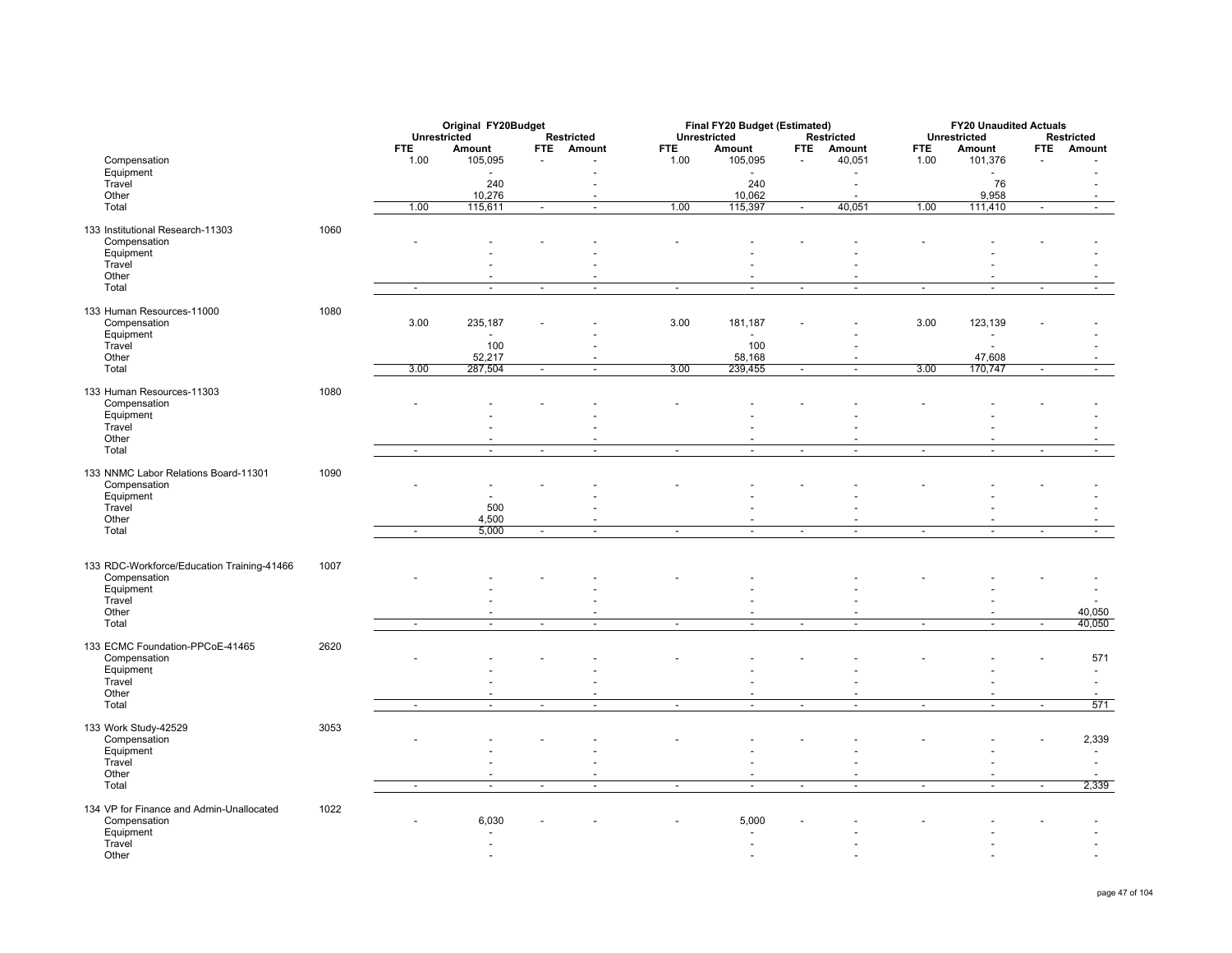|                                            |      |                          | Original FY20Budget |                          |                          |              | Final FY20 Budget (Estimated) |                          |                    |                | <b>FY20 Unaudited Actuals</b>    |                          |                          |
|--------------------------------------------|------|--------------------------|---------------------|--------------------------|--------------------------|--------------|-------------------------------|--------------------------|--------------------|----------------|----------------------------------|--------------------------|--------------------------|
|                                            |      | Unrestricted             |                     |                          | Restricted               | Unrestricted |                               |                          | Restricted         |                | Unrestricted                     |                          | Restricted               |
|                                            |      | <b>FTE</b>               | Amount              |                          | FTE Amount               | <b>FTE</b>   | Amount                        | <b>FTE</b>               | Amount             | <b>FTE</b>     | Amount                           |                          | FTE Amount               |
| Compensation                               |      | 1.00                     | 105,095             | $\overline{\phantom{a}}$ |                          | 1.00         | 105,095                       |                          | 40,051             | 1.00           | 101,376                          |                          |                          |
| Equipment                                  |      |                          |                     |                          |                          |              |                               |                          |                    |                |                                  |                          |                          |
| Travel                                     |      |                          | 240                 |                          |                          |              | 240                           |                          | $\sim$             |                | 76                               |                          |                          |
| Other                                      |      |                          | 10,276              |                          | $\overline{\phantom{a}}$ |              | 10,062                        |                          | $\overline{a}$     |                | 9,958                            |                          | $\overline{\phantom{a}}$ |
| Total                                      |      | 1.00                     | 115,611             | $\overline{a}$           | $\mathbf{r}$             | 1.00         | 115,397                       | $\overline{a}$           | 40,051             | 1.00           | 111,410                          | ÷                        | $\sim$                   |
| 133 Institutional Research-11303           | 1060 |                          |                     |                          |                          |              |                               |                          |                    |                |                                  |                          |                          |
| Compensation                               |      |                          |                     |                          |                          |              |                               |                          |                    |                |                                  |                          |                          |
| Equipment                                  |      |                          |                     |                          |                          |              |                               |                          |                    |                |                                  |                          |                          |
| Travel                                     |      |                          |                     |                          |                          |              |                               |                          |                    |                |                                  |                          |                          |
| Other                                      |      |                          |                     |                          |                          |              |                               |                          |                    |                |                                  |                          |                          |
| Total                                      |      | $\overline{\phantom{a}}$ | $\sim$              | $\sim$                   |                          | ÷,           | $\sim$                        | $\blacksquare$           | $\sim$             | $\overline{a}$ | $\overline{\phantom{a}}$         | $\blacksquare$           |                          |
|                                            |      |                          |                     |                          |                          |              |                               |                          |                    |                |                                  |                          |                          |
| 133 Human Resources-11000                  | 1080 |                          |                     |                          |                          |              |                               |                          |                    |                |                                  |                          |                          |
| Compensation                               |      | 3.00                     | 235,187             |                          |                          | 3.00         | 181,187                       |                          |                    | 3.00           | 123,139                          |                          |                          |
| Equipment                                  |      |                          |                     |                          |                          |              |                               |                          |                    |                |                                  |                          |                          |
| Travel                                     |      |                          | 100                 |                          |                          |              | 100                           |                          |                    |                |                                  |                          |                          |
| Other                                      |      |                          | 52,217              |                          |                          |              | 58,168                        |                          |                    |                | 47,608                           |                          |                          |
| Total                                      |      | 3.00                     | 287,504             | $\overline{\phantom{a}}$ | $\sim$                   | 3.00         | 239,455                       | $\overline{\phantom{a}}$ | $\blacksquare$     | 3.00           | 170,747                          | $\sim$                   | $\overline{\phantom{a}}$ |
|                                            |      |                          |                     |                          |                          |              |                               |                          |                    |                |                                  |                          |                          |
| 133 Human Resources-11303<br>Compensation  | 1080 |                          |                     |                          |                          |              |                               |                          |                    |                |                                  |                          |                          |
| Equipment                                  |      |                          |                     |                          |                          |              |                               |                          |                    |                |                                  |                          |                          |
| Travel                                     |      |                          |                     |                          |                          |              |                               |                          |                    |                |                                  |                          |                          |
| Other                                      |      |                          |                     |                          |                          |              |                               |                          |                    |                |                                  |                          |                          |
| Total                                      |      | $\sim$                   | $\sim$              | $\sim$                   | $\sim$                   | $\sim$       | $\sim$                        | $\sim$                   | $\sim$             | $\overline{a}$ | $\overline{\phantom{a}}$         | in 1919.                 | $\sim$                   |
|                                            |      |                          |                     |                          |                          |              |                               |                          |                    |                |                                  |                          |                          |
| 133 NNMC Labor Relations Board-11301       | 1090 |                          |                     |                          |                          |              |                               |                          |                    |                |                                  |                          |                          |
| Compensation                               |      |                          |                     |                          |                          |              |                               |                          |                    |                |                                  |                          |                          |
| Equipment                                  |      |                          |                     |                          |                          |              |                               |                          |                    |                |                                  |                          |                          |
| Travel                                     |      |                          | 500                 |                          |                          |              |                               |                          |                    |                |                                  |                          |                          |
| Other                                      |      |                          | 4,500               |                          |                          |              | ÷                             |                          |                    |                |                                  |                          |                          |
| Total                                      |      | Ξ                        | 5,000               | Ξ                        | $\overline{\phantom{a}}$ | Ξ            | Ξ                             | Ξ                        | τ                  | Ξ              | Ξ                                | $\overline{\phantom{a}}$ | $\sim$                   |
|                                            |      |                          |                     |                          |                          |              |                               |                          |                    |                |                                  |                          |                          |
|                                            |      |                          |                     |                          |                          |              |                               |                          |                    |                |                                  |                          |                          |
| 133 RDC-Workforce/Education Training-41466 | 1007 |                          |                     |                          |                          |              |                               |                          |                    |                |                                  |                          |                          |
| Compensation                               |      |                          |                     |                          |                          |              |                               |                          |                    |                |                                  |                          |                          |
| Equipment                                  |      |                          |                     |                          |                          |              |                               |                          |                    |                |                                  |                          |                          |
| Travel                                     |      |                          |                     |                          |                          |              |                               |                          |                    |                |                                  |                          |                          |
| Other<br>Total                             |      | $\overline{a}$           | $\sim$              | $\overline{a}$           |                          |              | $\sim$                        | $\sim$                   | $\sim$             | ÷,             | $\sim$                           |                          | 40,050<br>40,050         |
|                                            |      |                          |                     |                          |                          | $\sim$       |                               |                          |                    |                |                                  |                          |                          |
| 133 ECMC Foundation-PPCoE-41465            | 2620 |                          |                     |                          |                          |              |                               |                          |                    |                |                                  |                          |                          |
| Compensation                               |      |                          |                     |                          |                          |              |                               |                          |                    |                |                                  |                          | 571                      |
| Equipment                                  |      |                          |                     |                          |                          |              |                               |                          |                    |                |                                  |                          |                          |
| Travel                                     |      |                          |                     |                          |                          |              |                               |                          |                    |                |                                  |                          |                          |
| Other                                      |      |                          |                     |                          |                          |              |                               |                          |                    |                |                                  |                          |                          |
| Total                                      |      | $\sim$                   | $\blacksquare$      | $\sim$                   | $\overline{\phantom{a}}$ | $\sim$       | $\blacksquare$                | $\sim$                   | $\sim$             | $\sim$         | $\sim$                           | $\sim$                   | 571                      |
|                                            |      |                          |                     |                          |                          |              |                               |                          |                    |                |                                  |                          |                          |
| 133 Work Study-42529                       | 3053 |                          |                     |                          |                          |              |                               |                          |                    |                |                                  |                          |                          |
| Compensation                               |      |                          |                     |                          |                          |              |                               |                          |                    |                |                                  |                          | 2,339                    |
| Equipment                                  |      |                          |                     |                          |                          |              |                               |                          |                    |                |                                  |                          | $\overline{\phantom{a}}$ |
| Travel                                     |      |                          |                     |                          |                          |              |                               |                          |                    |                |                                  |                          |                          |
| Other                                      |      | $\sim$                   | ÷<br>$\blacksquare$ | $\sim$                   | $\sim$                   | $\sim$       | $\sim$<br>$\blacksquare$      | $\sim$                   | $\sim$<br>$\omega$ | ÷              | $\overline{a}$<br>$\blacksquare$ | $\sim$                   | $\sim$<br>2,339          |
| Total                                      |      |                          |                     |                          |                          |              |                               |                          |                    |                |                                  |                          |                          |
| 134 VP for Finance and Admin-Unallocated   | 1022 |                          |                     |                          |                          |              |                               |                          |                    |                |                                  |                          |                          |
| Compensation                               |      |                          | 6,030               |                          |                          |              | 5,000                         |                          |                    |                |                                  |                          |                          |
| Equipment                                  |      |                          |                     |                          |                          |              |                               |                          |                    |                |                                  |                          |                          |
| Travel                                     |      |                          |                     |                          |                          |              |                               |                          |                    |                |                                  |                          |                          |
| Other                                      |      |                          |                     |                          |                          |              |                               |                          |                    |                |                                  |                          |                          |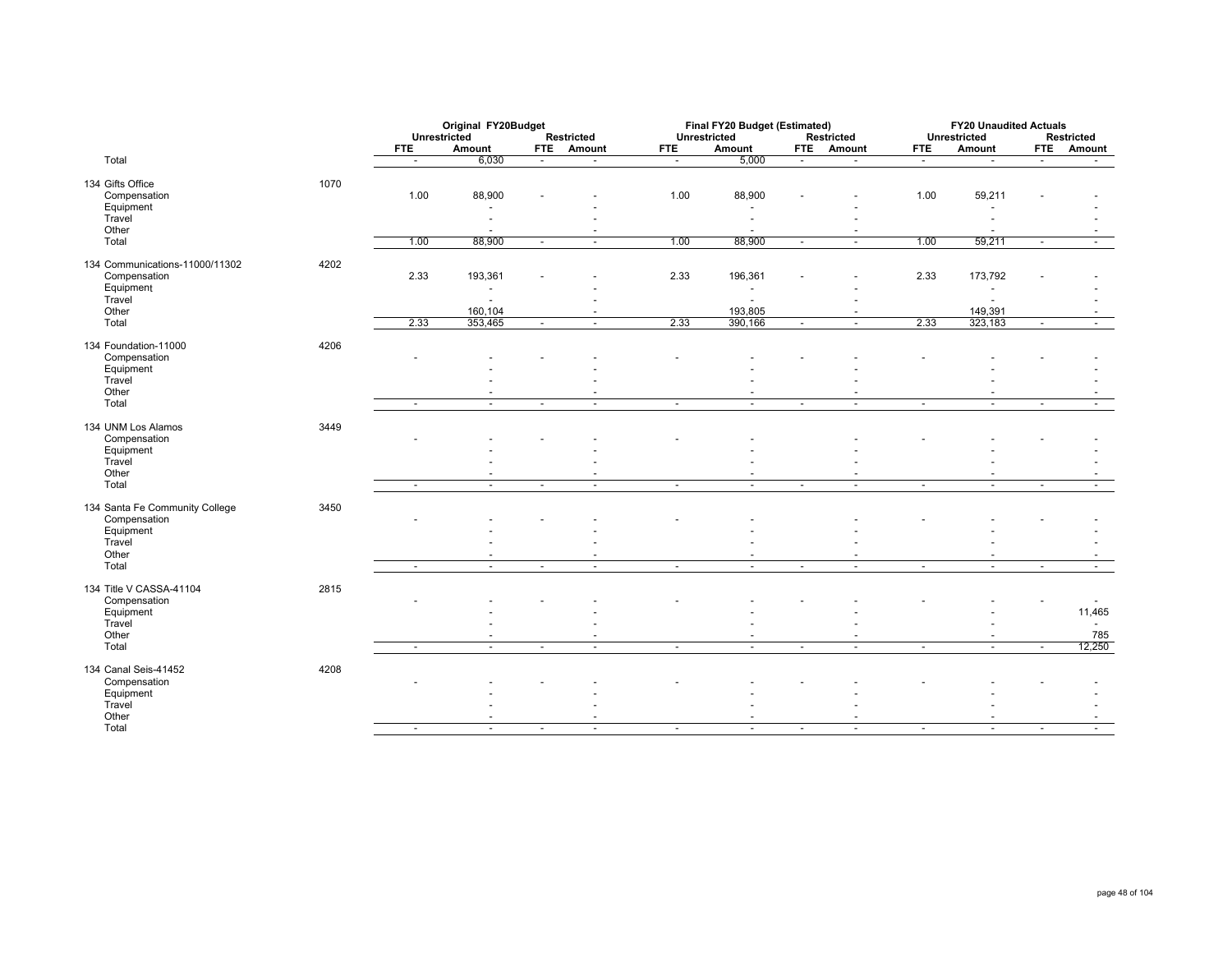|                                |      | Original FY20Budget<br>Unrestricted |                          |            |                          |                | Final FY20 Budget (Estimated) |                          |                          |                          | <b>FY20 Unaudited Actuals</b> |                          |                          |
|--------------------------------|------|-------------------------------------|--------------------------|------------|--------------------------|----------------|-------------------------------|--------------------------|--------------------------|--------------------------|-------------------------------|--------------------------|--------------------------|
|                                |      |                                     |                          |            | <b>Restricted</b>        |                | Unrestricted                  |                          | <b>Restricted</b>        |                          | <b>Unrestricted</b>           |                          | <b>Restricted</b>        |
|                                |      | <b>FTE</b>                          | Amount                   | <b>FTE</b> | Amount                   | <b>FTE</b>     | Amount                        |                          | FTE Amount               | <b>FTE</b>               | Amount                        | <b>FTE</b>               | <b>Amount</b>            |
| Total                          |      | $\sim$                              | 6,030                    | $\sim$     |                          | $\sim$         | 5,000                         | $\overline{\phantom{a}}$ | $\blacksquare$           | $\sim$                   |                               | $\sim$                   | $\sim$                   |
| 134 Gifts Office               | 1070 |                                     |                          |            |                          |                |                               |                          |                          |                          |                               |                          |                          |
| Compensation                   |      | 1.00                                | 88,900                   |            |                          | 1.00           | 88,900                        |                          |                          | 1.00                     | 59,211                        |                          |                          |
| Equipment                      |      |                                     |                          |            |                          |                |                               |                          |                          |                          |                               |                          |                          |
| Travel                         |      |                                     |                          |            |                          |                |                               |                          |                          |                          |                               |                          |                          |
| Other                          |      |                                     | $\overline{\phantom{a}}$ |            |                          |                |                               |                          |                          |                          |                               |                          |                          |
| Total                          |      | 1.00                                | 88,900                   | $\sim$     | $\overline{\phantom{a}}$ | 1.00           | 88,900                        | $\overline{\phantom{a}}$ | $\blacksquare$           | 1.00                     | 59,211                        | $\blacksquare$           |                          |
| 134 Communications-11000/11302 | 4202 |                                     |                          |            |                          |                |                               |                          |                          |                          |                               |                          |                          |
| Compensation                   |      | 2.33                                | 193,361                  |            |                          | 2.33           | 196,361                       |                          |                          | 2.33                     | 173,792                       |                          |                          |
| Equipment                      |      |                                     | $\overline{\phantom{a}}$ |            |                          |                | $\overline{\phantom{a}}$      |                          | ٠                        |                          |                               |                          |                          |
| Travel                         |      |                                     |                          |            |                          |                |                               |                          |                          |                          |                               |                          |                          |
| Other                          |      |                                     | 160,104                  |            |                          |                | 193,805                       |                          | $\blacksquare$           |                          | 149,391                       |                          |                          |
| Total                          |      | 2.33                                | 353,465                  | $\sim$     | $\overline{\phantom{a}}$ | 2.33           | 390,166                       | $\overline{\phantom{a}}$ | $\sim$                   | 2.33                     | 323,183                       | $\sim$                   | $\sim$                   |
| 134 Foundation-11000           | 4206 |                                     |                          |            |                          |                |                               |                          |                          |                          |                               |                          |                          |
| Compensation                   |      |                                     |                          |            |                          |                |                               |                          |                          |                          |                               |                          |                          |
| Equipment                      |      |                                     |                          |            |                          |                |                               |                          |                          |                          |                               |                          |                          |
| Travel                         |      |                                     |                          |            |                          |                |                               |                          |                          |                          |                               |                          |                          |
| Other                          |      |                                     |                          |            |                          |                |                               |                          |                          |                          |                               |                          |                          |
| Total                          |      | $\sim$                              | $\overline{\phantom{a}}$ | $\sim$     | $\overline{\phantom{a}}$ | $\sim$         | $\sim$                        | $\overline{\phantom{a}}$ | $\sim$                   | $\sim$                   | $\sim$                        | $\sim$                   | $\sim$                   |
| 134 UNM Los Alamos             | 3449 |                                     |                          |            |                          |                |                               |                          |                          |                          |                               |                          |                          |
| Compensation                   |      |                                     |                          |            |                          |                |                               |                          |                          |                          |                               |                          |                          |
| Equipment                      |      |                                     |                          |            |                          |                |                               |                          |                          |                          |                               |                          |                          |
| Travel                         |      |                                     |                          |            |                          |                |                               |                          |                          |                          |                               |                          |                          |
| Other                          |      |                                     |                          |            |                          |                |                               |                          | $\overline{\phantom{a}}$ |                          |                               |                          |                          |
| Total                          |      | $\sim$                              | $\blacksquare$           | $\sim$     | $\overline{\phantom{a}}$ | $\sim$         | $\sim$                        | $\overline{\phantom{a}}$ | $\sim$                   | $\sim$                   | $\overline{\phantom{a}}$      | $\sim$                   | $\sim$                   |
| 134 Santa Fe Community College | 3450 |                                     |                          |            |                          |                |                               |                          |                          |                          |                               |                          |                          |
| Compensation                   |      |                                     |                          |            |                          |                |                               |                          |                          |                          |                               |                          |                          |
| Equipment                      |      |                                     |                          |            |                          |                |                               |                          |                          |                          |                               |                          |                          |
| Travel                         |      |                                     |                          |            |                          |                |                               |                          |                          |                          |                               |                          |                          |
| Other                          |      |                                     |                          |            |                          |                |                               |                          |                          |                          |                               |                          |                          |
| Total                          |      | $\overline{\phantom{a}}$            | $\sim$                   | $\sim$     | $\tilde{\phantom{a}}$    | $\blacksquare$ | $\sim$                        | $\overline{\phantom{a}}$ | $\blacksquare$           | $\overline{\phantom{a}}$ | $\blacksquare$                | $\overline{\phantom{a}}$ | $\overline{\phantom{a}}$ |
| 134 Title V CASSA-41104        | 2815 |                                     |                          |            |                          |                |                               |                          |                          |                          |                               |                          |                          |
| Compensation                   |      |                                     |                          |            |                          |                |                               |                          |                          |                          |                               |                          |                          |
| Equipment                      |      |                                     |                          |            |                          |                |                               |                          |                          |                          |                               |                          | 11,465                   |
| Travel                         |      |                                     |                          |            |                          |                |                               |                          |                          |                          |                               |                          |                          |
| Other<br>Total                 |      |                                     |                          | $\sim$     | $\sim$                   |                | $\blacksquare$                |                          |                          |                          | $\sim$                        | $\sim$                   | 785<br>12,250            |
|                                |      | $\sim$                              | $\blacksquare$           |            |                          | $\blacksquare$ |                               | $\overline{\phantom{a}}$ | $\blacksquare$           | $\overline{\phantom{a}}$ |                               |                          |                          |
| 134 Canal Seis-41452           | 4208 |                                     |                          |            |                          |                |                               |                          |                          |                          |                               |                          |                          |
| Compensation                   |      |                                     |                          |            |                          |                |                               |                          |                          |                          |                               |                          |                          |
| Equipment                      |      |                                     |                          |            |                          |                |                               |                          |                          |                          |                               |                          |                          |
| Travel                         |      |                                     |                          |            |                          |                |                               |                          |                          |                          |                               |                          |                          |
| Other<br>Total                 |      |                                     | $\blacksquare$           |            | $\overline{\phantom{a}}$ |                | $\sim$                        |                          | $\sim$                   | $\overline{\phantom{a}}$ | $\sim$                        |                          | $\overline{\phantom{a}}$ |
|                                |      | $\sim$                              |                          | $\sim$     |                          | $\sim$         |                               | $\overline{\phantom{a}}$ |                          |                          |                               | $\sim$                   |                          |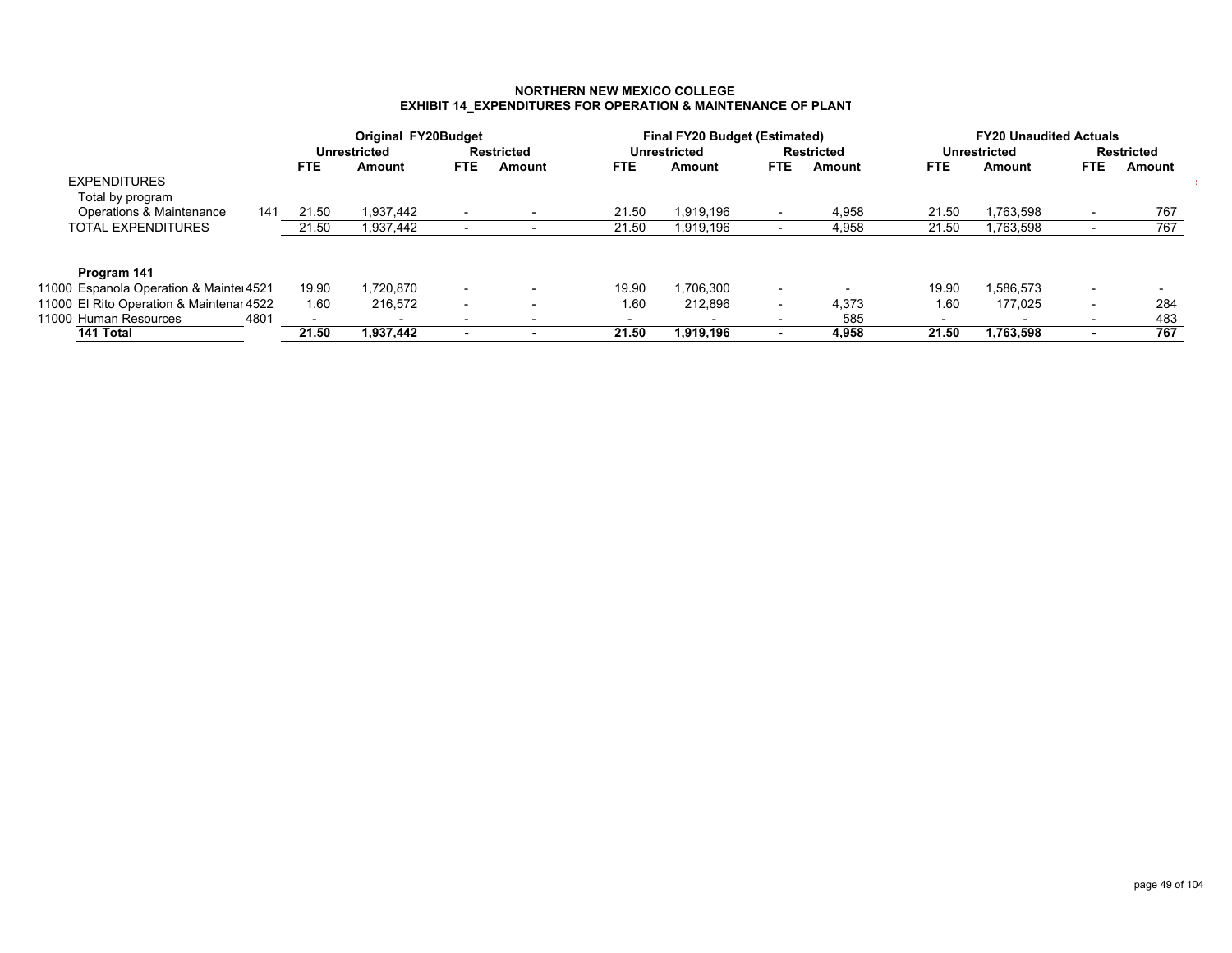### **NORTHERN NEW MEXICO COLLEGEEXHIBIT 14\_EXPENDITURES FOR OPERATION & MAINTENANCE OF PLANT**

|                                          |      |       | Original FY20Budget      |                          |                   |       | <b>Final FY20 Budget (Estimated)</b> |                          |                   |                          | <b>FY20 Unaudited Actuals</b> |            |                          |
|------------------------------------------|------|-------|--------------------------|--------------------------|-------------------|-------|--------------------------------------|--------------------------|-------------------|--------------------------|-------------------------------|------------|--------------------------|
|                                          |      |       | <b>Unrestricted</b>      |                          | <b>Restricted</b> |       | Unrestricted                         |                          | <b>Restricted</b> |                          | Unrestricted                  |            | <b>Restricted</b>        |
|                                          |      | FTE.  | Amount                   | FTE.                     | Amount            | FTE.  | Amount                               | <b>FTE</b>               | Amount            | FTE.                     | Amount                        | <b>FTE</b> | Amount                   |
| <b>EXPENDITURES</b>                      |      |       |                          |                          |                   |       |                                      |                          |                   |                          |                               |            |                          |
| Total by program                         |      |       |                          |                          |                   |       |                                      |                          |                   |                          |                               |            |                          |
| Operations & Maintenance                 | 141  | 21.50 | 1,937,442                |                          |                   | 21.50 | 1,919,196                            |                          | 4,958             | 21.50                    | 1,763,598                     |            | 767                      |
| TOTAL EXPENDITURES                       |      | 21.50 | 1,937,442                |                          |                   | 21.50 | 1,919,196                            |                          | 4,958             | 21.50                    | 1,763,598                     |            | 767                      |
|                                          |      |       |                          |                          |                   |       |                                      |                          |                   |                          |                               |            |                          |
| Program 141                              |      |       |                          |                          |                   |       |                                      |                          |                   |                          |                               |            |                          |
| 11000 Espanola Operation & Mainteı 4521  |      | 19.90 | 1,720,870                | $\overline{\phantom{0}}$ |                   | 19.90 | 1,706,300                            | $\overline{\phantom{0}}$ |                   | 19.90                    | 1,586,573                     |            | $\overline{\phantom{0}}$ |
| 11000 El Rito Operation & Maintenar 4522 |      | 1.60  | 216.572                  | $\overline{\phantom{0}}$ |                   | 1.60  | 212.896                              | $\overline{\phantom{0}}$ | 4.373             | 1.60                     | 177.025                       |            | 284                      |
| 11000 Human Resources                    | 4801 |       | $\overline{\phantom{a}}$ | $\overline{\phantom{a}}$ |                   | ۰     | $\overline{\phantom{0}}$             |                          | 585               | $\overline{\phantom{a}}$ | $\overline{\phantom{a}}$      |            | 483                      |
| 141 Total                                |      | 21.50 | 1.937.442                |                          |                   | 21.50 | 1.919.196                            | $\overline{\phantom{a}}$ | 4.958             | 21.50                    | 1,763,598                     |            | 767                      |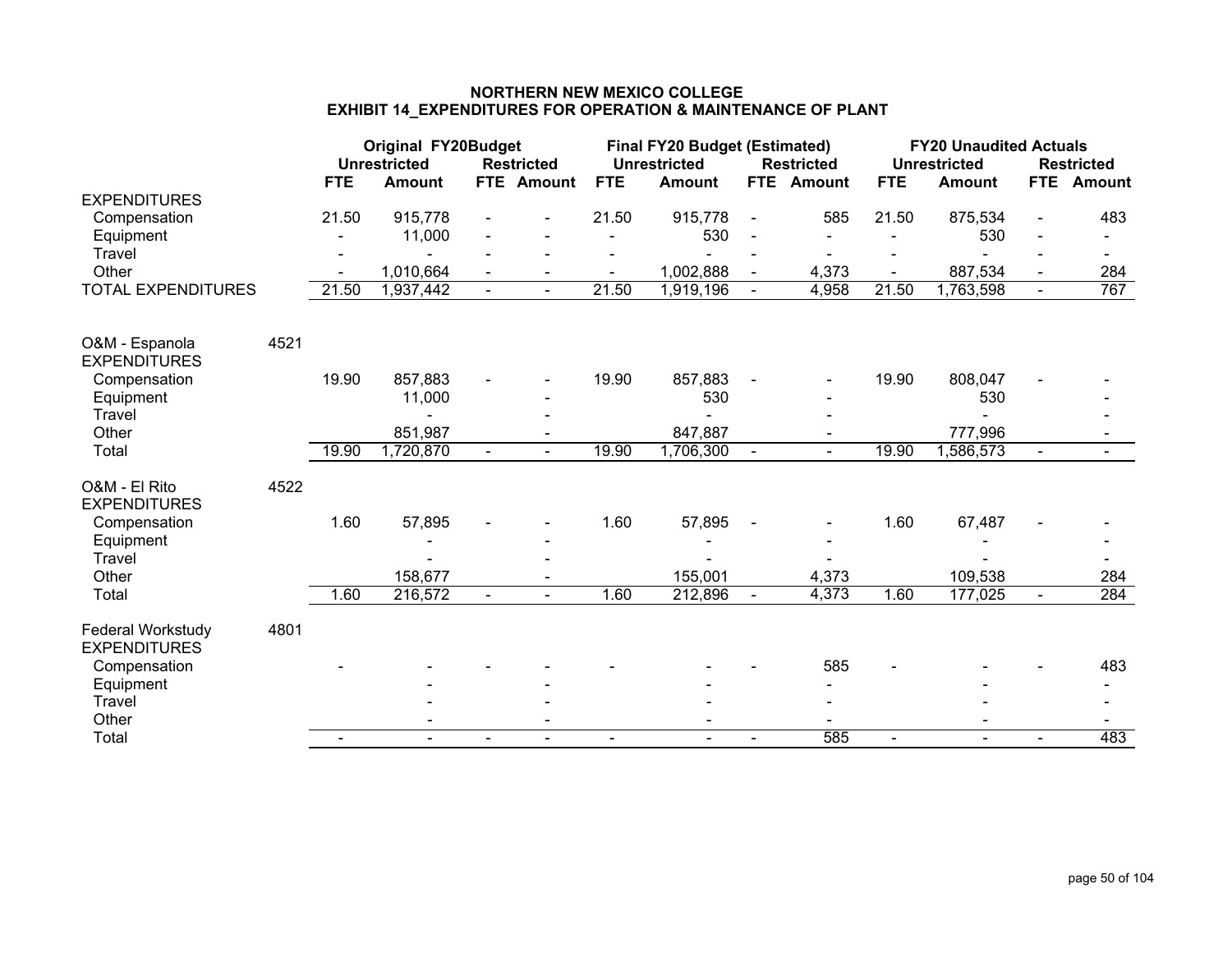# **NORTHERN NEW MEXICO COLLEGEEXHIBIT 14\_EXPENDITURES FOR OPERATION & MAINTENANCE OF PLANT**

|                                          |      |            | <b>Original FY20Budget</b><br><b>Unrestricted</b> |                | <b>Restricted</b> |                | <b>Final FY20 Budget (Estimated)</b><br><b>Unrestricted</b> |                | <b>Restricted</b> |            | <b>FY20 Unaudited Actuals</b><br><b>Unrestricted</b> |                              | <b>Restricted</b> |
|------------------------------------------|------|------------|---------------------------------------------------|----------------|-------------------|----------------|-------------------------------------------------------------|----------------|-------------------|------------|------------------------------------------------------|------------------------------|-------------------|
| <b>EXPENDITURES</b>                      |      | <b>FTE</b> | <b>Amount</b>                                     | FTE            | <b>Amount</b>     | <b>FTE</b>     | <b>Amount</b>                                               | FTE            | <b>Amount</b>     | <b>FTE</b> | <b>Amount</b>                                        | <b>FTE</b>                   | <b>Amount</b>     |
| Compensation                             |      | 21.50      | 915,778                                           |                |                   | 21.50          | 915,778                                                     | $\blacksquare$ | 585               | 21.50      | 875,534                                              | $\qquad \qquad \blacksquare$ | 483               |
| Equipment                                |      |            | 11,000                                            |                |                   | $\blacksquare$ | 530                                                         |                |                   |            | 530                                                  |                              |                   |
| <b>Travel</b>                            |      |            |                                                   |                |                   |                | $\blacksquare$                                              |                | $\blacksquare$    |            | $\sim$                                               |                              |                   |
| Other                                    |      |            | 1,010,664                                         |                |                   |                | 1,002,888                                                   |                | 4,373             |            | 887,534                                              |                              | 284               |
| <b>TOTAL EXPENDITURES</b>                |      | 21.50      | 1,937,442                                         |                |                   | 21.50          | 1,919,196                                                   |                | 4,958             | 21.50      | 1,763,598                                            | $\blacksquare$               | 767               |
| O&M - Espanola                           | 4521 |            |                                                   |                |                   |                |                                                             |                |                   |            |                                                      |                              |                   |
| <b>EXPENDITURES</b>                      |      |            |                                                   |                |                   |                |                                                             |                |                   |            |                                                      |                              |                   |
| Compensation                             |      | 19.90      | 857,883                                           |                |                   | 19.90          | 857,883                                                     |                |                   | 19.90      | 808,047                                              |                              |                   |
| Equipment                                |      |            | 11,000                                            |                |                   |                | 530                                                         |                |                   |            | 530                                                  |                              |                   |
| <b>Travel</b>                            |      |            |                                                   |                |                   |                |                                                             |                |                   |            |                                                      |                              |                   |
| Other                                    |      |            | 851,987                                           |                |                   |                | 847,887                                                     |                |                   |            | 777,996                                              |                              |                   |
| Total                                    |      | 19.90      | 1,720,870                                         | $\blacksquare$ |                   | 19.90          | 1,706,300                                                   | $\sim$         |                   | 19.90      | 1,586,573                                            | $\blacksquare$               |                   |
| O&M - El Rito<br><b>EXPENDITURES</b>     | 4522 |            |                                                   |                |                   |                |                                                             |                |                   |            |                                                      |                              |                   |
| Compensation                             |      | 1.60       | 57,895                                            |                |                   | 1.60           | 57,895                                                      |                |                   | 1.60       | 67,487                                               |                              |                   |
| Equipment                                |      |            |                                                   |                |                   |                |                                                             |                |                   |            |                                                      |                              |                   |
| <b>Travel</b>                            |      |            |                                                   |                |                   |                |                                                             |                |                   |            |                                                      |                              |                   |
| Other                                    |      |            | 158,677                                           |                |                   |                | 155,001                                                     |                | 4,373             |            | 109,538                                              |                              | 284               |
| Total                                    |      | 1.60       | 216,572                                           | $\blacksquare$ | $\mathbf{r}$      | 1.60           | 212,896                                                     | $\sim$         | 4,373             | 1.60       | 177,025                                              | $\blacksquare$               | 284               |
| Federal Workstudy<br><b>EXPENDITURES</b> | 4801 |            |                                                   |                |                   |                |                                                             |                |                   |            |                                                      |                              |                   |
| Compensation                             |      |            |                                                   |                |                   |                |                                                             |                | 585               |            |                                                      |                              | 483               |
| Equipment                                |      |            |                                                   |                |                   |                |                                                             |                |                   |            |                                                      |                              |                   |
| <b>Travel</b>                            |      |            |                                                   |                |                   |                |                                                             |                |                   |            |                                                      |                              |                   |
| Other                                    |      |            |                                                   |                |                   |                |                                                             |                |                   |            |                                                      |                              |                   |
| Total                                    |      |            |                                                   | $\blacksquare$ |                   | ۰              |                                                             | $\blacksquare$ | 585               |            |                                                      | $\blacksquare$               | 483               |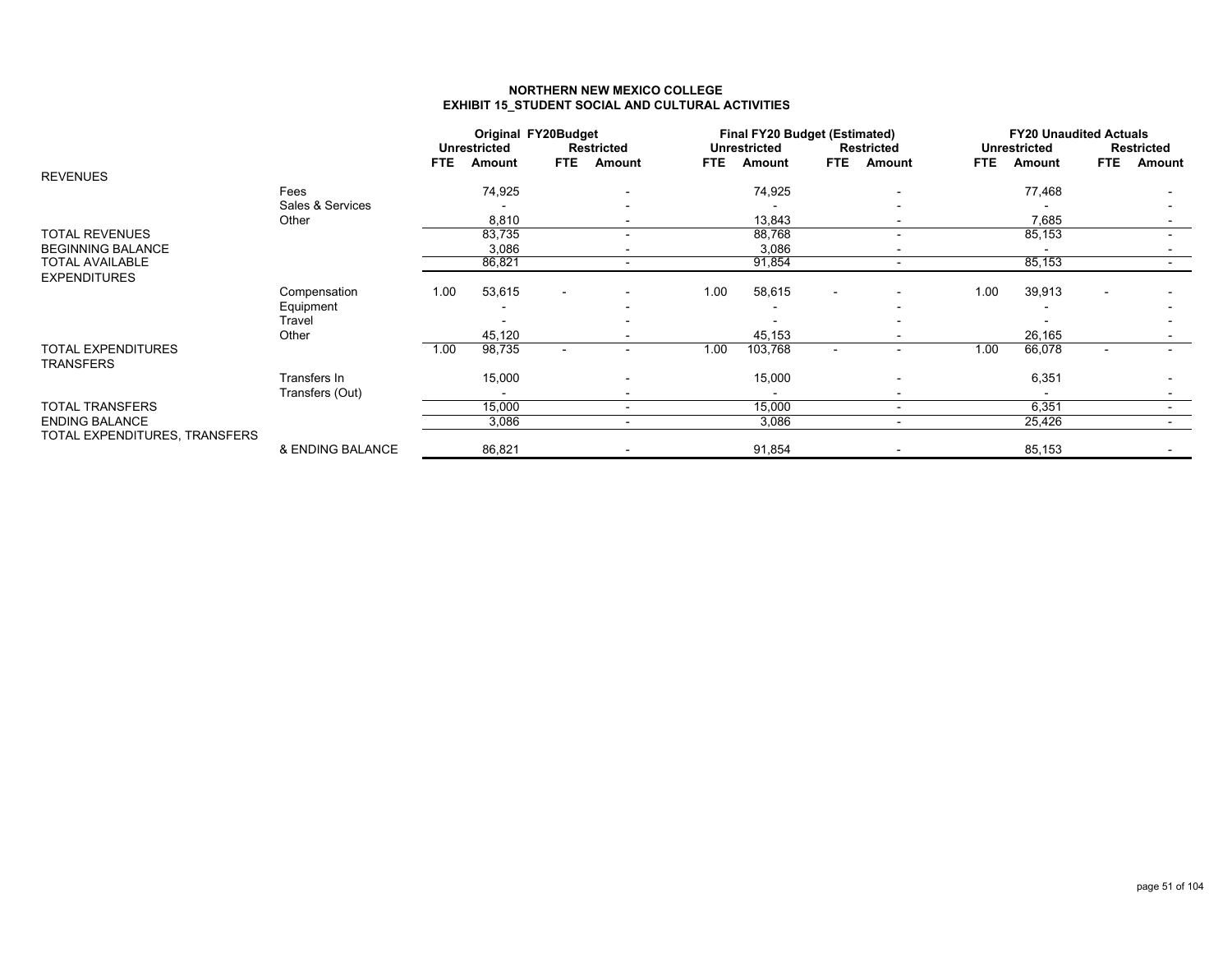### **NORTHERN NEW MEXICO COLLEGEEXHIBIT 15\_STUDENT SOCIAL AND CULTURAL ACTIVITIES**

|                               |                  |            | <b>Unrestricted</b> | <b>Original FY20Budget</b> | <b>Restricted</b>        |            | <b>Final FY20 Budget (Estimated)</b><br><b>Unrestricted</b> |                          | <b>Restricted</b>        |            | <b>FY20 Unaudited Actuals</b><br><b>Unrestricted</b> |            | <b>Restricted</b> |
|-------------------------------|------------------|------------|---------------------|----------------------------|--------------------------|------------|-------------------------------------------------------------|--------------------------|--------------------------|------------|------------------------------------------------------|------------|-------------------|
|                               |                  | <b>FTE</b> | Amount              | <b>FTE</b>                 | Amount                   | <b>FTE</b> | Amount                                                      | <b>FTE</b>               | Amount                   | <b>FTE</b> | Amount                                               | <b>FTE</b> | Amount            |
| <b>REVENUES</b>               |                  |            |                     |                            |                          |            |                                                             |                          |                          |            |                                                      |            |                   |
|                               | Fees             |            | 74,925              |                            |                          |            | 74,925                                                      |                          |                          |            | 77,468                                               |            |                   |
|                               | Sales & Services |            |                     |                            |                          |            |                                                             |                          |                          |            |                                                      |            |                   |
|                               | Other            |            | 8,810               |                            |                          |            | 13,843                                                      |                          |                          |            | 7,685                                                |            |                   |
| <b>TOTAL REVENUES</b>         |                  |            | 83,735              |                            |                          |            | 88,768                                                      |                          |                          |            | 85,153                                               |            |                   |
| <b>BEGINNING BALANCE</b>      |                  |            | 3,086               |                            |                          |            | 3,086                                                       |                          |                          |            |                                                      |            |                   |
| <b>TOTAL AVAILABLE</b>        |                  |            | 86,821              |                            | $\blacksquare$           |            | 91,854                                                      |                          |                          |            | 85,153                                               |            |                   |
| <b>EXPENDITURES</b>           |                  |            |                     |                            |                          |            |                                                             |                          |                          |            |                                                      |            |                   |
|                               | Compensation     | 1.00       | 53,615              | $\overline{\phantom{0}}$   |                          | 1.00       | 58,615                                                      | $\blacksquare$           |                          | 1.00       | 39,913                                               |            |                   |
|                               | Equipment        |            |                     |                            |                          |            |                                                             |                          |                          |            |                                                      |            |                   |
|                               | Travel           |            |                     |                            |                          |            |                                                             |                          |                          |            |                                                      |            |                   |
|                               | Other            |            | 45,120              |                            |                          |            | 45,153                                                      |                          |                          |            | 26,165                                               |            |                   |
| <b>TOTAL EXPENDITURES</b>     |                  | 1.00       | 98,735              | $\blacksquare$             | $\overline{\phantom{0}}$ | 1.00       | 103,768                                                     | $\overline{\phantom{a}}$ |                          | 1.00       | 66,078                                               |            |                   |
| TRANSFERS                     |                  |            |                     |                            |                          |            |                                                             |                          |                          |            |                                                      |            |                   |
|                               | Transfers In     |            | 15,000              |                            |                          |            | 15,000                                                      |                          |                          |            | 6,351                                                |            |                   |
|                               | Transfers (Out)  |            |                     |                            |                          |            |                                                             |                          |                          |            |                                                      |            |                   |
| <b>TOTAL TRANSFERS</b>        |                  |            | 15,000              |                            | $\blacksquare$           |            | 15,000                                                      |                          | $\overline{\phantom{a}}$ |            | 6,351                                                |            |                   |
| <b>ENDING BALANCE</b>         |                  |            | 3,086               |                            | $\blacksquare$           |            | 3,086                                                       |                          | $\overline{\phantom{a}}$ |            | 25,426                                               |            | $\sim$            |
| TOTAL EXPENDITURES, TRANSFERS |                  |            |                     |                            |                          |            |                                                             |                          |                          |            |                                                      |            |                   |
|                               | & ENDING BALANCE |            | 86,821              |                            |                          |            | 91,854                                                      |                          |                          |            | 85,153                                               |            |                   |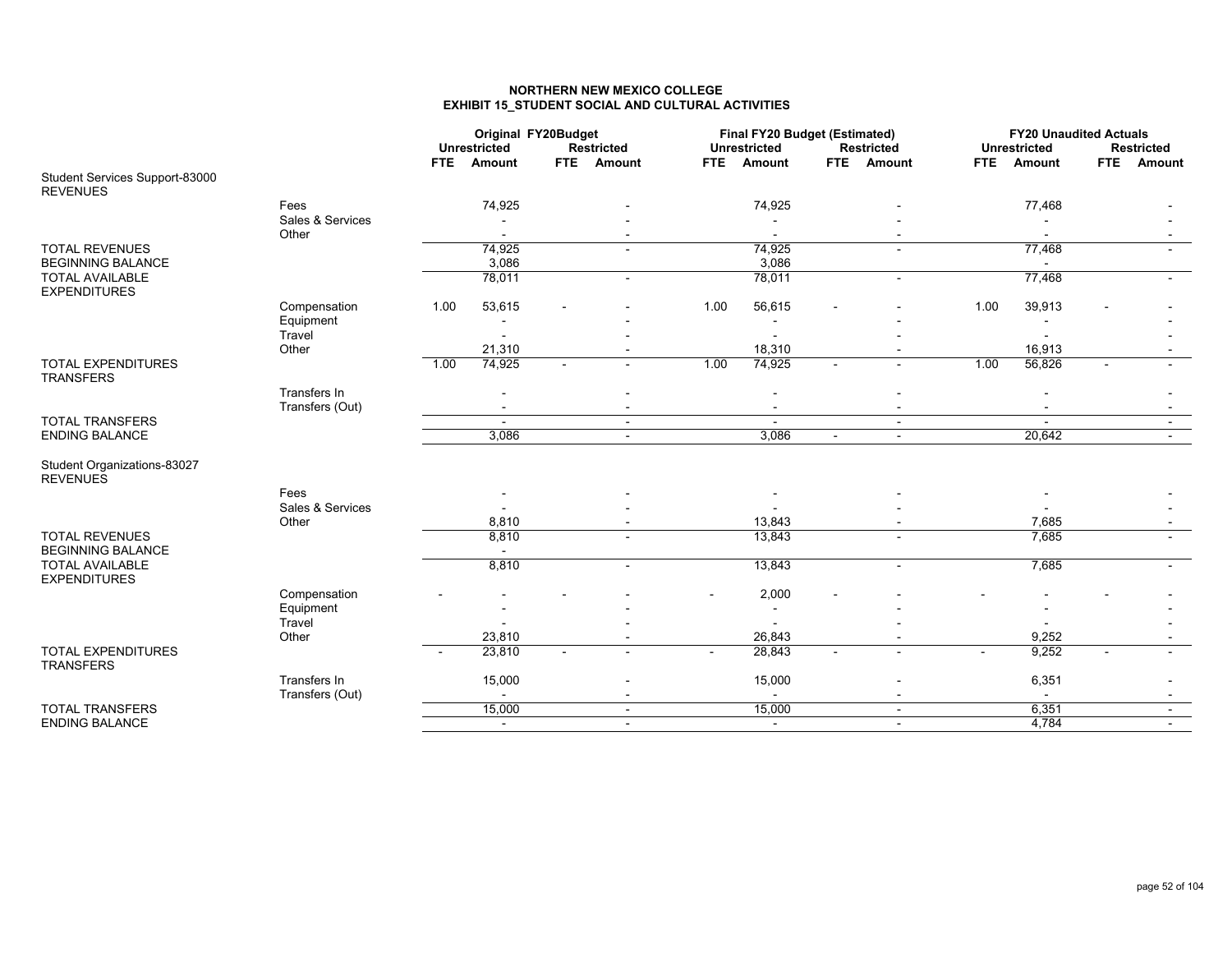### **NORTHERN NEW MEXICO COLLEGEEXHIBIT 15\_STUDENT SOCIAL AND CULTURAL ACTIVITIES**

|                                                   |                  |      | Original FY20Budget<br><b>Unrestricted</b> | <b>Restricted</b>        |      | Final FY20 Budget (Estimated)<br><b>Unrestricted</b> |                          | <b>Restricted</b>        |            | <b>FY20 Unaudited Actuals</b><br><b>Unrestricted</b> |            | <b>Restricted</b> |
|---------------------------------------------------|------------------|------|--------------------------------------------|--------------------------|------|------------------------------------------------------|--------------------------|--------------------------|------------|------------------------------------------------------|------------|-------------------|
| Student Services Support-83000                    |                  | FTE. | Amount                                     | FTE Amount               | FTE. | Amount                                               | <b>FTE</b>               | Amount                   | <b>FTE</b> | Amount                                               | <b>FTE</b> | Amount            |
| <b>REVENUES</b>                                   |                  |      |                                            |                          |      |                                                      |                          |                          |            |                                                      |            |                   |
|                                                   | Fees             |      | 74,925                                     |                          |      | 74,925                                               |                          |                          |            | 77,468                                               |            |                   |
|                                                   | Sales & Services |      |                                            |                          |      |                                                      |                          |                          |            |                                                      |            |                   |
|                                                   | Other            |      |                                            |                          |      |                                                      |                          |                          |            |                                                      |            |                   |
| <b>TOTAL REVENUES</b>                             |                  |      | 74,925                                     | $\blacksquare$           |      | 74,925                                               |                          | $\sim$                   |            | 77,468                                               |            |                   |
| <b>BEGINNING BALANCE</b>                          |                  |      | 3,086                                      |                          |      | 3,086                                                |                          |                          |            |                                                      |            |                   |
| <b>TOTAL AVAILABLE</b><br><b>EXPENDITURES</b>     |                  |      | 78,011                                     | $\sim$                   |      | 78,011                                               |                          | $\overline{\phantom{a}}$ |            | 77,468                                               |            |                   |
|                                                   | Compensation     | 1.00 | 53,615                                     |                          | 1.00 | 56,615                                               |                          |                          | 1.00       | 39,913                                               |            |                   |
|                                                   | Equipment        |      |                                            |                          |      |                                                      |                          |                          |            |                                                      |            |                   |
|                                                   | Travel           |      |                                            |                          |      |                                                      |                          |                          |            |                                                      |            |                   |
|                                                   | Other            |      | 21,310                                     |                          |      | 18,310                                               |                          |                          |            | 16,913                                               |            |                   |
| <b>TOTAL EXPENDITURES</b><br><b>TRANSFERS</b>     |                  | 1.00 | 74,925                                     |                          | 1.00 | 74,925                                               | $\overline{a}$           |                          | 1.00       | 56,826                                               |            |                   |
|                                                   | Transfers In     |      |                                            |                          |      |                                                      |                          |                          |            |                                                      |            |                   |
|                                                   | Transfers (Out)  |      |                                            | $\overline{\phantom{0}}$ |      |                                                      |                          |                          |            |                                                      |            |                   |
| <b>TOTAL TRANSFERS</b>                            |                  |      |                                            | $\sim$                   |      |                                                      |                          | $\sim$                   |            |                                                      |            |                   |
| <b>ENDING BALANCE</b>                             |                  |      | 3,086                                      | $\sim$                   |      | 3,086                                                | $\blacksquare$           | $\sim$                   |            | 20,642                                               |            | $\sim$            |
| Student Organizations-83027<br><b>REVENUES</b>    |                  |      |                                            |                          |      |                                                      |                          |                          |            |                                                      |            |                   |
|                                                   | Fees             |      |                                            |                          |      |                                                      |                          |                          |            |                                                      |            |                   |
|                                                   | Sales & Services |      |                                            |                          |      |                                                      |                          |                          |            |                                                      |            |                   |
|                                                   | Other            |      | 8,810                                      |                          |      | 13,843                                               |                          |                          |            | 7,685                                                |            |                   |
| <b>TOTAL REVENUES</b><br><b>BEGINNING BALANCE</b> |                  |      | 8,810                                      |                          |      | 13,843                                               |                          |                          |            | 7,685                                                |            |                   |
| <b>TOTAL AVAILABLE</b>                            |                  |      | 8,810                                      | $\sim$                   |      | 13,843                                               |                          | $\overline{\phantom{a}}$ |            | 7,685                                                |            |                   |
| <b>EXPENDITURES</b>                               |                  |      |                                            |                          |      |                                                      |                          |                          |            |                                                      |            |                   |
|                                                   | Compensation     |      |                                            |                          |      | 2,000                                                |                          |                          |            |                                                      |            |                   |
|                                                   | Equipment        |      |                                            |                          |      |                                                      |                          |                          |            |                                                      |            |                   |
|                                                   | Travel           |      |                                            |                          |      |                                                      |                          |                          |            |                                                      |            |                   |
|                                                   | Other            |      | 23,810                                     |                          |      | 26,843                                               |                          |                          |            | 9,252                                                |            |                   |
| <b>TOTAL EXPENDITURES</b><br><b>TRANSFERS</b>     |                  |      | 23,810                                     |                          |      | 28,843                                               | $\overline{\phantom{a}}$ |                          |            | 9,252                                                |            |                   |
|                                                   | Transfers In     |      | 15,000                                     |                          |      | 15,000                                               |                          |                          |            | 6,351                                                |            |                   |
|                                                   | Transfers (Out)  |      |                                            | $\blacksquare$           |      |                                                      |                          |                          |            | $\blacksquare$                                       |            |                   |
| <b>TOTAL TRANSFERS</b>                            |                  |      | 15,000                                     | $\sim$                   |      | 15,000                                               |                          | $\overline{\phantom{a}}$ |            | 6,351                                                |            |                   |
| <b>ENDING BALANCE</b>                             |                  |      | $\blacksquare$                             | $\overline{\phantom{a}}$ |      | $\sim$                                               |                          | $\overline{\phantom{a}}$ |            | 4,784                                                |            |                   |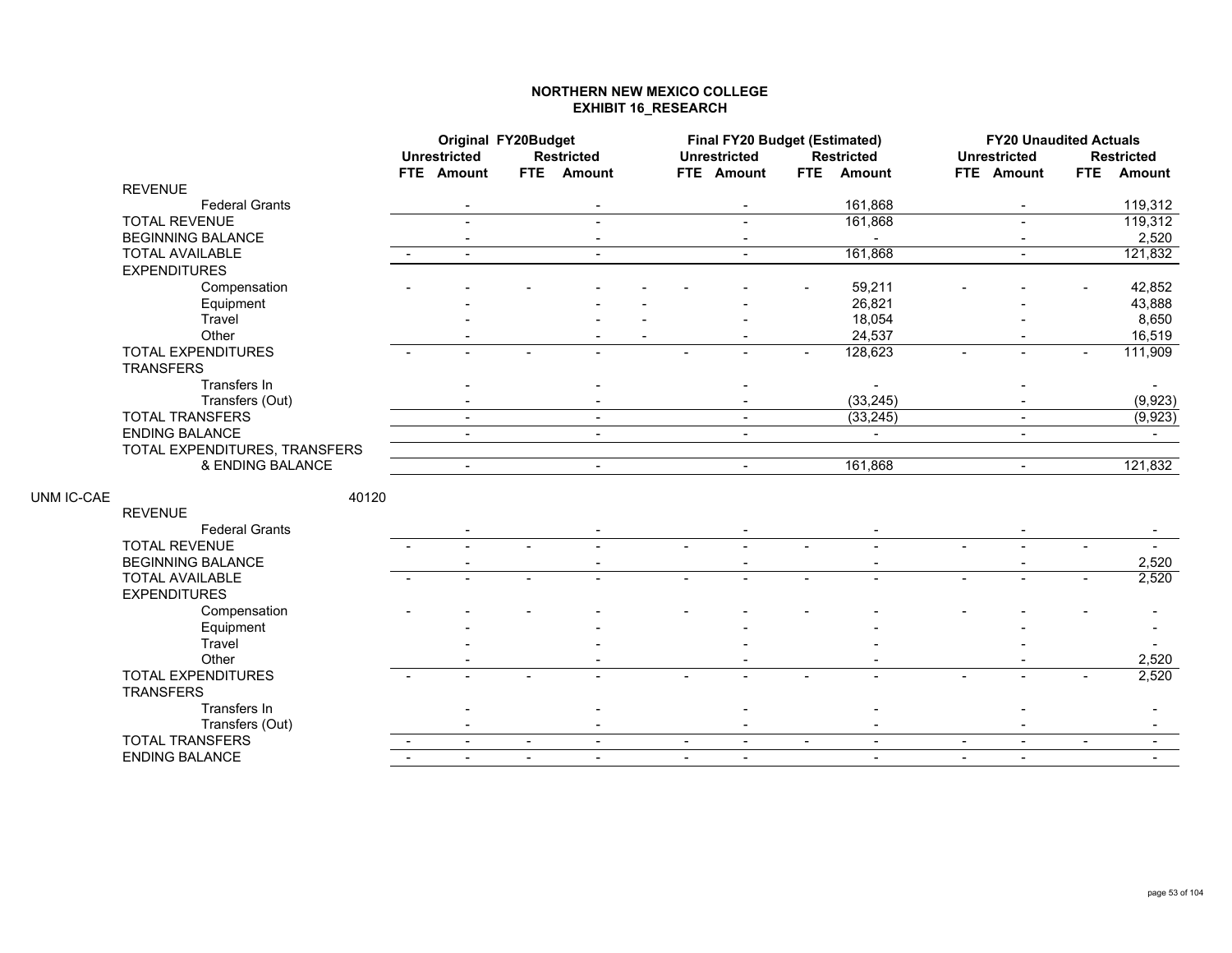## **NORTHERN NEW MEXICO COLLEGE EXHIBIT 16\_RESEARCH**

|            |                               | Original FY20Budget |                |                          |                          | Final FY20 Budget (Estimated) |                |                   |                | <b>FY20 Unaudited Actuals</b> |            |                   |
|------------|-------------------------------|---------------------|----------------|--------------------------|--------------------------|-------------------------------|----------------|-------------------|----------------|-------------------------------|------------|-------------------|
|            |                               | <b>Unrestricted</b> |                | <b>Restricted</b>        |                          | <b>Unrestricted</b>           |                | <b>Restricted</b> |                | <b>Unrestricted</b>           |            | <b>Restricted</b> |
|            |                               | FTE Amount          |                | FTE Amount               |                          | FTE Amount                    |                | FTE Amount        |                | FTE Amount                    | <b>FTE</b> | <b>Amount</b>     |
|            | <b>REVENUE</b>                |                     |                |                          |                          |                               |                |                   |                |                               |            |                   |
|            | <b>Federal Grants</b>         |                     |                |                          |                          |                               |                | 161,868           |                |                               |            | 119,312           |
|            | <b>TOTAL REVENUE</b>          |                     |                |                          |                          |                               |                | 161,868           |                | $\sim$                        |            | 119,312           |
|            | <b>BEGINNING BALANCE</b>      |                     |                |                          |                          |                               |                |                   |                |                               |            | 2,520             |
|            | <b>TOTAL AVAILABLE</b>        | $\blacksquare$      |                | $\overline{\phantom{a}}$ |                          |                               |                | 161,868           |                | $\blacksquare$                |            | 121,832           |
|            | <b>EXPENDITURES</b>           |                     |                |                          |                          |                               |                |                   |                |                               |            |                   |
|            | Compensation                  |                     |                |                          |                          |                               |                | 59,211            |                |                               |            | 42,852            |
|            | Equipment                     |                     |                |                          |                          |                               |                | 26,821            |                |                               |            | 43,888            |
|            | Travel                        |                     |                |                          |                          |                               |                | 18,054            |                |                               |            | 8,650             |
|            | Other                         |                     |                |                          |                          |                               |                | 24,537            |                |                               |            | 16,519            |
|            | <b>TOTAL EXPENDITURES</b>     |                     |                |                          |                          |                               |                | 128,623           |                |                               |            | 111,909           |
|            | <b>TRANSFERS</b>              |                     |                |                          |                          |                               |                |                   |                |                               |            |                   |
|            | Transfers In                  |                     |                |                          |                          |                               |                |                   |                |                               |            |                   |
|            | Transfers (Out)               |                     |                |                          |                          |                               |                | (33, 245)         |                |                               |            | (9,923)           |
|            | <b>TOTAL TRANSFERS</b>        | $\blacksquare$      |                | $\blacksquare$           |                          | $\blacksquare$                |                | (33, 245)         |                | $\sim$                        |            | (9, 923)          |
|            | <b>ENDING BALANCE</b>         | $\blacksquare$      |                |                          |                          |                               |                | $\sim$            |                | $\sim$                        |            | $\sim$            |
|            | TOTAL EXPENDITURES, TRANSFERS |                     |                |                          |                          |                               |                |                   |                |                               |            |                   |
|            | & ENDING BALANCE              | $\sim$              |                | $\sim$                   |                          | $\sim$                        |                | 161,868           |                | $\sim$                        |            | 121,832           |
|            |                               |                     |                |                          |                          |                               |                |                   |                |                               |            |                   |
| UNM IC-CAE | 40120                         |                     |                |                          |                          |                               |                |                   |                |                               |            |                   |
|            | <b>REVENUE</b>                |                     |                |                          |                          |                               |                |                   |                |                               |            |                   |
|            | <b>Federal Grants</b>         |                     |                |                          |                          |                               |                |                   |                |                               |            |                   |
|            | <b>TOTAL REVENUE</b>          |                     |                |                          |                          |                               |                |                   |                |                               |            |                   |
|            | <b>BEGINNING BALANCE</b>      |                     |                |                          |                          |                               |                |                   |                |                               |            | 2,520             |
|            | <b>TOTAL AVAILABLE</b>        |                     |                |                          | $\blacksquare$           |                               |                |                   |                |                               |            | 2,520             |
|            | <b>EXPENDITURES</b>           |                     |                |                          |                          |                               |                |                   |                |                               |            |                   |
|            | Compensation                  |                     |                |                          |                          |                               |                |                   |                |                               |            |                   |
|            | Equipment                     |                     |                |                          |                          |                               |                |                   |                |                               |            |                   |
|            | Travel                        |                     |                |                          |                          |                               |                |                   |                |                               |            |                   |
|            | Other                         |                     |                |                          |                          |                               |                |                   |                |                               |            | 2,520             |
|            | <b>TOTAL EXPENDITURES</b>     |                     |                |                          |                          |                               |                |                   |                |                               |            | 2,520             |
|            | <b>TRANSFERS</b>              |                     |                |                          |                          |                               |                |                   |                |                               |            |                   |
|            | Transfers In                  |                     |                |                          |                          |                               |                |                   |                |                               |            |                   |
|            | Transfers (Out)               |                     |                |                          |                          |                               |                |                   |                |                               |            |                   |
|            | <b>TOTAL TRANSFERS</b>        | $\blacksquare$      | $\blacksquare$ | $\sim$                   | $\blacksquare$           | $\blacksquare$                | $\blacksquare$ | $\blacksquare$    | $\blacksquare$ | $\sim$                        | $\sim$     | $\sim$            |
|            | <b>ENDING BALANCE</b>         | $\blacksquare$      | $\blacksquare$ | $\sim$                   | $\overline{\phantom{a}}$ | $\sim$                        |                |                   | $\blacksquare$ | $\overline{\phantom{a}}$      |            |                   |
|            |                               |                     |                |                          |                          |                               |                |                   |                |                               |            |                   |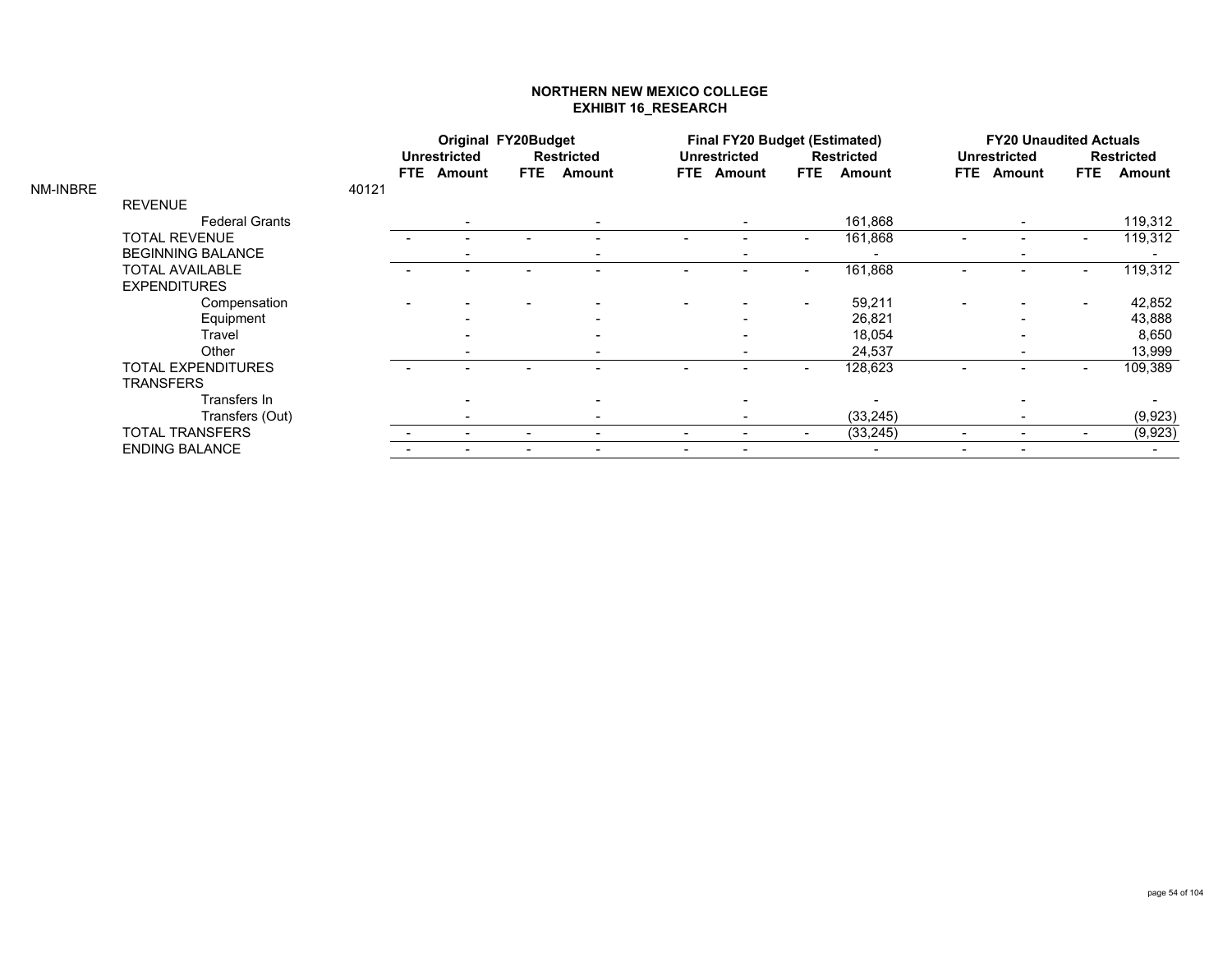### **NORTHERN NEW MEXICO COLLEGE EXHIBIT 16\_RESEARCH**

|          |                          |       |      | Original FY20Budget      |            |                   |      | <b>Final FY20 Budget (Estimated)</b> |                          |                          |      | <b>FY20 Unaudited Actuals</b> |            |                   |
|----------|--------------------------|-------|------|--------------------------|------------|-------------------|------|--------------------------------------|--------------------------|--------------------------|------|-------------------------------|------------|-------------------|
|          |                          |       |      | <b>Unrestricted</b>      |            | <b>Restricted</b> |      | <b>Unrestricted</b>                  |                          | <b>Restricted</b>        |      | <b>Unrestricted</b>           |            | <b>Restricted</b> |
|          |                          |       | FTE. | <b>Amount</b>            | <b>FTE</b> | Amount            | FTE. | Amount                               | <b>FTE</b>               | Amount                   | FTE. | Amount                        | <b>FTE</b> | Amount            |
| NM-INBRE |                          | 40121 |      |                          |            |                   |      |                                      |                          |                          |      |                               |            |                   |
|          | <b>REVENUE</b>           |       |      |                          |            |                   |      |                                      |                          |                          |      |                               |            |                   |
|          | <b>Federal Grants</b>    |       |      |                          |            |                   |      |                                      |                          | 161,868                  |      |                               |            | 119,312           |
|          | <b>TOTAL REVENUE</b>     |       |      |                          |            |                   |      |                                      | $\overline{\phantom{a}}$ | 161,868                  |      |                               |            | 119,312           |
|          | <b>BEGINNING BALANCE</b> |       |      |                          |            |                   |      |                                      |                          | $\overline{\phantom{0}}$ |      |                               |            |                   |
|          | <b>TOTAL AVAILABLE</b>   |       |      |                          |            |                   |      |                                      |                          | 161,868                  |      |                               |            | 119,312           |
|          | <b>EXPENDITURES</b>      |       |      |                          |            |                   |      |                                      |                          |                          |      |                               |            |                   |
|          | Compensation             |       |      |                          |            |                   |      |                                      | $\overline{\phantom{a}}$ | 59,211                   |      |                               |            | 42,852            |
|          | Equipment                |       |      |                          |            |                   |      |                                      |                          | 26,821                   |      |                               |            | 43,888            |
|          | Travel                   |       |      |                          |            |                   |      |                                      |                          | 18,054                   |      |                               |            | 8,650             |
|          | Other                    |       |      | $\overline{\phantom{a}}$ |            |                   |      |                                      |                          | 24,537                   |      |                               |            | 13,999            |
|          | TOTAL EXPENDITURES       |       |      |                          |            |                   |      |                                      | $\overline{\phantom{0}}$ | 128,623                  |      |                               |            | 109,389           |
|          | <b>TRANSFERS</b>         |       |      |                          |            |                   |      |                                      |                          |                          |      |                               |            |                   |
|          | Transfers In             |       |      |                          |            |                   |      |                                      |                          |                          |      |                               |            |                   |
|          | Transfers (Out)          |       |      | $\overline{\phantom{a}}$ |            |                   |      |                                      |                          | (33, 245)                |      |                               |            | (9,923)           |
|          | <b>TOTAL TRANSFERS</b>   |       |      |                          |            |                   |      |                                      |                          | (33, 245)                |      |                               |            | (9, 923)          |
|          | <b>ENDING BALANCE</b>    |       |      |                          |            |                   |      |                                      |                          |                          |      |                               |            |                   |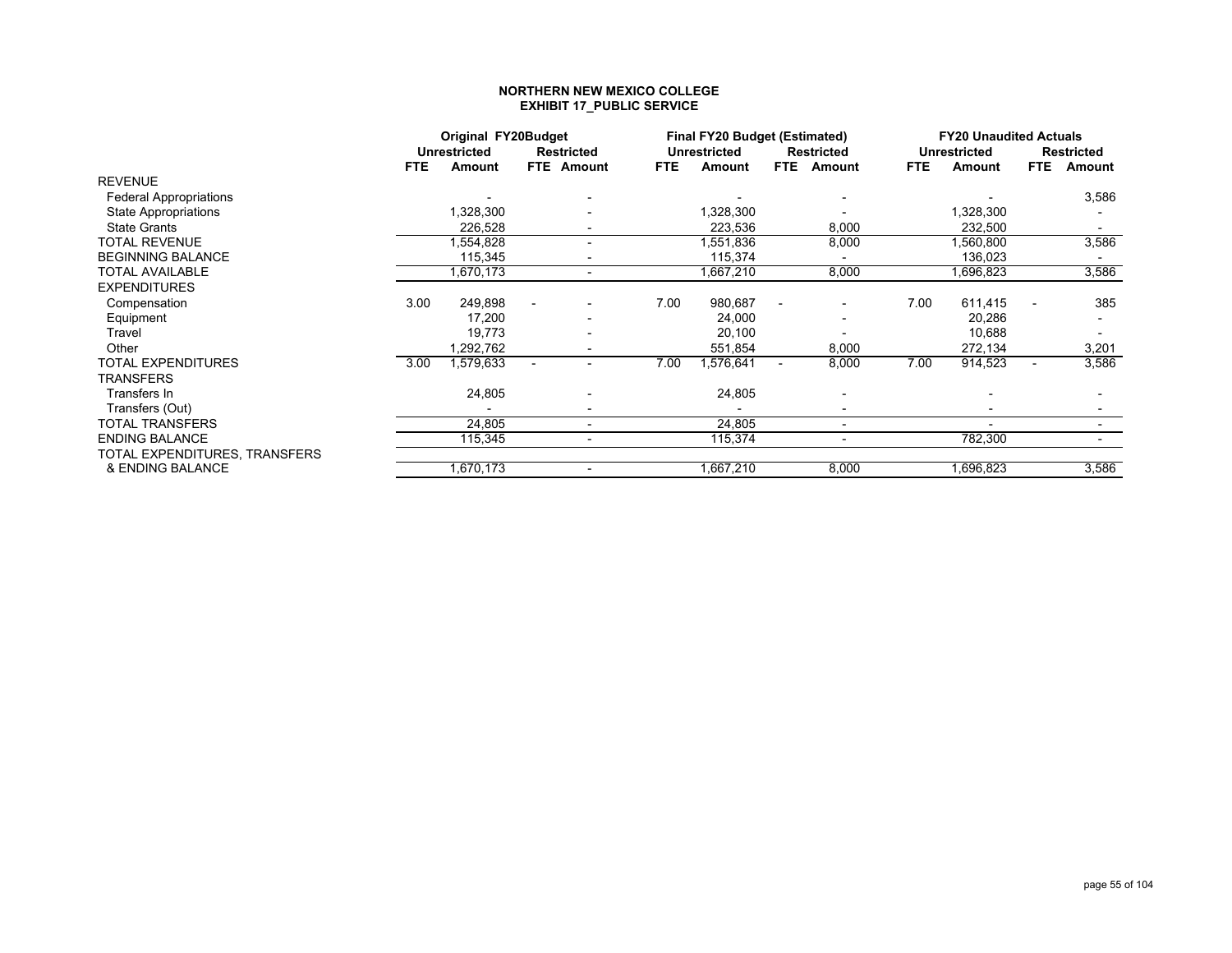#### **NORTHERN NEW MEXICO COLLEGE EXHIBIT 17\_PUBLIC SERVICE**

|                               |      | Original FY20Budget |   |                          |            | <b>Final FY20 Budget (Estimated)</b> |                          |                          |            | <b>FY20 Unaudited Actuals</b> |                          |                   |
|-------------------------------|------|---------------------|---|--------------------------|------------|--------------------------------------|--------------------------|--------------------------|------------|-------------------------------|--------------------------|-------------------|
|                               |      | <b>Unrestricted</b> |   | <b>Restricted</b>        |            | Unrestricted                         |                          | <b>Restricted</b>        |            | <b>Unrestricted</b>           |                          | <b>Restricted</b> |
|                               | FTE. | Amount              |   | FTE Amount               | <b>FTE</b> | Amount                               | FTE.                     | Amount                   | <b>FTE</b> | Amount                        | FTE.                     | Amount            |
| <b>REVENUE</b>                |      |                     |   |                          |            |                                      |                          |                          |            |                               |                          |                   |
| <b>Federal Appropriations</b> |      |                     |   |                          |            |                                      |                          |                          |            |                               |                          | 3,586             |
| <b>State Appropriations</b>   |      | 1,328,300           |   |                          |            | ,328,300                             |                          |                          |            | ,328,300                      |                          |                   |
| <b>State Grants</b>           |      | 226,528             |   |                          |            | 223,536                              |                          | 8,000                    |            | 232,500                       |                          |                   |
| <b>TOTAL REVENUE</b>          |      | .554,828            |   | $\overline{\phantom{0}}$ |            | .551,836                             |                          | 8,000                    |            | ,560,800                      |                          | 3,586             |
| <b>BEGINNING BALANCE</b>      |      | 115,345             |   |                          |            | 115,374                              |                          |                          |            | 136,023                       |                          |                   |
| TOTAL AVAILABLE               |      | 1,670,173           |   | $\sim$                   |            | .667,210 ا                           |                          | 8,000                    |            | .696,823                      |                          | 3,586             |
| <b>EXPENDITURES</b>           |      |                     |   |                          |            |                                      |                          |                          |            |                               |                          |                   |
| Compensation                  | 3.00 | 249,898             |   |                          | 7.00       | 980,687                              |                          |                          | 7.00       | 611,415                       |                          | 385               |
| Equipment                     |      | 17,200              |   |                          |            | 24,000                               |                          | $\overline{\phantom{a}}$ |            | 20,286                        |                          |                   |
| Travel                        |      | 19,773              |   |                          |            | 20,100                               |                          |                          |            | 10,688                        |                          |                   |
| Other                         |      | 1,292,762           |   |                          |            | 551,854                              |                          | 8,000                    |            | 272,134                       |                          | 3,201             |
| TOTAL EXPENDITURES            | 3.00 | 1,579,633           | ٠ |                          | 7.00       | ,576,641                             | $\overline{\phantom{a}}$ | 8,000                    | 7.00       | 914,523                       | $\overline{\phantom{a}}$ | 3,586             |
| TRANSFERS                     |      |                     |   |                          |            |                                      |                          |                          |            |                               |                          |                   |
| Transfers In                  |      | 24,805              |   |                          |            | 24,805                               |                          |                          |            |                               |                          |                   |
| Transfers (Out)               |      |                     |   |                          |            |                                      |                          |                          |            |                               |                          |                   |
| TOTAL TRANSFERS               |      | 24,805              |   | $\overline{\phantom{0}}$ |            | 24,805                               |                          | $\blacksquare$           |            | $\overline{\phantom{0}}$      |                          |                   |
| <b>ENDING BALANCE</b>         |      | 115,345             |   |                          |            | 115,374                              |                          |                          |            | 782,300                       |                          |                   |
| TOTAL EXPENDITURES, TRANSFERS |      |                     |   |                          |            |                                      |                          |                          |            |                               |                          |                   |
| & ENDING BALANCE              |      | 1,670,173           |   |                          |            | 1,667,210                            |                          | 8,000                    |            | .696,823                      |                          | 3,586             |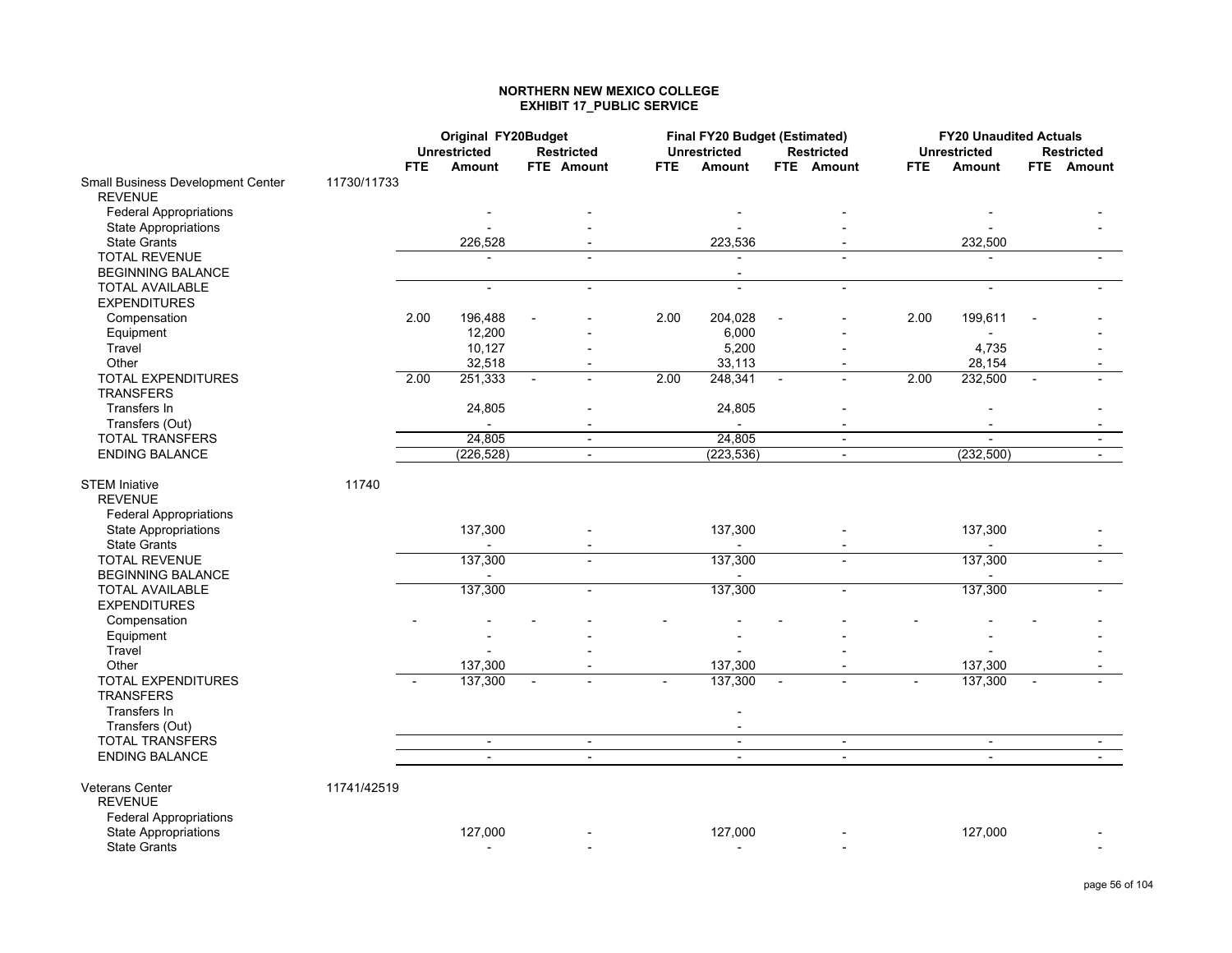#### **NORTHERN NEW MEXICO COLLEGE EXHIBIT 17\_PUBLIC SERVICE**

|                                                                         |             |            | Original FY20Budget      |                   |                          |      | Final FY20 Budget (Estimated) |                |                          |      | <b>FY20 Unaudited Actuals</b> |                          |
|-------------------------------------------------------------------------|-------------|------------|--------------------------|-------------------|--------------------------|------|-------------------------------|----------------|--------------------------|------|-------------------------------|--------------------------|
|                                                                         |             |            | <b>Unrestricted</b>      | <b>Restricted</b> |                          |      | <b>Unrestricted</b>           |                | <b>Restricted</b>        |      | <b>Unrestricted</b>           | <b>Restricted</b>        |
|                                                                         |             | <b>FTE</b> | Amount                   | <b>FTE</b> Amount |                          | FTE. | Amount                        |                | <b>FTE</b> Amount        | FTE. | Amount                        | <b>FTE</b> Amount        |
| Small Business Development Center<br><b>REVENUE</b>                     | 11730/11733 |            |                          |                   |                          |      |                               |                |                          |      |                               |                          |
| <b>Federal Appropriations</b>                                           |             |            |                          |                   |                          |      |                               |                |                          |      |                               |                          |
| <b>State Appropriations</b>                                             |             |            |                          |                   |                          |      |                               |                |                          |      |                               |                          |
| <b>State Grants</b>                                                     |             |            | 226,528                  |                   |                          |      | 223,536                       |                |                          |      | 232,500                       |                          |
| <b>TOTAL REVENUE</b>                                                    |             |            |                          |                   |                          |      |                               |                |                          |      |                               |                          |
| <b>BEGINNING BALANCE</b>                                                |             |            |                          |                   |                          |      | $\overline{a}$                |                |                          |      |                               |                          |
| <b>TOTAL AVAILABLE</b>                                                  |             |            | $\blacksquare$           |                   | $\blacksquare$           |      | $\overline{a}$                |                | $\overline{a}$           |      | $\overline{a}$                |                          |
| <b>EXPENDITURES</b>                                                     |             |            |                          |                   |                          |      |                               |                |                          |      |                               |                          |
| Compensation                                                            |             | 2.00       | 196,488                  |                   |                          | 2.00 | 204,028                       |                |                          | 2.00 | 199,611                       |                          |
| Equipment                                                               |             |            | 12,200                   |                   |                          |      | 6,000                         |                |                          |      |                               |                          |
| Travel                                                                  |             |            | 10,127                   |                   |                          |      | 5,200                         |                |                          |      | 4,735                         |                          |
| Other                                                                   |             |            | 32,518                   |                   |                          |      | 33,113                        |                | $\overline{\phantom{a}}$ |      | 28,154                        |                          |
| TOTAL EXPENDITURES<br><b>TRANSFERS</b>                                  |             | 2.00       | 251,333                  |                   | $\blacksquare$           | 2.00 | 248,341                       | $\blacksquare$ |                          | 2.00 | 232,500                       |                          |
| Transfers In                                                            |             |            | 24,805                   |                   |                          |      | 24,805                        |                |                          |      |                               |                          |
| Transfers (Out)                                                         |             |            | $\blacksquare$           |                   |                          |      | $\blacksquare$                |                | $\overline{\phantom{a}}$ |      |                               |                          |
| <b>TOTAL TRANSFERS</b>                                                  |             |            | 24,805                   |                   | $\overline{\phantom{a}}$ |      | 24,805                        |                | $\overline{\phantom{a}}$ |      |                               |                          |
| <b>ENDING BALANCE</b>                                                   |             |            | (226, 528)               |                   | $\blacksquare$           |      | (223, 536)                    |                | $\blacksquare$           |      | (232, 500)                    | $\overline{\phantom{a}}$ |
| <b>STEM Iniative</b><br><b>REVENUE</b><br><b>Federal Appropriations</b> | 11740       |            |                          |                   |                          |      |                               |                |                          |      |                               |                          |
| <b>State Appropriations</b><br><b>State Grants</b>                      |             |            | 137,300                  |                   |                          |      | 137,300                       |                |                          |      | 137,300                       |                          |
| <b>TOTAL REVENUE</b><br><b>BEGINNING BALANCE</b>                        |             |            | 137,300                  |                   |                          |      | 137,300                       |                |                          |      | 137,300                       |                          |
| <b>TOTAL AVAILABLE</b><br><b>EXPENDITURES</b>                           |             |            | 137,300                  |                   | $\sim$                   |      | 137,300                       |                | $\overline{a}$           |      | 137,300                       |                          |
| Compensation                                                            |             |            |                          |                   |                          |      |                               |                |                          |      |                               |                          |
| Equipment                                                               |             |            |                          |                   |                          |      |                               |                |                          |      |                               |                          |
| Travel                                                                  |             |            |                          |                   |                          |      |                               |                |                          |      |                               |                          |
| Other                                                                   |             |            | 137,300                  |                   |                          |      | 137,300                       |                |                          |      | 137,300                       |                          |
| <b>TOTAL EXPENDITURES</b><br><b>TRANSFERS</b>                           |             |            | 137,300                  |                   |                          |      | 137,300                       |                |                          |      | 137,300                       |                          |
| Transfers In                                                            |             |            |                          |                   |                          |      |                               |                |                          |      |                               |                          |
| Transfers (Out)                                                         |             |            |                          |                   |                          |      | $\blacksquare$                |                |                          |      |                               |                          |
| TOTAL TRANSFERS                                                         |             |            | $\blacksquare$           |                   | $\blacksquare$           |      | $\blacksquare$                |                | $\overline{\phantom{a}}$ |      | $\sim$                        | $\sim$                   |
| <b>ENDING BALANCE</b>                                                   |             |            | $\blacksquare$           |                   | $\blacksquare$           |      | $\sim$                        |                | $\blacksquare$           |      | $\mathbf{L}$                  | $\mathcal{L}^{\pm}$      |
| Veterans Center<br><b>REVENUE</b><br><b>Federal Appropriations</b>      | 11741/42519 |            |                          |                   |                          |      |                               |                |                          |      |                               |                          |
| <b>State Appropriations</b>                                             |             |            | 127,000                  |                   |                          |      | 127,000                       |                |                          |      | 127,000                       |                          |
| <b>State Grants</b>                                                     |             |            | $\overline{\phantom{a}}$ |                   |                          |      | $\overline{\phantom{a}}$      |                |                          |      |                               |                          |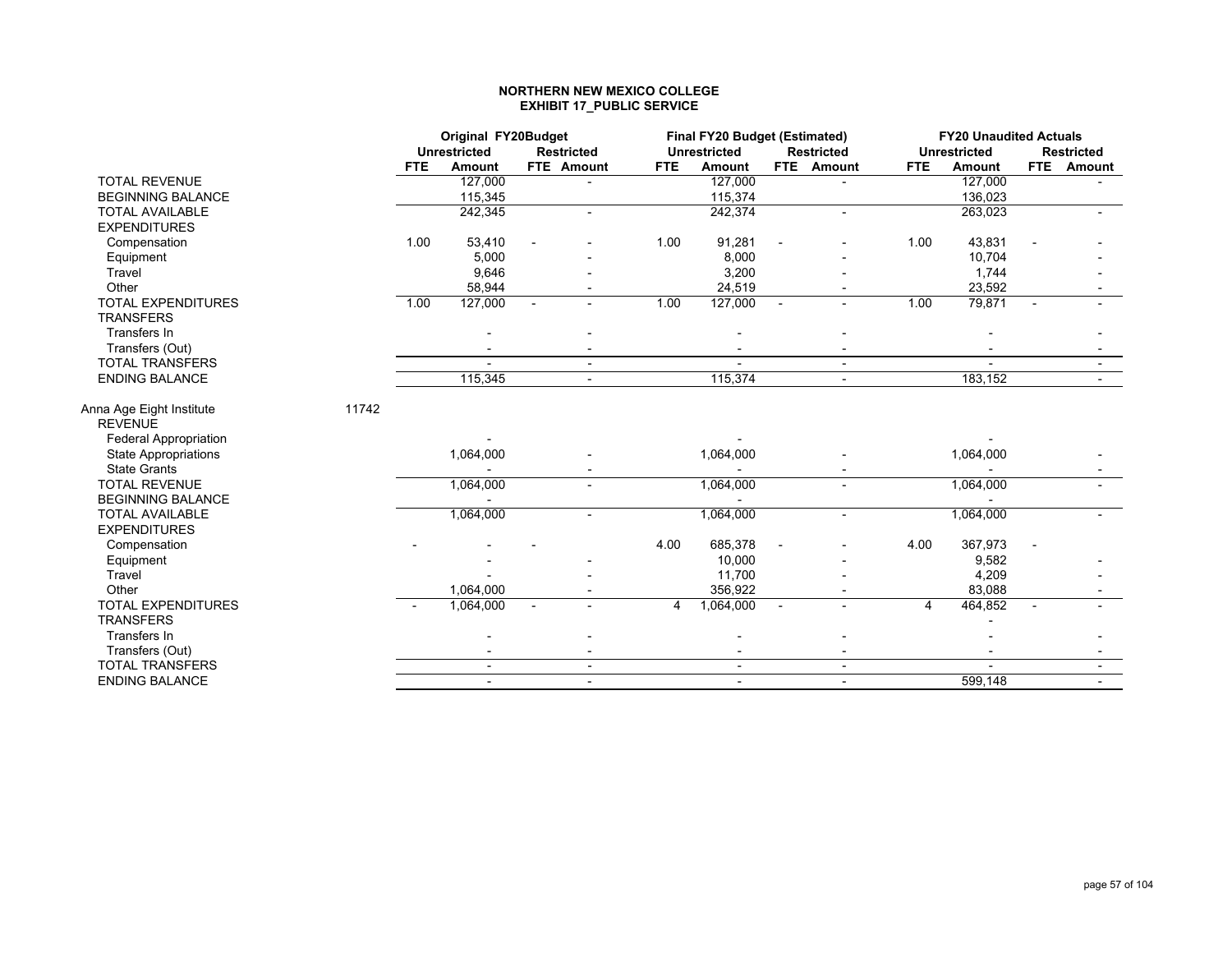#### **NORTHERN NEW MEXICO COLLEGE EXHIBIT 17\_PUBLIC SERVICE**

|                                            |       |            | Original FY20Budget<br><b>Unrestricted</b> |                          |                          |                | Final FY20 Budget (Estimated) |                          |                          |      | <b>FY20 Unaudited Actuals</b> |                          |                   |
|--------------------------------------------|-------|------------|--------------------------------------------|--------------------------|--------------------------|----------------|-------------------------------|--------------------------|--------------------------|------|-------------------------------|--------------------------|-------------------|
|                                            |       |            |                                            |                          | <b>Restricted</b>        |                | <b>Unrestricted</b>           |                          | <b>Restricted</b>        |      | <b>Unrestricted</b>           |                          | <b>Restricted</b> |
|                                            |       | <b>FTE</b> | Amount                                     |                          | FTE Amount               | <b>FTE</b>     | Amount                        |                          | FTE Amount               | FTE. | Amount                        |                          | FTE Amount        |
| <b>TOTAL REVENUE</b>                       |       |            | 127,000                                    |                          |                          |                | 127,000                       |                          |                          |      | 127,000                       |                          |                   |
| <b>BEGINNING BALANCE</b>                   |       |            | 115,345                                    |                          |                          |                | 115,374                       |                          |                          |      | 136,023                       |                          |                   |
| <b>TOTAL AVAILABLE</b>                     |       |            | 242,345                                    |                          |                          |                | 242,374                       |                          |                          |      | 263,023                       |                          |                   |
| <b>EXPENDITURES</b>                        |       |            |                                            |                          |                          |                |                               |                          |                          |      |                               |                          |                   |
| Compensation                               |       | 1.00       | 53,410                                     |                          |                          | 1.00           | 91,281                        |                          |                          | 1.00 | 43,831                        |                          |                   |
| Equipment                                  |       |            | 5,000                                      |                          |                          |                | 8,000                         |                          |                          |      | 10,704                        |                          |                   |
| Travel                                     |       |            | 9,646                                      |                          |                          |                | 3,200                         |                          |                          |      | 1,744                         |                          |                   |
| Other                                      |       |            | 58,944                                     |                          |                          |                | 24,519                        |                          |                          |      | 23,592                        |                          |                   |
| <b>TOTAL EXPENDITURES</b>                  |       | 1.00       | 127,000                                    | $\sim$                   | $\sim$                   | 1.00           | 127,000                       | $\mathbf{r}$             |                          | 1.00 | 79,871                        | $\sim$                   |                   |
| <b>TRANSFERS</b>                           |       |            |                                            |                          |                          |                |                               |                          |                          |      |                               |                          |                   |
| Transfers In                               |       |            |                                            |                          |                          |                |                               |                          |                          |      |                               |                          |                   |
| Transfers (Out)                            |       |            |                                            |                          |                          |                |                               |                          |                          |      |                               |                          |                   |
| <b>TOTAL TRANSFERS</b>                     |       |            |                                            |                          | $\overline{\phantom{a}}$ |                |                               |                          | $\overline{\phantom{a}}$ |      |                               |                          |                   |
| <b>ENDING BALANCE</b>                      |       |            | 115,345                                    |                          | $\sim$                   |                | 115,374                       |                          | $\blacksquare$           |      | 183,152                       |                          | $\sim$            |
| Anna Age Eight Institute<br><b>REVENUE</b> | 11742 |            |                                            |                          |                          |                |                               |                          |                          |      |                               |                          |                   |
| <b>Federal Appropriation</b>               |       |            |                                            |                          |                          |                |                               |                          |                          |      |                               |                          |                   |
| <b>State Appropriations</b>                |       |            | 1,064,000                                  |                          |                          |                | 1,064,000                     |                          |                          |      | 1,064,000                     |                          |                   |
| <b>State Grants</b>                        |       |            |                                            |                          |                          |                |                               |                          |                          |      |                               |                          |                   |
| <b>TOTAL REVENUE</b>                       |       |            | 1,064,000                                  |                          | $\blacksquare$           |                | 1,064,000                     |                          |                          |      | 1,064,000                     |                          |                   |
| <b>BEGINNING BALANCE</b>                   |       |            |                                            |                          |                          |                |                               |                          |                          |      |                               |                          |                   |
| <b>TOTAL AVAILABLE</b>                     |       |            | 1,064,000                                  |                          | $\blacksquare$           |                | 1,064,000                     |                          | $\blacksquare$           |      | 1,064,000                     |                          |                   |
| <b>EXPENDITURES</b>                        |       |            |                                            |                          |                          |                |                               |                          |                          |      |                               |                          |                   |
| Compensation                               |       |            |                                            |                          |                          | 4.00           | 685,378                       |                          |                          | 4.00 | 367,973                       |                          |                   |
| Equipment                                  |       |            |                                            |                          |                          |                | 10,000                        |                          |                          |      | 9,582                         |                          |                   |
| Travel                                     |       |            |                                            |                          |                          |                | 11,700                        |                          |                          |      | 4,209                         |                          |                   |
| Other                                      |       |            | 1,064,000                                  |                          |                          |                | 356,922                       |                          |                          |      | 83,088                        |                          |                   |
| TOTAL EXPENDITURES                         |       |            | 1,064,000                                  | $\overline{\phantom{a}}$ | $\blacksquare$           | $\overline{4}$ | 1,064,000                     | $\overline{\phantom{a}}$ | $\blacksquare$           | 4    | 464,852                       | $\overline{\phantom{a}}$ |                   |
| <b>TRANSFERS</b>                           |       |            |                                            |                          |                          |                |                               |                          |                          |      |                               |                          |                   |
| Transfers In                               |       |            |                                            |                          |                          |                |                               |                          |                          |      |                               |                          |                   |
| Transfers (Out)                            |       |            |                                            |                          |                          |                |                               |                          |                          |      |                               |                          |                   |
| <b>TOTAL TRANSFERS</b>                     |       |            | $\blacksquare$                             |                          | $\blacksquare$           |                | $\blacksquare$                |                          | $\blacksquare$           |      |                               |                          |                   |
| <b>ENDING BALANCE</b>                      |       |            | $\blacksquare$                             |                          | $\blacksquare$           |                | $\blacksquare$                |                          | $\overline{\phantom{a}}$ |      | 599,148                       |                          |                   |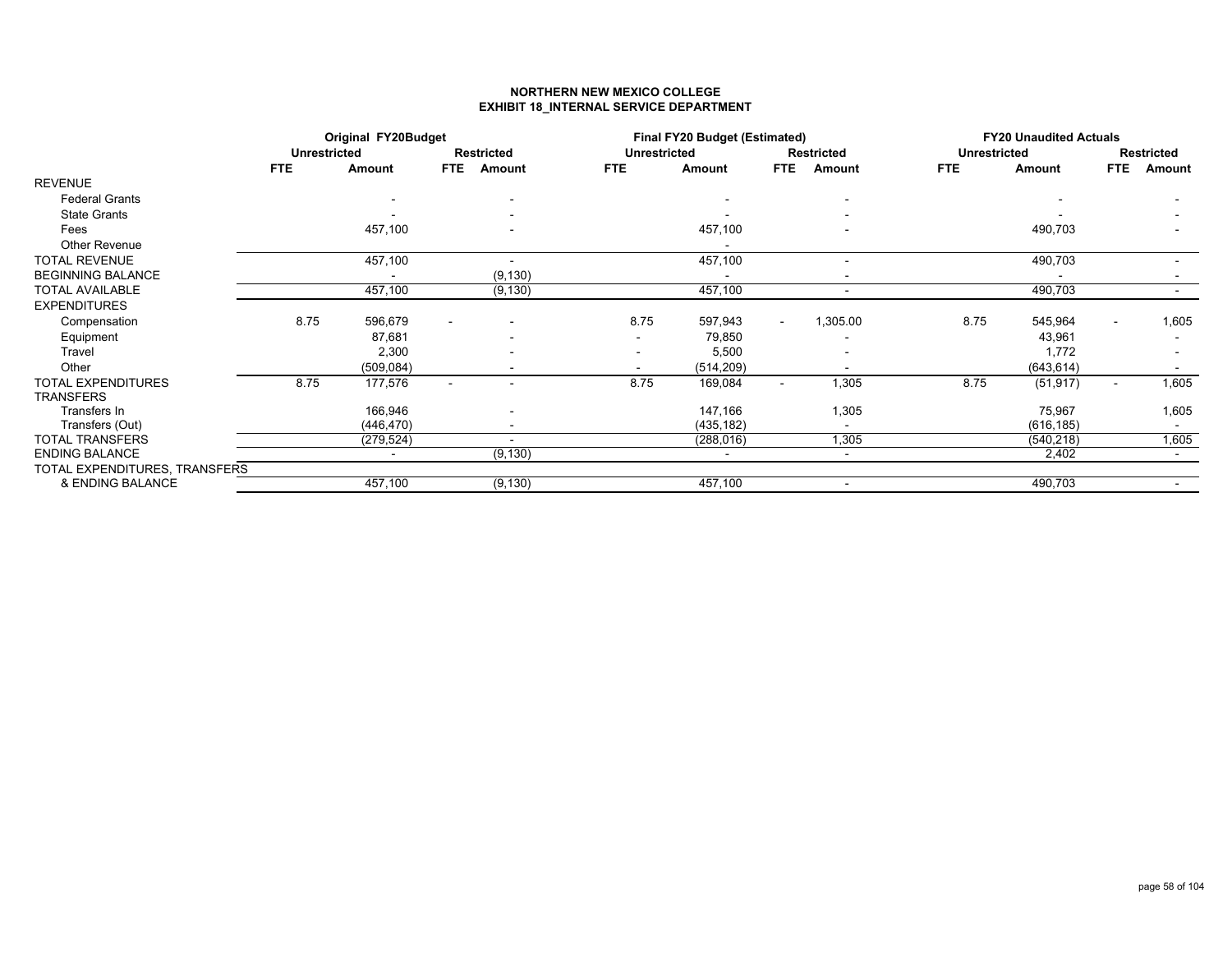### **NORTHERN NEW MEXICO COLLEGEEXHIBIT 18\_INTERNAL SERVICE DEPARTMENT**

|                               |                     | Original FY20Budget |                |                          |                     | Final FY20 Budget (Estimated) |            |                          |                     | <b>FY20 Unaudited Actuals</b> |            |                   |
|-------------------------------|---------------------|---------------------|----------------|--------------------------|---------------------|-------------------------------|------------|--------------------------|---------------------|-------------------------------|------------|-------------------|
|                               | <b>Unrestricted</b> |                     |                | <b>Restricted</b>        | <b>Unrestricted</b> |                               |            | <b>Restricted</b>        | <b>Unrestricted</b> |                               |            | <b>Restricted</b> |
|                               | <b>FTE</b>          | Amount              | <b>FTE</b>     | Amount                   | <b>FTE</b>          | Amount                        | <b>FTE</b> | Amount                   | <b>FTE</b>          | Amount                        | <b>FTE</b> | Amount            |
| <b>REVENUE</b>                |                     |                     |                |                          |                     |                               |            |                          |                     |                               |            |                   |
| <b>Federal Grants</b>         |                     |                     |                |                          |                     |                               |            |                          |                     |                               |            |                   |
| <b>State Grants</b>           |                     |                     |                |                          |                     |                               |            |                          |                     |                               |            |                   |
| Fees                          |                     | 457,100             |                |                          |                     | 457,100                       |            |                          |                     | 490,703                       |            |                   |
| <b>Other Revenue</b>          |                     |                     |                |                          |                     |                               |            |                          |                     |                               |            |                   |
| <b>TOTAL REVENUE</b>          |                     | 457,100             |                |                          |                     | 457,100                       |            |                          |                     | 490,703                       |            |                   |
| <b>BEGINNING BALANCE</b>      |                     |                     |                | (9, 130)                 |                     | $\blacksquare$                |            | $\overline{\phantom{0}}$ |                     |                               |            |                   |
| <b>TOTAL AVAILABLE</b>        |                     | 457,100             |                | (9, 130)                 |                     | 457,100                       |            | $\blacksquare$           |                     | 490,703                       |            |                   |
| <b>EXPENDITURES</b>           |                     |                     |                |                          |                     |                               |            |                          |                     |                               |            |                   |
| Compensation                  | 8.75                | 596,679             |                |                          | 8.75                | 597,943                       |            | 1,305.00                 | 8.75                | 545,964                       |            | 1,605             |
| Equipment                     |                     | 87,681              |                |                          |                     | 79,850                        |            |                          |                     | 43,961                        |            |                   |
| Travel                        |                     | 2,300               |                |                          |                     | 5,500                         |            |                          |                     | 1,772                         |            |                   |
| Other                         |                     | (509, 084)          |                |                          | $\blacksquare$      | (514, 209)                    |            | $\blacksquare$           |                     | (643, 614)                    |            |                   |
| <b>TOTAL EXPENDITURES</b>     | 8.75                | 177,576             | $\overline{a}$ | $\overline{\phantom{a}}$ | 8.75                | 169,084                       | $\sim$     | 1,305                    | 8.75                | (51, 917)                     | $\sim$     | 1,605             |
| <b>TRANSFERS</b>              |                     |                     |                |                          |                     |                               |            |                          |                     |                               |            |                   |
| Transfers In                  |                     | 166,946             |                |                          |                     | 147,166                       |            | 1,305                    |                     | 75,967                        |            | 1,605             |
| Transfers (Out)               |                     | (446, 470)          |                |                          |                     | (435, 182)                    |            | $\sim$                   |                     | (616, 185)                    |            |                   |
| <b>TOTAL TRANSFERS</b>        |                     | (279, 524)          |                |                          |                     | (288, 016)                    |            | 1,305                    |                     | (540, 218)                    |            | 1,605             |
| <b>ENDING BALANCE</b>         |                     | $\blacksquare$      |                | (9, 130)                 |                     | $\sim$                        |            | $\sim$                   |                     | 2,402                         |            |                   |
| TOTAL EXPENDITURES, TRANSFERS |                     |                     |                |                          |                     |                               |            |                          |                     |                               |            |                   |
| & ENDING BALANCE              |                     | 457,100             |                | (9, 130)                 |                     | 457,100                       |            | $\blacksquare$           |                     | 490,703                       |            |                   |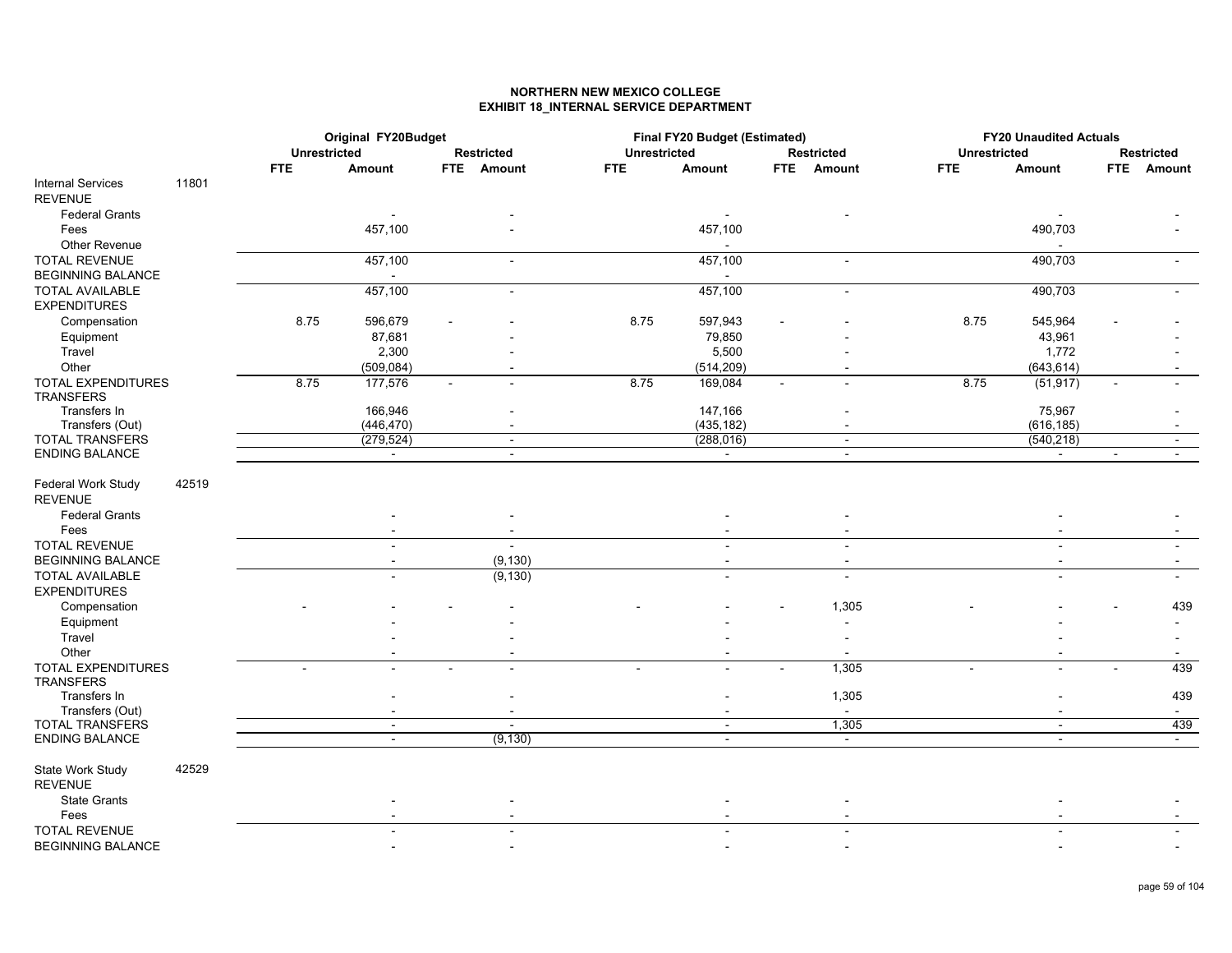## **NORTHERN NEW MEXICO COLLEGEEXHIBIT 18\_INTERNAL SERVICE DEPARTMENT**

|                                           |            | Original FY20Budget<br><b>Unrestricted</b> |                   |                     | Final FY20 Budget (Estimated) |                      |                     | <b>FY20 Unaudited Actuals</b> |        |                   |
|-------------------------------------------|------------|--------------------------------------------|-------------------|---------------------|-------------------------------|----------------------|---------------------|-------------------------------|--------|-------------------|
|                                           |            |                                            | <b>Restricted</b> | <b>Unrestricted</b> |                               | <b>Restricted</b>    | <b>Unrestricted</b> |                               |        | <b>Restricted</b> |
|                                           | <b>FTE</b> | <b>Amount</b>                              | FTE Amount        | <b>FTE</b>          | Amount                        | <b>FTE</b><br>Amount | <b>FTE</b>          | Amount                        |        | FTE Amount        |
| 11801<br><b>Internal Services</b>         |            |                                            |                   |                     |                               |                      |                     |                               |        |                   |
| <b>REVENUE</b>                            |            |                                            |                   |                     |                               |                      |                     |                               |        |                   |
| <b>Federal Grants</b>                     |            |                                            |                   |                     |                               |                      |                     |                               |        |                   |
| Fees                                      |            | 457,100                                    |                   |                     | 457,100                       |                      |                     | 490,703                       |        |                   |
| Other Revenue                             |            |                                            |                   |                     |                               |                      |                     |                               |        |                   |
| <b>TOTAL REVENUE</b>                      |            | 457,100                                    | $\sim$            |                     | 457,100                       | $\blacksquare$       |                     | 490,703                       |        |                   |
| <b>BEGINNING BALANCE</b>                  |            |                                            |                   |                     |                               |                      |                     |                               |        |                   |
| <b>TOTAL AVAILABLE</b>                    |            | 457,100                                    |                   |                     | 457,100                       |                      |                     | 490,703                       |        |                   |
| <b>EXPENDITURES</b>                       |            |                                            |                   |                     |                               |                      |                     |                               |        |                   |
| Compensation                              | 8.75       | 596,679                                    |                   | 8.75                | 597,943                       |                      | 8.75                | 545,964                       |        |                   |
| Equipment                                 |            | 87,681                                     |                   |                     | 79,850                        |                      |                     | 43,961                        |        |                   |
| Travel                                    |            | 2,300                                      |                   |                     | 5,500                         |                      |                     | 1,772                         |        |                   |
| Other                                     |            | (509, 084)                                 |                   |                     | (514, 209)                    |                      |                     | (643, 614)                    |        |                   |
| TOTAL EXPENDITURES                        | 8.75       | 177,576                                    |                   | 8.75                | 169,084                       |                      | 8.75                | (51, 917)                     | ÷      |                   |
| <b>TRANSFERS</b>                          |            |                                            |                   |                     |                               |                      |                     |                               |        |                   |
| Transfers In                              |            | 166,946                                    |                   |                     | 147,166                       |                      |                     | 75,967                        |        |                   |
| Transfers (Out)                           |            | (446, 470)                                 |                   |                     | (435, 182)                    |                      |                     | (616, 185)                    |        |                   |
| <b>TOTAL TRANSFERS</b>                    |            | (279, 524)                                 | $\sim$            |                     | (288, 016)                    | $\sim$               |                     | (540, 218)                    |        |                   |
| <b>ENDING BALANCE</b>                     |            | $\sim$                                     | $\sim$            |                     | $\sim$                        | $\sim$               |                     | $\sim$                        | $\sim$ | $\sim$            |
| 42519<br>Federal Work Study               |            |                                            |                   |                     |                               |                      |                     |                               |        |                   |
| <b>REVENUE</b>                            |            |                                            |                   |                     |                               |                      |                     |                               |        |                   |
| <b>Federal Grants</b>                     |            |                                            |                   |                     |                               |                      |                     |                               |        |                   |
| Fees                                      |            |                                            |                   |                     |                               |                      |                     |                               |        |                   |
| <b>TOTAL REVENUE</b>                      |            |                                            |                   |                     |                               |                      |                     |                               |        |                   |
| <b>BEGINNING BALANCE</b>                  |            |                                            | (9, 130)          |                     |                               | $\blacksquare$       |                     |                               |        |                   |
| <b>TOTAL AVAILABLE</b>                    |            |                                            | (9, 130)          |                     | $\blacksquare$                | $\blacksquare$       |                     | $\sim$                        |        |                   |
| <b>EXPENDITURES</b>                       |            |                                            |                   |                     |                               |                      |                     |                               |        |                   |
|                                           |            |                                            |                   |                     |                               |                      |                     |                               |        |                   |
| Compensation                              |            |                                            |                   |                     |                               | 1,305                |                     |                               |        | 439               |
| Equipment                                 |            |                                            |                   |                     |                               |                      |                     |                               |        |                   |
| Travel                                    |            |                                            |                   |                     |                               |                      |                     |                               |        |                   |
| Other                                     |            |                                            |                   |                     |                               |                      |                     |                               |        |                   |
| <b>TOTAL EXPENDITURES</b>                 |            |                                            | $\sim$            |                     | $\sim$                        | 1,305<br>$\sim$      |                     | $\sim$                        |        | 439               |
| <b>TRANSFERS</b>                          |            |                                            |                   |                     |                               |                      |                     |                               |        |                   |
| Transfers In                              |            |                                            |                   |                     |                               | 1,305                |                     |                               |        | 439               |
| Transfers (Out)<br><b>TOTAL TRANSFERS</b> |            |                                            |                   |                     |                               | $\sim$               |                     |                               |        | $\sim$            |
|                                           |            | $\blacksquare$                             | $\sim$            |                     | $\sim$                        | 1,305                |                     | $\sim$                        |        | 439               |
| <b>ENDING BALANCE</b>                     |            | $\blacksquare$                             | (9, 130)          |                     | $\sim$                        | $\sim$               |                     | $\sim$                        |        | $\sim$            |
| 42529<br>State Work Study                 |            |                                            |                   |                     |                               |                      |                     |                               |        |                   |
| <b>REVENUE</b>                            |            |                                            |                   |                     |                               |                      |                     |                               |        |                   |
| <b>State Grants</b>                       |            |                                            |                   |                     |                               |                      |                     |                               |        |                   |
| Fees                                      |            |                                            |                   |                     |                               |                      |                     |                               |        |                   |
| <b>TOTAL REVENUE</b>                      |            |                                            |                   |                     |                               |                      |                     |                               |        |                   |
| <b>BEGINNING BALANCE</b>                  |            |                                            |                   |                     |                               |                      |                     |                               |        |                   |
|                                           |            |                                            |                   |                     |                               |                      |                     |                               |        |                   |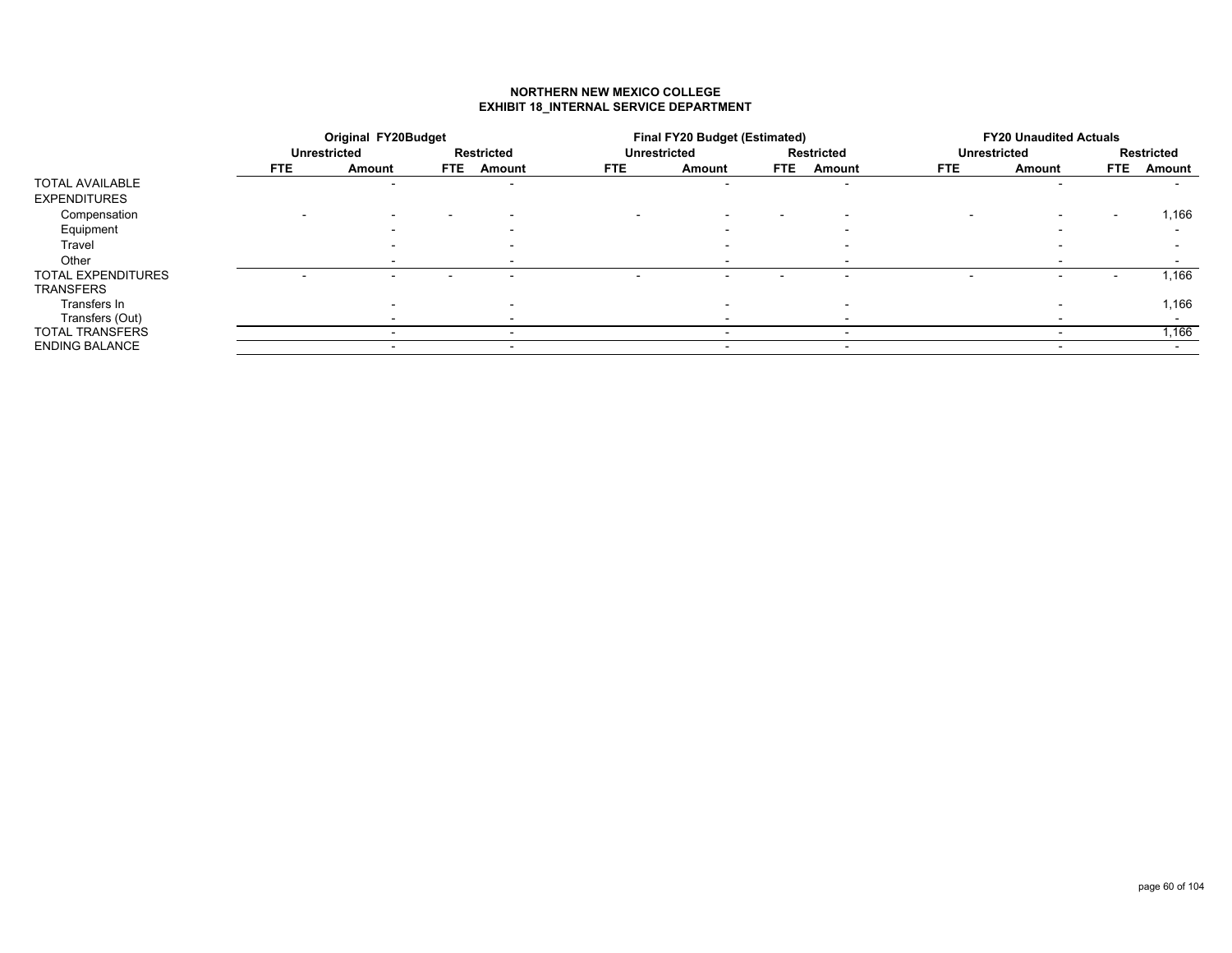## **NORTHERN NEW MEXICO COLLEGEEXHIBIT 18\_INTERNAL SERVICE DEPARTMENT**

|                           |            | <b>Original FY20Budget</b> |      |                   |                     | <b>Final FY20 Budget (Estimated)</b> |                          |                          |                          | <b>FY20 Unaudited Actuals</b> |        |            |
|---------------------------|------------|----------------------------|------|-------------------|---------------------|--------------------------------------|--------------------------|--------------------------|--------------------------|-------------------------------|--------|------------|
|                           |            | Unrestricted               |      | <b>Restricted</b> | <b>Unrestricted</b> |                                      |                          | <b>Restricted</b>        | <b>Unrestricted</b>      |                               |        | Restricted |
|                           | <b>FTE</b> | Amount                     | FTE. | Amount            | <b>FTE</b>          | Amount                               | <b>FTE</b>               | Amount                   | FTE.                     | Amount                        | FTE.   | Amount     |
| <b>TOTAL AVAILABLE</b>    |            |                            |      | $\blacksquare$    |                     | $\overline{\phantom{0}}$             |                          | $\sim$                   |                          |                               |        |            |
| <b>EXPENDITURES</b>       |            |                            |      |                   |                     |                                      |                          |                          |                          |                               |        |            |
| Compensation              |            |                            |      |                   |                     | $\overline{\phantom{0}}$             | $\overline{\phantom{0}}$ |                          | $\overline{\phantom{0}}$ | $\overline{\phantom{a}}$      | $\sim$ | 1,166      |
| Equipment                 |            |                            |      |                   |                     |                                      |                          |                          |                          |                               |        |            |
| Travel                    |            |                            |      |                   |                     |                                      |                          |                          |                          |                               |        |            |
| Other                     |            |                            |      |                   |                     |                                      |                          |                          |                          |                               |        |            |
| <b>TOTAL EXPENDITURES</b> |            |                            |      |                   |                     |                                      |                          |                          |                          |                               |        | 1,166      |
| <b>TRANSFERS</b>          |            |                            |      |                   |                     |                                      |                          |                          |                          |                               |        |            |
| Transfers In              |            |                            |      |                   |                     | $\overline{\phantom{0}}$             |                          | $\overline{\phantom{0}}$ |                          |                               |        | 1,166      |
| Transfers (Out)           |            |                            |      |                   |                     |                                      |                          |                          |                          |                               |        |            |
| <b>TOTAL TRANSFERS</b>    |            |                            |      |                   |                     |                                      |                          |                          |                          |                               |        | 1,166      |
| <b>ENDING BALANCE</b>     |            | $\overline{\phantom{0}}$   |      | $\sim$            |                     |                                      |                          | $\sim$                   |                          | $\overline{\phantom{a}}$      |        |            |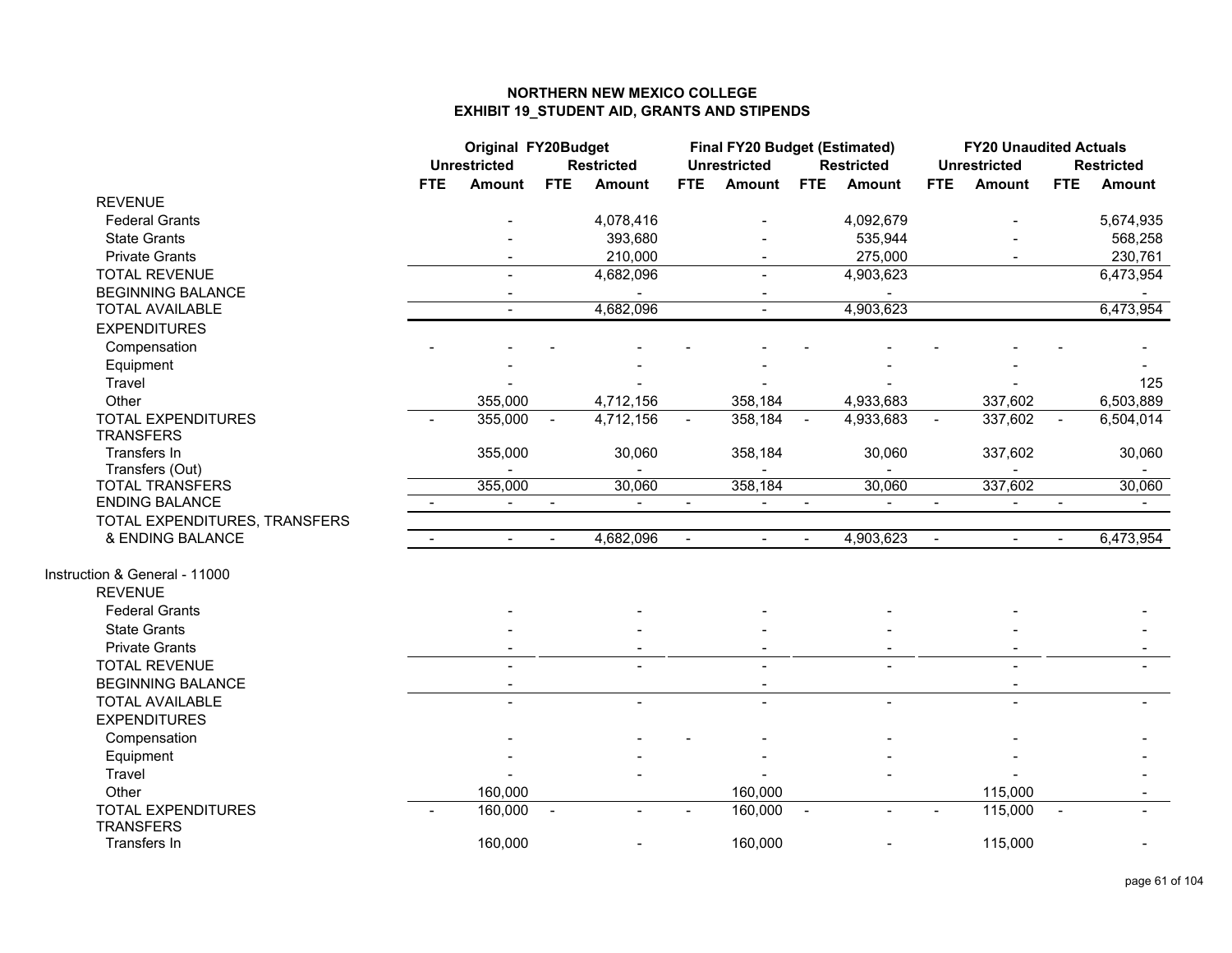|                                               | <b>Original FY20Budget</b><br><b>Unrestricted</b><br><b>Restricted</b> |                          |                | Final FY20 Budget (Estimated)<br><b>Unrestricted</b> |                | <b>Restricted</b> |                | <b>FY20 Unaudited Actuals</b><br><b>Unrestricted</b> |                | <b>Restricted</b>        |                          |               |
|-----------------------------------------------|------------------------------------------------------------------------|--------------------------|----------------|------------------------------------------------------|----------------|-------------------|----------------|------------------------------------------------------|----------------|--------------------------|--------------------------|---------------|
|                                               | <b>FTE</b>                                                             | Amount                   | <b>FTE</b>     | <b>Amount</b>                                        | <b>FTE</b>     | <b>Amount</b>     | <b>FTE</b>     | Amount                                               | <b>FTE</b>     | Amount                   | <b>FTE</b>               | <b>Amount</b> |
| <b>REVENUE</b>                                |                                                                        |                          |                |                                                      |                |                   |                |                                                      |                |                          |                          |               |
| <b>Federal Grants</b>                         |                                                                        |                          |                | 4,078,416                                            |                |                   |                | 4,092,679                                            |                |                          |                          | 5,674,935     |
| <b>State Grants</b>                           |                                                                        |                          |                | 393,680                                              |                |                   |                | 535,944                                              |                |                          |                          | 568,258       |
| <b>Private Grants</b>                         |                                                                        |                          |                | 210,000                                              |                |                   |                | 275,000                                              |                |                          |                          | 230,761       |
| <b>TOTAL REVENUE</b>                          |                                                                        |                          |                | 4,682,096                                            |                |                   |                | 4,903,623                                            |                |                          |                          | 6,473,954     |
| <b>BEGINNING BALANCE</b>                      |                                                                        |                          |                |                                                      |                |                   |                |                                                      |                |                          |                          |               |
| <b>TOTAL AVAILABLE</b>                        |                                                                        |                          |                | 4,682,096                                            |                | $\overline{a}$    |                | 4,903,623                                            |                |                          |                          | 6,473,954     |
| <b>EXPENDITURES</b>                           |                                                                        |                          |                |                                                      |                |                   |                |                                                      |                |                          |                          |               |
| Compensation                                  |                                                                        |                          |                |                                                      |                |                   |                |                                                      |                |                          |                          |               |
| Equipment                                     |                                                                        |                          |                |                                                      |                |                   |                |                                                      |                |                          |                          |               |
| Travel                                        |                                                                        |                          |                |                                                      |                |                   |                |                                                      |                |                          |                          | 125           |
| Other                                         |                                                                        | 355,000                  |                | 4,712,156                                            |                | 358,184           |                | 4,933,683                                            |                | 337,602                  |                          | 6,503,889     |
| <b>TOTAL EXPENDITURES</b>                     |                                                                        | 355,000                  | $\blacksquare$ | 4,712,156                                            |                | 358,184           | $\sim$         | 4,933,683                                            |                | 337,602                  | $\blacksquare$           | 6,504,014     |
| <b>TRANSFERS</b>                              |                                                                        |                          |                |                                                      |                |                   |                |                                                      |                |                          |                          |               |
| Transfers In                                  |                                                                        | 355,000                  |                | 30,060                                               |                | 358,184           |                | 30,060                                               |                | 337,602                  |                          | 30,060        |
| Transfers (Out)                               |                                                                        |                          |                |                                                      |                |                   |                |                                                      |                |                          |                          |               |
| <b>TOTAL TRANSFERS</b>                        |                                                                        | 355,000                  |                | 30,060                                               |                | 358,184           |                | 30,060                                               |                | 337,602                  |                          | 30,060        |
| <b>ENDING BALANCE</b>                         | $\sim$                                                                 | $\blacksquare$           | $\sim$         | $\sim$                                               | $\blacksquare$ | $\blacksquare$    | $\blacksquare$ | $\blacksquare$                                       | $\blacksquare$ | $\overline{\phantom{a}}$ | $\blacksquare$           |               |
| TOTAL EXPENDITURES, TRANSFERS                 |                                                                        |                          |                |                                                      |                |                   |                |                                                      |                |                          |                          |               |
| & ENDING BALANCE                              | $\sim$                                                                 | $\overline{\phantom{0}}$ | $\blacksquare$ | 4,682,096                                            | $\blacksquare$ | $\blacksquare$    | $\blacksquare$ | 4,903,623                                            | $\blacksquare$ | $\blacksquare$           |                          | 6,473,954     |
| Instruction & General - 11000                 |                                                                        |                          |                |                                                      |                |                   |                |                                                      |                |                          |                          |               |
| <b>REVENUE</b>                                |                                                                        |                          |                |                                                      |                |                   |                |                                                      |                |                          |                          |               |
| <b>Federal Grants</b>                         |                                                                        |                          |                |                                                      |                |                   |                |                                                      |                |                          |                          |               |
| <b>State Grants</b>                           |                                                                        |                          |                |                                                      |                |                   |                |                                                      |                |                          |                          |               |
| <b>Private Grants</b>                         |                                                                        |                          |                |                                                      |                |                   |                |                                                      |                |                          |                          |               |
| <b>TOTAL REVENUE</b>                          |                                                                        |                          |                |                                                      |                |                   |                |                                                      |                |                          |                          |               |
| <b>BEGINNING BALANCE</b>                      |                                                                        |                          |                |                                                      |                |                   |                |                                                      |                |                          |                          |               |
| <b>TOTAL AVAILABLE</b>                        |                                                                        |                          |                |                                                      |                |                   |                | $\overline{a}$                                       |                |                          |                          |               |
| <b>EXPENDITURES</b>                           |                                                                        |                          |                |                                                      |                |                   |                |                                                      |                |                          |                          |               |
| Compensation                                  |                                                                        |                          |                |                                                      |                |                   |                |                                                      |                |                          |                          |               |
| Equipment                                     |                                                                        |                          |                |                                                      |                |                   |                |                                                      |                |                          |                          |               |
| Travel                                        |                                                                        |                          |                |                                                      |                |                   |                |                                                      |                |                          |                          |               |
| Other                                         |                                                                        | 160,000                  |                |                                                      |                | 160,000           |                |                                                      |                | 115,000                  |                          |               |
| <b>TOTAL EXPENDITURES</b><br><b>TRANSFERS</b> |                                                                        | 160,000                  | $\sim$         |                                                      |                | 160,000           | $\sim$         | $\overline{\phantom{0}}$                             |                | 115,000                  | $\overline{\phantom{a}}$ |               |
| Transfers In                                  |                                                                        | 160,000                  |                |                                                      |                | 160,000           |                |                                                      |                | 115,000                  |                          |               |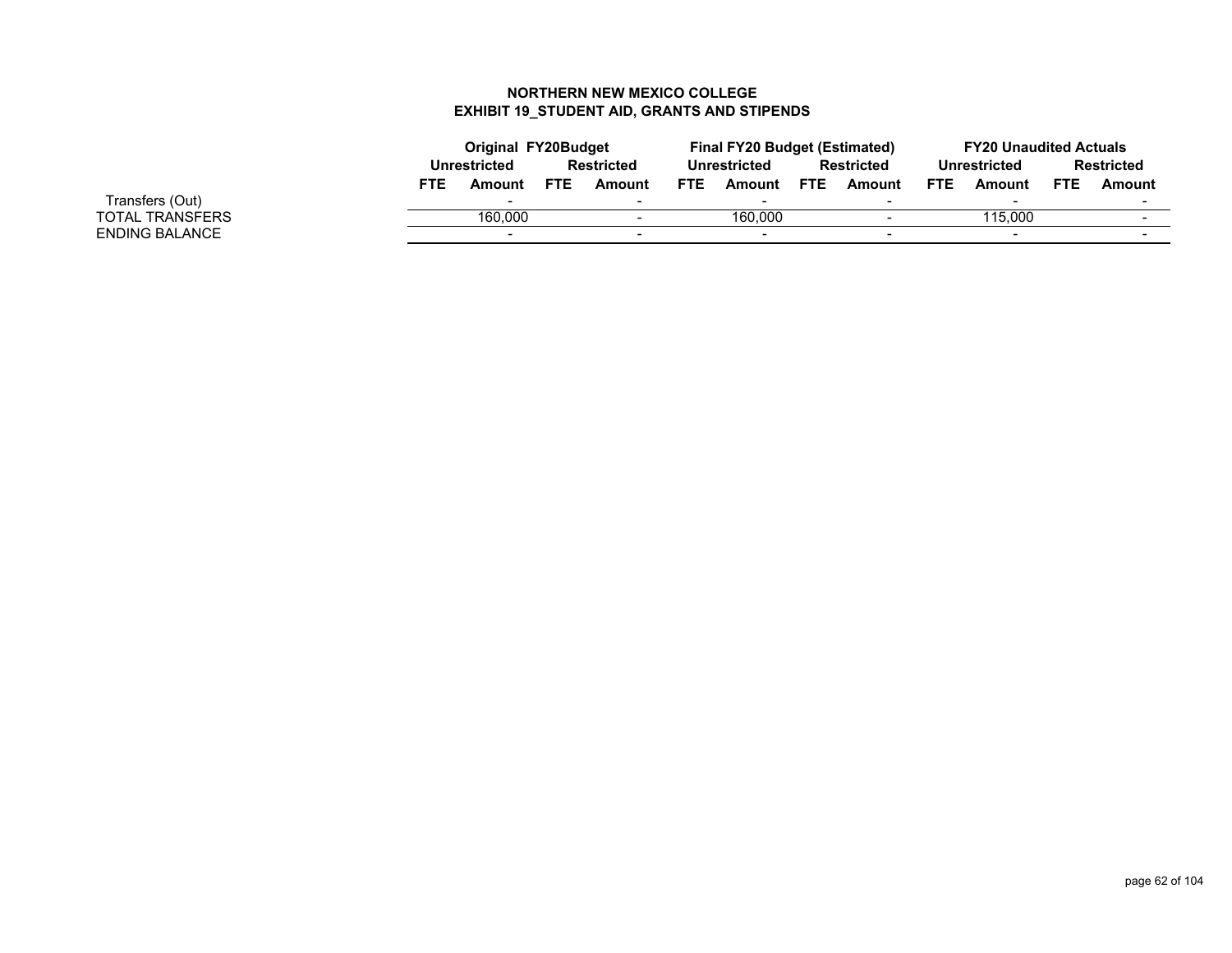|                 |            | <b>Original FY20Budget</b> |            |                          |            | <b>Final FY20 Budget (Estimated)</b> |      |                   |            | <b>FY20 Unaudited Actuals</b> |            |                   |
|-----------------|------------|----------------------------|------------|--------------------------|------------|--------------------------------------|------|-------------------|------------|-------------------------------|------------|-------------------|
|                 |            | Unrestricted               |            | <b>Restricted</b>        |            | Unrestricted                         |      | <b>Restricted</b> |            | Unrestricted                  |            | <b>Restricted</b> |
|                 | <b>FTE</b> | Amount                     | <b>FTE</b> | Amount                   | <b>FTE</b> | Amount                               | FTE. | Amount            | <b>FTE</b> | Amount                        | <b>FTE</b> | Amount            |
| Transfers (Out) |            | $\overline{\phantom{a}}$   |            | $\overline{\phantom{0}}$ |            | $\overline{\phantom{0}}$             |      |                   |            |                               |            |                   |
| OTAL TRANSFERS  |            | 160,000                    |            | $\overline{\phantom{0}}$ |            | 160,000                              |      |                   |            | 115.000                       |            |                   |
| NDING BALANCE   |            |                            |            |                          |            |                                      |      |                   |            |                               |            |                   |

TOTAL TRANSFERS ENDING BALANCE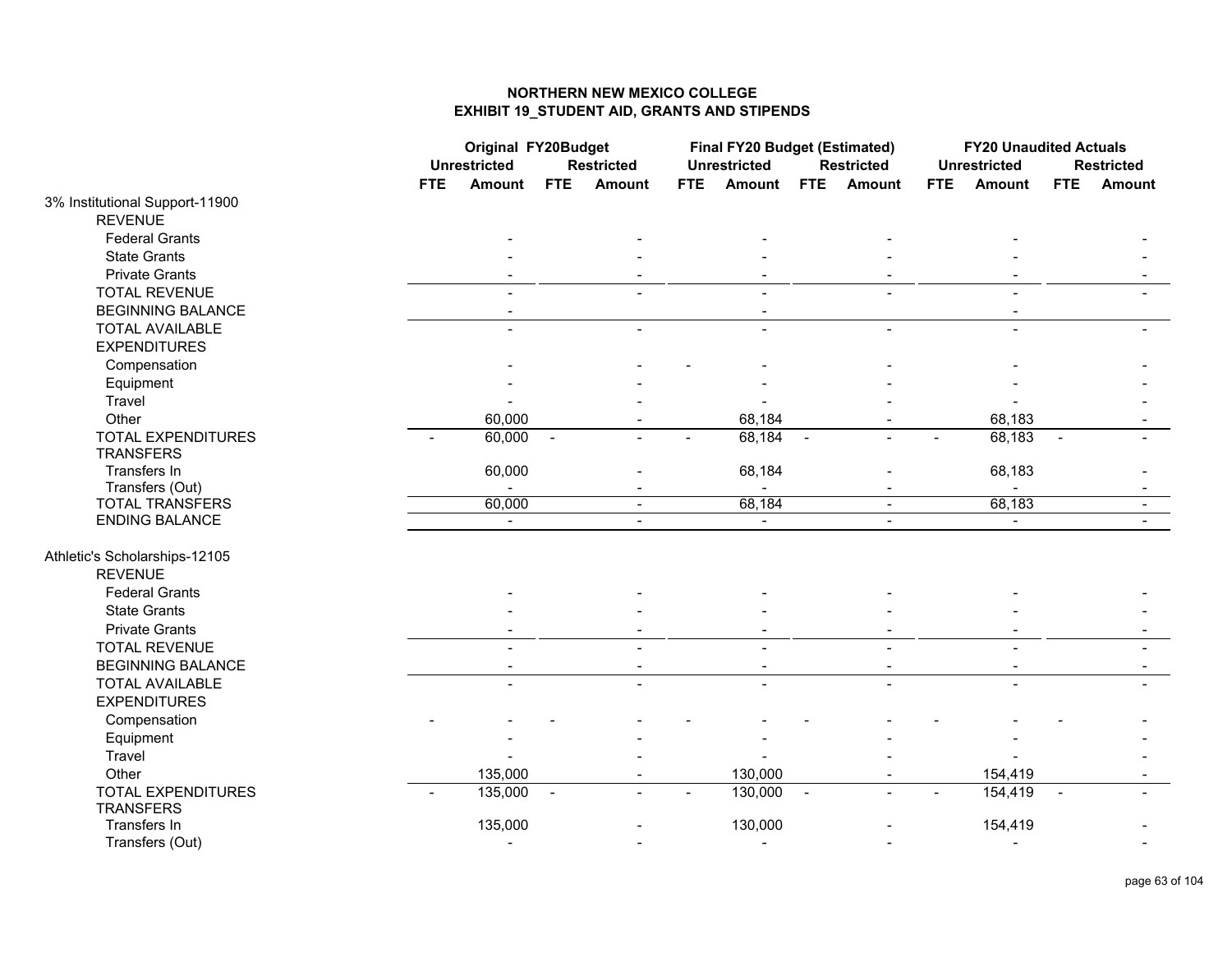|                                |                | <b>Original FY20Budget</b><br><b>Unrestricted</b><br><b>Restricted</b> |        |                |     | Final FY20 Budget (Estimated)<br><b>Unrestricted</b> |                | <b>Restricted</b>        |            | <b>FY20 Unaudited Actuals</b><br><b>Unrestricted</b> |                | <b>Restricted</b> |
|--------------------------------|----------------|------------------------------------------------------------------------|--------|----------------|-----|------------------------------------------------------|----------------|--------------------------|------------|------------------------------------------------------|----------------|-------------------|
|                                | <b>FTE</b>     | Amount                                                                 | FTE    | Amount         | FTE | <b>Amount</b>                                        | <b>FTE</b>     | Amount                   | <b>FTE</b> | Amount                                               | FTE            | Amount            |
| 3% Institutional Support-11900 |                |                                                                        |        |                |     |                                                      |                |                          |            |                                                      |                |                   |
| <b>REVENUE</b>                 |                |                                                                        |        |                |     |                                                      |                |                          |            |                                                      |                |                   |
| <b>Federal Grants</b>          |                |                                                                        |        |                |     |                                                      |                |                          |            |                                                      |                |                   |
| <b>State Grants</b>            |                |                                                                        |        |                |     |                                                      |                |                          |            |                                                      |                |                   |
| <b>Private Grants</b>          |                |                                                                        |        |                |     |                                                      |                |                          |            |                                                      |                |                   |
| <b>TOTAL REVENUE</b>           |                |                                                                        |        |                |     |                                                      |                |                          |            |                                                      |                |                   |
| <b>BEGINNING BALANCE</b>       |                |                                                                        |        |                |     |                                                      |                |                          |            |                                                      |                |                   |
| <b>TOTAL AVAILABLE</b>         |                |                                                                        |        |                |     |                                                      |                |                          |            |                                                      |                |                   |
| <b>EXPENDITURES</b>            |                |                                                                        |        |                |     |                                                      |                |                          |            |                                                      |                |                   |
| Compensation                   |                |                                                                        |        |                |     |                                                      |                |                          |            |                                                      |                |                   |
| Equipment                      |                |                                                                        |        |                |     |                                                      |                |                          |            |                                                      |                |                   |
| Travel                         |                |                                                                        |        |                |     |                                                      |                |                          |            |                                                      |                |                   |
| Other                          |                | 60,000                                                                 |        |                |     | 68,184                                               |                |                          |            | 68,183                                               |                |                   |
| <b>TOTAL EXPENDITURES</b>      | $\overline{a}$ | 60,000                                                                 | $\sim$ |                |     | 68,184                                               | $\sim$         |                          |            | 68,183                                               | $\blacksquare$ |                   |
| <b>TRANSFERS</b>               |                |                                                                        |        |                |     |                                                      |                |                          |            |                                                      |                |                   |
| Transfers In                   |                | 60,000                                                                 |        |                |     | 68,184                                               |                |                          |            | 68,183                                               |                |                   |
| Transfers (Out)                |                |                                                                        |        |                |     |                                                      |                |                          |            |                                                      |                |                   |
| <b>TOTAL TRANSFERS</b>         |                | 60,000                                                                 |        | $\sim$         |     | 68,184                                               |                | $\blacksquare$           |            | 68,183                                               |                | $\blacksquare$    |
| ENDING BALANCE                 |                | $\sim$                                                                 |        | $\sim$         |     | $\sim$                                               |                | $\overline{\phantom{0}}$ |            | $\blacksquare$                                       |                | $\sim$            |
| Athletic's Scholarships-12105  |                |                                                                        |        |                |     |                                                      |                |                          |            |                                                      |                |                   |
| <b>REVENUE</b>                 |                |                                                                        |        |                |     |                                                      |                |                          |            |                                                      |                |                   |
| <b>Federal Grants</b>          |                |                                                                        |        |                |     |                                                      |                |                          |            |                                                      |                |                   |
| <b>State Grants</b>            |                |                                                                        |        |                |     |                                                      |                |                          |            |                                                      |                |                   |
| <b>Private Grants</b>          |                |                                                                        |        |                |     |                                                      |                |                          |            |                                                      |                |                   |
| <b>TOTAL REVENUE</b>           |                |                                                                        |        |                |     |                                                      |                |                          |            |                                                      |                |                   |
| <b>BEGINNING BALANCE</b>       |                | $\blacksquare$                                                         |        | $\blacksquare$ |     | $\overline{\phantom{a}}$                             |                | $\blacksquare$           |            | $\overline{\phantom{a}}$                             |                |                   |
| <b>TOTAL AVAILABLE</b>         |                |                                                                        |        |                |     |                                                      |                |                          |            |                                                      |                |                   |
| <b>EXPENDITURES</b>            |                |                                                                        |        |                |     |                                                      |                |                          |            |                                                      |                |                   |
| Compensation                   |                |                                                                        |        |                |     |                                                      |                |                          |            |                                                      |                |                   |
| Equipment                      |                |                                                                        |        |                |     |                                                      |                |                          |            |                                                      |                |                   |
| Travel                         |                |                                                                        |        |                |     |                                                      |                |                          |            |                                                      |                |                   |
| Other                          |                | 135,000                                                                |        |                |     | 130,000                                              |                |                          |            | 154,419                                              |                |                   |
| <b>TOTAL EXPENDITURES</b>      |                | 135,000                                                                | $\sim$ |                |     | 130,000                                              | $\overline{a}$ |                          |            | 154,419                                              |                |                   |
| <b>TRANSFERS</b>               |                |                                                                        |        |                |     |                                                      |                |                          |            |                                                      |                |                   |
| Transfers In                   |                | 135,000                                                                |        |                |     | 130,000                                              |                |                          |            | 154,419                                              |                |                   |
| Transfers (Out)                |                | $\overline{\phantom{0}}$                                               |        |                |     | $\blacksquare$                                       |                |                          |            | $\blacksquare$                                       |                |                   |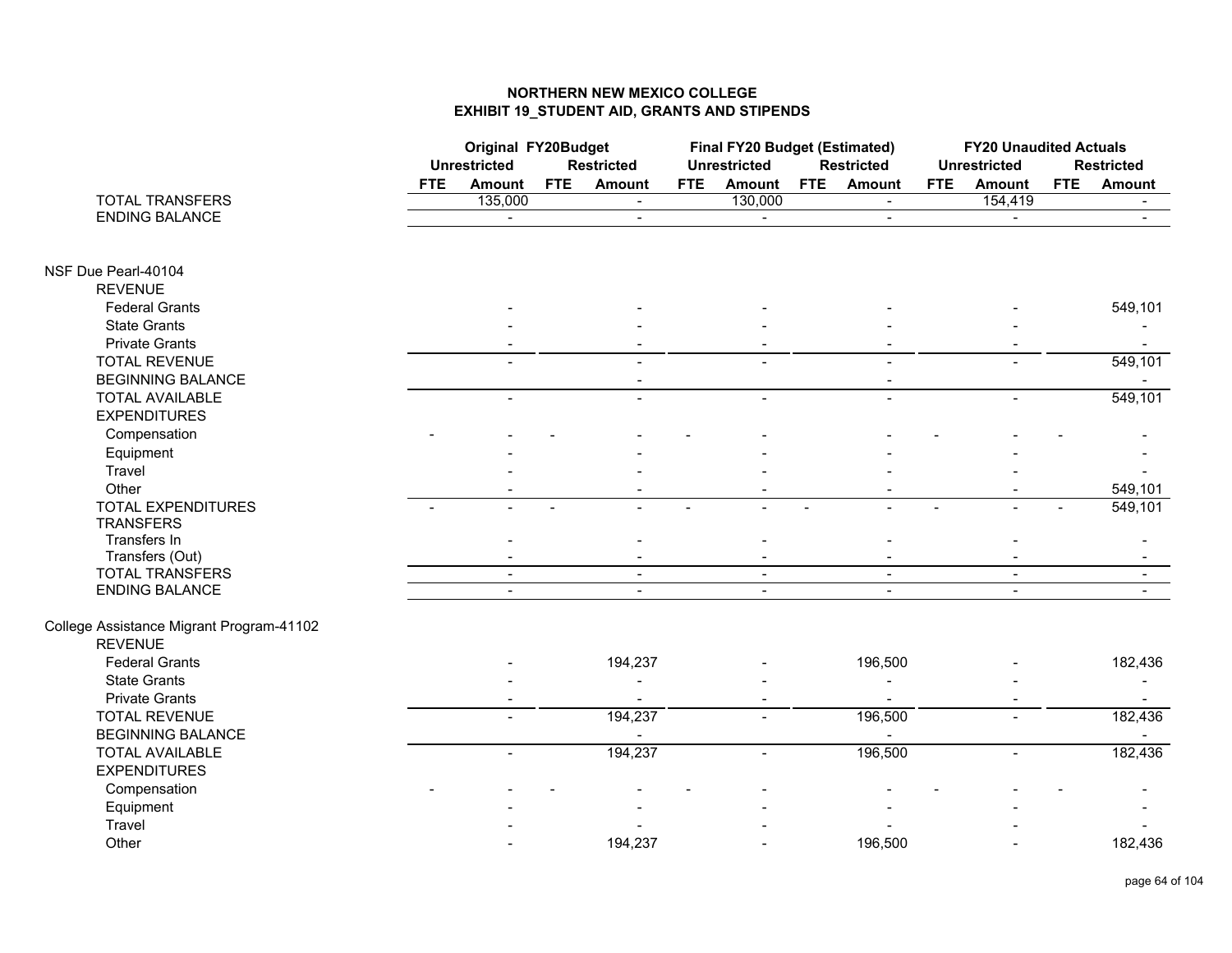|                                          |                          | Original FY20Budget<br><b>Unrestricted</b><br><b>Restricted</b> |            |                          |                | Final FY20 Budget (Estimated)<br><b>Unrestricted</b> |            | <b>Restricted</b>        |                          | <b>FY20 Unaudited Actuals</b><br><b>Unrestricted</b> |            | <b>Restricted</b>        |
|------------------------------------------|--------------------------|-----------------------------------------------------------------|------------|--------------------------|----------------|------------------------------------------------------|------------|--------------------------|--------------------------|------------------------------------------------------|------------|--------------------------|
|                                          | <b>FTE</b>               | Amount                                                          | <b>FTE</b> | <b>Amount</b>            | <b>FTE</b>     | <b>Amount</b>                                        | <b>FTE</b> | <b>Amount</b>            | <b>FTE</b>               | <b>Amount</b>                                        | <b>FTE</b> | <b>Amount</b>            |
| <b>TOTAL TRANSFERS</b>                   |                          | 135,000                                                         |            | $\sim$                   |                | 130,000                                              |            | $\blacksquare$           |                          | 154,419                                              |            | $\blacksquare$           |
| <b>ENDING BALANCE</b>                    |                          | $\blacksquare$                                                  |            | $\overline{\phantom{a}}$ |                | $\blacksquare$                                       |            | $\blacksquare$           |                          | $\blacksquare$                                       |            | $\blacksquare$           |
|                                          |                          |                                                                 |            |                          |                |                                                      |            |                          |                          |                                                      |            |                          |
| NSF Due Pearl-40104                      |                          |                                                                 |            |                          |                |                                                      |            |                          |                          |                                                      |            |                          |
| <b>REVENUE</b>                           |                          |                                                                 |            |                          |                |                                                      |            |                          |                          |                                                      |            |                          |
| <b>Federal Grants</b>                    |                          |                                                                 |            |                          |                |                                                      |            |                          |                          |                                                      |            | 549,101                  |
| <b>State Grants</b>                      |                          |                                                                 |            |                          |                |                                                      |            |                          |                          |                                                      |            |                          |
| <b>Private Grants</b>                    |                          |                                                                 |            |                          |                |                                                      |            |                          |                          |                                                      |            | $\sim$                   |
| <b>TOTAL REVENUE</b>                     |                          |                                                                 |            |                          |                |                                                      |            |                          |                          |                                                      |            | 549,101                  |
| <b>BEGINNING BALANCE</b>                 |                          |                                                                 |            |                          |                |                                                      |            | $\overline{\phantom{a}}$ |                          |                                                      |            |                          |
| <b>TOTAL AVAILABLE</b>                   |                          | $\blacksquare$                                                  |            | $\blacksquare$           |                | $\blacksquare$                                       |            | $\blacksquare$           |                          | $\blacksquare$                                       |            | 549,101                  |
| <b>EXPENDITURES</b>                      |                          |                                                                 |            |                          |                |                                                      |            |                          |                          |                                                      |            |                          |
| Compensation                             |                          |                                                                 |            |                          |                |                                                      |            |                          |                          |                                                      |            |                          |
| Equipment                                |                          |                                                                 |            |                          |                |                                                      |            |                          |                          |                                                      |            |                          |
| Travel                                   |                          |                                                                 |            |                          |                |                                                      |            |                          |                          |                                                      |            |                          |
| Other                                    |                          |                                                                 |            |                          |                |                                                      |            |                          |                          |                                                      |            | 549,101                  |
| <b>TOTAL EXPENDITURES</b>                | $\overline{\phantom{0}}$ |                                                                 |            | $\overline{a}$           | $\overline{a}$ | $\blacksquare$                                       |            | $\overline{\phantom{a}}$ | $\overline{\phantom{a}}$ | $\overline{\phantom{a}}$                             |            | 549,101                  |
| <b>TRANSFERS</b>                         |                          |                                                                 |            |                          |                |                                                      |            |                          |                          |                                                      |            |                          |
| Transfers In                             |                          |                                                                 |            |                          |                |                                                      |            |                          |                          |                                                      |            |                          |
| Transfers (Out)                          |                          |                                                                 |            |                          |                |                                                      |            |                          |                          |                                                      |            |                          |
| <b>TOTAL TRANSFERS</b>                   |                          | $\blacksquare$                                                  |            | $\sim$                   |                | $\sim$                                               |            | $\blacksquare$           |                          | $\blacksquare$                                       |            | $\overline{\phantom{a}}$ |
| <b>ENDING BALANCE</b>                    |                          | $\overline{a}$                                                  |            | $\sim$                   |                | $\blacksquare$                                       |            | $\blacksquare$           |                          | $\blacksquare$                                       |            |                          |
| College Assistance Migrant Program-41102 |                          |                                                                 |            |                          |                |                                                      |            |                          |                          |                                                      |            |                          |
| <b>REVENUE</b>                           |                          |                                                                 |            |                          |                |                                                      |            |                          |                          |                                                      |            |                          |
| <b>Federal Grants</b>                    |                          |                                                                 |            | 194,237                  |                |                                                      |            | 196,500                  |                          |                                                      |            | 182,436                  |
| <b>State Grants</b>                      |                          |                                                                 |            |                          |                |                                                      |            |                          |                          |                                                      |            |                          |
| <b>Private Grants</b>                    |                          |                                                                 |            |                          |                |                                                      |            |                          |                          |                                                      |            |                          |
| <b>TOTAL REVENUE</b>                     |                          |                                                                 |            | 194,237                  |                | $\overline{a}$                                       |            | 196,500                  |                          |                                                      |            | 182,436                  |
| <b>BEGINNING BALANCE</b>                 |                          |                                                                 |            |                          |                |                                                      |            |                          |                          |                                                      |            |                          |
| <b>TOTAL AVAILABLE</b>                   |                          | $\overline{\phantom{0}}$                                        |            | 194,237                  |                | $\blacksquare$                                       |            | 196,500                  |                          | $\overline{a}$                                       |            | 182,436                  |
| <b>EXPENDITURES</b>                      |                          |                                                                 |            |                          |                |                                                      |            |                          |                          |                                                      |            |                          |
| Compensation                             |                          |                                                                 |            |                          |                |                                                      |            |                          |                          |                                                      |            |                          |
| Equipment                                |                          |                                                                 |            |                          |                |                                                      |            |                          |                          |                                                      |            |                          |
| Travel                                   |                          |                                                                 |            |                          |                |                                                      |            |                          |                          |                                                      |            |                          |
| Other                                    |                          |                                                                 |            | 194,237                  |                |                                                      |            | 196,500                  |                          |                                                      |            | 182,436                  |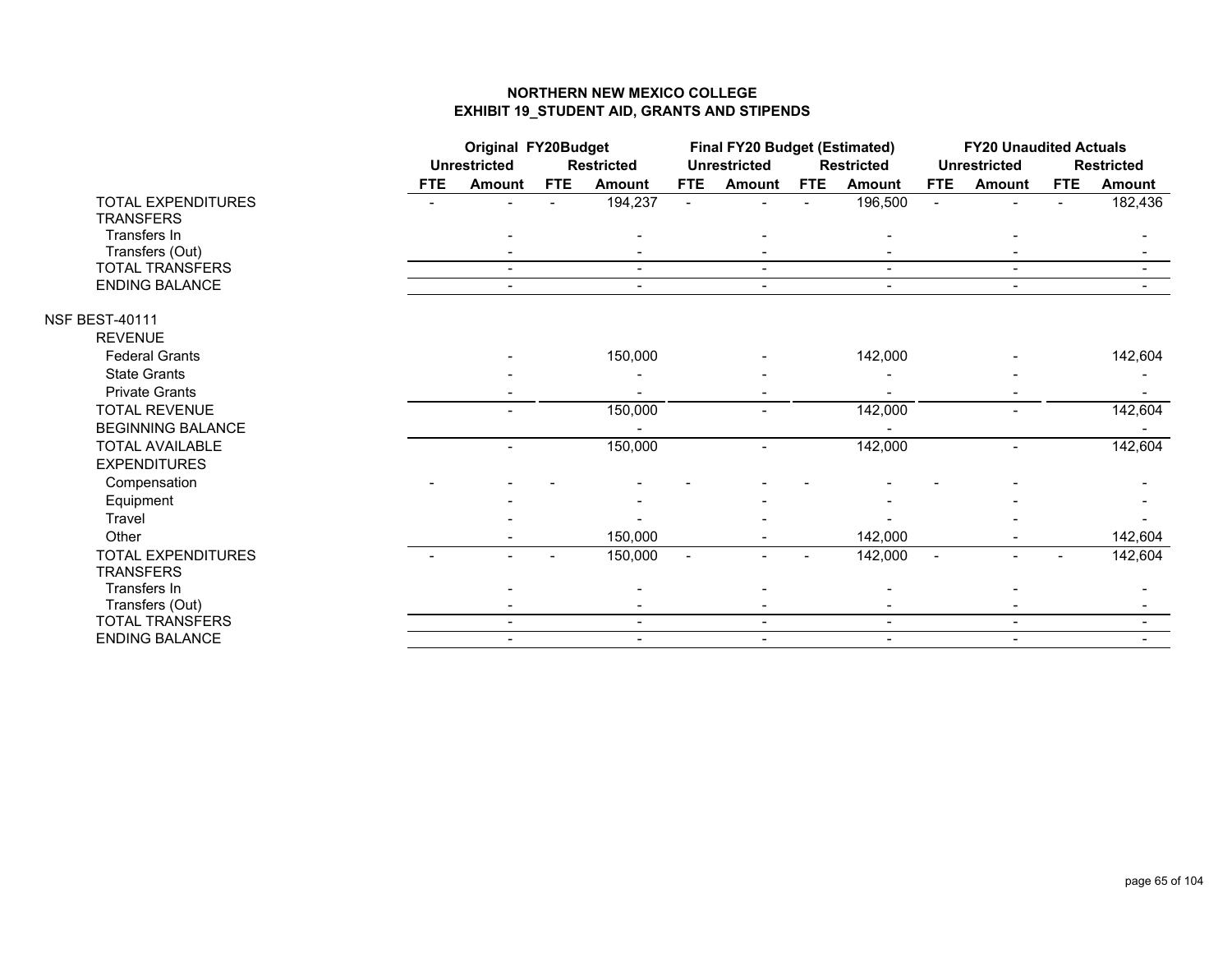|                           |            | <b>Original FY20Budget</b> |            |                   | <b>Final FY20 Budget (Estimated)</b> |                          |            |                   | <b>FY20 Unaudited Actuals</b> |                          |            |                   |
|---------------------------|------------|----------------------------|------------|-------------------|--------------------------------------|--------------------------|------------|-------------------|-------------------------------|--------------------------|------------|-------------------|
|                           |            | <b>Unrestricted</b>        |            | <b>Restricted</b> |                                      | <b>Unrestricted</b>      |            | <b>Restricted</b> |                               | <b>Unrestricted</b>      |            | <b>Restricted</b> |
|                           | <b>FTE</b> | <b>Amount</b>              | <b>FTE</b> | <b>Amount</b>     | <b>FTE</b>                           | <b>Amount</b>            | <b>FTE</b> | <b>Amount</b>     | <b>FTE</b>                    | <b>Amount</b>            | <b>FTE</b> | <b>Amount</b>     |
| <b>TOTAL EXPENDITURES</b> |            |                            |            | 194,237           |                                      |                          |            | 196,500           | $\blacksquare$                |                          |            | 182,436           |
| <b>TRANSFERS</b>          |            |                            |            |                   |                                      |                          |            |                   |                               |                          |            |                   |
| Transfers In              |            |                            |            |                   |                                      |                          |            |                   |                               |                          |            |                   |
| Transfers (Out)           |            |                            |            |                   |                                      |                          |            |                   |                               |                          |            |                   |
| <b>TOTAL TRANSFERS</b>    |            | $\blacksquare$             |            | $\blacksquare$    |                                      | $\blacksquare$           |            | $\sim$            |                               | $\blacksquare$           |            |                   |
| ENDING BALANCE            |            |                            |            | $\blacksquare$    |                                      | $\overline{\phantom{0}}$ |            | $\blacksquare$    |                               | $\overline{\phantom{0}}$ |            |                   |
| <b>NSF BEST-40111</b>     |            |                            |            |                   |                                      |                          |            |                   |                               |                          |            |                   |
| <b>REVENUE</b>            |            |                            |            |                   |                                      |                          |            |                   |                               |                          |            |                   |
| <b>Federal Grants</b>     |            |                            |            | 150,000           |                                      |                          |            | 142,000           |                               |                          |            | 142,604           |
| <b>State Grants</b>       |            |                            |            |                   |                                      |                          |            |                   |                               |                          |            |                   |
| <b>Private Grants</b>     |            |                            |            |                   |                                      |                          |            |                   |                               |                          |            |                   |
| <b>TOTAL REVENUE</b>      |            |                            |            | 150,000           |                                      |                          |            | 142,000           |                               |                          |            | 142,604           |
| <b>BEGINNING BALANCE</b>  |            |                            |            |                   |                                      |                          |            |                   |                               |                          |            |                   |
| <b>TOTAL AVAILABLE</b>    |            |                            |            | 150,000           |                                      |                          |            | 142,000           |                               |                          |            | 142,604           |
| <b>EXPENDITURES</b>       |            |                            |            |                   |                                      |                          |            |                   |                               |                          |            |                   |
| Compensation              |            |                            |            |                   |                                      |                          |            |                   |                               |                          |            |                   |
| Equipment                 |            |                            |            |                   |                                      |                          |            |                   |                               |                          |            |                   |
| Travel                    |            |                            |            |                   |                                      |                          |            |                   |                               |                          |            |                   |
| Other                     |            |                            |            | 150,000           |                                      |                          |            | 142,000           |                               |                          |            | 142,604           |
| <b>TOTAL EXPENDITURES</b> |            |                            |            | 150,000           | $\blacksquare$                       |                          |            | 142,000           | $\blacksquare$                | $\overline{\phantom{0}}$ |            | 142,604           |
| <b>TRANSFERS</b>          |            |                            |            |                   |                                      |                          |            |                   |                               |                          |            |                   |
| Transfers In              |            |                            |            |                   |                                      |                          |            |                   |                               |                          |            |                   |
| Transfers (Out)           |            |                            |            |                   |                                      |                          |            |                   |                               |                          |            |                   |
| TOTAL TRANSFERS           |            |                            |            | $\blacksquare$    |                                      | $\overline{\phantom{0}}$ |            | $\blacksquare$    |                               | $\blacksquare$           |            |                   |
| <b>ENDING BALANCE</b>     |            | $\blacksquare$             |            | $\blacksquare$    |                                      | $\overline{\phantom{0}}$ |            | $\blacksquare$    |                               | $\overline{\phantom{0}}$ |            |                   |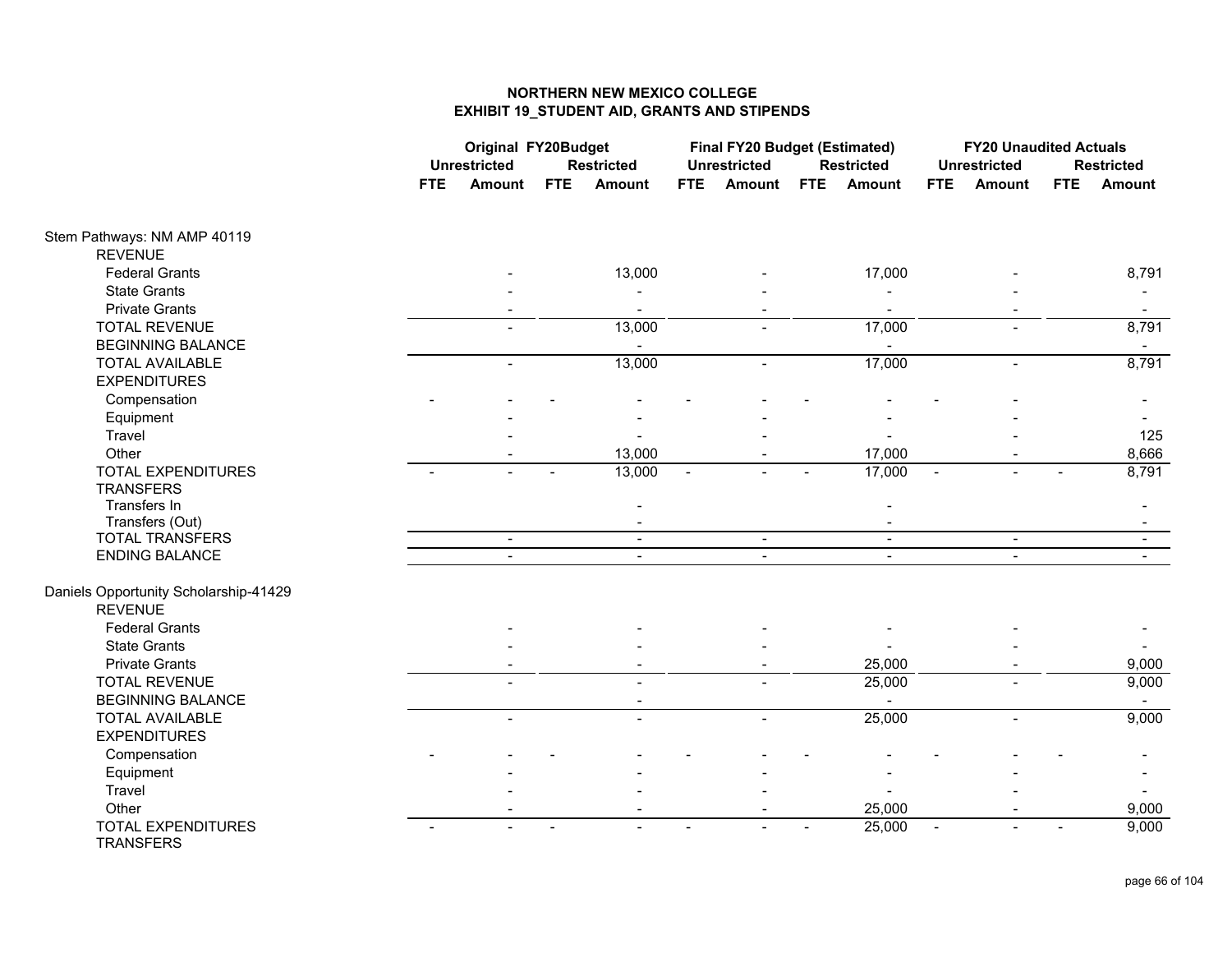|                                               | <b>Original FY20Budget</b> |                     |            |                          |            | <b>Final FY20 Budget (Estimated)</b> |            |                   |                          | <b>FY20 Unaudited Actuals</b> |            |                   |
|-----------------------------------------------|----------------------------|---------------------|------------|--------------------------|------------|--------------------------------------|------------|-------------------|--------------------------|-------------------------------|------------|-------------------|
|                                               |                            | <b>Unrestricted</b> |            | <b>Restricted</b>        |            | <b>Unrestricted</b>                  |            | <b>Restricted</b> |                          | <b>Unrestricted</b>           |            | <b>Restricted</b> |
|                                               | <b>FTE</b>                 | Amount              | <b>FTE</b> | <b>Amount</b>            | <b>FTE</b> | <b>Amount</b>                        | <b>FTE</b> | <b>Amount</b>     | <b>FTE</b>               | <b>Amount</b>                 | <b>FTE</b> | Amount            |
| Stem Pathways: NM AMP 40119                   |                            |                     |            |                          |            |                                      |            |                   |                          |                               |            |                   |
| <b>REVENUE</b>                                |                            |                     |            |                          |            |                                      |            |                   |                          |                               |            |                   |
| <b>Federal Grants</b>                         |                            |                     |            | 13,000                   |            |                                      |            | 17,000            |                          |                               |            | 8,791             |
| <b>State Grants</b>                           |                            |                     |            |                          |            |                                      |            |                   |                          |                               |            |                   |
| <b>Private Grants</b>                         |                            |                     |            |                          |            |                                      |            |                   |                          |                               |            |                   |
| <b>TOTAL REVENUE</b>                          |                            |                     |            | 13,000                   |            |                                      |            | 17,000            |                          | $\overline{a}$                |            | 8,791             |
| <b>BEGINNING BALANCE</b>                      |                            |                     |            |                          |            |                                      |            | $\blacksquare$    |                          |                               |            | $\sim$            |
| <b>TOTAL AVAILABLE</b>                        |                            | $\blacksquare$      |            | 13,000                   |            | $\overline{a}$                       |            | 17,000            |                          | $\blacksquare$                |            | 8,791             |
| <b>EXPENDITURES</b>                           |                            |                     |            |                          |            |                                      |            |                   |                          |                               |            |                   |
| Compensation                                  |                            |                     |            |                          |            |                                      |            |                   |                          |                               |            |                   |
| Equipment                                     |                            |                     |            |                          |            |                                      |            |                   |                          |                               |            |                   |
| Travel                                        |                            |                     |            |                          |            |                                      |            |                   |                          |                               |            | 125               |
| Other                                         |                            |                     |            | 13,000                   |            |                                      |            | 17,000            |                          |                               |            | 8,666             |
| <b>TOTAL EXPENDITURES</b>                     |                            |                     |            | 13,000                   |            |                                      |            | 17,000            |                          |                               |            | 8,791             |
| <b>TRANSFERS</b>                              |                            |                     |            |                          |            |                                      |            |                   |                          |                               |            |                   |
| Transfers In                                  |                            |                     |            |                          |            |                                      |            |                   |                          |                               |            |                   |
| Transfers (Out)                               |                            |                     |            |                          |            |                                      |            |                   |                          |                               |            |                   |
| <b>TOTAL TRANSFERS</b>                        |                            | $\sim$              |            | $\sim$                   |            | $\sim$                               |            | $\sim$            |                          | $\sim$                        |            | $\sim$            |
| <b>ENDING BALANCE</b>                         |                            |                     |            | $\blacksquare$           |            | $\blacksquare$                       |            |                   |                          | $\overline{a}$                |            |                   |
| Daniels Opportunity Scholarship-41429         |                            |                     |            |                          |            |                                      |            |                   |                          |                               |            |                   |
| <b>REVENUE</b>                                |                            |                     |            |                          |            |                                      |            |                   |                          |                               |            |                   |
| <b>Federal Grants</b>                         |                            |                     |            |                          |            |                                      |            |                   |                          |                               |            |                   |
| <b>State Grants</b>                           |                            |                     |            |                          |            |                                      |            |                   |                          |                               |            |                   |
| <b>Private Grants</b>                         |                            |                     |            |                          |            |                                      |            | 25,000            |                          |                               |            | 9,000             |
| <b>TOTAL REVENUE</b>                          |                            |                     |            |                          |            |                                      |            | 25,000            |                          |                               |            | 9,000             |
| <b>BEGINNING BALANCE</b>                      |                            |                     |            |                          |            |                                      |            |                   |                          |                               |            |                   |
| <b>TOTAL AVAILABLE</b>                        |                            |                     |            |                          |            |                                      |            | 25,000            |                          |                               |            | 9,000             |
| <b>EXPENDITURES</b>                           |                            |                     |            |                          |            |                                      |            |                   |                          |                               |            |                   |
| Compensation                                  |                            |                     |            |                          |            |                                      |            |                   |                          |                               |            |                   |
| Equipment                                     |                            |                     |            |                          |            |                                      |            |                   |                          |                               |            |                   |
| Travel                                        |                            |                     |            |                          |            |                                      |            |                   |                          |                               |            |                   |
| Other                                         |                            |                     |            | $\overline{\phantom{a}}$ |            | $\sim$                               |            | 25,000            |                          |                               |            | 9,000             |
| <b>TOTAL EXPENDITURES</b><br><b>TRANSFERS</b> |                            |                     |            |                          |            |                                      |            | 25,000            | $\overline{\phantom{a}}$ |                               |            | 9,000             |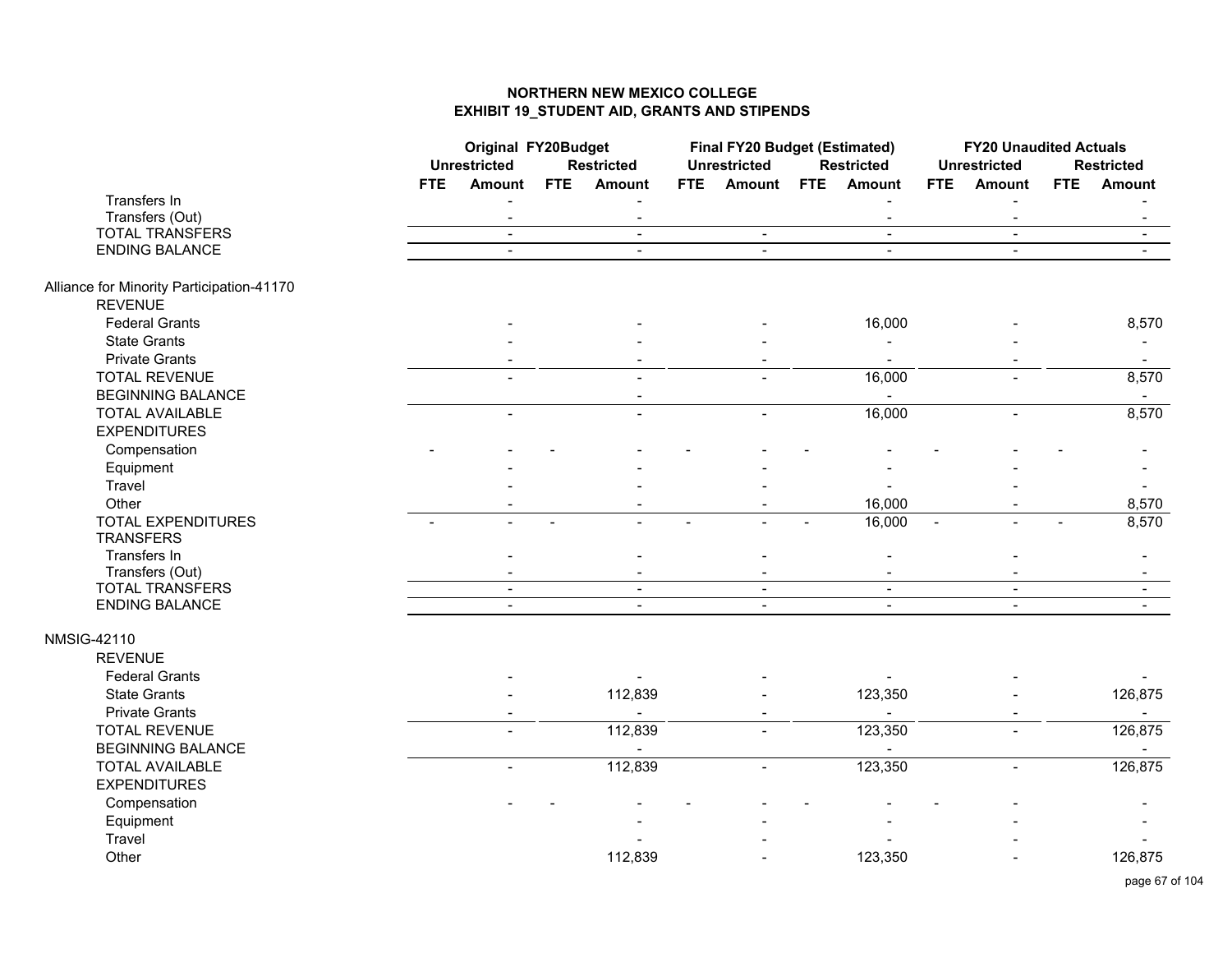|                                           |                          | <b>Original FY20Budget</b> |                |                          |            | <b>Final FY20 Budget (Estimated)</b> |            |                   |                | <b>FY20 Unaudited Actuals</b> |     |                   |
|-------------------------------------------|--------------------------|----------------------------|----------------|--------------------------|------------|--------------------------------------|------------|-------------------|----------------|-------------------------------|-----|-------------------|
|                                           |                          | <b>Unrestricted</b>        |                | <b>Restricted</b>        |            | <b>Unrestricted</b>                  |            | <b>Restricted</b> |                | <b>Unrestricted</b>           |     | <b>Restricted</b> |
|                                           | <b>FTE</b>               | <b>Amount</b>              | <b>FTE</b>     | <b>Amount</b>            | <b>FTE</b> | <b>Amount</b>                        | <b>FTE</b> | Amount            | <b>FTE</b>     | <b>Amount</b>                 | FTE | <b>Amount</b>     |
| Transfers In                              |                          |                            |                |                          |            |                                      |            |                   |                |                               |     |                   |
| Transfers (Out)                           |                          | $\blacksquare$             |                | $\blacksquare$           |            |                                      |            | $\blacksquare$    |                | $\blacksquare$                |     | $\blacksquare$    |
| <b>TOTAL TRANSFERS</b>                    |                          | $\blacksquare$             |                | $\blacksquare$           |            | $\blacksquare$                       |            | $\blacksquare$    |                | $\blacksquare$                |     | $\blacksquare$    |
| <b>ENDING BALANCE</b>                     |                          | $\sim$                     |                | $\blacksquare$           |            | $\sim$                               |            | $\sim$            |                | $\blacksquare$                |     | $\sim$            |
| Alliance for Minority Participation-41170 |                          |                            |                |                          |            |                                      |            |                   |                |                               |     |                   |
| <b>REVENUE</b>                            |                          |                            |                |                          |            |                                      |            |                   |                |                               |     |                   |
| <b>Federal Grants</b>                     |                          |                            |                |                          |            |                                      |            | 16,000            |                |                               |     | 8,570             |
| <b>State Grants</b>                       |                          |                            |                |                          |            |                                      |            |                   |                |                               |     |                   |
| <b>Private Grants</b>                     |                          |                            |                |                          |            |                                      |            | $\blacksquare$    |                |                               |     | $\sim$            |
| <b>TOTAL REVENUE</b>                      |                          |                            |                |                          |            |                                      |            | 16,000            |                |                               |     | 8,570             |
| <b>BEGINNING BALANCE</b>                  |                          |                            |                |                          |            |                                      |            |                   |                |                               |     | $\blacksquare$    |
| <b>TOTAL AVAILABLE</b>                    |                          | $\blacksquare$             |                | $\overline{a}$           |            | $\overline{\phantom{0}}$             |            | 16,000            |                | $\blacksquare$                |     | 8,570             |
| <b>EXPENDITURES</b>                       |                          |                            |                |                          |            |                                      |            |                   |                |                               |     |                   |
| Compensation                              |                          |                            |                |                          |            |                                      |            |                   |                |                               |     |                   |
| Equipment                                 |                          |                            |                |                          |            |                                      |            |                   |                |                               |     |                   |
| Travel                                    |                          |                            |                |                          |            |                                      |            |                   |                |                               |     | $\blacksquare$    |
| Other                                     |                          |                            |                |                          |            |                                      |            | 16,000            |                |                               |     | 8,570             |
| <b>TOTAL EXPENDITURES</b>                 | $\overline{\phantom{0}}$ |                            | $\blacksquare$ |                          |            |                                      |            | 16,000            | $\blacksquare$ |                               |     | 8,570             |
| <b>TRANSFERS</b>                          |                          |                            |                |                          |            |                                      |            |                   |                |                               |     |                   |
| Transfers In                              |                          |                            |                |                          |            |                                      |            |                   |                |                               |     |                   |
| Transfers (Out)                           |                          | $\overline{\phantom{a}}$   |                | $\overline{\phantom{a}}$ |            | $\blacksquare$                       |            | $\blacksquare$    |                | $\blacksquare$                |     | $\blacksquare$    |
| <b>TOTAL TRANSFERS</b>                    |                          | $\blacksquare$             |                | $\blacksquare$           |            | $\blacksquare$                       |            | $\blacksquare$    |                | $\overline{\phantom{a}}$      |     | $\blacksquare$    |
| <b>ENDING BALANCE</b>                     |                          | $\blacksquare$             |                |                          |            | $\blacksquare$                       |            | $\blacksquare$    |                |                               |     |                   |
| <b>NMSIG-42110</b>                        |                          |                            |                |                          |            |                                      |            |                   |                |                               |     |                   |
| <b>REVENUE</b>                            |                          |                            |                |                          |            |                                      |            |                   |                |                               |     |                   |
| <b>Federal Grants</b>                     |                          |                            |                |                          |            |                                      |            |                   |                |                               |     |                   |
| <b>State Grants</b>                       |                          |                            |                | 112,839                  |            |                                      |            | 123,350           |                |                               |     | 126,875           |
| <b>Private Grants</b>                     |                          |                            |                |                          |            |                                      |            |                   |                |                               |     |                   |
| <b>TOTAL REVENUE</b>                      |                          |                            |                | 112,839                  |            |                                      |            | 123,350           |                |                               |     | 126,875           |
| <b>BEGINNING BALANCE</b>                  |                          |                            |                |                          |            |                                      |            | $\overline{a}$    |                |                               |     | $\sim$            |
| <b>TOTAL AVAILABLE</b>                    |                          | $\overline{a}$             |                | 112,839                  |            | $\overline{\phantom{0}}$             |            | 123,350           |                | $\blacksquare$                |     | 126,875           |
| <b>EXPENDITURES</b>                       |                          |                            |                |                          |            |                                      |            |                   |                |                               |     |                   |
| Compensation                              |                          |                            |                |                          |            |                                      |            |                   |                |                               |     |                   |
| Equipment                                 |                          |                            |                |                          |            |                                      |            |                   |                |                               |     |                   |
| Travel                                    |                          |                            |                |                          |            |                                      |            |                   |                |                               |     |                   |
| Other                                     |                          |                            |                | 112,839                  |            |                                      |            | 123,350           |                |                               |     | 126,875           |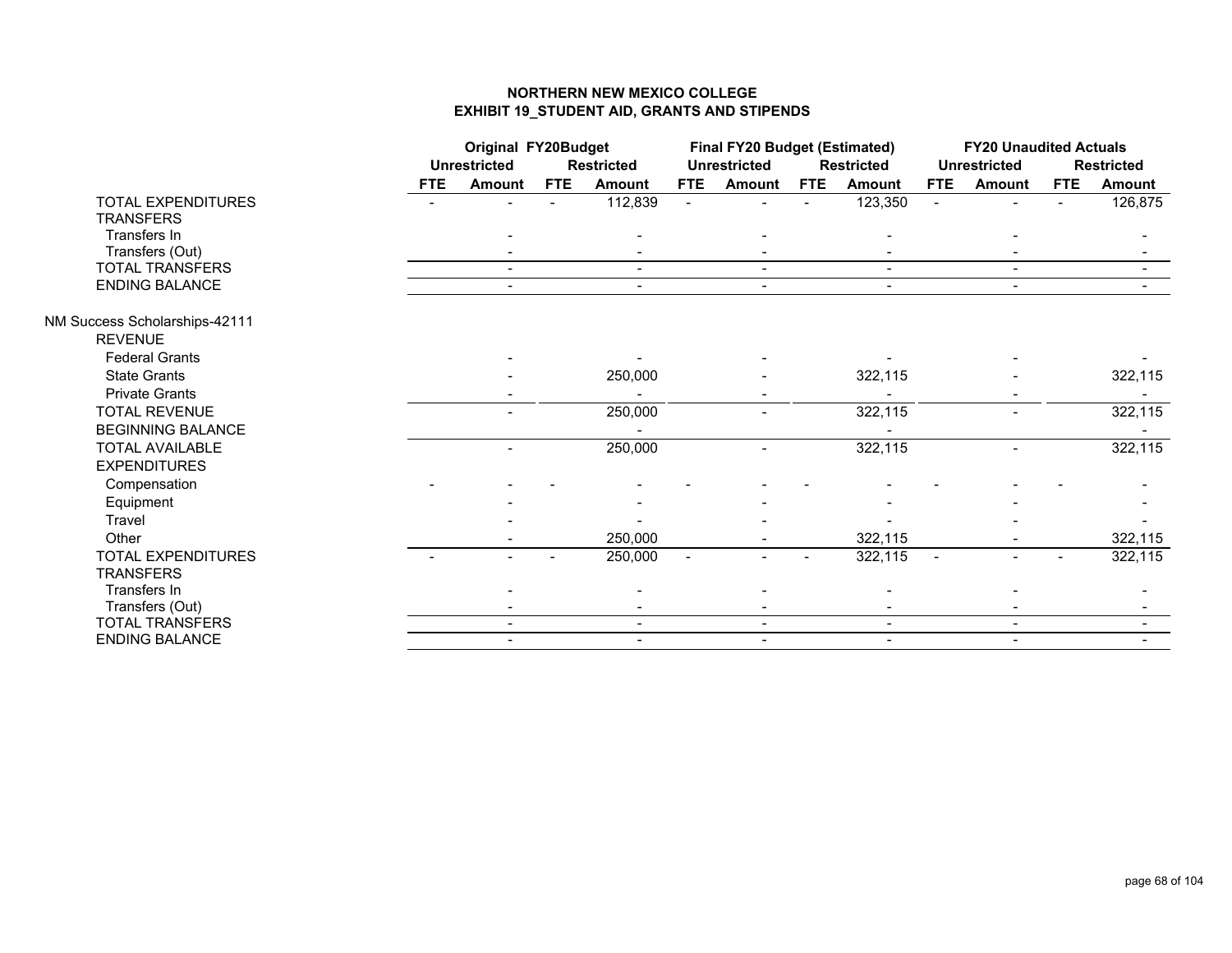|                               |            | <b>Original FY20Budget</b> |            |                   |                | <b>Final FY20 Budget (Estimated)</b> |            |                   |                | <b>FY20 Unaudited Actuals</b> |            |                   |
|-------------------------------|------------|----------------------------|------------|-------------------|----------------|--------------------------------------|------------|-------------------|----------------|-------------------------------|------------|-------------------|
|                               |            | <b>Unrestricted</b>        |            | <b>Restricted</b> |                | <b>Unrestricted</b>                  |            | <b>Restricted</b> |                | <b>Unrestricted</b>           |            | <b>Restricted</b> |
|                               | <b>FTE</b> | <b>Amount</b>              | <b>FTE</b> | <b>Amount</b>     | <b>FTE</b>     | <b>Amount</b>                        | <b>FTE</b> | Amount            | <b>FTE</b>     | Amount                        | <b>FTE</b> | <b>Amount</b>     |
| <b>TOTAL EXPENDITURES</b>     |            |                            |            | 112,839           | $\blacksquare$ |                                      |            | 123,350           | $\blacksquare$ |                               |            | 126,875           |
| <b>TRANSFERS</b>              |            |                            |            |                   |                |                                      |            |                   |                |                               |            |                   |
| Transfers In                  |            |                            |            |                   |                |                                      |            |                   |                |                               |            |                   |
| Transfers (Out)               |            |                            |            |                   |                |                                      |            |                   |                |                               |            |                   |
| <b>TOTAL TRANSFERS</b>        |            | $\overline{\phantom{0}}$   |            | $\blacksquare$    |                | $\sim$                               |            | $\sim$            |                | $\overline{\phantom{a}}$      |            |                   |
| <b>ENDING BALANCE</b>         |            |                            |            | $\blacksquare$    |                | $\overline{\phantom{a}}$             |            | $\blacksquare$    |                | $\overline{\phantom{0}}$      |            |                   |
| NM Success Scholarships-42111 |            |                            |            |                   |                |                                      |            |                   |                |                               |            |                   |
| <b>REVENUE</b>                |            |                            |            |                   |                |                                      |            |                   |                |                               |            |                   |
| <b>Federal Grants</b>         |            |                            |            |                   |                |                                      |            |                   |                |                               |            |                   |
| <b>State Grants</b>           |            |                            |            | 250,000           |                |                                      |            | 322,115           |                |                               |            | 322,115           |
| <b>Private Grants</b>         |            |                            |            |                   |                |                                      |            |                   |                |                               |            |                   |
| <b>TOTAL REVENUE</b>          |            |                            |            | 250,000           |                |                                      |            | 322,115           |                | $\overline{\phantom{0}}$      |            | 322,115           |
| <b>BEGINNING BALANCE</b>      |            |                            |            |                   |                |                                      |            |                   |                |                               |            |                   |
| <b>TOTAL AVAILABLE</b>        |            |                            |            | 250,000           |                |                                      |            | 322,115           |                |                               |            | 322,115           |
| <b>EXPENDITURES</b>           |            |                            |            |                   |                |                                      |            |                   |                |                               |            |                   |
| Compensation                  |            |                            |            |                   |                |                                      |            |                   |                |                               |            |                   |
| Equipment                     |            |                            |            |                   |                |                                      |            |                   |                |                               |            |                   |
| Travel                        |            |                            |            |                   |                |                                      |            |                   |                |                               |            |                   |
| Other                         |            |                            |            | 250,000           |                |                                      |            | 322,115           |                |                               |            | 322,115           |
| <b>TOTAL EXPENDITURES</b>     |            |                            |            | 250,000           | $\blacksquare$ |                                      |            | 322,115           | $\blacksquare$ |                               |            | 322,115           |
| <b>TRANSFERS</b>              |            |                            |            |                   |                |                                      |            |                   |                |                               |            |                   |
| Transfers In                  |            |                            |            |                   |                |                                      |            |                   |                |                               |            |                   |
| Transfers (Out)               |            |                            |            |                   |                |                                      |            |                   |                |                               |            |                   |
| <b>TOTAL TRANSFERS</b>        |            |                            |            | $\blacksquare$    |                | $\blacksquare$                       |            | $\blacksquare$    |                | $\blacksquare$                |            |                   |
| <b>ENDING BALANCE</b>         |            |                            |            | $\blacksquare$    |                |                                      |            |                   |                | $\overline{\phantom{0}}$      |            |                   |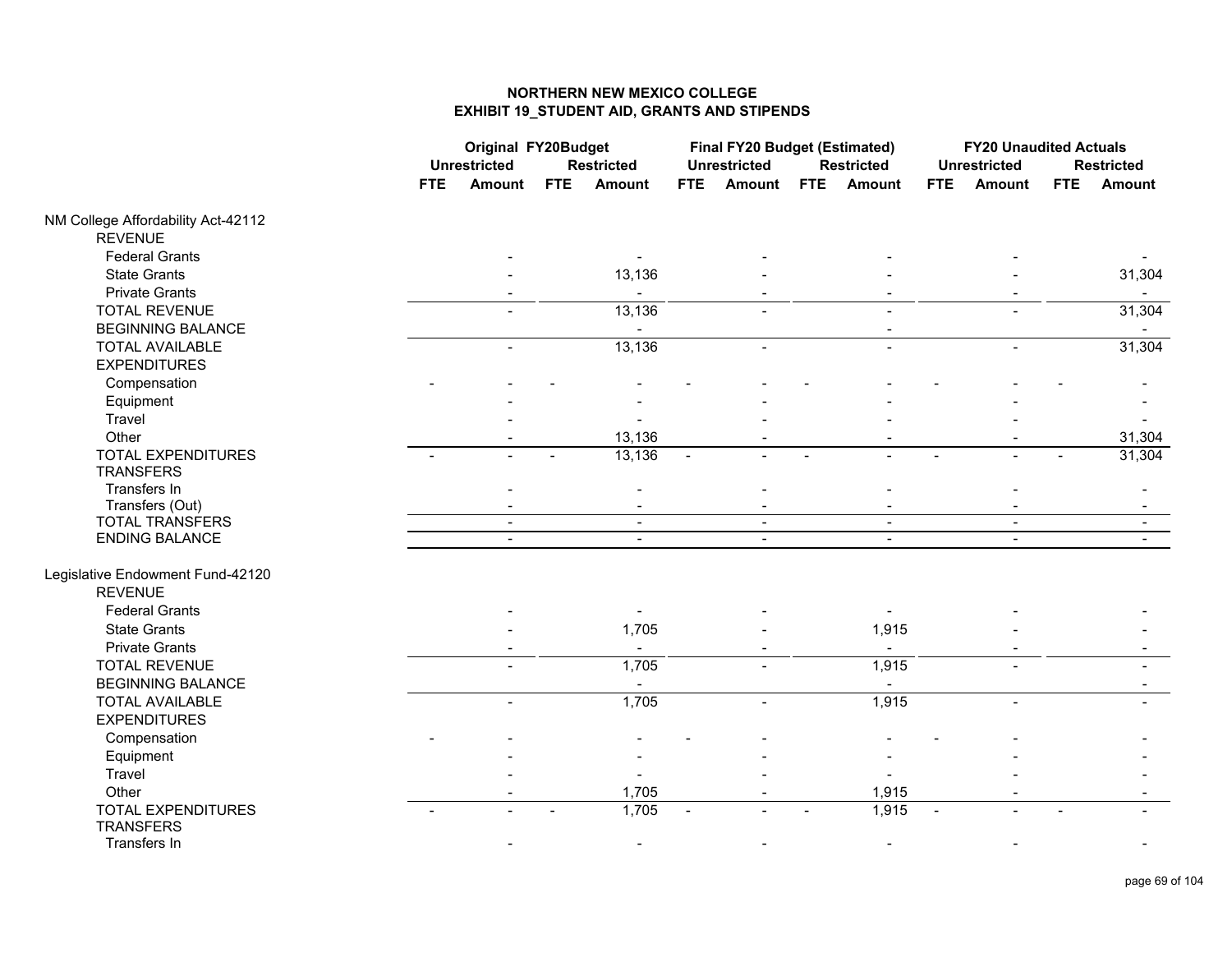|                                    |                          | <b>Original FY20Budget</b>  |                             | <b>Final FY20 Budget (Estimated)</b> |                             | <b>FY20 Unaudited Actuals</b> |
|------------------------------------|--------------------------|-----------------------------|-----------------------------|--------------------------------------|-----------------------------|-------------------------------|
|                                    | <b>Unrestricted</b>      | <b>Restricted</b>           | <b>Unrestricted</b>         | <b>Restricted</b>                    | <b>Unrestricted</b>         | <b>Restricted</b>             |
|                                    | <b>FTE</b><br>Amount     | <b>FTE</b><br><b>Amount</b> | <b>FTE</b><br><b>Amount</b> | <b>FTE</b><br>Amount                 | <b>FTE</b><br><b>Amount</b> | <b>FTE</b><br><b>Amount</b>   |
| NM College Affordability Act-42112 |                          |                             |                             |                                      |                             |                               |
| <b>REVENUE</b>                     |                          |                             |                             |                                      |                             |                               |
| <b>Federal Grants</b>              |                          |                             |                             |                                      |                             |                               |
| <b>State Grants</b>                |                          | 13,136                      |                             |                                      |                             | 31,304                        |
| <b>Private Grants</b>              |                          |                             |                             |                                      |                             |                               |
| <b>TOTAL REVENUE</b>               |                          | 13,136                      |                             |                                      |                             | 31,304                        |
| <b>BEGINNING BALANCE</b>           |                          |                             |                             |                                      |                             |                               |
| <b>TOTAL AVAILABLE</b>             | $\overline{\phantom{a}}$ | 13,136                      |                             | $\blacksquare$                       |                             | 31,304                        |
| <b>EXPENDITURES</b>                |                          |                             |                             |                                      |                             |                               |
| Compensation                       |                          |                             |                             |                                      |                             |                               |
| Equipment                          |                          |                             |                             |                                      |                             |                               |
| Travel                             |                          |                             |                             |                                      |                             |                               |
| Other                              |                          | 13,136                      |                             |                                      |                             | 31,304                        |
| <b>TOTAL EXPENDITURES</b>          |                          | 13,136                      |                             |                                      |                             | 31,304                        |
| <b>TRANSFERS</b>                   |                          |                             |                             |                                      |                             |                               |
| Transfers In                       |                          |                             |                             |                                      |                             |                               |
| Transfers (Out)                    |                          | $\blacksquare$              |                             |                                      |                             |                               |
| <b>TOTAL TRANSFERS</b>             | $\overline{\phantom{a}}$ | $\blacksquare$              | $\blacksquare$              | $\blacksquare$                       | $\blacksquare$              | $\blacksquare$                |
| ENDING BALANCE                     | $\blacksquare$           | $\blacksquare$              | $\blacksquare$              | $\blacksquare$                       | $\blacksquare$              | $\blacksquare$                |
| Legislative Endowment Fund-42120   |                          |                             |                             |                                      |                             |                               |
| <b>REVENUE</b>                     |                          |                             |                             |                                      |                             |                               |
| <b>Federal Grants</b>              |                          |                             |                             |                                      |                             |                               |
| <b>State Grants</b>                |                          | 1,705                       |                             | 1,915                                |                             |                               |
| <b>Private Grants</b>              |                          | $\blacksquare$              |                             | $\blacksquare$                       |                             |                               |
| <b>TOTAL REVENUE</b>               |                          | 1,705                       |                             | 1,915                                |                             |                               |
| <b>BEGINNING BALANCE</b>           |                          |                             |                             |                                      |                             |                               |
| <b>TOTAL AVAILABLE</b>             | $\overline{a}$           | 1,705                       | $\overline{a}$              | 1,915                                | $\blacksquare$              |                               |
| <b>EXPENDITURES</b>                |                          |                             |                             |                                      |                             |                               |
| Compensation                       |                          |                             |                             |                                      |                             |                               |
| Equipment                          |                          |                             |                             |                                      |                             |                               |
| Travel                             |                          |                             |                             |                                      |                             |                               |
| Other                              |                          | 1,705                       |                             | 1,915                                |                             |                               |
| <b>TOTAL EXPENDITURES</b>          |                          | 1,705                       |                             | 1,915                                |                             |                               |
| <b>TRANSFERS</b>                   |                          |                             |                             |                                      |                             |                               |
| Transfers In                       |                          |                             |                             |                                      |                             |                               |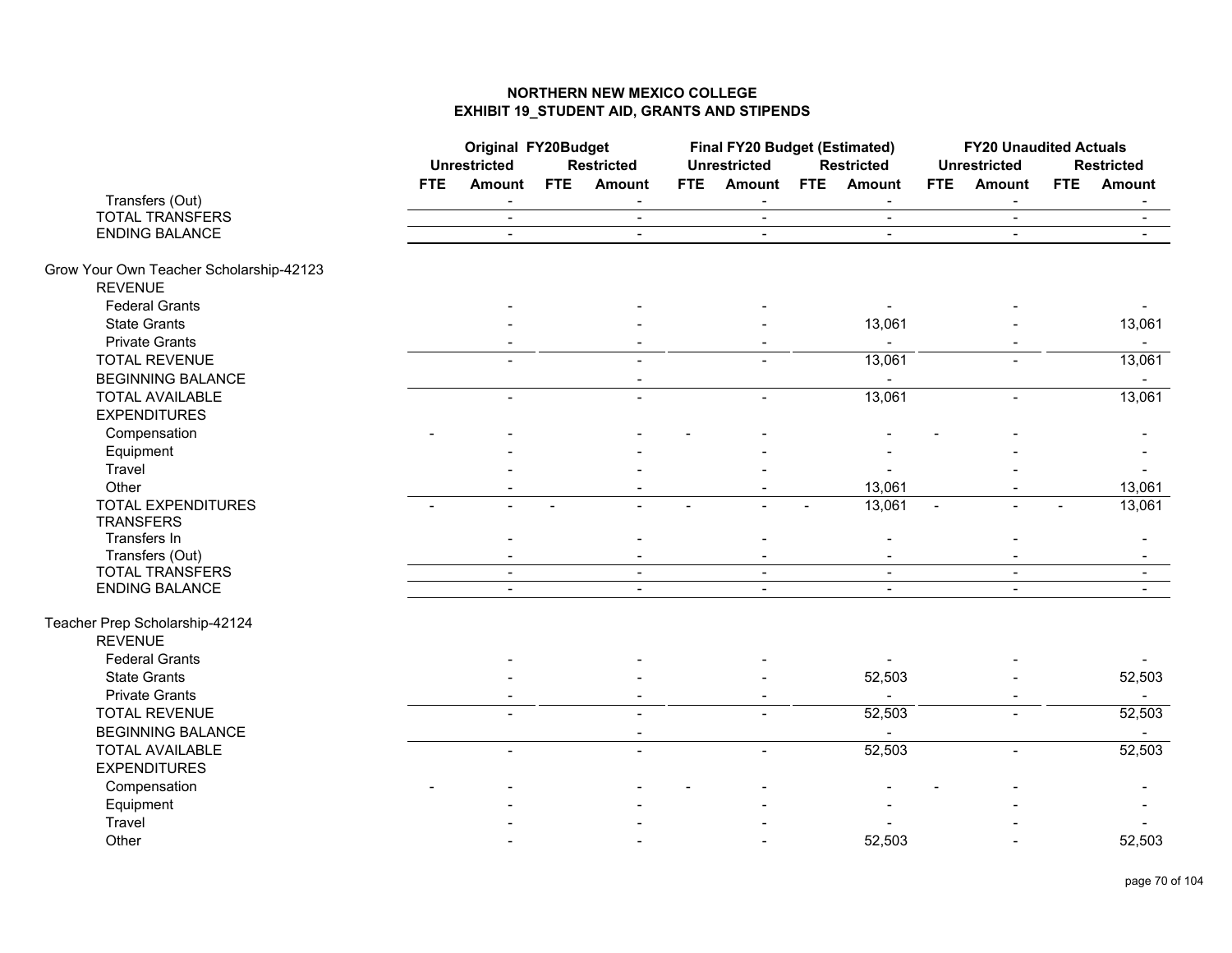|                                         | <b>Original FY20Budget</b><br><b>Unrestricted</b> |                          |                | <b>Restricted</b> |            | <b>Final FY20 Budget (Estimated)</b><br><b>Unrestricted</b> |            | <b>Restricted</b> |                | <b>FY20 Unaudited Actuals</b><br><b>Unrestricted</b> |            | <b>Restricted</b> |
|-----------------------------------------|---------------------------------------------------|--------------------------|----------------|-------------------|------------|-------------------------------------------------------------|------------|-------------------|----------------|------------------------------------------------------|------------|-------------------|
|                                         | <b>FTE</b>                                        | <b>Amount</b>            | <b>FTE</b>     | <b>Amount</b>     | <b>FTE</b> | <b>Amount</b>                                               | <b>FTE</b> | Amount            | <b>FTE</b>     | Amount                                               | <b>FTE</b> | <b>Amount</b>     |
| Transfers (Out)                         |                                                   | $\overline{\phantom{a}}$ |                | $\blacksquare$    |            | $\overline{\phantom{a}}$                                    |            | $\sim$            |                | $\blacksquare$                                       |            | $\blacksquare$    |
| <b>TOTAL TRANSFERS</b>                  |                                                   | $\sim$                   |                | $\blacksquare$    |            | $\blacksquare$                                              |            | $\blacksquare$    |                | $\blacksquare$                                       |            | $\sim$            |
| <b>ENDING BALANCE</b>                   |                                                   | $\mathbf{r}$             |                | $\overline{a}$    |            | $\blacksquare$                                              |            | $\mathbf{r}$      |                | $\blacksquare$                                       |            |                   |
| Grow Your Own Teacher Scholarship-42123 |                                                   |                          |                |                   |            |                                                             |            |                   |                |                                                      |            |                   |
| <b>REVENUE</b>                          |                                                   |                          |                |                   |            |                                                             |            |                   |                |                                                      |            |                   |
| <b>Federal Grants</b>                   |                                                   |                          |                |                   |            |                                                             |            |                   |                |                                                      |            |                   |
| <b>State Grants</b>                     |                                                   |                          |                |                   |            |                                                             |            | 13,061            |                |                                                      |            | 13,061            |
| <b>Private Grants</b>                   |                                                   |                          |                |                   |            |                                                             |            |                   |                |                                                      |            | $\sim$            |
| <b>TOTAL REVENUE</b>                    |                                                   |                          |                |                   |            |                                                             |            | 13,061            |                |                                                      |            | 13,061            |
| <b>BEGINNING BALANCE</b>                |                                                   |                          |                |                   |            |                                                             |            | $\blacksquare$    |                |                                                      |            |                   |
| <b>TOTAL AVAILABLE</b>                  |                                                   |                          |                |                   |            | $\overline{\phantom{a}}$                                    |            | 13,061            |                | $\blacksquare$                                       |            | 13,061            |
| <b>EXPENDITURES</b>                     |                                                   |                          |                |                   |            |                                                             |            |                   |                |                                                      |            |                   |
| Compensation                            |                                                   |                          |                |                   |            |                                                             |            |                   |                |                                                      |            |                   |
| Equipment                               |                                                   |                          |                |                   |            |                                                             |            |                   |                |                                                      |            |                   |
| Travel                                  |                                                   |                          |                |                   |            |                                                             |            |                   |                |                                                      |            |                   |
| Other                                   |                                                   |                          |                |                   |            |                                                             |            | 13,061            |                |                                                      |            | 13,061            |
| <b>TOTAL EXPENDITURES</b>               | $\overline{\phantom{0}}$                          |                          | $\blacksquare$ |                   |            |                                                             |            | 13,061            | $\blacksquare$ | $\overline{a}$                                       |            | 13,061            |
| <b>TRANSFERS</b>                        |                                                   |                          |                |                   |            |                                                             |            |                   |                |                                                      |            |                   |
| Transfers In                            |                                                   |                          |                |                   |            |                                                             |            |                   |                |                                                      |            |                   |
| Transfers (Out)                         |                                                   |                          |                |                   |            |                                                             |            |                   |                |                                                      |            |                   |
| <b>TOTAL TRANSFERS</b>                  |                                                   | $\sim$                   |                | $\blacksquare$    |            | $\sim$                                                      |            | $\sim$            |                | $\blacksquare$                                       |            | $\sim$            |
| ENDING BALANCE                          |                                                   |                          |                |                   |            |                                                             |            |                   |                |                                                      |            |                   |
| Teacher Prep Scholarship-42124          |                                                   |                          |                |                   |            |                                                             |            |                   |                |                                                      |            |                   |
| <b>REVENUE</b>                          |                                                   |                          |                |                   |            |                                                             |            |                   |                |                                                      |            |                   |
| <b>Federal Grants</b>                   |                                                   |                          |                |                   |            |                                                             |            |                   |                |                                                      |            |                   |
| <b>State Grants</b>                     |                                                   |                          |                |                   |            |                                                             |            | 52,503            |                |                                                      |            | 52,503            |
| <b>Private Grants</b>                   |                                                   |                          |                |                   |            |                                                             |            | $\blacksquare$    |                |                                                      |            | $\sim$ $^{-1}$    |
| <b>TOTAL REVENUE</b>                    |                                                   |                          |                |                   |            |                                                             |            | 52,503            |                |                                                      |            | 52,503            |
| <b>BEGINNING BALANCE</b>                |                                                   |                          |                | $\blacksquare$    |            |                                                             |            |                   |                |                                                      |            | $\sim$            |
| <b>TOTAL AVAILABLE</b>                  |                                                   | $\overline{a}$           |                | $\overline{a}$    |            | $\overline{a}$                                              |            | 52,503            |                | $\blacksquare$                                       |            | 52,503            |
| <b>EXPENDITURES</b>                     |                                                   |                          |                |                   |            |                                                             |            |                   |                |                                                      |            |                   |
| Compensation                            |                                                   |                          |                |                   |            |                                                             |            |                   |                |                                                      |            |                   |
| Equipment                               |                                                   |                          |                |                   |            |                                                             |            |                   |                |                                                      |            |                   |
| Travel                                  |                                                   |                          |                |                   |            |                                                             |            |                   |                |                                                      |            |                   |
| Other                                   |                                                   |                          |                |                   |            |                                                             |            | 52,503            |                |                                                      |            | 52,503            |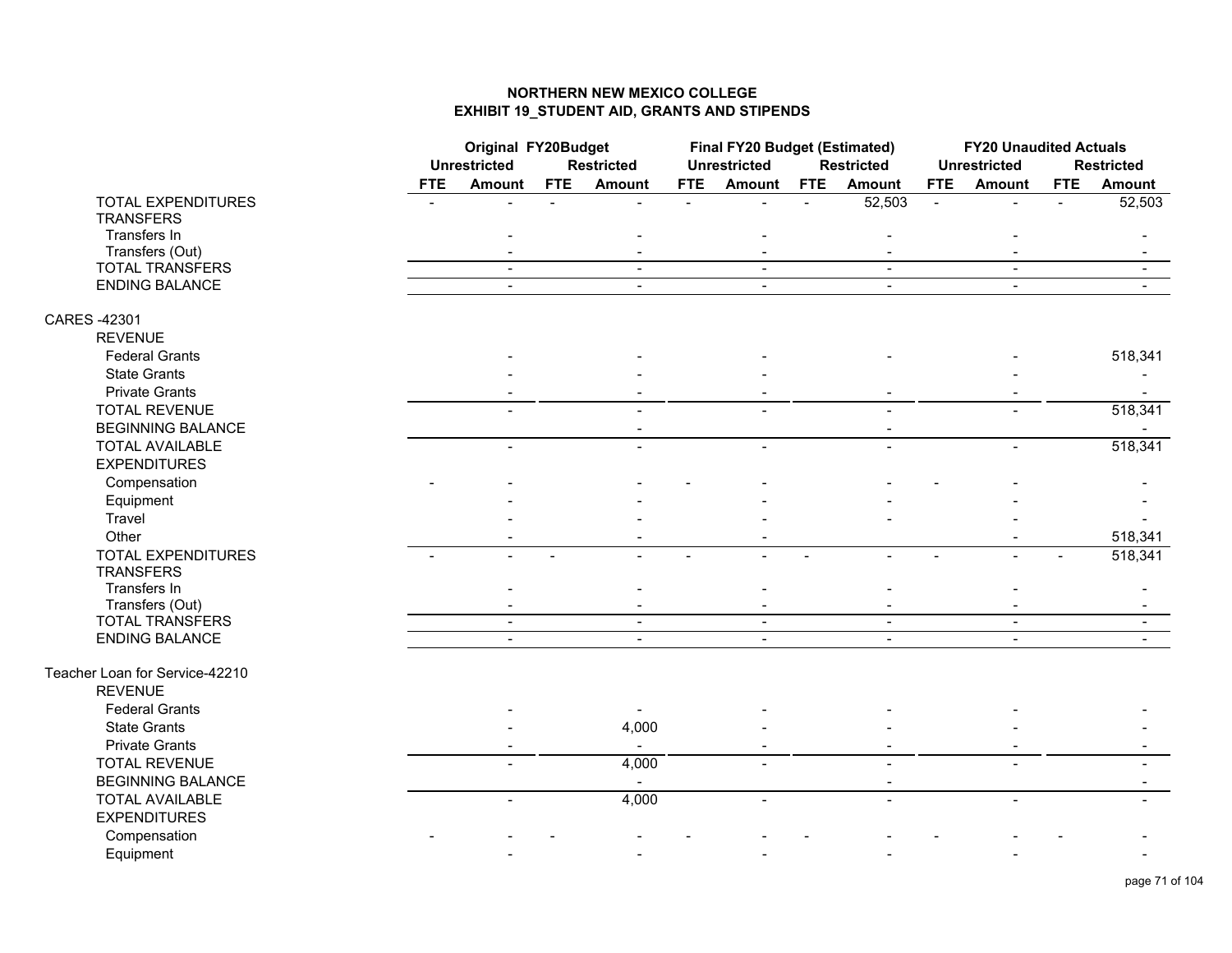|                                                  |            | <b>Original FY20Budget</b><br><b>Unrestricted</b><br><b>Restricted</b> |                |                          | <b>Final FY20 Budget (Estimated)</b><br><b>Unrestricted</b> |                                  | <b>Restricted</b> |                                  | <b>FY20 Unaudited Actuals</b><br><b>Unrestricted</b> |                                  | <b>Restricted</b> |         |
|--------------------------------------------------|------------|------------------------------------------------------------------------|----------------|--------------------------|-------------------------------------------------------------|----------------------------------|-------------------|----------------------------------|------------------------------------------------------|----------------------------------|-------------------|---------|
|                                                  | <b>FTE</b> | <b>Amount</b>                                                          | <b>FTE</b>     | Amount                   | <b>FTE</b>                                                  | <b>Amount</b>                    | FTE               | <b>Amount</b>                    | FTE                                                  | <b>Amount</b>                    | <b>FTE</b>        | Amount  |
| <b>TOTAL EXPENDITURES</b><br><b>TRANSFERS</b>    |            |                                                                        | $\overline{a}$ | $\overline{a}$           | $\blacksquare$                                              |                                  |                   | 52,503                           | $\mathbf{L}$                                         | $\overline{a}$                   | $\overline{a}$    | 52,503  |
| Transfers In                                     |            |                                                                        |                |                          |                                                             |                                  |                   |                                  |                                                      |                                  |                   |         |
| Transfers (Out)                                  |            |                                                                        |                |                          |                                                             |                                  |                   |                                  |                                                      |                                  |                   |         |
| <b>TOTAL TRANSFERS</b><br>ENDING BALANCE         |            | $\sim$                                                                 |                | $\sim$                   |                                                             | $\sim$                           |                   | $\sim$<br>$\overline{a}$         |                                                      | $\blacksquare$<br>$\blacksquare$ |                   | $\sim$  |
| CARES -42301                                     |            |                                                                        |                |                          |                                                             |                                  |                   |                                  |                                                      |                                  |                   |         |
| <b>REVENUE</b>                                   |            |                                                                        |                |                          |                                                             |                                  |                   |                                  |                                                      |                                  |                   |         |
| <b>Federal Grants</b>                            |            |                                                                        |                |                          |                                                             |                                  |                   |                                  |                                                      |                                  |                   | 518,341 |
| <b>State Grants</b>                              |            |                                                                        |                |                          |                                                             |                                  |                   |                                  |                                                      |                                  |                   |         |
| <b>Private Grants</b>                            |            |                                                                        |                |                          |                                                             |                                  |                   |                                  |                                                      |                                  |                   |         |
| <b>TOTAL REVENUE</b><br><b>BEGINNING BALANCE</b> |            |                                                                        |                |                          |                                                             |                                  |                   |                                  |                                                      |                                  |                   | 518,341 |
| <b>TOTAL AVAILABLE</b>                           |            |                                                                        |                |                          |                                                             |                                  |                   | $\overline{\phantom{0}}$         |                                                      |                                  |                   | 518,341 |
| <b>EXPENDITURES</b>                              |            |                                                                        |                |                          |                                                             |                                  |                   |                                  |                                                      |                                  |                   |         |
| Compensation                                     |            |                                                                        |                |                          |                                                             |                                  |                   |                                  |                                                      |                                  |                   |         |
| Equipment                                        |            |                                                                        |                |                          |                                                             |                                  |                   |                                  |                                                      |                                  |                   |         |
| Travel                                           |            |                                                                        |                |                          |                                                             |                                  |                   |                                  |                                                      |                                  |                   |         |
| Other                                            |            |                                                                        |                |                          |                                                             |                                  |                   |                                  |                                                      |                                  |                   | 518,341 |
| <b>TOTAL EXPENDITURES</b>                        |            |                                                                        |                |                          |                                                             |                                  |                   |                                  |                                                      |                                  |                   | 518,341 |
| <b>TRANSFERS</b>                                 |            |                                                                        |                |                          |                                                             |                                  |                   |                                  |                                                      |                                  |                   |         |
| Transfers In                                     |            |                                                                        |                |                          |                                                             |                                  |                   |                                  |                                                      |                                  |                   |         |
| Transfers (Out)                                  |            |                                                                        |                |                          |                                                             |                                  |                   |                                  |                                                      |                                  |                   |         |
| <b>TOTAL TRANSFERS</b><br><b>ENDING BALANCE</b>  |            | $\blacksquare$                                                         |                | $\blacksquare$<br>$\sim$ |                                                             | $\blacksquare$<br>$\blacksquare$ |                   | $\blacksquare$<br>$\blacksquare$ |                                                      | $\blacksquare$<br>$\blacksquare$ |                   |         |
|                                                  |            |                                                                        |                |                          |                                                             |                                  |                   |                                  |                                                      |                                  |                   |         |
| Teacher Loan for Service-42210                   |            |                                                                        |                |                          |                                                             |                                  |                   |                                  |                                                      |                                  |                   |         |
| <b>REVENUE</b>                                   |            |                                                                        |                |                          |                                                             |                                  |                   |                                  |                                                      |                                  |                   |         |
| <b>Federal Grants</b>                            |            |                                                                        |                |                          |                                                             |                                  |                   |                                  |                                                      |                                  |                   |         |
| <b>State Grants</b>                              |            |                                                                        |                | 4,000                    |                                                             |                                  |                   |                                  |                                                      |                                  |                   |         |
| <b>Private Grants</b>                            |            |                                                                        |                | $\overline{\phantom{a}}$ |                                                             |                                  |                   |                                  |                                                      |                                  |                   |         |
| <b>TOTAL REVENUE</b>                             |            |                                                                        |                | 4,000                    |                                                             |                                  |                   |                                  |                                                      |                                  |                   |         |
| <b>BEGINNING BALANCE</b>                         |            |                                                                        |                |                          |                                                             |                                  |                   | $\overline{\phantom{a}}$         |                                                      |                                  |                   |         |
| <b>TOTAL AVAILABLE</b>                           |            | $\overline{\phantom{0}}$                                               |                | 4,000                    |                                                             | $\blacksquare$                   |                   | $\blacksquare$                   |                                                      | $\blacksquare$                   |                   |         |
| <b>EXPENDITURES</b>                              |            |                                                                        |                |                          |                                                             |                                  |                   |                                  |                                                      |                                  |                   |         |
| Compensation                                     |            |                                                                        |                |                          |                                                             |                                  |                   |                                  |                                                      |                                  |                   |         |
| Equipment                                        |            |                                                                        |                |                          |                                                             |                                  |                   |                                  |                                                      |                                  |                   |         |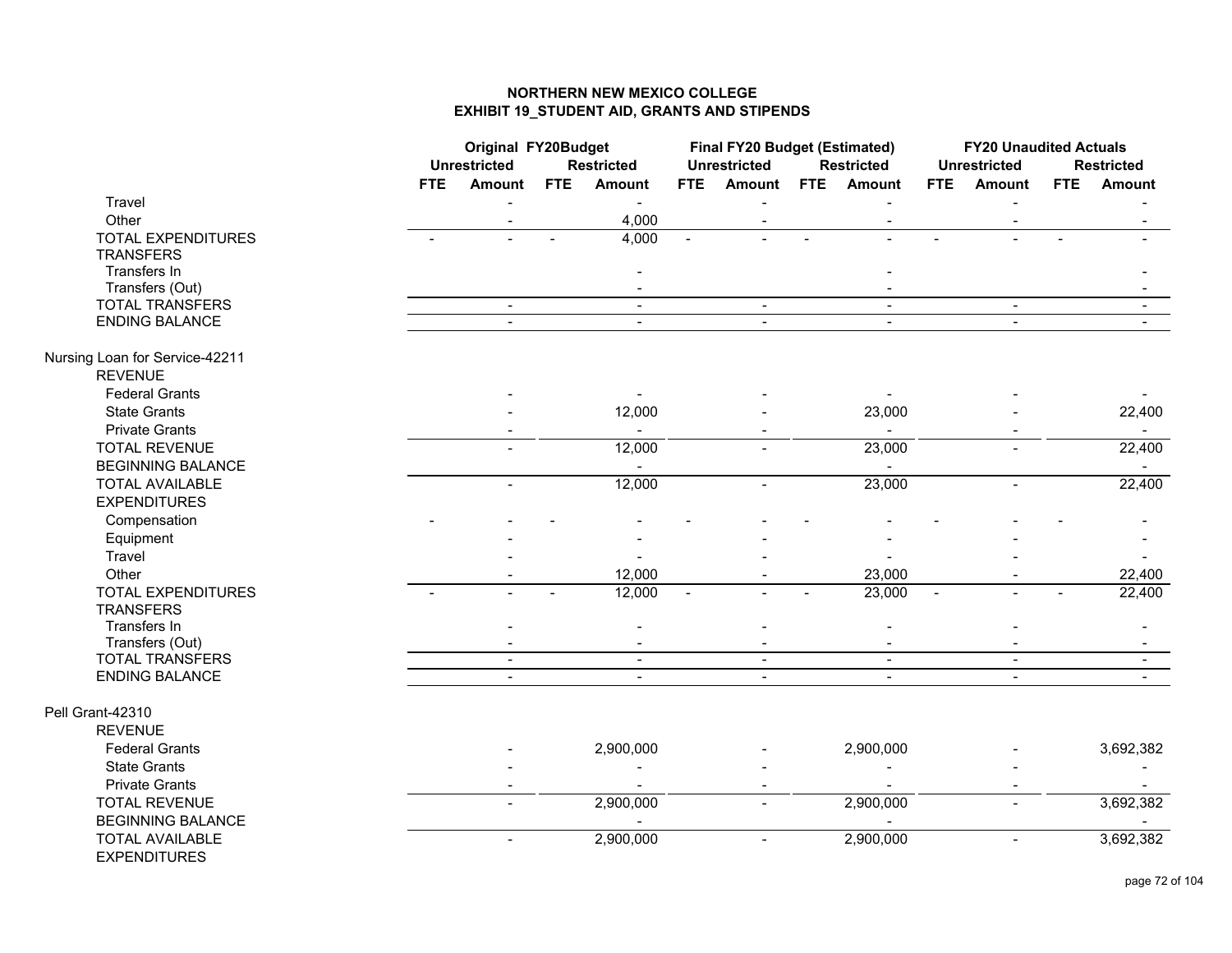|                                | <b>Original FY20Budget</b><br><b>Unrestricted</b> |                          | <b>Restricted</b> |                | Final FY20 Budget (Estimated)<br><b>Unrestricted</b> |                | <b>Restricted</b> |                          | <b>FY20 Unaudited Actuals</b><br><b>Unrestricted</b> |                | <b>Restricted</b> |                |
|--------------------------------|---------------------------------------------------|--------------------------|-------------------|----------------|------------------------------------------------------|----------------|-------------------|--------------------------|------------------------------------------------------|----------------|-------------------|----------------|
|                                | <b>FTE</b>                                        | <b>Amount</b>            | <b>FTE</b>        | <b>Amount</b>  | <b>FTE</b>                                           | <b>Amount</b>  | <b>FTE</b>        | Amount                   | <b>FTE</b>                                           | Amount         | <b>FTE</b>        | <b>Amount</b>  |
| Travel                         |                                                   |                          |                   | $\blacksquare$ |                                                      |                |                   |                          |                                                      |                |                   |                |
| Other                          |                                                   |                          |                   | 4,000          |                                                      | $\blacksquare$ |                   | $\overline{\phantom{a}}$ |                                                      |                |                   |                |
| <b>TOTAL EXPENDITURES</b>      |                                                   |                          |                   | 4,000          |                                                      |                |                   |                          |                                                      |                |                   |                |
| <b>TRANSFERS</b>               |                                                   |                          |                   |                |                                                      |                |                   |                          |                                                      |                |                   |                |
| Transfers In                   |                                                   |                          |                   |                |                                                      |                |                   |                          |                                                      |                |                   |                |
| Transfers (Out)                |                                                   |                          |                   | $\blacksquare$ |                                                      |                |                   |                          |                                                      |                |                   |                |
| <b>TOTAL TRANSFERS</b>         |                                                   | $\blacksquare$           |                   | $\blacksquare$ |                                                      | $\blacksquare$ |                   | $\overline{\phantom{a}}$ |                                                      | $\blacksquare$ |                   | $\blacksquare$ |
| <b>ENDING BALANCE</b>          |                                                   |                          |                   | $\blacksquare$ |                                                      |                |                   | $\blacksquare$           |                                                      |                |                   |                |
| Nursing Loan for Service-42211 |                                                   |                          |                   |                |                                                      |                |                   |                          |                                                      |                |                   |                |
| <b>REVENUE</b>                 |                                                   |                          |                   |                |                                                      |                |                   |                          |                                                      |                |                   |                |
| <b>Federal Grants</b>          |                                                   |                          |                   |                |                                                      |                |                   |                          |                                                      |                |                   |                |
| <b>State Grants</b>            |                                                   |                          |                   | 12,000         |                                                      |                |                   | 23,000                   |                                                      |                |                   | 22,400         |
| <b>Private Grants</b>          |                                                   |                          |                   | $\blacksquare$ |                                                      |                |                   | $\sim$                   |                                                      |                |                   | $\sim$         |
| <b>TOTAL REVENUE</b>           |                                                   |                          |                   | 12,000         |                                                      |                |                   | 23,000                   |                                                      |                |                   | 22,400         |
| <b>BEGINNING BALANCE</b>       |                                                   |                          |                   |                |                                                      |                |                   |                          |                                                      |                |                   |                |
| <b>TOTAL AVAILABLE</b>         |                                                   | $\overline{\phantom{0}}$ |                   | 12,000         |                                                      | $\blacksquare$ |                   | 23,000                   |                                                      | $\blacksquare$ |                   | 22,400         |
| <b>EXPENDITURES</b>            |                                                   |                          |                   |                |                                                      |                |                   |                          |                                                      |                |                   |                |
| Compensation                   |                                                   |                          |                   |                |                                                      |                |                   |                          |                                                      |                |                   |                |
| Equipment                      |                                                   |                          |                   |                |                                                      |                |                   |                          |                                                      |                |                   |                |
| Travel                         |                                                   |                          |                   |                |                                                      |                |                   |                          |                                                      |                |                   |                |
| Other                          |                                                   |                          |                   | 12,000         |                                                      |                |                   | 23,000                   |                                                      |                |                   | 22,400         |
| <b>TOTAL EXPENDITURES</b>      |                                                   |                          |                   | 12,000         |                                                      |                |                   | 23,000                   |                                                      |                |                   | 22,400         |
| <b>TRANSFERS</b>               |                                                   |                          |                   |                |                                                      |                |                   |                          |                                                      |                |                   |                |
| Transfers In                   |                                                   |                          |                   |                |                                                      |                |                   |                          |                                                      |                |                   |                |
| Transfers (Out)                |                                                   |                          |                   | $\blacksquare$ |                                                      |                |                   |                          |                                                      |                |                   |                |
| <b>TOTAL TRANSFERS</b>         |                                                   | $\sim$                   |                   | $\blacksquare$ |                                                      | $\blacksquare$ |                   | $\sim$                   |                                                      | $\blacksquare$ |                   |                |
| <b>ENDING BALANCE</b>          |                                                   | $\sim$                   |                   | $\blacksquare$ |                                                      | $\blacksquare$ |                   | $\blacksquare$           |                                                      | $\blacksquare$ |                   |                |
| Pell Grant-42310               |                                                   |                          |                   |                |                                                      |                |                   |                          |                                                      |                |                   |                |
| <b>REVENUE</b>                 |                                                   |                          |                   |                |                                                      |                |                   |                          |                                                      |                |                   |                |
| <b>Federal Grants</b>          |                                                   |                          |                   | 2,900,000      |                                                      |                |                   | 2,900,000                |                                                      |                |                   | 3,692,382      |
| <b>State Grants</b>            |                                                   |                          |                   |                |                                                      |                |                   | $\overline{a}$           |                                                      |                |                   |                |
| <b>Private Grants</b>          |                                                   |                          |                   |                |                                                      |                |                   | $\overline{a}$           |                                                      |                |                   |                |
| <b>TOTAL REVENUE</b>           |                                                   |                          |                   | 2,900,000      |                                                      |                |                   | 2,900,000                |                                                      |                |                   | 3,692,382      |
| <b>BEGINNING BALANCE</b>       |                                                   |                          |                   |                |                                                      |                |                   |                          |                                                      |                |                   |                |
| <b>TOTAL AVAILABLE</b>         |                                                   | $\overline{a}$           |                   | 2,900,000      |                                                      | $\blacksquare$ |                   | 2,900,000                |                                                      | $\blacksquare$ |                   | 3,692,382      |
| <b>EXPENDITURES</b>            |                                                   |                          |                   |                |                                                      |                |                   |                          |                                                      |                |                   |                |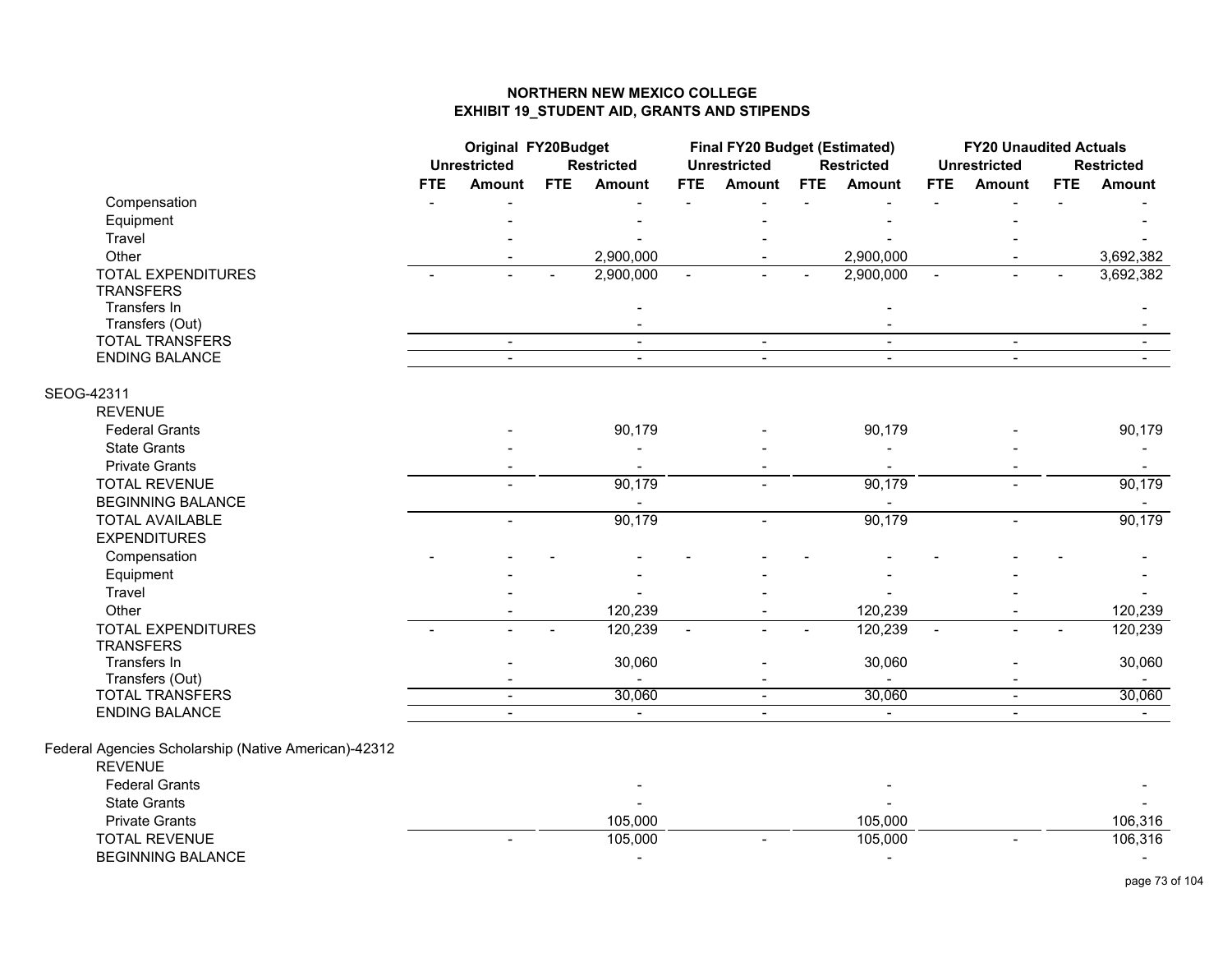|                                                      | <b>Original FY20Budget</b><br><b>Unrestricted</b><br><b>Restricted</b> |                |            | Final FY20 Budget (Estimated)<br><b>Unrestricted</b> |                | <b>Restricted</b> |            | <b>FY20 Unaudited Actuals</b><br><b>Unrestricted</b> |                | <b>Restricted</b> |     |                          |
|------------------------------------------------------|------------------------------------------------------------------------|----------------|------------|------------------------------------------------------|----------------|-------------------|------------|------------------------------------------------------|----------------|-------------------|-----|--------------------------|
|                                                      | <b>FTE</b>                                                             | Amount         | <b>FTE</b> | <b>Amount</b>                                        | <b>FTE</b>     | <b>Amount</b>     | <b>FTE</b> | <b>Amount</b>                                        | <b>FTE</b>     | Amount            | FTE | Amount                   |
| Compensation                                         |                                                                        |                |            |                                                      |                |                   |            |                                                      |                |                   |     |                          |
| Equipment                                            |                                                                        |                |            |                                                      |                |                   |            |                                                      |                |                   |     |                          |
| Travel                                               |                                                                        |                |            |                                                      |                |                   |            |                                                      |                |                   |     |                          |
| Other                                                |                                                                        |                |            | 2,900,000                                            |                |                   |            | 2,900,000                                            |                |                   |     | 3,692,382                |
| TOTAL EXPENDITURES                                   |                                                                        |                |            | 2,900,000                                            |                |                   |            | 2,900,000                                            | $\blacksquare$ |                   |     | 3,692,382                |
| <b>TRANSFERS</b>                                     |                                                                        |                |            |                                                      |                |                   |            |                                                      |                |                   |     |                          |
| Transfers In                                         |                                                                        |                |            |                                                      |                |                   |            |                                                      |                |                   |     |                          |
| Transfers (Out)                                      |                                                                        |                |            |                                                      |                |                   |            |                                                      |                |                   |     |                          |
| <b>TOTAL TRANSFERS</b>                               |                                                                        | $\blacksquare$ |            | $\blacksquare$                                       |                | $\blacksquare$    |            | $\blacksquare$                                       |                | $\blacksquare$    |     | $\sim$                   |
| <b>ENDING BALANCE</b>                                |                                                                        | $\overline{a}$ |            | $\blacksquare$                                       |                | $\blacksquare$    |            | $\overline{a}$                                       |                | $\mathbf{r}$      |     |                          |
| SEOG-42311                                           |                                                                        |                |            |                                                      |                |                   |            |                                                      |                |                   |     |                          |
| <b>REVENUE</b>                                       |                                                                        |                |            |                                                      |                |                   |            |                                                      |                |                   |     |                          |
| <b>Federal Grants</b>                                |                                                                        |                |            | 90,179                                               |                |                   |            | 90,179                                               |                |                   |     | 90,179                   |
| <b>State Grants</b>                                  |                                                                        |                |            |                                                      |                |                   |            |                                                      |                |                   |     | $\blacksquare$           |
| <b>Private Grants</b>                                |                                                                        |                |            |                                                      |                |                   |            |                                                      |                |                   |     |                          |
| <b>TOTAL REVENUE</b>                                 |                                                                        |                |            | 90,179                                               |                |                   |            | 90,179                                               |                |                   |     | 90,179                   |
| <b>BEGINNING BALANCE</b>                             |                                                                        |                |            |                                                      |                |                   |            |                                                      |                |                   |     |                          |
| <b>TOTAL AVAILABLE</b>                               |                                                                        | $\overline{a}$ |            | 90,179                                               |                |                   |            | 90,179                                               |                | $\overline{a}$    |     | 90,179                   |
| <b>EXPENDITURES</b>                                  |                                                                        |                |            |                                                      |                |                   |            |                                                      |                |                   |     |                          |
| Compensation                                         |                                                                        |                |            |                                                      |                |                   |            |                                                      |                |                   |     |                          |
| Equipment                                            |                                                                        |                |            |                                                      |                |                   |            |                                                      |                |                   |     |                          |
| Travel                                               |                                                                        |                |            |                                                      |                |                   |            |                                                      |                |                   |     |                          |
| Other                                                |                                                                        |                |            | 120,239                                              |                |                   |            | 120,239                                              |                |                   |     | 120,239                  |
| <b>TOTAL EXPENDITURES</b>                            |                                                                        |                |            | 120,239                                              | $\overline{a}$ |                   |            | 120,239                                              | $\overline{a}$ |                   |     | 120,239                  |
| <b>TRANSFERS</b>                                     |                                                                        |                |            |                                                      |                |                   |            |                                                      |                |                   |     |                          |
| Transfers In                                         |                                                                        |                |            | 30,060                                               |                |                   |            | 30,060                                               |                |                   |     | 30,060                   |
| Transfers (Out)                                      |                                                                        |                |            |                                                      |                |                   |            |                                                      |                |                   |     |                          |
| <b>TOTAL TRANSFERS</b>                               |                                                                        | $\sim$         |            | 30,060                                               |                | $\blacksquare$    |            | 30,060                                               |                | $\blacksquare$    |     | 30,060                   |
| ENDING BALANCE                                       |                                                                        |                |            | $\sim$                                               |                | $\blacksquare$    |            |                                                      |                |                   |     |                          |
| Federal Agencies Scholarship (Native American)-42312 |                                                                        |                |            |                                                      |                |                   |            |                                                      |                |                   |     |                          |
| <b>REVENUE</b>                                       |                                                                        |                |            |                                                      |                |                   |            |                                                      |                |                   |     |                          |
| <b>Federal Grants</b>                                |                                                                        |                |            |                                                      |                |                   |            |                                                      |                |                   |     |                          |
| <b>State Grants</b>                                  |                                                                        |                |            |                                                      |                |                   |            |                                                      |                |                   |     |                          |
| <b>Private Grants</b>                                |                                                                        |                |            | 105,000                                              |                |                   |            | 105,000                                              |                |                   |     | 106,316                  |
| <b>TOTAL REVENUE</b>                                 |                                                                        |                |            | 105,000                                              |                |                   |            | 105,000                                              |                |                   |     | 106,316                  |
| <b>BEGINNING BALANCE</b>                             |                                                                        |                |            | $\blacksquare$                                       |                |                   |            |                                                      |                |                   |     | $\overline{\phantom{0}}$ |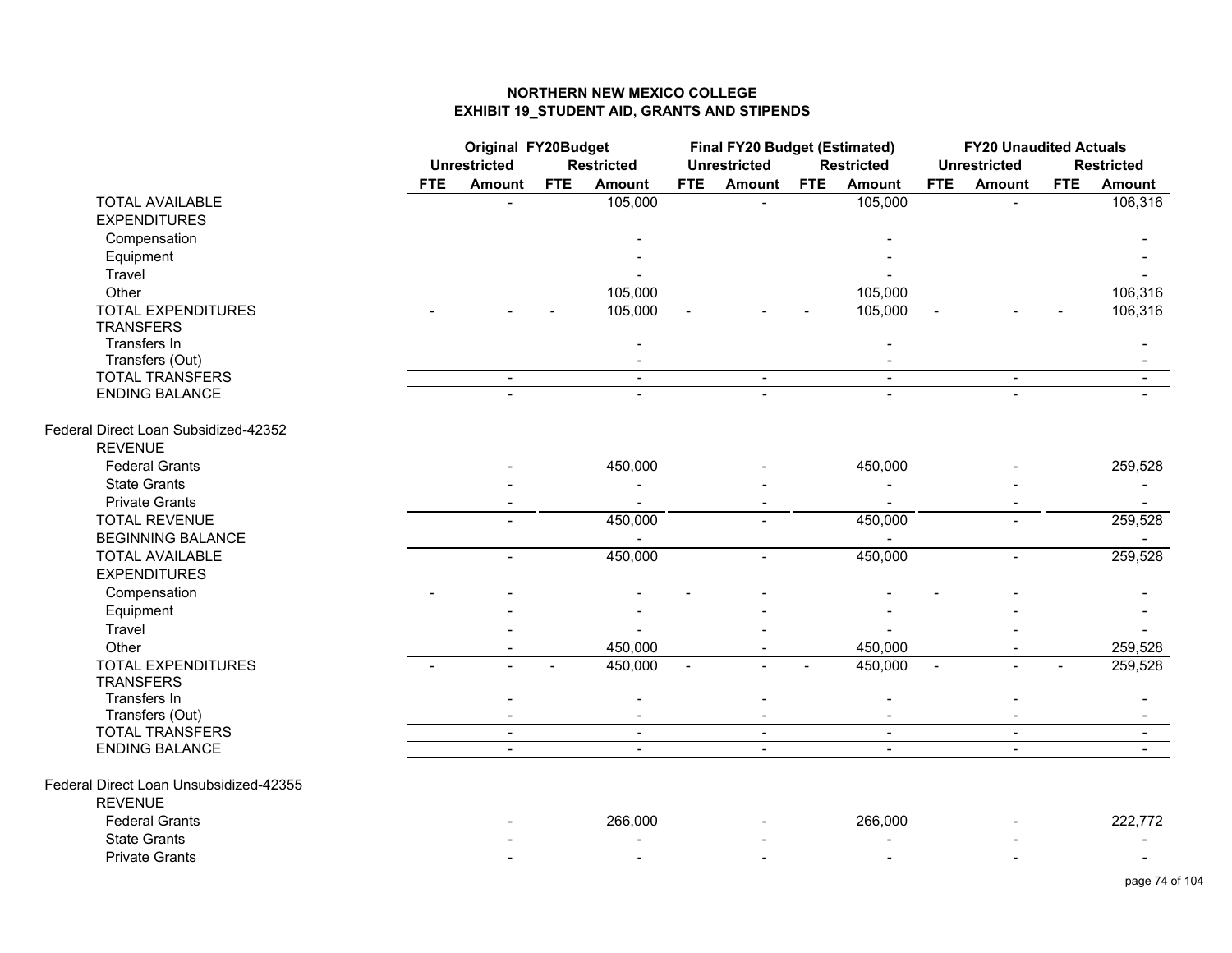|                                        | <b>Original FY20Budget</b><br><b>Unrestricted</b> |                |            | <b>Restricted</b> |                | Final FY20 Budget (Estimated)<br><b>Unrestricted</b> |            | <b>Restricted</b> |                | <b>FY20 Unaudited Actuals</b><br><b>Unrestricted</b> |            | <b>Restricted</b> |
|----------------------------------------|---------------------------------------------------|----------------|------------|-------------------|----------------|------------------------------------------------------|------------|-------------------|----------------|------------------------------------------------------|------------|-------------------|
|                                        | <b>FTE</b>                                        | <b>Amount</b>  | <b>FTE</b> | <b>Amount</b>     | <b>FTE</b>     | <b>Amount</b>                                        | <b>FTE</b> | <b>Amount</b>     | <b>FTE</b>     | <b>Amount</b>                                        | <b>FTE</b> | <b>Amount</b>     |
| <b>TOTAL AVAILABLE</b>                 |                                                   |                |            | 105,000           |                |                                                      |            | 105,000           |                |                                                      |            | 106,316           |
| <b>EXPENDITURES</b>                    |                                                   |                |            |                   |                |                                                      |            |                   |                |                                                      |            |                   |
| Compensation                           |                                                   |                |            |                   |                |                                                      |            |                   |                |                                                      |            |                   |
| Equipment                              |                                                   |                |            |                   |                |                                                      |            |                   |                |                                                      |            |                   |
| Travel                                 |                                                   |                |            |                   |                |                                                      |            |                   |                |                                                      |            |                   |
| Other                                  |                                                   |                |            | 105,000           |                |                                                      |            | 105,000           |                |                                                      |            | 106,316           |
| <b>TOTAL EXPENDITURES</b>              |                                                   |                |            | 105,000           | $\blacksquare$ |                                                      |            | 105,000           | $\sim$         |                                                      |            | 106,316           |
| <b>TRANSFERS</b>                       |                                                   |                |            |                   |                |                                                      |            |                   |                |                                                      |            |                   |
| Transfers In                           |                                                   |                |            |                   |                |                                                      |            |                   |                |                                                      |            |                   |
| Transfers (Out)                        |                                                   |                |            |                   |                |                                                      |            |                   |                |                                                      |            |                   |
| <b>TOTAL TRANSFERS</b>                 |                                                   | $\sim$         |            | $\sim$            |                | $\sim$                                               |            | $\sim$            |                | $\blacksquare$                                       |            | $\sim$            |
| <b>ENDING BALANCE</b>                  |                                                   | $\blacksquare$ |            | $\blacksquare$    |                | $\blacksquare$                                       |            | $\blacksquare$    |                | $\blacksquare$                                       |            |                   |
| Federal Direct Loan Subsidized-42352   |                                                   |                |            |                   |                |                                                      |            |                   |                |                                                      |            |                   |
| <b>REVENUE</b>                         |                                                   |                |            |                   |                |                                                      |            |                   |                |                                                      |            |                   |
| <b>Federal Grants</b>                  |                                                   |                |            | 450,000           |                |                                                      |            | 450,000           |                |                                                      |            | 259,528           |
| <b>State Grants</b>                    |                                                   |                |            |                   |                |                                                      |            |                   |                |                                                      |            |                   |
| <b>Private Grants</b>                  |                                                   |                |            |                   |                |                                                      |            |                   |                |                                                      |            | $\blacksquare$    |
| <b>TOTAL REVENUE</b>                   |                                                   |                |            | 450,000           |                |                                                      |            | 450,000           |                |                                                      |            | 259,528           |
| <b>BEGINNING BALANCE</b>               |                                                   |                |            |                   |                |                                                      |            | $\blacksquare$    |                |                                                      |            |                   |
| <b>TOTAL AVAILABLE</b>                 |                                                   |                |            | 450,000           |                |                                                      |            | 450,000           |                |                                                      |            | 259,528           |
| <b>EXPENDITURES</b>                    |                                                   |                |            |                   |                |                                                      |            |                   |                |                                                      |            |                   |
| Compensation                           |                                                   |                |            |                   |                |                                                      |            |                   |                |                                                      |            |                   |
| Equipment                              |                                                   |                |            |                   |                |                                                      |            |                   |                |                                                      |            |                   |
| Travel                                 |                                                   |                |            |                   |                |                                                      |            |                   |                |                                                      |            |                   |
| Other                                  |                                                   |                |            | 450,000           |                |                                                      |            | 450,000           |                |                                                      |            | 259,528           |
| <b>TOTAL EXPENDITURES</b>              |                                                   |                |            | 450,000           |                |                                                      |            | 450,000           | $\blacksquare$ |                                                      |            | 259,528           |
| <b>TRANSFERS</b>                       |                                                   |                |            |                   |                |                                                      |            |                   |                |                                                      |            |                   |
| Transfers In                           |                                                   |                |            |                   |                |                                                      |            |                   |                |                                                      |            |                   |
| Transfers (Out)                        |                                                   |                |            |                   |                |                                                      |            |                   |                |                                                      |            |                   |
| <b>TOTAL TRANSFERS</b>                 |                                                   | $\blacksquare$ |            | $\blacksquare$    |                | $\sim$                                               |            | $\blacksquare$    |                | $\blacksquare$                                       |            | $\blacksquare$    |
| <b>ENDING BALANCE</b>                  |                                                   | $\mathbf{r}$   |            | $\sim$            |                | $\mathbf{r}$                                         |            | $\mathbf{r}$      |                | $\mathbf{r}$                                         |            | $\sim$            |
| Federal Direct Loan Unsubsidized-42355 |                                                   |                |            |                   |                |                                                      |            |                   |                |                                                      |            |                   |
| <b>REVENUE</b>                         |                                                   |                |            |                   |                |                                                      |            |                   |                |                                                      |            |                   |
| <b>Federal Grants</b>                  |                                                   |                |            | 266,000           |                |                                                      |            | 266,000           |                |                                                      |            | 222,772           |
| <b>State Grants</b>                    |                                                   |                |            |                   |                |                                                      |            |                   |                |                                                      |            |                   |
| <b>Private Grants</b>                  |                                                   |                |            |                   |                |                                                      |            |                   |                |                                                      |            |                   |
|                                        |                                                   |                |            |                   |                |                                                      |            |                   |                |                                                      |            |                   |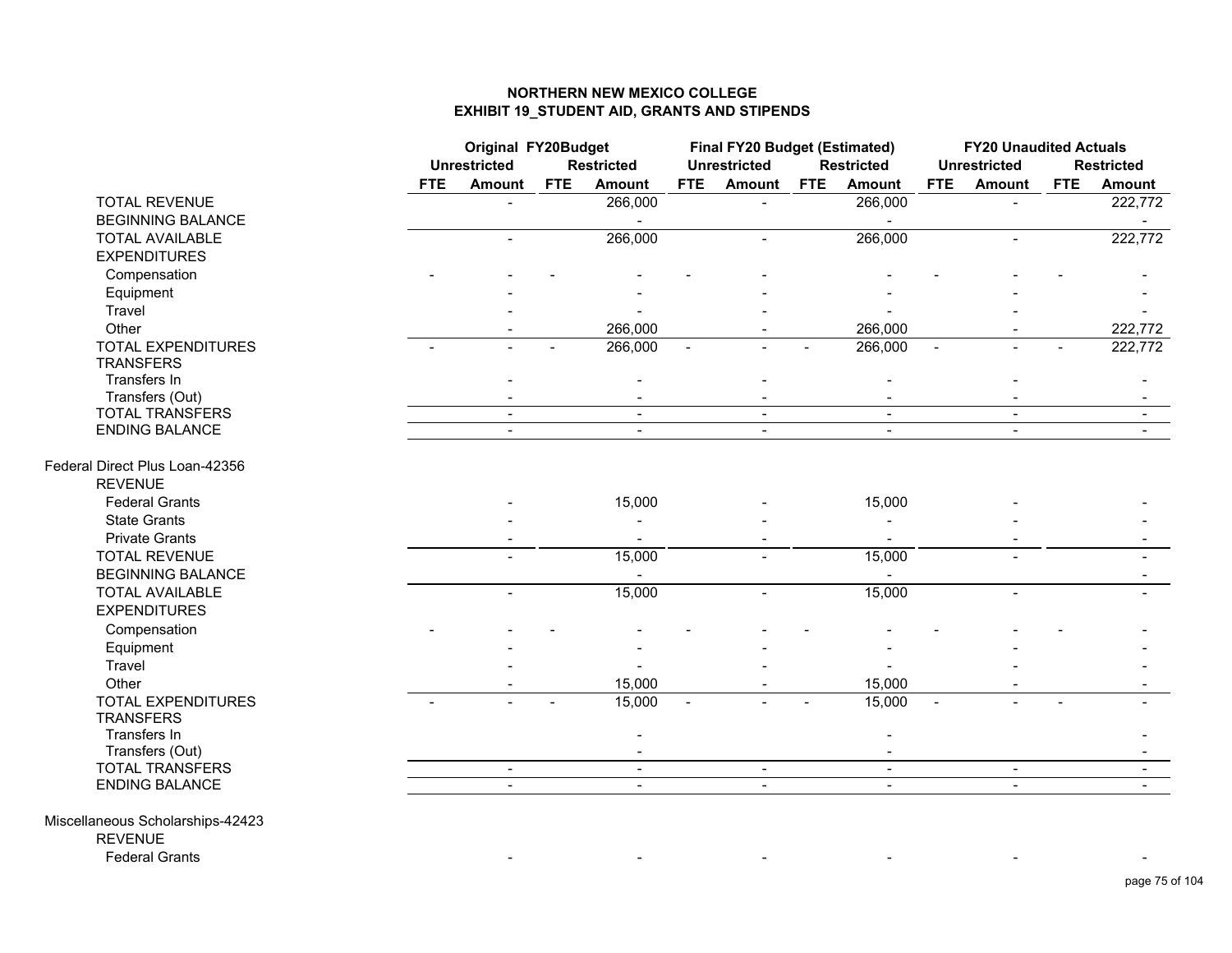|                                |            | <b>Original FY20Budget</b><br><b>Unrestricted</b> |            | <b>Restricted</b> |                          | Final FY20 Budget (Estimated)<br><b>Unrestricted</b> |            | <b>Restricted</b>        |                          | <b>FY20 Unaudited Actuals</b><br><b>Unrestricted</b> |            | <b>Restricted</b> |
|--------------------------------|------------|---------------------------------------------------|------------|-------------------|--------------------------|------------------------------------------------------|------------|--------------------------|--------------------------|------------------------------------------------------|------------|-------------------|
|                                | <b>FTE</b> | Amount                                            | <b>FTE</b> | Amount            | <b>FTE</b>               | <b>Amount</b>                                        | <b>FTE</b> | <b>Amount</b>            | <b>FTE</b>               | Amount                                               | <b>FTE</b> | Amount            |
| <b>TOTAL REVENUE</b>           |            |                                                   |            | 266,000           |                          |                                                      |            | 266,000                  |                          |                                                      |            | 222,772           |
| <b>BEGINNING BALANCE</b>       |            |                                                   |            |                   |                          |                                                      |            |                          |                          |                                                      |            |                   |
| <b>TOTAL AVAILABLE</b>         |            |                                                   |            | 266,000           |                          |                                                      |            | 266,000                  |                          |                                                      |            | 222,772           |
| <b>EXPENDITURES</b>            |            |                                                   |            |                   |                          |                                                      |            |                          |                          |                                                      |            |                   |
| Compensation                   |            |                                                   |            |                   |                          |                                                      |            |                          |                          |                                                      |            |                   |
| Equipment                      |            |                                                   |            |                   |                          |                                                      |            |                          |                          |                                                      |            |                   |
| Travel                         |            |                                                   |            |                   |                          |                                                      |            |                          |                          |                                                      |            |                   |
| Other                          |            |                                                   |            | 266,000           |                          |                                                      |            | 266,000                  |                          |                                                      |            | 222,772           |
| <b>TOTAL EXPENDITURES</b>      |            |                                                   |            | 266,000           |                          |                                                      |            | 266,000                  |                          |                                                      |            | 222,772           |
| <b>TRANSFERS</b>               |            |                                                   |            |                   |                          |                                                      |            |                          |                          |                                                      |            |                   |
| Transfers In                   |            |                                                   |            |                   |                          |                                                      |            |                          |                          |                                                      |            |                   |
| Transfers (Out)                |            |                                                   |            |                   |                          |                                                      |            |                          |                          |                                                      |            |                   |
| <b>TOTAL TRANSFERS</b>         |            | $\blacksquare$                                    |            | $\sim$            |                          | $\blacksquare$                                       |            | $\blacksquare$           |                          | $\sim$                                               |            | $\blacksquare$    |
| <b>ENDING BALANCE</b>          |            | $\blacksquare$                                    |            | $\blacksquare$    |                          | $\sim$                                               |            | $\blacksquare$           |                          | $\blacksquare$                                       |            |                   |
| Federal Direct Plus Loan-42356 |            |                                                   |            |                   |                          |                                                      |            |                          |                          |                                                      |            |                   |
| <b>REVENUE</b>                 |            |                                                   |            |                   |                          |                                                      |            |                          |                          |                                                      |            |                   |
| <b>Federal Grants</b>          |            |                                                   |            | 15,000            |                          |                                                      |            | 15,000                   |                          |                                                      |            |                   |
| <b>State Grants</b>            |            |                                                   |            |                   |                          |                                                      |            |                          |                          |                                                      |            |                   |
| <b>Private Grants</b>          |            |                                                   |            |                   |                          | $\sim$                                               |            |                          |                          |                                                      |            |                   |
| <b>TOTAL REVENUE</b>           |            |                                                   |            | 15,000            |                          |                                                      |            | 15,000                   |                          |                                                      |            |                   |
| <b>BEGINNING BALANCE</b>       |            |                                                   |            |                   |                          |                                                      |            |                          |                          |                                                      |            |                   |
| <b>TOTAL AVAILABLE</b>         |            |                                                   |            | 15,000            |                          | $\blacksquare$                                       |            | 15,000                   |                          | $\blacksquare$                                       |            |                   |
| <b>EXPENDITURES</b>            |            |                                                   |            |                   |                          |                                                      |            |                          |                          |                                                      |            |                   |
| Compensation                   |            |                                                   |            |                   |                          |                                                      |            |                          |                          |                                                      |            |                   |
| Equipment                      |            |                                                   |            |                   |                          |                                                      |            |                          |                          |                                                      |            |                   |
| <b>Travel</b>                  |            |                                                   |            |                   |                          |                                                      |            |                          |                          |                                                      |            |                   |
| Other                          |            |                                                   |            | 15,000            |                          | $\blacksquare$                                       |            | 15,000                   |                          |                                                      |            |                   |
| <b>TOTAL EXPENDITURES</b>      |            |                                                   |            | 15,000            | $\overline{\phantom{a}}$ |                                                      |            | 15,000                   | $\overline{\phantom{a}}$ |                                                      |            |                   |
| <b>TRANSFERS</b>               |            |                                                   |            |                   |                          |                                                      |            |                          |                          |                                                      |            |                   |
| Transfers In                   |            |                                                   |            |                   |                          |                                                      |            |                          |                          |                                                      |            |                   |
| Transfers (Out)                |            |                                                   |            |                   |                          |                                                      |            |                          |                          |                                                      |            |                   |
| <b>TOTAL TRANSFERS</b>         |            | $\blacksquare$                                    |            | $\blacksquare$    |                          | $\sim$                                               |            | $\overline{\phantom{a}}$ |                          | $\blacksquare$                                       |            |                   |
| <b>ENDING BALANCE</b>          |            | $\overline{\phantom{0}}$                          |            | $\mathbf{r}$      |                          | $\sim$                                               |            | $\mathbf{r}$             |                          | $\mathbf{r}$                                         |            | $\sim$            |
|                                |            |                                                   |            |                   |                          |                                                      |            |                          |                          |                                                      |            |                   |

- - - - - -

Miscellaneous Scholarships-42423 REVENUEFederal Grants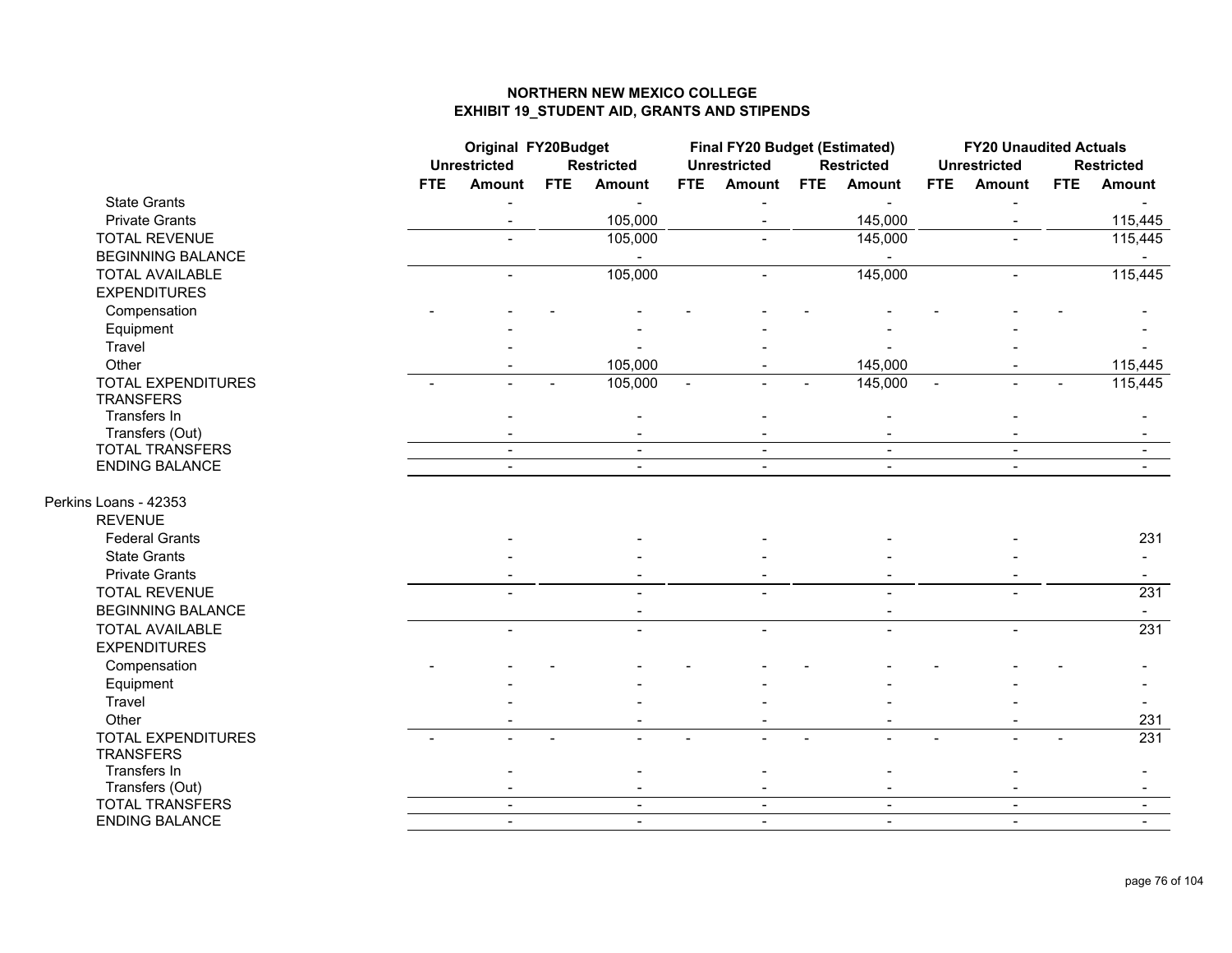|                           |            | Original FY20Budget      |            |                   |                | <b>Final FY20 Budget (Estimated)</b> |            |                   |                | <b>FY20 Unaudited Actuals</b> |            |                   |
|---------------------------|------------|--------------------------|------------|-------------------|----------------|--------------------------------------|------------|-------------------|----------------|-------------------------------|------------|-------------------|
|                           |            | <b>Unrestricted</b>      |            | <b>Restricted</b> |                | <b>Unrestricted</b>                  |            | <b>Restricted</b> |                | <b>Unrestricted</b>           |            | <b>Restricted</b> |
|                           | <b>FTE</b> | <b>Amount</b>            | <b>FTE</b> | <b>Amount</b>     | FTE            | <b>Amount</b>                        | <b>FTE</b> | <b>Amount</b>     | <b>FTE</b>     | <b>Amount</b>                 | <b>FTE</b> | <b>Amount</b>     |
| <b>State Grants</b>       |            |                          |            | $\sim$            |                |                                      |            |                   |                |                               |            |                   |
| <b>Private Grants</b>     |            |                          |            | 105,000           |                |                                      |            | 145,000           |                |                               |            | 115,445           |
| <b>TOTAL REVENUE</b>      |            |                          |            | 105,000           |                |                                      |            | 145,000           |                |                               |            | 115,445           |
| <b>BEGINNING BALANCE</b>  |            |                          |            |                   |                |                                      |            |                   |                |                               |            |                   |
| <b>TOTAL AVAILABLE</b>    |            | $\blacksquare$           |            | 105,000           |                | $\blacksquare$                       |            | 145,000           |                | $\overline{a}$                |            | 115,445           |
| <b>EXPENDITURES</b>       |            |                          |            |                   |                |                                      |            |                   |                |                               |            |                   |
| Compensation              |            |                          |            |                   |                |                                      |            |                   |                |                               |            |                   |
| Equipment                 |            |                          |            |                   |                |                                      |            |                   |                |                               |            |                   |
| Travel                    |            |                          |            |                   |                |                                      |            |                   |                |                               |            |                   |
| Other                     |            |                          |            | 105,000           |                |                                      |            | 145,000           |                |                               |            | 115,445           |
| <b>TOTAL EXPENDITURES</b> |            |                          |            | 105,000           | $\blacksquare$ |                                      |            | 145,000           | $\blacksquare$ |                               |            | 115,445           |
| <b>TRANSFERS</b>          |            |                          |            |                   |                |                                      |            |                   |                |                               |            |                   |
| Transfers In              |            |                          |            |                   |                |                                      |            |                   |                |                               |            |                   |
| Transfers (Out)           |            |                          |            |                   |                |                                      |            |                   |                |                               |            |                   |
| <b>TOTAL TRANSFERS</b>    |            | $\blacksquare$           |            | $\blacksquare$    |                | $\overline{\phantom{0}}$             |            | $\blacksquare$    |                | $\blacksquare$                |            | $\sim$            |
| <b>ENDING BALANCE</b>     |            | $\overline{\phantom{0}}$ |            | $\blacksquare$    |                | $\sim$                               |            | $\blacksquare$    |                | $\overline{\phantom{a}}$      |            | $\blacksquare$    |
|                           |            |                          |            |                   |                |                                      |            |                   |                |                               |            |                   |
| Perkins Loans - 42353     |            |                          |            |                   |                |                                      |            |                   |                |                               |            |                   |
| <b>REVENUE</b>            |            |                          |            |                   |                |                                      |            |                   |                |                               |            |                   |
| <b>Federal Grants</b>     |            |                          |            |                   |                |                                      |            |                   |                |                               |            | 231               |
| <b>State Grants</b>       |            |                          |            |                   |                |                                      |            |                   |                |                               |            |                   |
| <b>Private Grants</b>     |            |                          |            |                   |                |                                      |            |                   |                |                               |            | $\sim$            |
| <b>TOTAL REVENUE</b>      |            |                          |            |                   |                |                                      |            |                   |                |                               |            | 231               |
| <b>BEGINNING BALANCE</b>  |            |                          |            |                   |                |                                      |            |                   |                |                               |            | $\sim$            |
| <b>TOTAL AVAILABLE</b>    |            |                          |            |                   |                |                                      |            |                   |                |                               |            | 231               |
| <b>EXPENDITURES</b>       |            |                          |            |                   |                |                                      |            |                   |                |                               |            |                   |
| Compensation              |            |                          |            |                   |                |                                      |            |                   |                |                               |            |                   |
| Equipment                 |            |                          |            |                   |                |                                      |            |                   |                |                               |            |                   |
| Travel                    |            |                          |            |                   |                |                                      |            |                   |                |                               |            |                   |
| Other                     |            |                          |            |                   |                |                                      |            |                   |                |                               |            | 231               |
| <b>TOTAL EXPENDITURES</b> |            |                          |            |                   |                |                                      |            |                   |                |                               |            | 231               |
| <b>TRANSFERS</b>          |            |                          |            |                   |                |                                      |            |                   |                |                               |            |                   |
| Transfers In              |            |                          |            |                   |                |                                      |            |                   |                |                               |            |                   |
| Transfers (Out)           |            |                          |            |                   |                |                                      |            |                   |                |                               |            |                   |
| <b>TOTAL TRANSFERS</b>    |            |                          |            | $\sim$            |                | $\blacksquare$                       |            | $\blacksquare$    |                | $\blacksquare$                |            |                   |
| <b>ENDING BALANCE</b>     |            |                          |            | $\blacksquare$    |                | $\blacksquare$                       |            | $\blacksquare$    |                | $\blacksquare$                |            |                   |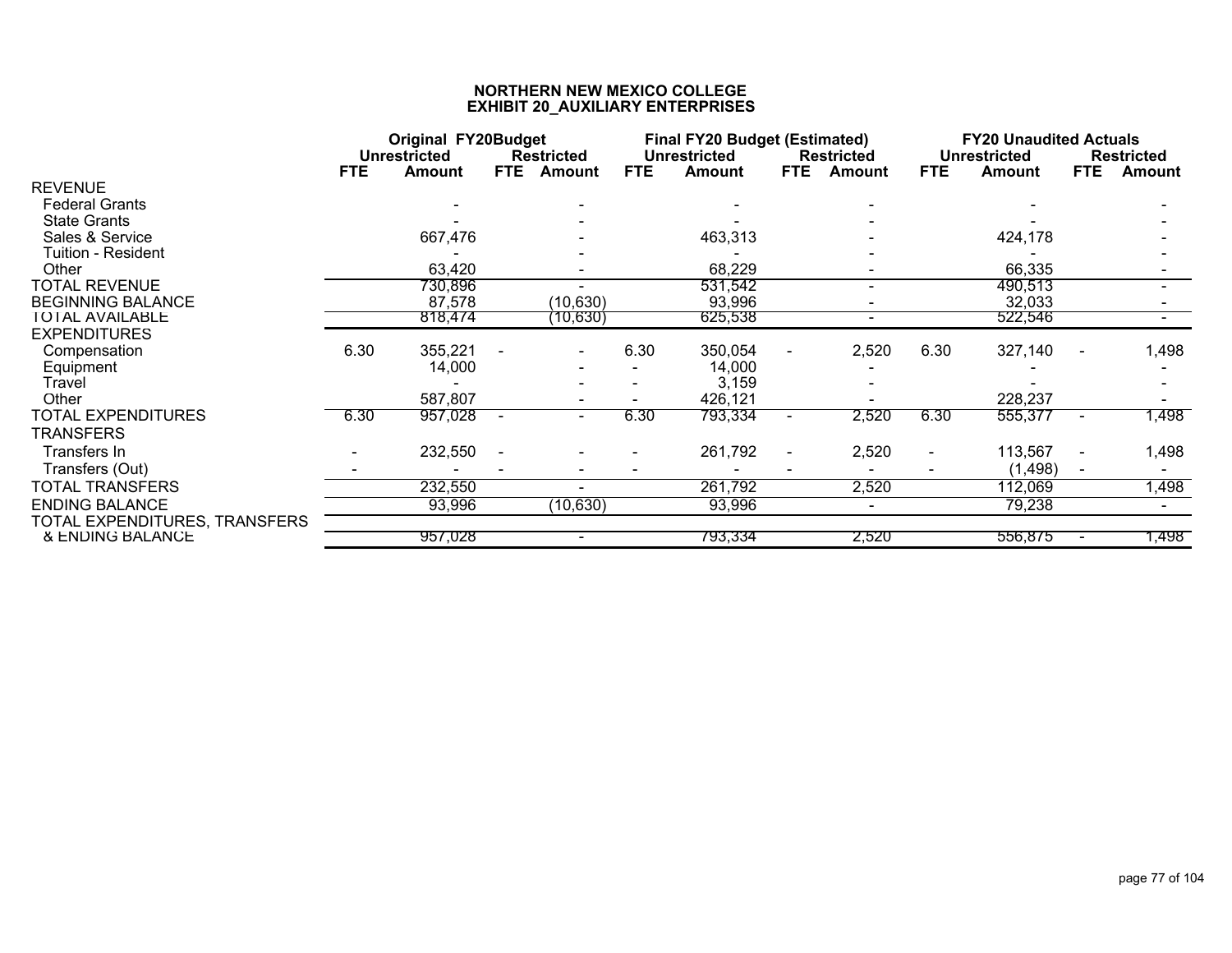|                               | <b>Original FY20Budget</b><br><b>Unrestricted</b><br><b>Restricted</b> |                   |            |           |            | <b>Final FY20 Budget (Estimated)</b> |            |                                    |            | <b>FY20 Unaudited Actuals</b>        |                |                                    |
|-------------------------------|------------------------------------------------------------------------|-------------------|------------|-----------|------------|--------------------------------------|------------|------------------------------------|------------|--------------------------------------|----------------|------------------------------------|
|                               | <b>FTE</b>                                                             | Amount            | <b>FTE</b> | Amount    | <b>FTE</b> | <b>Unrestricted</b><br>Amount        | <b>FTE</b> | <b>Restricted</b><br><b>Amount</b> | <b>FTE</b> | <b>Unrestricted</b><br><b>Amount</b> | <b>FTE</b>     | <b>Restricted</b><br><b>Amount</b> |
| <b>REVENUE</b>                |                                                                        |                   |            |           |            |                                      |            |                                    |            |                                      |                |                                    |
| <b>Federal Grants</b>         |                                                                        |                   |            |           |            |                                      |            |                                    |            |                                      |                |                                    |
| <b>State Grants</b>           |                                                                        |                   |            |           |            |                                      |            |                                    |            |                                      |                |                                    |
| Sales & Service               |                                                                        | 667,476           |            |           |            | 463,313                              |            |                                    |            | 424,178                              |                |                                    |
| Tuition - Resident            |                                                                        |                   |            |           |            |                                      |            |                                    |            |                                      |                |                                    |
| Other                         |                                                                        | 63,420            |            |           |            | 68,229                               |            |                                    |            | 66,335                               |                |                                    |
| <b>TOTAL REVENUE</b>          |                                                                        | 730,896           |            |           |            | 531,542                              |            |                                    |            | 490,513                              |                |                                    |
| <b>BEGINNING BALANCE</b>      |                                                                        | 87,578            |            | (10, 630) |            | 93,996                               |            |                                    |            | 32,033                               |                |                                    |
| <b>TOTAL AVAILABLE</b>        |                                                                        | 818,474           |            | (10,630)  |            | 625,538                              |            | ۰.                                 |            | 522,546                              |                |                                    |
| <b>EXPENDITURES</b>           |                                                                        |                   |            |           |            |                                      |            |                                    |            |                                      |                |                                    |
| Compensation                  | 6.30                                                                   | 355,221<br>14,000 |            |           | 6.30       | 350,054<br>14,000                    |            | 2,520                              | 6.30       | 327,140                              | $\sim$         | 1,498                              |
| Equipment<br>Travel           |                                                                        |                   |            |           |            | 3,159                                |            |                                    |            |                                      |                |                                    |
| Other                         |                                                                        | 587,807           |            |           |            | 426,121                              |            |                                    |            | 228,237                              |                |                                    |
| <b>TOTAL EXPENDITURES</b>     | 6.30                                                                   | 957,028           | $\sim$     | $\sim$    | 6.30       | 793,334                              |            | 2,520                              | 6.30       | 555,377                              | $\blacksquare$ | 1,498                              |
| TRANSFERS                     |                                                                        |                   |            |           |            |                                      |            |                                    |            |                                      |                |                                    |
| Transfers In                  |                                                                        | 232,550           |            |           |            | 261,792                              |            | 2,520                              | $\sim$     | 113,567                              | $\blacksquare$ | 1,498                              |
| Transfers (Out)               |                                                                        |                   |            |           |            |                                      |            |                                    |            | (1, 498)                             |                |                                    |
| <b>TOTAL TRANSFERS</b>        |                                                                        | 232,550           |            |           |            | 261,792                              |            | 2,520                              |            | 112,069                              |                | 1,498                              |
| <b>ENDING BALANCE</b>         |                                                                        | 93,996            |            | (10, 630) |            | 93,996                               |            | ۰                                  |            | 79,238                               |                |                                    |
| TOTAL EXPENDITURES, TRANSFERS |                                                                        |                   |            |           |            |                                      |            |                                    |            |                                      |                |                                    |
| & ENDING BALANCE              |                                                                        | 957,028           |            | $\sim$    |            | 793,334                              |            | 2,520                              |            | 556,875                              | $\blacksquare$ | 1,498                              |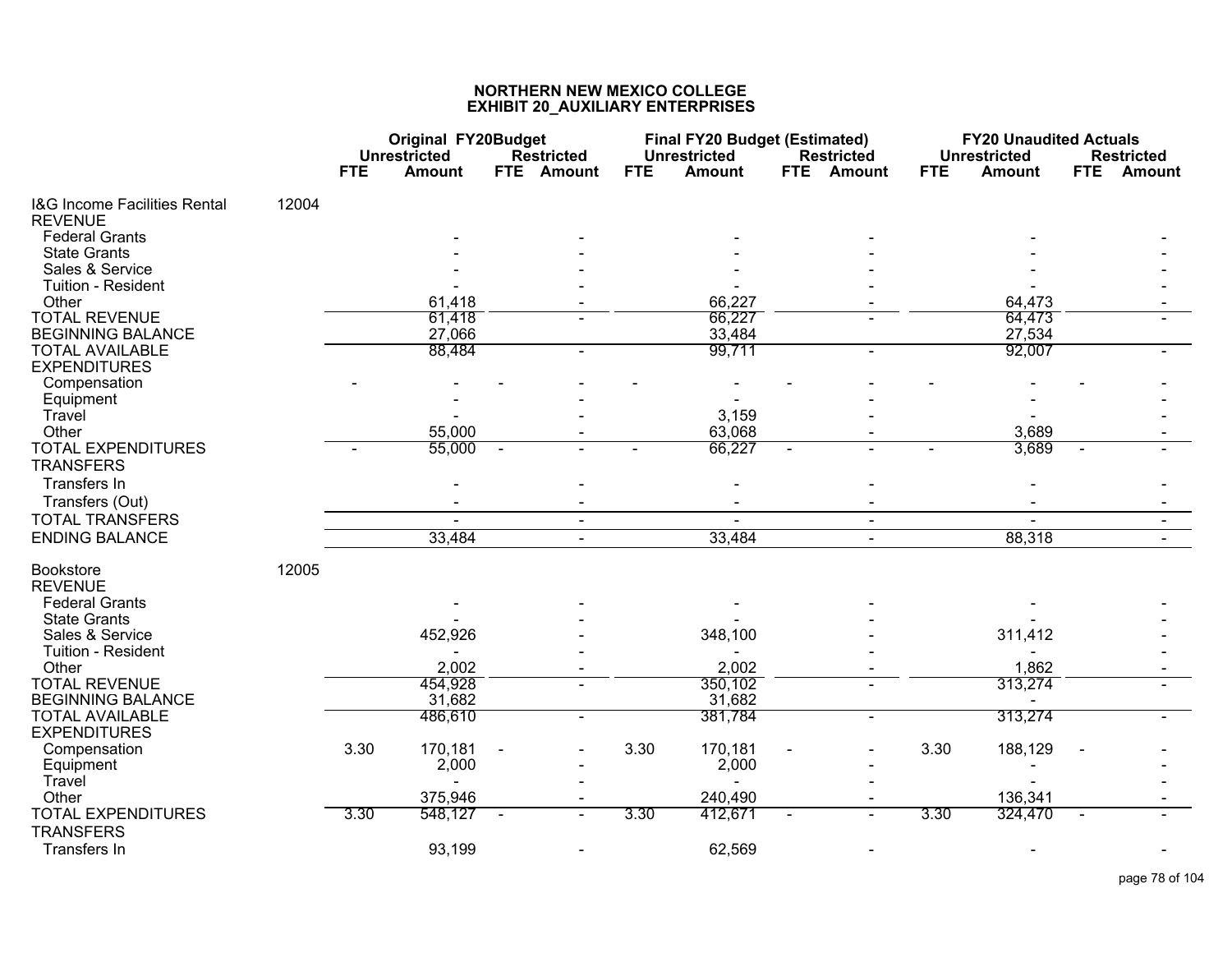|                                                           |       | <b>Original FY20Budget</b><br><b>Unrestricted</b> |               | <b>Restricted</b> |            | <b>Final FY20 Budget (Estimated)</b><br><b>Unrestricted</b> |            | <b>Restricted</b> |            | <b>FY20 Unaudited Actuals</b><br><b>Unrestricted</b> |                | <b>Restricted</b> |
|-----------------------------------------------------------|-------|---------------------------------------------------|---------------|-------------------|------------|-------------------------------------------------------------|------------|-------------------|------------|------------------------------------------------------|----------------|-------------------|
|                                                           |       | <b>FTE</b>                                        | <b>Amount</b> | FTE Amount        | <b>FTE</b> | <b>Amount</b>                                               | <b>FTE</b> | <b>Amount</b>     | <b>FTE</b> | <b>Amount</b>                                        | <b>FTE</b>     | <b>Amount</b>     |
| <b>I&amp;G Income Facilities Rental</b><br><b>REVENUE</b> | 12004 |                                                   |               |                   |            |                                                             |            |                   |            |                                                      |                |                   |
| <b>Federal Grants</b>                                     |       |                                                   |               |                   |            |                                                             |            |                   |            |                                                      |                |                   |
| <b>State Grants</b>                                       |       |                                                   |               |                   |            |                                                             |            |                   |            |                                                      |                |                   |
| Sales & Service                                           |       |                                                   |               |                   |            |                                                             |            |                   |            |                                                      |                |                   |
| Tuition - Resident                                        |       |                                                   |               |                   |            |                                                             |            |                   |            |                                                      |                |                   |
| Other                                                     |       |                                                   | 61,418        |                   |            | 66,227                                                      |            |                   |            | 64,473                                               |                |                   |
| <b>TOTAL REVENUE</b>                                      |       |                                                   | 61,418        |                   |            | 66,227                                                      |            |                   |            | 64,473                                               |                |                   |
| <b>BEGINNING BALANCE</b>                                  |       |                                                   | 27,066        |                   |            | 33,484                                                      |            |                   |            | 27,534                                               |                |                   |
| <b>TOTAL AVAILABLE</b><br><b>EXPENDITURES</b>             |       |                                                   | 88,484        |                   |            | 99,711                                                      |            |                   |            | 92,007                                               |                |                   |
| Compensation                                              |       |                                                   |               |                   |            |                                                             |            |                   |            |                                                      |                |                   |
| Equipment                                                 |       |                                                   |               |                   |            |                                                             |            |                   |            |                                                      |                |                   |
| Travel                                                    |       |                                                   |               |                   |            | 3,159                                                       |            |                   |            |                                                      |                |                   |
| Other                                                     |       |                                                   | 55,000        |                   |            | 63,068                                                      |            |                   |            | 3,689                                                |                |                   |
| <b>TOTAL EXPENDITURES</b>                                 |       |                                                   | 55,000        |                   |            | 66,227                                                      |            |                   |            | 3,689                                                |                |                   |
| <b>TRANSFERS</b>                                          |       |                                                   |               |                   |            |                                                             |            |                   |            |                                                      |                |                   |
| Transfers In                                              |       |                                                   |               |                   |            |                                                             |            |                   |            |                                                      |                |                   |
| Transfers (Out)                                           |       |                                                   |               |                   |            |                                                             |            |                   |            |                                                      |                |                   |
| <b>TOTAL TRANSFERS</b>                                    |       |                                                   |               | $\blacksquare$    |            |                                                             |            | $\blacksquare$    |            |                                                      |                |                   |
| <b>ENDING BALANCE</b>                                     |       |                                                   | 33,484        | $\mathbf{r}$      |            | 33,484                                                      |            | $\omega$          |            | 88,318                                               |                | $\sim$            |
| <b>Bookstore</b><br><b>REVENUE</b>                        | 12005 |                                                   |               |                   |            |                                                             |            |                   |            |                                                      |                |                   |
| <b>Federal Grants</b>                                     |       |                                                   |               |                   |            |                                                             |            |                   |            |                                                      |                |                   |
| <b>State Grants</b>                                       |       |                                                   |               |                   |            |                                                             |            |                   |            |                                                      |                |                   |
| Sales & Service                                           |       |                                                   | 452,926       |                   |            | 348,100                                                     |            |                   |            | 311,412                                              |                |                   |
| Tuition - Resident                                        |       |                                                   |               |                   |            |                                                             |            |                   |            |                                                      |                |                   |
| Other                                                     |       |                                                   | 2,002         |                   |            | 2,002                                                       |            |                   |            | 1,862                                                |                |                   |
| <b>TOTAL REVENUE</b>                                      |       |                                                   | 454,928       |                   |            | 350,102                                                     |            |                   |            | 313,274                                              |                |                   |
| <b>BEGINNING BALANCE</b>                                  |       |                                                   | 31,682        |                   |            | 31,682                                                      |            |                   |            |                                                      |                |                   |
| <b>TOTAL AVAILABLE</b>                                    |       |                                                   | 486,610       | $\blacksquare$    |            | 381,784                                                     |            | $\blacksquare$    |            | 313,274                                              |                |                   |
| <b>EXPENDITURES</b>                                       |       |                                                   |               |                   |            |                                                             |            |                   |            |                                                      |                |                   |
| Compensation                                              |       | 3.30                                              | 170,181       |                   | 3.30       | 170,181                                                     |            |                   | 3.30       | 188,129                                              |                |                   |
| Equipment                                                 |       |                                                   | 2,000         |                   |            | 2,000                                                       |            |                   |            |                                                      |                |                   |
| Travel                                                    |       |                                                   |               |                   |            |                                                             |            |                   |            |                                                      |                |                   |
| Other                                                     |       |                                                   | 375,946       |                   |            | 240,490                                                     |            |                   |            | 136,341                                              |                |                   |
| <b>TOTAL EXPENDITURES</b>                                 |       | 3.30                                              | 548,127       | $\blacksquare$    | 3.30       | 412,671                                                     |            | $\blacksquare$    | 3.30       | 324,470                                              | $\blacksquare$ |                   |
| <b>TRANSFERS</b>                                          |       |                                                   |               |                   |            |                                                             |            |                   |            |                                                      |                |                   |
| Transfers In                                              |       |                                                   | 93,199        |                   |            | 62,569                                                      |            |                   |            |                                                      |                |                   |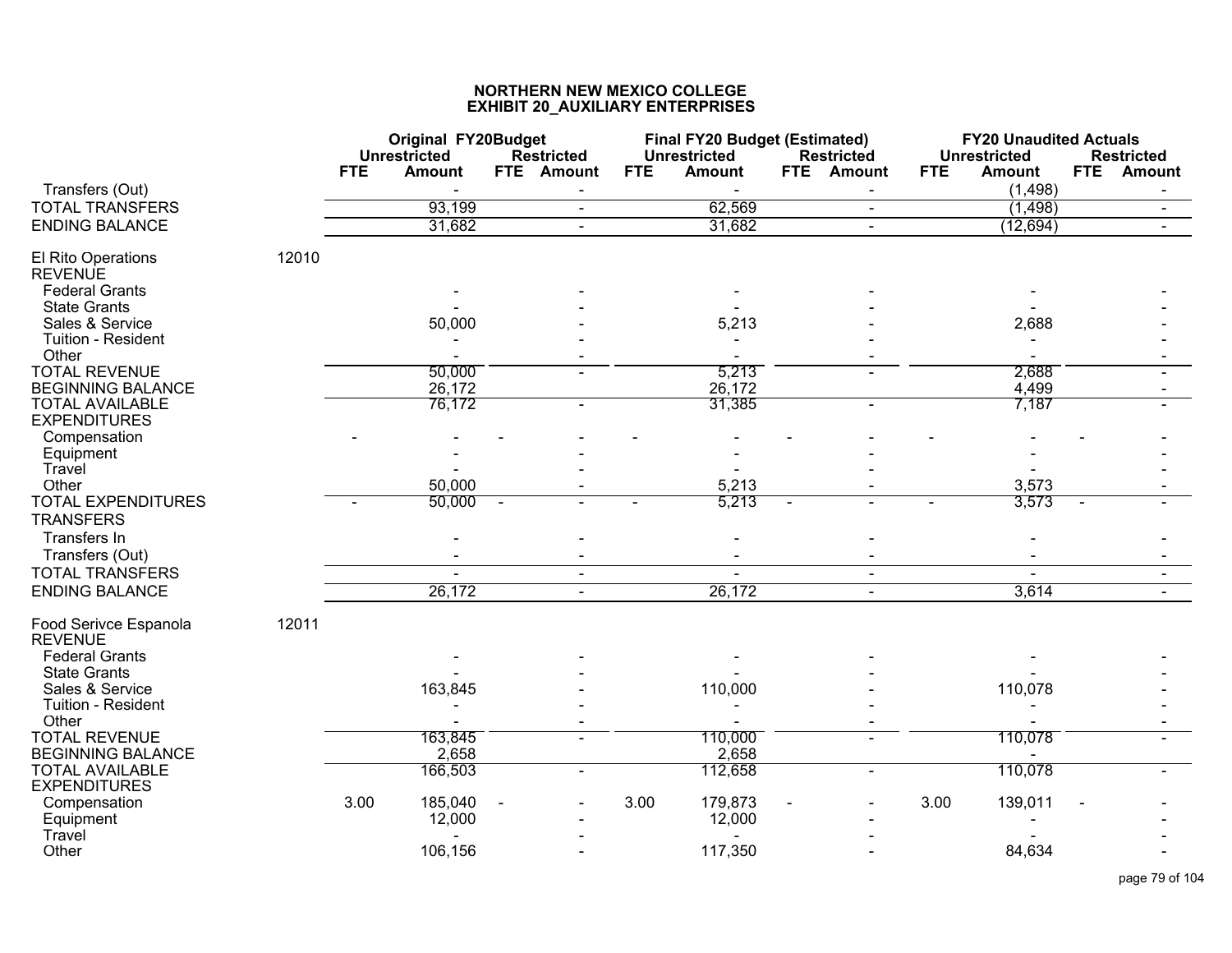|                                               |       | <b>Original FY20Budget</b><br><b>Unrestricted</b> | <b>Restricted</b> | <b>Final FY20 Budget (Estimated)</b><br><b>Unrestricted</b> | <b>Restricted</b> | <b>FY20 Unaudited Actuals</b><br><b>Unrestricted</b> | <b>Restricted</b>           |
|-----------------------------------------------|-------|---------------------------------------------------|-------------------|-------------------------------------------------------------|-------------------|------------------------------------------------------|-----------------------------|
| Transfers (Out)                               |       | <b>FTE</b><br><b>Amount</b>                       | FTE Amount        | <b>FTE</b><br><b>Amount</b>                                 | FTE<br>Amount     | <b>FTE</b><br><b>Amount</b><br>(1, 498)              | <b>FTE</b><br><b>Amount</b> |
| <b>TOTAL TRANSFERS</b>                        |       | 93,199                                            | $\blacksquare$    | 62,569                                                      | $\blacksquare$    | (1, 498)                                             | $\blacksquare$              |
| <b>ENDING BALANCE</b>                         |       | 31,682                                            | $\blacksquare$    | 31,682                                                      | $\blacksquare$    | (12, 694)                                            |                             |
| El Rito Operations<br><b>REVENUE</b>          | 12010 |                                                   |                   |                                                             |                   |                                                      |                             |
| <b>Federal Grants</b>                         |       |                                                   |                   |                                                             |                   |                                                      |                             |
| <b>State Grants</b><br>Sales & Service        |       | 50,000                                            |                   | 5,213                                                       |                   | 2,688                                                |                             |
| Tuition - Resident                            |       |                                                   |                   |                                                             |                   |                                                      |                             |
| Other<br><b>TOTAL REVENUE</b>                 |       |                                                   |                   |                                                             |                   |                                                      |                             |
| <b>BEGINNING BALANCE</b>                      |       | 50,000<br>26,172                                  |                   | 5,213<br>26,172                                             |                   | 2,688<br>4,499                                       |                             |
| <b>TOTAL AVAILABLE</b><br><b>EXPENDITURES</b> |       | 76,172                                            | $\blacksquare$    | 31,385                                                      |                   | 7,187                                                |                             |
| Compensation                                  |       |                                                   |                   |                                                             |                   |                                                      |                             |
| Equipment                                     |       |                                                   |                   |                                                             |                   |                                                      |                             |
| Travel<br>Other                               |       | 50,000                                            |                   | 5,213                                                       |                   | 3,573                                                |                             |
| <b>TOTAL EXPENDITURES</b>                     |       | 50,000                                            | $\sim$            | 5,213                                                       |                   | 3,573                                                |                             |
| <b>TRANSFERS</b>                              |       |                                                   |                   |                                                             |                   |                                                      |                             |
| Transfers In                                  |       |                                                   |                   |                                                             |                   |                                                      |                             |
| Transfers (Out)                               |       |                                                   |                   |                                                             |                   |                                                      |                             |
| <b>TOTAL TRANSFERS</b>                        |       | $\overline{a}$                                    | $\blacksquare$    | $\blacksquare$                                              | $\blacksquare$    | $\blacksquare$                                       | $\sim$                      |
| <b>ENDING BALANCE</b>                         |       | 26,172                                            | $\sim$            | 26,172                                                      | $\blacksquare$    | 3,614                                                |                             |
| Food Serivce Espanola<br><b>REVENUE</b>       | 12011 |                                                   |                   |                                                             |                   |                                                      |                             |
| <b>Federal Grants</b>                         |       |                                                   |                   |                                                             |                   |                                                      |                             |
| <b>State Grants</b>                           |       |                                                   |                   |                                                             |                   |                                                      |                             |
| Sales & Service                               |       | 163,845                                           |                   | 110,000                                                     |                   | 110,078                                              |                             |
| Tuition - Resident<br>Other                   |       |                                                   |                   |                                                             |                   |                                                      |                             |
| <b>TOTAL REVENUE</b>                          |       | 163,845                                           |                   | 110,000                                                     |                   | 110,078                                              |                             |
| <b>BEGINNING BALANCE</b>                      |       | 2,658                                             |                   | 2,658                                                       |                   |                                                      |                             |
| <b>TOTAL AVAILABLE</b><br><b>EXPENDITURES</b> |       | 166,503                                           | $\blacksquare$    | 112,658                                                     |                   | 110,078                                              |                             |
| Compensation                                  |       | 3.00<br>185,040                                   |                   | 3.00<br>179,873                                             |                   | 3.00<br>139,011                                      |                             |
| Equipment                                     |       | 12,000                                            |                   | 12,000                                                      |                   |                                                      |                             |
| Travel<br>Other                               |       | 106,156                                           |                   | 117,350                                                     |                   | 84,634                                               |                             |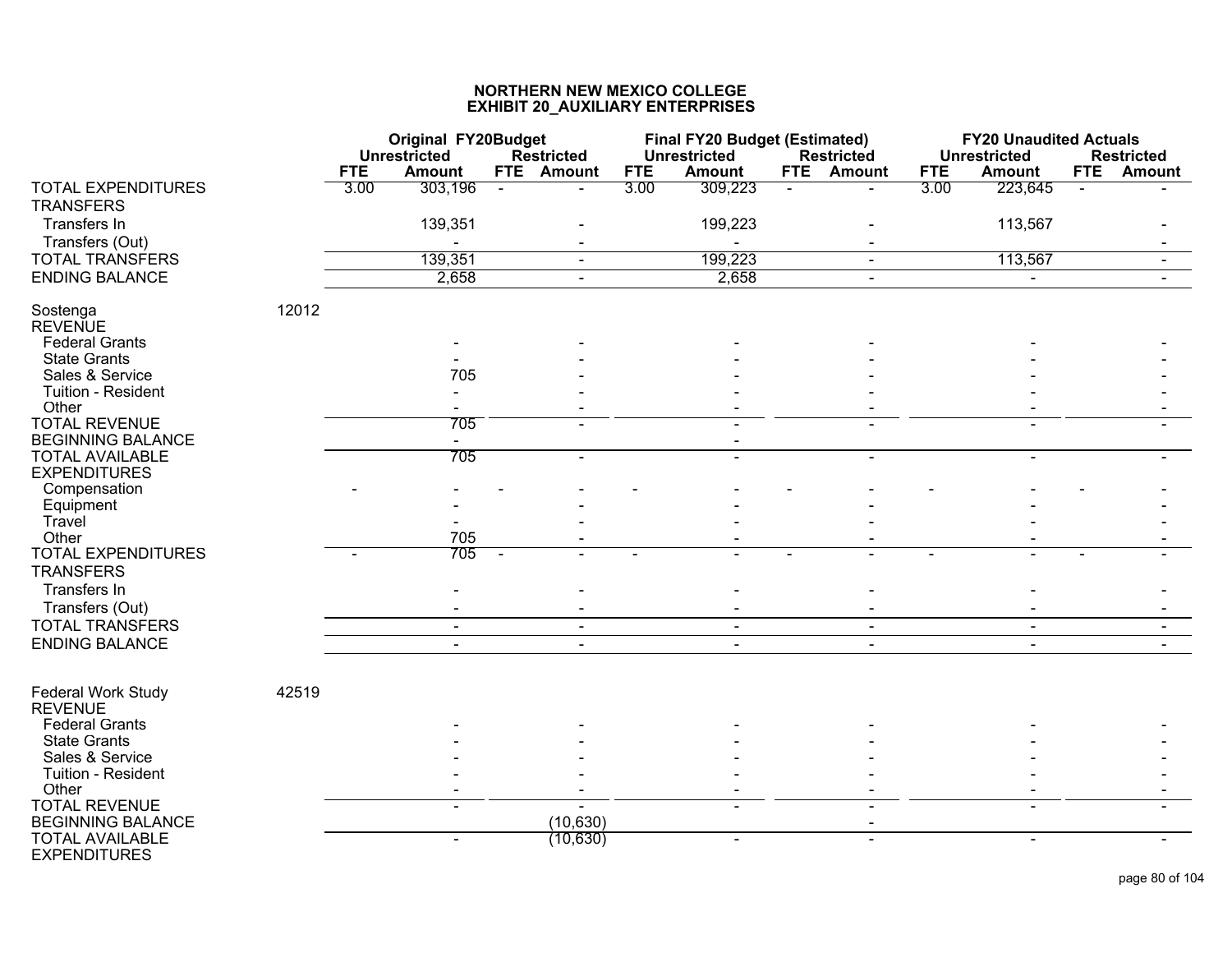|                                               |       |            | <b>Original FY20Budget</b><br>Unrestricted |        | <b>Restricted</b> |            | <b>Final FY20 Budget (Estimated)</b><br><b>Unrestricted</b> |            | <b>Restricted</b> |            | <b>FY20 Unaudited Actuals</b><br><b>Unrestricted</b> |              | <b>Restricted</b> |
|-----------------------------------------------|-------|------------|--------------------------------------------|--------|-------------------|------------|-------------------------------------------------------------|------------|-------------------|------------|------------------------------------------------------|--------------|-------------------|
|                                               |       | <b>FTE</b> | <b>Amount</b>                              |        | FTE Amount        | <b>FTE</b> | <b>Amount</b>                                               | <b>FTE</b> | <b>Amount</b>     | <b>FTE</b> | <b>Amount</b>                                        | <b>FTE</b>   | <b>Amount</b>     |
| <b>TOTAL EXPENDITURES</b><br><b>TRANSFERS</b> |       | 3.00       | 303,196                                    | $\sim$ | $\blacksquare$    | 3.00       | 309,223                                                     |            |                   | 3.00       | 223,645                                              | $\mathbf{r}$ |                   |
| Transfers In                                  |       |            | 139,351                                    |        |                   |            | 199,223                                                     |            |                   |            | 113,567                                              |              |                   |
| Transfers (Out)                               |       |            |                                            |        |                   |            |                                                             |            |                   |            |                                                      |              |                   |
| <b>TOTAL TRANSFERS</b>                        |       |            | 139,351                                    |        | $\blacksquare$    |            | 199,223                                                     |            | $\sim$            |            | 113,567                                              |              | $\sim$            |
| <b>ENDING BALANCE</b>                         |       |            | 2,658                                      |        | $\blacksquare$    |            | 2,658                                                       |            | $\sim$            |            | $\blacksquare$                                       |              |                   |
| Sostenga<br><b>REVENUE</b>                    | 12012 |            |                                            |        |                   |            |                                                             |            |                   |            |                                                      |              |                   |
| <b>Federal Grants</b>                         |       |            |                                            |        |                   |            |                                                             |            |                   |            |                                                      |              |                   |
| <b>State Grants</b>                           |       |            |                                            |        |                   |            |                                                             |            |                   |            |                                                      |              |                   |
| Sales & Service                               |       |            | 705                                        |        |                   |            |                                                             |            |                   |            |                                                      |              |                   |
| Tuition - Resident<br>Other                   |       |            |                                            |        |                   |            |                                                             |            |                   |            |                                                      |              |                   |
| <b>TOTAL REVENUE</b>                          |       |            | 705                                        |        |                   |            |                                                             |            |                   |            |                                                      |              |                   |
| <b>BEGINNING BALANCE</b>                      |       |            | $\blacksquare$                             |        |                   |            |                                                             |            |                   |            |                                                      |              |                   |
| <b>TOTAL AVAILABLE</b>                        |       |            | 705                                        |        | $\overline{a}$    |            |                                                             |            |                   |            | ÷.                                                   |              |                   |
| <b>EXPENDITURES</b>                           |       |            |                                            |        |                   |            |                                                             |            |                   |            |                                                      |              |                   |
| Compensation                                  |       |            |                                            |        |                   |            |                                                             |            |                   |            |                                                      |              |                   |
| Equipment                                     |       |            |                                            |        |                   |            |                                                             |            |                   |            |                                                      |              |                   |
| Travel                                        |       |            |                                            |        |                   |            |                                                             |            |                   |            |                                                      |              |                   |
| Other                                         |       |            | 705                                        |        |                   |            |                                                             |            |                   |            |                                                      |              |                   |
| <b>TOTAL EXPENDITURES</b><br><b>TRANSFERS</b> |       |            | 705                                        |        |                   |            | $\blacksquare$                                              |            |                   |            |                                                      |              |                   |
| Transfers In                                  |       |            |                                            |        |                   |            |                                                             |            |                   |            |                                                      |              |                   |
| Transfers (Out)                               |       |            |                                            |        |                   |            |                                                             |            |                   |            |                                                      |              |                   |
| <b>TOTAL TRANSFERS</b>                        |       |            | $\blacksquare$                             |        | $\blacksquare$    |            | $\blacksquare$                                              |            | $\sim$            |            | $\blacksquare$                                       |              | $\blacksquare$    |
| <b>ENDING BALANCE</b>                         |       |            |                                            |        |                   |            |                                                             |            |                   |            |                                                      |              |                   |
|                                               |       |            |                                            |        |                   |            |                                                             |            |                   |            |                                                      |              |                   |
| Federal Work Study<br><b>REVENUE</b>          | 42519 |            |                                            |        |                   |            |                                                             |            |                   |            |                                                      |              |                   |
| <b>Federal Grants</b>                         |       |            |                                            |        |                   |            |                                                             |            |                   |            |                                                      |              |                   |
| <b>State Grants</b>                           |       |            |                                            |        |                   |            |                                                             |            |                   |            |                                                      |              |                   |
| Sales & Service                               |       |            |                                            |        |                   |            |                                                             |            |                   |            |                                                      |              |                   |
| Tuition - Resident                            |       |            |                                            |        |                   |            |                                                             |            |                   |            |                                                      |              |                   |
| Other                                         |       |            |                                            |        |                   |            |                                                             |            |                   |            |                                                      |              |                   |
| <b>TOTAL REVENUE</b>                          |       |            |                                            |        |                   |            |                                                             |            |                   |            |                                                      |              |                   |
| <b>BEGINNING BALANCE</b>                      |       |            |                                            |        | (10, 630)         |            |                                                             |            |                   |            |                                                      |              |                   |
| <b>TOTAL AVAILABLE</b><br><b>EXPENDITURES</b> |       |            | $\blacksquare$                             |        | (10, 630)         |            | $\blacksquare$                                              |            |                   |            | ÷.                                                   |              |                   |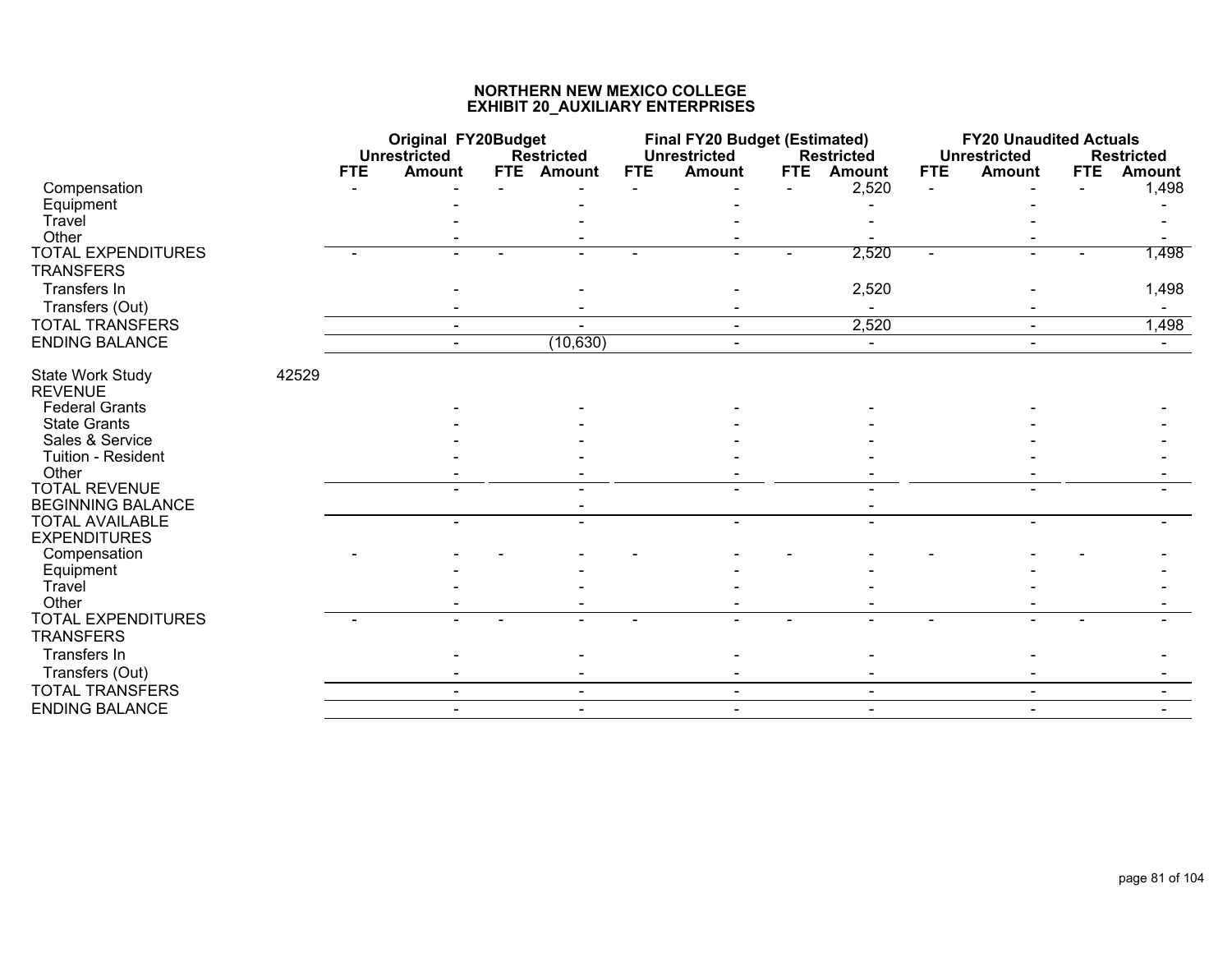|                                                    |       |            | <b>Original FY20Budget</b><br><b>Unrestricted</b> |  | <b>Restricted</b> |            | <b>Final FY20 Budget (Estimated)</b><br><b>Unrestricted</b> |            | <b>Restricted</b> |            | <b>FY20 Unaudited Actuals</b><br><b>Unrestricted</b> |            | <b>Restricted</b> |
|----------------------------------------------------|-------|------------|---------------------------------------------------|--|-------------------|------------|-------------------------------------------------------------|------------|-------------------|------------|------------------------------------------------------|------------|-------------------|
|                                                    |       | <b>FTE</b> | <b>Amount</b>                                     |  | FTE Amount        | <b>FTE</b> | <b>Amount</b>                                               | <b>FTE</b> | <b>Amount</b>     | <b>FTE</b> | <b>Amount</b>                                        | <b>FTE</b> | <b>Amount</b>     |
| Compensation                                       |       |            |                                                   |  |                   |            |                                                             |            | 2,520             |            |                                                      |            | 1,498             |
| Equipment                                          |       |            |                                                   |  |                   |            |                                                             |            |                   |            |                                                      |            |                   |
| Travel                                             |       |            |                                                   |  |                   |            |                                                             |            |                   |            |                                                      |            |                   |
| Other                                              |       |            |                                                   |  |                   |            |                                                             |            |                   |            |                                                      |            |                   |
| <b>TOTAL EXPENDITURES</b><br><b>TRANSFERS</b>      |       |            |                                                   |  |                   |            |                                                             |            | 2,520             |            |                                                      |            | 1,498             |
| Transfers In                                       |       |            |                                                   |  |                   |            |                                                             |            | 2,520             |            |                                                      |            | 1,498             |
| Transfers (Out)                                    |       |            |                                                   |  |                   |            |                                                             |            |                   |            |                                                      |            |                   |
| <b>TOTAL TRANSFERS</b>                             |       |            | $\blacksquare$                                    |  |                   |            | $\sim$                                                      |            | 2,520             |            | $\sim$                                               |            | 1,498             |
| <b>ENDING BALANCE</b>                              |       |            |                                                   |  | (10, 630)         |            |                                                             |            |                   |            |                                                      |            |                   |
| <b>State Work Study</b><br><b>REVENUE</b>          | 42529 |            |                                                   |  |                   |            |                                                             |            |                   |            |                                                      |            |                   |
| <b>Federal Grants</b>                              |       |            |                                                   |  |                   |            |                                                             |            |                   |            |                                                      |            |                   |
| <b>State Grants</b>                                |       |            |                                                   |  |                   |            |                                                             |            |                   |            |                                                      |            |                   |
| Sales & Service                                    |       |            |                                                   |  |                   |            |                                                             |            |                   |            |                                                      |            |                   |
| Tuition - Resident                                 |       |            |                                                   |  |                   |            |                                                             |            |                   |            |                                                      |            |                   |
| Other                                              |       |            |                                                   |  |                   |            |                                                             |            |                   |            |                                                      |            |                   |
| <b>TOTAL REVENUE</b>                               |       |            |                                                   |  |                   |            |                                                             |            |                   |            |                                                      |            |                   |
| <b>BEGINNING BALANCE</b><br><b>TOTAL AVAILABLE</b> |       |            |                                                   |  |                   |            |                                                             |            |                   |            |                                                      |            |                   |
| <b>EXPENDITURES</b>                                |       |            | $\blacksquare$                                    |  |                   |            |                                                             |            |                   |            |                                                      |            |                   |
| Compensation                                       |       |            |                                                   |  |                   |            |                                                             |            |                   |            |                                                      |            |                   |
| Equipment                                          |       |            |                                                   |  |                   |            |                                                             |            |                   |            |                                                      |            |                   |
| Travel<br>Other                                    |       |            |                                                   |  |                   |            |                                                             |            |                   |            |                                                      |            |                   |
| <b>TOTAL EXPENDITURES</b>                          |       |            |                                                   |  |                   |            |                                                             |            |                   |            |                                                      |            |                   |
| <b>TRANSFERS</b>                                   |       |            |                                                   |  |                   |            |                                                             |            |                   |            |                                                      |            |                   |
| Transfers In<br>Transfers (Out)                    |       |            |                                                   |  |                   |            |                                                             |            |                   |            |                                                      |            |                   |
| <b>TOTAL TRANSFERS</b>                             |       |            |                                                   |  |                   |            |                                                             |            |                   |            |                                                      |            |                   |
| <b>ENDING BALANCE</b>                              |       |            | $\blacksquare$                                    |  | $\sim$            |            | $\blacksquare$                                              |            | $\blacksquare$    |            | $\sim$                                               |            |                   |
|                                                    |       |            |                                                   |  |                   |            |                                                             |            |                   |            |                                                      |            |                   |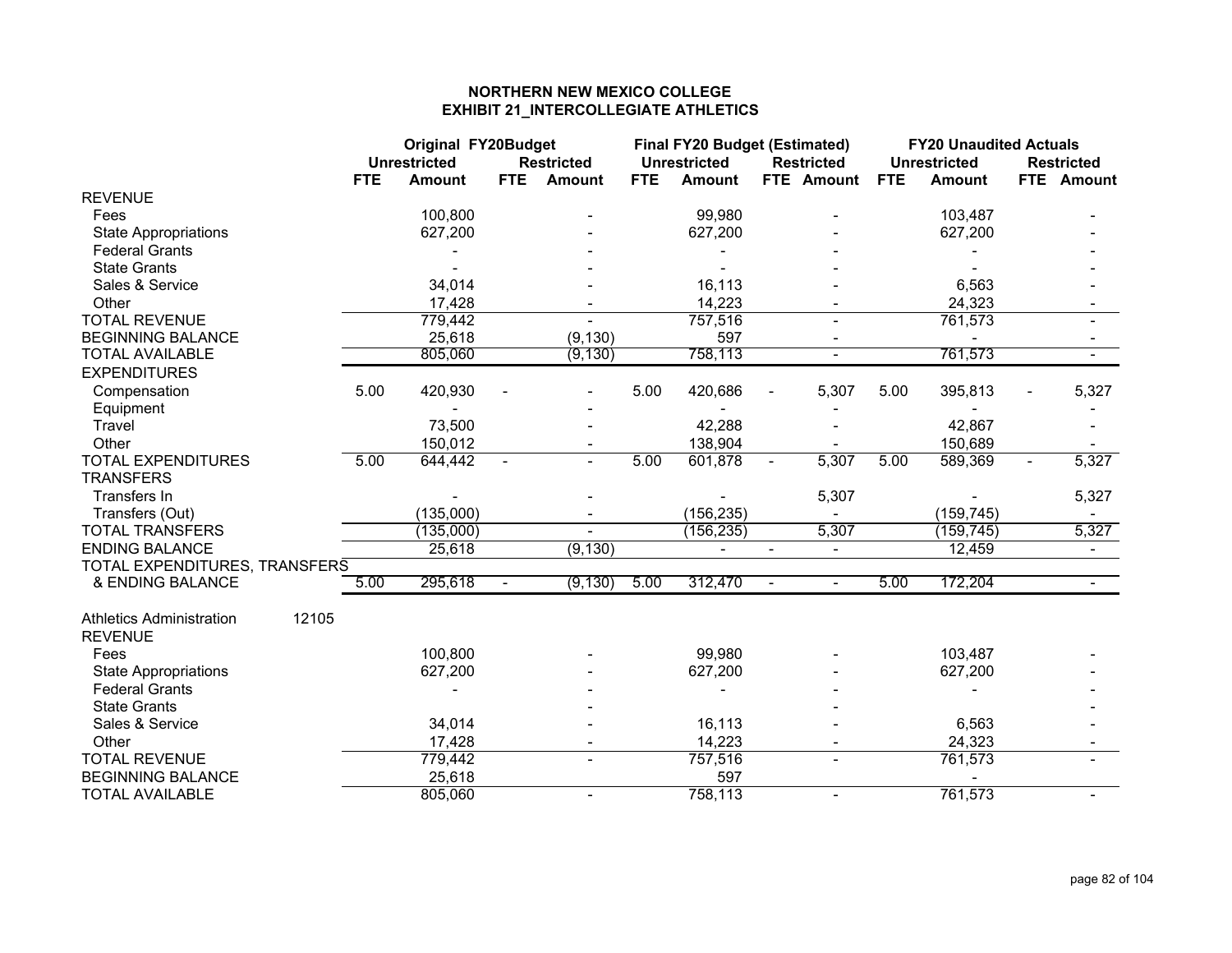# **NORTHERN NEW MEXICO COLLEGE EXHIBIT 21\_INTERCOLLEGIATE ATHLETICS**

|                                 |       | <b>Original FY20Budget</b> |                     |                |                          |            | <b>Final FY20 Budget (Estimated)</b> |                          |                   |            | <b>FY20 Unaudited Actuals</b> |                |                   |
|---------------------------------|-------|----------------------------|---------------------|----------------|--------------------------|------------|--------------------------------------|--------------------------|-------------------|------------|-------------------------------|----------------|-------------------|
|                                 |       |                            | <b>Unrestricted</b> |                | <b>Restricted</b>        |            | <b>Unrestricted</b>                  |                          | <b>Restricted</b> |            | <b>Unrestricted</b>           |                | <b>Restricted</b> |
|                                 |       | <b>FTE</b>                 | <b>Amount</b>       | <b>FTE</b>     | <b>Amount</b>            | <b>FTE</b> | <b>Amount</b>                        |                          | FTE Amount        | <b>FTE</b> | <b>Amount</b>                 |                | FTE Amount        |
| <b>REVENUE</b>                  |       |                            |                     |                |                          |            |                                      |                          |                   |            |                               |                |                   |
| Fees                            |       |                            | 100,800             |                |                          |            | 99,980                               |                          |                   |            | 103,487                       |                |                   |
| <b>State Appropriations</b>     |       |                            | 627,200             |                |                          |            | 627,200                              |                          |                   |            | 627,200                       |                |                   |
| <b>Federal Grants</b>           |       |                            |                     |                |                          |            |                                      |                          |                   |            |                               |                |                   |
| <b>State Grants</b>             |       |                            |                     |                |                          |            |                                      |                          |                   |            |                               |                |                   |
| Sales & Service                 |       |                            | 34,014              |                |                          |            | 16,113                               |                          |                   |            | 6,563                         |                |                   |
| Other                           |       |                            | 17,428              |                |                          |            | 14,223                               |                          |                   |            | 24,323                        |                |                   |
| <b>TOTAL REVENUE</b>            |       |                            | 779,442             |                |                          |            | 757,516                              |                          |                   |            | 761,573                       |                |                   |
| <b>BEGINNING BALANCE</b>        |       |                            | 25,618              |                | (9, 130)                 |            | 597                                  |                          |                   |            |                               |                |                   |
| <b>TOTAL AVAILABLE</b>          |       |                            | 805,060             |                | (9, 130)                 |            | 758,113                              |                          | $\blacksquare$    |            | 761,573                       |                |                   |
| <b>EXPENDITURES</b>             |       |                            |                     |                |                          |            |                                      |                          |                   |            |                               |                |                   |
| Compensation                    |       | 5.00                       | 420,930             |                |                          | 5.00       | 420,686                              |                          | 5,307             | 5.00       | 395,813                       |                | 5,327             |
| Equipment                       |       |                            |                     |                |                          |            |                                      |                          |                   |            |                               |                |                   |
| Travel                          |       |                            | 73,500              |                |                          |            | 42,288                               |                          |                   |            | 42,867                        |                |                   |
| Other                           |       |                            | 150,012             |                |                          |            | 138,904                              |                          |                   |            | 150,689                       |                |                   |
| <b>TOTAL EXPENDITURES</b>       |       | 5.00                       | 644,442             | $\blacksquare$ | $\blacksquare$           | 5.00       | 601,878                              | $\sim$                   | 5,307             | 5.00       | 589,369                       | $\blacksquare$ | 5,327             |
| <b>TRANSFERS</b>                |       |                            |                     |                |                          |            |                                      |                          |                   |            |                               |                |                   |
| Transfers In                    |       |                            |                     |                |                          |            |                                      |                          | 5,307             |            |                               |                | 5,327             |
| Transfers (Out)                 |       |                            | (135,000)           |                |                          |            | (156, 235)                           |                          |                   |            | (159, 745)                    |                | $\sim$            |
| <b>TOTAL TRANSFERS</b>          |       |                            | (135,000)           |                | $\overline{\phantom{a}}$ |            | (156, 235)                           |                          | 5,307             |            | (159, 745)                    |                | 5,327             |
| <b>ENDING BALANCE</b>           |       |                            | 25,618              |                | (9, 130)                 |            |                                      | $\overline{\phantom{a}}$ | $\blacksquare$    |            | 12,459                        |                | $\sim$            |
| TOTAL EXPENDITURES, TRANSFERS   |       |                            |                     |                |                          |            |                                      |                          |                   |            |                               |                |                   |
| & ENDING BALANCE                |       | 5.00                       | 295,618             | $\blacksquare$ | (9, 130)                 | 5.00       | 312,470                              | $\sim$                   | $\blacksquare$    | 5.00       | 172,204                       |                |                   |
|                                 |       |                            |                     |                |                          |            |                                      |                          |                   |            |                               |                |                   |
| <b>Athletics Administration</b> | 12105 |                            |                     |                |                          |            |                                      |                          |                   |            |                               |                |                   |
| <b>REVENUE</b>                  |       |                            |                     |                |                          |            |                                      |                          |                   |            |                               |                |                   |
| Fees                            |       |                            | 100,800             |                |                          |            | 99,980                               |                          |                   |            | 103,487                       |                |                   |
| <b>State Appropriations</b>     |       |                            | 627,200             |                |                          |            | 627,200                              |                          |                   |            | 627,200                       |                |                   |
| <b>Federal Grants</b>           |       |                            |                     |                |                          |            |                                      |                          |                   |            |                               |                |                   |
| <b>State Grants</b>             |       |                            |                     |                |                          |            |                                      |                          |                   |            |                               |                |                   |
| Sales & Service                 |       |                            | 34,014              |                |                          |            | 16,113                               |                          |                   |            | 6,563                         |                |                   |
| Other                           |       |                            | 17,428              |                |                          |            | 14,223                               |                          |                   |            | 24,323                        |                |                   |
| <b>TOTAL REVENUE</b>            |       |                            | 779,442             |                |                          |            | 757,516                              |                          |                   |            | 761,573                       |                |                   |
| <b>BEGINNING BALANCE</b>        |       |                            | 25,618              |                |                          |            | 597                                  |                          |                   |            |                               |                |                   |
| <b>TOTAL AVAILABLE</b>          |       |                            | 805,060             |                | $\blacksquare$           |            | 758,113                              |                          | $\blacksquare$    |            | 761,573                       |                |                   |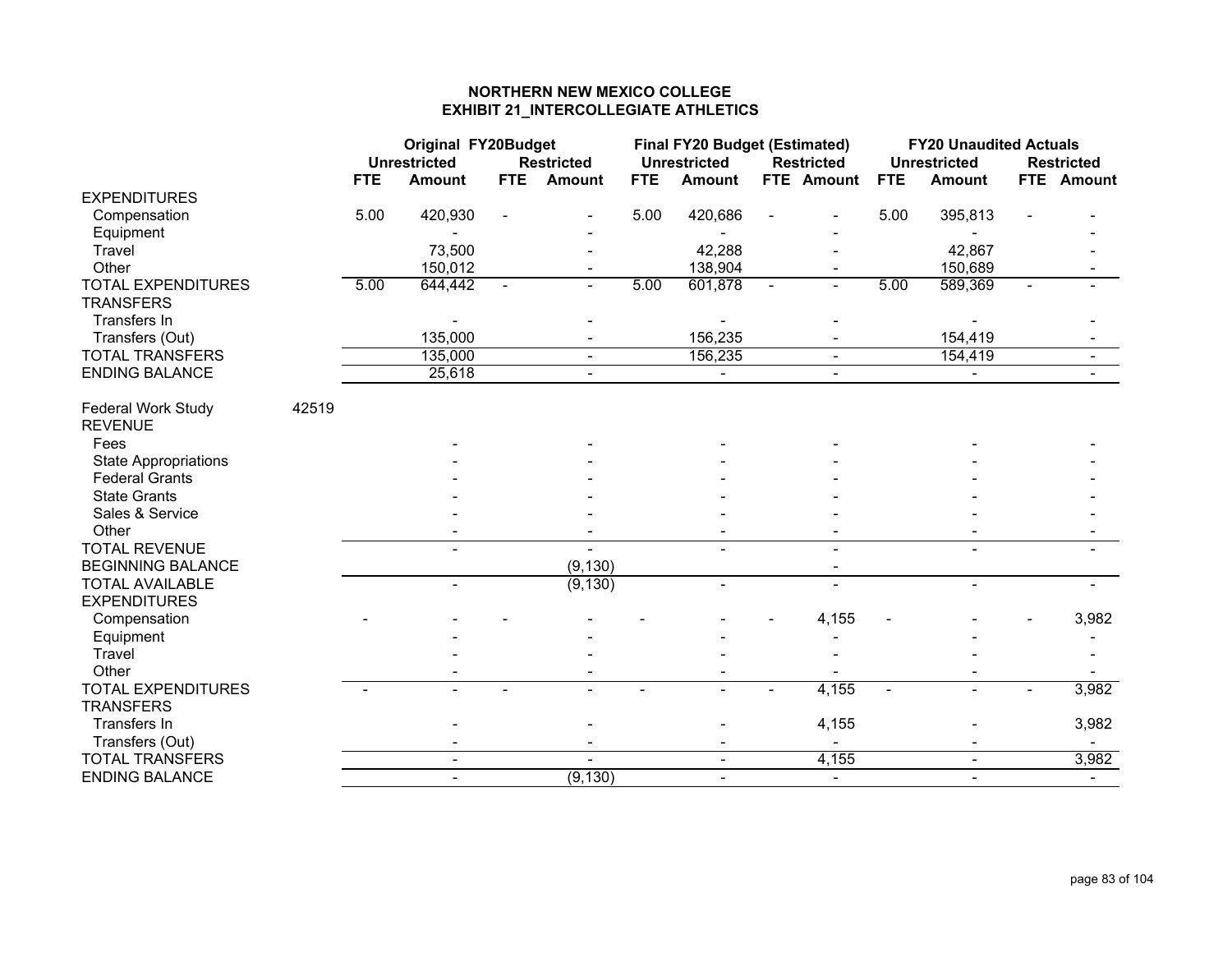# **NORTHERN NEW MEXICO COLLEGE EXHIBIT 21\_INTERCOLLEGIATE ATHLETICS**

|                                               |       | <b>Original FY20Budget</b> |                          |            |                   |            | <b>Final FY20 Budget (Estimated)</b> |                   |            | <b>FY20 Unaudited Actuals</b> |                |                   |
|-----------------------------------------------|-------|----------------------------|--------------------------|------------|-------------------|------------|--------------------------------------|-------------------|------------|-------------------------------|----------------|-------------------|
|                                               |       |                            | <b>Unrestricted</b>      |            | <b>Restricted</b> |            | <b>Unrestricted</b>                  | <b>Restricted</b> |            | <b>Unrestricted</b>           |                | <b>Restricted</b> |
|                                               |       | <b>FTE</b>                 | <b>Amount</b>            | <b>FTE</b> | Amount            | <b>FTE</b> | <b>Amount</b>                        | FTE Amount        | <b>FTE</b> | <b>Amount</b>                 |                | FTE Amount        |
| <b>EXPENDITURES</b>                           |       |                            |                          |            |                   |            |                                      |                   |            |                               |                |                   |
| Compensation                                  |       | 5.00                       | 420,930                  |            |                   | 5.00       | 420,686                              |                   | 5.00       | 395,813                       |                |                   |
| Equipment                                     |       |                            |                          |            |                   |            |                                      |                   |            |                               |                |                   |
| Travel                                        |       |                            | 73,500                   |            |                   |            | 42,288                               |                   |            | 42,867                        |                |                   |
| Other                                         |       |                            | 150,012                  |            |                   |            | 138,904                              |                   |            | 150,689                       |                |                   |
| <b>TOTAL EXPENDITURES</b><br><b>TRANSFERS</b> |       | 5.00                       | 644,442                  |            |                   | 5.00       | 601,878                              | $\sim$            | 5.00       | 589,369                       | $\blacksquare$ |                   |
| Transfers In                                  |       |                            |                          |            |                   |            |                                      |                   |            |                               |                |                   |
| Transfers (Out)                               |       |                            | 135,000                  |            |                   |            | 156,235                              |                   |            | 154,419                       |                |                   |
| <b>TOTAL TRANSFERS</b>                        |       |                            | 135,000                  |            | $\sim$            |            | 156,235                              | $\blacksquare$    |            | 154,419                       |                | $\sim$            |
| <b>ENDING BALANCE</b>                         |       |                            | 25,618                   |            | $\blacksquare$    |            | $\blacksquare$                       | $\blacksquare$    |            | $\blacksquare$                |                | $\sim$            |
| Federal Work Study<br><b>REVENUE</b>          | 42519 |                            |                          |            |                   |            |                                      |                   |            |                               |                |                   |
| Fees                                          |       |                            |                          |            |                   |            |                                      |                   |            |                               |                |                   |
| <b>State Appropriations</b>                   |       |                            |                          |            |                   |            |                                      |                   |            |                               |                |                   |
| <b>Federal Grants</b>                         |       |                            |                          |            |                   |            |                                      |                   |            |                               |                |                   |
| <b>State Grants</b>                           |       |                            |                          |            |                   |            |                                      |                   |            |                               |                |                   |
| Sales & Service                               |       |                            |                          |            |                   |            |                                      |                   |            |                               |                |                   |
| Other                                         |       |                            |                          |            |                   |            |                                      |                   |            |                               |                |                   |
| <b>TOTAL REVENUE</b>                          |       |                            |                          |            |                   |            |                                      |                   |            |                               |                |                   |
| <b>BEGINNING BALANCE</b>                      |       |                            |                          |            | (9, 130)          |            |                                      |                   |            |                               |                |                   |
| <b>TOTAL AVAILABLE</b>                        |       |                            | $\blacksquare$           |            | (9, 130)          |            |                                      | L.                |            | $\mathbf{r}$                  |                |                   |
| <b>EXPENDITURES</b>                           |       |                            |                          |            |                   |            |                                      |                   |            |                               |                |                   |
| Compensation                                  |       |                            |                          |            |                   |            |                                      | 4,155             |            |                               |                | 3,982             |
| Equipment                                     |       |                            |                          |            |                   |            |                                      |                   |            |                               |                |                   |
| Travel                                        |       |                            |                          |            |                   |            |                                      |                   |            |                               |                |                   |
| Other                                         |       |                            |                          |            |                   |            |                                      |                   |            |                               |                |                   |
| <b>TOTAL EXPENDITURES</b>                     |       |                            |                          |            |                   |            | L.                                   | 4,155             |            | $\blacksquare$                |                | 3,982             |
| <b>TRANSFERS</b>                              |       |                            |                          |            |                   |            |                                      |                   |            |                               |                |                   |
| Transfers In                                  |       |                            |                          |            |                   |            |                                      | 4,155             |            |                               |                | 3,982             |
| Transfers (Out)                               |       |                            |                          |            |                   |            |                                      |                   |            |                               |                |                   |
| <b>TOTAL TRANSFERS</b>                        |       |                            | $\blacksquare$           |            |                   |            | $\blacksquare$                       | 4,155             |            | $\sim$                        |                | 3,982             |
| <b>ENDING BALANCE</b>                         |       |                            | $\overline{\phantom{0}}$ |            | (9, 130)          |            | $\overline{a}$                       | $\sim$            |            | $\blacksquare$                |                |                   |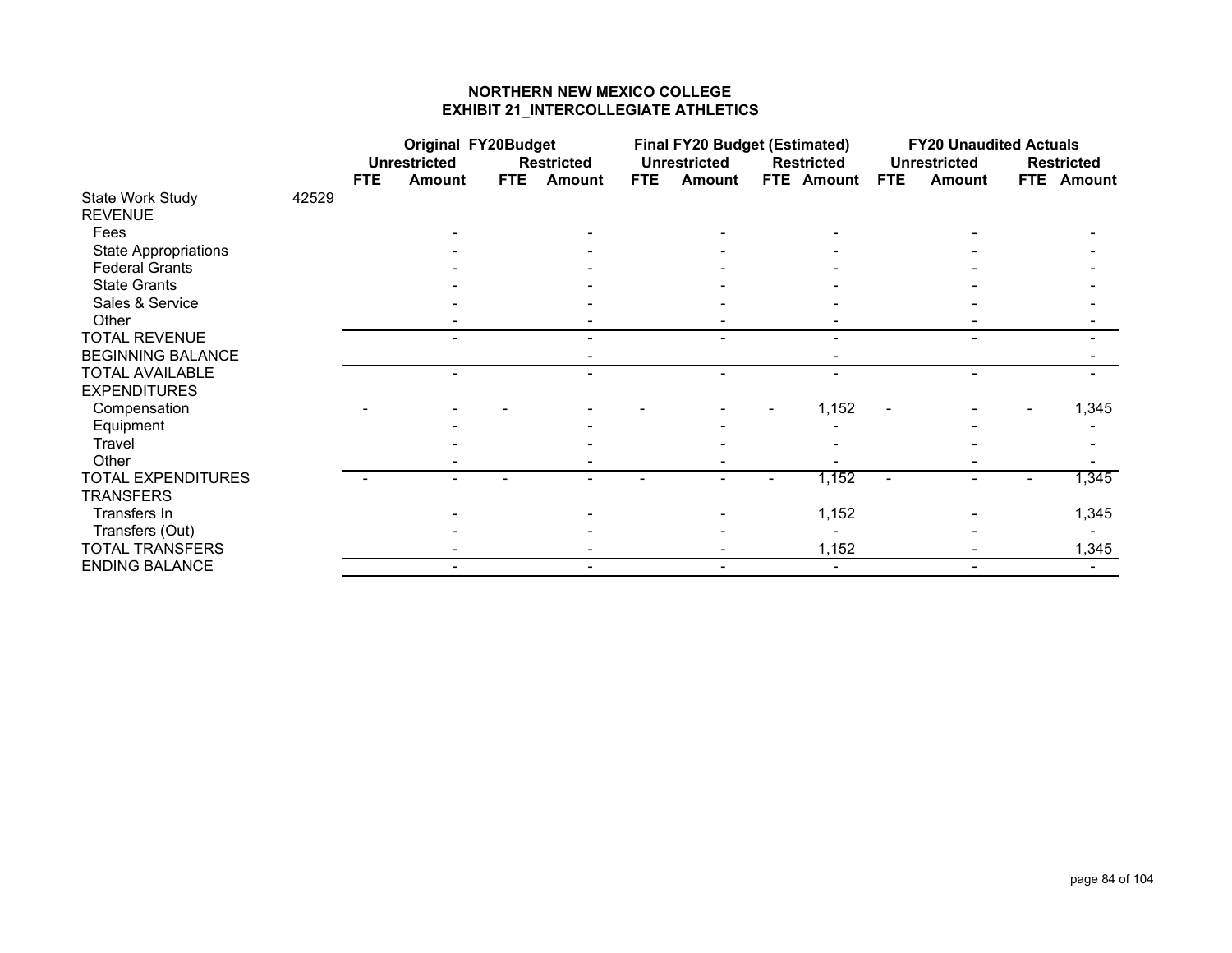# **NORTHERN NEW MEXICO COLLEGE EXHIBIT 21\_INTERCOLLEGIATE ATHLETICS**

|                             |       |            | <b>Original FY20Budget</b> |            |                   |            | <b>Final FY20 Budget (Estimated)</b> |                   |                |            | <b>FY20 Unaudited Actuals</b> |                   |
|-----------------------------|-------|------------|----------------------------|------------|-------------------|------------|--------------------------------------|-------------------|----------------|------------|-------------------------------|-------------------|
|                             |       |            | <b>Unrestricted</b>        |            | <b>Restricted</b> |            | <b>Unrestricted</b>                  | <b>Restricted</b> |                |            | <b>Unrestricted</b>           | <b>Restricted</b> |
|                             |       | <b>FTE</b> | Amount                     | <b>FTE</b> | <b>Amount</b>     | <b>FTE</b> | <b>Amount</b>                        | FTE Amount        |                | <b>FTE</b> | <b>Amount</b>                 | FTE Amount        |
| State Work Study            | 42529 |            |                            |            |                   |            |                                      |                   |                |            |                               |                   |
| <b>REVENUE</b>              |       |            |                            |            |                   |            |                                      |                   |                |            |                               |                   |
| Fees                        |       |            |                            |            |                   |            |                                      |                   |                |            |                               |                   |
| <b>State Appropriations</b> |       |            |                            |            |                   |            |                                      |                   |                |            |                               |                   |
| <b>Federal Grants</b>       |       |            |                            |            |                   |            |                                      |                   |                |            |                               |                   |
| <b>State Grants</b>         |       |            |                            |            |                   |            |                                      |                   |                |            |                               |                   |
| Sales & Service             |       |            |                            |            |                   |            |                                      |                   |                |            |                               |                   |
| Other                       |       |            |                            |            |                   |            |                                      |                   |                |            |                               |                   |
| <b>TOTAL REVENUE</b>        |       |            |                            |            |                   |            | $\overline{\phantom{0}}$             |                   | $\blacksquare$ |            | $\blacksquare$                |                   |
| <b>BEGINNING BALANCE</b>    |       |            |                            |            |                   |            |                                      |                   |                |            |                               |                   |
| <b>TOTAL AVAILABLE</b>      |       |            |                            |            |                   |            |                                      |                   | $\blacksquare$ |            |                               |                   |
| <b>EXPENDITURES</b>         |       |            |                            |            |                   |            |                                      |                   |                |            |                               |                   |
| Compensation                |       |            |                            |            |                   |            |                                      |                   | 1,152          |            |                               | 1,345             |
| Equipment                   |       |            |                            |            |                   |            |                                      |                   |                |            |                               |                   |
| Travel                      |       |            |                            |            |                   |            |                                      |                   |                |            |                               |                   |
| Other                       |       |            |                            |            |                   |            |                                      |                   |                |            |                               |                   |
| <b>TOTAL EXPENDITURES</b>   |       |            |                            |            |                   |            |                                      |                   | 1,152          |            |                               | 1,345             |
| <b>TRANSFERS</b>            |       |            |                            |            |                   |            |                                      |                   |                |            |                               |                   |
| Transfers In                |       |            |                            |            |                   |            |                                      |                   | 1,152          |            |                               | 1,345             |
| Transfers (Out)             |       |            |                            |            |                   |            |                                      |                   |                |            |                               |                   |
| <b>TOTAL TRANSFERS</b>      |       |            |                            |            |                   |            |                                      |                   | 1,152          |            |                               | 1,345             |
| <b>ENDING BALANCE</b>       |       |            |                            |            |                   |            |                                      |                   | $\sim$         |            |                               |                   |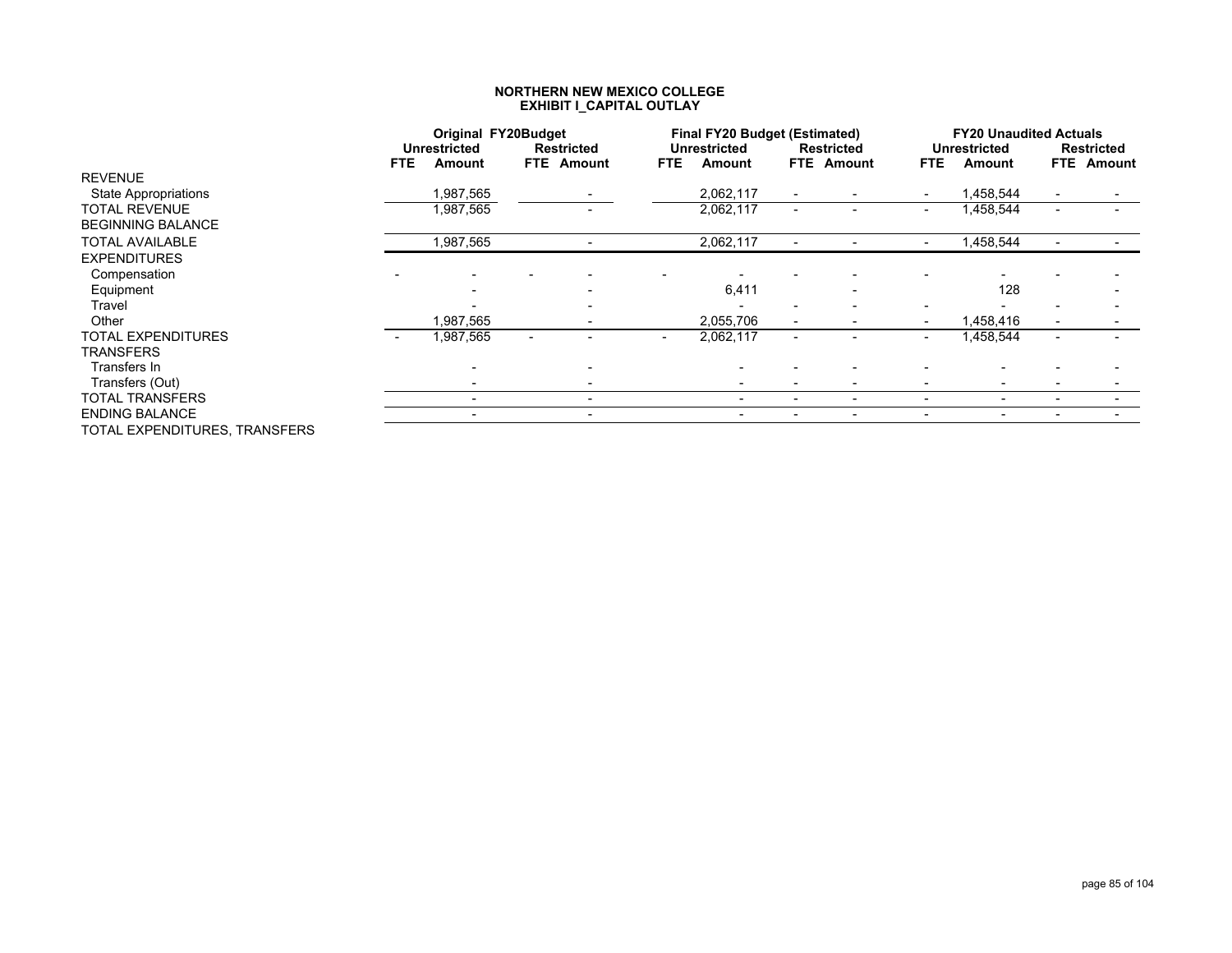|                               |      | <b>Original FY20Budget</b> |                          |                          | <b>Final FY20 Budget (Estimated)</b> |                          |                   |                          | <b>FY20 Unaudited Actuals</b> |                   |
|-------------------------------|------|----------------------------|--------------------------|--------------------------|--------------------------------------|--------------------------|-------------------|--------------------------|-------------------------------|-------------------|
|                               |      | <b>Unrestricted</b>        | <b>Restricted</b>        |                          | <b>Unrestricted</b>                  |                          | <b>Restricted</b> |                          | <b>Unrestricted</b>           | <b>Restricted</b> |
|                               | FTE. | Amount                     | <b>FTE</b> Amount        | FTE.                     | Amount                               |                          | <b>FTE</b> Amount | FTE.                     | Amount                        | <b>FTE</b> Amount |
| <b>REVENUE</b>                |      |                            |                          |                          |                                      |                          |                   |                          |                               |                   |
| <b>State Appropriations</b>   |      | 1,987,565                  |                          |                          | 2,062,117                            | $\blacksquare$           |                   |                          | .458,544                      |                   |
| TOTAL REVENUE                 |      | 1,987,565                  |                          |                          | 2,062,117                            | $\overline{\phantom{a}}$ |                   | $\overline{\phantom{a}}$ | ,458,544                      |                   |
| <b>BEGINNING BALANCE</b>      |      |                            |                          |                          |                                      |                          |                   |                          |                               |                   |
| <b>TOTAL AVAILABLE</b>        |      | 1,987,565                  |                          |                          | 2,062,117                            |                          |                   |                          | ,458,544                      |                   |
| <b>EXPENDITURES</b>           |      |                            |                          |                          |                                      |                          |                   |                          |                               |                   |
| Compensation                  |      |                            |                          |                          |                                      |                          |                   |                          |                               |                   |
| Equipment                     |      |                            |                          |                          | 6,411                                |                          |                   |                          | 128                           |                   |
| Travel                        |      |                            |                          |                          |                                      |                          |                   |                          |                               |                   |
| Other                         |      | 987,565                    |                          |                          | 2,055,706                            |                          |                   |                          | ,458,416                      |                   |
| TOTAL EXPENDITURES            |      | ,987,565                   |                          | $\overline{\phantom{a}}$ | 2,062,117                            |                          |                   |                          | .458,544                      |                   |
| <b>TRANSFERS</b>              |      |                            |                          |                          |                                      |                          |                   |                          |                               |                   |
| Transfers In                  |      |                            |                          |                          |                                      |                          |                   |                          |                               |                   |
| Transfers (Out)               |      |                            |                          |                          |                                      | $\overline{\phantom{0}}$ |                   |                          |                               |                   |
| <b>TOTAL TRANSFERS</b>        |      | $\overline{\phantom{0}}$   | $\overline{\phantom{0}}$ |                          |                                      | ٠                        | -                 |                          | $\overline{\phantom{0}}$      |                   |
| <b>ENDING BALANCE</b>         |      |                            |                          |                          |                                      | ۰                        |                   |                          |                               |                   |
| TOTAL EXPENDITURES. TRANSFERS |      |                            |                          |                          |                                      |                          |                   |                          |                               |                   |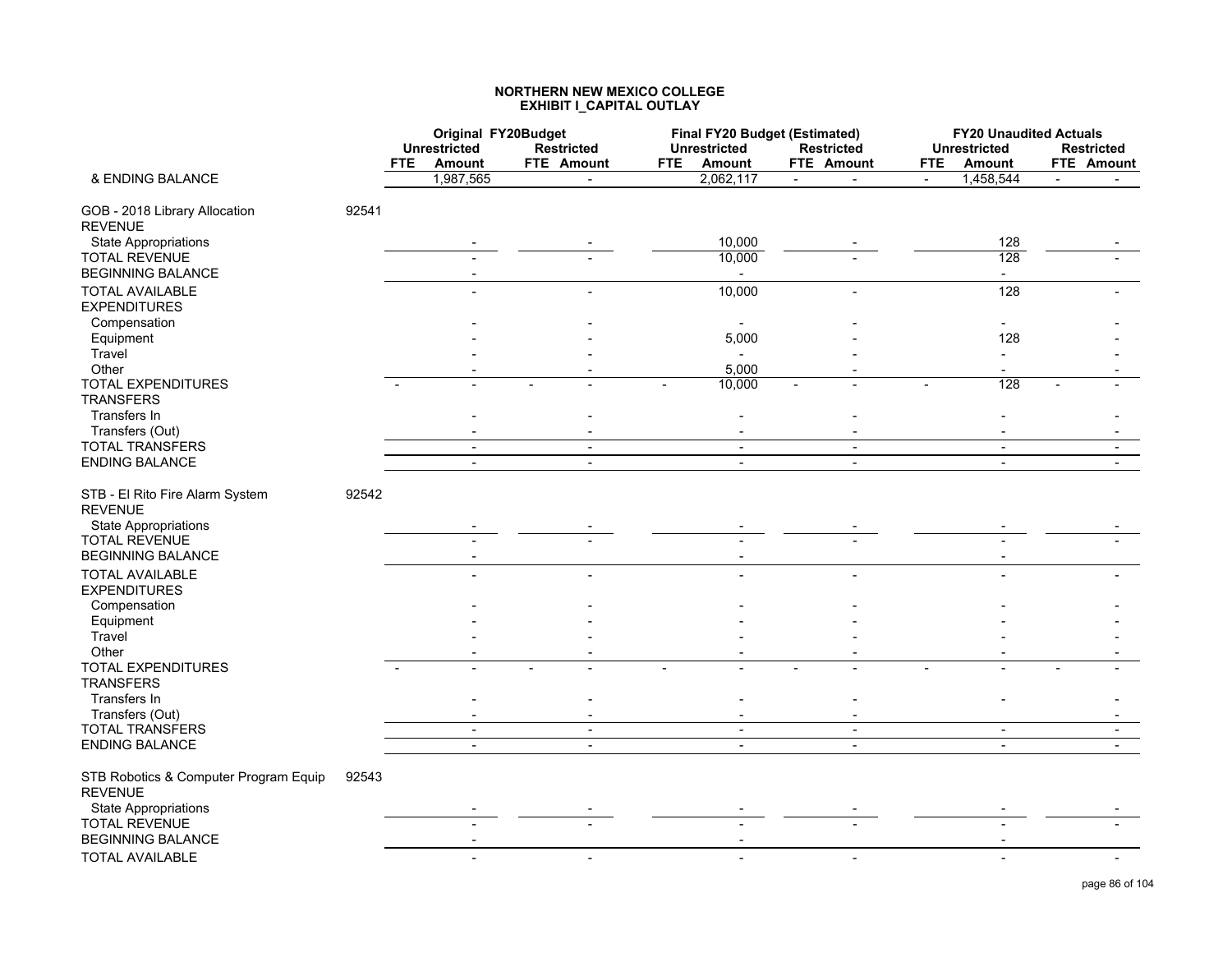|                                                                                  |       |            | Original FY20Budget      |                          |            |                     | Final FY20 Budget (Estimated) |                | <b>FY20 Unaudited Actuals</b> |                   |
|----------------------------------------------------------------------------------|-------|------------|--------------------------|--------------------------|------------|---------------------|-------------------------------|----------------|-------------------------------|-------------------|
|                                                                                  |       |            | <b>Unrestricted</b>      | <b>Restricted</b>        |            | <b>Unrestricted</b> | <b>Restricted</b>             |                | <b>Unrestricted</b>           | <b>Restricted</b> |
|                                                                                  |       | <b>FTE</b> | Amount                   | FTE Amount               | <b>FTE</b> | Amount              | FTE Amount                    | <b>FTE</b>     | <b>Amount</b>                 | FTE Amount        |
| & ENDING BALANCE                                                                 |       |            | 1,987,565                |                          |            | 2,062,117           | $\blacksquare$                | $\blacksquare$ | 1,458,544                     |                   |
| GOB - 2018 Library Allocation<br><b>REVENUE</b>                                  | 92541 |            |                          |                          |            |                     |                               |                |                               |                   |
| <b>State Appropriations</b>                                                      |       |            |                          |                          |            | 10,000              |                               |                | 128                           |                   |
| <b>TOTAL REVENUE</b>                                                             |       |            |                          |                          |            | 10,000              |                               |                | 128                           |                   |
| <b>BEGINNING BALANCE</b>                                                         |       |            |                          |                          |            |                     |                               |                | $\sim$                        |                   |
| <b>TOTAL AVAILABLE</b><br><b>EXPENDITURES</b>                                    |       |            |                          |                          |            | 10,000              |                               |                | 128                           |                   |
| Compensation                                                                     |       |            |                          |                          |            |                     |                               |                |                               |                   |
| Equipment                                                                        |       |            |                          |                          |            | 5,000               |                               |                | 128                           |                   |
| Travel                                                                           |       |            |                          |                          |            | $\sim$              |                               |                | $\blacksquare$                |                   |
| Other                                                                            |       |            |                          |                          |            | 5,000               |                               |                |                               |                   |
| TOTAL EXPENDITURES<br><b>TRANSFERS</b>                                           |       |            |                          |                          |            | 10,000              |                               |                | 128                           |                   |
| Transfers In                                                                     |       |            |                          |                          |            |                     |                               |                |                               |                   |
| Transfers (Out)                                                                  |       |            |                          |                          |            | $\sim$              |                               |                |                               |                   |
| <b>TOTAL TRANSFERS</b>                                                           |       |            | $\sim$                   | $\sim$                   |            | $\sim$              | $\sim$                        |                | $\sim$                        | $\sim$            |
| <b>ENDING BALANCE</b>                                                            |       |            | $\overline{\phantom{a}}$ | $\overline{a}$           |            | $\sim$              | $\overline{\phantom{a}}$      |                | $\sim$                        |                   |
| STB - El Rito Fire Alarm System<br><b>REVENUE</b><br><b>State Appropriations</b> | 92542 |            |                          |                          |            |                     |                               |                |                               |                   |
| <b>TOTAL REVENUE</b>                                                             |       |            |                          |                          |            |                     |                               |                |                               |                   |
| <b>BEGINNING BALANCE</b>                                                         |       |            |                          |                          |            |                     |                               |                |                               |                   |
| <b>TOTAL AVAILABLE</b><br><b>EXPENDITURES</b>                                    |       |            |                          |                          |            |                     |                               |                |                               |                   |
| Compensation                                                                     |       |            |                          |                          |            |                     |                               |                |                               |                   |
| Equipment                                                                        |       |            |                          |                          |            |                     |                               |                |                               |                   |
| Travel                                                                           |       |            |                          |                          |            |                     |                               |                |                               |                   |
| Other                                                                            |       |            |                          |                          |            |                     |                               |                |                               |                   |
| TOTAL EXPENDITURES<br><b>TRANSFERS</b>                                           |       |            |                          |                          |            |                     |                               |                |                               |                   |
| Transfers In<br>Transfers (Out)                                                  |       |            |                          |                          |            |                     |                               |                |                               |                   |
| TOTAL TRANSFERS                                                                  |       |            | $\sim$                   | $\blacksquare$           |            | $\blacksquare$      | $\sim$                        |                | $\sim$                        | $\blacksquare$    |
| <b>ENDING BALANCE</b>                                                            |       |            | $\overline{a}$           | $\blacksquare$           |            | $\overline{a}$      | $\overline{a}$                |                | $\blacksquare$                |                   |
|                                                                                  |       |            |                          |                          |            |                     |                               |                |                               |                   |
| STB Robotics & Computer Program Equip<br><b>REVENUE</b>                          | 92543 |            |                          |                          |            |                     |                               |                |                               |                   |
| <b>State Appropriations</b>                                                      |       |            |                          |                          |            |                     |                               |                |                               |                   |
| <b>TOTAL REVENUE</b><br><b>BEGINNING BALANCE</b>                                 |       |            |                          |                          |            |                     |                               |                |                               |                   |
| <b>TOTAL AVAILABLE</b>                                                           |       |            | ÷                        | $\overline{\phantom{a}}$ |            | $\sim$              | $\blacksquare$                |                |                               |                   |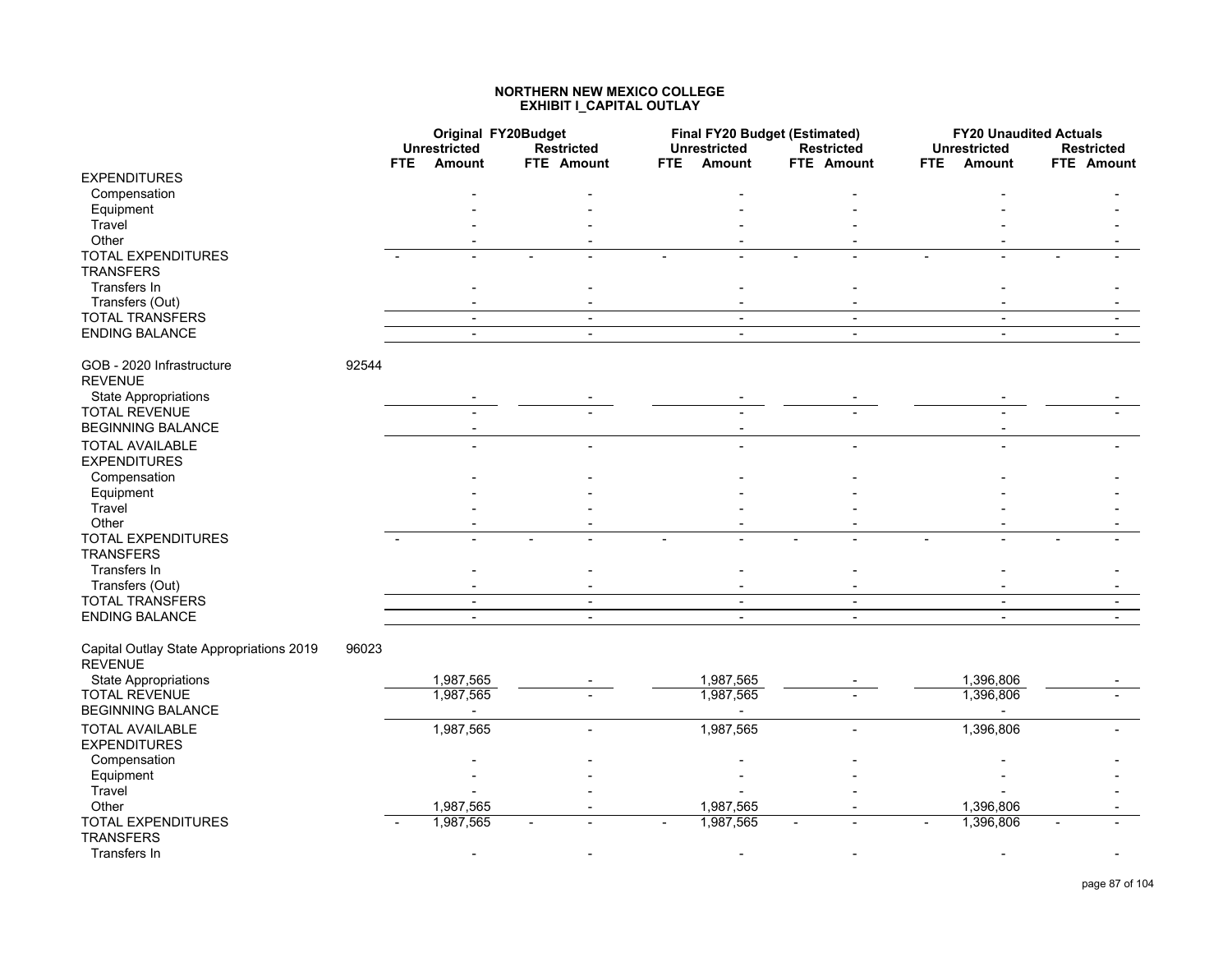|                                                            |       |      | Original FY20Budget<br><b>Unrestricted</b> | <b>Restricted</b>        |      | <b>Final FY20 Budget (Estimated)</b><br><b>Unrestricted</b> | <b>Restricted</b> |     | <b>FY20 Unaudited Actuals</b><br><b>Unrestricted</b> | <b>Restricted</b>        |
|------------------------------------------------------------|-------|------|--------------------------------------------|--------------------------|------|-------------------------------------------------------------|-------------------|-----|------------------------------------------------------|--------------------------|
|                                                            |       | FTE. | Amount                                     | FTE Amount               | FTE. | <b>Amount</b>                                               | <b>FTE</b> Amount | FTE | Amount                                               | <b>FTE</b> Amount        |
| <b>EXPENDITURES</b>                                        |       |      |                                            |                          |      |                                                             |                   |     |                                                      |                          |
| Compensation                                               |       |      |                                            |                          |      |                                                             |                   |     |                                                      |                          |
| Equipment                                                  |       |      |                                            |                          |      |                                                             |                   |     |                                                      |                          |
| Travel                                                     |       |      |                                            |                          |      |                                                             |                   |     |                                                      |                          |
| Other                                                      |       |      |                                            |                          |      |                                                             |                   |     |                                                      |                          |
| <b>TOTAL EXPENDITURES</b><br><b>TRANSFERS</b>              |       |      |                                            |                          |      |                                                             |                   |     |                                                      |                          |
| Transfers In                                               |       |      |                                            |                          |      |                                                             |                   |     | ٠                                                    |                          |
| Transfers (Out)                                            |       |      |                                            |                          |      |                                                             |                   |     |                                                      |                          |
| <b>TOTAL TRANSFERS</b>                                     |       |      | $\sim$                                     | $\blacksquare$           |      | $\blacksquare$                                              | $\blacksquare$    |     | $\sim$                                               | $\blacksquare$           |
| <b>ENDING BALANCE</b>                                      |       |      | $\sim$                                     | $\blacksquare$           |      | $\blacksquare$                                              | $\blacksquare$    |     | $\blacksquare$                                       | $\blacksquare$           |
| GOB - 2020 Infrastructure<br><b>REVENUE</b>                | 92544 |      |                                            |                          |      |                                                             |                   |     |                                                      |                          |
| <b>State Appropriations</b>                                |       |      |                                            |                          |      |                                                             |                   |     |                                                      |                          |
| <b>TOTAL REVENUE</b>                                       |       |      |                                            |                          |      |                                                             |                   |     |                                                      |                          |
| <b>BEGINNING BALANCE</b>                                   |       |      |                                            |                          |      |                                                             |                   |     |                                                      |                          |
| <b>TOTAL AVAILABLE</b>                                     |       |      |                                            |                          |      |                                                             |                   |     |                                                      |                          |
| <b>EXPENDITURES</b>                                        |       |      |                                            |                          |      |                                                             |                   |     |                                                      |                          |
| Compensation                                               |       |      |                                            |                          |      |                                                             |                   |     |                                                      |                          |
| Equipment                                                  |       |      |                                            |                          |      |                                                             |                   |     |                                                      |                          |
| Travel                                                     |       |      |                                            |                          |      |                                                             |                   |     |                                                      |                          |
| Other                                                      |       |      |                                            |                          |      |                                                             |                   |     |                                                      |                          |
| TOTAL EXPENDITURES<br><b>TRANSFERS</b>                     |       |      |                                            |                          |      |                                                             |                   |     |                                                      |                          |
| Transfers In                                               |       |      |                                            |                          |      |                                                             |                   |     |                                                      |                          |
| Transfers (Out)                                            |       |      |                                            |                          |      |                                                             |                   |     |                                                      |                          |
| <b>TOTAL TRANSFERS</b>                                     |       |      | $\sim$                                     | $\overline{\phantom{a}}$ |      | $\blacksquare$                                              | $\sim$            |     | $\sim$                                               | $\overline{\phantom{a}}$ |
| <b>ENDING BALANCE</b>                                      |       |      | $\overline{\phantom{a}}$                   | $\sim$                   |      | $\overline{a}$                                              | $\overline{a}$    |     | $\sim$                                               | $\overline{a}$           |
| Capital Outlay State Appropriations 2019<br><b>REVENUE</b> | 96023 |      |                                            |                          |      |                                                             |                   |     |                                                      |                          |
| <b>State Appropriations</b>                                |       |      | 1,987,565                                  |                          |      | 1,987,565                                                   |                   |     | 1,396,806                                            |                          |
| <b>TOTAL REVENUE</b>                                       |       |      | 1,987,565                                  |                          |      | 1,987,565                                                   |                   |     | 1,396,806                                            |                          |
| <b>BEGINNING BALANCE</b>                                   |       |      |                                            |                          |      | $\blacksquare$                                              |                   |     | $\blacksquare$                                       |                          |
| <b>TOTAL AVAILABLE</b>                                     |       |      | 1,987,565                                  |                          |      | 1,987,565                                                   |                   |     | 1,396,806                                            |                          |
| <b>EXPENDITURES</b>                                        |       |      |                                            |                          |      |                                                             |                   |     |                                                      |                          |
| Compensation                                               |       |      |                                            |                          |      |                                                             |                   |     |                                                      |                          |
| Equipment                                                  |       |      |                                            |                          |      |                                                             |                   |     |                                                      |                          |
| Travel                                                     |       |      |                                            |                          |      |                                                             |                   |     |                                                      |                          |
| Other                                                      |       |      | 1,987,565                                  |                          |      | 1,987,565                                                   |                   |     | 1,396,806                                            |                          |
| TOTAL EXPENDITURES                                         |       |      | 1,987,565                                  |                          |      | 1,987,565                                                   |                   |     | 1,396,806                                            |                          |
| <b>TRANSFERS</b>                                           |       |      |                                            |                          |      |                                                             |                   |     |                                                      |                          |
| Transfers In                                               |       |      |                                            |                          |      |                                                             |                   |     |                                                      |                          |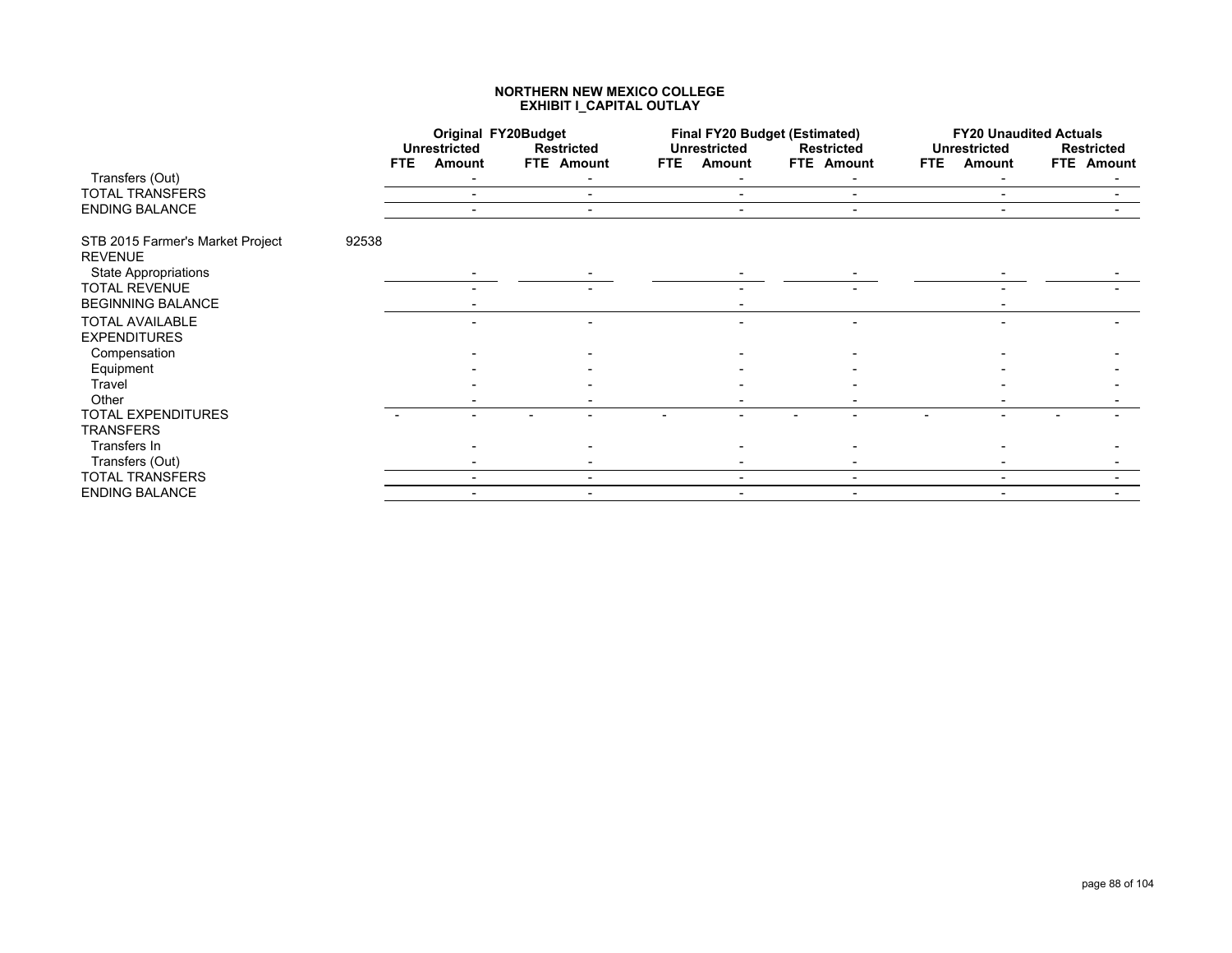|                                                    |       |            | <b>Original FY20Budget</b>    |                                 |            | <b>Final FY20 Budget (Estimated)</b> |                                 |            | <b>FY20 Unaudited Actuals</b> |                                 |
|----------------------------------------------------|-------|------------|-------------------------------|---------------------------------|------------|--------------------------------------|---------------------------------|------------|-------------------------------|---------------------------------|
|                                                    |       | <b>FTE</b> | <b>Unrestricted</b><br>Amount | <b>Restricted</b><br>FTE Amount | <b>FTE</b> | <b>Unrestricted</b><br>Amount        | <b>Restricted</b><br>FTE Amount | <b>FTE</b> | <b>Unrestricted</b><br>Amount | <b>Restricted</b><br>FTE Amount |
| Transfers (Out)                                    |       |            |                               |                                 |            |                                      |                                 |            |                               |                                 |
| TOTAL TRANSFERS                                    |       |            | $\overline{\phantom{0}}$      | $\overline{\phantom{a}}$        |            | $\overline{\phantom{0}}$             | $\overline{\phantom{a}}$        |            |                               |                                 |
| <b>ENDING BALANCE</b>                              |       |            |                               | $\overline{\phantom{a}}$        |            |                                      |                                 |            | $\overline{\phantom{0}}$      |                                 |
| STB 2015 Farmer's Market Project<br><b>REVENUE</b> | 92538 |            |                               |                                 |            |                                      |                                 |            |                               |                                 |
| <b>State Appropriations</b>                        |       |            |                               |                                 |            |                                      |                                 |            |                               |                                 |
| <b>TOTAL REVENUE</b>                               |       |            |                               |                                 |            |                                      |                                 |            |                               |                                 |
| <b>BEGINNING BALANCE</b>                           |       |            |                               |                                 |            |                                      |                                 |            |                               |                                 |
| <b>TOTAL AVAILABLE</b><br><b>EXPENDITURES</b>      |       |            |                               |                                 |            |                                      |                                 |            |                               |                                 |
| Compensation                                       |       |            |                               |                                 |            |                                      |                                 |            |                               |                                 |
| Equipment                                          |       |            |                               |                                 |            |                                      |                                 |            |                               |                                 |
| Travel                                             |       |            |                               |                                 |            |                                      |                                 |            |                               |                                 |
| Other                                              |       |            |                               |                                 |            |                                      |                                 |            |                               |                                 |
| <b>TOTAL EXPENDITURES</b>                          |       |            |                               |                                 |            |                                      |                                 |            |                               |                                 |
| <b>TRANSFERS</b>                                   |       |            |                               |                                 |            |                                      |                                 |            |                               |                                 |
| Transfers In                                       |       |            |                               |                                 |            |                                      |                                 |            |                               |                                 |
| Transfers (Out)                                    |       |            |                               |                                 |            |                                      |                                 |            |                               |                                 |
| TOTAL TRANSFERS                                    |       |            | $\overline{\phantom{0}}$      | $\sim$                          |            | $\overline{\phantom{a}}$             | $\overline{\phantom{a}}$        |            | $\overline{\phantom{0}}$      |                                 |
| <b>ENDING BALANCE</b>                              |       |            |                               | $\overline{\phantom{a}}$        |            |                                      |                                 |            |                               |                                 |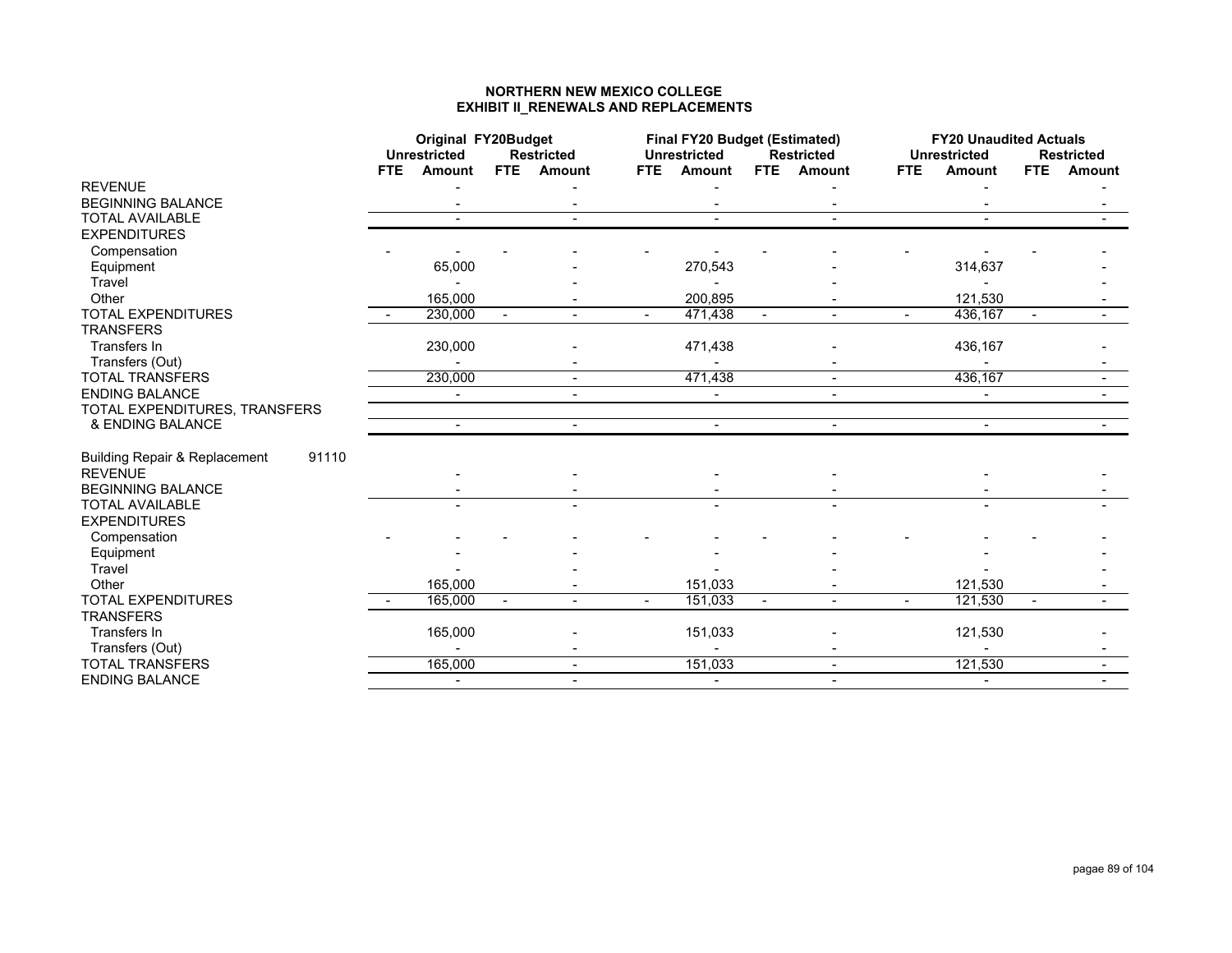#### **NORTHERN NEW MEXICO COLLEGE EXHIBIT II\_RENEWALS AND REPLACEMENTS**

|                                                   |     | Original FY20Budget |        |                          |                | <b>Final FY20 Budget (Estimated)</b> |        |                   |      | <b>FY20 Unaudited Actuals</b> |                |                   |
|---------------------------------------------------|-----|---------------------|--------|--------------------------|----------------|--------------------------------------|--------|-------------------|------|-------------------------------|----------------|-------------------|
|                                                   |     | <b>Unrestricted</b> |        | <b>Restricted</b>        |                | <b>Unrestricted</b>                  |        | <b>Restricted</b> |      | <b>Unrestricted</b>           |                | <b>Restricted</b> |
|                                                   | FTE | Amount              | FTE.   | <b>Amount</b>            | FTE.           | <b>Amount</b>                        |        | FTE Amount        | FTE. | <b>Amount</b>                 | FTE            | Amount            |
| <b>REVENUE</b>                                    |     |                     |        |                          |                |                                      |        |                   |      |                               |                |                   |
| <b>BEGINNING BALANCE</b>                          |     |                     |        |                          |                |                                      |        |                   |      |                               |                |                   |
| <b>TOTAL AVAILABLE</b>                            |     |                     |        |                          |                |                                      |        |                   |      |                               |                |                   |
| <b>EXPENDITURES</b>                               |     |                     |        |                          |                |                                      |        |                   |      |                               |                |                   |
| Compensation                                      |     |                     |        |                          |                |                                      |        |                   |      |                               |                |                   |
| Equipment                                         |     | 65,000              |        |                          |                | 270,543                              |        |                   |      | 314,637                       |                |                   |
| Travel                                            |     |                     |        |                          |                |                                      |        |                   |      |                               |                |                   |
| Other                                             |     | 165,000             |        |                          |                | 200,895                              |        |                   |      | 121,530                       |                |                   |
| <b>TOTAL EXPENDITURES</b>                         |     | 230,000             | $\sim$ | $\blacksquare$           |                | 471,438                              | $\sim$ | $\blacksquare$    |      | 436,167                       | $\blacksquare$ |                   |
| <b>TRANSFERS</b>                                  |     |                     |        |                          |                |                                      |        |                   |      |                               |                |                   |
| Transfers In                                      |     | 230,000             |        |                          |                | 471,438                              |        |                   |      | 436,167                       |                |                   |
| Transfers (Out)                                   |     |                     |        |                          |                |                                      |        |                   |      |                               |                |                   |
| <b>TOTAL TRANSFERS</b>                            |     | 230,000             |        | $\blacksquare$           |                | 471,438                              |        | $\sim$            |      | 436,167                       |                |                   |
| <b>ENDING BALANCE</b>                             |     | $\blacksquare$      |        | $\blacksquare$           |                | $\blacksquare$                       |        | $\sim$            |      |                               |                |                   |
| TOTAL EXPENDITURES, TRANSFERS                     |     |                     |        |                          |                |                                      |        |                   |      |                               |                |                   |
| & ENDING BALANCE                                  |     | $\sim$              |        | $\sim$                   |                | $\blacksquare$                       |        | $\sim$            |      | $\sim$                        |                |                   |
|                                                   |     |                     |        |                          |                |                                      |        |                   |      |                               |                |                   |
| 91110<br><b>Building Repair &amp; Replacement</b> |     |                     |        |                          |                |                                      |        |                   |      |                               |                |                   |
| <b>REVENUE</b>                                    |     |                     |        |                          |                |                                      |        |                   |      |                               |                |                   |
| <b>BEGINNING BALANCE</b>                          |     |                     |        |                          |                |                                      |        |                   |      |                               |                |                   |
|                                                   |     |                     |        |                          |                |                                      |        |                   |      |                               |                |                   |
| <b>TOTAL AVAILABLE</b>                            |     |                     |        |                          |                |                                      |        |                   |      |                               |                |                   |
| <b>EXPENDITURES</b>                               |     |                     |        |                          |                |                                      |        |                   |      |                               |                |                   |
| Compensation                                      |     |                     |        |                          |                |                                      |        |                   |      |                               |                |                   |
| Equipment                                         |     |                     |        |                          |                |                                      |        |                   |      |                               |                |                   |
| Travel                                            |     |                     |        |                          |                |                                      |        |                   |      |                               |                |                   |
| Other                                             |     | 165,000             |        |                          |                | 151,033                              |        |                   |      | 121,530                       |                |                   |
| <b>TOTAL EXPENDITURES</b>                         |     | 165,000             |        |                          | $\blacksquare$ | 151,033                              |        |                   |      | 121,530                       |                |                   |
| <b>TRANSFERS</b>                                  |     |                     |        |                          |                |                                      |        |                   |      |                               |                |                   |
| Transfers In                                      |     | 165,000             |        |                          |                | 151,033                              |        |                   |      | 121,530                       |                |                   |
| Transfers (Out)                                   |     |                     |        |                          |                |                                      |        |                   |      |                               |                |                   |
| <b>TOTAL TRANSFERS</b>                            |     | 165,000             |        | $\sim$                   |                | 151,033                              |        | $\sim$            |      | 121,530                       |                |                   |
| <b>ENDING BALANCE</b>                             |     | $\blacksquare$      |        | $\overline{\phantom{a}}$ |                | $\blacksquare$                       |        |                   |      | $\blacksquare$                |                |                   |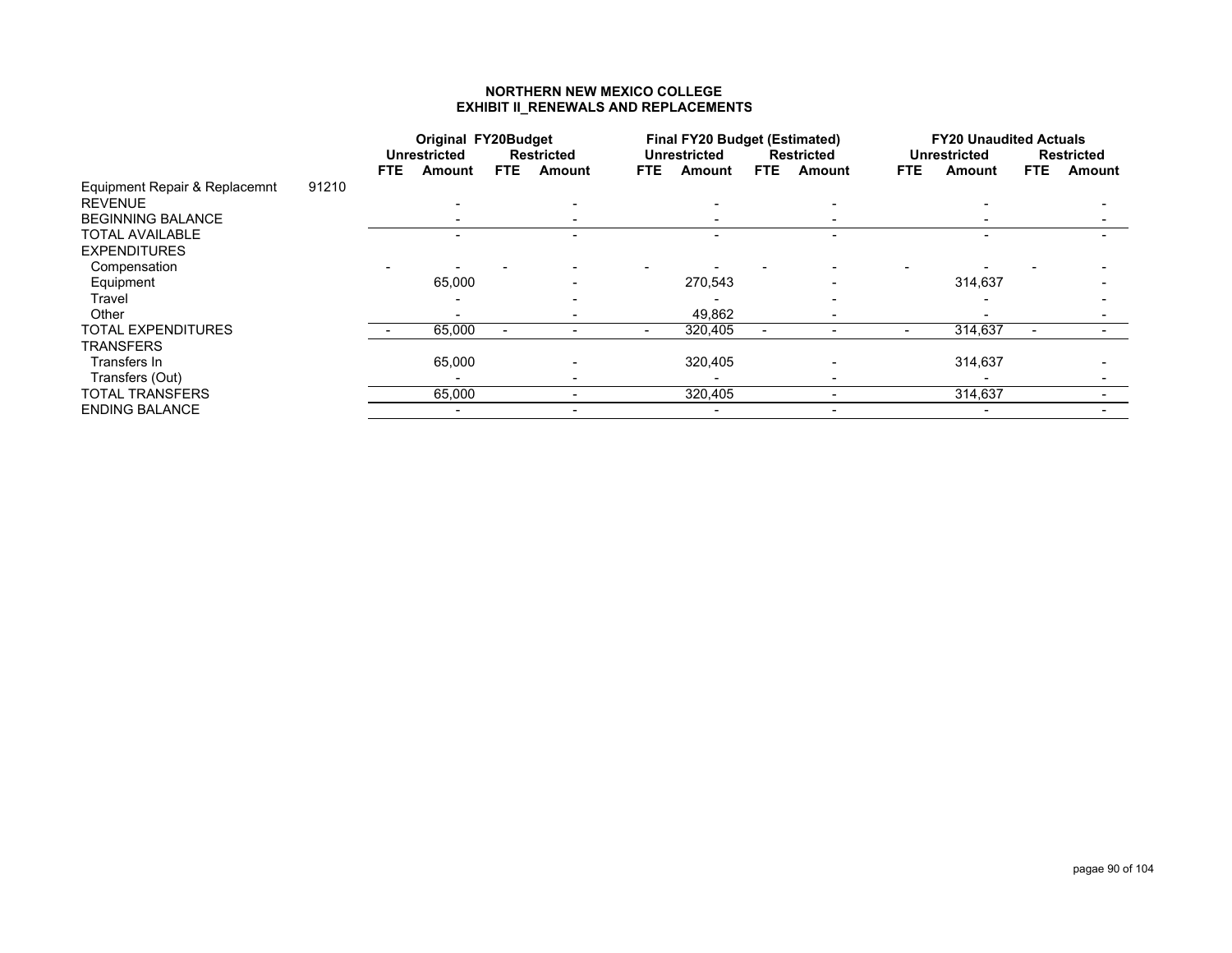#### **NORTHERN NEW MEXICO COLLEGE EXHIBIT II\_RENEWALS AND REPLACEMENTS**

|                               |       |      |                     | <b>Original FY20Budget</b><br>FTE. |                   |      | <b>Final FY20 Budget (Estimated)</b> |      |                   |      | <b>FY20 Unaudited Actuals</b> |      |                   |
|-------------------------------|-------|------|---------------------|------------------------------------|-------------------|------|--------------------------------------|------|-------------------|------|-------------------------------|------|-------------------|
|                               |       |      | <b>Unrestricted</b> |                                    | <b>Restricted</b> |      | Unrestricted                         |      | <b>Restricted</b> |      | <b>Unrestricted</b>           |      | <b>Restricted</b> |
|                               |       | FTE. | Amount              |                                    | <b>Amount</b>     | FTE. | Amount                               | FTE. | Amount            | FTE. | Amount                        | FTE. | Amount            |
| Equipment Repair & Replacemnt | 91210 |      |                     |                                    |                   |      |                                      |      |                   |      |                               |      |                   |
| <b>REVENUE</b>                |       |      |                     |                                    |                   |      |                                      |      |                   |      |                               |      |                   |
| <b>BEGINNING BALANCE</b>      |       |      |                     |                                    |                   |      |                                      |      |                   |      |                               |      |                   |
| <b>TOTAL AVAILABLE</b>        |       |      |                     |                                    |                   |      |                                      |      |                   |      |                               |      |                   |
| <b>EXPENDITURES</b>           |       |      |                     |                                    |                   |      |                                      |      |                   |      |                               |      |                   |
| Compensation                  |       |      |                     |                                    |                   |      |                                      |      |                   |      |                               |      |                   |
| Equipment                     |       |      | 65,000              |                                    |                   |      | 270,543                              |      |                   |      | 314,637                       |      |                   |
| Travel                        |       |      |                     |                                    |                   |      |                                      |      |                   |      |                               |      |                   |
| Other                         |       |      |                     |                                    |                   |      | 49,862                               |      |                   |      |                               |      |                   |
| <b>TOTAL EXPENDITURES</b>     |       |      | 65,000              |                                    |                   |      | 320,405                              |      |                   |      | 314,637                       |      |                   |
| TRANSFERS                     |       |      |                     |                                    |                   |      |                                      |      |                   |      |                               |      |                   |
| Transfers In                  |       |      | 65,000              |                                    |                   |      | 320,405                              |      |                   |      | 314,637                       |      |                   |
| Transfers (Out)               |       |      |                     |                                    |                   |      |                                      |      |                   |      |                               |      |                   |
| TOTAL TRANSFERS               |       |      | 65,000              |                                    |                   |      | 320,405                              |      |                   |      | 314,637                       |      |                   |
| <b>ENDING BALANCE</b>         |       |      |                     |                                    |                   |      |                                      |      |                   |      |                               |      |                   |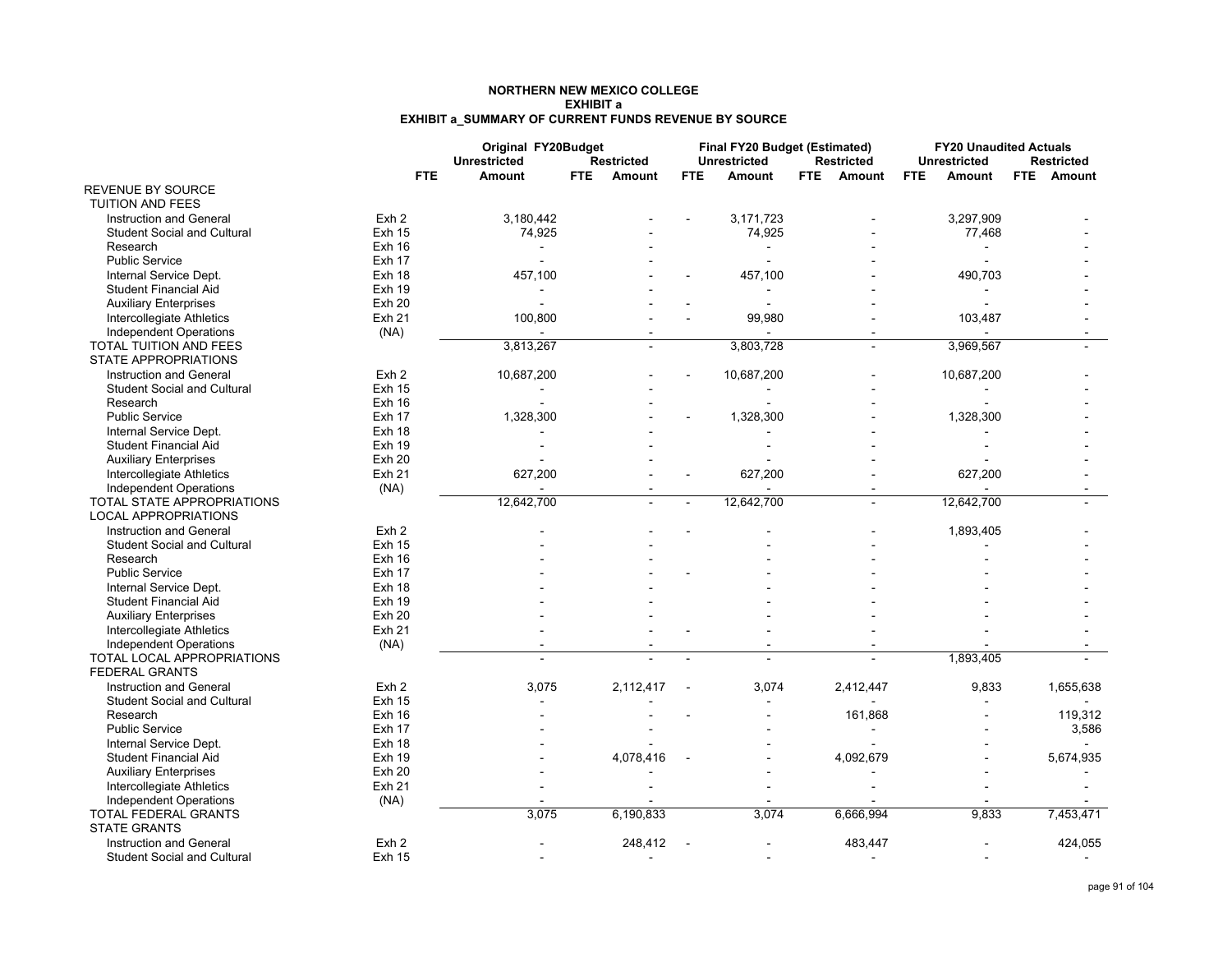#### **NORTHERN NEW MEXICO COLLEGEEXHIBIT aEXHIBIT a\_SUMMARY OF CURRENT FUNDS REVENUE BY SOURCE**

|                                    |                  | Original FY20Budget |     |                          |        | Final FY20 Budget (Estimated) |      |                   |            | <b>FY20 Unaudited Actuals</b> |                   |
|------------------------------------|------------------|---------------------|-----|--------------------------|--------|-------------------------------|------|-------------------|------------|-------------------------------|-------------------|
|                                    |                  | <b>Unrestricted</b> |     | <b>Restricted</b>        |        | <b>Unrestricted</b>           |      | <b>Restricted</b> |            | <b>Unrestricted</b>           | <b>Restricted</b> |
|                                    | <b>FTE</b>       | <b>Amount</b>       | FTE | Amount                   | FTE.   | <b>Amount</b>                 | FTE. | Amount            | <b>FTE</b> | <b>Amount</b>                 | FTE Amount        |
| <b>REVENUE BY SOURCE</b>           |                  |                     |     |                          |        |                               |      |                   |            |                               |                   |
| <b>TUITION AND FEES</b>            |                  |                     |     |                          |        |                               |      |                   |            |                               |                   |
| Instruction and General            | Exh 2            | 3,180,442           |     |                          |        | 3,171,723                     |      |                   |            | 3,297,909                     |                   |
| <b>Student Social and Cultural</b> | <b>Exh 15</b>    | 74,925              |     |                          |        | 74,925                        |      |                   |            | 77,468                        |                   |
| Research                           | Exh 16           |                     |     |                          |        |                               |      |                   |            |                               |                   |
| <b>Public Service</b>              | <b>Exh 17</b>    |                     |     |                          |        |                               |      |                   |            |                               |                   |
| Internal Service Dept.             | Exh 18           | 457,100             |     |                          |        | 457,100                       |      |                   |            | 490,703                       |                   |
| <b>Student Financial Aid</b>       | <b>Exh 19</b>    |                     |     |                          |        |                               |      |                   |            |                               |                   |
| <b>Auxiliary Enterprises</b>       | <b>Exh 20</b>    |                     |     |                          |        |                               |      |                   |            |                               |                   |
| Intercollegiate Athletics          | <b>Exh 21</b>    | 100,800             |     |                          |        | 99,980                        |      |                   |            | 103,487                       |                   |
| <b>Independent Operations</b>      | (NA)             |                     |     |                          |        |                               |      |                   |            |                               |                   |
| <b>TOTAL TUITION AND FEES</b>      |                  | 3,813,267           |     |                          |        | 3,803,728                     |      |                   |            | 3,969,567                     |                   |
| <b>STATE APPROPRIATIONS</b>        |                  |                     |     |                          |        |                               |      |                   |            |                               |                   |
| Instruction and General            | Exh <sub>2</sub> | 10,687,200          |     |                          |        | 10,687,200                    |      |                   |            | 10,687,200                    |                   |
| <b>Student Social and Cultural</b> | <b>Exh 15</b>    |                     |     |                          |        |                               |      |                   |            |                               |                   |
| Research                           | $Exh$ 16         |                     |     |                          |        |                               |      |                   |            |                               |                   |
| <b>Public Service</b>              | <b>Exh 17</b>    | 1,328,300           |     |                          |        | 1,328,300                     |      |                   |            | 1,328,300                     |                   |
| Internal Service Dept.             | Exh 18           |                     |     |                          |        |                               |      |                   |            |                               |                   |
| <b>Student Financial Aid</b>       | <b>Exh 19</b>    |                     |     |                          |        |                               |      |                   |            |                               |                   |
| <b>Auxiliary Enterprises</b>       | Exh20            |                     |     |                          |        |                               |      |                   |            |                               |                   |
| Intercollegiate Athletics          | Exh 21           | 627,200             |     |                          |        | 627,200                       |      |                   |            | 627,200                       |                   |
| <b>Independent Operations</b>      | (NA)             |                     |     |                          |        |                               |      |                   |            |                               |                   |
| TOTAL STATE APPROPRIATIONS         |                  | 12,642,700          |     |                          |        | 12,642,700                    |      | $\overline{a}$    |            | 12,642,700                    |                   |
| <b>LOCAL APPROPRIATIONS</b>        |                  |                     |     |                          |        |                               |      |                   |            |                               |                   |
| <b>Instruction and General</b>     | Exh <sub>2</sub> |                     |     |                          |        |                               |      |                   |            | 1,893,405                     |                   |
| <b>Student Social and Cultural</b> | <b>Exh 15</b>    |                     |     |                          |        |                               |      |                   |            |                               |                   |
| Research                           | Exh 16           |                     |     |                          |        |                               |      |                   |            |                               |                   |
| <b>Public Service</b>              | Exh 17           |                     |     |                          |        |                               |      |                   |            |                               |                   |
| Internal Service Dept.             | Exh 18           |                     |     |                          |        |                               |      |                   |            |                               |                   |
| <b>Student Financial Aid</b>       | <b>Exh 19</b>    |                     |     |                          |        |                               |      |                   |            |                               |                   |
| <b>Auxiliary Enterprises</b>       | <b>Exh 20</b>    |                     |     |                          |        |                               |      |                   |            |                               |                   |
| Intercollegiate Athletics          | <b>Exh 21</b>    |                     |     |                          |        |                               |      |                   |            |                               |                   |
| <b>Independent Operations</b>      | (NA)             |                     |     |                          |        |                               |      |                   |            |                               |                   |
| <b>TOTAL LOCAL APPROPRIATIONS</b>  |                  |                     |     |                          |        |                               |      |                   |            | 1,893,405                     |                   |
| <b>FEDERAL GRANTS</b>              |                  |                     |     |                          |        |                               |      |                   |            |                               |                   |
| Instruction and General            | Exh <sub>2</sub> | 3,075               |     | 2,112,417                | $\sim$ | 3,074                         |      | 2,412,447         |            | 9,833                         | 1,655,638         |
| <b>Student Social and Cultural</b> | <b>Exh 15</b>    |                     |     |                          |        |                               |      |                   |            |                               |                   |
| Research                           | Exh 16           |                     |     |                          |        |                               |      | 161,868           |            |                               | 119,312           |
| <b>Public Service</b>              | <b>Exh 17</b>    |                     |     |                          |        |                               |      |                   |            |                               | 3,586             |
| Internal Service Dept.             | Exh 18           |                     |     |                          |        |                               |      |                   |            |                               |                   |
| <b>Student Financial Aid</b>       | <b>Exh 19</b>    |                     |     | 4,078,416                |        |                               |      | 4,092,679         |            |                               | 5,674,935         |
| <b>Auxiliary Enterprises</b>       | <b>Exh 20</b>    |                     |     |                          |        |                               |      |                   |            |                               |                   |
| Intercollegiate Athletics          | <b>Exh 21</b>    |                     |     |                          |        |                               |      |                   |            |                               |                   |
| <b>Independent Operations</b>      | (NA)             |                     |     |                          |        |                               |      |                   |            |                               |                   |
| TOTAL FEDERAL GRANTS               |                  | 3,075               |     | 6,190,833                |        | 3,074                         |      | 6,666,994         |            | 9,833                         | 7,453,471         |
| <b>STATE GRANTS</b>                |                  |                     |     |                          |        |                               |      |                   |            |                               |                   |
| Instruction and General            | Exh <sub>2</sub> |                     |     | 248,412                  |        |                               |      | 483,447           |            |                               | 424,055           |
| <b>Student Social and Cultural</b> | <b>Exh 15</b>    |                     |     | $\overline{\phantom{a}}$ |        |                               |      |                   |            |                               |                   |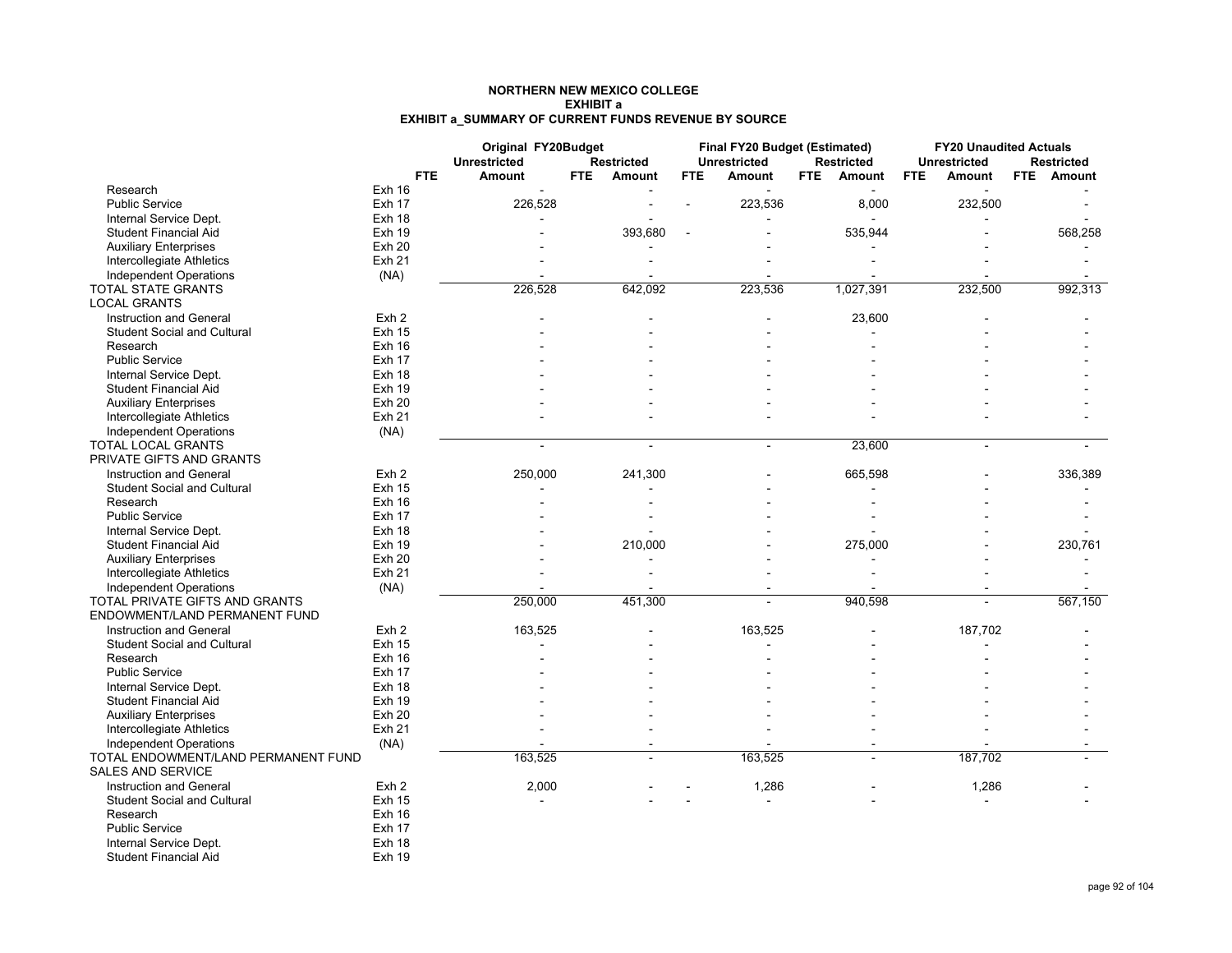#### **NORTHERN NEW MEXICO COLLEGEEXHIBIT aEXHIBIT a\_SUMMARY OF CURRENT FUNDS REVENUE BY SOURCE**

|                                                                 |                  | Original FY20Budget<br><b>Unrestricted</b> |      | <b>Restricted</b> |            | Final FY20 Budget (Estimated)<br><b>Unrestricted</b> |      | <b>Restricted</b> |            | <b>FY20 Unaudited Actuals</b><br><b>Unrestricted</b> |      | <b>Restricted</b> |
|-----------------------------------------------------------------|------------------|--------------------------------------------|------|-------------------|------------|------------------------------------------------------|------|-------------------|------------|------------------------------------------------------|------|-------------------|
|                                                                 | <b>FTE</b>       | <b>Amount</b>                              | FTE. | Amount            | <b>FTE</b> | <b>Amount</b>                                        | FTE. | Amount            | <b>FTE</b> | Amount                                               | FTE. | Amount            |
| Research                                                        | Exh 16           |                                            |      |                   |            |                                                      |      |                   |            |                                                      |      |                   |
| <b>Public Service</b>                                           | <b>Exh 17</b>    | 226,528                                    |      |                   |            | 223,536                                              |      | 8,000             |            | 232,500                                              |      |                   |
| Internal Service Dept.                                          | <b>Exh 18</b>    |                                            |      |                   |            |                                                      |      |                   |            |                                                      |      |                   |
| <b>Student Financial Aid</b>                                    | Exh 19           |                                            |      | 393,680           |            |                                                      |      | 535,944           |            |                                                      |      | 568,258           |
| <b>Auxiliary Enterprises</b>                                    | <b>Exh 20</b>    |                                            |      |                   |            |                                                      |      |                   |            |                                                      |      |                   |
| Intercollegiate Athletics                                       | <b>Exh 21</b>    |                                            |      |                   |            |                                                      |      |                   |            |                                                      |      |                   |
| Independent Operations                                          | (NA)             |                                            |      |                   |            |                                                      |      |                   |            |                                                      |      |                   |
| <b>TOTAL STATE GRANTS</b>                                       |                  | 226,528                                    |      | 642,092           |            | 223,536                                              |      | 1,027,391         |            | 232,500                                              |      | 992,313           |
| <b>LOCAL GRANTS</b>                                             |                  |                                            |      |                   |            |                                                      |      |                   |            |                                                      |      |                   |
| Instruction and General                                         | Exh <sub>2</sub> |                                            |      |                   |            |                                                      |      | 23,600            |            |                                                      |      |                   |
| <b>Student Social and Cultural</b>                              | <b>Exh 15</b>    |                                            |      |                   |            |                                                      |      |                   |            |                                                      |      |                   |
| Research                                                        | Exh 16           |                                            |      |                   |            |                                                      |      |                   |            |                                                      |      |                   |
| <b>Public Service</b>                                           | <b>Exh 17</b>    |                                            |      |                   |            |                                                      |      |                   |            |                                                      |      |                   |
| Internal Service Dept.                                          | Exh 18           |                                            |      |                   |            |                                                      |      |                   |            |                                                      |      |                   |
| <b>Student Financial Aid</b>                                    | <b>Exh 19</b>    |                                            |      |                   |            |                                                      |      |                   |            |                                                      |      |                   |
| <b>Auxiliary Enterprises</b>                                    | <b>Exh 20</b>    |                                            |      |                   |            |                                                      |      |                   |            |                                                      |      |                   |
| Intercollegiate Athletics                                       | <b>Exh 21</b>    |                                            |      |                   |            |                                                      |      |                   |            |                                                      |      |                   |
| <b>Independent Operations</b>                                   | (NA)             |                                            |      |                   |            |                                                      |      |                   |            |                                                      |      |                   |
| TOTAL LOCAL GRANTS                                              |                  |                                            |      | ٠                 |            | $\sim$                                               |      | 23,600            |            |                                                      |      |                   |
| PRIVATE GIFTS AND GRANTS                                        |                  |                                            |      |                   |            |                                                      |      |                   |            |                                                      |      |                   |
| Instruction and General                                         | Exh <sub>2</sub> | 250,000                                    |      | 241,300           |            |                                                      |      | 665,598           |            |                                                      |      | 336,389           |
| <b>Student Social and Cultural</b>                              | <b>Exh 15</b>    |                                            |      |                   |            |                                                      |      |                   |            |                                                      |      |                   |
| Research                                                        | <b>Exh 16</b>    |                                            |      |                   |            |                                                      |      |                   |            |                                                      |      |                   |
| <b>Public Service</b>                                           | <b>Exh 17</b>    |                                            |      |                   |            |                                                      |      |                   |            |                                                      |      |                   |
| Internal Service Dept.                                          | <b>Exh 18</b>    |                                            |      |                   |            |                                                      |      |                   |            |                                                      |      |                   |
| <b>Student Financial Aid</b>                                    | <b>Exh 19</b>    |                                            |      | 210,000           |            |                                                      |      | 275,000           |            |                                                      |      | 230,761           |
| <b>Auxiliary Enterprises</b>                                    | <b>Exh 20</b>    |                                            |      |                   |            |                                                      |      |                   |            |                                                      |      |                   |
| Intercollegiate Athletics                                       | <b>Exh 21</b>    |                                            |      |                   |            |                                                      |      |                   |            |                                                      |      |                   |
| <b>Independent Operations</b>                                   | (NA)             |                                            |      |                   |            |                                                      |      |                   |            |                                                      |      |                   |
| TOTAL PRIVATE GIFTS AND GRANTS                                  |                  | 250,000                                    |      | 451,300           |            |                                                      |      | 940,598           |            |                                                      |      | 567,150           |
| ENDOWMENT/LAND PERMANENT FUND                                   |                  |                                            |      |                   |            |                                                      |      |                   |            |                                                      |      |                   |
| Instruction and General                                         | Exh <sub>2</sub> | 163,525                                    |      |                   |            | 163,525                                              |      |                   |            | 187,702                                              |      |                   |
| <b>Student Social and Cultural</b>                              | <b>Exh 15</b>    | ä,                                         |      |                   |            |                                                      |      |                   |            |                                                      |      |                   |
| Research                                                        | <b>Exh 16</b>    |                                            |      |                   |            |                                                      |      |                   |            |                                                      |      |                   |
| <b>Public Service</b>                                           | Exh 17           |                                            |      |                   |            |                                                      |      |                   |            |                                                      |      |                   |
| Internal Service Dept.                                          | Exh 18           |                                            |      |                   |            |                                                      |      |                   |            |                                                      |      |                   |
| <b>Student Financial Aid</b>                                    | <b>Exh 19</b>    |                                            |      |                   |            |                                                      |      |                   |            |                                                      |      |                   |
| <b>Auxiliary Enterprises</b>                                    | <b>Exh 20</b>    |                                            |      |                   |            |                                                      |      |                   |            |                                                      |      |                   |
| Intercollegiate Athletics                                       | <b>Exh 21</b>    |                                            |      |                   |            |                                                      |      |                   |            |                                                      |      |                   |
| Independent Operations                                          | (NA)             |                                            |      |                   |            |                                                      |      |                   |            |                                                      |      |                   |
| TOTAL ENDOWMENT/LAND PERMANENT FUND<br><b>SALES AND SERVICE</b> |                  | 163,525                                    |      |                   |            | 163,525                                              |      |                   |            | 187,702                                              |      |                   |
| <b>Instruction and General</b>                                  | Exh <sub>2</sub> | 2,000                                      |      |                   |            | 1,286                                                |      |                   |            | 1,286                                                |      |                   |
| <b>Student Social and Cultural</b>                              | <b>Exh 15</b>    | $\sim$                                     |      |                   |            | $\blacksquare$                                       |      |                   |            |                                                      |      |                   |
| Research                                                        | Exh 16           |                                            |      |                   |            |                                                      |      |                   |            |                                                      |      |                   |
| <b>Public Service</b>                                           | Exh 17           |                                            |      |                   |            |                                                      |      |                   |            |                                                      |      |                   |
| Internal Service Dept.                                          | Exh 18           |                                            |      |                   |            |                                                      |      |                   |            |                                                      |      |                   |
| <b>Student Financial Aid</b>                                    | <b>Exh 19</b>    |                                            |      |                   |            |                                                      |      |                   |            |                                                      |      |                   |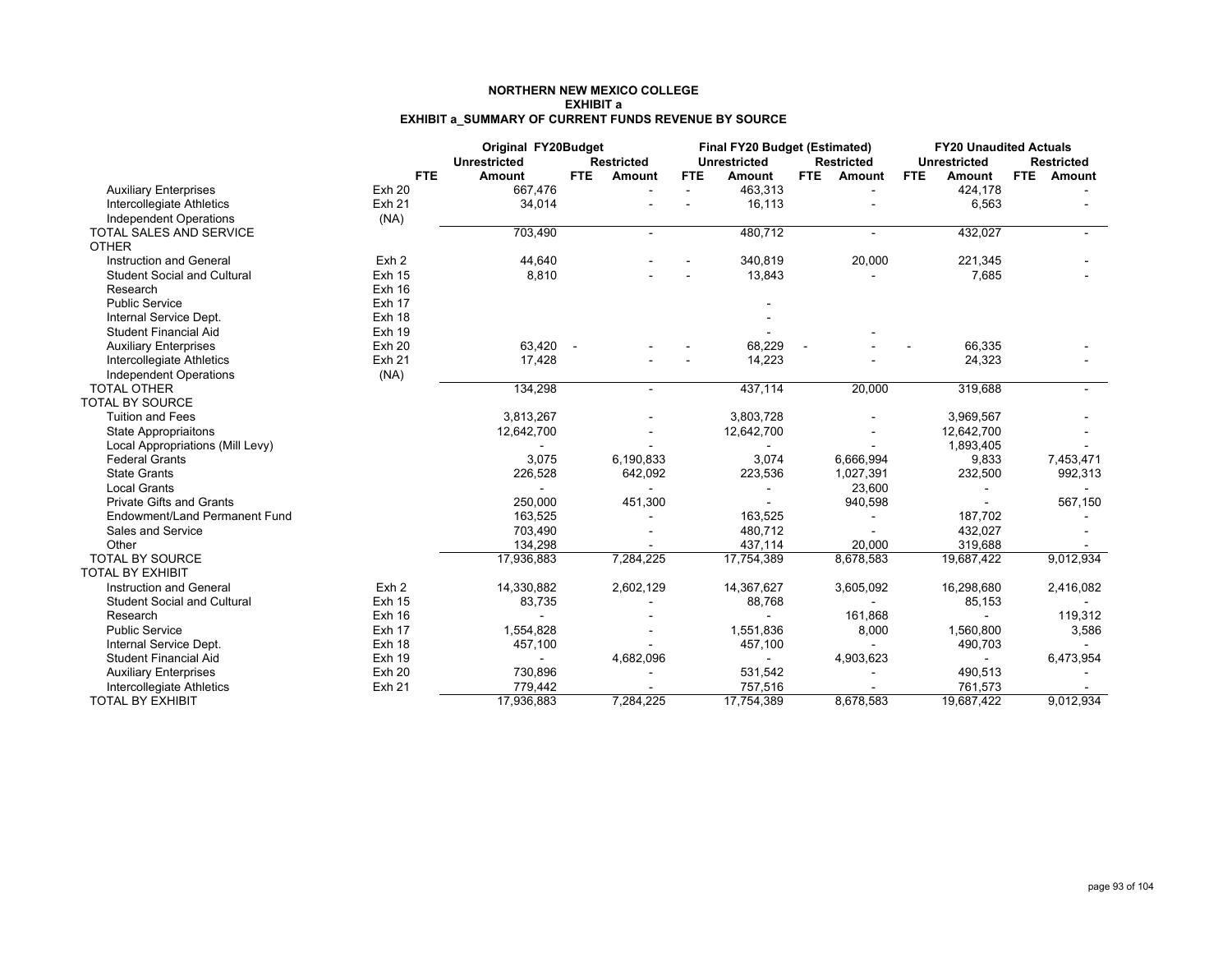#### **NORTHERN NEW MEXICO COLLEGEEXHIBIT aEXHIBIT a\_SUMMARY OF CURRENT FUNDS REVENUE BY SOURCE**

|                                    |                  | Original FY20Budget<br><b>Unrestricted</b> |      | <b>Restricted</b>        |            | Final FY20 Budget (Estimated)<br><b>Unrestricted</b> |      | <b>Restricted</b> |            | <b>FY20 Unaudited Actuals</b><br><b>Unrestricted</b> |            | <b>Restricted</b> |
|------------------------------------|------------------|--------------------------------------------|------|--------------------------|------------|------------------------------------------------------|------|-------------------|------------|------------------------------------------------------|------------|-------------------|
|                                    | FTE.             | <b>Amount</b>                              | FTE. | Amount                   | <b>FTE</b> | <b>Amount</b>                                        | FTE. | Amount            | <b>FTE</b> | <b>Amount</b>                                        | <b>FTE</b> | Amount            |
| <b>Auxiliary Enterprises</b>       | <b>Exh 20</b>    | 667,476                                    |      | $\overline{\phantom{a}}$ | $\sim$     | 463,313                                              |      |                   |            | 424.178                                              |            |                   |
| Intercollegiate Athletics          | Exh 21           | 34,014                                     |      |                          |            | 16,113                                               |      |                   |            | 6,563                                                |            |                   |
| <b>Independent Operations</b>      | (NA)             |                                            |      |                          |            |                                                      |      |                   |            |                                                      |            |                   |
| <b>TOTAL SALES AND SERVICE</b>     |                  | 703,490                                    |      | $\blacksquare$           |            | 480,712                                              |      | $\blacksquare$    |            | 432,027                                              |            |                   |
| <b>OTHER</b>                       |                  |                                            |      |                          |            |                                                      |      |                   |            |                                                      |            |                   |
| Instruction and General            | Exh <sub>2</sub> | 44,640                                     |      |                          |            | 340,819                                              |      | 20,000            |            | 221,345                                              |            |                   |
| <b>Student Social and Cultural</b> | <b>Exh 15</b>    | 8,810                                      |      |                          |            | 13,843                                               |      |                   |            | 7,685                                                |            |                   |
| Research                           | <b>Exh 16</b>    |                                            |      |                          |            |                                                      |      |                   |            |                                                      |            |                   |
| <b>Public Service</b>              | Exh 17           |                                            |      |                          |            |                                                      |      |                   |            |                                                      |            |                   |
| Internal Service Dept.             | Exh 18           |                                            |      |                          |            |                                                      |      |                   |            |                                                      |            |                   |
| <b>Student Financial Aid</b>       | Exh 19           |                                            |      |                          |            |                                                      |      |                   |            |                                                      |            |                   |
| <b>Auxiliary Enterprises</b>       | <b>Exh 20</b>    | 63,420                                     |      |                          |            | 68,229                                               |      |                   |            | 66,335                                               |            |                   |
| Intercollegiate Athletics          | <b>Exh 21</b>    | 17,428                                     |      |                          |            | 14,223                                               |      |                   |            | 24,323                                               |            |                   |
| Independent Operations             | (NA)             |                                            |      |                          |            |                                                      |      |                   |            |                                                      |            |                   |
| <b>TOTAL OTHER</b>                 |                  | 134,298                                    |      |                          |            | 437,114                                              |      | 20,000            |            | 319,688                                              |            |                   |
| <b>TOTAL BY SOURCE</b>             |                  |                                            |      |                          |            |                                                      |      |                   |            |                                                      |            |                   |
| <b>Tuition and Fees</b>            |                  | 3,813,267                                  |      |                          |            | 3,803,728                                            |      |                   |            | 3,969,567                                            |            |                   |
| <b>State Appropriaitons</b>        |                  | 12,642,700                                 |      |                          |            | 12,642,700                                           |      |                   |            | 12,642,700                                           |            |                   |
| Local Appropriations (Mill Levy)   |                  |                                            |      |                          |            |                                                      |      |                   |            | 1,893,405                                            |            |                   |
| <b>Federal Grants</b>              |                  | 3,075                                      |      | 6,190,833                |            | 3,074                                                |      | 6,666,994         |            | 9,833                                                |            | 7,453,471         |
| <b>State Grants</b>                |                  | 226,528                                    |      | 642,092                  |            | 223,536                                              |      | 1,027,391         |            | 232,500                                              |            | 992,313           |
| <b>Local Grants</b>                |                  |                                            |      |                          |            |                                                      |      | 23,600            |            |                                                      |            |                   |
| <b>Private Gifts and Grants</b>    |                  | 250,000                                    |      | 451,300                  |            |                                                      |      | 940,598           |            |                                                      |            | 567,150           |
| Endowment/Land Permanent Fund      |                  | 163,525                                    |      |                          |            | 163,525                                              |      |                   |            | 187,702                                              |            |                   |
| Sales and Service                  |                  | 703,490                                    |      |                          |            | 480,712                                              |      |                   |            | 432,027                                              |            |                   |
| Other                              |                  | 134,298                                    |      |                          |            | 437,114                                              |      | 20,000            |            | 319,688                                              |            |                   |
| <b>TOTAL BY SOURCE</b>             |                  | 17,936,883                                 |      | 7,284,225                |            | 17,754,389                                           |      | 8,678,583         |            | 19,687,422                                           |            | 9,012,934         |
| TOTAL BY EXHIBIT                   |                  |                                            |      |                          |            |                                                      |      |                   |            |                                                      |            |                   |
| Instruction and General            | Exh <sub>2</sub> | 14,330,882                                 |      | 2,602,129                |            | 14,367,627                                           |      | 3,605,092         |            | 16,298,680                                           |            | 2,416,082         |
| <b>Student Social and Cultural</b> | <b>Exh 15</b>    | 83,735                                     |      |                          |            | 88,768                                               |      |                   |            | 85,153                                               |            |                   |
| Research                           | Exh 16           |                                            |      |                          |            |                                                      |      | 161,868           |            |                                                      |            | 119,312           |
| <b>Public Service</b>              | Exh 17           | 1,554,828                                  |      |                          |            | 1,551,836                                            |      | 8,000             |            | 1,560,800                                            |            | 3,586             |
| Internal Service Dept.             | Exh 18           | 457,100                                    |      |                          |            | 457,100                                              |      |                   |            | 490,703                                              |            |                   |
| <b>Student Financial Aid</b>       | Exh 19           |                                            |      | 4,682,096                |            |                                                      |      | 4,903,623         |            | $\blacksquare$                                       |            | 6,473,954         |
| <b>Auxiliary Enterprises</b>       | <b>Exh 20</b>    | 730,896                                    |      |                          |            | 531,542                                              |      |                   |            | 490,513                                              |            |                   |
| Intercollegiate Athletics          | <b>Exh 21</b>    | 779,442                                    |      |                          |            | 757,516                                              |      |                   |            | 761,573                                              |            |                   |
| <b>TOTAL BY EXHIBIT</b>            |                  | 17,936,883                                 |      | 7.284.225                |            | 17,754,389                                           |      | 8.678.583         |            | 19,687,422                                           |            | 9,012,934         |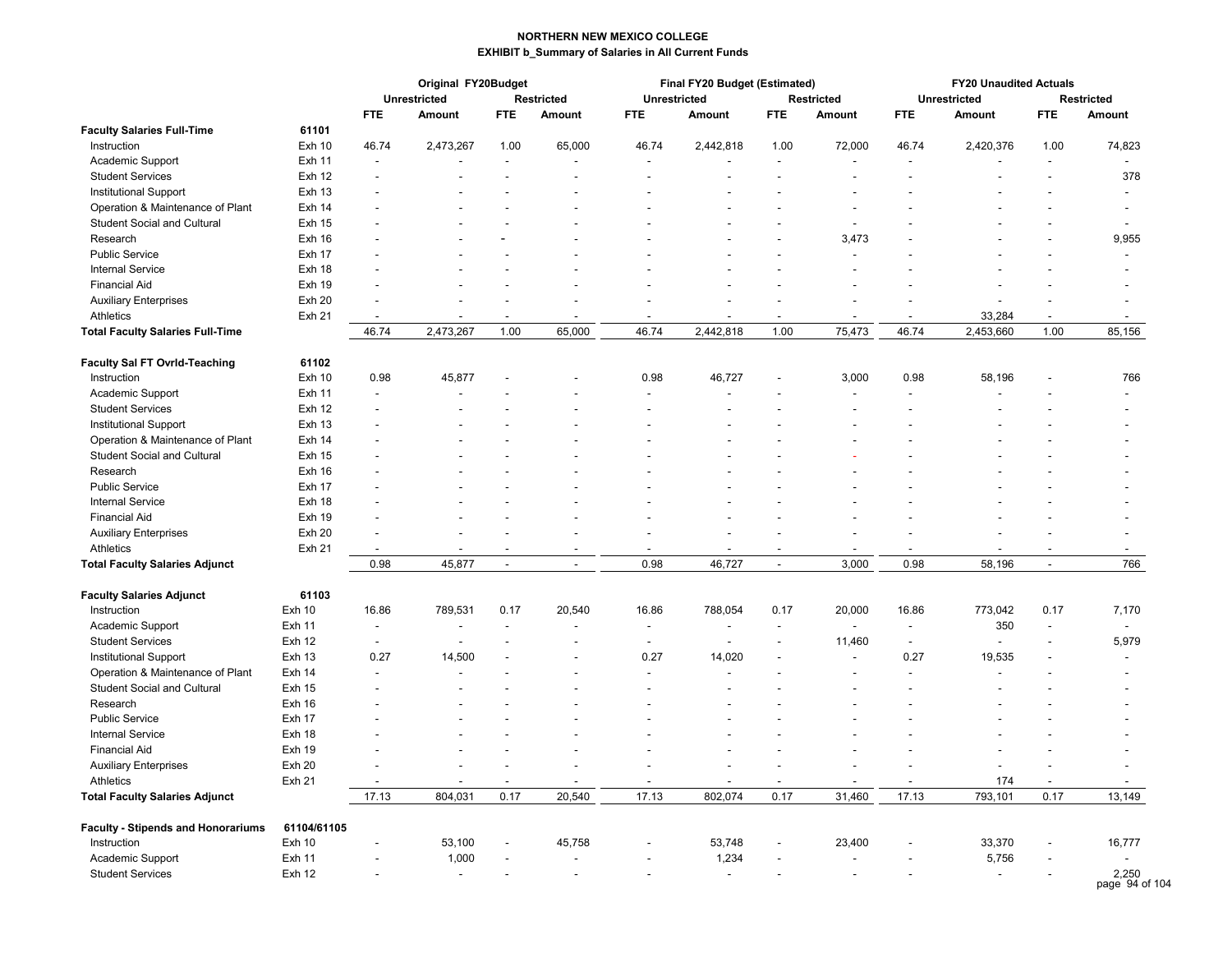|                                           |               |                          | Original FY20Budget |                          |                          |                     | Final FY20 Budget (Estimated) |                          |                          |                          | <b>FY20 Unaudited Actuals</b> |                          |                          |
|-------------------------------------------|---------------|--------------------------|---------------------|--------------------------|--------------------------|---------------------|-------------------------------|--------------------------|--------------------------|--------------------------|-------------------------------|--------------------------|--------------------------|
|                                           |               |                          | <b>Unrestricted</b> |                          | <b>Restricted</b>        | <b>Unrestricted</b> |                               |                          | <b>Restricted</b>        |                          | <b>Unrestricted</b>           |                          | <b>Restricted</b>        |
|                                           |               | <b>FTE</b>               | Amount              | FTE.                     | Amount                   | <b>FTE</b>          | Amount                        | <b>FTE</b>               | Amount                   | <b>FTE</b>               | Amount                        | <b>FTE</b>               | <b>Amount</b>            |
| <b>Faculty Salaries Full-Time</b>         | 61101         |                          |                     |                          |                          |                     |                               |                          |                          |                          |                               |                          |                          |
| Instruction                               | <b>Exh 10</b> | 46.74                    | 2,473,267           | 1.00                     | 65,000                   | 46.74               | 2,442,818                     | 1.00                     | 72,000                   | 46.74                    | 2,420,376                     | 1.00                     | 74,823                   |
| Academic Support                          | Exh 11        | $\overline{\phantom{a}}$ |                     | $\overline{a}$           |                          |                     |                               |                          |                          |                          |                               | L.                       |                          |
| <b>Student Services</b>                   | <b>Exh 12</b> |                          |                     |                          |                          |                     |                               |                          |                          |                          |                               |                          | 378                      |
| Institutional Support                     | <b>Exh 13</b> |                          |                     |                          |                          |                     |                               |                          |                          |                          |                               |                          |                          |
| Operation & Maintenance of Plant          | Exh 14        |                          |                     |                          |                          |                     |                               |                          |                          |                          |                               |                          |                          |
| <b>Student Social and Cultural</b>        | <b>Exh 15</b> |                          |                     |                          |                          |                     |                               |                          | ÷,                       |                          |                               |                          | ÷,                       |
| Research                                  | Exh 16        |                          |                     |                          |                          |                     |                               |                          | 3,473                    |                          |                               |                          | 9,955                    |
| <b>Public Service</b>                     | Exh 17        |                          |                     |                          |                          |                     |                               |                          |                          |                          |                               |                          |                          |
| <b>Internal Service</b>                   | Exh 18        |                          |                     |                          |                          |                     |                               |                          |                          |                          |                               |                          |                          |
| <b>Financial Aid</b>                      | <b>Exh 19</b> |                          |                     |                          |                          |                     |                               |                          |                          |                          |                               |                          |                          |
| <b>Auxiliary Enterprises</b>              | <b>Exh 20</b> |                          |                     |                          |                          |                     |                               |                          |                          |                          |                               |                          |                          |
| Athletics                                 | <b>Exh 21</b> | $\overline{\phantom{a}}$ |                     | $\overline{\phantom{a}}$ |                          |                     |                               | $\overline{\phantom{a}}$ |                          |                          | 33,284                        | $\overline{\phantom{a}}$ | $\overline{\phantom{a}}$ |
| <b>Total Faculty Salaries Full-Time</b>   |               | 46.74                    | 2,473,267           | 1.00                     | 65,000                   | 46.74               | 2,442,818                     | 1.00                     | 75,473                   | 46.74                    | 2,453,660                     | 1.00                     | 85,156                   |
| <b>Faculty Sal FT Ovrid-Teaching</b>      | 61102         |                          |                     |                          |                          |                     |                               |                          |                          |                          |                               |                          |                          |
| Instruction                               | <b>Exh 10</b> | 0.98                     | 45,877              |                          |                          | 0.98                | 46,727                        |                          | 3,000                    | 0.98                     | 58,196                        |                          | 766                      |
| Academic Support                          | <b>Exh 11</b> |                          |                     |                          |                          |                     |                               |                          |                          |                          |                               |                          |                          |
| <b>Student Services</b>                   | <b>Exh 12</b> |                          |                     |                          |                          |                     |                               |                          |                          |                          |                               |                          |                          |
| Institutional Support                     | <b>Exh 13</b> |                          |                     |                          |                          |                     |                               |                          |                          |                          |                               |                          |                          |
| Operation & Maintenance of Plant          | Exh 14        |                          |                     |                          |                          |                     |                               |                          |                          |                          |                               |                          |                          |
| <b>Student Social and Cultural</b>        | <b>Exh 15</b> |                          |                     |                          |                          |                     |                               |                          |                          |                          |                               |                          |                          |
| Research                                  | Exh 16        |                          |                     |                          |                          |                     |                               |                          |                          |                          |                               |                          |                          |
| <b>Public Service</b>                     | Exh 17        |                          |                     |                          |                          |                     |                               |                          |                          |                          |                               |                          |                          |
| <b>Internal Service</b>                   | Exh 18        |                          |                     |                          |                          |                     |                               |                          |                          |                          |                               |                          |                          |
| <b>Financial Aid</b>                      | <b>Exh 19</b> |                          |                     |                          |                          |                     |                               |                          |                          |                          |                               |                          |                          |
| <b>Auxiliary Enterprises</b>              | Exh 20        |                          |                     |                          |                          |                     |                               |                          |                          |                          |                               |                          |                          |
| Athletics                                 | <b>Exh 21</b> |                          |                     |                          |                          |                     |                               |                          |                          |                          |                               |                          |                          |
| <b>Total Faculty Salaries Adjunct</b>     |               | 0.98                     | 45,877              | $\sim$                   | $\ddot{\phantom{a}}$     | 0.98                | 46,727                        | $\sim$                   | 3,000                    | 0.98                     | 58,196                        | $\overline{a}$           | 766                      |
|                                           |               |                          |                     |                          |                          |                     |                               |                          |                          |                          |                               |                          |                          |
| <b>Faculty Salaries Adjunct</b>           | 61103         |                          |                     |                          |                          |                     |                               |                          |                          |                          |                               |                          |                          |
| Instruction                               | <b>Exh 10</b> | 16.86                    | 789,531             | 0.17                     | 20,540                   | 16.86               | 788,054                       | 0.17                     | 20,000                   | 16.86                    | 773,042                       | 0.17                     | 7,170                    |
| Academic Support                          | <b>Exh 11</b> | $\overline{\phantom{a}}$ |                     | $\overline{\phantom{a}}$ |                          | $\blacksquare$      | $\overline{a}$                | $\blacksquare$           | $\overline{\phantom{a}}$ | $\overline{\phantom{a}}$ | 350                           | $\sim$                   | $\overline{a}$           |
| <b>Student Services</b>                   | <b>Exh 12</b> |                          |                     |                          |                          | $\blacksquare$      |                               | $\blacksquare$           | 11,460                   | $\overline{\phantom{a}}$ |                               | $\overline{\phantom{a}}$ | 5,979                    |
| Institutional Support                     | <b>Exh 13</b> | 0.27                     | 14,500              |                          |                          | 0.27                | 14,020                        | ٠                        | $\overline{a}$           | 0.27                     | 19,535                        | ÷,                       |                          |
| Operation & Maintenance of Plant          | Exh 14        | $\overline{a}$           |                     |                          |                          | $\blacksquare$      |                               |                          |                          | L.                       |                               |                          |                          |
| <b>Student Social and Cultural</b>        | Exh 15        |                          |                     |                          |                          |                     |                               |                          |                          |                          |                               |                          |                          |
| Research                                  | Exh 16        |                          |                     |                          |                          |                     |                               |                          |                          |                          |                               |                          |                          |
| <b>Public Service</b>                     | Exh 17        |                          |                     |                          |                          |                     |                               |                          |                          |                          |                               |                          |                          |
| <b>Internal Service</b>                   | Exh 18        |                          |                     |                          |                          |                     |                               |                          |                          |                          |                               |                          |                          |
| <b>Financial Aid</b>                      | Exh 19        |                          |                     |                          |                          |                     |                               |                          |                          |                          |                               |                          |                          |
| <b>Auxiliary Enterprises</b>              | Exh 20        |                          |                     |                          |                          |                     |                               |                          |                          |                          |                               |                          |                          |
| Athletics                                 | Exh 21        |                          |                     | ÷.                       | L.                       | ÷.                  | ÷                             |                          | ÷                        |                          | 174                           | $\overline{a}$           | $\overline{a}$           |
| <b>Total Faculty Salaries Adjunct</b>     |               | 17.13                    | 804,031             | 0.17                     | 20,540                   | 17.13               | 802,074                       | 0.17                     | 31,460                   | 17.13                    | 793,101                       | 0.17                     | 13,149                   |
| <b>Faculty - Stipends and Honorariums</b> | 61104/61105   |                          |                     |                          |                          |                     |                               |                          |                          |                          |                               |                          |                          |
| Instruction                               | Exh 10        |                          | 53,100              | $\overline{a}$           | 45,758                   | $\blacksquare$      | 53,748                        | $\blacksquare$           | 23,400                   | $\overline{a}$           | 33,370                        | $\overline{a}$           | 16,777                   |
| Academic Support                          | Exh 11        |                          | 1,000               |                          | $\overline{\phantom{a}}$ |                     | 1,234                         | $\overline{\phantom{a}}$ | $\overline{\phantom{a}}$ | $\overline{\phantom{a}}$ | 5,756                         |                          |                          |
| <b>Student Services</b>                   | <b>Exh 12</b> |                          | $\blacksquare$      |                          | $\overline{a}$           |                     | L,                            | $\blacksquare$           | $\blacksquare$           |                          |                               | $\overline{\phantom{a}}$ | 2,250<br>page 94 of 104  |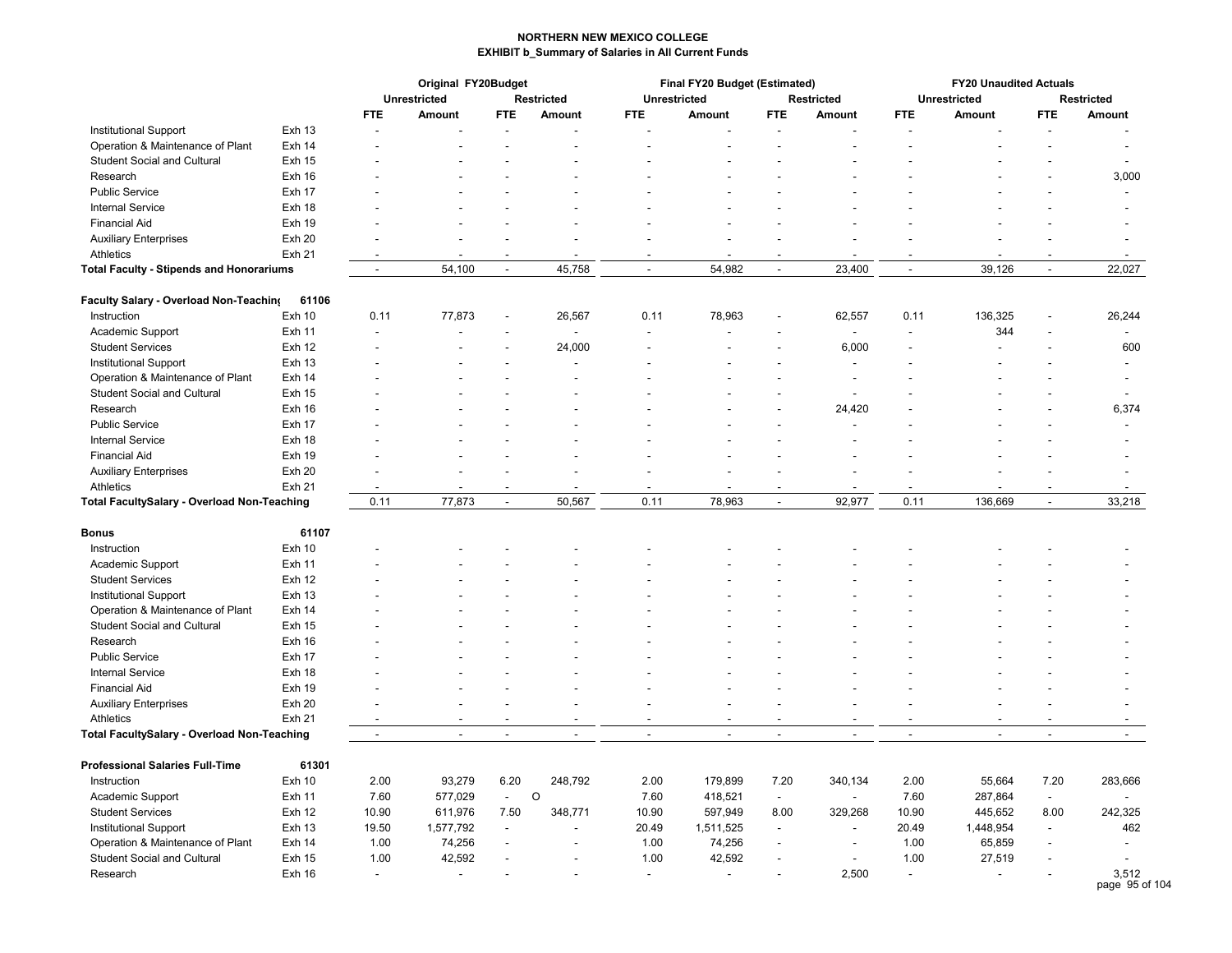|                                                                 |               |                                            | Original FY20Budget                                  |                          |                          |                          | Final FY20 Budget (Estimated)      |                          |                          |                                  | <b>FY20 Unaudited Actuals</b>      |                          |                                    |
|-----------------------------------------------------------------|---------------|--------------------------------------------|------------------------------------------------------|--------------------------|--------------------------|--------------------------|------------------------------------|--------------------------|--------------------------|----------------------------------|------------------------------------|--------------------------|------------------------------------|
|                                                                 |               |                                            | <b>Unrestricted</b>                                  |                          | <b>Restricted</b>        |                          | <b>Unrestricted</b>                |                          | <b>Restricted</b>        |                                  | <b>Unrestricted</b>                |                          | <b>Restricted</b>                  |
|                                                                 |               | <b>FTE</b>                                 | Amount                                               | <b>FTE</b>               | <b>Amount</b>            | <b>FTE</b>               | Amount                             | <b>FTE</b>               | Amount                   | <b>FTE</b>                       | Amount                             | <b>FTE</b>               | <b>Amount</b>                      |
| Institutional Support                                           | <b>Exh 13</b> |                                            |                                                      |                          |                          |                          |                                    |                          |                          |                                  |                                    |                          |                                    |
| Operation & Maintenance of Plant                                | Exh 14        |                                            |                                                      |                          |                          |                          |                                    |                          |                          |                                  |                                    |                          | $\blacksquare$                     |
| <b>Student Social and Cultural</b>                              | <b>Exh 15</b> |                                            |                                                      |                          |                          |                          |                                    |                          |                          |                                  |                                    |                          |                                    |
| Research                                                        | Exh 16        |                                            |                                                      |                          |                          |                          |                                    |                          |                          |                                  |                                    |                          | 3,000                              |
| <b>Public Service</b>                                           | Exh 17        |                                            |                                                      |                          |                          |                          |                                    |                          |                          |                                  |                                    |                          | $\overline{\phantom{a}}$           |
| <b>Internal Service</b>                                         | Exh 18        |                                            |                                                      |                          |                          |                          |                                    |                          |                          |                                  |                                    |                          |                                    |
| <b>Financial Aid</b>                                            | Exh 19        |                                            |                                                      |                          |                          |                          |                                    |                          |                          |                                  |                                    |                          |                                    |
| <b>Auxiliary Enterprises</b>                                    | <b>Exh 20</b> |                                            |                                                      |                          |                          |                          |                                    |                          |                          |                                  |                                    |                          |                                    |
| Athletics                                                       | <b>Exh 21</b> |                                            |                                                      |                          |                          |                          |                                    |                          |                          |                                  |                                    |                          | $\overline{\phantom{a}}$           |
| <b>Total Faculty - Stipends and Honorariums</b>                 |               | $\sim$                                     | 54,100                                               | $\blacksquare$           | 45,758                   | $\overline{\phantom{a}}$ | 54,982                             | $\blacksquare$           | 23,400                   | $\blacksquare$                   | 39,126                             | $\blacksquare$           | 22,027                             |
|                                                                 |               |                                            |                                                      |                          |                          |                          |                                    |                          |                          |                                  |                                    |                          |                                    |
| Faculty Salary - Overload Non-Teaching                          | 61106         |                                            |                                                      |                          |                          |                          |                                    |                          |                          |                                  |                                    |                          |                                    |
| Instruction                                                     | <b>Exh 10</b> | 0.11                                       | 77,873                                               |                          | 26,567                   | 0.11                     | 78,963                             |                          | 62,557                   | 0.11                             | 136,325                            |                          | 26,244                             |
| Academic Support                                                | <b>Exh 11</b> |                                            |                                                      |                          |                          |                          |                                    |                          |                          |                                  | 344                                |                          | $\blacksquare$                     |
| <b>Student Services</b>                                         | <b>Exh 12</b> |                                            |                                                      |                          | 24,000                   |                          |                                    |                          | 6,000                    |                                  |                                    |                          | 600                                |
| <b>Institutional Support</b>                                    | <b>Exh 13</b> |                                            |                                                      |                          |                          |                          |                                    |                          |                          |                                  |                                    |                          | $\blacksquare$                     |
| Operation & Maintenance of Plant                                | Exh 14        |                                            |                                                      |                          |                          |                          |                                    |                          |                          |                                  |                                    |                          |                                    |
| <b>Student Social and Cultural</b>                              | <b>Exh 15</b> |                                            |                                                      |                          |                          |                          |                                    |                          |                          |                                  |                                    |                          |                                    |
| Research                                                        | Exh 16        |                                            |                                                      |                          |                          |                          |                                    |                          | 24,420                   |                                  |                                    |                          | 6,374                              |
| <b>Public Service</b>                                           | Exh 17        |                                            |                                                      |                          |                          |                          |                                    |                          |                          |                                  |                                    |                          |                                    |
| <b>Internal Service</b>                                         | Exh 18        |                                            |                                                      |                          |                          |                          |                                    |                          |                          |                                  |                                    |                          |                                    |
| <b>Financial Aid</b>                                            | Exh 19        |                                            |                                                      |                          |                          |                          |                                    |                          |                          |                                  |                                    |                          |                                    |
| <b>Auxiliary Enterprises</b>                                    | <b>Exh 20</b> |                                            |                                                      |                          |                          |                          |                                    |                          |                          |                                  |                                    |                          | $\overline{\phantom{a}}$           |
| Athletics                                                       | <b>Exh 21</b> |                                            |                                                      |                          |                          |                          |                                    |                          |                          |                                  |                                    |                          |                                    |
| Total FacultySalary - Overload Non-Teaching                     |               | 0.11                                       | 77,873                                               | $\blacksquare$           | 50,567                   | 0.11                     | 78,963                             | $\blacksquare$           | 92,977                   | 0.11                             | 136,669                            | $\blacksquare$           | 33,218                             |
| <b>Bonus</b>                                                    | 61107         |                                            |                                                      |                          |                          |                          |                                    |                          |                          |                                  |                                    |                          |                                    |
| Instruction                                                     | <b>Exh 10</b> |                                            |                                                      |                          |                          |                          |                                    |                          |                          |                                  |                                    |                          |                                    |
| Academic Support                                                | <b>Exh 11</b> |                                            |                                                      |                          |                          |                          |                                    |                          |                          |                                  |                                    |                          |                                    |
| <b>Student Services</b>                                         | Exh 12        |                                            |                                                      |                          |                          |                          |                                    |                          |                          |                                  |                                    |                          |                                    |
| Institutional Support                                           | <b>Exh 13</b> |                                            |                                                      |                          |                          |                          |                                    |                          |                          |                                  |                                    |                          |                                    |
| Operation & Maintenance of Plant                                | Exh 14        |                                            |                                                      |                          |                          |                          |                                    |                          |                          |                                  |                                    |                          |                                    |
| <b>Student Social and Cultural</b>                              | <b>Exh 15</b> |                                            |                                                      |                          |                          |                          |                                    |                          |                          |                                  |                                    |                          |                                    |
| Research                                                        | Exh 16        |                                            |                                                      |                          |                          |                          |                                    |                          |                          |                                  |                                    |                          |                                    |
| <b>Public Service</b>                                           | Exh 17        |                                            |                                                      |                          |                          |                          |                                    |                          |                          |                                  |                                    |                          |                                    |
| <b>Internal Service</b>                                         | Exh 18        |                                            |                                                      |                          |                          |                          |                                    |                          |                          |                                  |                                    |                          |                                    |
| <b>Financial Aid</b>                                            | Exh 19        |                                            |                                                      |                          |                          |                          |                                    |                          |                          |                                  |                                    |                          |                                    |
|                                                                 | <b>Exh 20</b> |                                            |                                                      |                          |                          |                          |                                    |                          |                          |                                  |                                    |                          |                                    |
| <b>Auxiliary Enterprises</b>                                    |               |                                            |                                                      |                          |                          |                          |                                    |                          |                          |                                  |                                    |                          |                                    |
| Athletics<br><b>Total FacultySalary - Overload Non-Teaching</b> | <b>Exh 21</b> | $\overline{a}$<br>$\overline{\phantom{a}}$ | $\overline{\phantom{a}}$<br>$\overline{\phantom{a}}$ | $\overline{\phantom{a}}$ | $\overline{\phantom{a}}$ | $\overline{\phantom{a}}$ | $\sim$<br>$\overline{\phantom{a}}$ | $\overline{\phantom{a}}$ | $\overline{\phantom{a}}$ | $\overline{a}$<br>$\blacksquare$ | $\sim$<br>$\overline{\phantom{a}}$ | $\overline{\phantom{a}}$ | $\overline{\phantom{a}}$<br>$\sim$ |
|                                                                 |               |                                            |                                                      |                          |                          |                          |                                    |                          |                          |                                  |                                    |                          |                                    |
| <b>Professional Salaries Full-Time</b>                          | 61301         |                                            |                                                      |                          |                          |                          |                                    |                          |                          |                                  |                                    |                          |                                    |
| Instruction                                                     | <b>Exh 10</b> | 2.00                                       | 93,279                                               | 6.20                     | 248,792                  | 2.00                     | 179,899                            | 7.20                     | 340,134                  | 2.00                             | 55,664                             | 7.20                     | 283,666                            |
| Academic Support                                                | <b>Exh 11</b> | 7.60                                       | 577,029                                              | $\blacksquare$           | $\circ$                  | 7.60                     | 418,521                            | $\blacksquare$           | $\blacksquare$           | 7.60                             | 287,864                            | $\blacksquare$           |                                    |
| <b>Student Services</b>                                         | <b>Exh 12</b> | 10.90                                      | 611,976                                              | 7.50                     | 348,771                  | 10.90                    | 597,949                            | 8.00                     | 329,268                  | 10.90                            | 445,652                            | 8.00                     | 242,325                            |
| <b>Institutional Support</b>                                    | <b>Exh 13</b> | 19.50                                      | 1,577,792                                            | ÷,                       |                          | 20.49                    | 1,511,525                          | $\blacksquare$           | $\blacksquare$           | 20.49                            | 1,448,954                          | ÷,                       | 462                                |
| Operation & Maintenance of Plant                                | Exh 14        | 1.00                                       | 74,256                                               | ÷                        |                          | 1.00                     | 74,256                             |                          | $\overline{a}$           | 1.00                             | 65,859                             | $\overline{a}$           | $\overline{a}$                     |
| <b>Student Social and Cultural</b>                              | <b>Exh 15</b> | 1.00                                       | 42,592                                               |                          |                          | 1.00                     | 42,592                             |                          | $\blacksquare$           | 1.00                             | 27,519                             |                          |                                    |
| Research                                                        | Exh 16        | $\blacksquare$                             | $\overline{\phantom{a}}$                             |                          |                          | $\blacksquare$           |                                    |                          | 2,500                    | $\overline{a}$                   | $\blacksquare$                     |                          | 3,512                              |

page 95 of 104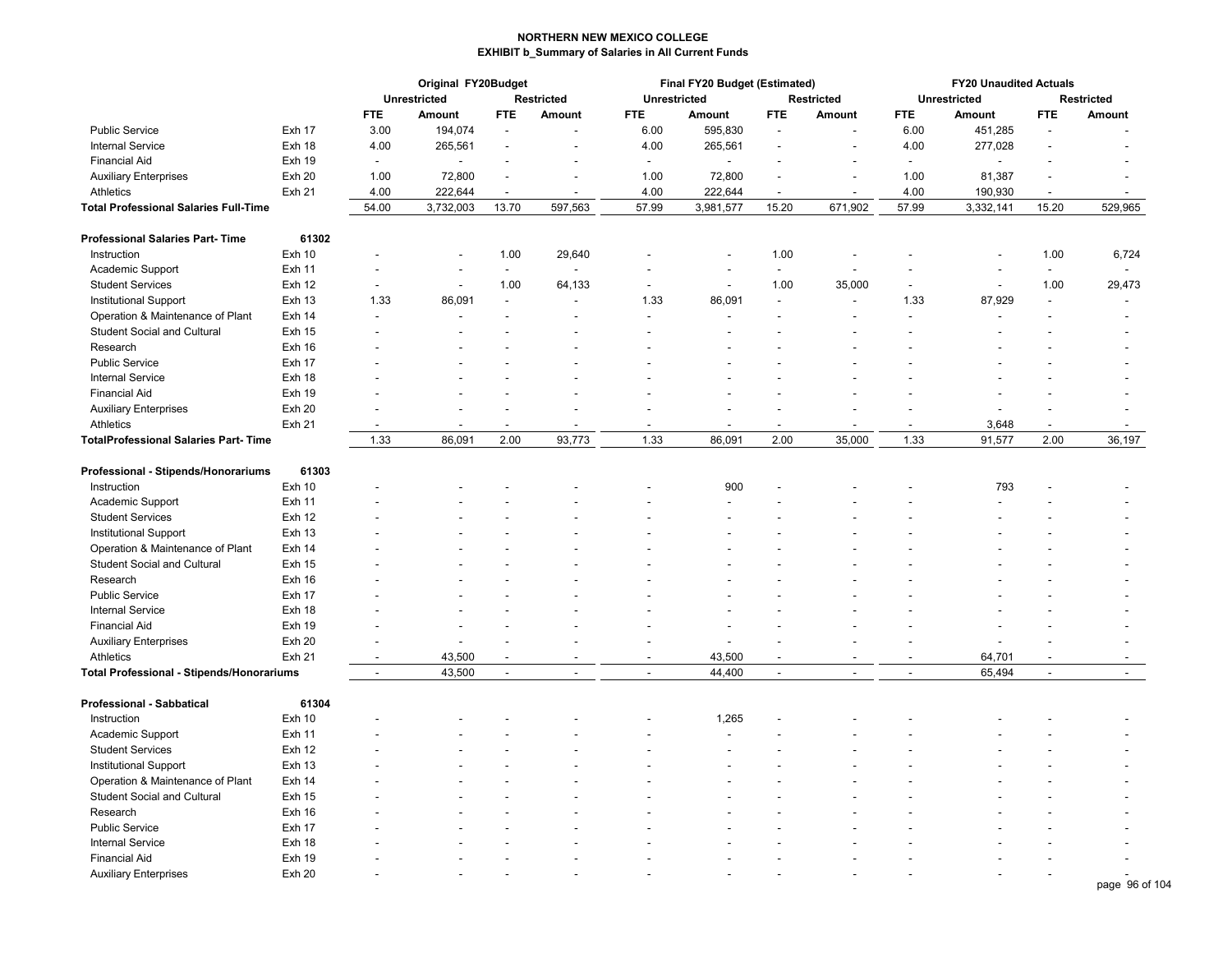|                                                  |               | Original FY20Budget      |                |                          |                          |                          | Final FY20 Budget (Estimated) |                          | <b>FY20 Unaudited Actuals</b> |                          |                     |                          |                |
|--------------------------------------------------|---------------|--------------------------|----------------|--------------------------|--------------------------|--------------------------|-------------------------------|--------------------------|-------------------------------|--------------------------|---------------------|--------------------------|----------------|
|                                                  |               | <b>Unrestricted</b>      |                |                          | Restricted               | <b>Unrestricted</b>      |                               |                          | Restricted                    |                          | <b>Unrestricted</b> |                          | Restricted     |
|                                                  |               | <b>FTE</b>               | Amount         | FTE.                     | Amount                   | <b>FTE</b>               | Amount                        | <b>FTE</b>               | Amount                        | <b>FTE</b>               | Amount              | <b>FTE</b>               | Amount         |
| <b>Public Service</b>                            | Exh 17        | 3.00                     | 194,074        | $\overline{\phantom{a}}$ |                          | 6.00                     | 595,830                       |                          |                               | 6.00                     | 451,285             |                          |                |
| <b>Internal Service</b>                          | Exh 18        | 4.00                     | 265,561        |                          |                          | 4.00                     | 265,561                       |                          |                               | 4.00                     | 277,028             |                          |                |
| <b>Financial Aid</b>                             | <b>Exh 19</b> | $\blacksquare$           |                |                          |                          | $\blacksquare$           | ÷,                            |                          |                               | $\overline{\phantom{a}}$ |                     |                          |                |
| <b>Auxiliary Enterprises</b>                     | Exh 20        | 1.00                     | 72,800         |                          | $\overline{a}$           | 1.00                     | 72,800                        |                          | L,                            | 1.00                     | 81,387              |                          |                |
| Athletics                                        | <b>Exh 21</b> | 4.00                     | 222,644        |                          | $\overline{a}$           | 4.00                     | 222,644                       |                          | $\ddot{\phantom{a}}$          | 4.00                     | 190,930             |                          |                |
| Total Professional Salaries Full-Time            |               | 54.00                    | 3,732,003      | 13.70                    | 597,563                  | 57.99                    | 3,981,577                     | 15.20                    | 671,902                       | 57.99                    | 3,332,141           | 15.20                    | 529,965        |
| <b>Professional Salaries Part-Time</b>           | 61302         |                          |                |                          |                          |                          |                               |                          |                               |                          |                     |                          |                |
| Instruction                                      | Exh 10        |                          | $\blacksquare$ | 1.00                     | 29,640                   |                          |                               | 1.00                     |                               |                          |                     | 1.00                     | 6,724          |
| Academic Support                                 | <b>Exh 11</b> |                          |                | $\overline{\phantom{a}}$ |                          |                          |                               | $\overline{\phantom{a}}$ |                               |                          |                     | $\overline{\phantom{a}}$ | $\blacksquare$ |
| <b>Student Services</b>                          | <b>Exh 12</b> |                          | $\blacksquare$ | 1.00                     | 64,133                   | $\blacksquare$           | $\blacksquare$                | 1.00                     | 35,000                        |                          | $\blacksquare$      | 1.00                     | 29,473         |
| <b>Institutional Support</b>                     | <b>Exh 13</b> | 1.33                     | 86,091         |                          |                          | 1.33                     | 86,091                        | ä,                       | $\overline{a}$                | 1.33                     | 87,929              | $\blacksquare$           |                |
| Operation & Maintenance of Plant                 | Exh 14        |                          |                |                          |                          |                          |                               |                          |                               |                          |                     |                          |                |
| <b>Student Social and Cultural</b>               | <b>Exh 15</b> |                          |                |                          |                          |                          |                               |                          |                               |                          |                     |                          |                |
| Research                                         | Exh 16        |                          |                |                          |                          |                          |                               |                          |                               |                          |                     |                          |                |
| <b>Public Service</b>                            | Exh 17        |                          |                |                          |                          |                          |                               |                          |                               |                          |                     |                          |                |
| <b>Internal Service</b>                          | Exh 18        |                          |                |                          |                          |                          |                               |                          |                               |                          |                     |                          |                |
| <b>Financial Aid</b>                             | Exh 19        |                          |                |                          |                          |                          |                               |                          |                               |                          |                     |                          |                |
| <b>Auxiliary Enterprises</b>                     | <b>Exh 20</b> |                          |                |                          |                          |                          |                               |                          |                               |                          |                     |                          |                |
| Athletics                                        | <b>Exh 21</b> |                          |                |                          |                          |                          |                               |                          |                               |                          | 3,648               |                          |                |
| <b>TotalProfessional Salaries Part-Time</b>      |               | 1.33                     | 86,091         | 2.00                     | 93,773                   | 1.33                     | 86,091                        | 2.00                     | 35,000                        | 1.33                     | 91,577              | 2.00                     | 36,197         |
|                                                  |               |                          |                |                          |                          |                          |                               |                          |                               |                          |                     |                          |                |
| Professional - Stipends/Honorariums              | 61303         |                          |                |                          |                          |                          |                               |                          |                               |                          |                     |                          |                |
| Instruction                                      | <b>Exh 10</b> |                          |                |                          |                          |                          | 900                           |                          |                               |                          | 793                 |                          |                |
| Academic Support                                 | <b>Exh 11</b> |                          |                |                          |                          |                          |                               |                          |                               |                          |                     |                          |                |
| <b>Student Services</b>                          | <b>Exh 12</b> |                          |                |                          |                          |                          |                               |                          |                               |                          |                     |                          |                |
| Institutional Support                            | <b>Exh 13</b> |                          |                |                          |                          |                          |                               |                          |                               |                          |                     |                          |                |
| Operation & Maintenance of Plant                 | Exh 14        |                          |                |                          |                          |                          |                               |                          |                               |                          |                     |                          |                |
| <b>Student Social and Cultural</b>               | <b>Exh 15</b> |                          |                |                          |                          |                          |                               |                          |                               |                          |                     |                          |                |
| Research                                         | Exh 16        |                          |                |                          |                          |                          |                               |                          |                               |                          |                     |                          |                |
| <b>Public Service</b>                            | Exh 17        |                          |                |                          |                          |                          |                               |                          |                               |                          |                     |                          |                |
| <b>Internal Service</b>                          | Exh 18        |                          |                |                          |                          |                          |                               |                          |                               |                          |                     |                          |                |
| <b>Financial Aid</b>                             | <b>Exh 19</b> |                          |                |                          |                          |                          |                               |                          |                               |                          |                     |                          |                |
| <b>Auxiliary Enterprises</b>                     | Exh 20        |                          |                |                          |                          |                          |                               |                          |                               |                          |                     |                          |                |
| Athletics                                        | Exh 21        | $\overline{\phantom{a}}$ | 43,500         |                          |                          |                          | 43,500                        |                          |                               |                          | 64,701              |                          |                |
| <b>Total Professional - Stipends/Honorariums</b> |               | $\sim$                   | 43,500         | $\overline{\phantom{a}}$ | $\overline{\phantom{a}}$ | $\overline{\phantom{a}}$ | 44,400                        | $\overline{\phantom{a}}$ | $\overline{\phantom{a}}$      | $\overline{\phantom{a}}$ | 65,494              | $\sim$                   | $\sim$         |
| <b>Professional - Sabbatical</b>                 | 61304         |                          |                |                          |                          |                          |                               |                          |                               |                          |                     |                          |                |
|                                                  |               |                          |                |                          |                          |                          |                               |                          |                               |                          |                     |                          |                |
| Instruction                                      | <b>Exh 10</b> |                          |                |                          |                          |                          | 1,265                         |                          |                               |                          |                     |                          |                |
| Academic Support                                 | <b>Exh 11</b> |                          |                |                          |                          |                          | $\overline{a}$                |                          |                               |                          |                     |                          |                |
| <b>Student Services</b>                          | <b>Exh 12</b> |                          |                |                          |                          |                          |                               |                          |                               |                          |                     |                          |                |
| <b>Institutional Support</b>                     | <b>Exh 13</b> |                          |                |                          |                          |                          |                               |                          |                               |                          |                     |                          |                |
| Operation & Maintenance of Plant                 | Exh 14        |                          |                |                          |                          |                          |                               |                          |                               |                          |                     |                          |                |
| <b>Student Social and Cultural</b>               | <b>Exh 15</b> |                          |                |                          |                          |                          |                               |                          |                               |                          |                     |                          |                |
| Research                                         | Exh 16        |                          |                |                          |                          |                          |                               |                          |                               |                          |                     |                          |                |
| <b>Public Service</b>                            | Exh 17        |                          |                |                          |                          |                          |                               |                          |                               |                          |                     |                          |                |
| <b>Internal Service</b>                          | Exh 18        |                          |                |                          |                          |                          |                               |                          |                               |                          |                     |                          |                |
| <b>Financial Aid</b>                             | <b>Exh 19</b> |                          |                |                          |                          |                          |                               |                          |                               |                          |                     |                          |                |
| <b>Auxiliary Enterprises</b>                     | <b>Exh 20</b> |                          |                |                          |                          |                          |                               |                          |                               |                          |                     |                          |                |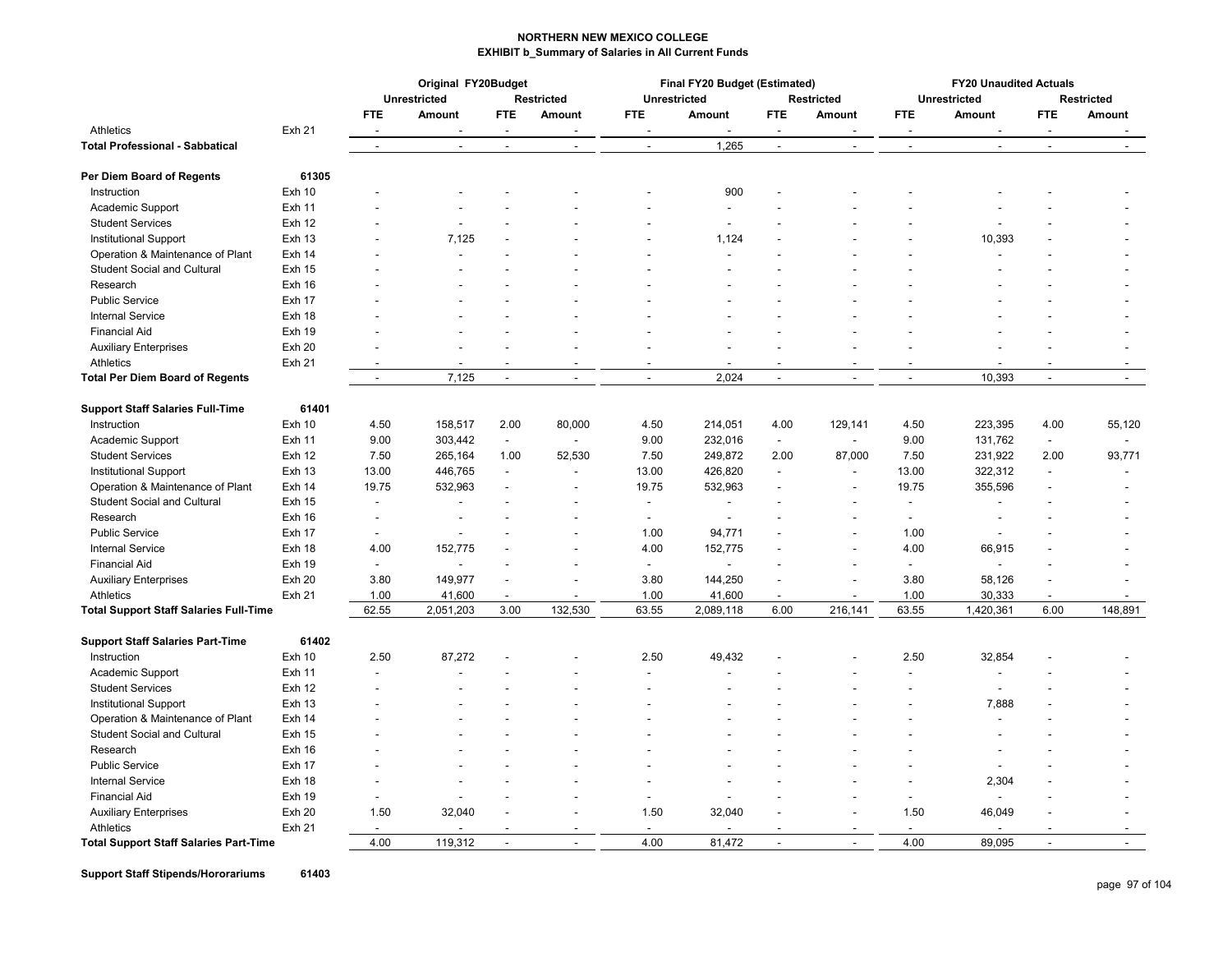|                                               |               |                          | Original FY20Budget |                |                          |                          | Final FY20 Budget (Estimated) |                | <b>FY20 Unaudited Actuals</b> |                                   |                          |                      |         |  |
|-----------------------------------------------|---------------|--------------------------|---------------------|----------------|--------------------------|--------------------------|-------------------------------|----------------|-------------------------------|-----------------------------------|--------------------------|----------------------|---------|--|
|                                               |               |                          | <b>Unrestricted</b> |                | <b>Restricted</b>        | Unrestricted             |                               |                | <b>Restricted</b>             | Unrestricted<br><b>Restricted</b> |                          |                      |         |  |
|                                               |               | <b>FTE</b>               | <b>Amount</b>       | <b>FTE</b>     | Amount                   | <b>FTE</b>               | <b>Amount</b>                 | <b>FTE</b>     | Amount                        | FTE.                              | <b>Amount</b>            | <b>FTE</b>           | Amount  |  |
| Athletics                                     | Exh 21        |                          |                     |                |                          |                          |                               |                |                               |                                   |                          |                      |         |  |
| <b>Total Professional - Sabbatical</b>        |               | $\blacksquare$           | $\blacksquare$      | $\sim$         | $\blacksquare$           | $\blacksquare$           | 1,265                         | $\sim$         | $\sim$                        | $\sim$                            | $\blacksquare$           | $\blacksquare$       | $\sim$  |  |
| Per Diem Board of Regents                     | 61305         |                          |                     |                |                          |                          |                               |                |                               |                                   |                          |                      |         |  |
| Instruction                                   | <b>Exh 10</b> |                          |                     |                |                          |                          | 900                           |                |                               |                                   |                          |                      |         |  |
| Academic Support                              | <b>Exh 11</b> |                          |                     |                |                          |                          |                               |                |                               |                                   |                          |                      |         |  |
| <b>Student Services</b>                       | Exh 12        |                          |                     |                |                          |                          |                               |                |                               |                                   |                          |                      |         |  |
| <b>Institutional Support</b>                  | <b>Exh 13</b> |                          | 7,125               |                |                          |                          | 1,124                         |                |                               |                                   | 10,393                   |                      |         |  |
| Operation & Maintenance of Plant              | Exh 14        |                          |                     |                |                          |                          |                               |                |                               |                                   |                          |                      |         |  |
| <b>Student Social and Cultural</b>            | <b>Exh 15</b> |                          |                     |                |                          |                          |                               |                |                               |                                   |                          |                      |         |  |
| Research                                      | Exh 16        |                          |                     |                |                          |                          |                               |                |                               |                                   |                          |                      |         |  |
| <b>Public Service</b>                         | Exh 17        |                          |                     |                |                          |                          |                               |                |                               |                                   |                          |                      |         |  |
| <b>Internal Service</b>                       | Exh 18        |                          |                     |                |                          |                          |                               |                |                               |                                   |                          |                      |         |  |
| <b>Financial Aid</b>                          | <b>Exh 19</b> |                          |                     |                |                          |                          |                               |                |                               |                                   |                          |                      |         |  |
| <b>Auxiliary Enterprises</b>                  | Exh 20        |                          |                     |                |                          |                          |                               |                |                               |                                   |                          |                      |         |  |
| Athletics                                     | Exh 21        |                          |                     |                |                          |                          |                               |                |                               |                                   |                          |                      |         |  |
| <b>Total Per Diem Board of Regents</b>        |               | $\sim$                   | 7,125               | $\overline{a}$ | $\overline{a}$           | $\overline{a}$           | 2,024                         | $\overline{a}$ | $\overline{a}$                | $\sim$                            | 10,393                   | $\mathbf{r}$         | $\sim$  |  |
| <b>Support Staff Salaries Full-Time</b>       | 61401         |                          |                     |                |                          |                          |                               |                |                               |                                   |                          |                      |         |  |
| Instruction                                   | Exh 10        | 4.50                     | 158,517             | 2.00           | 80,000                   | 4.50                     | 214,051                       | 4.00           | 129,141                       | 4.50                              | 223,395                  | 4.00                 | 55,120  |  |
| Academic Support                              | <b>Exh 11</b> | 9.00                     | 303,442             | $\sim$         | $\overline{a}$           | 9.00                     | 232,016                       | $\blacksquare$ |                               | 9.00                              | 131,762                  | $\sim$               |         |  |
| <b>Student Services</b>                       | Exh 12        | 7.50                     | 265,164             | 1.00           | 52,530                   | 7.50                     | 249,872                       | 2.00           | 87,000                        | 7.50                              | 231,922                  | 2.00                 | 93,771  |  |
| <b>Institutional Support</b>                  | <b>Exh 13</b> | 13.00                    | 446,765             | $\overline{a}$ | $\overline{\phantom{a}}$ | 13.00                    | 426,820                       | $\overline{a}$ | $\overline{\phantom{a}}$      | 13.00                             | 322,312                  | $\ddot{\phantom{a}}$ | $\sim$  |  |
| Operation & Maintenance of Plant              | Exh 14        | 19.75                    | 532,963             |                | $\blacksquare$           | 19.75                    | 532,963                       | $\blacksquare$ | $\blacksquare$                | 19.75                             | 355,596                  | $\overline{a}$       |         |  |
| <b>Student Social and Cultural</b>            | Exh 15        |                          |                     |                |                          | $\overline{\phantom{a}}$ | $\overline{a}$                |                |                               | $\overline{\phantom{a}}$          |                          |                      |         |  |
| Research                                      | Exh 16        | $\blacksquare$           |                     |                |                          | $\overline{\phantom{a}}$ | $\overline{\phantom{a}}$      |                |                               | $\overline{\phantom{a}}$          |                          |                      |         |  |
| <b>Public Service</b>                         | Exh 17        | $\sim$                   |                     |                |                          | 1.00                     | 94,771                        |                |                               | 1.00                              |                          |                      |         |  |
| <b>Internal Service</b>                       | Exh 18        | 4.00                     | 152,775             |                |                          | 4.00                     | 152,775                       |                |                               | 4.00                              | 66,915                   |                      |         |  |
| <b>Financial Aid</b>                          | Exh 19        | $\overline{\phantom{a}}$ |                     |                |                          | $\overline{a}$           |                               |                |                               | $\blacksquare$                    |                          |                      |         |  |
| <b>Auxiliary Enterprises</b>                  | <b>Exh 20</b> | 3.80                     | 149,977             |                | $\overline{a}$           | 3.80                     | 144,250                       | $\blacksquare$ |                               | 3.80                              | 58,126                   |                      |         |  |
| Athletics                                     | Exh 21        | 1.00                     | 41,600              |                |                          | 1.00                     | 41,600                        | $\overline{a}$ | $\overline{a}$                | 1.00                              | 30,333                   |                      |         |  |
| <b>Total Support Staff Salaries Full-Time</b> |               | 62.55                    | 2,051,203           | 3.00           | 132,530                  | 63.55                    | 2,089,118                     | 6.00           | 216,141                       | 63.55                             | 1,420,361                | 6.00                 | 148,891 |  |
|                                               |               |                          |                     |                |                          |                          |                               |                |                               |                                   |                          |                      |         |  |
| <b>Support Staff Salaries Part-Time</b>       | 61402         |                          |                     |                |                          |                          |                               |                |                               |                                   |                          |                      |         |  |
| Instruction                                   | Exh 10        | 2.50                     | 87,272              |                |                          | 2.50                     | 49,432                        |                |                               | 2.50                              | 32,854                   |                      |         |  |
| Academic Support                              | <b>Exh 11</b> |                          |                     |                |                          |                          | $\overline{a}$                |                |                               | $\overline{\phantom{a}}$          | $\overline{a}$           |                      |         |  |
| <b>Student Services</b>                       | Exh 12        |                          |                     |                |                          |                          | $\overline{a}$                |                |                               | $\overline{a}$                    | $\overline{a}$           |                      |         |  |
| <b>Institutional Support</b>                  | <b>Exh 13</b> |                          |                     |                |                          |                          |                               |                |                               |                                   | 7,888                    |                      |         |  |
| Operation & Maintenance of Plant              | Exh 14        |                          |                     |                |                          |                          |                               |                |                               |                                   | $\overline{\phantom{a}}$ |                      |         |  |
| <b>Student Social and Cultural</b>            | <b>Exh 15</b> |                          |                     |                |                          |                          |                               |                |                               |                                   |                          |                      |         |  |
| Research                                      | Exh 16        |                          |                     |                |                          |                          |                               |                |                               |                                   | $\blacksquare$           |                      |         |  |
| <b>Public Service</b>                         | Exh 17        |                          |                     |                |                          |                          |                               |                |                               |                                   | $\overline{a}$           |                      |         |  |
| <b>Internal Service</b>                       | Exh 18        |                          |                     |                |                          |                          |                               |                |                               | $\blacksquare$                    | 2,304                    |                      |         |  |
| <b>Financial Aid</b>                          | <b>Exh 19</b> |                          |                     |                |                          |                          |                               |                |                               | $\blacksquare$                    |                          |                      |         |  |
| <b>Auxiliary Enterprises</b>                  | Exh 20        | 1.50                     | 32,040              |                |                          | 1.50                     | 32,040                        |                |                               | 1.50                              | 46,049                   |                      |         |  |
| Athletics                                     | Exh 21        |                          |                     |                |                          |                          |                               |                |                               | $\blacksquare$                    |                          |                      |         |  |
| <b>Total Support Staff Salaries Part-Time</b> |               | 4.00                     | 119.312             |                |                          | 4.00                     | 81.472                        |                |                               | 4.00                              | 89.095                   |                      |         |  |

**Support Staff Stipends/Hororariums 61403**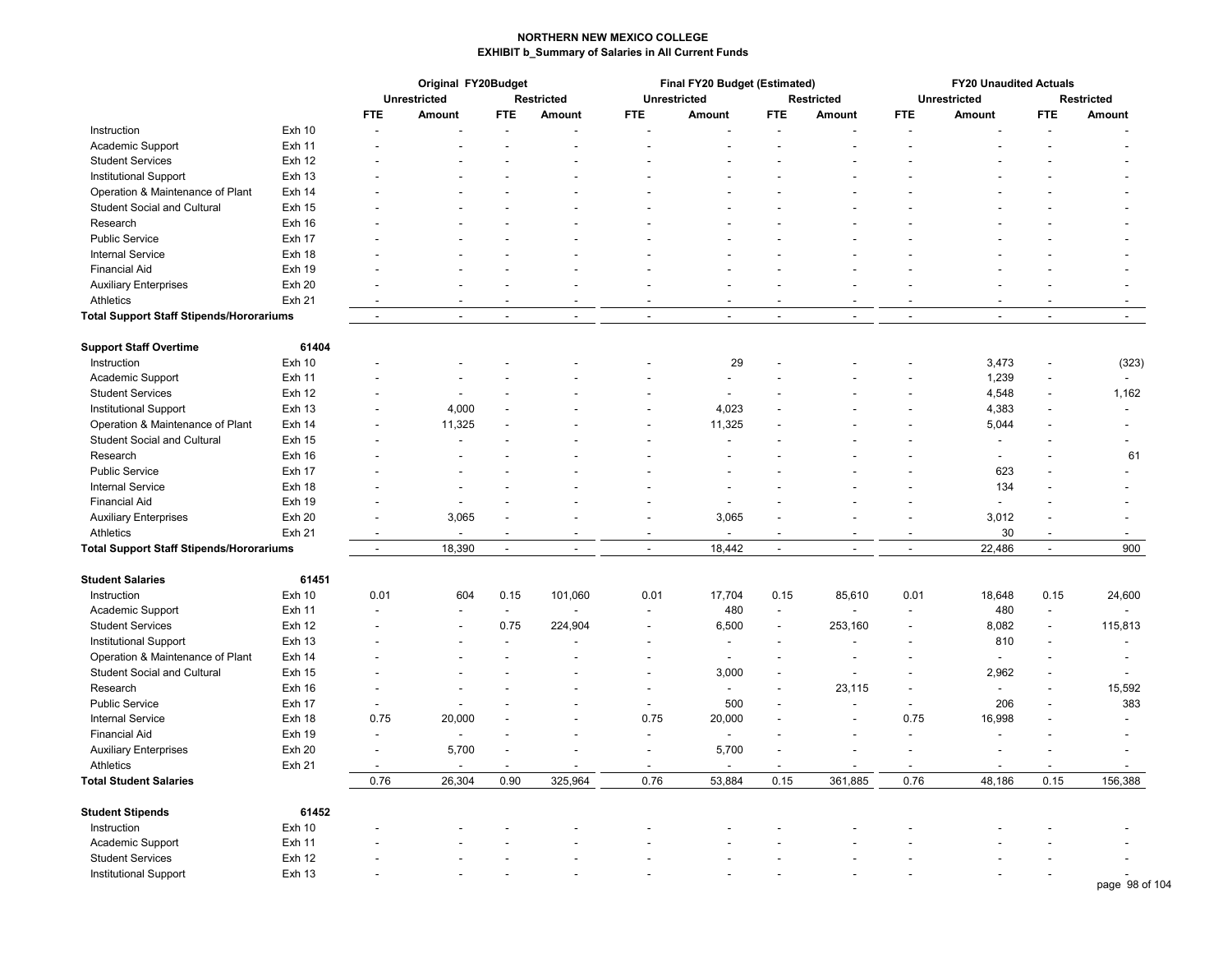|                                                 |               | Original FY20Budget |                     |                          |                   | Final FY20 Budget (Estimated) |                          | <b>FY20 Unaudited Actuals</b> |                          |                          |                          |                          |                          |  |
|-------------------------------------------------|---------------|---------------------|---------------------|--------------------------|-------------------|-------------------------------|--------------------------|-------------------------------|--------------------------|--------------------------|--------------------------|--------------------------|--------------------------|--|
|                                                 |               |                     | <b>Unrestricted</b> |                          | <b>Restricted</b> |                               | <b>Unrestricted</b>      | <b>Restricted</b>             |                          |                          | <b>Unrestricted</b>      | <b>Restricted</b>        |                          |  |
|                                                 |               | <b>FTE</b>          | Amount              | <b>FTE</b>               | Amount            | <b>FTE</b>                    | Amount                   | <b>FTE</b>                    | Amount                   | <b>FTE</b>               | Amount                   | <b>FTE</b>               | Amount                   |  |
| Instruction                                     | <b>Exh 10</b> |                     |                     |                          |                   |                               |                          |                               |                          |                          |                          |                          |                          |  |
| Academic Support                                | <b>Exh 11</b> |                     |                     |                          |                   |                               |                          |                               |                          |                          |                          |                          |                          |  |
| <b>Student Services</b>                         | <b>Exh 12</b> |                     |                     |                          |                   |                               |                          |                               |                          |                          |                          |                          |                          |  |
| <b>Institutional Support</b>                    | <b>Exh 13</b> |                     |                     |                          |                   |                               |                          |                               |                          |                          |                          |                          |                          |  |
| Operation & Maintenance of Plant                | Exh 14        |                     |                     |                          |                   |                               |                          |                               |                          |                          |                          |                          |                          |  |
| <b>Student Social and Cultural</b>              | <b>Exh 15</b> |                     |                     |                          |                   |                               |                          |                               |                          |                          |                          |                          |                          |  |
| Research                                        | Exh 16        |                     |                     |                          |                   |                               |                          |                               |                          |                          |                          |                          |                          |  |
| <b>Public Service</b>                           | Exh 17        |                     |                     |                          |                   |                               |                          |                               |                          |                          |                          |                          |                          |  |
| <b>Internal Service</b>                         | Exh 18        |                     |                     |                          |                   |                               |                          |                               |                          |                          |                          |                          |                          |  |
| <b>Financial Aid</b>                            | <b>Exh 19</b> |                     |                     |                          |                   |                               |                          |                               |                          |                          |                          |                          |                          |  |
| <b>Auxiliary Enterprises</b>                    | <b>Exh 20</b> |                     |                     |                          |                   |                               |                          |                               |                          |                          |                          |                          | ä,                       |  |
| Athletics                                       | Exh 21        |                     | L.                  |                          |                   |                               |                          |                               |                          |                          |                          |                          |                          |  |
| <b>Total Support Staff Stipends/Hororariums</b> |               | $\sim$              | $\blacksquare$      | $\overline{\phantom{a}}$ | $\blacksquare$    | $\blacksquare$                |                          | $\overline{\phantom{a}}$      | $\overline{\phantom{a}}$ | $\sim$                   | $\blacksquare$           | $\blacksquare$           | $\blacksquare$           |  |
|                                                 |               |                     |                     |                          |                   |                               |                          |                               |                          |                          |                          |                          |                          |  |
| <b>Support Staff Overtime</b>                   | 61404         |                     |                     |                          |                   |                               |                          |                               |                          |                          |                          |                          |                          |  |
| Instruction                                     | Exh 10        |                     |                     |                          |                   |                               | 29                       |                               |                          |                          | 3,473                    | $\overline{a}$           | (323)                    |  |
| Academic Support                                | <b>Exh 11</b> |                     |                     |                          |                   |                               |                          |                               |                          |                          | 1,239                    | ٠                        | $\blacksquare$           |  |
| <b>Student Services</b>                         | <b>Exh 12</b> |                     |                     |                          |                   |                               |                          |                               |                          |                          | 4,548                    | $\blacksquare$           | 1,162                    |  |
| <b>Institutional Support</b>                    | <b>Exh 13</b> |                     | 4,000               |                          |                   |                               | 4,023                    |                               |                          |                          | 4,383                    |                          | $\overline{\phantom{a}}$ |  |
| Operation & Maintenance of Plant                | Exh 14        |                     | 11,325              |                          |                   |                               | 11,325                   |                               |                          |                          | 5,044                    |                          |                          |  |
| <b>Student Social and Cultural</b>              | <b>Exh 15</b> |                     | $\overline{a}$      |                          |                   |                               |                          |                               |                          |                          | $\overline{\phantom{a}}$ |                          |                          |  |
| Research                                        | Exh 16        |                     |                     |                          |                   |                               |                          |                               |                          |                          | $\blacksquare$           |                          | 61                       |  |
| <b>Public Service</b>                           | Exh 17        |                     |                     |                          |                   |                               |                          |                               |                          |                          | 623                      |                          |                          |  |
| Internal Service                                | Exh 18        |                     |                     |                          |                   |                               |                          |                               |                          |                          | 134                      |                          |                          |  |
| <b>Financial Aid</b>                            | <b>Exh 19</b> |                     |                     |                          |                   |                               |                          |                               |                          |                          |                          |                          |                          |  |
| <b>Auxiliary Enterprises</b>                    | Exh 20        |                     | 3,065               |                          |                   |                               | 3,065                    |                               |                          |                          | 3,012                    |                          |                          |  |
| Athletics                                       | <b>Exh 21</b> |                     |                     |                          |                   |                               |                          |                               |                          |                          | 30                       |                          |                          |  |
| <b>Total Support Staff Stipends/Hororariums</b> |               | $\sim$              | 18,390              | ÷,                       |                   | ÷,                            | 18,442                   | $\blacksquare$                | $\overline{\phantom{a}}$ | $\overline{\phantom{a}}$ | 22,486                   | $\blacksquare$           | 900                      |  |
|                                                 |               |                     |                     |                          |                   |                               |                          |                               |                          |                          |                          |                          |                          |  |
| <b>Student Salaries</b>                         | 61451         |                     |                     |                          |                   |                               |                          |                               |                          |                          |                          |                          |                          |  |
| Instruction                                     | <b>Exh 10</b> | 0.01                | 604                 | 0.15                     | 101,060           | 0.01                          | 17,704                   | 0.15                          | 85,610                   | 0.01                     | 18,648                   | 0.15                     | 24,600                   |  |
| Academic Support                                | <b>Exh 11</b> |                     |                     | $\overline{\phantom{a}}$ |                   |                               | 480                      | $\blacksquare$                |                          | $\blacksquare$           | 480                      | $\overline{\phantom{a}}$ |                          |  |
| <b>Student Services</b>                         | <b>Exh 12</b> |                     |                     | 0.75                     | 224,904           | $\overline{a}$                | 6,500                    |                               | 253,160                  | $\overline{a}$           | 8,082                    | $\overline{\phantom{a}}$ | 115,813                  |  |
| Institutional Support                           | <b>Exh 13</b> |                     |                     | $\overline{\phantom{a}}$ |                   | ٠                             |                          |                               |                          | $\blacksquare$           | 810                      | $\overline{\phantom{a}}$ |                          |  |
| Operation & Maintenance of Plant                | Exh 14        |                     |                     |                          |                   |                               |                          |                               |                          |                          |                          |                          |                          |  |
| <b>Student Social and Cultural</b>              | <b>Exh 15</b> |                     |                     |                          |                   | ٠                             | 3,000                    |                               |                          | ÷,                       | 2,962                    | ٠                        |                          |  |
| Research                                        | Exh 16        |                     |                     |                          |                   | Ĭ.                            | $\blacksquare$           |                               | 23,115                   | $\blacksquare$           | $\overline{\phantom{a}}$ |                          | 15,592                   |  |
| <b>Public Service</b>                           | Exh 17        |                     |                     |                          |                   | $\overline{\phantom{a}}$      | 500                      |                               |                          | $\blacksquare$           | 206                      |                          | 383                      |  |
| <b>Internal Service</b>                         | Exh 18        | 0.75                | 20,000              |                          |                   | 0.75                          | 20,000                   |                               |                          | 0.75                     | 16,998                   |                          | $\overline{a}$           |  |
| <b>Financial Aid</b>                            | Exh 19        |                     |                     |                          |                   |                               |                          |                               |                          |                          |                          |                          |                          |  |
| <b>Auxiliary Enterprises</b>                    | Exh 20        |                     | 5,700               |                          |                   | $\overline{a}$                | 5,700                    |                               |                          | ÷,                       |                          |                          |                          |  |
| Athletics                                       | Exh 21        | $\blacksquare$      |                     |                          |                   | $\overline{\phantom{a}}$      | $\overline{\phantom{a}}$ |                               | $\blacksquare$           |                          | $\overline{\phantom{a}}$ |                          |                          |  |
| <b>Total Student Salaries</b>                   |               | 0.76                | 26,304              | 0.90                     | 325,964           | 0.76                          | 53,884                   | 0.15                          | 361,885                  | 0.76                     | 48,186                   | 0.15                     | 156,388                  |  |
|                                                 |               |                     |                     |                          |                   |                               |                          |                               |                          |                          |                          |                          |                          |  |
| <b>Student Stipends</b>                         | 61452         |                     |                     |                          |                   |                               |                          |                               |                          |                          |                          |                          |                          |  |
| Instruction                                     | <b>Exh 10</b> |                     |                     |                          |                   |                               |                          |                               |                          |                          |                          |                          |                          |  |
| Academic Support                                | <b>Exh 11</b> |                     |                     |                          |                   |                               |                          |                               |                          |                          |                          |                          |                          |  |
| <b>Student Services</b>                         | <b>Exh 12</b> |                     |                     |                          |                   |                               |                          |                               |                          |                          |                          |                          |                          |  |
| <b>Institutional Support</b>                    | <b>Exh 13</b> |                     |                     |                          |                   |                               |                          |                               |                          |                          |                          |                          |                          |  |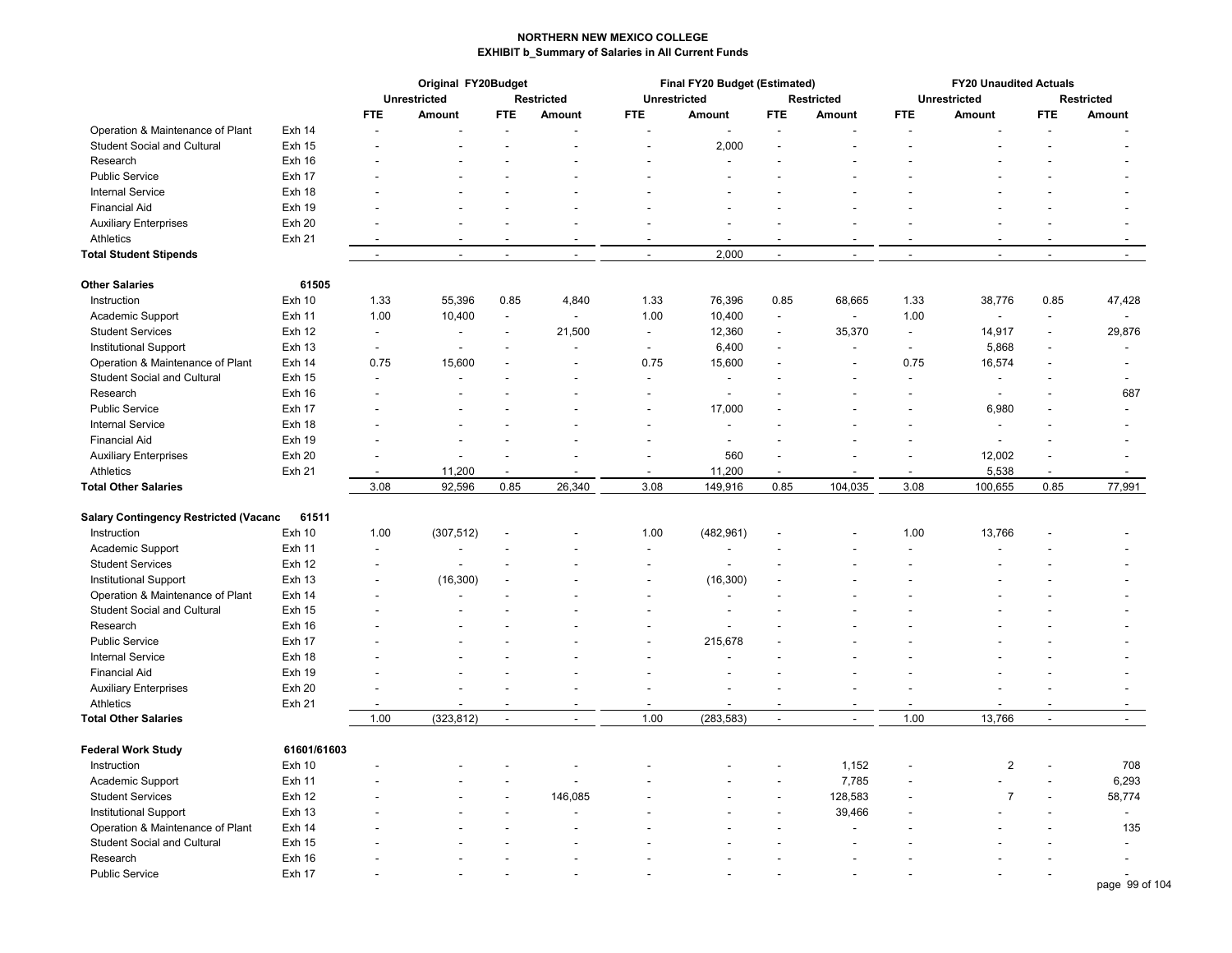|                                       |               | Original FY20Budget      |                          |                          |                          |                          | Final FY20 Budget (Estimated) |                          | <b>FY20 Unaudited Actuals</b> |                          |                                   |                |                          |
|---------------------------------------|---------------|--------------------------|--------------------------|--------------------------|--------------------------|--------------------------|-------------------------------|--------------------------|-------------------------------|--------------------------|-----------------------------------|----------------|--------------------------|
|                                       |               |                          | <b>Unrestricted</b>      |                          | <b>Restricted</b>        | <b>Unrestricted</b>      |                               |                          | Restricted                    |                          | <b>Unrestricted</b>               |                | <b>Restricted</b>        |
|                                       |               | <b>FTE</b>               | Amount                   | <b>FTE</b>               | Amount                   | FTE.                     | Amount                        | <b>FTE</b>               | Amount                        | <b>FTE</b>               | Amount                            | FTE.           | Amount                   |
| Operation & Maintenance of Plant      | Exh 14        |                          |                          |                          |                          |                          |                               |                          |                               |                          |                                   |                |                          |
| <b>Student Social and Cultural</b>    | <b>Exh 15</b> |                          |                          |                          |                          |                          | 2,000                         |                          |                               |                          |                                   |                |                          |
| Research                              | Exh 16        |                          |                          |                          |                          |                          |                               |                          |                               |                          |                                   |                |                          |
| <b>Public Service</b>                 | Exh 17        |                          |                          |                          |                          |                          | $\overline{a}$                |                          |                               |                          |                                   |                |                          |
| <b>Internal Service</b>               | Exh 18        |                          |                          |                          |                          |                          |                               |                          |                               |                          |                                   |                |                          |
| <b>Financial Aid</b>                  | Exh 19        |                          |                          |                          |                          |                          |                               |                          |                               |                          |                                   |                |                          |
| <b>Auxiliary Enterprises</b>          | Exh 20        |                          |                          |                          |                          |                          |                               |                          |                               |                          |                                   |                |                          |
| Athletics                             | Exh 21        | $\overline{a}$           |                          |                          |                          |                          |                               |                          |                               |                          |                                   |                |                          |
| <b>Total Student Stipends</b>         |               | $\overline{\phantom{a}}$ | $\sim$                   | $\overline{\phantom{a}}$ | $\overline{\phantom{a}}$ | $\overline{\phantom{a}}$ | 2,000                         | $\blacksquare$           | $\overline{\phantom{a}}$      | $\overline{\phantom{a}}$ | $\blacksquare$                    | $\blacksquare$ | $\sim$                   |
| <b>Other Salaries</b>                 | 61505         |                          |                          |                          |                          |                          |                               |                          |                               |                          |                                   |                |                          |
| Instruction                           | Exh 10        | 1.33                     | 55,396                   | 0.85                     | 4,840                    | 1.33                     | 76,396                        | 0.85                     | 68,665                        | 1.33                     | 38,776                            | 0.85           | 47,428                   |
| Academic Support                      | Exh 11        | 1.00                     | 10,400                   | $\blacksquare$           |                          | 1.00                     | 10,400                        | $\blacksquare$           | $\overline{a}$                | 1.00                     | $\blacksquare$                    | $\blacksquare$ | $\sim$                   |
| <b>Student Services</b>               | Exh 12        | $\ddot{\phantom{a}}$     | ÷,                       | $\overline{\phantom{a}}$ | 21,500                   | $\blacksquare$           | 12,360                        | $\sim$                   | 35,370                        | $\sim$                   | 14,917                            | ÷,             | 29,876                   |
| <b>Institutional Support</b>          | <b>Exh 13</b> | $\sim$                   | $\overline{\phantom{a}}$ |                          |                          | $\overline{\phantom{a}}$ | 6,400                         |                          |                               | $\ddot{\phantom{a}}$     | 5,868                             |                |                          |
| Operation & Maintenance of Plant      | Exh 14        | 0.75                     | 15,600                   |                          | $\overline{\phantom{a}}$ | 0.75                     | 15,600                        |                          | ÷.                            | 0.75                     | 16,574                            |                |                          |
| <b>Student Social and Cultural</b>    | <b>Exh 15</b> |                          |                          |                          |                          | J.                       | $\overline{a}$                |                          |                               | $\overline{a}$           | $\overline{a}$                    |                |                          |
| Research                              | Exh 16        |                          | ٠                        |                          |                          | $\blacksquare$           | $\blacksquare$                |                          |                               | $\blacksquare$           | $\blacksquare$                    |                | 687                      |
| <b>Public Service</b>                 | Exh 17        |                          |                          |                          |                          |                          | 17,000                        |                          |                               |                          |                                   |                |                          |
| <b>Internal Service</b>               | Exh 18        |                          |                          |                          |                          |                          | $\overline{a}$                |                          |                               |                          | 6,980<br>$\overline{\phantom{a}}$ |                |                          |
|                                       |               |                          |                          |                          |                          |                          |                               |                          |                               |                          |                                   |                |                          |
| <b>Financial Aid</b>                  | Exh 19        |                          |                          |                          |                          |                          | $\overline{\phantom{a}}$      |                          |                               |                          | $\overline{\phantom{a}}$          |                |                          |
| <b>Auxiliary Enterprises</b>          | Exh 20        |                          |                          |                          |                          |                          | 560                           |                          |                               |                          | 12,002                            |                |                          |
| Athletics                             | <b>Exh 21</b> |                          | 11,200                   |                          |                          |                          | 11,200                        |                          |                               | $\overline{\phantom{a}}$ | 5,538                             |                |                          |
| <b>Total Other Salaries</b>           |               | 3.08                     | 92,596                   | 0.85                     | 26,340                   | 3.08                     | 149,916                       | 0.85                     | 104,035                       | 3.08                     | 100,655                           | 0.85           | 77,991                   |
| Salary Contingency Restricted (Vacanc | 61511         |                          |                          |                          |                          |                          |                               |                          |                               |                          |                                   |                |                          |
| Instruction                           | <b>Exh 10</b> | 1.00                     | (307, 512)               |                          |                          | 1.00                     | (482, 961)                    |                          |                               | 1.00                     | 13,766                            |                |                          |
| Academic Support                      | <b>Exh 11</b> |                          |                          |                          |                          |                          |                               |                          |                               |                          |                                   |                |                          |
| <b>Student Services</b>               | Exh 12        |                          |                          |                          |                          |                          |                               |                          |                               |                          |                                   |                |                          |
| <b>Institutional Support</b>          | <b>Exh 13</b> |                          | (16, 300)                |                          |                          |                          | (16, 300)                     |                          |                               |                          |                                   |                |                          |
| Operation & Maintenance of Plant      | <b>Exh 14</b> |                          |                          |                          |                          |                          |                               |                          |                               |                          |                                   |                |                          |
| <b>Student Social and Cultural</b>    | <b>Exh 15</b> |                          |                          |                          |                          |                          |                               |                          |                               |                          |                                   |                |                          |
| Research                              | Exh 16        |                          |                          |                          |                          |                          | $\overline{a}$                |                          |                               |                          |                                   |                |                          |
| <b>Public Service</b>                 | Exh 17        |                          |                          |                          |                          |                          | 215,678                       |                          |                               |                          |                                   |                |                          |
| <b>Internal Service</b>               | Exh 18        |                          |                          |                          |                          |                          |                               |                          |                               |                          |                                   |                |                          |
| <b>Financial Aid</b>                  | Exh 19        |                          |                          |                          |                          |                          |                               |                          |                               |                          |                                   |                |                          |
| <b>Auxiliary Enterprises</b>          | Exh 20        |                          |                          |                          |                          |                          |                               |                          |                               |                          |                                   |                |                          |
| Athletics                             | <b>Exh 21</b> |                          |                          |                          |                          |                          |                               |                          | $\overline{a}$                |                          |                                   |                |                          |
| <b>Total Other Salaries</b>           |               | 1.00                     | (323, 812)               | $\blacksquare$           | $\sim$                   | 1.00                     | (283, 583)                    | $\overline{\phantom{a}}$ | $\blacksquare$                | 1.00                     | 13,766                            | $\mathbf{r}$   | $\sim$                   |
| <b>Federal Work Study</b>             | 61601/61603   |                          |                          |                          |                          |                          |                               |                          |                               |                          |                                   |                |                          |
| Instruction                           | Exh 10        |                          |                          |                          |                          |                          |                               |                          | 1,152                         |                          | $\overline{2}$                    |                | 708                      |
| Academic Support                      | <b>Exh 11</b> |                          |                          |                          |                          |                          |                               | $\overline{a}$           | 7,785                         |                          |                                   | Ĭ.             | 6,293                    |
| <b>Student Services</b>               | Exh 12        |                          |                          |                          | 146,085                  |                          |                               |                          | 128,583                       |                          | $\overline{7}$                    |                | 58,774                   |
| <b>Institutional Support</b>          | <b>Exh 13</b> |                          |                          |                          |                          |                          |                               | $\overline{\phantom{a}}$ | 39,466                        |                          |                                   | ä,             | $\overline{\phantom{a}}$ |
| Operation & Maintenance of Plant      | Exh 14        |                          |                          |                          |                          |                          |                               |                          |                               |                          |                                   |                | 135                      |
| Student Social and Cultural           | <b>Exh 15</b> |                          |                          |                          |                          |                          |                               |                          |                               |                          |                                   |                |                          |
| Research                              | Exh 16        |                          |                          |                          |                          |                          |                               |                          |                               |                          |                                   |                |                          |
|                                       | Exh 17        |                          |                          |                          |                          |                          |                               |                          |                               |                          |                                   |                |                          |
| Public Service                        |               |                          |                          |                          |                          |                          |                               |                          |                               |                          |                                   |                |                          |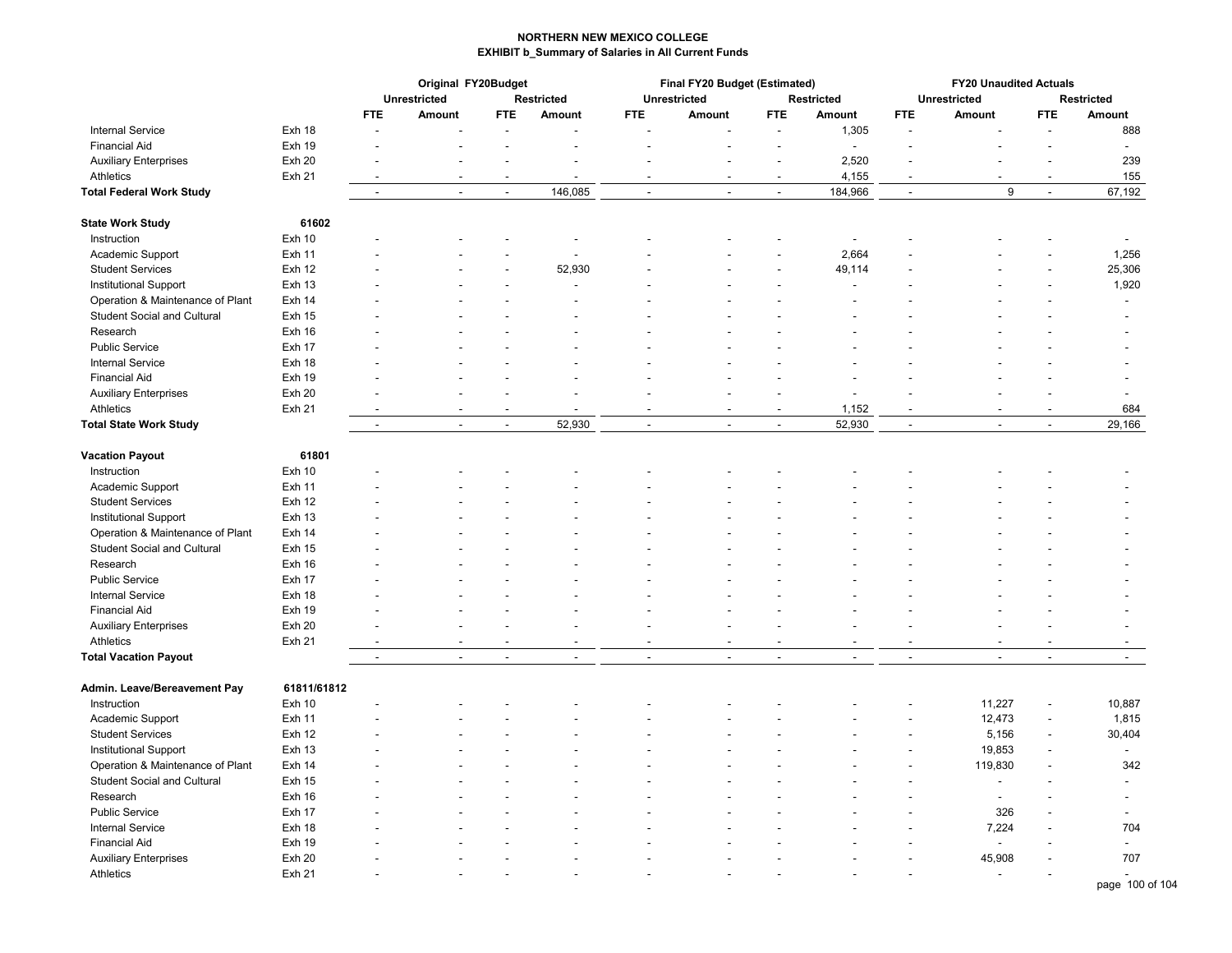|                                    |                   | Original FY20Budget      |                |                |                   |                | Final FY20 Budget (Estimated) |                          | <b>FY20 Unaudited Actuals</b> |                          |                     |                          |                          |
|------------------------------------|-------------------|--------------------------|----------------|----------------|-------------------|----------------|-------------------------------|--------------------------|-------------------------------|--------------------------|---------------------|--------------------------|--------------------------|
|                                    |                   |                          | Unrestricted   |                | <b>Restricted</b> |                | <b>Unrestricted</b>           |                          | <b>Restricted</b>             |                          | <b>Unrestricted</b> |                          | <b>Restricted</b>        |
|                                    |                   | <b>FTE</b>               | Amount         | FTE.           | <b>Amount</b>     | FTE.           | Amount                        | FTE.                     | Amount                        | <b>FTE</b>               | Amount              | FTE.                     | Amount                   |
| <b>Internal Service</b>            | Exh 18            |                          |                |                |                   |                |                               |                          | 1,305                         |                          |                     |                          | 888                      |
| <b>Financial Aid</b>               | <b>Exh 19</b>     |                          |                |                |                   |                |                               | ä,                       | $\overline{a}$                |                          |                     | $\overline{a}$           | $\overline{\phantom{a}}$ |
| <b>Auxiliary Enterprises</b>       | Exh 20            |                          |                |                |                   |                |                               | $\overline{a}$           | 2,520                         |                          |                     | $\blacksquare$           | 239                      |
| Athletics                          | <b>Exh 21</b>     |                          |                |                |                   |                |                               |                          | 4,155                         |                          |                     |                          | 155                      |
| <b>Total Federal Work Study</b>    |                   | $\blacksquare$           | $\blacksquare$ | $\blacksquare$ | 146,085           | $\blacksquare$ | $\overline{a}$                | $\blacksquare$           | 184,966                       | $\overline{\phantom{a}}$ | 9                   | $\overline{\phantom{a}}$ | 67,192                   |
| <b>State Work Study</b>            | 61602             |                          |                |                |                   |                |                               |                          |                               |                          |                     |                          |                          |
| Instruction                        | Exh 10            |                          |                |                | L,                |                |                               |                          | $\overline{a}$                |                          |                     |                          |                          |
| Academic Support                   | <b>Exh 11</b>     |                          |                |                | L,                |                |                               | Ĭ.                       | 2,664                         |                          |                     |                          | 1,256                    |
| <b>Student Services</b>            | Exh 12            |                          |                |                | 52,930            |                |                               |                          | 49,114                        |                          |                     |                          | 25,306                   |
| Institutional Support              | <b>Exh 13</b>     |                          |                |                |                   |                |                               | $\overline{a}$           |                               |                          |                     | $\overline{\phantom{a}}$ | 1,920                    |
| Operation & Maintenance of Plant   | Exh 14            |                          |                |                |                   |                |                               |                          |                               |                          |                     |                          | $\sim$                   |
| <b>Student Social and Cultural</b> | <b>Exh 15</b>     |                          |                |                |                   |                |                               |                          |                               |                          |                     |                          |                          |
| Research                           | Exh 16            |                          |                |                |                   |                |                               |                          |                               |                          |                     |                          |                          |
| <b>Public Service</b>              | Exh 17            |                          |                |                |                   |                |                               |                          |                               |                          |                     |                          |                          |
|                                    |                   |                          |                |                |                   |                |                               |                          |                               |                          |                     |                          |                          |
| <b>Internal Service</b>            | Exh 18            |                          |                |                |                   |                |                               |                          |                               |                          |                     |                          |                          |
| <b>Financial Aid</b>               | <b>Exh 19</b>     |                          |                |                |                   |                |                               |                          |                               |                          |                     |                          |                          |
| <b>Auxiliary Enterprises</b>       | Exh 20            |                          |                |                |                   |                |                               |                          |                               |                          |                     |                          |                          |
| Athletics                          | <b>Exh 21</b>     | $\overline{\phantom{a}}$ |                |                |                   |                |                               |                          | 1,152                         |                          |                     |                          | 684                      |
| <b>Total State Work Study</b>      |                   | $\overline{\phantom{a}}$ | $\sim$         | $\sim$         | 52,930            | $\blacksquare$ | $\overline{a}$                | $\overline{\phantom{a}}$ | 52,930                        | $\overline{\phantom{a}}$ | $\overline{a}$      | $\overline{\phantom{a}}$ | 29,166                   |
| <b>Vacation Payout</b>             | 61801             |                          |                |                |                   |                |                               |                          |                               |                          |                     |                          |                          |
| Instruction                        | Exh 10            |                          |                |                |                   |                |                               |                          |                               |                          |                     |                          |                          |
| Academic Support                   | <b>Exh 11</b>     |                          |                |                |                   |                |                               |                          |                               |                          |                     |                          |                          |
| <b>Student Services</b>            | <b>Exh 12</b>     |                          |                |                |                   |                |                               |                          |                               |                          |                     |                          |                          |
| <b>Institutional Support</b>       | Exh 13            |                          |                |                |                   |                |                               |                          |                               |                          |                     |                          |                          |
| Operation & Maintenance of Plant   | Exh 14            |                          |                |                |                   |                |                               |                          |                               |                          |                     |                          |                          |
| Student Social and Cultural        | <b>Exh 15</b>     |                          |                |                |                   |                |                               |                          |                               |                          |                     |                          |                          |
| Research                           | Exh 16            |                          |                |                |                   |                |                               |                          |                               |                          |                     |                          |                          |
| <b>Public Service</b>              | Exh 17            |                          |                |                |                   |                |                               |                          |                               |                          |                     |                          |                          |
| <b>Internal Service</b>            | Exh 18            |                          |                |                |                   |                |                               |                          |                               |                          |                     |                          |                          |
| <b>Financial Aid</b>               | Exh 19            |                          |                |                |                   |                |                               |                          |                               |                          |                     |                          |                          |
| <b>Auxiliary Enterprises</b>       | Exh 20            |                          |                |                |                   |                |                               |                          |                               |                          |                     |                          |                          |
| Athletics                          | <b>Exh 21</b>     |                          |                |                |                   |                |                               |                          |                               |                          |                     |                          |                          |
| <b>Total Vacation Payout</b>       |                   | $\overline{\phantom{a}}$ | $\sim$         | $\overline{a}$ | $\overline{a}$    | $\blacksquare$ | $\overline{a}$                | ÷,                       | $\overline{\phantom{a}}$      | $\sim$                   | $\overline{a}$      | $\blacksquare$           | $\mathbf{r}$             |
|                                    |                   |                          |                |                |                   |                |                               |                          |                               |                          |                     |                          |                          |
| Admin. Leave/Bereavement Pay       | 61811/61812       |                          |                |                |                   |                |                               |                          |                               |                          |                     |                          |                          |
| Instruction                        | Exh 10            |                          |                |                |                   |                |                               |                          |                               |                          | 11,227              | $\frac{1}{2}$            | 10,887                   |
| Academic Support                   | Exh 11            |                          |                |                |                   |                |                               |                          |                               |                          | 12,473              | $\overline{a}$           | 1,815                    |
| <b>Student Services</b>            | Exh 12            |                          |                |                |                   |                |                               |                          |                               |                          | 5,156               | $\blacksquare$           | 30,404                   |
| <b>Institutional Support</b>       | <b>Exh 13</b>     |                          |                |                |                   |                |                               |                          |                               |                          | 19,853              | $\overline{\phantom{a}}$ | $\overline{\phantom{a}}$ |
| Operation & Maintenance of Plant   | Exh 14            |                          |                |                |                   |                |                               |                          |                               |                          | 119,830             |                          | 342                      |
| <b>Student Social and Cultural</b> | <b>Exh 15</b>     |                          |                |                |                   |                |                               |                          |                               |                          | $\overline{a}$      |                          |                          |
| Research                           | Exh 16            |                          |                |                |                   |                |                               |                          |                               |                          | $\overline{a}$      |                          |                          |
| <b>Public Service</b>              | Exh 17            |                          |                |                |                   |                |                               |                          |                               |                          | 326                 |                          |                          |
| <b>Internal Service</b>            | Exh 18            |                          |                |                |                   |                |                               |                          |                               |                          | 7,224               |                          | 704                      |
| <b>Financial Aid</b>               | Exh 19            |                          |                |                |                   |                |                               |                          |                               |                          |                     |                          | $\sim$                   |
| <b>Auxiliary Enterprises</b>       | Exh <sub>20</sub> |                          |                |                |                   |                |                               |                          |                               |                          | 45,908              |                          | 707                      |
| Athletics                          | <b>Exh 21</b>     |                          |                |                |                   |                |                               |                          |                               |                          |                     |                          |                          |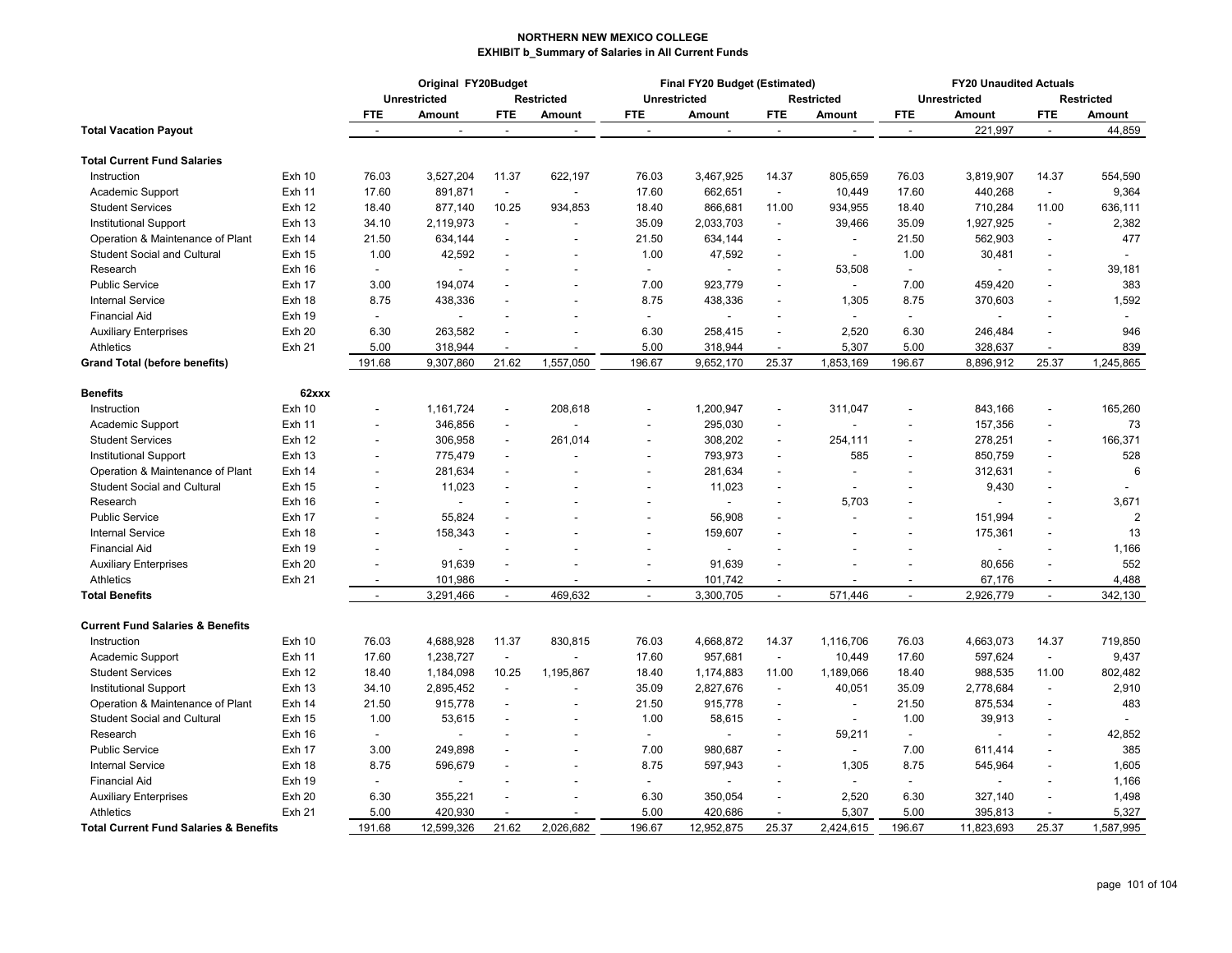| <b>Restricted</b><br><b>Unrestricted</b><br><b>Unrestricted</b><br><b>Unrestricted</b><br><b>Restricted</b><br><b>Restricted</b><br>FTE.<br>Amount<br><b>FTE</b><br>Amount<br><b>FTE</b><br>Amount<br><b>FTE</b><br><b>Amount</b><br><b>FTE</b><br>Amount<br><b>FTE</b><br>Amount<br>221,997<br>44,859<br>$\ddot{\phantom{a}}$<br>$\ddot{\phantom{a}}$<br>$\overline{\phantom{a}}$<br>$\overline{\phantom{a}}$<br>$\overline{\phantom{a}}$<br>$\sim$<br>$\overline{\phantom{a}}$<br><b>Exh 10</b><br>76.03<br>3,527,204<br>11.37<br>622,197<br>76.03<br>3,467,925<br>14.37<br>805,659<br>76.03<br>3,819,907<br>14.37<br>554,590<br>Instruction<br>440,268<br>9,364<br><b>Exh 11</b><br>17.60<br>891,871<br>17.60<br>662,651<br>10,449<br>17.60<br>Academic Support<br>$\blacksquare$<br>$\blacksquare$<br>$\sim$<br><b>Student Services</b><br><b>Exh 12</b><br>18.40<br>877,140<br>10.25<br>934,853<br>866,681<br>934,955<br>18.40<br>710,284<br>11.00<br>636,111<br>18.40<br>11.00<br>2,382<br><b>Exh 13</b><br>34.10<br>2,119,973<br>35.09<br>2,033,703<br>39,466<br>35.09<br>1,927,925<br>Institutional Support<br>$\blacksquare$<br>$\blacksquare$<br>$\blacksquare$<br>$\blacksquare$<br>477<br>Exh 14<br>21.50<br>634,144<br>21.50<br>634,144<br>21.50<br>562,903<br>Operation & Maintenance of Plant<br>$\overline{\phantom{a}}$<br>$\blacksquare$<br>ä,<br><b>Student Social and Cultural</b><br><b>Exh 15</b><br>1.00<br>42,592<br>1.00<br>47,592<br>1.00<br>30,481<br>$\overline{a}$<br>$\overline{\phantom{a}}$<br>$\overline{\phantom{a}}$<br>$\overline{\phantom{a}}$<br>ä,<br>Research<br>Exh 16<br>53,508<br>39,181<br>$\overline{\phantom{a}}$<br>$\sim$<br>L.<br>$\overline{\phantom{a}}$<br>$\overline{a}$<br>$\overline{a}$<br>$\overline{a}$<br>$\overline{a}$<br>194,074<br>923,779<br>383<br>Public Service<br>Exh 17<br>3.00<br>7.00<br>7.00<br>459,420<br>$\blacksquare$<br>$\overline{a}$<br>$\overline{\phantom{a}}$<br>$\overline{\phantom{a}}$<br>8.75<br>8.75<br>8.75<br>1,592<br><b>Internal Service</b><br>Exh 18<br>438,336<br>438,336<br>1,305<br>370,603<br><b>Financial Aid</b><br><b>Exh 19</b><br>$\blacksquare$<br>$\blacksquare$<br>$\sim$<br>$\blacksquare$<br><b>Exh 20</b><br>6.30<br>263,582<br>6.30<br>258,415<br>2,520<br>6.30<br>246,484<br>946<br><b>Auxiliary Enterprises</b><br>839<br><b>Athletics</b><br>Exh 21<br>5.00<br>318,944<br>5.00<br>318,944<br>5,307<br>5.00<br>328,637<br>$\overline{a}$<br>$\overline{a}$<br>$\overline{a}$<br>$\overline{\phantom{a}}$<br>1,557,050<br>196.67<br>25.37<br>1,245,865<br>191.68<br>9,307,860<br>21.62<br>196.67<br>9,652,170<br>25.37<br>1,853,169<br>8,896,912<br><b>Grand Total (before benefits)</b><br><b>Benefits</b><br>62xxx<br>1,200,947<br>843,166<br><b>Exh 10</b><br>1,161,724<br>208,618<br>311,047<br>165,260<br>Instruction<br>$\frac{1}{2}$<br>$\blacksquare$<br>ä,<br>$\overline{a}$<br>73<br><b>Exh 11</b><br>346,856<br>295,030<br>157,356<br>Academic Support<br>$\frac{1}{2}$<br>$\blacksquare$<br>$\overline{a}$<br>$\overline{a}$<br>278,251<br>166,371<br><b>Student Services</b><br><b>Exh 12</b><br>306,958<br>261,014<br>308,202<br>254,111<br>$\blacksquare$<br>$\overline{a}$<br>$\overline{\phantom{a}}$<br>$\blacksquare$<br>793,973<br>850,759<br>528<br>Institutional Support<br><b>Exh 13</b><br>775,479<br>585<br>$\overline{\phantom{a}}$<br>$\overline{a}$<br>$\overline{\phantom{a}}$<br>$\overline{\phantom{a}}$<br>$\sim$<br>$\overline{a}$<br>281,634<br>6<br>Operation & Maintenance of Plant<br>Exh 14<br>281,634<br>312,631<br>$\overline{\phantom{a}}$<br>$\overline{\phantom{a}}$<br>$\overline{a}$<br>11,023<br>9,430<br><b>Student Social and Cultural</b><br><b>Exh 15</b><br>11,023<br>$\overline{\phantom{a}}$<br>$\blacksquare$<br>$\sim$<br>$\overline{\phantom{a}}$<br>$\blacksquare$<br>3,671<br>Exh 16<br>5,703<br>Research<br>$\overline{\phantom{a}}$<br><b>Public Service</b><br>55,824<br>56,908<br>151,994<br>$\overline{2}$<br>Exh 17<br>$\overline{a}$<br>$\overline{\phantom{a}}$<br>$\blacksquare$<br>$\overline{a}$<br><b>Internal Service</b><br>13<br>Exh 18<br>158,343<br>159,607<br>175,361<br>$\overline{\phantom{a}}$<br>٠<br>1,166<br><b>Financial Aid</b><br><b>Exh 19</b><br>$\overline{a}$<br>552<br>91,639<br><b>Exh 20</b><br>91,639<br>80,656<br><b>Auxiliary Enterprises</b><br>4,488<br>Athletics<br>Exh 21<br>101,986<br>101,742<br>67,176<br>$\blacksquare$<br>$\sim$<br>$\overline{\phantom{a}}$<br>$\overline{\phantom{a}}$<br>$\overline{\phantom{a}}$<br>$\blacksquare$<br>3,291,466<br>469,632<br>3,300,705<br>571,446<br>2,926,779<br>342,130<br>$\blacksquare$<br>$\blacksquare$<br>$\blacksquare$<br>$\blacksquare$<br>$\overline{\phantom{a}}$<br>$\blacksquare$<br><b>Current Fund Salaries &amp; Benefits</b><br>76.03<br>4,688,928<br>11.37<br>830,815<br>76.03<br>14.37<br>76.03<br>14.37<br>719,850<br>Exh 10<br>4,668,872<br>1,116,706<br>4,663,073<br>Instruction<br>9,437<br>17.60<br>1,238,727<br>17.60<br>957,681<br>17.60<br>597,624<br>Academic Support<br><b>Exh 11</b><br>$\blacksquare$<br>$\blacksquare$<br>10,449<br>$\sim$<br>1,184,098<br>10.25<br>1,189,066<br>988,535<br>11.00<br>802,482<br><b>Student Services</b><br>Exh 12<br>18.40<br>1,195,867<br>18.40<br>1,174,883<br>11.00<br>18.40<br>2,910<br>34.10<br>2,895,452<br>35.09<br>2,827,676<br>40,051<br>2,778,684<br>Institutional Support<br><b>Exh 13</b><br>35.09<br>$\blacksquare$<br>$\overline{\phantom{a}}$<br>$\blacksquare$<br>21.50<br>915,778<br>21.50<br>875,534<br>483<br>Operation & Maintenance of Plant<br><b>Exh 14</b><br>21.50<br>915,778<br>$\overline{\phantom{a}}$<br>$\blacksquare$<br>÷,<br><b>Student Social and Cultural</b><br><b>Exh 15</b><br>1.00<br>53,615<br>1.00<br>58,615<br>1.00<br>39,913<br>$\overline{\phantom{a}}$<br>$\blacksquare$<br>$\blacksquare$<br>÷,<br>Exh 16<br>59,211<br>42,852<br>Research<br>$\sim$<br>$\sim$<br>$\overline{\phantom{a}}$<br>$\overline{a}$<br>$\blacksquare$<br>$\overline{\phantom{a}}$<br>$\overline{a}$<br>385<br><b>Public Service</b><br>Exh 17<br>3.00<br>249,898<br>7.00<br>980,687<br>7.00<br>611,414<br>$\overline{\phantom{a}}$<br>$\blacksquare$<br>$\overline{\phantom{a}}$<br>$\overline{a}$<br>1,605<br>Internal Service<br><b>Exh 18</b><br>8.75<br>8.75<br>1,305<br>8.75<br>545,964<br>596,679<br>597,943<br><b>Exh 19</b><br>1,166<br><b>Financial Aid</b><br>$\blacksquare$<br>$\blacksquare$<br>$\blacksquare$<br><b>Exh 20</b><br>6.30<br>2,520<br>6.30<br>327,140<br>1,498<br><b>Auxiliary Enterprises</b><br>6.30<br>355,221<br>350,054<br><b>Exh 21</b><br>5.00<br>5.00<br>420,686<br>5,307<br>5.00<br>395,813<br>5,327<br><b>Athletics</b><br>420,930<br>$\overline{a}$<br>$\overline{a}$<br>$\overline{\phantom{a}}$ |                                                   |        | Original FY20Budget |       |           |        | Final FY20 Budget (Estimated) |       | <b>FY20 Unaudited Actuals</b> |        |            |       |           |
|------------------------------------------------------------------------------------------------------------------------------------------------------------------------------------------------------------------------------------------------------------------------------------------------------------------------------------------------------------------------------------------------------------------------------------------------------------------------------------------------------------------------------------------------------------------------------------------------------------------------------------------------------------------------------------------------------------------------------------------------------------------------------------------------------------------------------------------------------------------------------------------------------------------------------------------------------------------------------------------------------------------------------------------------------------------------------------------------------------------------------------------------------------------------------------------------------------------------------------------------------------------------------------------------------------------------------------------------------------------------------------------------------------------------------------------------------------------------------------------------------------------------------------------------------------------------------------------------------------------------------------------------------------------------------------------------------------------------------------------------------------------------------------------------------------------------------------------------------------------------------------------------------------------------------------------------------------------------------------------------------------------------------------------------------------------------------------------------------------------------------------------------------------------------------------------------------------------------------------------------------------------------------------------------------------------------------------------------------------------------------------------------------------------------------------------------------------------------------------------------------------------------------------------------------------------------------------------------------------------------------------------------------------------------------------------------------------------------------------------------------------------------------------------------------------------------------------------------------------------------------------------------------------------------------------------------------------------------------------------------------------------------------------------------------------------------------------------------------------------------------------------------------------------------------------------------------------------------------------------------------------------------------------------------------------------------------------------------------------------------------------------------------------------------------------------------------------------------------------------------------------------------------------------------------------------------------------------------------------------------------------------------------------------------------------------------------------------------------------------------------------------------------------------------------------------------------------------------------------------------------------------------------------------------------------------------------------------------------------------------------------------------------------------------------------------------------------------------------------------------------------------------------------------------------------------------------------------------------------------------------------------------------------------------------------------------------------------------------------------------------------------------------------------------------------------------------------------------------------------------------------------------------------------------------------------------------------------------------------------------------------------------------------------------------------------------------------------------------------------------------------------------------------------------------------------------------------------------------------------------------------------------------------------------------------------------------------------------------------------------------------------------------------------------------------------------------------------------------------------------------------------------------------------------------------------------------------------------------------------------------------------------------------------------------------------------------------------------------------------------------------------------------------------------------------------------------------------------------------------------------------------------------------------------------------------------------------------------------------------------------------------------------------------------------------------------------------------------------------------------------------------------------------------------------------------------------------------------------------------------------------------------------------------------------------------------------------------------------------------------------------------------------------------------------------------------------------------------------------------------------------------------------------------------------------------------------------------------------------------------------------------------------------------------------------------------------------------------------------------------------------------------------------------------------------------------------------------------------------------------------------------------------------------------------------------------------------------------------------------------------------------------------------------------------------------------------------------------------------------------------------------------------------------|---------------------------------------------------|--------|---------------------|-------|-----------|--------|-------------------------------|-------|-------------------------------|--------|------------|-------|-----------|
|                                                                                                                                                                                                                                                                                                                                                                                                                                                                                                                                                                                                                                                                                                                                                                                                                                                                                                                                                                                                                                                                                                                                                                                                                                                                                                                                                                                                                                                                                                                                                                                                                                                                                                                                                                                                                                                                                                                                                                                                                                                                                                                                                                                                                                                                                                                                                                                                                                                                                                                                                                                                                                                                                                                                                                                                                                                                                                                                                                                                                                                                                                                                                                                                                                                                                                                                                                                                                                                                                                                                                                                                                                                                                                                                                                                                                                                                                                                                                                                                                                                                                                                                                                                                                                                                                                                                                                                                                                                                                                                                                                                                                                                                                                                                                                                                                                                                                                                                                                                                                                                                                                                                                                                                                                                                                                                                                                                                                                                                                                                                                                                                                                                                                                                                                                                                                                                                                                                                                                                                                                                                                                                                                                                                                                                                                                                                                                                                                                                                                                                                                                                                                                                                                                                                                                                          |                                                   |        |                     |       |           |        |                               |       |                               |        |            |       |           |
|                                                                                                                                                                                                                                                                                                                                                                                                                                                                                                                                                                                                                                                                                                                                                                                                                                                                                                                                                                                                                                                                                                                                                                                                                                                                                                                                                                                                                                                                                                                                                                                                                                                                                                                                                                                                                                                                                                                                                                                                                                                                                                                                                                                                                                                                                                                                                                                                                                                                                                                                                                                                                                                                                                                                                                                                                                                                                                                                                                                                                                                                                                                                                                                                                                                                                                                                                                                                                                                                                                                                                                                                                                                                                                                                                                                                                                                                                                                                                                                                                                                                                                                                                                                                                                                                                                                                                                                                                                                                                                                                                                                                                                                                                                                                                                                                                                                                                                                                                                                                                                                                                                                                                                                                                                                                                                                                                                                                                                                                                                                                                                                                                                                                                                                                                                                                                                                                                                                                                                                                                                                                                                                                                                                                                                                                                                                                                                                                                                                                                                                                                                                                                                                                                                                                                                                          |                                                   |        |                     |       |           |        |                               |       |                               |        |            |       |           |
|                                                                                                                                                                                                                                                                                                                                                                                                                                                                                                                                                                                                                                                                                                                                                                                                                                                                                                                                                                                                                                                                                                                                                                                                                                                                                                                                                                                                                                                                                                                                                                                                                                                                                                                                                                                                                                                                                                                                                                                                                                                                                                                                                                                                                                                                                                                                                                                                                                                                                                                                                                                                                                                                                                                                                                                                                                                                                                                                                                                                                                                                                                                                                                                                                                                                                                                                                                                                                                                                                                                                                                                                                                                                                                                                                                                                                                                                                                                                                                                                                                                                                                                                                                                                                                                                                                                                                                                                                                                                                                                                                                                                                                                                                                                                                                                                                                                                                                                                                                                                                                                                                                                                                                                                                                                                                                                                                                                                                                                                                                                                                                                                                                                                                                                                                                                                                                                                                                                                                                                                                                                                                                                                                                                                                                                                                                                                                                                                                                                                                                                                                                                                                                                                                                                                                                                          | <b>Total Vacation Payout</b>                      |        |                     |       |           |        |                               |       |                               |        |            |       |           |
|                                                                                                                                                                                                                                                                                                                                                                                                                                                                                                                                                                                                                                                                                                                                                                                                                                                                                                                                                                                                                                                                                                                                                                                                                                                                                                                                                                                                                                                                                                                                                                                                                                                                                                                                                                                                                                                                                                                                                                                                                                                                                                                                                                                                                                                                                                                                                                                                                                                                                                                                                                                                                                                                                                                                                                                                                                                                                                                                                                                                                                                                                                                                                                                                                                                                                                                                                                                                                                                                                                                                                                                                                                                                                                                                                                                                                                                                                                                                                                                                                                                                                                                                                                                                                                                                                                                                                                                                                                                                                                                                                                                                                                                                                                                                                                                                                                                                                                                                                                                                                                                                                                                                                                                                                                                                                                                                                                                                                                                                                                                                                                                                                                                                                                                                                                                                                                                                                                                                                                                                                                                                                                                                                                                                                                                                                                                                                                                                                                                                                                                                                                                                                                                                                                                                                                                          | <b>Total Current Fund Salaries</b>                |        |                     |       |           |        |                               |       |                               |        |            |       |           |
|                                                                                                                                                                                                                                                                                                                                                                                                                                                                                                                                                                                                                                                                                                                                                                                                                                                                                                                                                                                                                                                                                                                                                                                                                                                                                                                                                                                                                                                                                                                                                                                                                                                                                                                                                                                                                                                                                                                                                                                                                                                                                                                                                                                                                                                                                                                                                                                                                                                                                                                                                                                                                                                                                                                                                                                                                                                                                                                                                                                                                                                                                                                                                                                                                                                                                                                                                                                                                                                                                                                                                                                                                                                                                                                                                                                                                                                                                                                                                                                                                                                                                                                                                                                                                                                                                                                                                                                                                                                                                                                                                                                                                                                                                                                                                                                                                                                                                                                                                                                                                                                                                                                                                                                                                                                                                                                                                                                                                                                                                                                                                                                                                                                                                                                                                                                                                                                                                                                                                                                                                                                                                                                                                                                                                                                                                                                                                                                                                                                                                                                                                                                                                                                                                                                                                                                          |                                                   |        |                     |       |           |        |                               |       |                               |        |            |       |           |
|                                                                                                                                                                                                                                                                                                                                                                                                                                                                                                                                                                                                                                                                                                                                                                                                                                                                                                                                                                                                                                                                                                                                                                                                                                                                                                                                                                                                                                                                                                                                                                                                                                                                                                                                                                                                                                                                                                                                                                                                                                                                                                                                                                                                                                                                                                                                                                                                                                                                                                                                                                                                                                                                                                                                                                                                                                                                                                                                                                                                                                                                                                                                                                                                                                                                                                                                                                                                                                                                                                                                                                                                                                                                                                                                                                                                                                                                                                                                                                                                                                                                                                                                                                                                                                                                                                                                                                                                                                                                                                                                                                                                                                                                                                                                                                                                                                                                                                                                                                                                                                                                                                                                                                                                                                                                                                                                                                                                                                                                                                                                                                                                                                                                                                                                                                                                                                                                                                                                                                                                                                                                                                                                                                                                                                                                                                                                                                                                                                                                                                                                                                                                                                                                                                                                                                                          |                                                   |        |                     |       |           |        |                               |       |                               |        |            |       |           |
|                                                                                                                                                                                                                                                                                                                                                                                                                                                                                                                                                                                                                                                                                                                                                                                                                                                                                                                                                                                                                                                                                                                                                                                                                                                                                                                                                                                                                                                                                                                                                                                                                                                                                                                                                                                                                                                                                                                                                                                                                                                                                                                                                                                                                                                                                                                                                                                                                                                                                                                                                                                                                                                                                                                                                                                                                                                                                                                                                                                                                                                                                                                                                                                                                                                                                                                                                                                                                                                                                                                                                                                                                                                                                                                                                                                                                                                                                                                                                                                                                                                                                                                                                                                                                                                                                                                                                                                                                                                                                                                                                                                                                                                                                                                                                                                                                                                                                                                                                                                                                                                                                                                                                                                                                                                                                                                                                                                                                                                                                                                                                                                                                                                                                                                                                                                                                                                                                                                                                                                                                                                                                                                                                                                                                                                                                                                                                                                                                                                                                                                                                                                                                                                                                                                                                                                          |                                                   |        |                     |       |           |        |                               |       |                               |        |            |       |           |
|                                                                                                                                                                                                                                                                                                                                                                                                                                                                                                                                                                                                                                                                                                                                                                                                                                                                                                                                                                                                                                                                                                                                                                                                                                                                                                                                                                                                                                                                                                                                                                                                                                                                                                                                                                                                                                                                                                                                                                                                                                                                                                                                                                                                                                                                                                                                                                                                                                                                                                                                                                                                                                                                                                                                                                                                                                                                                                                                                                                                                                                                                                                                                                                                                                                                                                                                                                                                                                                                                                                                                                                                                                                                                                                                                                                                                                                                                                                                                                                                                                                                                                                                                                                                                                                                                                                                                                                                                                                                                                                                                                                                                                                                                                                                                                                                                                                                                                                                                                                                                                                                                                                                                                                                                                                                                                                                                                                                                                                                                                                                                                                                                                                                                                                                                                                                                                                                                                                                                                                                                                                                                                                                                                                                                                                                                                                                                                                                                                                                                                                                                                                                                                                                                                                                                                                          |                                                   |        |                     |       |           |        |                               |       |                               |        |            |       |           |
|                                                                                                                                                                                                                                                                                                                                                                                                                                                                                                                                                                                                                                                                                                                                                                                                                                                                                                                                                                                                                                                                                                                                                                                                                                                                                                                                                                                                                                                                                                                                                                                                                                                                                                                                                                                                                                                                                                                                                                                                                                                                                                                                                                                                                                                                                                                                                                                                                                                                                                                                                                                                                                                                                                                                                                                                                                                                                                                                                                                                                                                                                                                                                                                                                                                                                                                                                                                                                                                                                                                                                                                                                                                                                                                                                                                                                                                                                                                                                                                                                                                                                                                                                                                                                                                                                                                                                                                                                                                                                                                                                                                                                                                                                                                                                                                                                                                                                                                                                                                                                                                                                                                                                                                                                                                                                                                                                                                                                                                                                                                                                                                                                                                                                                                                                                                                                                                                                                                                                                                                                                                                                                                                                                                                                                                                                                                                                                                                                                                                                                                                                                                                                                                                                                                                                                                          |                                                   |        |                     |       |           |        |                               |       |                               |        |            |       |           |
|                                                                                                                                                                                                                                                                                                                                                                                                                                                                                                                                                                                                                                                                                                                                                                                                                                                                                                                                                                                                                                                                                                                                                                                                                                                                                                                                                                                                                                                                                                                                                                                                                                                                                                                                                                                                                                                                                                                                                                                                                                                                                                                                                                                                                                                                                                                                                                                                                                                                                                                                                                                                                                                                                                                                                                                                                                                                                                                                                                                                                                                                                                                                                                                                                                                                                                                                                                                                                                                                                                                                                                                                                                                                                                                                                                                                                                                                                                                                                                                                                                                                                                                                                                                                                                                                                                                                                                                                                                                                                                                                                                                                                                                                                                                                                                                                                                                                                                                                                                                                                                                                                                                                                                                                                                                                                                                                                                                                                                                                                                                                                                                                                                                                                                                                                                                                                                                                                                                                                                                                                                                                                                                                                                                                                                                                                                                                                                                                                                                                                                                                                                                                                                                                                                                                                                                          |                                                   |        |                     |       |           |        |                               |       |                               |        |            |       |           |
|                                                                                                                                                                                                                                                                                                                                                                                                                                                                                                                                                                                                                                                                                                                                                                                                                                                                                                                                                                                                                                                                                                                                                                                                                                                                                                                                                                                                                                                                                                                                                                                                                                                                                                                                                                                                                                                                                                                                                                                                                                                                                                                                                                                                                                                                                                                                                                                                                                                                                                                                                                                                                                                                                                                                                                                                                                                                                                                                                                                                                                                                                                                                                                                                                                                                                                                                                                                                                                                                                                                                                                                                                                                                                                                                                                                                                                                                                                                                                                                                                                                                                                                                                                                                                                                                                                                                                                                                                                                                                                                                                                                                                                                                                                                                                                                                                                                                                                                                                                                                                                                                                                                                                                                                                                                                                                                                                                                                                                                                                                                                                                                                                                                                                                                                                                                                                                                                                                                                                                                                                                                                                                                                                                                                                                                                                                                                                                                                                                                                                                                                                                                                                                                                                                                                                                                          |                                                   |        |                     |       |           |        |                               |       |                               |        |            |       |           |
|                                                                                                                                                                                                                                                                                                                                                                                                                                                                                                                                                                                                                                                                                                                                                                                                                                                                                                                                                                                                                                                                                                                                                                                                                                                                                                                                                                                                                                                                                                                                                                                                                                                                                                                                                                                                                                                                                                                                                                                                                                                                                                                                                                                                                                                                                                                                                                                                                                                                                                                                                                                                                                                                                                                                                                                                                                                                                                                                                                                                                                                                                                                                                                                                                                                                                                                                                                                                                                                                                                                                                                                                                                                                                                                                                                                                                                                                                                                                                                                                                                                                                                                                                                                                                                                                                                                                                                                                                                                                                                                                                                                                                                                                                                                                                                                                                                                                                                                                                                                                                                                                                                                                                                                                                                                                                                                                                                                                                                                                                                                                                                                                                                                                                                                                                                                                                                                                                                                                                                                                                                                                                                                                                                                                                                                                                                                                                                                                                                                                                                                                                                                                                                                                                                                                                                                          |                                                   |        |                     |       |           |        |                               |       |                               |        |            |       |           |
|                                                                                                                                                                                                                                                                                                                                                                                                                                                                                                                                                                                                                                                                                                                                                                                                                                                                                                                                                                                                                                                                                                                                                                                                                                                                                                                                                                                                                                                                                                                                                                                                                                                                                                                                                                                                                                                                                                                                                                                                                                                                                                                                                                                                                                                                                                                                                                                                                                                                                                                                                                                                                                                                                                                                                                                                                                                                                                                                                                                                                                                                                                                                                                                                                                                                                                                                                                                                                                                                                                                                                                                                                                                                                                                                                                                                                                                                                                                                                                                                                                                                                                                                                                                                                                                                                                                                                                                                                                                                                                                                                                                                                                                                                                                                                                                                                                                                                                                                                                                                                                                                                                                                                                                                                                                                                                                                                                                                                                                                                                                                                                                                                                                                                                                                                                                                                                                                                                                                                                                                                                                                                                                                                                                                                                                                                                                                                                                                                                                                                                                                                                                                                                                                                                                                                                                          |                                                   |        |                     |       |           |        |                               |       |                               |        |            |       |           |
|                                                                                                                                                                                                                                                                                                                                                                                                                                                                                                                                                                                                                                                                                                                                                                                                                                                                                                                                                                                                                                                                                                                                                                                                                                                                                                                                                                                                                                                                                                                                                                                                                                                                                                                                                                                                                                                                                                                                                                                                                                                                                                                                                                                                                                                                                                                                                                                                                                                                                                                                                                                                                                                                                                                                                                                                                                                                                                                                                                                                                                                                                                                                                                                                                                                                                                                                                                                                                                                                                                                                                                                                                                                                                                                                                                                                                                                                                                                                                                                                                                                                                                                                                                                                                                                                                                                                                                                                                                                                                                                                                                                                                                                                                                                                                                                                                                                                                                                                                                                                                                                                                                                                                                                                                                                                                                                                                                                                                                                                                                                                                                                                                                                                                                                                                                                                                                                                                                                                                                                                                                                                                                                                                                                                                                                                                                                                                                                                                                                                                                                                                                                                                                                                                                                                                                                          |                                                   |        |                     |       |           |        |                               |       |                               |        |            |       |           |
|                                                                                                                                                                                                                                                                                                                                                                                                                                                                                                                                                                                                                                                                                                                                                                                                                                                                                                                                                                                                                                                                                                                                                                                                                                                                                                                                                                                                                                                                                                                                                                                                                                                                                                                                                                                                                                                                                                                                                                                                                                                                                                                                                                                                                                                                                                                                                                                                                                                                                                                                                                                                                                                                                                                                                                                                                                                                                                                                                                                                                                                                                                                                                                                                                                                                                                                                                                                                                                                                                                                                                                                                                                                                                                                                                                                                                                                                                                                                                                                                                                                                                                                                                                                                                                                                                                                                                                                                                                                                                                                                                                                                                                                                                                                                                                                                                                                                                                                                                                                                                                                                                                                                                                                                                                                                                                                                                                                                                                                                                                                                                                                                                                                                                                                                                                                                                                                                                                                                                                                                                                                                                                                                                                                                                                                                                                                                                                                                                                                                                                                                                                                                                                                                                                                                                                                          |                                                   |        |                     |       |           |        |                               |       |                               |        |            |       |           |
|                                                                                                                                                                                                                                                                                                                                                                                                                                                                                                                                                                                                                                                                                                                                                                                                                                                                                                                                                                                                                                                                                                                                                                                                                                                                                                                                                                                                                                                                                                                                                                                                                                                                                                                                                                                                                                                                                                                                                                                                                                                                                                                                                                                                                                                                                                                                                                                                                                                                                                                                                                                                                                                                                                                                                                                                                                                                                                                                                                                                                                                                                                                                                                                                                                                                                                                                                                                                                                                                                                                                                                                                                                                                                                                                                                                                                                                                                                                                                                                                                                                                                                                                                                                                                                                                                                                                                                                                                                                                                                                                                                                                                                                                                                                                                                                                                                                                                                                                                                                                                                                                                                                                                                                                                                                                                                                                                                                                                                                                                                                                                                                                                                                                                                                                                                                                                                                                                                                                                                                                                                                                                                                                                                                                                                                                                                                                                                                                                                                                                                                                                                                                                                                                                                                                                                                          |                                                   |        |                     |       |           |        |                               |       |                               |        |            |       |           |
|                                                                                                                                                                                                                                                                                                                                                                                                                                                                                                                                                                                                                                                                                                                                                                                                                                                                                                                                                                                                                                                                                                                                                                                                                                                                                                                                                                                                                                                                                                                                                                                                                                                                                                                                                                                                                                                                                                                                                                                                                                                                                                                                                                                                                                                                                                                                                                                                                                                                                                                                                                                                                                                                                                                                                                                                                                                                                                                                                                                                                                                                                                                                                                                                                                                                                                                                                                                                                                                                                                                                                                                                                                                                                                                                                                                                                                                                                                                                                                                                                                                                                                                                                                                                                                                                                                                                                                                                                                                                                                                                                                                                                                                                                                                                                                                                                                                                                                                                                                                                                                                                                                                                                                                                                                                                                                                                                                                                                                                                                                                                                                                                                                                                                                                                                                                                                                                                                                                                                                                                                                                                                                                                                                                                                                                                                                                                                                                                                                                                                                                                                                                                                                                                                                                                                                                          |                                                   |        |                     |       |           |        |                               |       |                               |        |            |       |           |
|                                                                                                                                                                                                                                                                                                                                                                                                                                                                                                                                                                                                                                                                                                                                                                                                                                                                                                                                                                                                                                                                                                                                                                                                                                                                                                                                                                                                                                                                                                                                                                                                                                                                                                                                                                                                                                                                                                                                                                                                                                                                                                                                                                                                                                                                                                                                                                                                                                                                                                                                                                                                                                                                                                                                                                                                                                                                                                                                                                                                                                                                                                                                                                                                                                                                                                                                                                                                                                                                                                                                                                                                                                                                                                                                                                                                                                                                                                                                                                                                                                                                                                                                                                                                                                                                                                                                                                                                                                                                                                                                                                                                                                                                                                                                                                                                                                                                                                                                                                                                                                                                                                                                                                                                                                                                                                                                                                                                                                                                                                                                                                                                                                                                                                                                                                                                                                                                                                                                                                                                                                                                                                                                                                                                                                                                                                                                                                                                                                                                                                                                                                                                                                                                                                                                                                                          |                                                   |        |                     |       |           |        |                               |       |                               |        |            |       |           |
|                                                                                                                                                                                                                                                                                                                                                                                                                                                                                                                                                                                                                                                                                                                                                                                                                                                                                                                                                                                                                                                                                                                                                                                                                                                                                                                                                                                                                                                                                                                                                                                                                                                                                                                                                                                                                                                                                                                                                                                                                                                                                                                                                                                                                                                                                                                                                                                                                                                                                                                                                                                                                                                                                                                                                                                                                                                                                                                                                                                                                                                                                                                                                                                                                                                                                                                                                                                                                                                                                                                                                                                                                                                                                                                                                                                                                                                                                                                                                                                                                                                                                                                                                                                                                                                                                                                                                                                                                                                                                                                                                                                                                                                                                                                                                                                                                                                                                                                                                                                                                                                                                                                                                                                                                                                                                                                                                                                                                                                                                                                                                                                                                                                                                                                                                                                                                                                                                                                                                                                                                                                                                                                                                                                                                                                                                                                                                                                                                                                                                                                                                                                                                                                                                                                                                                                          |                                                   |        |                     |       |           |        |                               |       |                               |        |            |       |           |
|                                                                                                                                                                                                                                                                                                                                                                                                                                                                                                                                                                                                                                                                                                                                                                                                                                                                                                                                                                                                                                                                                                                                                                                                                                                                                                                                                                                                                                                                                                                                                                                                                                                                                                                                                                                                                                                                                                                                                                                                                                                                                                                                                                                                                                                                                                                                                                                                                                                                                                                                                                                                                                                                                                                                                                                                                                                                                                                                                                                                                                                                                                                                                                                                                                                                                                                                                                                                                                                                                                                                                                                                                                                                                                                                                                                                                                                                                                                                                                                                                                                                                                                                                                                                                                                                                                                                                                                                                                                                                                                                                                                                                                                                                                                                                                                                                                                                                                                                                                                                                                                                                                                                                                                                                                                                                                                                                                                                                                                                                                                                                                                                                                                                                                                                                                                                                                                                                                                                                                                                                                                                                                                                                                                                                                                                                                                                                                                                                                                                                                                                                                                                                                                                                                                                                                                          |                                                   |        |                     |       |           |        |                               |       |                               |        |            |       |           |
|                                                                                                                                                                                                                                                                                                                                                                                                                                                                                                                                                                                                                                                                                                                                                                                                                                                                                                                                                                                                                                                                                                                                                                                                                                                                                                                                                                                                                                                                                                                                                                                                                                                                                                                                                                                                                                                                                                                                                                                                                                                                                                                                                                                                                                                                                                                                                                                                                                                                                                                                                                                                                                                                                                                                                                                                                                                                                                                                                                                                                                                                                                                                                                                                                                                                                                                                                                                                                                                                                                                                                                                                                                                                                                                                                                                                                                                                                                                                                                                                                                                                                                                                                                                                                                                                                                                                                                                                                                                                                                                                                                                                                                                                                                                                                                                                                                                                                                                                                                                                                                                                                                                                                                                                                                                                                                                                                                                                                                                                                                                                                                                                                                                                                                                                                                                                                                                                                                                                                                                                                                                                                                                                                                                                                                                                                                                                                                                                                                                                                                                                                                                                                                                                                                                                                                                          |                                                   |        |                     |       |           |        |                               |       |                               |        |            |       |           |
|                                                                                                                                                                                                                                                                                                                                                                                                                                                                                                                                                                                                                                                                                                                                                                                                                                                                                                                                                                                                                                                                                                                                                                                                                                                                                                                                                                                                                                                                                                                                                                                                                                                                                                                                                                                                                                                                                                                                                                                                                                                                                                                                                                                                                                                                                                                                                                                                                                                                                                                                                                                                                                                                                                                                                                                                                                                                                                                                                                                                                                                                                                                                                                                                                                                                                                                                                                                                                                                                                                                                                                                                                                                                                                                                                                                                                                                                                                                                                                                                                                                                                                                                                                                                                                                                                                                                                                                                                                                                                                                                                                                                                                                                                                                                                                                                                                                                                                                                                                                                                                                                                                                                                                                                                                                                                                                                                                                                                                                                                                                                                                                                                                                                                                                                                                                                                                                                                                                                                                                                                                                                                                                                                                                                                                                                                                                                                                                                                                                                                                                                                                                                                                                                                                                                                                                          |                                                   |        |                     |       |           |        |                               |       |                               |        |            |       |           |
|                                                                                                                                                                                                                                                                                                                                                                                                                                                                                                                                                                                                                                                                                                                                                                                                                                                                                                                                                                                                                                                                                                                                                                                                                                                                                                                                                                                                                                                                                                                                                                                                                                                                                                                                                                                                                                                                                                                                                                                                                                                                                                                                                                                                                                                                                                                                                                                                                                                                                                                                                                                                                                                                                                                                                                                                                                                                                                                                                                                                                                                                                                                                                                                                                                                                                                                                                                                                                                                                                                                                                                                                                                                                                                                                                                                                                                                                                                                                                                                                                                                                                                                                                                                                                                                                                                                                                                                                                                                                                                                                                                                                                                                                                                                                                                                                                                                                                                                                                                                                                                                                                                                                                                                                                                                                                                                                                                                                                                                                                                                                                                                                                                                                                                                                                                                                                                                                                                                                                                                                                                                                                                                                                                                                                                                                                                                                                                                                                                                                                                                                                                                                                                                                                                                                                                                          |                                                   |        |                     |       |           |        |                               |       |                               |        |            |       |           |
|                                                                                                                                                                                                                                                                                                                                                                                                                                                                                                                                                                                                                                                                                                                                                                                                                                                                                                                                                                                                                                                                                                                                                                                                                                                                                                                                                                                                                                                                                                                                                                                                                                                                                                                                                                                                                                                                                                                                                                                                                                                                                                                                                                                                                                                                                                                                                                                                                                                                                                                                                                                                                                                                                                                                                                                                                                                                                                                                                                                                                                                                                                                                                                                                                                                                                                                                                                                                                                                                                                                                                                                                                                                                                                                                                                                                                                                                                                                                                                                                                                                                                                                                                                                                                                                                                                                                                                                                                                                                                                                                                                                                                                                                                                                                                                                                                                                                                                                                                                                                                                                                                                                                                                                                                                                                                                                                                                                                                                                                                                                                                                                                                                                                                                                                                                                                                                                                                                                                                                                                                                                                                                                                                                                                                                                                                                                                                                                                                                                                                                                                                                                                                                                                                                                                                                                          |                                                   |        |                     |       |           |        |                               |       |                               |        |            |       |           |
|                                                                                                                                                                                                                                                                                                                                                                                                                                                                                                                                                                                                                                                                                                                                                                                                                                                                                                                                                                                                                                                                                                                                                                                                                                                                                                                                                                                                                                                                                                                                                                                                                                                                                                                                                                                                                                                                                                                                                                                                                                                                                                                                                                                                                                                                                                                                                                                                                                                                                                                                                                                                                                                                                                                                                                                                                                                                                                                                                                                                                                                                                                                                                                                                                                                                                                                                                                                                                                                                                                                                                                                                                                                                                                                                                                                                                                                                                                                                                                                                                                                                                                                                                                                                                                                                                                                                                                                                                                                                                                                                                                                                                                                                                                                                                                                                                                                                                                                                                                                                                                                                                                                                                                                                                                                                                                                                                                                                                                                                                                                                                                                                                                                                                                                                                                                                                                                                                                                                                                                                                                                                                                                                                                                                                                                                                                                                                                                                                                                                                                                                                                                                                                                                                                                                                                                          |                                                   |        |                     |       |           |        |                               |       |                               |        |            |       |           |
|                                                                                                                                                                                                                                                                                                                                                                                                                                                                                                                                                                                                                                                                                                                                                                                                                                                                                                                                                                                                                                                                                                                                                                                                                                                                                                                                                                                                                                                                                                                                                                                                                                                                                                                                                                                                                                                                                                                                                                                                                                                                                                                                                                                                                                                                                                                                                                                                                                                                                                                                                                                                                                                                                                                                                                                                                                                                                                                                                                                                                                                                                                                                                                                                                                                                                                                                                                                                                                                                                                                                                                                                                                                                                                                                                                                                                                                                                                                                                                                                                                                                                                                                                                                                                                                                                                                                                                                                                                                                                                                                                                                                                                                                                                                                                                                                                                                                                                                                                                                                                                                                                                                                                                                                                                                                                                                                                                                                                                                                                                                                                                                                                                                                                                                                                                                                                                                                                                                                                                                                                                                                                                                                                                                                                                                                                                                                                                                                                                                                                                                                                                                                                                                                                                                                                                                          |                                                   |        |                     |       |           |        |                               |       |                               |        |            |       |           |
|                                                                                                                                                                                                                                                                                                                                                                                                                                                                                                                                                                                                                                                                                                                                                                                                                                                                                                                                                                                                                                                                                                                                                                                                                                                                                                                                                                                                                                                                                                                                                                                                                                                                                                                                                                                                                                                                                                                                                                                                                                                                                                                                                                                                                                                                                                                                                                                                                                                                                                                                                                                                                                                                                                                                                                                                                                                                                                                                                                                                                                                                                                                                                                                                                                                                                                                                                                                                                                                                                                                                                                                                                                                                                                                                                                                                                                                                                                                                                                                                                                                                                                                                                                                                                                                                                                                                                                                                                                                                                                                                                                                                                                                                                                                                                                                                                                                                                                                                                                                                                                                                                                                                                                                                                                                                                                                                                                                                                                                                                                                                                                                                                                                                                                                                                                                                                                                                                                                                                                                                                                                                                                                                                                                                                                                                                                                                                                                                                                                                                                                                                                                                                                                                                                                                                                                          |                                                   |        |                     |       |           |        |                               |       |                               |        |            |       |           |
|                                                                                                                                                                                                                                                                                                                                                                                                                                                                                                                                                                                                                                                                                                                                                                                                                                                                                                                                                                                                                                                                                                                                                                                                                                                                                                                                                                                                                                                                                                                                                                                                                                                                                                                                                                                                                                                                                                                                                                                                                                                                                                                                                                                                                                                                                                                                                                                                                                                                                                                                                                                                                                                                                                                                                                                                                                                                                                                                                                                                                                                                                                                                                                                                                                                                                                                                                                                                                                                                                                                                                                                                                                                                                                                                                                                                                                                                                                                                                                                                                                                                                                                                                                                                                                                                                                                                                                                                                                                                                                                                                                                                                                                                                                                                                                                                                                                                                                                                                                                                                                                                                                                                                                                                                                                                                                                                                                                                                                                                                                                                                                                                                                                                                                                                                                                                                                                                                                                                                                                                                                                                                                                                                                                                                                                                                                                                                                                                                                                                                                                                                                                                                                                                                                                                                                                          |                                                   |        |                     |       |           |        |                               |       |                               |        |            |       |           |
|                                                                                                                                                                                                                                                                                                                                                                                                                                                                                                                                                                                                                                                                                                                                                                                                                                                                                                                                                                                                                                                                                                                                                                                                                                                                                                                                                                                                                                                                                                                                                                                                                                                                                                                                                                                                                                                                                                                                                                                                                                                                                                                                                                                                                                                                                                                                                                                                                                                                                                                                                                                                                                                                                                                                                                                                                                                                                                                                                                                                                                                                                                                                                                                                                                                                                                                                                                                                                                                                                                                                                                                                                                                                                                                                                                                                                                                                                                                                                                                                                                                                                                                                                                                                                                                                                                                                                                                                                                                                                                                                                                                                                                                                                                                                                                                                                                                                                                                                                                                                                                                                                                                                                                                                                                                                                                                                                                                                                                                                                                                                                                                                                                                                                                                                                                                                                                                                                                                                                                                                                                                                                                                                                                                                                                                                                                                                                                                                                                                                                                                                                                                                                                                                                                                                                                                          |                                                   |        |                     |       |           |        |                               |       |                               |        |            |       |           |
|                                                                                                                                                                                                                                                                                                                                                                                                                                                                                                                                                                                                                                                                                                                                                                                                                                                                                                                                                                                                                                                                                                                                                                                                                                                                                                                                                                                                                                                                                                                                                                                                                                                                                                                                                                                                                                                                                                                                                                                                                                                                                                                                                                                                                                                                                                                                                                                                                                                                                                                                                                                                                                                                                                                                                                                                                                                                                                                                                                                                                                                                                                                                                                                                                                                                                                                                                                                                                                                                                                                                                                                                                                                                                                                                                                                                                                                                                                                                                                                                                                                                                                                                                                                                                                                                                                                                                                                                                                                                                                                                                                                                                                                                                                                                                                                                                                                                                                                                                                                                                                                                                                                                                                                                                                                                                                                                                                                                                                                                                                                                                                                                                                                                                                                                                                                                                                                                                                                                                                                                                                                                                                                                                                                                                                                                                                                                                                                                                                                                                                                                                                                                                                                                                                                                                                                          |                                                   |        |                     |       |           |        |                               |       |                               |        |            |       |           |
|                                                                                                                                                                                                                                                                                                                                                                                                                                                                                                                                                                                                                                                                                                                                                                                                                                                                                                                                                                                                                                                                                                                                                                                                                                                                                                                                                                                                                                                                                                                                                                                                                                                                                                                                                                                                                                                                                                                                                                                                                                                                                                                                                                                                                                                                                                                                                                                                                                                                                                                                                                                                                                                                                                                                                                                                                                                                                                                                                                                                                                                                                                                                                                                                                                                                                                                                                                                                                                                                                                                                                                                                                                                                                                                                                                                                                                                                                                                                                                                                                                                                                                                                                                                                                                                                                                                                                                                                                                                                                                                                                                                                                                                                                                                                                                                                                                                                                                                                                                                                                                                                                                                                                                                                                                                                                                                                                                                                                                                                                                                                                                                                                                                                                                                                                                                                                                                                                                                                                                                                                                                                                                                                                                                                                                                                                                                                                                                                                                                                                                                                                                                                                                                                                                                                                                                          | <b>Total Benefits</b>                             |        |                     |       |           |        |                               |       |                               |        |            |       |           |
|                                                                                                                                                                                                                                                                                                                                                                                                                                                                                                                                                                                                                                                                                                                                                                                                                                                                                                                                                                                                                                                                                                                                                                                                                                                                                                                                                                                                                                                                                                                                                                                                                                                                                                                                                                                                                                                                                                                                                                                                                                                                                                                                                                                                                                                                                                                                                                                                                                                                                                                                                                                                                                                                                                                                                                                                                                                                                                                                                                                                                                                                                                                                                                                                                                                                                                                                                                                                                                                                                                                                                                                                                                                                                                                                                                                                                                                                                                                                                                                                                                                                                                                                                                                                                                                                                                                                                                                                                                                                                                                                                                                                                                                                                                                                                                                                                                                                                                                                                                                                                                                                                                                                                                                                                                                                                                                                                                                                                                                                                                                                                                                                                                                                                                                                                                                                                                                                                                                                                                                                                                                                                                                                                                                                                                                                                                                                                                                                                                                                                                                                                                                                                                                                                                                                                                                          |                                                   |        |                     |       |           |        |                               |       |                               |        |            |       |           |
|                                                                                                                                                                                                                                                                                                                                                                                                                                                                                                                                                                                                                                                                                                                                                                                                                                                                                                                                                                                                                                                                                                                                                                                                                                                                                                                                                                                                                                                                                                                                                                                                                                                                                                                                                                                                                                                                                                                                                                                                                                                                                                                                                                                                                                                                                                                                                                                                                                                                                                                                                                                                                                                                                                                                                                                                                                                                                                                                                                                                                                                                                                                                                                                                                                                                                                                                                                                                                                                                                                                                                                                                                                                                                                                                                                                                                                                                                                                                                                                                                                                                                                                                                                                                                                                                                                                                                                                                                                                                                                                                                                                                                                                                                                                                                                                                                                                                                                                                                                                                                                                                                                                                                                                                                                                                                                                                                                                                                                                                                                                                                                                                                                                                                                                                                                                                                                                                                                                                                                                                                                                                                                                                                                                                                                                                                                                                                                                                                                                                                                                                                                                                                                                                                                                                                                                          |                                                   |        |                     |       |           |        |                               |       |                               |        |            |       |           |
|                                                                                                                                                                                                                                                                                                                                                                                                                                                                                                                                                                                                                                                                                                                                                                                                                                                                                                                                                                                                                                                                                                                                                                                                                                                                                                                                                                                                                                                                                                                                                                                                                                                                                                                                                                                                                                                                                                                                                                                                                                                                                                                                                                                                                                                                                                                                                                                                                                                                                                                                                                                                                                                                                                                                                                                                                                                                                                                                                                                                                                                                                                                                                                                                                                                                                                                                                                                                                                                                                                                                                                                                                                                                                                                                                                                                                                                                                                                                                                                                                                                                                                                                                                                                                                                                                                                                                                                                                                                                                                                                                                                                                                                                                                                                                                                                                                                                                                                                                                                                                                                                                                                                                                                                                                                                                                                                                                                                                                                                                                                                                                                                                                                                                                                                                                                                                                                                                                                                                                                                                                                                                                                                                                                                                                                                                                                                                                                                                                                                                                                                                                                                                                                                                                                                                                                          |                                                   |        |                     |       |           |        |                               |       |                               |        |            |       |           |
|                                                                                                                                                                                                                                                                                                                                                                                                                                                                                                                                                                                                                                                                                                                                                                                                                                                                                                                                                                                                                                                                                                                                                                                                                                                                                                                                                                                                                                                                                                                                                                                                                                                                                                                                                                                                                                                                                                                                                                                                                                                                                                                                                                                                                                                                                                                                                                                                                                                                                                                                                                                                                                                                                                                                                                                                                                                                                                                                                                                                                                                                                                                                                                                                                                                                                                                                                                                                                                                                                                                                                                                                                                                                                                                                                                                                                                                                                                                                                                                                                                                                                                                                                                                                                                                                                                                                                                                                                                                                                                                                                                                                                                                                                                                                                                                                                                                                                                                                                                                                                                                                                                                                                                                                                                                                                                                                                                                                                                                                                                                                                                                                                                                                                                                                                                                                                                                                                                                                                                                                                                                                                                                                                                                                                                                                                                                                                                                                                                                                                                                                                                                                                                                                                                                                                                                          |                                                   |        |                     |       |           |        |                               |       |                               |        |            |       |           |
|                                                                                                                                                                                                                                                                                                                                                                                                                                                                                                                                                                                                                                                                                                                                                                                                                                                                                                                                                                                                                                                                                                                                                                                                                                                                                                                                                                                                                                                                                                                                                                                                                                                                                                                                                                                                                                                                                                                                                                                                                                                                                                                                                                                                                                                                                                                                                                                                                                                                                                                                                                                                                                                                                                                                                                                                                                                                                                                                                                                                                                                                                                                                                                                                                                                                                                                                                                                                                                                                                                                                                                                                                                                                                                                                                                                                                                                                                                                                                                                                                                                                                                                                                                                                                                                                                                                                                                                                                                                                                                                                                                                                                                                                                                                                                                                                                                                                                                                                                                                                                                                                                                                                                                                                                                                                                                                                                                                                                                                                                                                                                                                                                                                                                                                                                                                                                                                                                                                                                                                                                                                                                                                                                                                                                                                                                                                                                                                                                                                                                                                                                                                                                                                                                                                                                                                          |                                                   |        |                     |       |           |        |                               |       |                               |        |            |       |           |
|                                                                                                                                                                                                                                                                                                                                                                                                                                                                                                                                                                                                                                                                                                                                                                                                                                                                                                                                                                                                                                                                                                                                                                                                                                                                                                                                                                                                                                                                                                                                                                                                                                                                                                                                                                                                                                                                                                                                                                                                                                                                                                                                                                                                                                                                                                                                                                                                                                                                                                                                                                                                                                                                                                                                                                                                                                                                                                                                                                                                                                                                                                                                                                                                                                                                                                                                                                                                                                                                                                                                                                                                                                                                                                                                                                                                                                                                                                                                                                                                                                                                                                                                                                                                                                                                                                                                                                                                                                                                                                                                                                                                                                                                                                                                                                                                                                                                                                                                                                                                                                                                                                                                                                                                                                                                                                                                                                                                                                                                                                                                                                                                                                                                                                                                                                                                                                                                                                                                                                                                                                                                                                                                                                                                                                                                                                                                                                                                                                                                                                                                                                                                                                                                                                                                                                                          |                                                   |        |                     |       |           |        |                               |       |                               |        |            |       |           |
|                                                                                                                                                                                                                                                                                                                                                                                                                                                                                                                                                                                                                                                                                                                                                                                                                                                                                                                                                                                                                                                                                                                                                                                                                                                                                                                                                                                                                                                                                                                                                                                                                                                                                                                                                                                                                                                                                                                                                                                                                                                                                                                                                                                                                                                                                                                                                                                                                                                                                                                                                                                                                                                                                                                                                                                                                                                                                                                                                                                                                                                                                                                                                                                                                                                                                                                                                                                                                                                                                                                                                                                                                                                                                                                                                                                                                                                                                                                                                                                                                                                                                                                                                                                                                                                                                                                                                                                                                                                                                                                                                                                                                                                                                                                                                                                                                                                                                                                                                                                                                                                                                                                                                                                                                                                                                                                                                                                                                                                                                                                                                                                                                                                                                                                                                                                                                                                                                                                                                                                                                                                                                                                                                                                                                                                                                                                                                                                                                                                                                                                                                                                                                                                                                                                                                                                          |                                                   |        |                     |       |           |        |                               |       |                               |        |            |       |           |
|                                                                                                                                                                                                                                                                                                                                                                                                                                                                                                                                                                                                                                                                                                                                                                                                                                                                                                                                                                                                                                                                                                                                                                                                                                                                                                                                                                                                                                                                                                                                                                                                                                                                                                                                                                                                                                                                                                                                                                                                                                                                                                                                                                                                                                                                                                                                                                                                                                                                                                                                                                                                                                                                                                                                                                                                                                                                                                                                                                                                                                                                                                                                                                                                                                                                                                                                                                                                                                                                                                                                                                                                                                                                                                                                                                                                                                                                                                                                                                                                                                                                                                                                                                                                                                                                                                                                                                                                                                                                                                                                                                                                                                                                                                                                                                                                                                                                                                                                                                                                                                                                                                                                                                                                                                                                                                                                                                                                                                                                                                                                                                                                                                                                                                                                                                                                                                                                                                                                                                                                                                                                                                                                                                                                                                                                                                                                                                                                                                                                                                                                                                                                                                                                                                                                                                                          |                                                   |        |                     |       |           |        |                               |       |                               |        |            |       |           |
|                                                                                                                                                                                                                                                                                                                                                                                                                                                                                                                                                                                                                                                                                                                                                                                                                                                                                                                                                                                                                                                                                                                                                                                                                                                                                                                                                                                                                                                                                                                                                                                                                                                                                                                                                                                                                                                                                                                                                                                                                                                                                                                                                                                                                                                                                                                                                                                                                                                                                                                                                                                                                                                                                                                                                                                                                                                                                                                                                                                                                                                                                                                                                                                                                                                                                                                                                                                                                                                                                                                                                                                                                                                                                                                                                                                                                                                                                                                                                                                                                                                                                                                                                                                                                                                                                                                                                                                                                                                                                                                                                                                                                                                                                                                                                                                                                                                                                                                                                                                                                                                                                                                                                                                                                                                                                                                                                                                                                                                                                                                                                                                                                                                                                                                                                                                                                                                                                                                                                                                                                                                                                                                                                                                                                                                                                                                                                                                                                                                                                                                                                                                                                                                                                                                                                                                          |                                                   |        |                     |       |           |        |                               |       |                               |        |            |       |           |
|                                                                                                                                                                                                                                                                                                                                                                                                                                                                                                                                                                                                                                                                                                                                                                                                                                                                                                                                                                                                                                                                                                                                                                                                                                                                                                                                                                                                                                                                                                                                                                                                                                                                                                                                                                                                                                                                                                                                                                                                                                                                                                                                                                                                                                                                                                                                                                                                                                                                                                                                                                                                                                                                                                                                                                                                                                                                                                                                                                                                                                                                                                                                                                                                                                                                                                                                                                                                                                                                                                                                                                                                                                                                                                                                                                                                                                                                                                                                                                                                                                                                                                                                                                                                                                                                                                                                                                                                                                                                                                                                                                                                                                                                                                                                                                                                                                                                                                                                                                                                                                                                                                                                                                                                                                                                                                                                                                                                                                                                                                                                                                                                                                                                                                                                                                                                                                                                                                                                                                                                                                                                                                                                                                                                                                                                                                                                                                                                                                                                                                                                                                                                                                                                                                                                                                                          |                                                   |        |                     |       |           |        |                               |       |                               |        |            |       |           |
|                                                                                                                                                                                                                                                                                                                                                                                                                                                                                                                                                                                                                                                                                                                                                                                                                                                                                                                                                                                                                                                                                                                                                                                                                                                                                                                                                                                                                                                                                                                                                                                                                                                                                                                                                                                                                                                                                                                                                                                                                                                                                                                                                                                                                                                                                                                                                                                                                                                                                                                                                                                                                                                                                                                                                                                                                                                                                                                                                                                                                                                                                                                                                                                                                                                                                                                                                                                                                                                                                                                                                                                                                                                                                                                                                                                                                                                                                                                                                                                                                                                                                                                                                                                                                                                                                                                                                                                                                                                                                                                                                                                                                                                                                                                                                                                                                                                                                                                                                                                                                                                                                                                                                                                                                                                                                                                                                                                                                                                                                                                                                                                                                                                                                                                                                                                                                                                                                                                                                                                                                                                                                                                                                                                                                                                                                                                                                                                                                                                                                                                                                                                                                                                                                                                                                                                          |                                                   |        |                     |       |           |        |                               |       |                               |        |            |       |           |
|                                                                                                                                                                                                                                                                                                                                                                                                                                                                                                                                                                                                                                                                                                                                                                                                                                                                                                                                                                                                                                                                                                                                                                                                                                                                                                                                                                                                                                                                                                                                                                                                                                                                                                                                                                                                                                                                                                                                                                                                                                                                                                                                                                                                                                                                                                                                                                                                                                                                                                                                                                                                                                                                                                                                                                                                                                                                                                                                                                                                                                                                                                                                                                                                                                                                                                                                                                                                                                                                                                                                                                                                                                                                                                                                                                                                                                                                                                                                                                                                                                                                                                                                                                                                                                                                                                                                                                                                                                                                                                                                                                                                                                                                                                                                                                                                                                                                                                                                                                                                                                                                                                                                                                                                                                                                                                                                                                                                                                                                                                                                                                                                                                                                                                                                                                                                                                                                                                                                                                                                                                                                                                                                                                                                                                                                                                                                                                                                                                                                                                                                                                                                                                                                                                                                                                                          |                                                   |        |                     |       |           |        |                               |       |                               |        |            |       |           |
|                                                                                                                                                                                                                                                                                                                                                                                                                                                                                                                                                                                                                                                                                                                                                                                                                                                                                                                                                                                                                                                                                                                                                                                                                                                                                                                                                                                                                                                                                                                                                                                                                                                                                                                                                                                                                                                                                                                                                                                                                                                                                                                                                                                                                                                                                                                                                                                                                                                                                                                                                                                                                                                                                                                                                                                                                                                                                                                                                                                                                                                                                                                                                                                                                                                                                                                                                                                                                                                                                                                                                                                                                                                                                                                                                                                                                                                                                                                                                                                                                                                                                                                                                                                                                                                                                                                                                                                                                                                                                                                                                                                                                                                                                                                                                                                                                                                                                                                                                                                                                                                                                                                                                                                                                                                                                                                                                                                                                                                                                                                                                                                                                                                                                                                                                                                                                                                                                                                                                                                                                                                                                                                                                                                                                                                                                                                                                                                                                                                                                                                                                                                                                                                                                                                                                                                          |                                                   |        |                     |       |           |        |                               |       |                               |        |            |       |           |
|                                                                                                                                                                                                                                                                                                                                                                                                                                                                                                                                                                                                                                                                                                                                                                                                                                                                                                                                                                                                                                                                                                                                                                                                                                                                                                                                                                                                                                                                                                                                                                                                                                                                                                                                                                                                                                                                                                                                                                                                                                                                                                                                                                                                                                                                                                                                                                                                                                                                                                                                                                                                                                                                                                                                                                                                                                                                                                                                                                                                                                                                                                                                                                                                                                                                                                                                                                                                                                                                                                                                                                                                                                                                                                                                                                                                                                                                                                                                                                                                                                                                                                                                                                                                                                                                                                                                                                                                                                                                                                                                                                                                                                                                                                                                                                                                                                                                                                                                                                                                                                                                                                                                                                                                                                                                                                                                                                                                                                                                                                                                                                                                                                                                                                                                                                                                                                                                                                                                                                                                                                                                                                                                                                                                                                                                                                                                                                                                                                                                                                                                                                                                                                                                                                                                                                                          | <b>Total Current Fund Salaries &amp; Benefits</b> | 191.68 | 12,599,326          | 21.62 | 2,026,682 | 196.67 | 12,952,875                    | 25.37 | 2,424,615                     | 196.67 | 11,823,693 | 25.37 | 1,587,995 |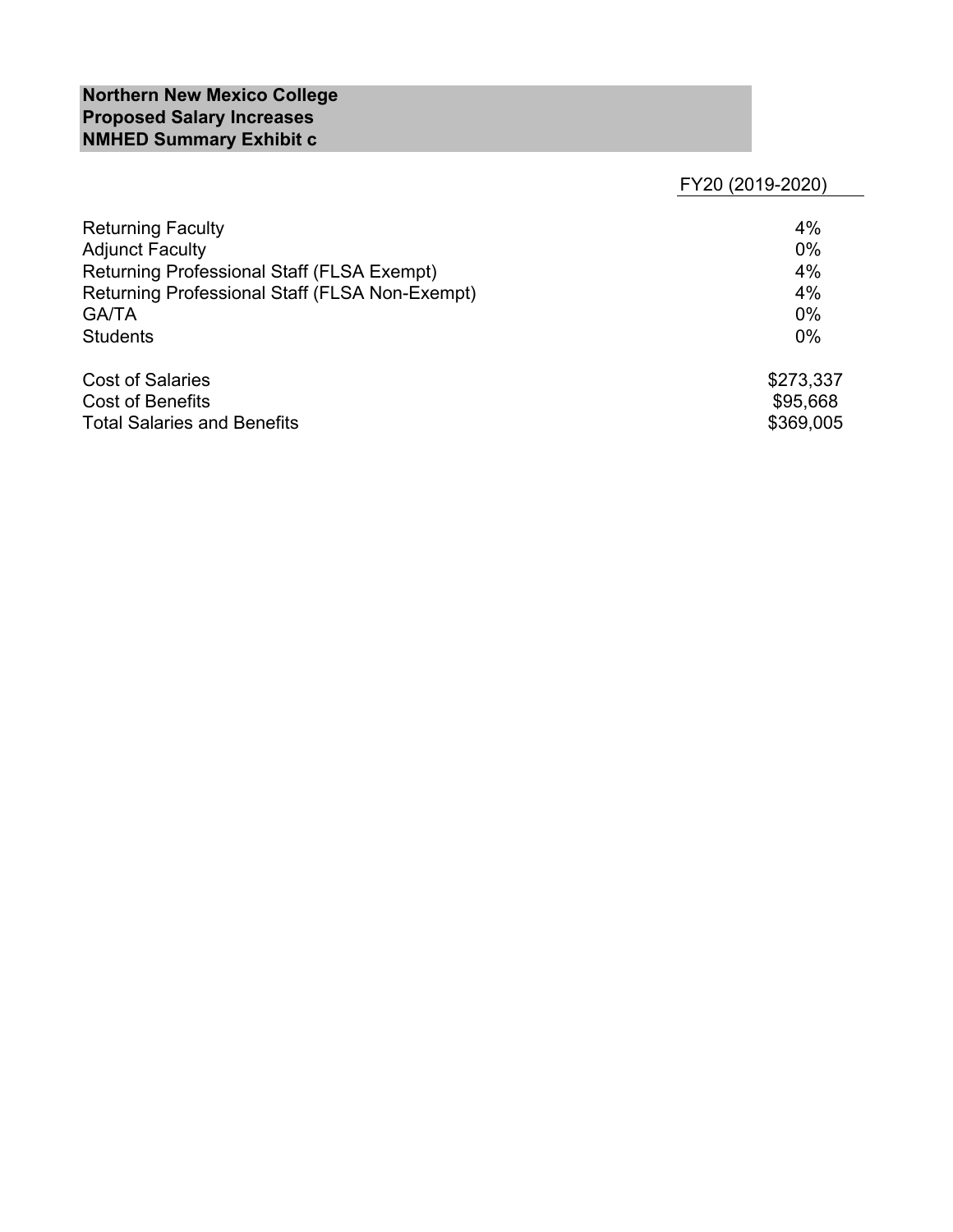# **Northern New Mexico College Proposed Salary Increases NMHED Summary Exhibit c**

FY20 (2019-2020)

| <b>Returning Faculty</b>                          | 4%        |
|---------------------------------------------------|-----------|
| <b>Adjunct Faculty</b>                            | $0\%$     |
| <b>Returning Professional Staff (FLSA Exempt)</b> | 4%        |
| Returning Professional Staff (FLSA Non-Exempt)    | 4%        |
| <b>GA/TA</b>                                      | $0\%$     |
| <b>Students</b>                                   | $0\%$     |
| <b>Cost of Salaries</b>                           | \$273,337 |
| Cost of Benefits                                  | \$95,668  |
| <b>Total Salaries and Benefits</b>                | \$369,005 |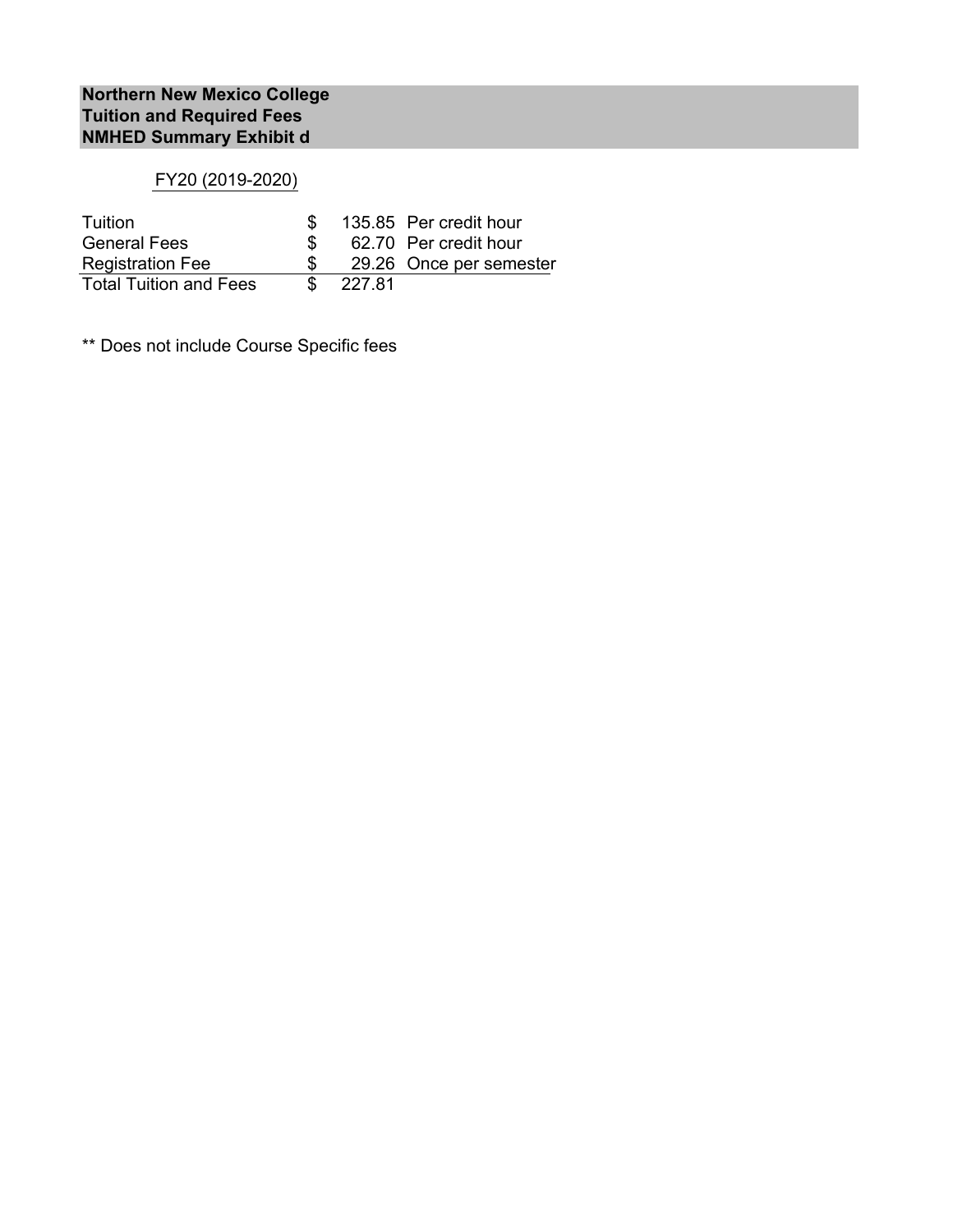# FY20 (2019-2020)

| Tuition                       |        | 135.85 Per credit hour  |
|-------------------------------|--------|-------------------------|
| <b>General Fees</b>           |        | 62.70 Per credit hour   |
| <b>Registration Fee</b>       |        | 29.26 Once per semester |
| <b>Total Tuition and Fees</b> | 227.81 |                         |

\*\* Does not include Course Specific fees